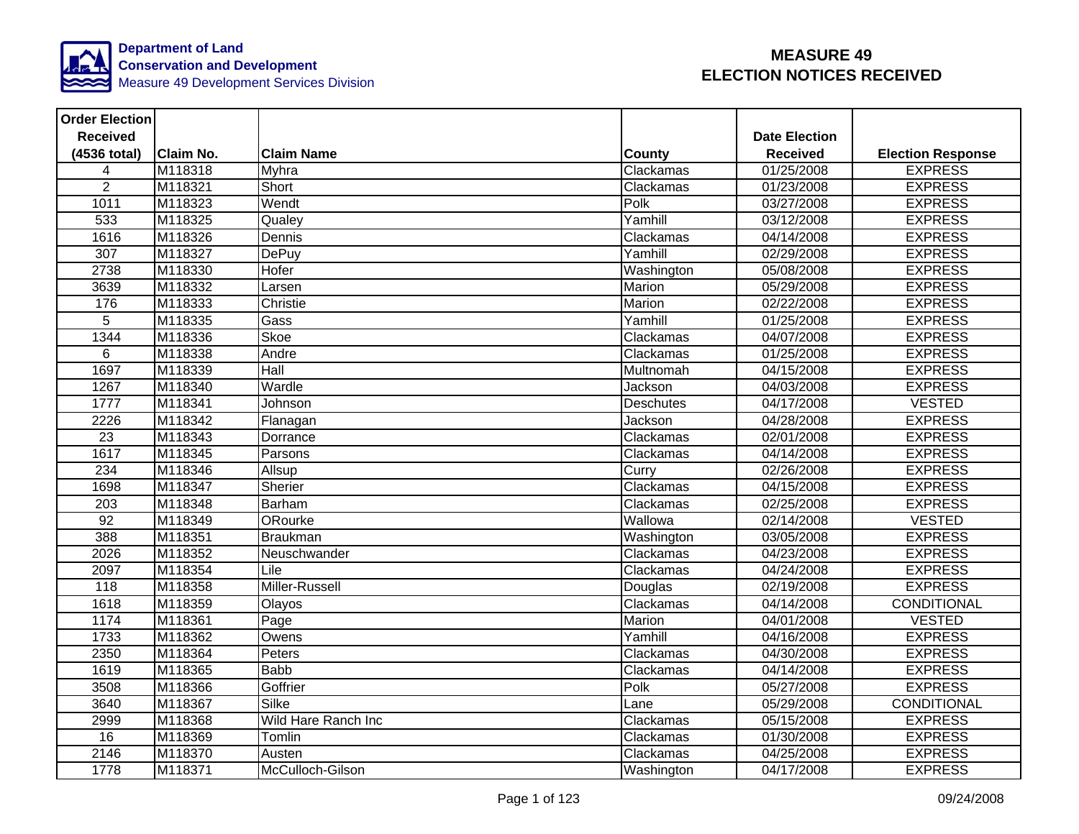

| <b>Order Election</b> |                  |                     |                  |                      |                          |
|-----------------------|------------------|---------------------|------------------|----------------------|--------------------------|
| <b>Received</b>       |                  |                     |                  | <b>Date Election</b> |                          |
| (4536 total)          | <b>Claim No.</b> | <b>Claim Name</b>   | <b>County</b>    | <b>Received</b>      | <b>Election Response</b> |
| $\overline{4}$        | M118318          | Myhra               | Clackamas        | 01/25/2008           | <b>EXPRESS</b>           |
| $\overline{2}$        | M118321          | Short               | Clackamas        | 01/23/2008           | <b>EXPRESS</b>           |
| 1011                  | M118323          | Wendt               | Polk             | 03/27/2008           | <b>EXPRESS</b>           |
| 533                   | M118325          | Qualey              | Yamhill          | 03/12/2008           | <b>EXPRESS</b>           |
| 1616                  | M118326          | Dennis              | Clackamas        | 04/14/2008           | <b>EXPRESS</b>           |
| 307                   | M118327          | <b>DePuy</b>        | Yamhill          | 02/29/2008           | <b>EXPRESS</b>           |
| 2738                  | M118330          | Hofer               | Washington       | 05/08/2008           | <b>EXPRESS</b>           |
| 3639                  | M118332          | Larsen              | <b>Marion</b>    | 05/29/2008           | <b>EXPRESS</b>           |
| 176                   | M118333          | Christie            | Marion           | 02/22/2008           | <b>EXPRESS</b>           |
| 5                     | M118335          | Gass                | Yamhill          | 01/25/2008           | <b>EXPRESS</b>           |
| 1344                  | M118336          | Skoe                | Clackamas        | 04/07/2008           | <b>EXPRESS</b>           |
| 6                     | M118338          | Andre               | Clackamas        | 01/25/2008           | <b>EXPRESS</b>           |
| 1697                  | M118339          | <b>Hall</b>         | Multnomah        | 04/15/2008           | <b>EXPRESS</b>           |
| 1267                  | M118340          | Wardle              | Jackson          | 04/03/2008           | <b>EXPRESS</b>           |
| 1777                  | M118341          | Johnson             | <b>Deschutes</b> | 04/17/2008           | <b>VESTED</b>            |
| 2226                  | M118342          | Flanagan            | Jackson          | 04/28/2008           | <b>EXPRESS</b>           |
| 23                    | M118343          | Dorrance            | Clackamas        | 02/01/2008           | <b>EXPRESS</b>           |
| 1617                  | M118345          | Parsons             | Clackamas        | 04/14/2008           | <b>EXPRESS</b>           |
| 234                   | M118346          | Allsup              | Curry            | 02/26/2008           | <b>EXPRESS</b>           |
| 1698                  | M118347          | Sherier             | Clackamas        | 04/15/2008           | <b>EXPRESS</b>           |
| 203                   | M118348          | Barham              | Clackamas        | 02/25/2008           | <b>EXPRESS</b>           |
| 92                    | M118349          | ORourke             | Wallowa          | 02/14/2008           | <b>VESTED</b>            |
| 388                   | M118351          | <b>Braukman</b>     | Washington       | 03/05/2008           | <b>EXPRESS</b>           |
| 2026                  | M118352          | Neuschwander        | Clackamas        | 04/23/2008           | <b>EXPRESS</b>           |
| 2097                  | M118354          | Lile                | Clackamas        | 04/24/2008           | <b>EXPRESS</b>           |
| 118                   | M118358          | Miller-Russell      | Douglas          | 02/19/2008           | <b>EXPRESS</b>           |
| 1618                  | M118359          | Olayos              | Clackamas        | 04/14/2008           | <b>CONDITIONAL</b>       |
| 1174                  | M118361          | Page                | Marion           | 04/01/2008           | <b>VESTED</b>            |
| 1733                  | M118362          | Owens               | Yamhill          | 04/16/2008           | <b>EXPRESS</b>           |
| 2350                  | M118364          | Peters              | Clackamas        | 04/30/2008           | <b>EXPRESS</b>           |
| 1619                  | M118365          | <b>Babb</b>         | Clackamas        | 04/14/2008           | <b>EXPRESS</b>           |
| 3508                  | M118366          | Goffrier            | Polk             | 05/27/2008           | <b>EXPRESS</b>           |
| 3640                  | M118367          | <b>Silke</b>        | Lane             | 05/29/2008           | <b>CONDITIONAL</b>       |
| 2999                  | M118368          | Wild Hare Ranch Inc | Clackamas        | 05/15/2008           | <b>EXPRESS</b>           |
| 16                    | M118369          | Tomlin              | Clackamas        | 01/30/2008           | <b>EXPRESS</b>           |
| 2146                  | M118370          | Austen              | Clackamas        | 04/25/2008           | <b>EXPRESS</b>           |
| 1778                  | M118371          | McCulloch-Gilson    | Washington       | 04/17/2008           | <b>EXPRESS</b>           |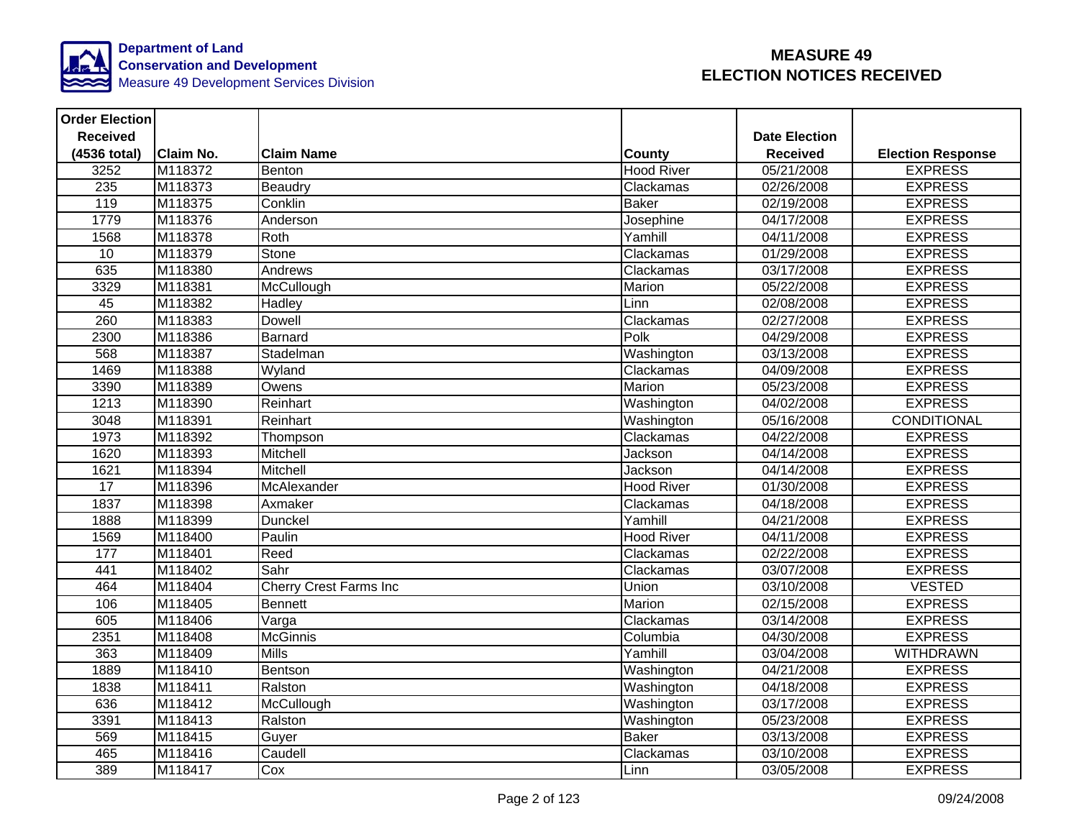

| <b>Order Election</b> |                  |                               |                   |                      |                          |
|-----------------------|------------------|-------------------------------|-------------------|----------------------|--------------------------|
| <b>Received</b>       |                  |                               |                   | <b>Date Election</b> |                          |
| (4536 total)          | <b>Claim No.</b> | <b>Claim Name</b>             | <b>County</b>     | <b>Received</b>      | <b>Election Response</b> |
| $32\overline{52}$     | M118372          | Benton                        | <b>Hood River</b> | 05/21/2008           | <b>EXPRESS</b>           |
| 235                   | M118373          | Beaudry                       | Clackamas         | 02/26/2008           | <b>EXPRESS</b>           |
| 119                   | M118375          | Conklin                       | <b>Baker</b>      | 02/19/2008           | <b>EXPRESS</b>           |
| 1779                  | M118376          | Anderson                      | Josephine         | 04/17/2008           | <b>EXPRESS</b>           |
| 1568                  | M118378          | Roth                          | Yamhill           | 04/11/2008           | <b>EXPRESS</b>           |
| 10                    | M118379          | Stone                         | Clackamas         | 01/29/2008           | <b>EXPRESS</b>           |
| 635                   | M118380          | Andrews                       | Clackamas         | 03/17/2008           | <b>EXPRESS</b>           |
| 3329                  | M118381          | McCullough                    | Marion            | 05/22/2008           | <b>EXPRESS</b>           |
| 45                    | M118382          | Hadley                        | Linn              | 02/08/2008           | <b>EXPRESS</b>           |
| 260                   | M118383          | <b>Dowell</b>                 | Clackamas         | 02/27/2008           | <b>EXPRESS</b>           |
| 2300                  | M118386          | Barnard                       | Polk              | 04/29/2008           | <b>EXPRESS</b>           |
| 568                   | M118387          | Stadelman                     | Washington        | 03/13/2008           | <b>EXPRESS</b>           |
| 1469                  | M118388          | Wyland                        | Clackamas         | 04/09/2008           | <b>EXPRESS</b>           |
| 3390                  | M118389          | Owens                         | Marion            | 05/23/2008           | <b>EXPRESS</b>           |
| 1213                  | M118390          | Reinhart                      | Washington        | 04/02/2008           | <b>EXPRESS</b>           |
| 3048                  | M118391          | Reinhart                      | Washington        | 05/16/2008           | <b>CONDITIONAL</b>       |
| 1973                  | M118392          | Thompson                      | Clackamas         | 04/22/2008           | <b>EXPRESS</b>           |
| 1620                  | M118393          | Mitchell                      | Jackson           | 04/14/2008           | <b>EXPRESS</b>           |
| 1621                  | M118394          | Mitchell                      | Jackson           | 04/14/2008           | <b>EXPRESS</b>           |
| 17                    | M118396          | McAlexander                   | <b>Hood River</b> | 01/30/2008           | <b>EXPRESS</b>           |
| 1837                  | M118398          | Axmaker                       | Clackamas         | 04/18/2008           | <b>EXPRESS</b>           |
| 1888                  | M118399          | Dunckel                       | Yamhill           | 04/21/2008           | <b>EXPRESS</b>           |
| 1569                  | M118400          | Paulin                        | <b>Hood River</b> | 04/11/2008           | <b>EXPRESS</b>           |
| 177                   | M118401          | Reed                          | Clackamas         | 02/22/2008           | <b>EXPRESS</b>           |
| 441                   | M118402          | Sahr                          | Clackamas         | 03/07/2008           | <b>EXPRESS</b>           |
| 464                   | M118404          | <b>Cherry Crest Farms Inc</b> | Union             | 03/10/2008           | <b>VESTED</b>            |
| 106                   | M118405          | Bennett                       | Marion            | 02/15/2008           | <b>EXPRESS</b>           |
| 605                   | M118406          | Varga                         | Clackamas         | 03/14/2008           | <b>EXPRESS</b>           |
| 2351                  | M118408          | <b>McGinnis</b>               | Columbia          | 04/30/2008           | <b>EXPRESS</b>           |
| 363                   | M118409          | <b>Mills</b>                  | Yamhill           | 03/04/2008           | <b>WITHDRAWN</b>         |
| 1889                  | M118410          | Bentson                       | Washington        | 04/21/2008           | <b>EXPRESS</b>           |
| 1838                  | M118411          | Ralston                       | Washington        | 04/18/2008           | <b>EXPRESS</b>           |
| 636                   | M118412          | McCullough                    | Washington        | 03/17/2008           | <b>EXPRESS</b>           |
| 3391                  | M118413          | Ralston                       | Washington        | 05/23/2008           | <b>EXPRESS</b>           |
| 569                   | M118415          | Guyer                         | <b>Baker</b>      | 03/13/2008           | <b>EXPRESS</b>           |
| 465                   | M118416          | Caudell                       | Clackamas         | 03/10/2008           | <b>EXPRESS</b>           |
| 389                   | M118417          | Cox                           | Linn              | 03/05/2008           | <b>EXPRESS</b>           |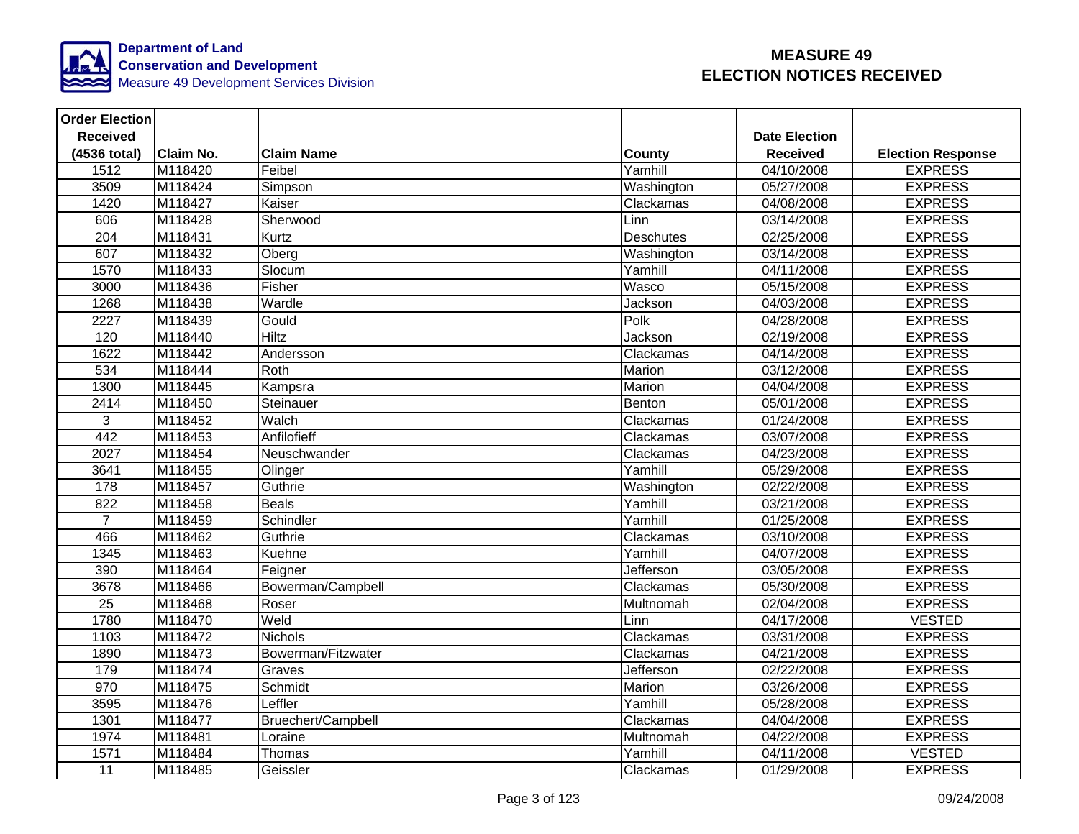

| <b>Order Election</b> |                  |                    |                  |                      |                          |
|-----------------------|------------------|--------------------|------------------|----------------------|--------------------------|
| <b>Received</b>       |                  |                    |                  | <b>Date Election</b> |                          |
| (4536 total)          | <b>Claim No.</b> | <b>Claim Name</b>  | <b>County</b>    | <b>Received</b>      | <b>Election Response</b> |
| 1512                  | M118420          | Feibel             | Yamhill          | 04/10/2008           | <b>EXPRESS</b>           |
| 3509                  | M118424          | Simpson            | Washington       | 05/27/2008           | <b>EXPRESS</b>           |
| 1420                  | M118427          | Kaiser             | Clackamas        | 04/08/2008           | <b>EXPRESS</b>           |
| 606                   | M118428          | Sherwood           | Linn             | 03/14/2008           | <b>EXPRESS</b>           |
| 204                   | M118431          | Kurtz              | <b>Deschutes</b> | 02/25/2008           | <b>EXPRESS</b>           |
| 607                   | M118432          | Oberg              | Washington       | 03/14/2008           | <b>EXPRESS</b>           |
| 1570                  | M118433          | Slocum             | Yamhill          | 04/11/2008           | <b>EXPRESS</b>           |
| 3000                  | M118436          | Fisher             | Wasco            | 05/15/2008           | <b>EXPRESS</b>           |
| 1268                  | M118438          | Wardle             | Jackson          | 04/03/2008           | <b>EXPRESS</b>           |
| 2227                  | M118439          | Gould              | Polk             | 04/28/2008           | <b>EXPRESS</b>           |
| 120                   | M118440          | <b>Hiltz</b>       | Jackson          | 02/19/2008           | <b>EXPRESS</b>           |
| 1622                  | M118442          | Andersson          | Clackamas        | 04/14/2008           | <b>EXPRESS</b>           |
| 534                   | M118444          | Roth               | <b>Marion</b>    | 03/12/2008           | <b>EXPRESS</b>           |
| 1300                  | M118445          | Kampsra            | Marion           | 04/04/2008           | <b>EXPRESS</b>           |
| 2414                  | M118450          | Steinauer          | Benton           | 05/01/2008           | <b>EXPRESS</b>           |
| 3                     | M118452          | Walch              | Clackamas        | 01/24/2008           | <b>EXPRESS</b>           |
| 442                   | M118453          | Anfilofieff        | Clackamas        | 03/07/2008           | <b>EXPRESS</b>           |
| 2027                  | M118454          | Neuschwander       | Clackamas        | 04/23/2008           | <b>EXPRESS</b>           |
| 3641                  | M118455          | Olinger            | Yamhill          | 05/29/2008           | <b>EXPRESS</b>           |
| 178                   | M118457          | Guthrie            | Washington       | 02/22/2008           | <b>EXPRESS</b>           |
| 822                   | M118458          | <b>Beals</b>       | Yamhill          | 03/21/2008           | <b>EXPRESS</b>           |
| $\overline{7}$        | M118459          | Schindler          | Yamhill          | 01/25/2008           | <b>EXPRESS</b>           |
| 466                   | M118462          | Guthrie            | Clackamas        | 03/10/2008           | <b>EXPRESS</b>           |
| 1345                  | M118463          | Kuehne             | Yamhill          | 04/07/2008           | <b>EXPRESS</b>           |
| 390                   | M118464          | Feigner            | Jefferson        | 03/05/2008           | <b>EXPRESS</b>           |
| 3678                  | M118466          | Bowerman/Campbell  | Clackamas        | 05/30/2008           | <b>EXPRESS</b>           |
| $\overline{25}$       | M118468          | Roser              | Multnomah        | 02/04/2008           | <b>EXPRESS</b>           |
| 1780                  | M118470          | Weld               | Linn             | 04/17/2008           | <b>VESTED</b>            |
| 1103                  | M118472          | <b>Nichols</b>     | Clackamas        | 03/31/2008           | <b>EXPRESS</b>           |
| 1890                  | M118473          | Bowerman/Fitzwater | Clackamas        | 04/21/2008           | <b>EXPRESS</b>           |
| 179                   | M118474          | Graves             | Jefferson        | 02/22/2008           | <b>EXPRESS</b>           |
| $\overline{970}$      | M118475          | Schmidt            | Marion           | 03/26/2008           | <b>EXPRESS</b>           |
| 3595                  | M118476          | Leffler            | Yamhill          | 05/28/2008           | <b>EXPRESS</b>           |
| 1301                  | M118477          | Bruechert/Campbell | Clackamas        | 04/04/2008           | <b>EXPRESS</b>           |
| 1974                  | M118481          | Loraine            | Multnomah        | 04/22/2008           | <b>EXPRESS</b>           |
| 1571                  | M118484          | Thomas             | Yamhill          | 04/11/2008           | <b>VESTED</b>            |
| 11                    | M118485          | Geissler           | Clackamas        | 01/29/2008           | <b>EXPRESS</b>           |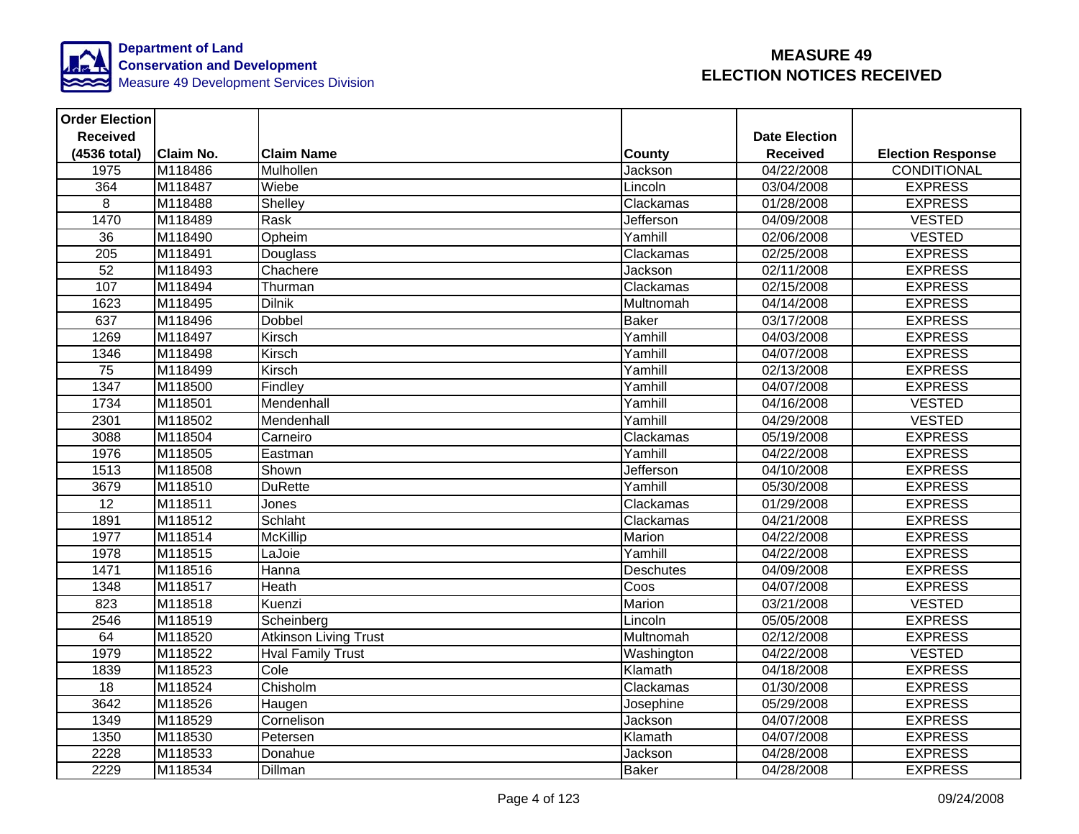

| <b>Order Election</b> |                  |                              |                  |                      |                          |
|-----------------------|------------------|------------------------------|------------------|----------------------|--------------------------|
| <b>Received</b>       |                  |                              |                  | <b>Date Election</b> |                          |
| (4536 total)          | <b>Claim No.</b> | <b>Claim Name</b>            | <b>County</b>    | <b>Received</b>      | <b>Election Response</b> |
| 1975                  | M118486          | Mulhollen                    | Jackson          | 04/22/2008           | <b>CONDITIONAL</b>       |
| 364                   | M118487          | Wiebe                        | Lincoln          | 03/04/2008           | <b>EXPRESS</b>           |
| 8                     | M118488          | Shelley                      | Clackamas        | 01/28/2008           | <b>EXPRESS</b>           |
| 1470                  | M118489          | Rask                         | Jefferson        | 04/09/2008           | <b>VESTED</b>            |
| $\overline{36}$       | M118490          | Opheim                       | Yamhill          | 02/06/2008           | <b>VESTED</b>            |
| 205                   | M118491          | Douglass                     | Clackamas        | 02/25/2008           | <b>EXPRESS</b>           |
| 52                    | M118493          | Chachere                     | Jackson          | 02/11/2008           | <b>EXPRESS</b>           |
| 107                   | M118494          | Thurman                      | Clackamas        | 02/15/2008           | <b>EXPRESS</b>           |
| 1623                  | M118495          | <b>Dilnik</b>                | Multnomah        | 04/14/2008           | <b>EXPRESS</b>           |
| 637                   | M118496          | <b>Dobbel</b>                | <b>Baker</b>     | 03/17/2008           | <b>EXPRESS</b>           |
| 1269                  | M118497          | Kirsch                       | Yamhill          | 04/03/2008           | <b>EXPRESS</b>           |
| 1346                  | M118498          | Kirsch                       | Yamhill          | 04/07/2008           | <b>EXPRESS</b>           |
| 75                    | M118499          | Kirsch                       | Yamhill          | 02/13/2008           | <b>EXPRESS</b>           |
| 1347                  | M118500          | Findley                      | Yamhill          | 04/07/2008           | <b>EXPRESS</b>           |
| 1734                  | M118501          | Mendenhall                   | Yamhill          | 04/16/2008           | <b>VESTED</b>            |
| 2301                  | M118502          | Mendenhall                   | Yamhill          | 04/29/2008           | <b>VESTED</b>            |
| 3088                  | M118504          | Carneiro                     | Clackamas        | 05/19/2008           | <b>EXPRESS</b>           |
| 1976                  | M118505          | Eastman                      | Yamhill          | 04/22/2008           | <b>EXPRESS</b>           |
| 1513                  | M118508          | Shown                        | Jefferson        | 04/10/2008           | <b>EXPRESS</b>           |
| 3679                  | M118510          | <b>DuRette</b>               | Yamhill          | 05/30/2008           | <b>EXPRESS</b>           |
| 12                    | M118511          | Jones                        | Clackamas        | 01/29/2008           | <b>EXPRESS</b>           |
| 1891                  | M118512          | Schlaht                      | Clackamas        | 04/21/2008           | <b>EXPRESS</b>           |
| 1977                  | M118514          | <b>McKillip</b>              | Marion           | 04/22/2008           | <b>EXPRESS</b>           |
| 1978                  | M118515          | LaJoie                       | Yamhill          | 04/22/2008           | <b>EXPRESS</b>           |
| 1471                  | M118516          | Hanna                        | <b>Deschutes</b> | 04/09/2008           | <b>EXPRESS</b>           |
| 1348                  | M118517          | Heath                        | Coos             | 04/07/2008           | <b>EXPRESS</b>           |
| $\overline{823}$      | M118518          | Kuenzi                       | <b>Marion</b>    | 03/21/2008           | <b>VESTED</b>            |
| 2546                  | M118519          | Scheinberg                   | Lincoln          | 05/05/2008           | <b>EXPRESS</b>           |
| 64                    | M118520          | <b>Atkinson Living Trust</b> | Multnomah        | 02/12/2008           | <b>EXPRESS</b>           |
| 1979                  | M118522          | <b>Hval Family Trust</b>     | Washington       | 04/22/2008           | <b>VESTED</b>            |
| 1839                  | M118523          | Cole                         | Klamath          | 04/18/2008           | <b>EXPRESS</b>           |
| 18                    | M118524          | Chisholm                     | Clackamas        | 01/30/2008           | <b>EXPRESS</b>           |
| 3642                  | M118526          | Haugen                       | Josephine        | 05/29/2008           | <b>EXPRESS</b>           |
| 1349                  | M118529          | Cornelison                   | Jackson          | 04/07/2008           | <b>EXPRESS</b>           |
| 1350                  | M118530          | Petersen                     | Klamath          | 04/07/2008           | <b>EXPRESS</b>           |
| 2228                  | M118533          | Donahue                      | Jackson          | 04/28/2008           | <b>EXPRESS</b>           |
| 2229                  | M118534          | <b>Dillman</b>               | <b>Baker</b>     | 04/28/2008           | <b>EXPRESS</b>           |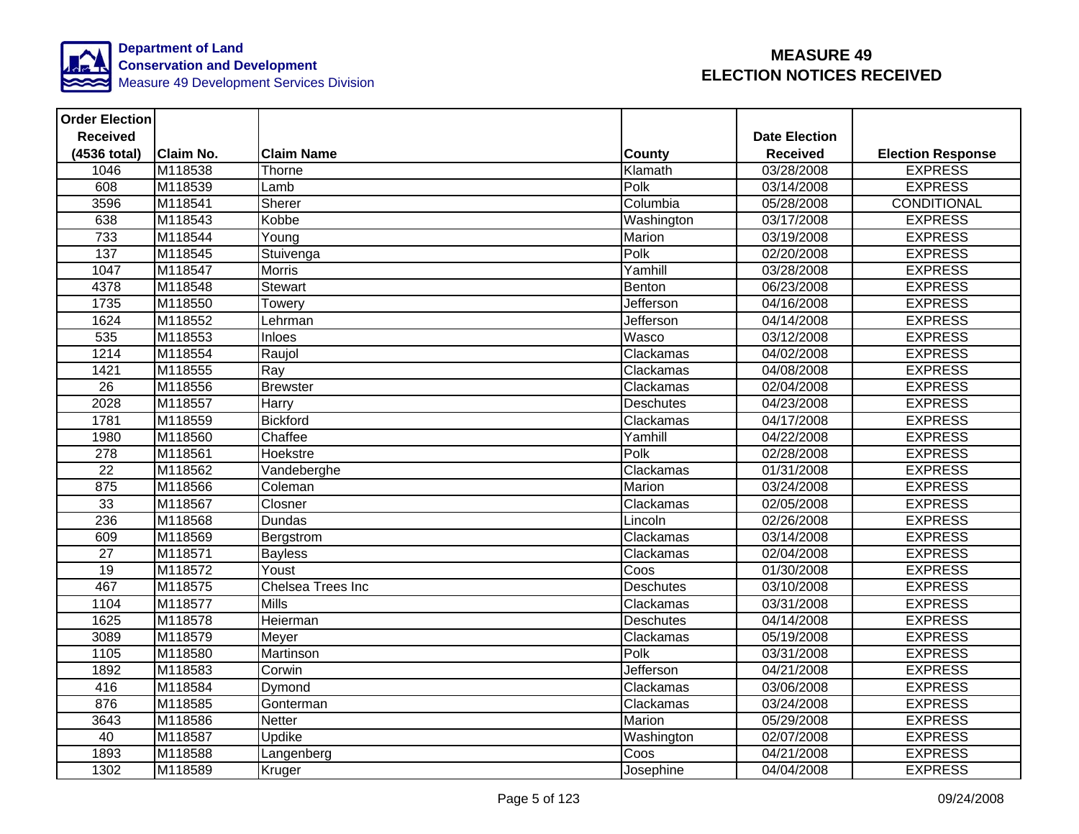

| <b>Order Election</b> |                  |                   |                  |                      |                          |
|-----------------------|------------------|-------------------|------------------|----------------------|--------------------------|
| <b>Received</b>       |                  |                   |                  | <b>Date Election</b> |                          |
| (4536 total)          | <b>Claim No.</b> | <b>Claim Name</b> | <b>County</b>    | <b>Received</b>      | <b>Election Response</b> |
| 1046                  | M118538          | Thorne            | Klamath          | 03/28/2008           | <b>EXPRESS</b>           |
| 608                   | M118539          | Lamb              | Polk             | 03/14/2008           | <b>EXPRESS</b>           |
| 3596                  | M118541          | Sherer            | Columbia         | 05/28/2008           | <b>CONDITIONAL</b>       |
| 638                   | M118543          | Kobbe             | Washington       | 03/17/2008           | <b>EXPRESS</b>           |
| 733                   | M118544          | Young             | Marion           | 03/19/2008           | <b>EXPRESS</b>           |
| 137                   | M118545          | Stuivenga         | Polk             | 02/20/2008           | <b>EXPRESS</b>           |
| 1047                  | M118547          | <b>Morris</b>     | Yamhill          | 03/28/2008           | <b>EXPRESS</b>           |
| 4378                  | M118548          | Stewart           | Benton           | 06/23/2008           | <b>EXPRESS</b>           |
| 1735                  | M118550          | Towery            | Jefferson        | 04/16/2008           | <b>EXPRESS</b>           |
| 1624                  | M118552          | Lehrman           | Jefferson        | 04/14/2008           | <b>EXPRESS</b>           |
| 535                   | M118553          | Inloes            | Wasco            | 03/12/2008           | <b>EXPRESS</b>           |
| 1214                  | M118554          | Raujol            | Clackamas        | 04/02/2008           | <b>EXPRESS</b>           |
| 1421                  | M118555          | Ray               | Clackamas        | 04/08/2008           | <b>EXPRESS</b>           |
| $\overline{26}$       | M118556          | <b>Brewster</b>   | Clackamas        | 02/04/2008           | <b>EXPRESS</b>           |
| 2028                  | M118557          | Harry             | <b>Deschutes</b> | 04/23/2008           | <b>EXPRESS</b>           |
| 1781                  | M118559          | <b>Bickford</b>   | Clackamas        | 04/17/2008           | <b>EXPRESS</b>           |
| 1980                  | M118560          | Chaffee           | Yamhill          | 04/22/2008           | <b>EXPRESS</b>           |
| 278                   | M118561          | Hoekstre          | Polk             | 02/28/2008           | <b>EXPRESS</b>           |
| $\overline{22}$       | M118562          | Vandeberghe       | Clackamas        | 01/31/2008           | <b>EXPRESS</b>           |
| 875                   | M118566          | Coleman           | Marion           | 03/24/2008           | <b>EXPRESS</b>           |
| 33                    | M118567          | Closner           | Clackamas        | 02/05/2008           | <b>EXPRESS</b>           |
| 236                   | M118568          | Dundas            | Lincoln          | 02/26/2008           | <b>EXPRESS</b>           |
| 609                   | M118569          | Bergstrom         | Clackamas        | 03/14/2008           | <b>EXPRESS</b>           |
| $\overline{27}$       | M118571          | <b>Bayless</b>    | Clackamas        | 02/04/2008           | <b>EXPRESS</b>           |
| $\overline{19}$       | M118572          | Youst             | Coos             | 01/30/2008           | <b>EXPRESS</b>           |
| 467                   | M118575          | Chelsea Trees Inc | <b>Deschutes</b> | 03/10/2008           | <b>EXPRESS</b>           |
| 1104                  | M118577          | Mills             | Clackamas        | 03/31/2008           | <b>EXPRESS</b>           |
| 1625                  | M118578          | Heierman          | <b>Deschutes</b> | 04/14/2008           | <b>EXPRESS</b>           |
| 3089                  | M118579          | Meyer             | Clackamas        | 05/19/2008           | <b>EXPRESS</b>           |
| 1105                  | M118580          | Martinson         | Polk             | 03/31/2008           | <b>EXPRESS</b>           |
| 1892                  | M118583          | Corwin            | Jefferson        | 04/21/2008           | <b>EXPRESS</b>           |
| 416                   | M118584          | Dymond            | Clackamas        | 03/06/2008           | <b>EXPRESS</b>           |
| 876                   | M118585          | Gonterman         | Clackamas        | 03/24/2008           | <b>EXPRESS</b>           |
| 3643                  | M118586          | <b>Netter</b>     | Marion           | 05/29/2008           | <b>EXPRESS</b>           |
| 40                    | M118587          | Updike            | Washington       | 02/07/2008           | <b>EXPRESS</b>           |
| 1893                  | M118588          | Langenberg        | Coos             | 04/21/2008           | <b>EXPRESS</b>           |
| 1302                  | M118589          | Kruger            | Josephine        | 04/04/2008           | <b>EXPRESS</b>           |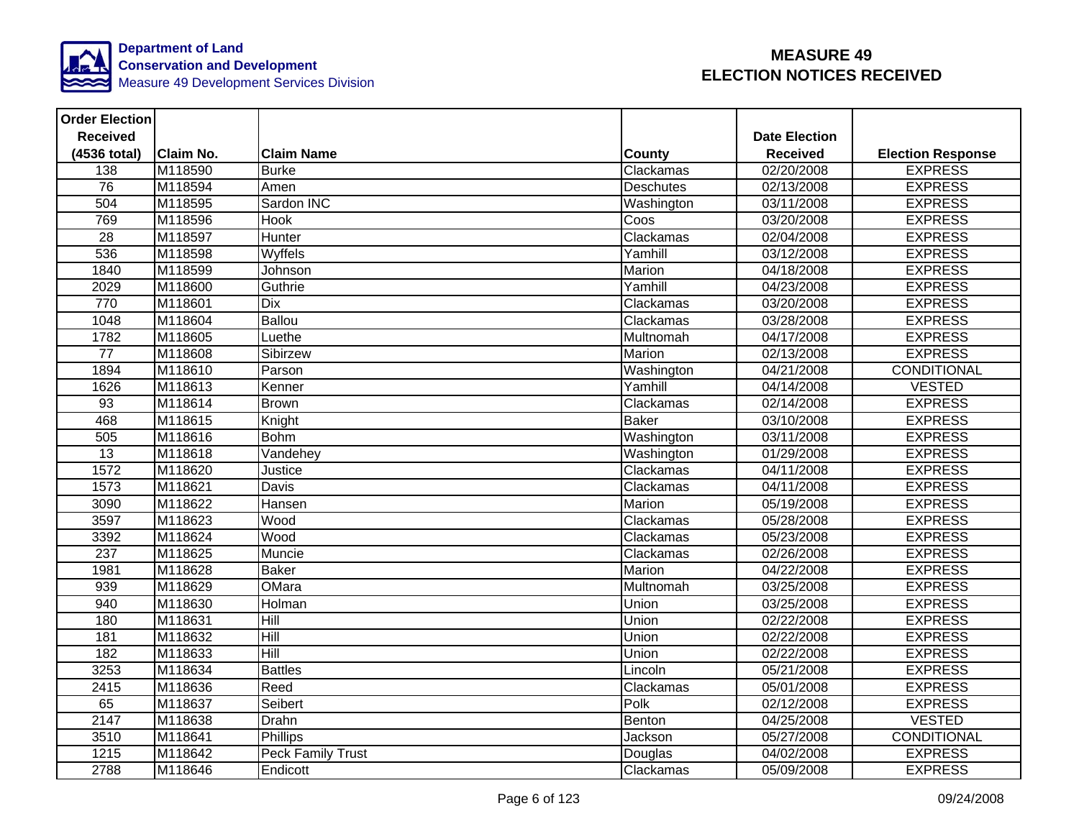

| <b>Order Election</b> |                  |                          |                  |                      |                          |
|-----------------------|------------------|--------------------------|------------------|----------------------|--------------------------|
| <b>Received</b>       |                  |                          |                  | <b>Date Election</b> |                          |
| (4536 total)          | <b>Claim No.</b> | <b>Claim Name</b>        | <b>County</b>    | <b>Received</b>      | <b>Election Response</b> |
| 138                   | M118590          | <b>Burke</b>             | Clackamas        | $\sqrt{02}/20/2008$  | <b>EXPRESS</b>           |
| 76                    | M118594          | Amen                     | <b>Deschutes</b> | 02/13/2008           | <b>EXPRESS</b>           |
| 504                   | M118595          | Sardon INC               | Washington       | 03/11/2008           | <b>EXPRESS</b>           |
| 769                   | M118596          | <b>Hook</b>              | Coos             | 03/20/2008           | <b>EXPRESS</b>           |
| $\overline{28}$       | M118597          | Hunter                   | Clackamas        | 02/04/2008           | <b>EXPRESS</b>           |
| 536                   | M118598          | Wyffels                  | Yamhill          | 03/12/2008           | <b>EXPRESS</b>           |
| 1840                  | M118599          | Johnson                  | Marion           | 04/18/2008           | <b>EXPRESS</b>           |
| 2029                  | M118600          | Guthrie                  | Yamhill          | 04/23/2008           | <b>EXPRESS</b>           |
| 770                   | M118601          | <b>Dix</b>               | Clackamas        | 03/20/2008           | <b>EXPRESS</b>           |
| 1048                  | M118604          | Ballou                   | Clackamas        | 03/28/2008           | <b>EXPRESS</b>           |
| 1782                  | M118605          | Luethe                   | Multnomah        | 04/17/2008           | <b>EXPRESS</b>           |
| 77                    | M118608          | Sibirzew                 | Marion           | 02/13/2008           | <b>EXPRESS</b>           |
| 1894                  | M118610          | Parson                   | Washington       | 04/21/2008           | <b>CONDITIONAL</b>       |
| 1626                  | M118613          | Kenner                   | Yamhill          | 04/14/2008           | <b>VESTED</b>            |
| 93                    | M118614          | <b>Brown</b>             | Clackamas        | 02/14/2008           | <b>EXPRESS</b>           |
| 468                   | M118615          | Knight                   | <b>Baker</b>     | 03/10/2008           | <b>EXPRESS</b>           |
| 505                   | M118616          | <b>Bohm</b>              | Washington       | 03/11/2008           | <b>EXPRESS</b>           |
| 13                    | M118618          | Vandehey                 | Washington       | 01/29/2008           | <b>EXPRESS</b>           |
| 1572                  | M118620          | Justice                  | Clackamas        | 04/11/2008           | <b>EXPRESS</b>           |
| 1573                  | M118621          | Davis                    | Clackamas        | 04/11/2008           | <b>EXPRESS</b>           |
| 3090                  | M118622          | Hansen                   | Marion           | 05/19/2008           | <b>EXPRESS</b>           |
| 3597                  | M118623          | Wood                     | Clackamas        | 05/28/2008           | <b>EXPRESS</b>           |
| 3392                  | M118624          | Wood                     | Clackamas        | 05/23/2008           | <b>EXPRESS</b>           |
| $\overline{237}$      | M118625          | Muncie                   | Clackamas        | 02/26/2008           | <b>EXPRESS</b>           |
| 1981                  | M118628          | <b>Baker</b>             | Marion           | 04/22/2008           | <b>EXPRESS</b>           |
| 939                   | M118629          | <b>OMara</b>             | Multnomah        | 03/25/2008           | <b>EXPRESS</b>           |
| 940                   | M118630          | Holman                   | Union            | 03/25/2008           | <b>EXPRESS</b>           |
| 180                   | M118631          | Hill                     | Union            | 02/22/2008           | <b>EXPRESS</b>           |
| 181                   | M118632          | <b>Hill</b>              | Union            | 02/22/2008           | <b>EXPRESS</b>           |
| 182                   | M118633          | Hill                     | Union            | 02/22/2008           | <b>EXPRESS</b>           |
| 3253                  | M118634          | <b>Battles</b>           | Lincoln          | 05/21/2008           | <b>EXPRESS</b>           |
| 2415                  | M118636          | Reed                     | Clackamas        | 05/01/2008           | <b>EXPRESS</b>           |
| 65                    | M118637          | Seibert                  | Polk             | 02/12/2008           | <b>EXPRESS</b>           |
| 2147                  | M118638          | <b>Drahn</b>             | Benton           | 04/25/2008           | <b>VESTED</b>            |
| 3510                  | M118641          | <b>Phillips</b>          | Jackson          | 05/27/2008           | CONDITIONAL              |
| 1215                  | M118642          | <b>Peck Family Trust</b> | Douglas          | 04/02/2008           | <b>EXPRESS</b>           |
| 2788                  | M118646          | Endicott                 | Clackamas        | 05/09/2008           | <b>EXPRESS</b>           |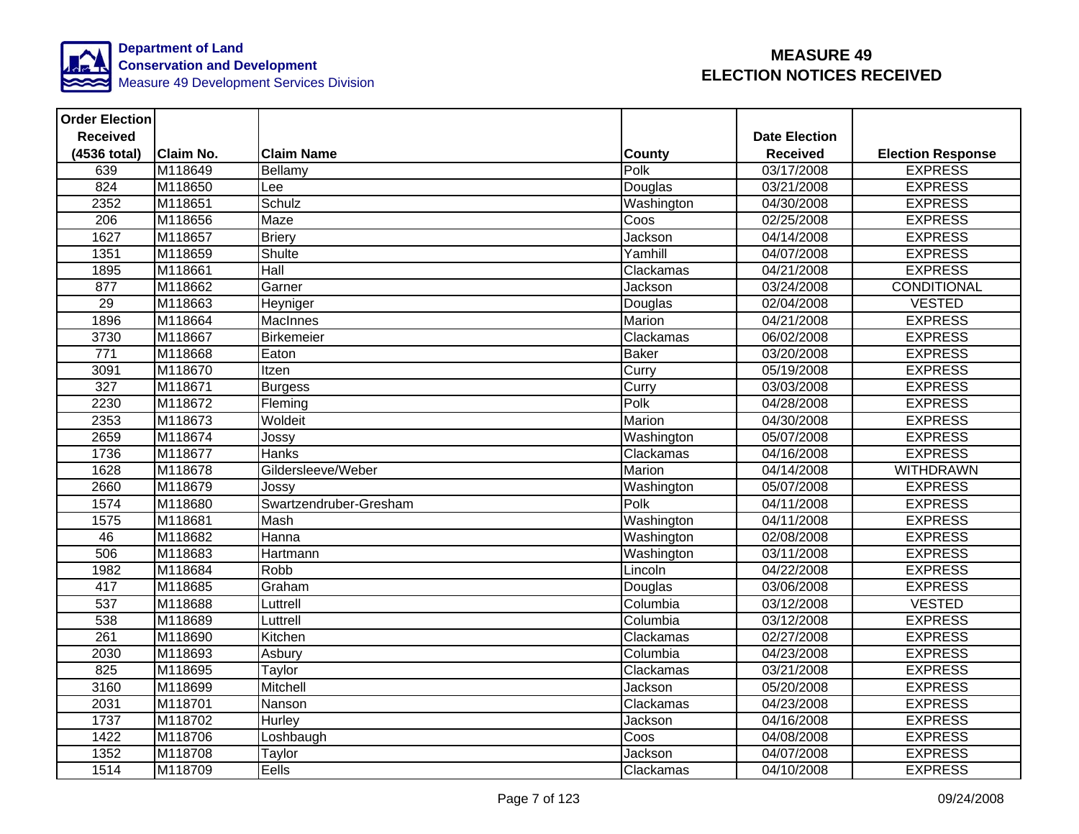

| <b>Order Election</b> |           |                        |               |                      |                          |
|-----------------------|-----------|------------------------|---------------|----------------------|--------------------------|
| <b>Received</b>       |           |                        |               | <b>Date Election</b> |                          |
| (4536 total)          | Claim No. | <b>Claim Name</b>      | County        | <b>Received</b>      | <b>Election Response</b> |
| 639                   | M118649   | Bellamy                | Polk          | 03/17/2008           | <b>EXPRESS</b>           |
| 824                   | M118650   | Lee                    | Douglas       | 03/21/2008           | <b>EXPRESS</b>           |
| 2352                  | M118651   | Schulz                 | Washington    | 04/30/2008           | <b>EXPRESS</b>           |
| 206                   | M118656   | Maze                   | Coos          | 02/25/2008           | <b>EXPRESS</b>           |
| 1627                  | M118657   | <b>Briery</b>          | Jackson       | 04/14/2008           | <b>EXPRESS</b>           |
| 1351                  | M118659   | Shulte                 | Yamhill       | 04/07/2008           | <b>EXPRESS</b>           |
| 1895                  | M118661   | Hall                   | Clackamas     | 04/21/2008           | <b>EXPRESS</b>           |
| 877                   | M118662   | Garner                 | Jackson       | 03/24/2008           | <b>CONDITIONAL</b>       |
| 29                    | M118663   | Heyniger               | Douglas       | 02/04/2008           | <b>VESTED</b>            |
| 1896                  | M118664   | <b>MacInnes</b>        | Marion        | 04/21/2008           | <b>EXPRESS</b>           |
| 3730                  | M118667   | Birkemeier             | Clackamas     | 06/02/2008           | <b>EXPRESS</b>           |
| 771                   | M118668   | Eaton                  | <b>Baker</b>  | 03/20/2008           | <b>EXPRESS</b>           |
| 3091                  | M118670   | Itzen                  | Curry         | 05/19/2008           | <b>EXPRESS</b>           |
| 327                   | M118671   | <b>Burgess</b>         | Curry         | 03/03/2008           | <b>EXPRESS</b>           |
| 2230                  | M118672   | Fleming                | Polk          | 04/28/2008           | <b>EXPRESS</b>           |
| 2353                  | M118673   | Woldeit                | Marion        | 04/30/2008           | <b>EXPRESS</b>           |
| 2659                  | M118674   | Jossy                  | Washington    | 05/07/2008           | <b>EXPRESS</b>           |
| 1736                  | M118677   | <b>Hanks</b>           | Clackamas     | 04/16/2008           | <b>EXPRESS</b>           |
| 1628                  | M118678   | Gildersleeve/Weber     | <b>Marion</b> | 04/14/2008           | <b>WITHDRAWN</b>         |
| 2660                  | M118679   | Jossy                  | Washington    | 05/07/2008           | <b>EXPRESS</b>           |
| 1574                  | M118680   | Swartzendruber-Gresham | Polk          | 04/11/2008           | <b>EXPRESS</b>           |
| 1575                  | M118681   | Mash                   | Washington    | 04/11/2008           | <b>EXPRESS</b>           |
| 46                    | M118682   | Hanna                  | Washington    | 02/08/2008           | <b>EXPRESS</b>           |
| 506                   | M118683   | Hartmann               | Washington    | 03/11/2008           | <b>EXPRESS</b>           |
| 1982                  | M118684   | Robb                   | Lincoln       | 04/22/2008           | <b>EXPRESS</b>           |
| 417                   | M118685   | Graham                 | Douglas       | 03/06/2008           | <b>EXPRESS</b>           |
| 537                   | M118688   | Luttrell               | Columbia      | 03/12/2008           | <b>VESTED</b>            |
| 538                   | M118689   | Luttrell               | Columbia      | 03/12/2008           | <b>EXPRESS</b>           |
| $\overline{261}$      | M118690   | Kitchen                | Clackamas     | 02/27/2008           | <b>EXPRESS</b>           |
| 2030                  | M118693   | Asbury                 | Columbia      | 04/23/2008           | <b>EXPRESS</b>           |
| 825                   | M118695   | Taylor                 | Clackamas     | 03/21/2008           | <b>EXPRESS</b>           |
| 3160                  | M118699   | Mitchell               | Jackson       | 05/20/2008           | <b>EXPRESS</b>           |
| 2031                  | M118701   | Nanson                 | Clackamas     | 04/23/2008           | <b>EXPRESS</b>           |
| 1737                  | M118702   | Hurley                 | Jackson       | 04/16/2008           | <b>EXPRESS</b>           |
| 1422                  | M118706   | _oshbaugh              | Coos          | 04/08/2008           | <b>EXPRESS</b>           |
| 1352                  | M118708   | Taylor                 | Jackson       | 04/07/2008           | <b>EXPRESS</b>           |
| 1514                  | M118709   | Eells                  | Clackamas     | 04/10/2008           | <b>EXPRESS</b>           |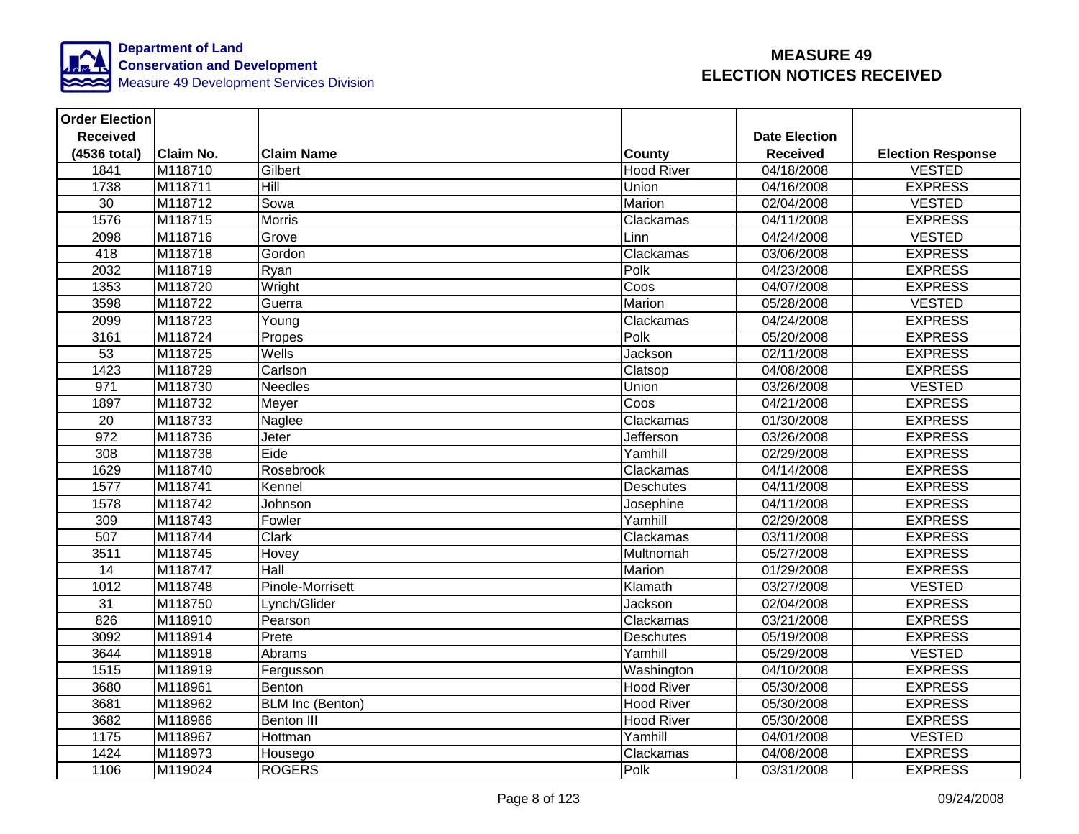

| <b>Order Election</b> |                  |                         |                   |                      |                          |
|-----------------------|------------------|-------------------------|-------------------|----------------------|--------------------------|
| <b>Received</b>       |                  |                         |                   | <b>Date Election</b> |                          |
| (4536 total)          | <b>Claim No.</b> | <b>Claim Name</b>       | <b>County</b>     | <b>Received</b>      | <b>Election Response</b> |
| 1841                  | M118710          | Gilbert                 | <b>Hood River</b> | 04/18/2008           | <b>VESTED</b>            |
| 1738                  | M118711          | Hill                    | Union             | 04/16/2008           | <b>EXPRESS</b>           |
| $\overline{30}$       | M118712          | Sowa                    | Marion            | 02/04/2008           | <b>VESTED</b>            |
| 1576                  | M118715          | <b>Morris</b>           | Clackamas         | 04/11/2008           | <b>EXPRESS</b>           |
| 2098                  | M118716          | Grove                   | Linn              | 04/24/2008           | <b>VESTED</b>            |
| 418                   | M118718          | Gordon                  | Clackamas         | 03/06/2008           | <b>EXPRESS</b>           |
| 2032                  | M118719          | Ryan                    | Polk              | 04/23/2008           | <b>EXPRESS</b>           |
| 1353                  | M118720          | Wright                  | Coos              | 04/07/2008           | <b>EXPRESS</b>           |
| 3598                  | M118722          | Guerra                  | Marion            | 05/28/2008           | <b>VESTED</b>            |
| 2099                  | M118723          | Young                   | Clackamas         | 04/24/2008           | <b>EXPRESS</b>           |
| 3161                  | M118724          | Propes                  | Polk              | 05/20/2008           | <b>EXPRESS</b>           |
| 53                    | M118725          | Wells                   | Jackson           | 02/11/2008           | <b>EXPRESS</b>           |
| 1423                  | M118729          | Carlson                 | Clatsop           | 04/08/2008           | <b>EXPRESS</b>           |
| 971                   | M118730          | <b>Needles</b>          | Union             | 03/26/2008           | <b>VESTED</b>            |
| 1897                  | M118732          | Meyer                   | Coos              | 04/21/2008           | <b>EXPRESS</b>           |
| 20                    | M118733          | Naglee                  | Clackamas         | 01/30/2008           | <b>EXPRESS</b>           |
| 972                   | M118736          | Jeter                   | Jefferson         | 03/26/2008           | <b>EXPRESS</b>           |
| 308                   | M118738          | Eide                    | Yamhill           | 02/29/2008           | <b>EXPRESS</b>           |
| 1629                  | M118740          | Rosebrook               | Clackamas         | 04/14/2008           | <b>EXPRESS</b>           |
| 1577                  | M118741          | Kennel                  | <b>Deschutes</b>  | 04/11/2008           | <b>EXPRESS</b>           |
| 1578                  | M118742          | Johnson                 | Josephine         | 04/11/2008           | <b>EXPRESS</b>           |
| 309                   | M118743          | Fowler                  | Yamhill           | 02/29/2008           | <b>EXPRESS</b>           |
| 507                   | M118744          | <b>Clark</b>            | Clackamas         | 03/11/2008           | <b>EXPRESS</b>           |
| 3511                  | M118745          | <b>Hovey</b>            | Multnomah         | 05/27/2008           | <b>EXPRESS</b>           |
| 14                    | M118747          | Hall                    | Marion            | 01/29/2008           | <b>EXPRESS</b>           |
| 1012                  | M118748          | Pinole-Morrisett        | Klamath           | 03/27/2008           | <b>VESTED</b>            |
| 31                    | M118750          | _ynch/Glider            | Jackson           | 02/04/2008           | <b>EXPRESS</b>           |
| 826                   | M118910          | Pearson                 | Clackamas         | 03/21/2008           | <b>EXPRESS</b>           |
| 3092                  | M118914          | Prete                   | Deschutes         | 05/19/2008           | <b>EXPRESS</b>           |
| 3644                  | M118918          | Abrams                  | Yamhill           | 05/29/2008           | <b>VESTED</b>            |
| 1515                  | M118919          | Fergusson               | Washington        | 04/10/2008           | <b>EXPRESS</b>           |
| 3680                  | M118961          | Benton                  | <b>Hood River</b> | 05/30/2008           | <b>EXPRESS</b>           |
| 3681                  | M118962          | <b>BLM Inc (Benton)</b> | <b>Hood River</b> | 05/30/2008           | <b>EXPRESS</b>           |
| 3682                  | M118966          | <b>Benton III</b>       | <b>Hood River</b> | 05/30/2008           | <b>EXPRESS</b>           |
| 1175                  | M118967          | Hottman                 | Yamhill           | 04/01/2008           | <b>VESTED</b>            |
| 1424                  | M118973          | Housego                 | Clackamas         | 04/08/2008           | <b>EXPRESS</b>           |
| 1106                  | M119024          | <b>ROGERS</b>           | Polk              | 03/31/2008           | <b>EXPRESS</b>           |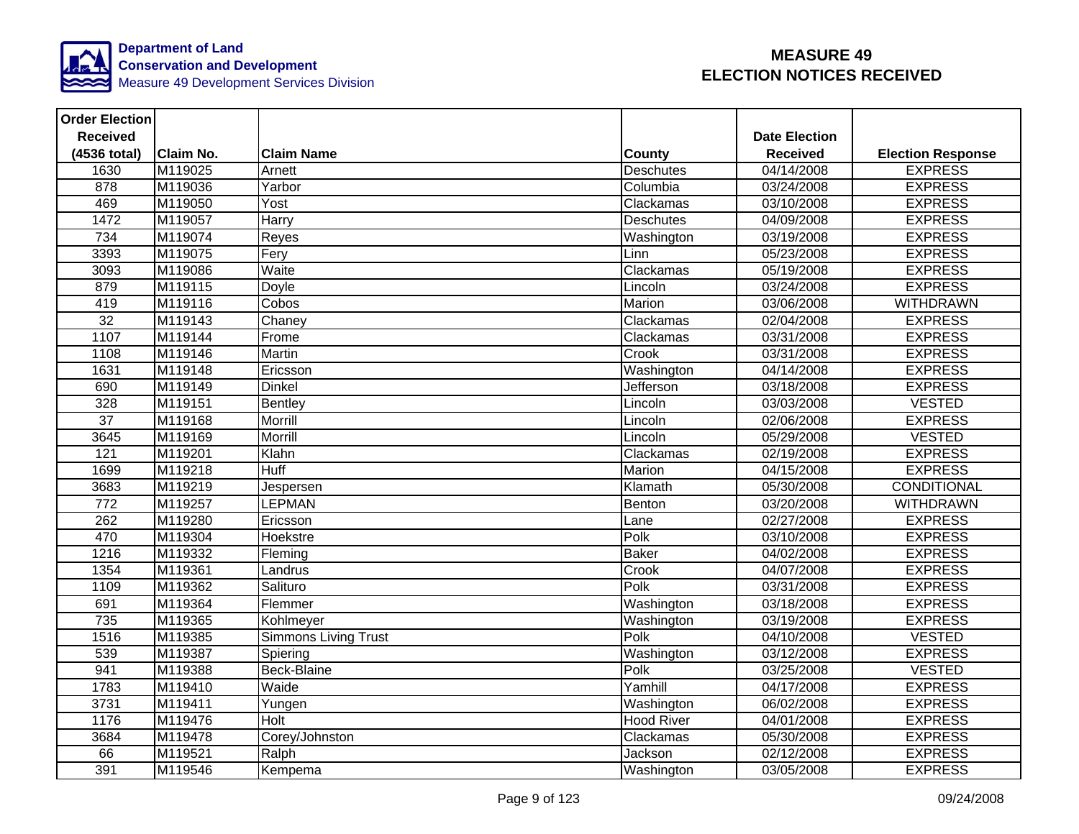

| <b>Order Election</b> |                  |                             |                   |                         |                          |
|-----------------------|------------------|-----------------------------|-------------------|-------------------------|--------------------------|
| <b>Received</b>       |                  |                             |                   | <b>Date Election</b>    |                          |
| (4536 total)          | <b>Claim No.</b> | <b>Claim Name</b>           | <b>County</b>     | <b>Received</b>         | <b>Election Response</b> |
| 1630                  | M119025          | Arnett                      | <b>Deschutes</b>  | $\overline{04/14}/2008$ | <b>EXPRESS</b>           |
| 878                   | M119036          | Yarbor                      | Columbia          | 03/24/2008              | <b>EXPRESS</b>           |
| 469                   | M119050          | Yost                        | Clackamas         | 03/10/2008              | <b>EXPRESS</b>           |
| 1472                  | M119057          | Harry                       | <b>Deschutes</b>  | 04/09/2008              | <b>EXPRESS</b>           |
| 734                   | M119074          | Reyes                       | Washington        | 03/19/2008              | <b>EXPRESS</b>           |
| 3393                  | M119075          | Fery                        | Linn              | 05/23/2008              | <b>EXPRESS</b>           |
| 3093                  | M119086          | Waite                       | Clackamas         | 05/19/2008              | <b>EXPRESS</b>           |
| 879                   | M119115          | Doyle                       | Lincoln           | 03/24/2008              | <b>EXPRESS</b>           |
| 419                   | M119116          | Cobos                       | Marion            | 03/06/2008              | <b>WITHDRAWN</b>         |
| $\overline{32}$       | M119143          | Chaney                      | Clackamas         | 02/04/2008              | <b>EXPRESS</b>           |
| 1107                  | M119144          | Frome                       | Clackamas         | 03/31/2008              | <b>EXPRESS</b>           |
| 1108                  | M119146          | <b>Martin</b>               | Crook             | 03/31/2008              | <b>EXPRESS</b>           |
| 1631                  | M119148          | Ericsson                    | Washington        | 04/14/2008              | <b>EXPRESS</b>           |
| 690                   | M119149          | <b>Dinkel</b>               | Jefferson         | 03/18/2008              | <b>EXPRESS</b>           |
| 328                   | M119151          | <b>Bentley</b>              | Lincoln           | 03/03/2008              | <b>VESTED</b>            |
| $\overline{37}$       | M119168          | <b>Morrill</b>              | Lincoln           | 02/06/2008              | <b>EXPRESS</b>           |
| 3645                  | M119169          | Morrill                     | Lincoln           | 05/29/2008              | <b>VESTED</b>            |
| 121                   | M119201          | Klahn                       | Clackamas         | 02/19/2008              | <b>EXPRESS</b>           |
| 1699                  | M119218          | <b>Huff</b>                 | Marion            | 04/15/2008              | <b>EXPRESS</b>           |
| 3683                  | M119219          | Jespersen                   | Klamath           | 05/30/2008              | <b>CONDITIONAL</b>       |
| $\overline{772}$      | M119257          | LEPMAN                      | Benton            | 03/20/2008              | <b>WITHDRAWN</b>         |
| 262                   | M119280          | Ericsson                    | Lane              | 02/27/2008              | <b>EXPRESS</b>           |
| 470                   | M119304          | Hoekstre                    | Polk              | 03/10/2008              | <b>EXPRESS</b>           |
| 1216                  | M119332          | Fleming                     | <b>Baker</b>      | 04/02/2008              | <b>EXPRESS</b>           |
| 1354                  | M119361          | Landrus                     | Crook             | 04/07/2008              | <b>EXPRESS</b>           |
| 1109                  | M119362          | Salituro                    | Polk              | 03/31/2008              | <b>EXPRESS</b>           |
| 691                   | M119364          | Flemmer                     | Washington        | 03/18/2008              | <b>EXPRESS</b>           |
| 735                   | M119365          | Kohlmeyer                   | Washington        | 03/19/2008              | <b>EXPRESS</b>           |
| 1516                  | M119385          | <b>Simmons Living Trust</b> | Polk              | 04/10/2008              | <b>VESTED</b>            |
| 539                   | M119387          | Spiering                    | Washington        | 03/12/2008              | <b>EXPRESS</b>           |
| 941                   | M119388          | Beck-Blaine                 | Polk              | 03/25/2008              | <b>VESTED</b>            |
| 1783                  | M119410          | Waide                       | Yamhill           | 04/17/2008              | <b>EXPRESS</b>           |
| 3731                  | M119411          | Yungen                      | Washington        | 06/02/2008              | <b>EXPRESS</b>           |
| 1176                  | M119476          | Holt                        | <b>Hood River</b> | 04/01/2008              | <b>EXPRESS</b>           |
| 3684                  | M119478          | Corey/Johnston              | Clackamas         | 05/30/2008              | <b>EXPRESS</b>           |
| 66                    | M119521          | Ralph                       | Jackson           | 02/12/2008              | <b>EXPRESS</b>           |
| 391                   | M119546          | Kempema                     | Washington        | 03/05/2008              | <b>EXPRESS</b>           |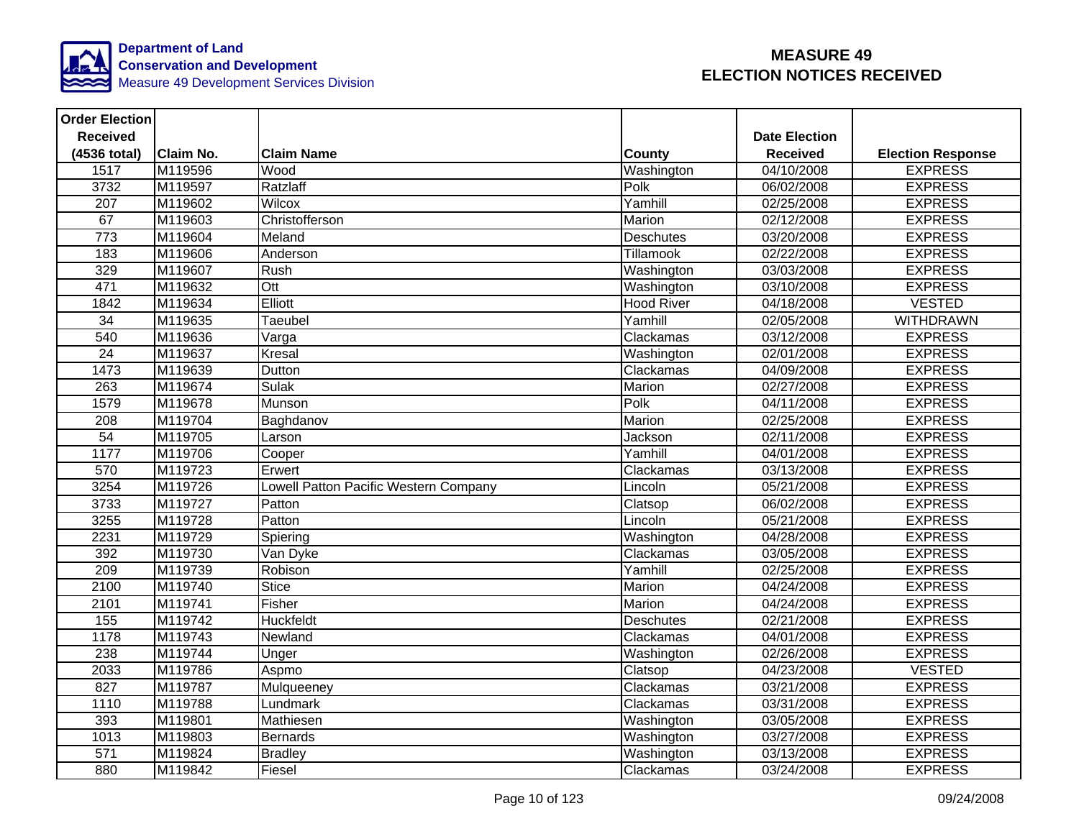

| <b>Order Election</b> |                     |                                      |                   |                      |                          |
|-----------------------|---------------------|--------------------------------------|-------------------|----------------------|--------------------------|
| <b>Received</b>       |                     |                                      |                   | <b>Date Election</b> |                          |
| (4536 total)          | <b>Claim No.</b>    | <b>Claim Name</b>                    | County            | <b>Received</b>      | <b>Election Response</b> |
| 1517                  | M119596             | Wood                                 | Washington        | 04/10/2008           | <b>EXPRESS</b>           |
| 3732                  | M119597             | Ratzlaff                             | Polk              | 06/02/2008           | <b>EXPRESS</b>           |
| $\overline{207}$      | M119602             | <b>Wilcox</b>                        | Yamhill           | 02/25/2008           | <b>EXPRESS</b>           |
| 67                    | M119603             | Christofferson                       | Marion            | 02/12/2008           | <b>EXPRESS</b>           |
| 773                   | M119604             | Meland                               | <b>Deschutes</b>  | 03/20/2008           | <b>EXPRESS</b>           |
| 183                   | M119606             | Anderson                             | Tillamook         | 02/22/2008           | <b>EXPRESS</b>           |
| 329                   | M119607             | Rush                                 | Washington        | 03/03/2008           | <b>EXPRESS</b>           |
| 471                   | M119632             | Ott                                  | Washington        | 03/10/2008           | <b>EXPRESS</b>           |
| 1842                  | M119634             | Elliott                              | <b>Hood River</b> | 04/18/2008           | <b>VESTED</b>            |
| $\overline{34}$       | M119635             | Taeubel                              | Yamhill           | 02/05/2008           | <b>WITHDRAWN</b>         |
| 540                   | M119636             | Varga                                | Clackamas         | 03/12/2008           | <b>EXPRESS</b>           |
| 24                    | M119637             | Kresal                               | Washington        | 02/01/2008           | <b>EXPRESS</b>           |
| 1473                  | M119639             | Dutton                               | Clackamas         | 04/09/2008           | <b>EXPRESS</b>           |
| 263                   | M119674             | <b>Sulak</b>                         | Marion            | 02/27/2008           | <b>EXPRESS</b>           |
| 1579                  | M119678             | Munson                               | Polk              | 04/11/2008           | <b>EXPRESS</b>           |
| $\overline{208}$      | M119704             | Baghdanov                            | Marion            | 02/25/2008           | <b>EXPRESS</b>           |
| 54                    | M119705             | Larson                               | Jackson           | 02/11/2008           | <b>EXPRESS</b>           |
| 1177                  | M119706             | Cooper                               | Yamhill           | 04/01/2008           | <b>EXPRESS</b>           |
| 570                   | M119723             | Erwert                               | Clackamas         | 03/13/2008           | <b>EXPRESS</b>           |
| 3254                  | M119726             | owell Patton Pacific Western Company | Lincoln           | 05/21/2008           | <b>EXPRESS</b>           |
| 3733                  | M <sub>119727</sub> | Patton                               | Clatsop           | 06/02/2008           | <b>EXPRESS</b>           |
| 3255                  | M119728             | Patton                               | Lincoln           | 05/21/2008           | <b>EXPRESS</b>           |
| 2231                  | M119729             | Spiering                             | Washington        | 04/28/2008           | <b>EXPRESS</b>           |
| 392                   | M119730             | Van Dyke                             | Clackamas         | 03/05/2008           | <b>EXPRESS</b>           |
| $\overline{209}$      | M119739             | Robison                              | Yamhill           | 02/25/2008           | <b>EXPRESS</b>           |
| 2100                  | M119740             | <b>Stice</b>                         | Marion            | 04/24/2008           | <b>EXPRESS</b>           |
| 2101                  | M119741             | Fisher                               | Marion            | 04/24/2008           | <b>EXPRESS</b>           |
| 155                   | M119742             | Huckfeldt                            | <b>Deschutes</b>  | 02/21/2008           | <b>EXPRESS</b>           |
| 1178                  | M119743             | Newland                              | Clackamas         | 04/01/2008           | <b>EXPRESS</b>           |
| 238                   | M119744             | Unger                                | Washington        | 02/26/2008           | <b>EXPRESS</b>           |
| 2033                  | M119786             | Aspmo                                | Clatsop           | 04/23/2008           | <b>VESTED</b>            |
| 827                   | M119787             | Mulqueeney                           | Clackamas         | 03/21/2008           | <b>EXPRESS</b>           |
| 1110                  | M119788             | Lundmark                             | Clackamas         | 03/31/2008           | <b>EXPRESS</b>           |
| 393                   | M119801             | Mathiesen                            | Washington        | 03/05/2008           | <b>EXPRESS</b>           |
| 1013                  | M119803             | <b>Bernards</b>                      | Washington        | 03/27/2008           | <b>EXPRESS</b>           |
| 571                   | M119824             | <b>Bradley</b>                       | Washington        | 03/13/2008           | <b>EXPRESS</b>           |
| 880                   | M119842             | Fiesel                               | Clackamas         | 03/24/2008           | <b>EXPRESS</b>           |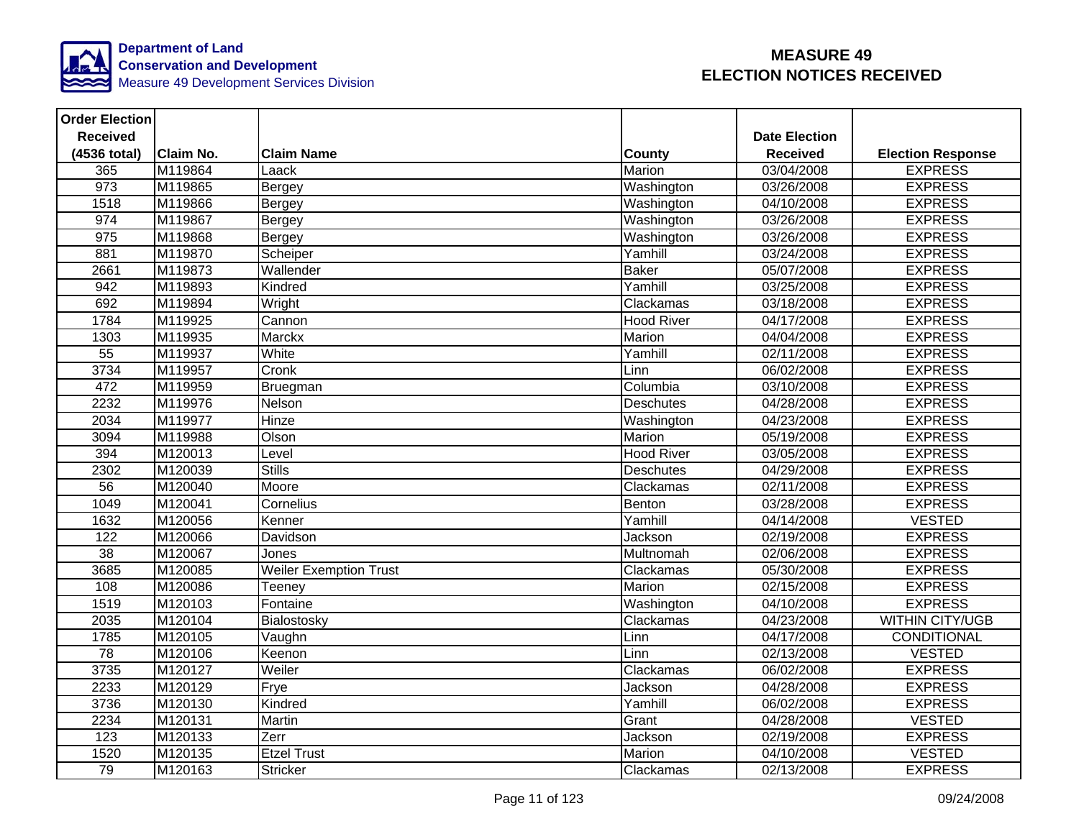

| <b>Order Election</b> |                     |                               |                   |                         |                          |
|-----------------------|---------------------|-------------------------------|-------------------|-------------------------|--------------------------|
| <b>Received</b>       |                     |                               |                   | <b>Date Election</b>    |                          |
| (4536 total)          | <b>Claim No.</b>    | <b>Claim Name</b>             | <b>County</b>     | <b>Received</b>         | <b>Election Response</b> |
| 365                   | M119864             | Laack                         | Marion            | 03/04/2008              | <b>EXPRESS</b>           |
| 973                   | M119865             | Bergey                        | Washington        | 03/26/2008              | <b>EXPRESS</b>           |
| 1518                  | M119866             | Bergey                        | Washington        | 04/10/2008              | <b>EXPRESS</b>           |
| 974                   | M119867             | Bergey                        | Washington        | 03/26/2008              | <b>EXPRESS</b>           |
| 975                   | M119868             | Bergey                        | Washington        | 03/26/2008              | <b>EXPRESS</b>           |
| 881                   | M119870             | Scheiper                      | Yamhill           | 03/24/2008              | <b>EXPRESS</b>           |
| 2661                  | M119873             | Wallender                     | <b>Baker</b>      | 05/07/2008              | <b>EXPRESS</b>           |
| 942                   | M119893             | Kindred                       | Yamhill           | 03/25/2008              | <b>EXPRESS</b>           |
| 692                   | M119894             | Wright                        | Clackamas         | 03/18/2008              | <b>EXPRESS</b>           |
| 1784                  | M119925             | Cannon                        | <b>Hood River</b> | 04/17/2008              | <b>EXPRESS</b>           |
| 1303                  | M119935             | <b>Marckx</b>                 | Marion            | 04/04/2008              | <b>EXPRESS</b>           |
| 55                    | M119937             | White                         | Yamhill           | 02/11/2008              | <b>EXPRESS</b>           |
| 3734                  | M119957             | Cronk                         | Linn              | 06/02/2008              | <b>EXPRESS</b>           |
| 472                   | M119959             | Bruegman                      | Columbia          | 03/10/2008              | <b>EXPRESS</b>           |
| 2232                  | M119976             | Nelson                        | <b>Deschutes</b>  | 04/28/2008              | <b>EXPRESS</b>           |
| 2034                  | M119977             | Hinze                         | Washington        | 04/23/2008              | <b>EXPRESS</b>           |
| 3094                  | M119988             | Olson                         | Marion            | 05/19/2008              | <b>EXPRESS</b>           |
| 394                   | M120013             | Level                         | <b>Hood River</b> | 03/05/2008              | <b>EXPRESS</b>           |
| 2302                  | M120039             | <b>Stills</b>                 | <b>Deschutes</b>  | 04/29/2008              | <b>EXPRESS</b>           |
| 56                    | M120040             | Moore                         | Clackamas         | 02/11/2008              | <b>EXPRESS</b>           |
| 1049                  | M <sub>120041</sub> | Cornelius                     | Benton            | 03/28/2008              | <b>EXPRESS</b>           |
| 1632                  | M120056             | Kenner                        | Yamhill           | 04/14/2008              | <b>VESTED</b>            |
| 122                   | M120066             | Davidson                      | Jackson           | 02/19/2008              | <b>EXPRESS</b>           |
| 38                    | M120067             | Jones                         | Multnomah         | 02/06/2008              | <b>EXPRESS</b>           |
| 3685                  | M120085             | <b>Weiler Exemption Trust</b> | Clackamas         | 05/30/2008              | <b>EXPRESS</b>           |
| 108                   | M120086             | Teeney                        | Marion            | $\overline{02/15}/2008$ | <b>EXPRESS</b>           |
| 1519                  | M120103             | Fontaine                      | Washington        | 04/10/2008              | <b>EXPRESS</b>           |
| 2035                  | M120104             | Bialostosky                   | Clackamas         | 04/23/2008              | <b>WITHIN CITY/UGB</b>   |
| 1785                  | M120105             | Vaughn                        | Linn              | 04/17/2008              | CONDITIONAL              |
| 78                    | M120106             | Keenon                        | Linn              | 02/13/2008              | <b>VESTED</b>            |
| 3735                  | M120127             | Weiler                        | Clackamas         | 06/02/2008              | <b>EXPRESS</b>           |
| 2233                  | M120129             | Frye                          | Jackson           | 04/28/2008              | <b>EXPRESS</b>           |
| 3736                  | M120130             | Kindred                       | Yamhill           | 06/02/2008              | <b>EXPRESS</b>           |
| 2234                  | M120131             | Martin                        | Grant             | 04/28/2008              | <b>VESTED</b>            |
| 123                   | M120133             | Zerr                          | Jackson           | 02/19/2008              | <b>EXPRESS</b>           |
| 1520                  | M120135             | <b>Etzel Trust</b>            | Marion            | 04/10/2008              | <b>VESTED</b>            |
| 79                    | M120163             | <b>Stricker</b>               | Clackamas         | 02/13/2008              | <b>EXPRESS</b>           |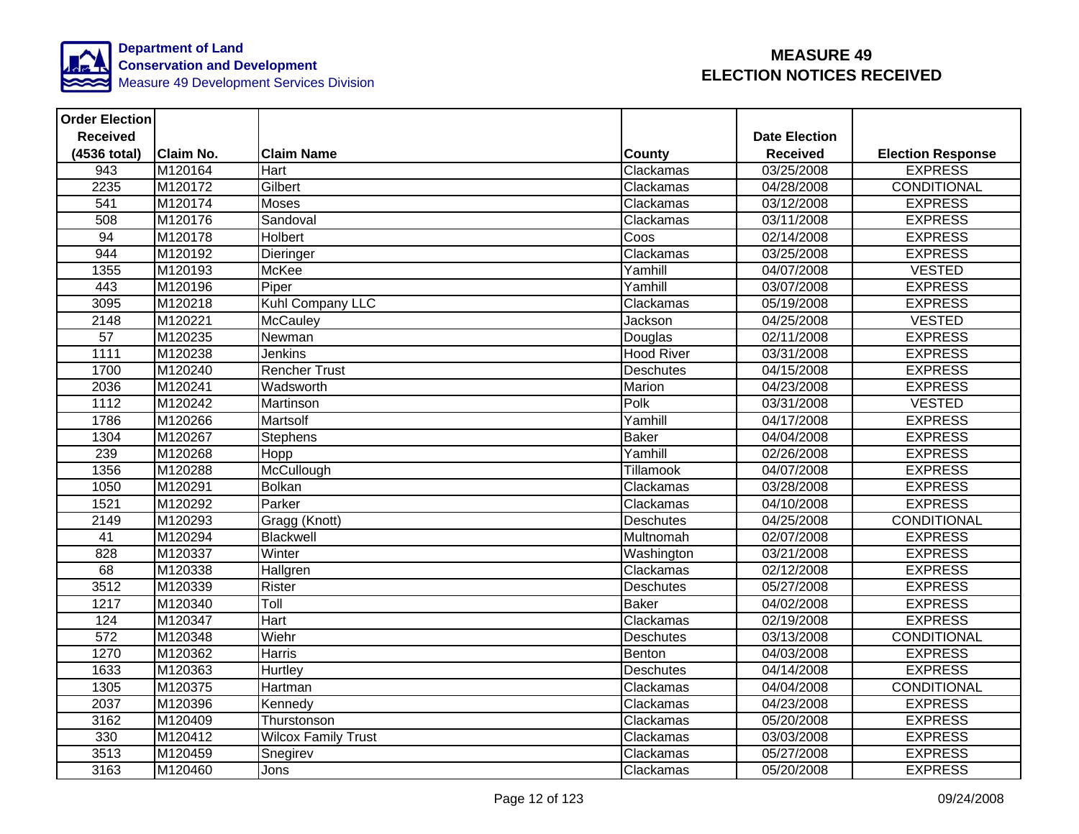

| <b>Order Election</b> |                  |                            |                   |                      |                          |
|-----------------------|------------------|----------------------------|-------------------|----------------------|--------------------------|
| <b>Received</b>       |                  |                            |                   | <b>Date Election</b> |                          |
| (4536 total)          | <b>Claim No.</b> | <b>Claim Name</b>          | <b>County</b>     | <b>Received</b>      | <b>Election Response</b> |
| 943                   | M120164          | Hart                       | Clackamas         | 03/25/2008           | <b>EXPRESS</b>           |
| 2235                  | M120172          | Gilbert                    | Clackamas         | 04/28/2008           | <b>CONDITIONAL</b>       |
| $\overline{541}$      | M120174          | Moses                      | Clackamas         | 03/12/2008           | <b>EXPRESS</b>           |
| 508                   | M120176          | Sandoval                   | Clackamas         | 03/11/2008           | <b>EXPRESS</b>           |
| 94                    | M120178          | <b>Holbert</b>             | Coos              | 02/14/2008           | <b>EXPRESS</b>           |
| 944                   | M120192          | Dieringer                  | Clackamas         | 03/25/2008           | <b>EXPRESS</b>           |
| 1355                  | M120193          | McKee                      | Yamhill           | 04/07/2008           | <b>VESTED</b>            |
| 443                   | M120196          | Piper                      | Yamhill           | 03/07/2008           | <b>EXPRESS</b>           |
| 3095                  | M120218          | Kuhl Company LLC           | Clackamas         | 05/19/2008           | <b>EXPRESS</b>           |
| 2148                  | M120221          | McCauley                   | Jackson           | 04/25/2008           | <b>VESTED</b>            |
| $\overline{57}$       | M120235          | Newman                     | Douglas           | 02/11/2008           | <b>EXPRESS</b>           |
| 1111                  | M120238          | Jenkins                    | <b>Hood River</b> | 03/31/2008           | <b>EXPRESS</b>           |
| 1700                  | M120240          | <b>Rencher Trust</b>       | <b>Deschutes</b>  | 04/15/2008           | <b>EXPRESS</b>           |
| 2036                  | M120241          | Wadsworth                  | Marion            | 04/23/2008           | <b>EXPRESS</b>           |
| 1112                  | M120242          | Martinson                  | Polk              | 03/31/2008           | <b>VESTED</b>            |
| 1786                  | M120266          | Martsolf                   | Yamhill           | 04/17/2008           | <b>EXPRESS</b>           |
| 1304                  | M120267          | <b>Stephens</b>            | <b>Baker</b>      | 04/04/2008           | <b>EXPRESS</b>           |
| 239                   | M120268          | Hopp                       | Yamhill           | 02/26/2008           | <b>EXPRESS</b>           |
| 1356                  | M120288          | McCullough                 | Tillamook         | 04/07/2008           | <b>EXPRESS</b>           |
| 1050                  | M120291          | <b>Bolkan</b>              | Clackamas         | 03/28/2008           | <b>EXPRESS</b>           |
| 1521                  | M120292          | Parker                     | Clackamas         | 04/10/2008           | <b>EXPRESS</b>           |
| 2149                  | M120293          | Gragg (Knott)              | <b>Deschutes</b>  | 04/25/2008           | <b>CONDITIONAL</b>       |
| 41                    | M120294          | Blackwell                  | Multnomah         | 02/07/2008           | <b>EXPRESS</b>           |
| 828                   | M120337          | Winter                     | Washington        | 03/21/2008           | <b>EXPRESS</b>           |
| 68                    | M120338          | Hallgren                   | Clackamas         | 02/12/2008           | <b>EXPRESS</b>           |
| 3512                  | M120339          | Rister                     | <b>Deschutes</b>  | 05/27/2008           | <b>EXPRESS</b>           |
| 1217                  | M120340          | Toll                       | <b>Baker</b>      | 04/02/2008           | <b>EXPRESS</b>           |
| 124                   | M120347          | Hart                       | Clackamas         | 02/19/2008           | <b>EXPRESS</b>           |
| $\overline{572}$      | M120348          | Wiehr                      | <b>Deschutes</b>  | 03/13/2008           | CONDITIONAL              |
| 1270                  | M120362          | <b>Harris</b>              | Benton            | 04/03/2008           | <b>EXPRESS</b>           |
| 1633                  | M120363          | Hurtley                    | Deschutes         | 04/14/2008           | <b>EXPRESS</b>           |
| 1305                  | M120375          | Hartman                    | Clackamas         | 04/04/2008           | <b>CONDITIONAL</b>       |
| 2037                  | M120396          | Kennedy                    | Clackamas         | 04/23/2008           | <b>EXPRESS</b>           |
| 3162                  | M120409          | Thurstonson                | Clackamas         | 05/20/2008           | <b>EXPRESS</b>           |
| 330                   | M120412          | <b>Wilcox Family Trust</b> | Clackamas         | 03/03/2008           | <b>EXPRESS</b>           |
| 3513                  | M120459          | Snegirev                   | Clackamas         | 05/27/2008           | <b>EXPRESS</b>           |
| 3163                  | M120460          | Jons                       | Clackamas         | 05/20/2008           | <b>EXPRESS</b>           |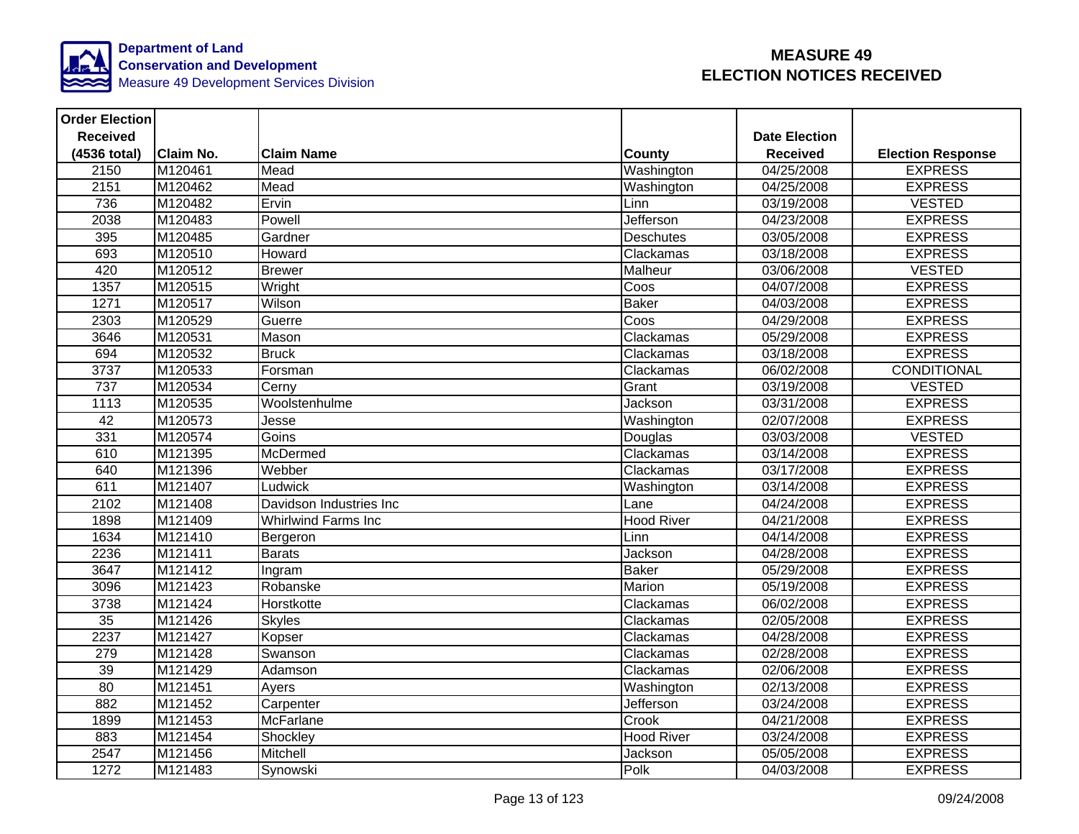

| <b>Order Election</b> |                  |                            |                   |                         |                          |
|-----------------------|------------------|----------------------------|-------------------|-------------------------|--------------------------|
| <b>Received</b>       |                  |                            |                   | <b>Date Election</b>    |                          |
| (4536 total)          | <b>Claim No.</b> | <b>Claim Name</b>          | County            | <b>Received</b>         | <b>Election Response</b> |
| 2150                  | M120461          | Mead                       | Washington        | $\overline{04/25}/2008$ | <b>EXPRESS</b>           |
| 2151                  | M120462          | Mead                       | Washington        | 04/25/2008              | <b>EXPRESS</b>           |
| 736                   | M120482          | Ervin                      | Linn              | 03/19/2008              | <b>VESTED</b>            |
| 2038                  | M120483          | Powell                     | Jefferson         | 04/23/2008              | <b>EXPRESS</b>           |
| 395                   | M120485          | Gardner                    | <b>Deschutes</b>  | 03/05/2008              | <b>EXPRESS</b>           |
| 693                   | M120510          | Howard                     | Clackamas         | 03/18/2008              | <b>EXPRESS</b>           |
| 420                   | M120512          | <b>Brewer</b>              | Malheur           | 03/06/2008              | <b>VESTED</b>            |
| 1357                  | M120515          | Wright                     | Coos              | 04/07/2008              | <b>EXPRESS</b>           |
| 1271                  | M120517          | Wilson                     | <b>Baker</b>      | 04/03/2008              | <b>EXPRESS</b>           |
| 2303                  | M120529          | Guerre                     | Coos              | 04/29/2008              | <b>EXPRESS</b>           |
| 3646                  | M120531          | Mason                      | Clackamas         | 05/29/2008              | <b>EXPRESS</b>           |
| 694                   | M120532          | <b>Bruck</b>               | Clackamas         | 03/18/2008              | <b>EXPRESS</b>           |
| 3737                  | M120533          | Forsman                    | Clackamas         | 06/02/2008              | <b>CONDITIONAL</b>       |
| 737                   | M120534          | Cerny                      | Grant             | 03/19/2008              | <b>VESTED</b>            |
| 1113                  | M120535          | Woolstenhulme              | Jackson           | 03/31/2008              | <b>EXPRESS</b>           |
| 42                    | M120573          | Jesse                      | Washington        | 02/07/2008              | <b>EXPRESS</b>           |
| 331                   | M120574          | Goins                      | Douglas           | 03/03/2008              | <b>VESTED</b>            |
| 610                   | M121395          | McDermed                   | Clackamas         | 03/14/2008              | <b>EXPRESS</b>           |
| 640                   | M121396          | Webber                     | Clackamas         | 03/17/2008              | <b>EXPRESS</b>           |
| 611                   | M121407          | Ludwick                    | Washington        | 03/14/2008              | <b>EXPRESS</b>           |
| 2102                  | M121408          | Davidson Industries Inc    | Lane              | 04/24/2008              | <b>EXPRESS</b>           |
| 1898                  | M121409          | <b>Whirlwind Farms Inc</b> | <b>Hood River</b> | 04/21/2008              | <b>EXPRESS</b>           |
| 1634                  | M121410          | Bergeron                   | Linn              | 04/14/2008              | <b>EXPRESS</b>           |
| 2236                  | M121411          | <b>Barats</b>              | Jackson           | 04/28/2008              | <b>EXPRESS</b>           |
| 3647                  | M121412          | Ingram                     | <b>Baker</b>      | 05/29/2008              | <b>EXPRESS</b>           |
| 3096                  | M121423          | Robanske                   | Marion            | 05/19/2008              | <b>EXPRESS</b>           |
| 3738                  | M121424          | Horstkotte                 | Clackamas         | 06/02/2008              | <b>EXPRESS</b>           |
| 35                    | M121426          | <b>Skyles</b>              | Clackamas         | 02/05/2008              | <b>EXPRESS</b>           |
| 2237                  | M121427          | Kopser                     | Clackamas         | 04/28/2008              | <b>EXPRESS</b>           |
| 279                   | M121428          | Swanson                    | Clackamas         | 02/28/2008              | <b>EXPRESS</b>           |
| 39                    | M121429          | Adamson                    | Clackamas         | 02/06/2008              | <b>EXPRESS</b>           |
| $\overline{80}$       | M121451          | Ayers                      | Washington        | 02/13/2008              | <b>EXPRESS</b>           |
| 882                   | M121452          | Carpenter                  | Jefferson         | 03/24/2008              | <b>EXPRESS</b>           |
| 1899                  | M121453          | <b>McFarlane</b>           | Crook             | 04/21/2008              | <b>EXPRESS</b>           |
| 883                   | M121454          | Shockley                   | <b>Hood River</b> | 03/24/2008              | <b>EXPRESS</b>           |
| 2547                  | M121456          | Mitchell                   | Jackson           | 05/05/2008              | <b>EXPRESS</b>           |
| 1272                  | M121483          | Synowski                   | Polk              | 04/03/2008              | <b>EXPRESS</b>           |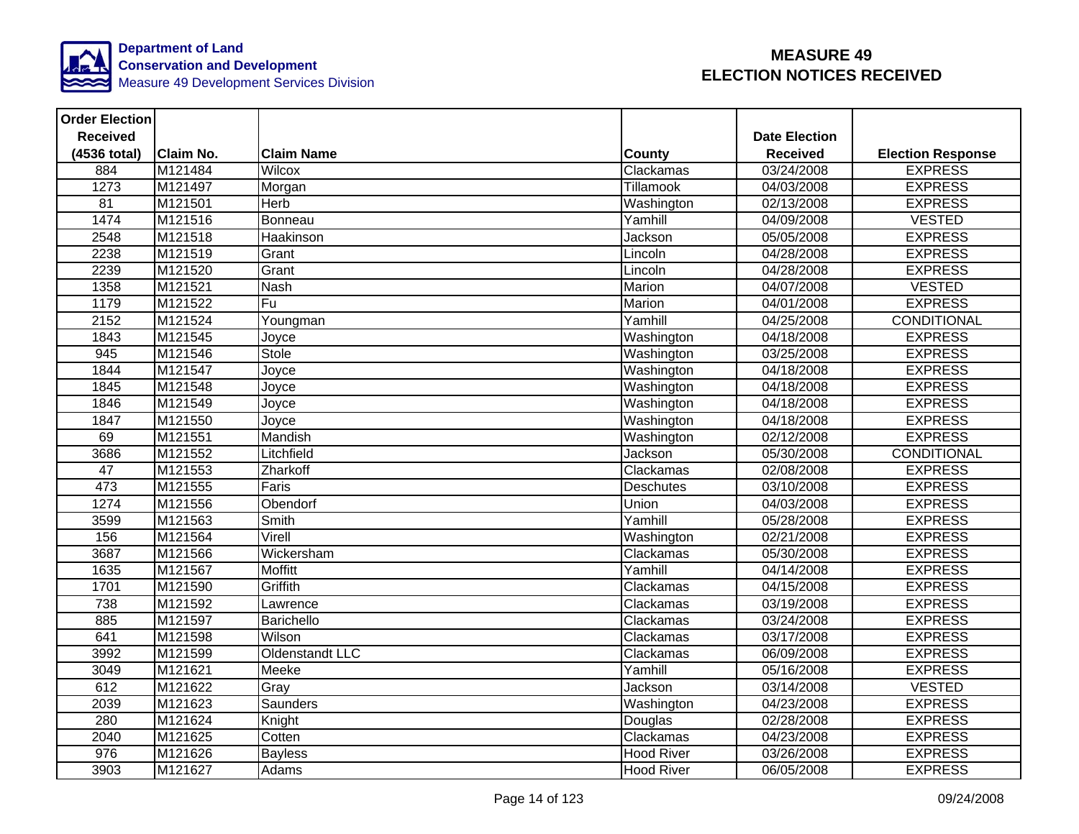

| <b>Order Election</b> |                  |                   |                   |                      |                          |
|-----------------------|------------------|-------------------|-------------------|----------------------|--------------------------|
| <b>Received</b>       |                  |                   |                   | <b>Date Election</b> |                          |
| (4536 total)          | <b>Claim No.</b> | <b>Claim Name</b> | <b>County</b>     | <b>Received</b>      | <b>Election Response</b> |
| 884                   | M121484          | Wilcox            | Clackamas         | 03/24/2008           | <b>EXPRESS</b>           |
| 1273                  | M121497          | Morgan            | Tillamook         | 04/03/2008           | <b>EXPRESS</b>           |
| $\overline{81}$       | M121501          | Herb              | Washington        | 02/13/2008           | <b>EXPRESS</b>           |
| 1474                  | M121516          | Bonneau           | Yamhill           | 04/09/2008           | <b>VESTED</b>            |
| 2548                  | M121518          | Haakinson         | Jackson           | 05/05/2008           | <b>EXPRESS</b>           |
| 2238                  | M121519          | Grant             | Lincoln           | 04/28/2008           | <b>EXPRESS</b>           |
| 2239                  | M121520          | Grant             | Lincoln           | 04/28/2008           | <b>EXPRESS</b>           |
| 1358                  | M121521          | <b>Nash</b>       | Marion            | 04/07/2008           | <b>VESTED</b>            |
| 1179                  | M121522          | Fu                | Marion            | 04/01/2008           | <b>EXPRESS</b>           |
| 2152                  | M121524          | Youngman          | Yamhill           | 04/25/2008           | <b>CONDITIONAL</b>       |
| 1843                  | M121545          | Joyce             | Washington        | 04/18/2008           | <b>EXPRESS</b>           |
| 945                   | M121546          | Stole             | Washington        | 03/25/2008           | <b>EXPRESS</b>           |
| 1844                  | M121547          | Joyce             | Washington        | 04/18/2008           | <b>EXPRESS</b>           |
| 1845                  | M121548          | Joyce             | Washington        | 04/18/2008           | <b>EXPRESS</b>           |
| 1846                  | M121549          | Joyce             | Washington        | 04/18/2008           | <b>EXPRESS</b>           |
| 1847                  | M121550          | Joyce             | Washington        | 04/18/2008           | <b>EXPRESS</b>           |
| 69                    | M121551          | Mandish           | Washington        | 02/12/2008           | <b>EXPRESS</b>           |
| 3686                  | M121552          | Litchfield        | Jackson           | 05/30/2008           | CONDITIONAL              |
| 47                    | M121553          | Zharkoff          | Clackamas         | 02/08/2008           | <b>EXPRESS</b>           |
| 473                   | M121555          | Faris             | <b>Deschutes</b>  | 03/10/2008           | <b>EXPRESS</b>           |
| 1274                  | M121556          | Obendorf          | Union             | 04/03/2008           | <b>EXPRESS</b>           |
| 3599                  | M121563          | Smith             | Yamhill           | 05/28/2008           | <b>EXPRESS</b>           |
| 156                   | M121564          | Virell            | Washington        | 02/21/2008           | <b>EXPRESS</b>           |
| 3687                  | M121566          | Wickersham        | Clackamas         | 05/30/2008           | <b>EXPRESS</b>           |
| 1635                  | M121567          | <b>Moffitt</b>    | Yamhill           | 04/14/2008           | <b>EXPRESS</b>           |
| 1701                  | M121590          | Griffith          | Clackamas         | 04/15/2008           | <b>EXPRESS</b>           |
| 738                   | M121592          | Lawrence          | Clackamas         | 03/19/2008           | <b>EXPRESS</b>           |
| 885                   | M121597          | Barichello        | Clackamas         | 03/24/2008           | <b>EXPRESS</b>           |
| 641                   | M121598          | Wilson            | Clackamas         | 03/17/2008           | <b>EXPRESS</b>           |
| 3992                  | M121599          | Oldenstandt LLC   | Clackamas         | 06/09/2008           | <b>EXPRESS</b>           |
| 3049                  | M121621          | Meeke             | Yamhill           | 05/16/2008           | <b>EXPRESS</b>           |
| 612                   | M121622          | Gray              | Jackson           | 03/14/2008           | <b>VESTED</b>            |
| 2039                  | M121623          | Saunders          | Washington        | 04/23/2008           | <b>EXPRESS</b>           |
| 280                   | M121624          | Knight            | Douglas           | 02/28/2008           | <b>EXPRESS</b>           |
| 2040                  | M121625          | Cotten            | Clackamas         | 04/23/2008           | <b>EXPRESS</b>           |
| 976                   | M121626          | <b>Bayless</b>    | <b>Hood River</b> | 03/26/2008           | <b>EXPRESS</b>           |
| 3903                  | M121627          | Adams             | <b>Hood River</b> | 06/05/2008           | <b>EXPRESS</b>           |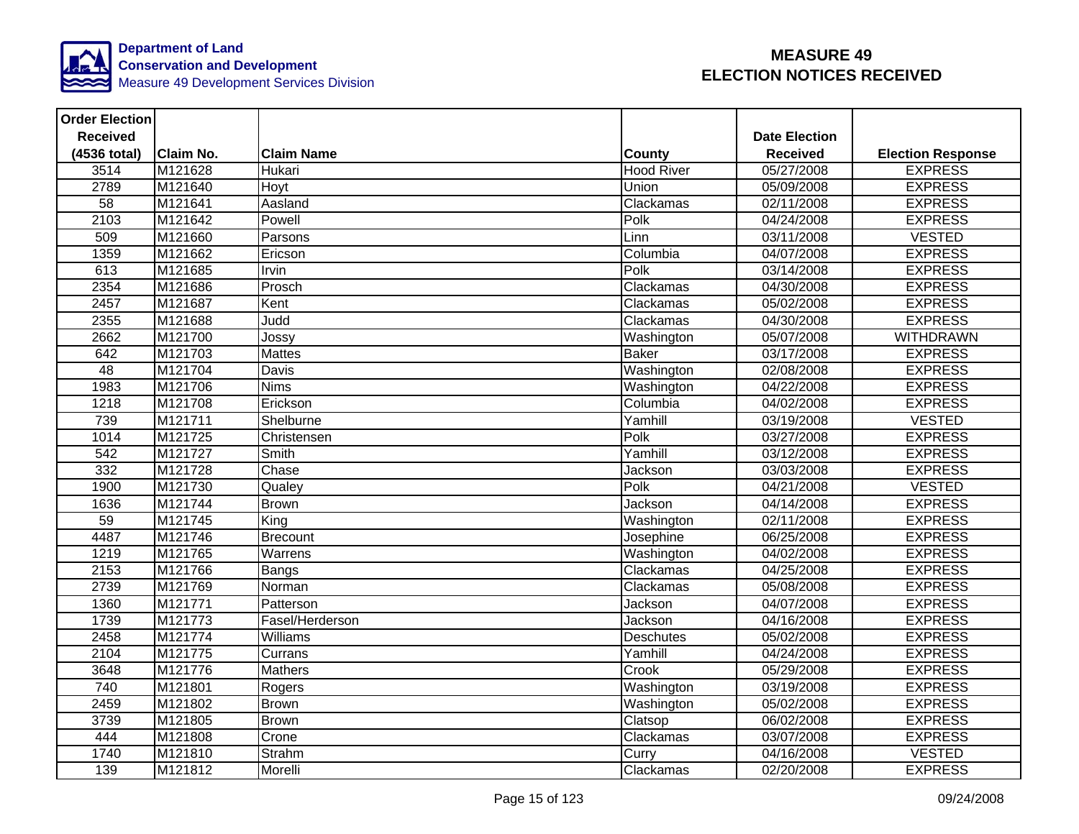

| <b>Order Election</b> |           |                   |              |                   |                      |                          |
|-----------------------|-----------|-------------------|--------------|-------------------|----------------------|--------------------------|
| <b>Received</b>       |           |                   |              |                   | <b>Date Election</b> |                          |
| (4536 total)          | Claim No. | <b>Claim Name</b> |              | <b>County</b>     | <b>Received</b>      | <b>Election Response</b> |
| 3514                  | M121628   | Hukari            |              | <b>Hood River</b> | 05/27/2008           | <b>EXPRESS</b>           |
| 2789                  | M121640   | Hoyt              | Union        |                   | 05/09/2008           | <b>EXPRESS</b>           |
| $\overline{58}$       | M121641   | Aasland           |              | Clackamas         | 02/11/2008           | <b>EXPRESS</b>           |
| 2103                  | M121642   | Powell            | Polk         |                   | 04/24/2008           | <b>EXPRESS</b>           |
| 509                   | M121660   | Parsons           | Linn         |                   | 03/11/2008           | <b>VESTED</b>            |
| 1359                  | M121662   | Ericson           |              | Columbia          | 04/07/2008           | <b>EXPRESS</b>           |
| 613                   | M121685   | Irvin             | Polk         |                   | 03/14/2008           | <b>EXPRESS</b>           |
| 2354                  | M121686   | Prosch            |              | Clackamas         | 04/30/2008           | <b>EXPRESS</b>           |
| 2457                  | M121687   | Kent              |              | Clackamas         | 05/02/2008           | <b>EXPRESS</b>           |
| 2355                  | M121688   | Judd              |              | Clackamas         | 04/30/2008           | <b>EXPRESS</b>           |
| 2662                  | M121700   | Jossy             |              | Washington        | 05/07/2008           | <b>WITHDRAWN</b>         |
| 642                   | M121703   | <b>Mattes</b>     | <b>Baker</b> |                   | 03/17/2008           | <b>EXPRESS</b>           |
| 48                    | M121704   | Davis             |              | Washington        | 02/08/2008           | <b>EXPRESS</b>           |
| 1983                  | M121706   | <b>Nims</b>       |              | Washington        | 04/22/2008           | <b>EXPRESS</b>           |
| 1218                  | M121708   | Erickson          |              | Columbia          | 04/02/2008           | <b>EXPRESS</b>           |
| 739                   | M121711   | Shelburne         |              | Yamhill           | 03/19/2008           | <b>VESTED</b>            |
| 1014                  | M121725   | Christensen       | Polk         |                   | 03/27/2008           | <b>EXPRESS</b>           |
| 542                   | M121727   | Smith             |              | Yamhill           | 03/12/2008           | <b>EXPRESS</b>           |
| 332                   | M121728   | Chase             |              | Jackson           | 03/03/2008           | <b>EXPRESS</b>           |
| 1900                  | M121730   | Qualey            | Polk         |                   | 04/21/2008           | <b>VESTED</b>            |
| 1636                  | M121744   | <b>Brown</b>      |              | Jackson           | 04/14/2008           | <b>EXPRESS</b>           |
| 59                    | M121745   | King              |              | Washington        | 02/11/2008           | <b>EXPRESS</b>           |
| 4487                  | M121746   | Brecount          |              | Josephine         | 06/25/2008           | <b>EXPRESS</b>           |
| 1219                  | M121765   | Warrens           |              | Washington        | 04/02/2008           | <b>EXPRESS</b>           |
| 2153                  | M121766   | Bangs             |              | Clackamas         | 04/25/2008           | <b>EXPRESS</b>           |
| 2739                  | M121769   | Norman            |              | Clackamas         | 05/08/2008           | <b>EXPRESS</b>           |
| 1360                  | M121771   | Patterson         |              | Jackson           | 04/07/2008           | <b>EXPRESS</b>           |
| 1739                  | M121773   | Fasel/Herderson   |              | Jackson           | 04/16/2008           | <b>EXPRESS</b>           |
| 2458                  | M121774   | Williams          |              | Deschutes         | 05/02/2008           | <b>EXPRESS</b>           |
| 2104                  | M121775   | Currans           |              | Yamhill           | 04/24/2008           | <b>EXPRESS</b>           |
| 3648                  | M121776   | <b>Mathers</b>    | Crook        |                   | 05/29/2008           | <b>EXPRESS</b>           |
| 740                   | M121801   | Rogers            |              | Washington        | 03/19/2008           | <b>EXPRESS</b>           |
| 2459                  | M121802   | <b>Brown</b>      |              | Washington        | 05/02/2008           | <b>EXPRESS</b>           |
| 3739                  | M121805   | <b>Brown</b>      |              | Clatsop           | 06/02/2008           | <b>EXPRESS</b>           |
| 444                   | M121808   | Crone             |              | Clackamas         | 03/07/2008           | <b>EXPRESS</b>           |
| 1740                  | M121810   | Strahm            | Curry        |                   | 04/16/2008           | <b>VESTED</b>            |
| 139                   | M121812   | Morelli           |              | Clackamas         | 02/20/2008           | <b>EXPRESS</b>           |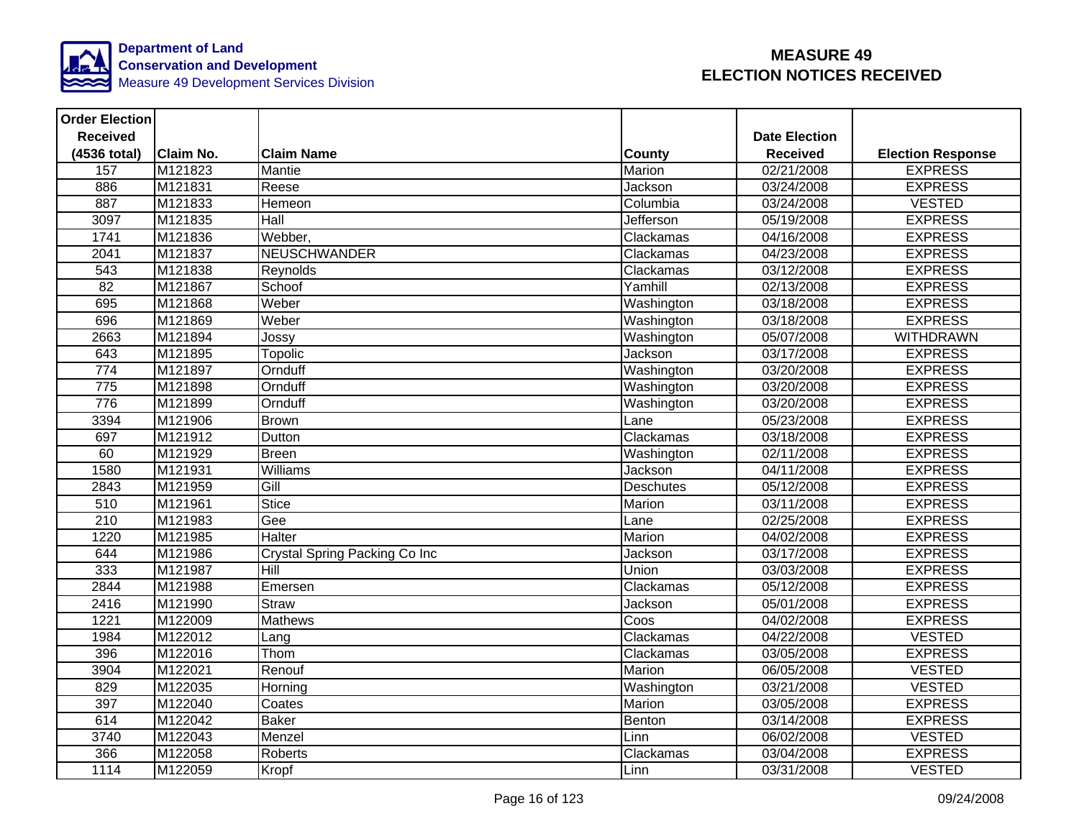

| <b>Order Election</b> |           |                               |                  |                      |                          |
|-----------------------|-----------|-------------------------------|------------------|----------------------|--------------------------|
| <b>Received</b>       |           |                               |                  | <b>Date Election</b> |                          |
| (4536 total)          | Claim No. | <b>Claim Name</b>             | County           | <b>Received</b>      | <b>Election Response</b> |
| 157                   | M121823   | Mantie                        | Marion           | 02/21/2008           | <b>EXPRESS</b>           |
| 886                   | M121831   | Reese                         | Jackson          | 03/24/2008           | <b>EXPRESS</b>           |
| 887                   | M121833   | Hemeon                        | Columbia         | 03/24/2008           | <b>VESTED</b>            |
| 3097                  | M121835   | Hall                          | Jefferson        | 05/19/2008           | <b>EXPRESS</b>           |
| 1741                  | M121836   | Webber,                       | Clackamas        | 04/16/2008           | <b>EXPRESS</b>           |
| 2041                  | M121837   | <b>NEUSCHWANDER</b>           | Clackamas        | 04/23/2008           | <b>EXPRESS</b>           |
| $\overline{543}$      | M121838   | Reynolds                      | Clackamas        | 03/12/2008           | <b>EXPRESS</b>           |
| 82                    | M121867   | Schoof                        | Yamhill          | 02/13/2008           | <b>EXPRESS</b>           |
| 695                   | M121868   | Weber                         | Washington       | 03/18/2008           | <b>EXPRESS</b>           |
| 696                   | M121869   | Weber                         | Washington       | 03/18/2008           | <b>EXPRESS</b>           |
| 2663                  | M121894   | Jossy                         | Washington       | 05/07/2008           | <b>WITHDRAWN</b>         |
| 643                   | M121895   | Topolic                       | Jackson          | 03/17/2008           | <b>EXPRESS</b>           |
| 774                   | M121897   | Ornduff                       | Washington       | 03/20/2008           | <b>EXPRESS</b>           |
| 775                   | M121898   | Ornduff                       | Washington       | 03/20/2008           | <b>EXPRESS</b>           |
| 776                   | M121899   | Ornduff                       | Washington       | 03/20/2008           | <b>EXPRESS</b>           |
| 3394                  | M121906   | <b>Brown</b>                  | Lane             | 05/23/2008           | <b>EXPRESS</b>           |
| 697                   | M121912   | Dutton                        | Clackamas        | 03/18/2008           | <b>EXPRESS</b>           |
| 60                    | M121929   | Breen                         | Washington       | 02/11/2008           | <b>EXPRESS</b>           |
| 1580                  | M121931   | Williams                      | Jackson          | 04/11/2008           | <b>EXPRESS</b>           |
| 2843                  | M121959   | Gill                          | <b>Deschutes</b> | 05/12/2008           | <b>EXPRESS</b>           |
| 510                   | M121961   | Stice                         | Marion           | 03/11/2008           | <b>EXPRESS</b>           |
| 210                   | M121983   | Gee                           | Lane             | 02/25/2008           | <b>EXPRESS</b>           |
| 1220                  | M121985   | <b>Halter</b>                 | Marion           | 04/02/2008           | <b>EXPRESS</b>           |
| 644                   | M121986   | Crystal Spring Packing Co Inc | Jackson          | 03/17/2008           | <b>EXPRESS</b>           |
| 333                   | M121987   | Hill                          | Union            | 03/03/2008           | <b>EXPRESS</b>           |
| 2844                  | M121988   | Emersen                       | Clackamas        | 05/12/2008           | <b>EXPRESS</b>           |
| 2416                  | M121990   | <b>Straw</b>                  | Jackson          | 05/01/2008           | <b>EXPRESS</b>           |
| 1221                  | M122009   | <b>Mathews</b>                | Coos             | 04/02/2008           | <b>EXPRESS</b>           |
| 1984                  | M122012   | Lang                          | Clackamas        | 04/22/2008           | <b>VESTED</b>            |
| 396                   | M122016   | Thom                          | Clackamas        | 03/05/2008           | <b>EXPRESS</b>           |
| 3904                  | M122021   | Renouf                        | Marion           | 06/05/2008           | <b>VESTED</b>            |
| 829                   | M122035   | Horning                       | Washington       | 03/21/2008           | <b>VESTED</b>            |
| 397                   | M122040   | Coates                        | Marion           | 03/05/2008           | <b>EXPRESS</b>           |
| 614                   | M122042   | <b>Baker</b>                  | Benton           | 03/14/2008           | <b>EXPRESS</b>           |
| 3740                  | M122043   | Menzel                        | Linn             | 06/02/2008           | <b>VESTED</b>            |
| 366                   | M122058   | Roberts                       | Clackamas        | 03/04/2008           | <b>EXPRESS</b>           |
| 1114                  | M122059   | Kropf                         | Linn             | 03/31/2008           | <b>VESTED</b>            |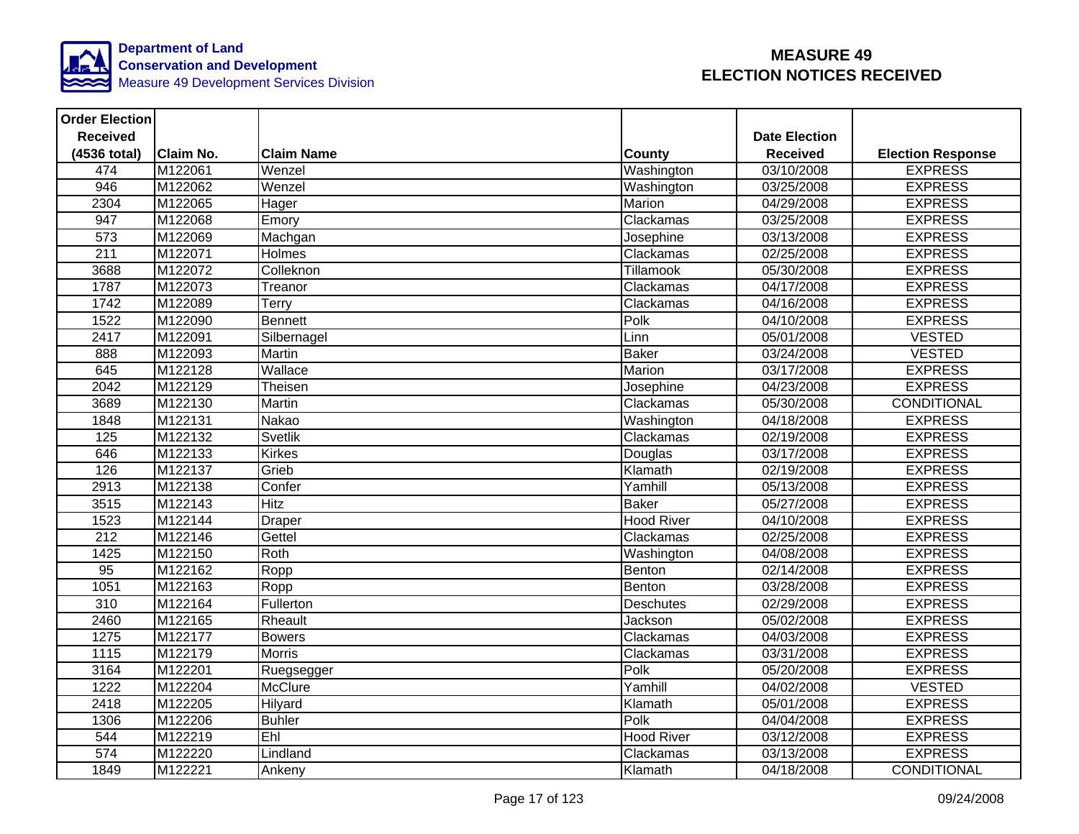

| <b>Order Election</b> |                  |                   |                   |                      |                          |
|-----------------------|------------------|-------------------|-------------------|----------------------|--------------------------|
| <b>Received</b>       |                  |                   |                   | <b>Date Election</b> |                          |
| (4536 total)          | <b>Claim No.</b> | <b>Claim Name</b> | <b>County</b>     | <b>Received</b>      | <b>Election Response</b> |
| 474                   | M122061          | Wenzel            | Washington        | 03/10/2008           | <b>EXPRESS</b>           |
| 946                   | M122062          | Wenzel            | Washington        | 03/25/2008           | <b>EXPRESS</b>           |
| 2304                  | M122065          | Hager             | Marion            | 04/29/2008           | <b>EXPRESS</b>           |
| 947                   | M122068          | Emory             | Clackamas         | 03/25/2008           | <b>EXPRESS</b>           |
| 573                   | M122069          | Machgan           | Josephine         | 03/13/2008           | <b>EXPRESS</b>           |
| 211                   | M122071          | Holmes            | Clackamas         | 02/25/2008           | <b>EXPRESS</b>           |
| 3688                  | M122072          | Colleknon         | Tillamook         | 05/30/2008           | <b>EXPRESS</b>           |
| 1787                  | M122073          | Treanor           | Clackamas         | 04/17/2008           | <b>EXPRESS</b>           |
| 1742                  | M122089          | Terry             | Clackamas         | 04/16/2008           | <b>EXPRESS</b>           |
| 1522                  | M122090          | <b>Bennett</b>    | Polk              | 04/10/2008           | <b>EXPRESS</b>           |
| 2417                  | M122091          | Silbernagel       | Linn              | 05/01/2008           | <b>VESTED</b>            |
| 888                   | M122093          | Martin            | <b>Baker</b>      | 03/24/2008           | <b>VESTED</b>            |
| 645                   | M122128          | Wallace           | Marion            | 03/17/2008           | <b>EXPRESS</b>           |
| 2042                  | M122129          | Theisen           | Josephine         | 04/23/2008           | <b>EXPRESS</b>           |
| 3689                  | M122130          | <b>Martin</b>     | Clackamas         | 05/30/2008           | <b>CONDITIONAL</b>       |
| 1848                  | M122131          | <b>Nakao</b>      | Washington        | 04/18/2008           | <b>EXPRESS</b>           |
| 125                   | M122132          | Svetlik           | Clackamas         | 02/19/2008           | <b>EXPRESS</b>           |
| 646                   | M122133          | Kirkes            | Douglas           | 03/17/2008           | <b>EXPRESS</b>           |
| 126                   | M122137          | Grieb             | Klamath           | 02/19/2008           | <b>EXPRESS</b>           |
| 2913                  | M122138          | Confer            | Yamhill           | 05/13/2008           | <b>EXPRESS</b>           |
| 3515                  | M122143          | <b>Hitz</b>       | <b>Baker</b>      | 05/27/2008           | <b>EXPRESS</b>           |
| 1523                  | M122144          | Draper            | <b>Hood River</b> | 04/10/2008           | <b>EXPRESS</b>           |
| $\overline{212}$      | M122146          | Gettel            | Clackamas         | 02/25/2008           | <b>EXPRESS</b>           |
| 1425                  | M122150          | Roth              | Washington        | 04/08/2008           | <b>EXPRESS</b>           |
| 95                    | M122162          | Ropp              | Benton            | 02/14/2008           | <b>EXPRESS</b>           |
| 1051                  | M122163          | Ropp              | Benton            | 03/28/2008           | <b>EXPRESS</b>           |
| $\overline{310}$      | M122164          | Fullerton         | <b>Deschutes</b>  | 02/29/2008           | <b>EXPRESS</b>           |
| 2460                  | M122165          | Rheault           | Jackson           | 05/02/2008           | <b>EXPRESS</b>           |
| 1275                  | M122177          | <b>Bowers</b>     | Clackamas         | 04/03/2008           | <b>EXPRESS</b>           |
| 1115                  | M122179          | Morris            | Clackamas         | 03/31/2008           | <b>EXPRESS</b>           |
| 3164                  | M122201          | Ruegsegger        | Polk              | 05/20/2008           | <b>EXPRESS</b>           |
| 1222                  | M122204          | <b>McClure</b>    | Yamhill           | 04/02/2008           | <b>VESTED</b>            |
| 2418                  | M122205          | <b>Hilyard</b>    | Klamath           | 05/01/2008           | <b>EXPRESS</b>           |
| 1306                  | M122206          | <b>Buhler</b>     | Polk              | 04/04/2008           | <b>EXPRESS</b>           |
| 544                   | M122219          | Ehl               | <b>Hood River</b> | 03/12/2008           | <b>EXPRESS</b>           |
| 574                   | M122220          | Lindland          | Clackamas         | 03/13/2008           | <b>EXPRESS</b>           |
| 1849                  | M122221          | Ankeny            | Klamath           | 04/18/2008           | CONDITIONAL              |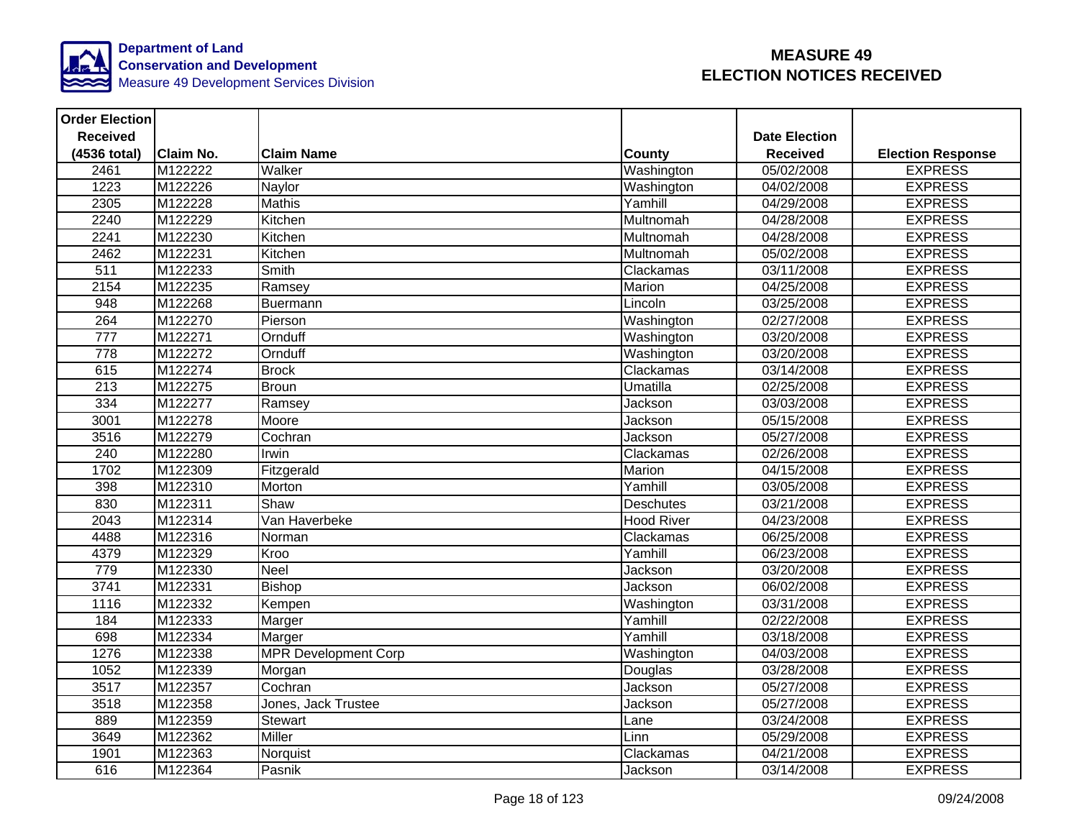

| <b>Order Election</b> |                  |                             |                   |                      |                          |
|-----------------------|------------------|-----------------------------|-------------------|----------------------|--------------------------|
| <b>Received</b>       |                  |                             |                   | <b>Date Election</b> |                          |
| (4536 total)          | <b>Claim No.</b> | <b>Claim Name</b>           | County            | <b>Received</b>      | <b>Election Response</b> |
| 2461                  | M122222          | Walker                      | Washington        | 05/02/2008           | <b>EXPRESS</b>           |
| 1223                  | M122226          | Naylor                      | Washington        | 04/02/2008           | <b>EXPRESS</b>           |
| 2305                  | M122228          | <b>Mathis</b>               | Yamhill           | 04/29/2008           | <b>EXPRESS</b>           |
| 2240                  | M122229          | Kitchen                     | Multnomah         | 04/28/2008           | <b>EXPRESS</b>           |
| 2241                  | M122230          | Kitchen                     | Multnomah         | 04/28/2008           | <b>EXPRESS</b>           |
| 2462                  | M122231          | Kitchen                     | Multnomah         | 05/02/2008           | <b>EXPRESS</b>           |
| $\overline{511}$      | M122233          | Smith                       | Clackamas         | 03/11/2008           | <b>EXPRESS</b>           |
| 2154                  | M122235          | Ramsey                      | Marion            | 04/25/2008           | <b>EXPRESS</b>           |
| 948                   | M122268          | Buermann                    | Lincoln           | 03/25/2008           | <b>EXPRESS</b>           |
| 264                   | M122270          | Pierson                     | Washington        | 02/27/2008           | <b>EXPRESS</b>           |
| $\overline{777}$      | M122271          | Ornduff                     | Washington        | 03/20/2008           | <b>EXPRESS</b>           |
| 778                   | M122272          | Ornduff                     | Washington        | 03/20/2008           | <b>EXPRESS</b>           |
| 615                   | M122274          | <b>Brock</b>                | Clackamas         | 03/14/2008           | <b>EXPRESS</b>           |
| 213                   | M122275          | <b>Broun</b>                | Umatilla          | 02/25/2008           | <b>EXPRESS</b>           |
| 334                   | M122277          | Ramsey                      | Jackson           | 03/03/2008           | <b>EXPRESS</b>           |
| 3001                  | M122278          | Moore                       | Jackson           | 05/15/2008           | <b>EXPRESS</b>           |
| 3516                  | M122279          | Cochran                     | Jackson           | 05/27/2008           | <b>EXPRESS</b>           |
| 240                   | M122280          | Irwin                       | Clackamas         | 02/26/2008           | <b>EXPRESS</b>           |
| 1702                  | M122309          | Fitzgerald                  | Marion            | 04/15/2008           | <b>EXPRESS</b>           |
| 398                   | M122310          | Morton                      | Yamhill           | 03/05/2008           | <b>EXPRESS</b>           |
| 830                   | M122311          | Shaw                        | Deschutes         | 03/21/2008           | <b>EXPRESS</b>           |
| 2043                  | M122314          | Van Haverbeke               | <b>Hood River</b> | 04/23/2008           | <b>EXPRESS</b>           |
| 4488                  | M122316          | Norman                      | Clackamas         | 06/25/2008           | <b>EXPRESS</b>           |
| 4379                  | M122329          | Kroo                        | Yamhill           | 06/23/2008           | <b>EXPRESS</b>           |
| 779                   | M122330          | <b>Neel</b>                 | Jackson           | 03/20/2008           | <b>EXPRESS</b>           |
| 3741                  | M122331          | <b>Bishop</b>               | Jackson           | 06/02/2008           | <b>EXPRESS</b>           |
| 1116                  | M122332          | Kempen                      | Washington        | 03/31/2008           | <b>EXPRESS</b>           |
| 184                   | M122333          | Marger                      | Yamhill           | 02/22/2008           | <b>EXPRESS</b>           |
| 698                   | M122334          | Marger                      | Yamhill           | 03/18/2008           | <b>EXPRESS</b>           |
| 1276                  | M122338          | <b>MPR Development Corp</b> | Washington        | 04/03/2008           | <b>EXPRESS</b>           |
| 1052                  | M122339          | Morgan                      | Douglas           | 03/28/2008           | <b>EXPRESS</b>           |
| 3517                  | M122357          | Cochran                     | Jackson           | 05/27/2008           | <b>EXPRESS</b>           |
| 3518                  | M122358          | Jones, Jack Trustee         | Jackson           | 05/27/2008           | <b>EXPRESS</b>           |
| 889                   | M122359          | Stewart                     | Lane              | 03/24/2008           | <b>EXPRESS</b>           |
| 3649                  | M122362          | <b>Miller</b>               | Linn              | 05/29/2008           | <b>EXPRESS</b>           |
| 1901                  | M122363          | Norquist                    | Clackamas         | 04/21/2008           | <b>EXPRESS</b>           |
| 616                   | M122364          | Pasnik                      | Jackson           | 03/14/2008           | <b>EXPRESS</b>           |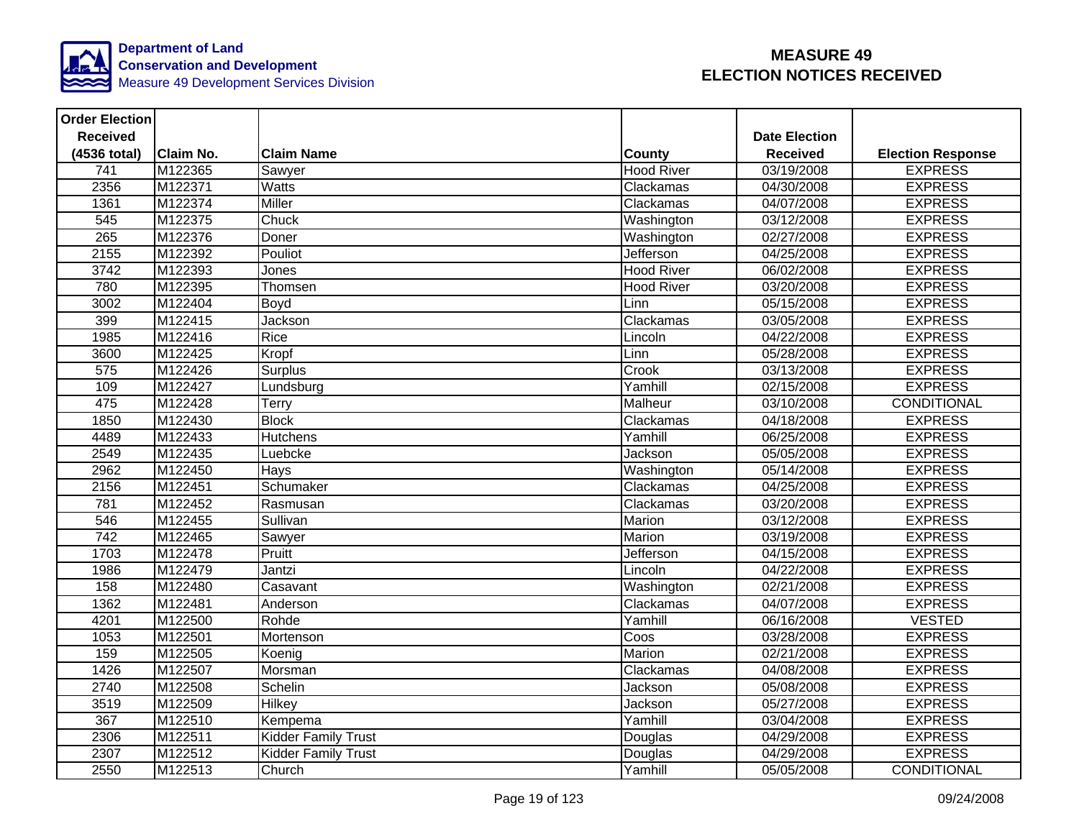

| <b>Order Election</b> |                  |                            |                   |                      |                          |
|-----------------------|------------------|----------------------------|-------------------|----------------------|--------------------------|
| <b>Received</b>       |                  |                            |                   | <b>Date Election</b> |                          |
| (4536 total)          | <b>Claim No.</b> | <b>Claim Name</b>          | <b>County</b>     | <b>Received</b>      | <b>Election Response</b> |
| $\overline{741}$      | M122365          | Sawyer                     | <b>Hood River</b> | 03/19/2008           | <b>EXPRESS</b>           |
| 2356                  | M122371          | <b>Watts</b>               | Clackamas         | 04/30/2008           | <b>EXPRESS</b>           |
| 1361                  | M122374          | Miller                     | Clackamas         | 04/07/2008           | <b>EXPRESS</b>           |
| 545                   | M122375          | Chuck                      | Washington        | 03/12/2008           | <b>EXPRESS</b>           |
| 265                   | M122376          | Doner                      | Washington        | 02/27/2008           | <b>EXPRESS</b>           |
| 2155                  | M122392          | Pouliot                    | Jefferson         | 04/25/2008           | <b>EXPRESS</b>           |
| 3742                  | M122393          | Jones                      | <b>Hood River</b> | 06/02/2008           | <b>EXPRESS</b>           |
| 780                   | M122395          | Thomsen                    | <b>Hood River</b> | 03/20/2008           | <b>EXPRESS</b>           |
| 3002                  | M122404          | Boyd                       | Linn              | 05/15/2008           | <b>EXPRESS</b>           |
| 399                   | M122415          | Jackson                    | Clackamas         | 03/05/2008           | <b>EXPRESS</b>           |
| 1985                  | M122416          | Rice                       | Lincoln           | 04/22/2008           | <b>EXPRESS</b>           |
| 3600                  | M122425          | Kropf                      | Linn              | 05/28/2008           | <b>EXPRESS</b>           |
| 575                   | M122426          | <b>Surplus</b>             | Crook             | 03/13/2008           | <b>EXPRESS</b>           |
| 109                   | M122427          | Lundsburg                  | Yamhill           | 02/15/2008           | <b>EXPRESS</b>           |
| 475                   | M122428          | Terry                      | Malheur           | 03/10/2008           | <b>CONDITIONAL</b>       |
| 1850                  | M122430          | <b>Block</b>               | Clackamas         | 04/18/2008           | <b>EXPRESS</b>           |
| 4489                  | M122433          | <b>Hutchens</b>            | Yamhill           | 06/25/2008           | <b>EXPRESS</b>           |
| 2549                  | M122435          | Luebcke                    | Jackson           | 05/05/2008           | <b>EXPRESS</b>           |
| 2962                  | M122450          | <b>Hays</b>                | Washington        | 05/14/2008           | <b>EXPRESS</b>           |
| 2156                  | M122451          | Schumaker                  | Clackamas         | 04/25/2008           | <b>EXPRESS</b>           |
| 781                   | M122452          | Rasmusan                   | Clackamas         | 03/20/2008           | <b>EXPRESS</b>           |
| 546                   | M122455          | Sullivan                   | <b>Marion</b>     | 03/12/2008           | <b>EXPRESS</b>           |
| $\overline{742}$      | M122465          | Sawyer                     | Marion            | 03/19/2008           | <b>EXPRESS</b>           |
| 1703                  | M122478          | Pruitt                     | Jefferson         | 04/15/2008           | <b>EXPRESS</b>           |
| 1986                  | M122479          | Jantzi                     | Lincoln           | 04/22/2008           | <b>EXPRESS</b>           |
| 158                   | M122480          | Casavant                   | Washington        | 02/21/2008           | <b>EXPRESS</b>           |
| 1362                  | M122481          | Anderson                   | Clackamas         | 04/07/2008           | <b>EXPRESS</b>           |
| 4201                  | M122500          | Rohde                      | Yamhill           | 06/16/2008           | <b>VESTED</b>            |
| 1053                  | M122501          | Mortenson                  | Coos              | 03/28/2008           | <b>EXPRESS</b>           |
| 159                   | M122505          | Koenig                     | Marion            | 02/21/2008           | <b>EXPRESS</b>           |
| 1426                  | M122507          | Morsman                    | Clackamas         | 04/08/2008           | <b>EXPRESS</b>           |
| 2740                  | M122508          | Schelin                    | Jackson           | 05/08/2008           | <b>EXPRESS</b>           |
| 3519                  | M122509          | <b>Hilkey</b>              | Jackson           | 05/27/2008           | <b>EXPRESS</b>           |
| 367                   | M122510          | Kempema                    | Yamhill           | 03/04/2008           | <b>EXPRESS</b>           |
| 2306                  | M122511          | <b>Kidder Family Trust</b> | Douglas           | 04/29/2008           | <b>EXPRESS</b>           |
| 2307                  | M122512          | <b>Kidder Family Trust</b> | Douglas           | 04/29/2008           | <b>EXPRESS</b>           |
| 2550                  | M122513          | Church                     | Yamhill           | 05/05/2008           | CONDITIONAL              |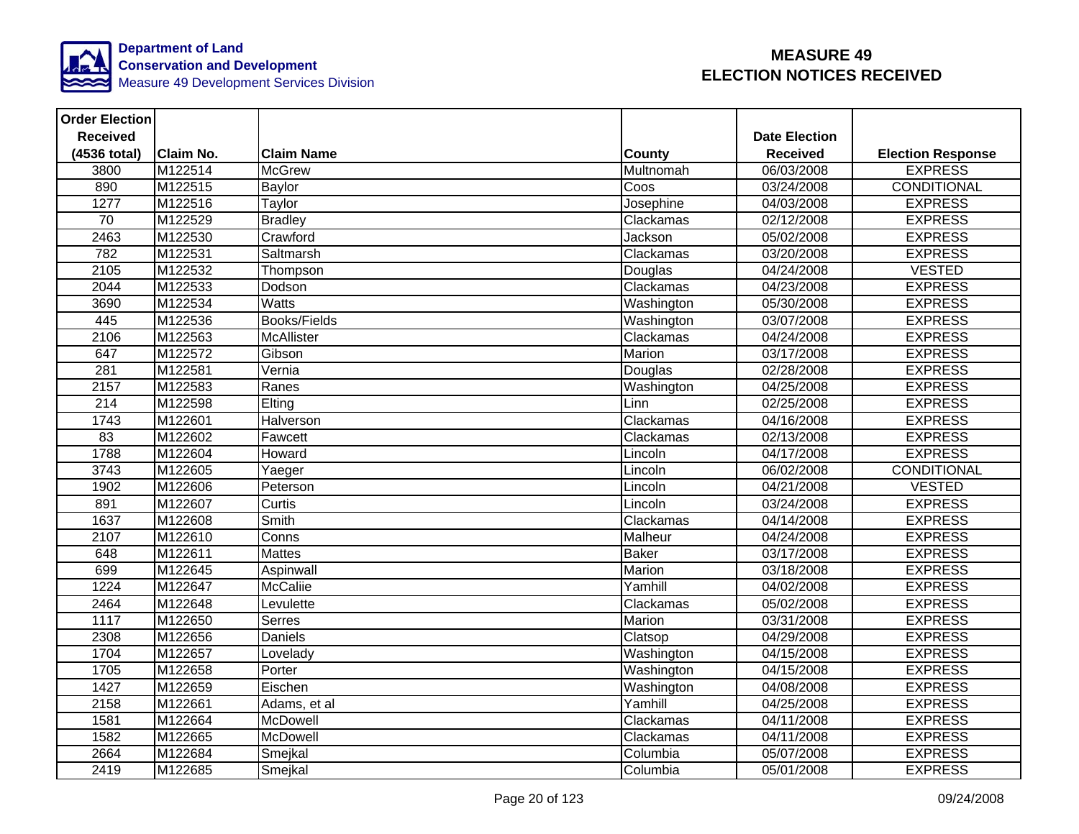

| <b>Order Election</b> |                  |                     |               |                       |                          |
|-----------------------|------------------|---------------------|---------------|-----------------------|--------------------------|
| <b>Received</b>       |                  |                     |               | <b>Date Election</b>  |                          |
| (4536 total)          | <b>Claim No.</b> | <b>Claim Name</b>   | <b>County</b> | <b>Received</b>       | <b>Election Response</b> |
| 3800                  | M122514          | <b>McGrew</b>       | Multnomah     | 06/03/2008            | <b>EXPRESS</b>           |
| 890                   | M122515          | <b>Baylor</b>       | Coos          | 03/24/2008            | <b>CONDITIONAL</b>       |
| 1277                  | M122516          | Taylor              | Josephine     | 04/03/2008            | <b>EXPRESS</b>           |
| 70                    | M122529          | <b>Bradley</b>      | Clackamas     | 02/12/2008            | <b>EXPRESS</b>           |
| 2463                  | M122530          | Crawford            | Jackson       | 05/02/2008            | <b>EXPRESS</b>           |
| 782                   | M122531          | Saltmarsh           | Clackamas     | 03/20/2008            | <b>EXPRESS</b>           |
| 2105                  | M122532          | Thompson            | Douglas       | 04/24/2008            | <b>VESTED</b>            |
| 2044                  | M122533          | Dodson              | Clackamas     | 04/23/2008            | <b>EXPRESS</b>           |
| 3690                  | M122534          | <b>Watts</b>        | Washington    | 05/30/2008            | <b>EXPRESS</b>           |
| 445                   | M122536          | <b>Books/Fields</b> | Washington    | 03/07/2008            | <b>EXPRESS</b>           |
| 2106                  | M122563          | <b>McAllister</b>   | Clackamas     | 04/24/2008            | <b>EXPRESS</b>           |
| 647                   | M122572          | Gibson              | Marion        | 03/17/2008            | <b>EXPRESS</b>           |
| 281                   | M122581          | Vernia              | Douglas       | 02/28/2008            | <b>EXPRESS</b>           |
| 2157                  | M122583          | Ranes               | Washington    | 04/25/2008            | <b>EXPRESS</b>           |
| $\overline{214}$      | M122598          | Elting              | Linn          | 02/25/2008            | <b>EXPRESS</b>           |
| 1743                  | M122601          | Halverson           | Clackamas     | 04/16/2008            | <b>EXPRESS</b>           |
| 83                    | M122602          | Fawcett             | Clackamas     | 02/13/2008            | <b>EXPRESS</b>           |
| 1788                  | M122604          | Howard              | Lincoln       | $\frac{04}{17}{2008}$ | <b>EXPRESS</b>           |
| 3743                  | M122605          | Yaeger              | Lincoln       | 06/02/2008            | <b>CONDITIONAL</b>       |
| 1902                  | M122606          | Peterson            | Lincoln       | 04/21/2008            | <b>VESTED</b>            |
| 891                   | M122607          | Curtis              | Lincoln       | 03/24/2008            | <b>EXPRESS</b>           |
| 1637                  | M122608          | Smith               | Clackamas     | 04/14/2008            | <b>EXPRESS</b>           |
| 2107                  | M122610          | Conns               | Malheur       | 04/24/2008            | <b>EXPRESS</b>           |
| 648                   | M122611          | <b>Mattes</b>       | <b>Baker</b>  | 03/17/2008            | <b>EXPRESS</b>           |
| 699                   | M122645          | Aspinwall           | Marion        | 03/18/2008            | <b>EXPRESS</b>           |
| 1224                  | M122647          | <b>McCaliie</b>     | Yamhill       | 04/02/2008            | <b>EXPRESS</b>           |
| 2464                  | M122648          | Levulette           | Clackamas     | 05/02/2008            | <b>EXPRESS</b>           |
| 1117                  | M122650          | <b>Serres</b>       | Marion        | 03/31/2008            | <b>EXPRESS</b>           |
| 2308                  | M122656          | Daniels             | Clatsop       | 04/29/2008            | <b>EXPRESS</b>           |
| 1704                  | M122657          | Lovelady            | Washington    | 04/15/2008            | <b>EXPRESS</b>           |
| 1705                  | M122658          | Porter              | Washington    | 04/15/2008            | <b>EXPRESS</b>           |
| 1427                  | M122659          | Eischen             | Washington    | 04/08/2008            | <b>EXPRESS</b>           |
| 2158                  | M122661          | Adams, et al        | Yamhill       | 04/25/2008            | <b>EXPRESS</b>           |
| 1581                  | M122664          | McDowell            | Clackamas     | 04/11/2008            | <b>EXPRESS</b>           |
| 1582                  | M122665          | McDowell            | Clackamas     | 04/11/2008            | <b>EXPRESS</b>           |
| 2664                  | M122684          | Smejkal             | Columbia      | 05/07/2008            | <b>EXPRESS</b>           |
| 2419                  | M122685          | Smejkal             | Columbia      | 05/01/2008            | <b>EXPRESS</b>           |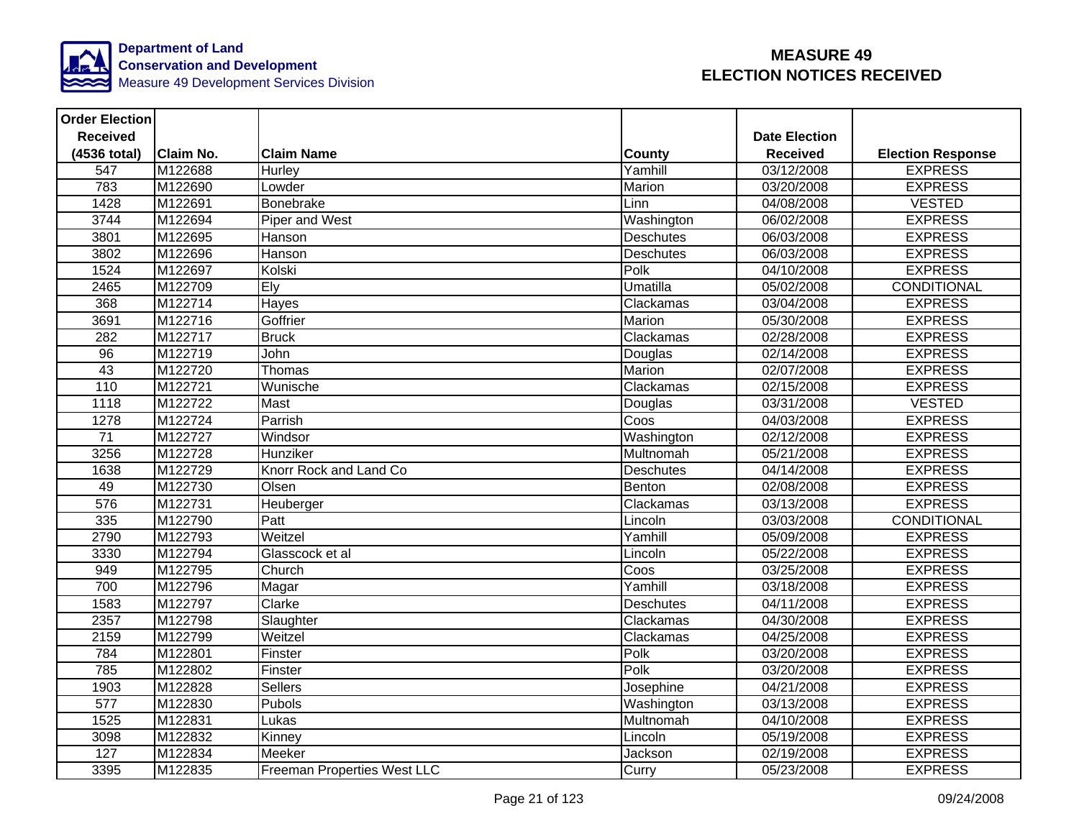

| <b>Order Election</b> |                  |                                    |                  |                      |                          |
|-----------------------|------------------|------------------------------------|------------------|----------------------|--------------------------|
| <b>Received</b>       |                  |                                    |                  | <b>Date Election</b> |                          |
| (4536 total)          | <b>Claim No.</b> | <b>Claim Name</b>                  | <b>County</b>    | <b>Received</b>      | <b>Election Response</b> |
| 547                   | M122688          | Hurley                             | Yamhill          | 03/12/2008           | <b>EXPRESS</b>           |
| 783                   | M122690          | Lowder                             | Marion           | 03/20/2008           | <b>EXPRESS</b>           |
| 1428                  | M122691          | Bonebrake                          | Linn             | 04/08/2008           | <b>VESTED</b>            |
| 3744                  | M122694          | Piper and West                     | Washington       | 06/02/2008           | <b>EXPRESS</b>           |
| 3801                  | M122695          | Hanson                             | Deschutes        | 06/03/2008           | <b>EXPRESS</b>           |
| 3802                  | M122696          | Hanson                             | <b>Deschutes</b> | 06/03/2008           | <b>EXPRESS</b>           |
| 1524                  | M122697          | Kolski                             | Polk             | 04/10/2008           | <b>EXPRESS</b>           |
| 2465                  | M122709          | Ely                                | <b>Umatilla</b>  | 05/02/2008           | <b>CONDITIONAL</b>       |
| 368                   | M122714          | Hayes                              | Clackamas        | 03/04/2008           | <b>EXPRESS</b>           |
| 3691                  | M122716          | Goffrier                           | Marion           | 05/30/2008           | <b>EXPRESS</b>           |
| 282                   | M122717          | <b>Bruck</b>                       | Clackamas        | 02/28/2008           | <b>EXPRESS</b>           |
| 96                    | M122719          | <b>John</b>                        | Douglas          | 02/14/2008           | <b>EXPRESS</b>           |
| 43                    | M122720          | Thomas                             | Marion           | 02/07/2008           | <b>EXPRESS</b>           |
| 110                   | M122721          | Wunische                           | Clackamas        | 02/15/2008           | <b>EXPRESS</b>           |
| 1118                  | M122722          | Mast                               | Douglas          | 03/31/2008           | <b>VESTED</b>            |
| 1278                  | M122724          | Parrish                            | Coos             | 04/03/2008           | <b>EXPRESS</b>           |
| $\overline{71}$       | M122727          | Windsor                            | Washington       | 02/12/2008           | <b>EXPRESS</b>           |
| 3256                  | M122728          | Hunziker                           | Multnomah        | 05/21/2008           | <b>EXPRESS</b>           |
| 1638                  | M122729          | Knorr Rock and Land Co             | Deschutes        | 04/14/2008           | <b>EXPRESS</b>           |
| 49                    | M122730          | Olsen                              | Benton           | 02/08/2008           | <b>EXPRESS</b>           |
| 576                   | M122731          | Heuberger                          | Clackamas        | 03/13/2008           | <b>EXPRESS</b>           |
| 335                   | M122790          | Patt                               | Lincoln          | 03/03/2008           | <b>CONDITIONAL</b>       |
| 2790                  | M122793          | Weitzel                            | Yamhill          | 05/09/2008           | <b>EXPRESS</b>           |
| 3330                  | M122794          | Glasscock et al                    | Lincoln          | 05/22/2008           | <b>EXPRESS</b>           |
| 949                   | M122795          | Church                             | Coos             | 03/25/2008           | <b>EXPRESS</b>           |
| 700                   | M122796          | Magar                              | Yamhill          | 03/18/2008           | <b>EXPRESS</b>           |
| 1583                  | M122797          | Clarke                             | <b>Deschutes</b> | 04/11/2008           | <b>EXPRESS</b>           |
| 2357                  | M122798          | Slaughter                          | Clackamas        | 04/30/2008           | <b>EXPRESS</b>           |
| 2159                  | M122799          | Weitzel                            | Clackamas        | 04/25/2008           | <b>EXPRESS</b>           |
| 784                   | M122801          | Finster                            | Polk             | 03/20/2008           | <b>EXPRESS</b>           |
| 785                   | M122802          | Finster                            | Polk             | 03/20/2008           | <b>EXPRESS</b>           |
| 1903                  | M122828          | Sellers                            | Josephine        | 04/21/2008           | <b>EXPRESS</b>           |
| $\overline{577}$      | M122830          | Pubols                             | Washington       | 03/13/2008           | <b>EXPRESS</b>           |
| 1525                  | M122831          | Lukas                              | Multnomah        | 04/10/2008           | <b>EXPRESS</b>           |
| 3098                  | M122832          | Kinney                             | Lincoln          | 05/19/2008           | <b>EXPRESS</b>           |
| 127                   | M122834          | Meeker                             | Jackson          | 02/19/2008           | <b>EXPRESS</b>           |
| 3395                  | M122835          | <b>Freeman Properties West LLC</b> | Curry            | 05/23/2008           | <b>EXPRESS</b>           |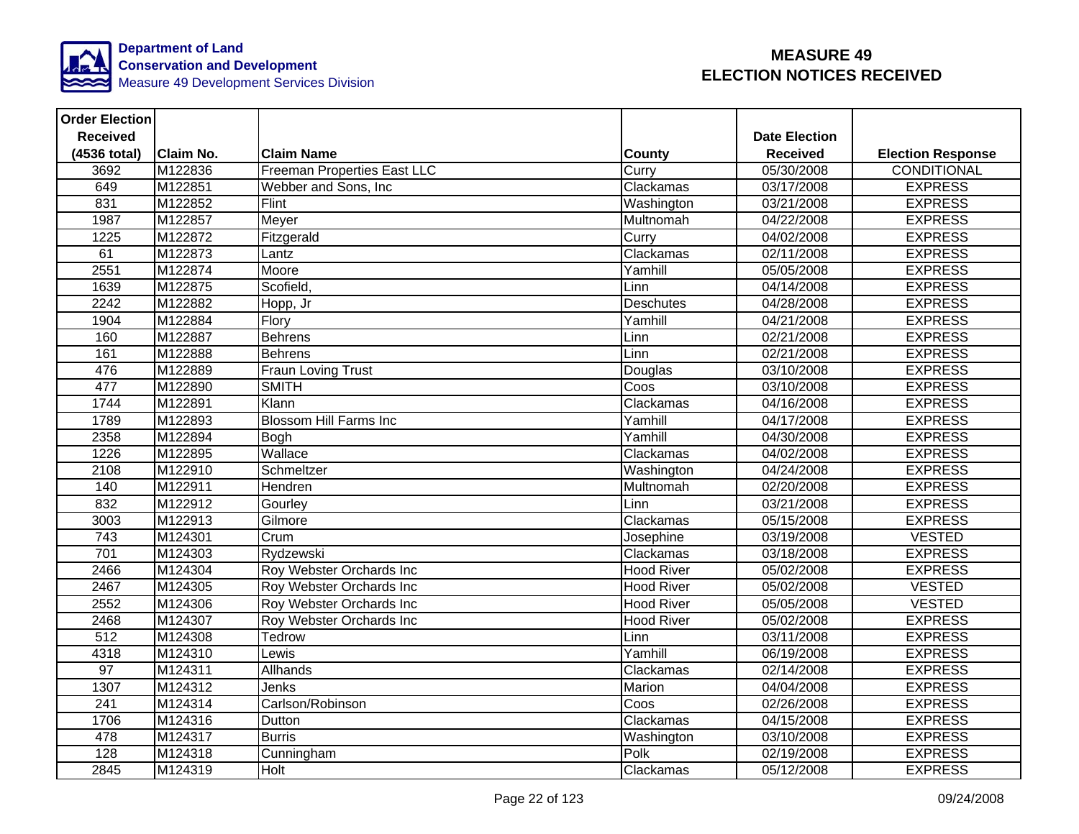

| <b>Order Election</b> |                  |                               |                   |                      |                          |
|-----------------------|------------------|-------------------------------|-------------------|----------------------|--------------------------|
| <b>Received</b>       |                  |                               |                   | <b>Date Election</b> |                          |
| (4536 total)          | <b>Claim No.</b> | <b>Claim Name</b>             | <b>County</b>     | <b>Received</b>      | <b>Election Response</b> |
| 3692                  | M122836          | Freeman Properties East LLC   | Curry             | 05/30/2008           | CONDITIONAL              |
| 649                   | M122851          | Webber and Sons, Inc.         | Clackamas         | 03/17/2008           | <b>EXPRESS</b>           |
| 831                   | M122852          | Flint                         | Washington        | 03/21/2008           | <b>EXPRESS</b>           |
| 1987                  | M122857          | Meyer                         | Multnomah         | 04/22/2008           | <b>EXPRESS</b>           |
| 1225                  | M122872          | Fitzgerald                    | Curry             | 04/02/2008           | <b>EXPRESS</b>           |
| 61                    | M122873          | Lantz                         | Clackamas         | 02/11/2008           | <b>EXPRESS</b>           |
| 2551                  | M122874          | Moore                         | Yamhill           | 05/05/2008           | <b>EXPRESS</b>           |
| 1639                  | M122875          | Scofield,                     | Linn              | 04/14/2008           | <b>EXPRESS</b>           |
| 2242                  | M122882          | Hopp, Jr                      | <b>Deschutes</b>  | 04/28/2008           | <b>EXPRESS</b>           |
| 1904                  | M122884          | Flory                         | Yamhill           | 04/21/2008           | <b>EXPRESS</b>           |
| 160                   | M122887          | <b>Behrens</b>                | Linn              | 02/21/2008           | <b>EXPRESS</b>           |
| 161                   | M122888          | Behrens                       | Linn              | 02/21/2008           | <b>EXPRESS</b>           |
| 476                   | M122889          | Fraun Loving Trust            | Douglas           | 03/10/2008           | <b>EXPRESS</b>           |
| 477                   | M122890          | <b>SMITH</b>                  | Coos              | 03/10/2008           | <b>EXPRESS</b>           |
| 1744                  | M122891          | Klann                         | Clackamas         | 04/16/2008           | <b>EXPRESS</b>           |
| 1789                  | M122893          | <b>Blossom Hill Farms Inc</b> | Yamhill           | 04/17/2008           | <b>EXPRESS</b>           |
| 2358                  | M122894          | <b>Bogh</b>                   | Yamhill           | 04/30/2008           | <b>EXPRESS</b>           |
| 1226                  | M122895          | Wallace                       | Clackamas         | 04/02/2008           | <b>EXPRESS</b>           |
| 2108                  | M122910          | Schmeltzer                    | Washington        | 04/24/2008           | <b>EXPRESS</b>           |
| 140                   | M122911          | Hendren                       | Multnomah         | 02/20/2008           | <b>EXPRESS</b>           |
| 832                   | M122912          | Gourley                       | Linn              | 03/21/2008           | <b>EXPRESS</b>           |
| 3003                  | M122913          | Gilmore                       | Clackamas         | 05/15/2008           | <b>EXPRESS</b>           |
| $\frac{1}{743}$       | M124301          | Crum                          | Josephine         | 03/19/2008           | <b>VESTED</b>            |
| 701                   | M124303          | Rydzewski                     | Clackamas         | 03/18/2008           | <b>EXPRESS</b>           |
| 2466                  | M124304          | Roy Webster Orchards Inc      | <b>Hood River</b> | 05/02/2008           | <b>EXPRESS</b>           |
| 2467                  | M124305          | Roy Webster Orchards Inc      | <b>Hood River</b> | 05/02/2008           | <b>VESTED</b>            |
| 2552                  | M124306          | Roy Webster Orchards Inc      | <b>Hood River</b> | 05/05/2008           | <b>VESTED</b>            |
| 2468                  | M124307          | Roy Webster Orchards Inc      | <b>Hood River</b> | 05/02/2008           | <b>EXPRESS</b>           |
| $\overline{512}$      | M124308          | Tedrow                        | Linn              | 03/11/2008           | <b>EXPRESS</b>           |
| 4318                  | M124310          | Lewis                         | Yamhill           | 06/19/2008           | <b>EXPRESS</b>           |
| 97                    | M124311          | Allhands                      | Clackamas         | 02/14/2008           | <b>EXPRESS</b>           |
| 1307                  | M124312          | Jenks                         | Marion            | 04/04/2008           | <b>EXPRESS</b>           |
| 241                   | M124314          | Carlson/Robinson              | Coos              | 02/26/2008           | <b>EXPRESS</b>           |
| 1706                  | M124316          | <b>Dutton</b>                 | Clackamas         | 04/15/2008           | <b>EXPRESS</b>           |
| 478                   | M124317          | <b>Burris</b>                 | Washington        | 03/10/2008           | <b>EXPRESS</b>           |
| 128                   | M124318          | Cunningham                    | Polk              | 02/19/2008           | <b>EXPRESS</b>           |
| 2845                  | M124319          | Holt                          | Clackamas         | 05/12/2008           | <b>EXPRESS</b>           |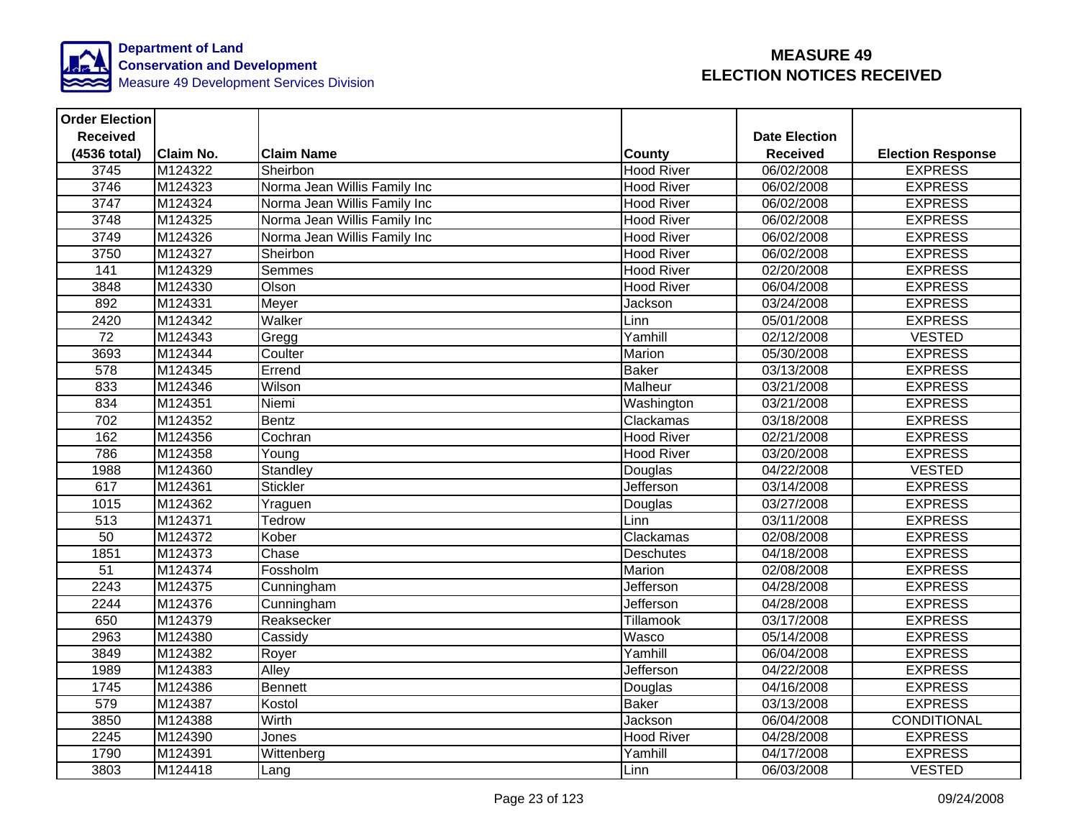

| <b>Order Election</b> |                  |                              |                   |                      |                          |
|-----------------------|------------------|------------------------------|-------------------|----------------------|--------------------------|
| <b>Received</b>       |                  |                              |                   | <b>Date Election</b> |                          |
| (4536 total)          | <b>Claim No.</b> | <b>Claim Name</b>            | <b>County</b>     | <b>Received</b>      | <b>Election Response</b> |
| 3745                  | M124322          | Sheirbon                     | <b>Hood River</b> | 06/02/2008           | <b>EXPRESS</b>           |
| 3746                  | M124323          | Norma Jean Willis Family Inc | <b>Hood River</b> | 06/02/2008           | <b>EXPRESS</b>           |
| 3747                  | M124324          | Norma Jean Willis Family Inc | <b>Hood River</b> | 06/02/2008           | <b>EXPRESS</b>           |
| 3748                  | M124325          | Norma Jean Willis Family Inc | <b>Hood River</b> | 06/02/2008           | <b>EXPRESS</b>           |
| 3749                  | M124326          | Norma Jean Willis Family Inc | <b>Hood River</b> | 06/02/2008           | <b>EXPRESS</b>           |
| 3750                  | M124327          | Sheirbon                     | <b>Hood River</b> | 06/02/2008           | <b>EXPRESS</b>           |
| $\frac{141}{1}$       | M124329          | Semmes                       | <b>Hood River</b> | 02/20/2008           | <b>EXPRESS</b>           |
| 3848                  | M124330          | Olson                        | <b>Hood River</b> | 06/04/2008           | <b>EXPRESS</b>           |
| 892                   | M124331          | Meyer                        | Jackson           | 03/24/2008           | <b>EXPRESS</b>           |
| 2420                  | M124342          | Walker                       | Linn              | 05/01/2008           | <b>EXPRESS</b>           |
| 72                    | M124343          | Gregg                        | Yamhill           | 02/12/2008           | <b>VESTED</b>            |
| 3693                  | M124344          | Coulter                      | Marion            | 05/30/2008           | <b>EXPRESS</b>           |
| 578                   | M124345          | Errend                       | <b>Baker</b>      | 03/13/2008           | <b>EXPRESS</b>           |
| 833                   | M124346          | Wilson                       | Malheur           | 03/21/2008           | <b>EXPRESS</b>           |
| 834                   | M124351          | Niemi                        | Washington        | 03/21/2008           | <b>EXPRESS</b>           |
| 702                   | M124352          | <b>Bentz</b>                 | Clackamas         | 03/18/2008           | <b>EXPRESS</b>           |
| 162                   | M124356          | Cochran                      | <b>Hood River</b> | 02/21/2008           | <b>EXPRESS</b>           |
| 786                   | M124358          | Young                        | <b>Hood River</b> | 03/20/2008           | <b>EXPRESS</b>           |
| 1988                  | M124360          | Standley                     | Douglas           | 04/22/2008           | <b>VESTED</b>            |
| 617                   | M124361          | <b>Stickler</b>              | Jefferson         | 03/14/2008           | <b>EXPRESS</b>           |
| 1015                  | M124362          | Yraguen                      | Douglas           | 03/27/2008           | <b>EXPRESS</b>           |
| 513                   | M124371          | Tedrow                       | Linn              | 03/11/2008           | <b>EXPRESS</b>           |
| 50                    | M124372          | Kober                        | Clackamas         | 02/08/2008           | <b>EXPRESS</b>           |
| 1851                  | M124373          | Chase                        | Deschutes         | 04/18/2008           | <b>EXPRESS</b>           |
| $\overline{51}$       | M124374          | Fossholm                     | Marion            | 02/08/2008           | <b>EXPRESS</b>           |
| 2243                  | M124375          | Cunningham                   | Jefferson         | 04/28/2008           | <b>EXPRESS</b>           |
| 2244                  | M124376          | Cunningham                   | <b>Jefferson</b>  | 04/28/2008           | <b>EXPRESS</b>           |
| 650                   | M124379          | Reaksecker                   | Tillamook         | 03/17/2008           | <b>EXPRESS</b>           |
| 2963                  | M124380          | Cassidy                      | Wasco             | 05/14/2008           | <b>EXPRESS</b>           |
| 3849                  | M124382          | Royer                        | Yamhill           | 06/04/2008           | <b>EXPRESS</b>           |
| 1989                  | M124383          | Alley                        | Jefferson         | 04/22/2008           | <b>EXPRESS</b>           |
| 1745                  | M124386          | Bennett                      | Douglas           | 04/16/2008           | <b>EXPRESS</b>           |
| 579                   | M124387          | Kostol                       | <b>Baker</b>      | 03/13/2008           | <b>EXPRESS</b>           |
| 3850                  | M124388          | Wirth                        | Jackson           | 06/04/2008           | CONDITIONAL              |
| 2245                  | M124390          | Jones                        | <b>Hood River</b> | 04/28/2008           | <b>EXPRESS</b>           |
| 1790                  | M124391          | Wittenberg                   | Yamhill           | 04/17/2008           | <b>EXPRESS</b>           |
| 3803                  | M124418          | Lang                         | Linn              | 06/03/2008           | <b>VESTED</b>            |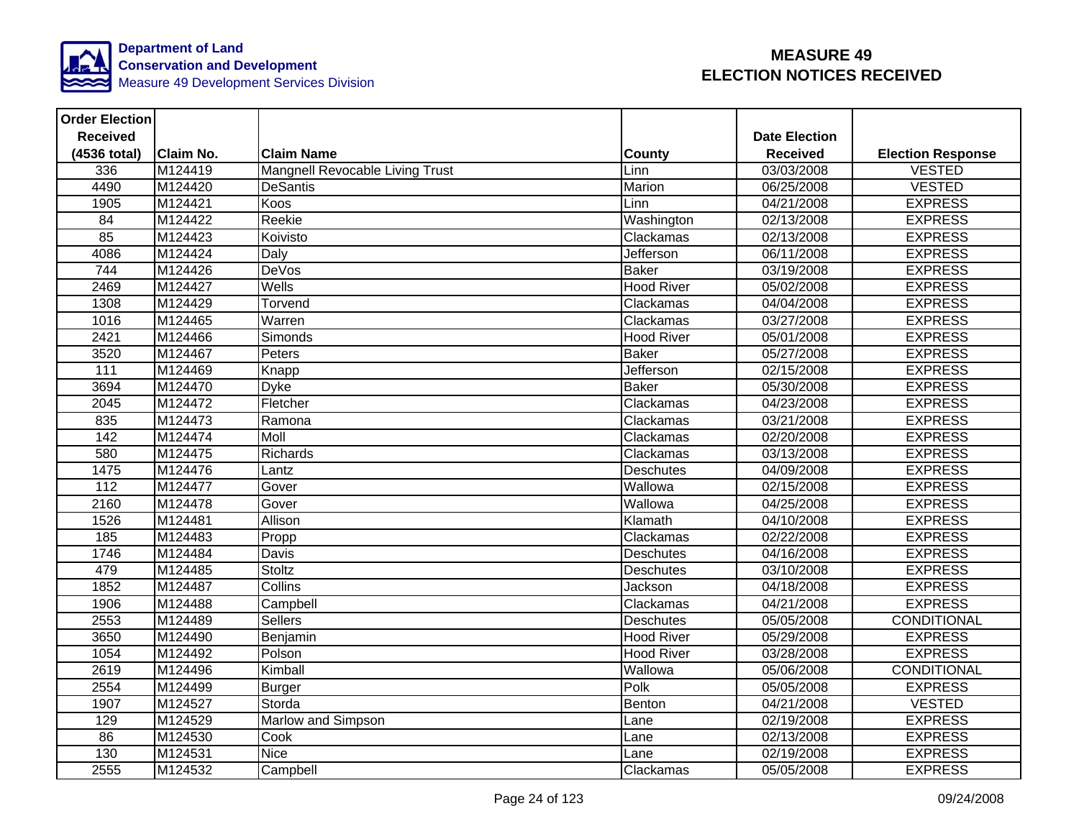

| <b>Order Election</b> |                  |                                 |                   |                         |                          |
|-----------------------|------------------|---------------------------------|-------------------|-------------------------|--------------------------|
| <b>Received</b>       |                  |                                 |                   | <b>Date Election</b>    |                          |
| (4536 total)          | <b>Claim No.</b> | <b>Claim Name</b>               | County            | <b>Received</b>         | <b>Election Response</b> |
| 336                   | M124419          | Mangnell Revocable Living Trust | Linn              | 03/03/2008              | <b>VESTED</b>            |
| 4490                  | M124420          | <b>DeSantis</b>                 | Marion            | 06/25/2008              | <b>VESTED</b>            |
| 1905                  | M124421          | Koos                            | Linn              | $\overline{04/21}/2008$ | <b>EXPRESS</b>           |
| 84                    | M124422          | Reekie                          | Washington        | 02/13/2008              | <b>EXPRESS</b>           |
| 85                    | M124423          | Koivisto                        | Clackamas         | 02/13/2008              | <b>EXPRESS</b>           |
| 4086                  | M124424          | Daly                            | Jefferson         | 06/11/2008              | <b>EXPRESS</b>           |
| 744                   | M124426          | <b>DeVos</b>                    | <b>Baker</b>      | 03/19/2008              | <b>EXPRESS</b>           |
| 2469                  | M124427          | Wells                           | <b>Hood River</b> | 05/02/2008              | <b>EXPRESS</b>           |
| 1308                  | M124429          | Torvend                         | Clackamas         | 04/04/2008              | <b>EXPRESS</b>           |
| 1016                  | M124465          | Warren                          | Clackamas         | 03/27/2008              | <b>EXPRESS</b>           |
| 2421                  | M124466          | <b>Simonds</b>                  | <b>Hood River</b> | 05/01/2008              | <b>EXPRESS</b>           |
| 3520                  | M124467          | Peters                          | <b>Baker</b>      | 05/27/2008              | <b>EXPRESS</b>           |
| $\overline{111}$      | M124469          | Knapp                           | <b>Jefferson</b>  | 02/15/2008              | <b>EXPRESS</b>           |
| 3694                  | M124470          | <b>Dyke</b>                     | <b>Baker</b>      | 05/30/2008              | <b>EXPRESS</b>           |
| 2045                  | M124472          | Fletcher                        | Clackamas         | 04/23/2008              | <b>EXPRESS</b>           |
| 835                   | M124473          | Ramona                          | Clackamas         | 03/21/2008              | <b>EXPRESS</b>           |
| 142                   | M124474          | Moll                            | Clackamas         | 02/20/2008              | <b>EXPRESS</b>           |
| 580                   | M124475          | <b>Richards</b>                 | Clackamas         | 03/13/2008              | <b>EXPRESS</b>           |
| 1475                  | M124476          | Lantz                           | <b>Deschutes</b>  | 04/09/2008              | <b>EXPRESS</b>           |
| 112                   | M124477          | Gover                           | Wallowa           | 02/15/2008              | <b>EXPRESS</b>           |
| 2160                  | M124478          | Gover                           | Wallowa           | 04/25/2008              | <b>EXPRESS</b>           |
| 1526                  | M124481          | Allison                         | Klamath           | 04/10/2008              | <b>EXPRESS</b>           |
| 185                   | M124483          | Propp                           | Clackamas         | 02/22/2008              | <b>EXPRESS</b>           |
| 1746                  | M124484          | Davis                           | <b>Deschutes</b>  | 04/16/2008              | <b>EXPRESS</b>           |
| 479                   | M124485          | Stoltz                          | <b>Deschutes</b>  | 03/10/2008              | <b>EXPRESS</b>           |
| 1852                  | M124487          | Collins                         | Jackson           | 04/18/2008              | <b>EXPRESS</b>           |
| 1906                  | M124488          | Campbell                        | Clackamas         | 04/21/2008              | <b>EXPRESS</b>           |
| 2553                  | M124489          | <b>Sellers</b>                  | <b>Deschutes</b>  | 05/05/2008              | <b>CONDITIONAL</b>       |
| 3650                  | M124490          | Benjamin                        | <b>Hood River</b> | 05/29/2008              | <b>EXPRESS</b>           |
| 1054                  | M124492          | Polson                          | <b>Hood River</b> | 03/28/2008              | <b>EXPRESS</b>           |
| 2619                  | M124496          | Kimball                         | Wallowa           | 05/06/2008              | CONDITIONAL              |
| 2554                  | M124499          | Burger                          | Polk              | 05/05/2008              | <b>EXPRESS</b>           |
| 1907                  | M124527          | Storda                          | Benton            | 04/21/2008              | <b>VESTED</b>            |
| 129                   | M124529          | Marlow and Simpson              | Lane              | 02/19/2008              | <b>EXPRESS</b>           |
| 86                    | M124530          | Cook                            | Lane              | 02/13/2008              | <b>EXPRESS</b>           |
| 130                   | M124531          | <b>Nice</b>                     | Lane              | 02/19/2008              | <b>EXPRESS</b>           |
| 2555                  | M124532          | Campbell                        | Clackamas         | 05/05/2008              | <b>EXPRESS</b>           |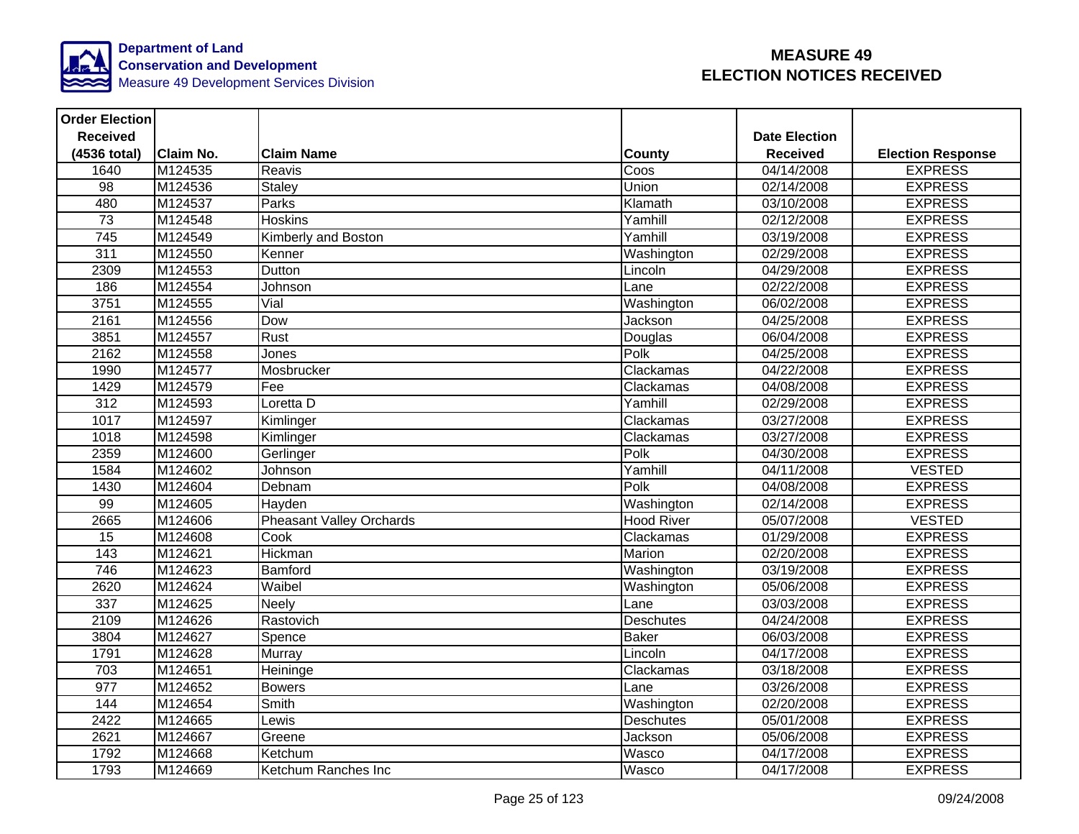

| <b>Order Election</b> |                  |                                 |                   |                      |                          |
|-----------------------|------------------|---------------------------------|-------------------|----------------------|--------------------------|
| <b>Received</b>       |                  |                                 |                   | <b>Date Election</b> |                          |
| (4536 total)          | <b>Claim No.</b> | <b>Claim Name</b>               | <b>County</b>     | <b>Received</b>      | <b>Election Response</b> |
| 1640                  | M124535          | Reavis                          | Coos              | $\sqrt{04/14}/2008$  | <b>EXPRESS</b>           |
| $\overline{98}$       | M124536          | Staley                          | Union             | 02/14/2008           | <b>EXPRESS</b>           |
| 480                   | M124537          | Parks                           | Klamath           | 03/10/2008           | <b>EXPRESS</b>           |
| 73                    | M124548          | <b>Hoskins</b>                  | Yamhill           | 02/12/2008           | <b>EXPRESS</b>           |
| 745                   | M124549          | Kimberly and Boston             | Yamhill           | 03/19/2008           | <b>EXPRESS</b>           |
| 311                   | M124550          | Kenner                          | Washington        | 02/29/2008           | <b>EXPRESS</b>           |
| 2309                  | M124553          | Dutton                          | Lincoln           | 04/29/2008           | <b>EXPRESS</b>           |
| 186                   | M124554          | Johnson                         | Lane              | 02/22/2008           | <b>EXPRESS</b>           |
| 3751                  | M124555          | Vial                            | Washington        | 06/02/2008           | <b>EXPRESS</b>           |
| 2161                  | M124556          | Dow                             | Jackson           | 04/25/2008           | <b>EXPRESS</b>           |
| 3851                  | M124557          | Rust                            | Douglas           | 06/04/2008           | <b>EXPRESS</b>           |
| 2162                  | M124558          | Jones                           | Polk              | 04/25/2008           | <b>EXPRESS</b>           |
| 1990                  | M124577          | Mosbrucker                      | Clackamas         | 04/22/2008           | <b>EXPRESS</b>           |
| 1429                  | M124579          | Fee                             | Clackamas         | 04/08/2008           | <b>EXPRESS</b>           |
| 312                   | M124593          | Loretta D                       | Yamhill           | 02/29/2008           | <b>EXPRESS</b>           |
| 1017                  | M124597          | Kimlinger                       | Clackamas         | 03/27/2008           | <b>EXPRESS</b>           |
| 1018                  | M124598          | Kimlinger                       | Clackamas         | 03/27/2008           | <b>EXPRESS</b>           |
| 2359                  | M124600          | Gerlinger                       | Polk              | 04/30/2008           | <b>EXPRESS</b>           |
| 1584                  | M124602          | Johnson                         | Yamhill           | 04/11/2008           | <b>VESTED</b>            |
| 1430                  | M124604          | Debnam                          | Polk              | 04/08/2008           | <b>EXPRESS</b>           |
| 99                    | M124605          | Hayden                          | Washington        | 02/14/2008           | <b>EXPRESS</b>           |
| 2665                  | M124606          | <b>Pheasant Valley Orchards</b> | <b>Hood River</b> | 05/07/2008           | <b>VESTED</b>            |
| 15                    | M124608          | Cook                            | Clackamas         | 01/29/2008           | <b>EXPRESS</b>           |
| 143                   | M124621          | Hickman                         | <b>Marion</b>     | 02/20/2008           | <b>EXPRESS</b>           |
| 746                   | M124623          | Bamford                         | Washington        | 03/19/2008           | <b>EXPRESS</b>           |
| 2620                  | M124624          | Waibel                          | Washington        | 05/06/2008           | <b>EXPRESS</b>           |
| $\frac{1}{337}$       | M124625          | <b>Neely</b>                    | Lane              | 03/03/2008           | <b>EXPRESS</b>           |
| 2109                  | M124626          | Rastovich                       | Deschutes         | 04/24/2008           | <b>EXPRESS</b>           |
| 3804                  | M124627          | Spence                          | <b>Baker</b>      | 06/03/2008           | <b>EXPRESS</b>           |
| 1791                  | M124628          | Murray                          | Lincoln           | 04/17/2008           | <b>EXPRESS</b>           |
| 703                   | M124651          | Heininge                        | Clackamas         | 03/18/2008           | <b>EXPRESS</b>           |
| $\overline{977}$      | M124652          | <b>Bowers</b>                   | Lane              | 03/26/2008           | <b>EXPRESS</b>           |
| 144                   | M124654          | Smith                           | Washington        | 02/20/2008           | <b>EXPRESS</b>           |
| 2422                  | M124665          | Lewis                           | Deschutes         | 05/01/2008           | <b>EXPRESS</b>           |
| 2621                  | M124667          | Greene                          | Jackson           | 05/06/2008           | <b>EXPRESS</b>           |
| 1792                  | M124668          | Ketchum                         | Wasco             | 04/17/2008           | <b>EXPRESS</b>           |
| 1793                  | M124669          | Ketchum Ranches Inc             | Wasco             | 04/17/2008           | <b>EXPRESS</b>           |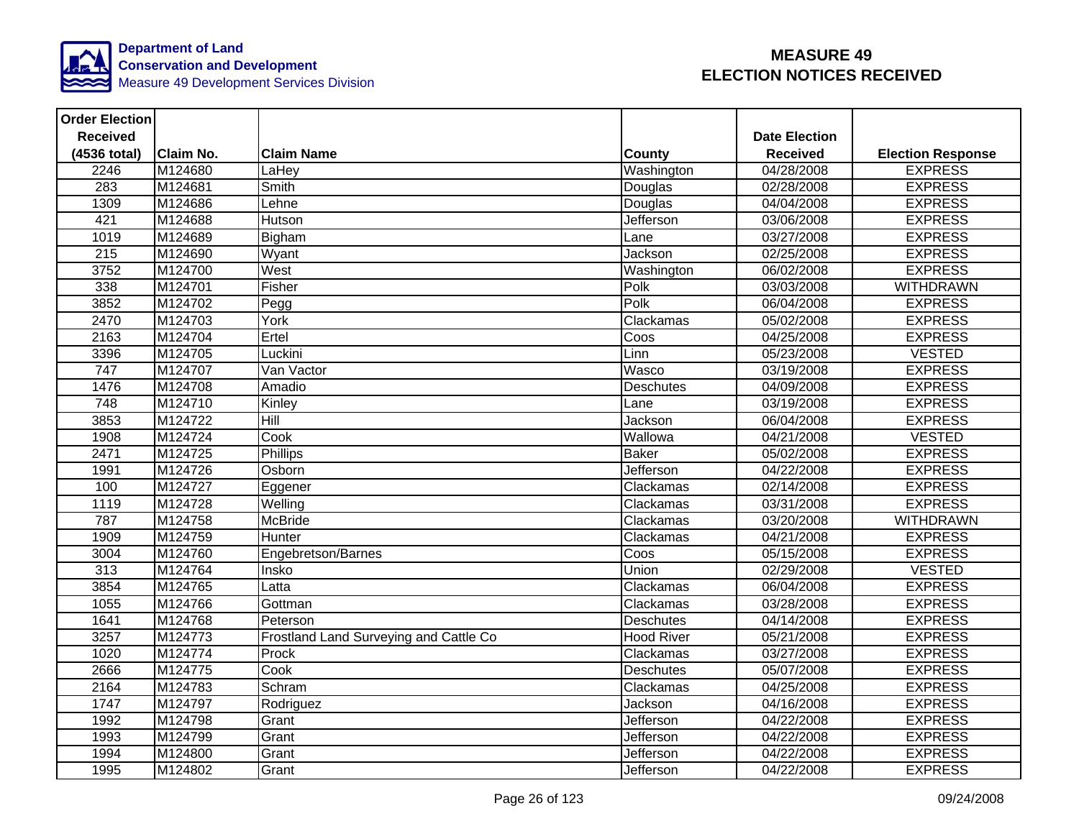

| <b>Order Election</b> |           |                                        |                   |                      |                          |
|-----------------------|-----------|----------------------------------------|-------------------|----------------------|--------------------------|
| <b>Received</b>       |           |                                        |                   | <b>Date Election</b> |                          |
| (4536 total)          | Claim No. | <b>Claim Name</b>                      | County            | <b>Received</b>      | <b>Election Response</b> |
| 2246                  | M124680   | LaHey                                  | Washington        | 04/28/2008           | <b>EXPRESS</b>           |
| 283                   | M124681   | Smith                                  | Douglas           | 02/28/2008           | <b>EXPRESS</b>           |
| 1309                  | M124686   | Lehne                                  | Douglas           | 04/04/2008           | <b>EXPRESS</b>           |
| 421                   | M124688   | Hutson                                 | <b>Jefferson</b>  | 03/06/2008           | <b>EXPRESS</b>           |
| 1019                  | M124689   | Bigham                                 | Lane              | 03/27/2008           | <b>EXPRESS</b>           |
| 215                   | M124690   | Wyant                                  | Jackson           | 02/25/2008           | <b>EXPRESS</b>           |
| 3752                  | M124700   | West                                   | Washington        | 06/02/2008           | <b>EXPRESS</b>           |
| 338                   | M124701   | Fisher                                 | Polk              | 03/03/2008           | <b>WITHDRAWN</b>         |
| 3852                  | M124702   | Pegg                                   | Polk              | 06/04/2008           | <b>EXPRESS</b>           |
| 2470                  | M124703   | York                                   | Clackamas         | 05/02/2008           | <b>EXPRESS</b>           |
| 2163                  | M124704   | Ertel                                  | Coos              | 04/25/2008           | <b>EXPRESS</b>           |
| 3396                  | M124705   | Luckini                                | Linn              | 05/23/2008           | <b>VESTED</b>            |
| 747                   | M124707   | Van Vactor                             | Wasco             | 03/19/2008           | <b>EXPRESS</b>           |
| 1476                  | M124708   | Amadio                                 | Deschutes         | 04/09/2008           | <b>EXPRESS</b>           |
| $\overline{748}$      | M124710   | Kinley                                 | Lane              | 03/19/2008           | <b>EXPRESS</b>           |
| 3853                  | M124722   | Hill                                   | Jackson           | 06/04/2008           | <b>EXPRESS</b>           |
| 1908                  | M124724   | Cook                                   | Wallowa           | 04/21/2008           | <b>VESTED</b>            |
| 2471                  | M124725   | <b>Phillips</b>                        | <b>Baker</b>      | 05/02/2008           | <b>EXPRESS</b>           |
| 1991                  | M124726   | Osborn                                 | <b>Jefferson</b>  | 04/22/2008           | <b>EXPRESS</b>           |
| 100                   | M124727   | Eggener                                | Clackamas         | 02/14/2008           | <b>EXPRESS</b>           |
| 1119                  | M124728   | Welling                                | Clackamas         | 03/31/2008           | <b>EXPRESS</b>           |
| 787                   | M124758   | <b>McBride</b>                         | Clackamas         | 03/20/2008           | <b>WITHDRAWN</b>         |
| 1909                  | M124759   | Hunter                                 | Clackamas         | 04/21/2008           | <b>EXPRESS</b>           |
| 3004                  | M124760   | Engebretson/Barnes                     | Coos              | 05/15/2008           | <b>EXPRESS</b>           |
| 313                   | M124764   | Insko                                  | Union             | 02/29/2008           | <b>VESTED</b>            |
| 3854                  | M124765   | Latta                                  | Clackamas         | 06/04/2008           | <b>EXPRESS</b>           |
| 1055                  | M124766   | Gottman                                | Clackamas         | 03/28/2008           | <b>EXPRESS</b>           |
| 1641                  | M124768   | Peterson                               | Deschutes         | 04/14/2008           | <b>EXPRESS</b>           |
| 3257                  | M124773   | Frostland Land Surveying and Cattle Co | <b>Hood River</b> | 05/21/2008           | <b>EXPRESS</b>           |
| 1020                  | M124774   | Prock                                  | Clackamas         | 03/27/2008           | <b>EXPRESS</b>           |
| 2666                  | M124775   | Cook                                   | <b>Deschutes</b>  | 05/07/2008           | <b>EXPRESS</b>           |
| 2164                  | M124783   | Schram                                 | Clackamas         | 04/25/2008           | <b>EXPRESS</b>           |
| 1747                  | M124797   | Rodriguez                              | Jackson           | 04/16/2008           | <b>EXPRESS</b>           |
| 1992                  | M124798   | Grant                                  | Jefferson         | 04/22/2008           | <b>EXPRESS</b>           |
| 1993                  | M124799   | Grant                                  | Jefferson         | 04/22/2008           | <b>EXPRESS</b>           |
| 1994                  | M124800   | Grant                                  | <b>Jefferson</b>  | 04/22/2008           | <b>EXPRESS</b>           |
| 1995                  | M124802   | Grant                                  | Jefferson         | 04/22/2008           | <b>EXPRESS</b>           |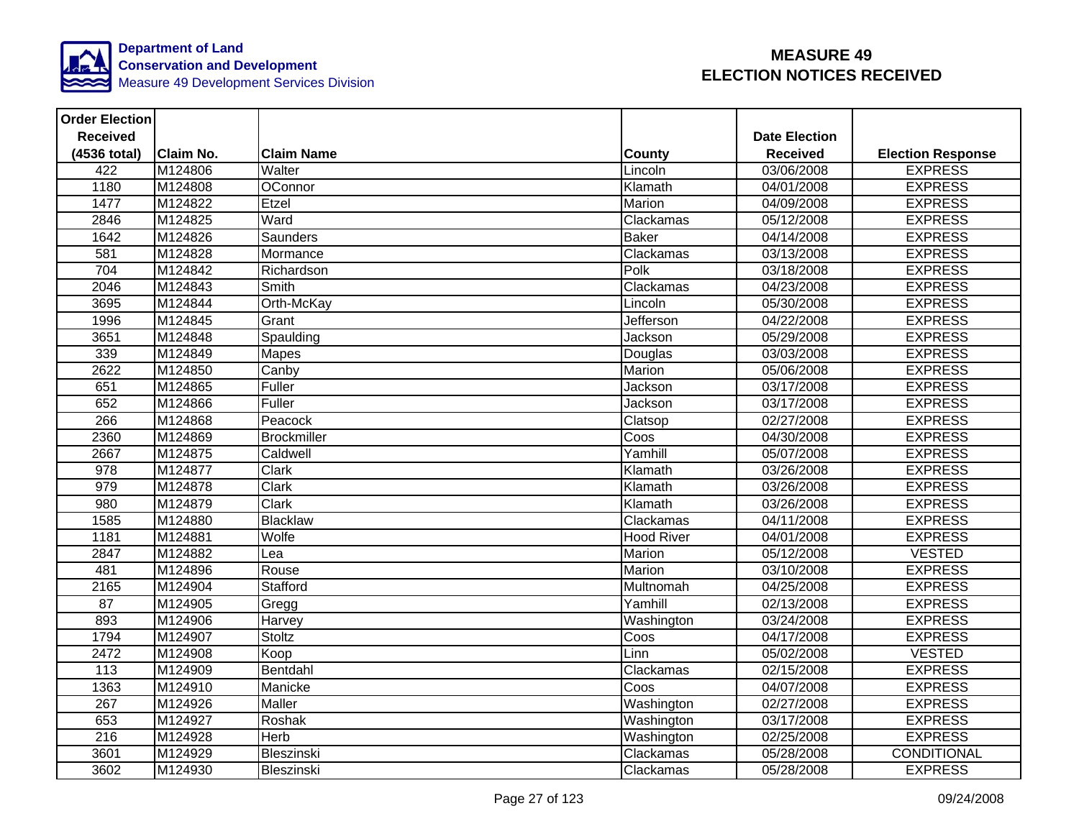

| <b>Order Election</b> |                  |                    |               |                      |                          |
|-----------------------|------------------|--------------------|---------------|----------------------|--------------------------|
| <b>Received</b>       |                  |                    |               | <b>Date Election</b> |                          |
| (4536 total)          | <b>Claim No.</b> | <b>Claim Name</b>  | <b>County</b> | <b>Received</b>      | <b>Election Response</b> |
| 422                   | M124806          | Walter             | Lincoln       | 03/06/2008           | <b>EXPRESS</b>           |
| 1180                  | M124808          | OConnor            | Klamath       | 04/01/2008           | <b>EXPRESS</b>           |
| 1477                  | M124822          | Etzel              | Marion        | 04/09/2008           | <b>EXPRESS</b>           |
| 2846                  | M124825          | Ward               | Clackamas     | 05/12/2008           | <b>EXPRESS</b>           |
| 1642                  | M124826          | <b>Saunders</b>    | <b>Baker</b>  | 04/14/2008           | <b>EXPRESS</b>           |
| 581                   | M124828          | Mormance           | Clackamas     | 03/13/2008           | <b>EXPRESS</b>           |
| 704                   | M124842          | Richardson         | Polk          | 03/18/2008           | <b>EXPRESS</b>           |
| 2046                  | M124843          | <b>Smith</b>       | Clackamas     | 04/23/2008           | <b>EXPRESS</b>           |
| 3695                  | M124844          | Orth-McKay         | Lincoln       | 05/30/2008           | <b>EXPRESS</b>           |
| 1996                  | M124845          | Grant              | Jefferson     | 04/22/2008           | <b>EXPRESS</b>           |
| 3651                  | M124848          | Spaulding          | Jackson       | 05/29/2008           | <b>EXPRESS</b>           |
| 339                   | M124849          | <b>Mapes</b>       | Douglas       | 03/03/2008           | <b>EXPRESS</b>           |
| 2622                  | M124850          | Canby              | Marion        | 05/06/2008           | <b>EXPRESS</b>           |
| 651                   | M124865          | Fuller             | Jackson       | 03/17/2008           | <b>EXPRESS</b>           |
| 652                   | M124866          | Fuller             | Jackson       | 03/17/2008           | <b>EXPRESS</b>           |
| 266                   | M124868          | Peacock            | Clatsop       | 02/27/2008           | <b>EXPRESS</b>           |
| 2360                  | M124869          | <b>Brockmiller</b> | Coos          | 04/30/2008           | <b>EXPRESS</b>           |
| 2667                  | M124875          | Caldwell           | Yamhill       | 05/07/2008           | <b>EXPRESS</b>           |
| 978                   | M124877          | <b>Clark</b>       | Klamath       | 03/26/2008           | <b>EXPRESS</b>           |
| 979                   | M124878          | Clark              | Klamath       | 03/26/2008           | <b>EXPRESS</b>           |
| 980                   | M124879          | Clark              | Klamath       | 03/26/2008           | <b>EXPRESS</b>           |
| 1585                  | M124880          | Blacklaw           | Clackamas     | 04/11/2008           | <b>EXPRESS</b>           |
| 1181                  | M124881          | Wolfe              | Hood River    | 04/01/2008           | <b>EXPRESS</b>           |
| 2847                  | M124882          | Lea                | Marion        | 05/12/2008           | <b>VESTED</b>            |
| 481                   | M124896          | Rouse              | Marion        | 03/10/2008           | <b>EXPRESS</b>           |
| 2165                  | M124904          | Stafford           | Multnomah     | 04/25/2008           | <b>EXPRESS</b>           |
| 87                    | M124905          | Gregg              | Yamhill       | 02/13/2008           | <b>EXPRESS</b>           |
| 893                   | M124906          | Harvey             | Washington    | 03/24/2008           | <b>EXPRESS</b>           |
| 1794                  | M124907          | Stoltz             | Coos          | 04/17/2008           | <b>EXPRESS</b>           |
| 2472                  | M124908          | Koop               | Linn          | 05/02/2008           | <b>VESTED</b>            |
| 113                   | M124909          | Bentdahl           | Clackamas     | 02/15/2008           | <b>EXPRESS</b>           |
| 1363                  | M124910          | Manicke            | Coos          | 04/07/2008           | <b>EXPRESS</b>           |
| $\overline{267}$      | M124926          | Maller             | Washington    | 02/27/2008           | <b>EXPRESS</b>           |
| 653                   | M124927          | Roshak             | Washington    | 03/17/2008           | <b>EXPRESS</b>           |
| 216                   | M124928          | <b>Herb</b>        | Washington    | 02/25/2008           | <b>EXPRESS</b>           |
| 3601                  | M124929          | Bleszinski         | Clackamas     | 05/28/2008           | CONDITIONAL              |
| 3602                  | M124930          | Bleszinski         | Clackamas     | 05/28/2008           | <b>EXPRESS</b>           |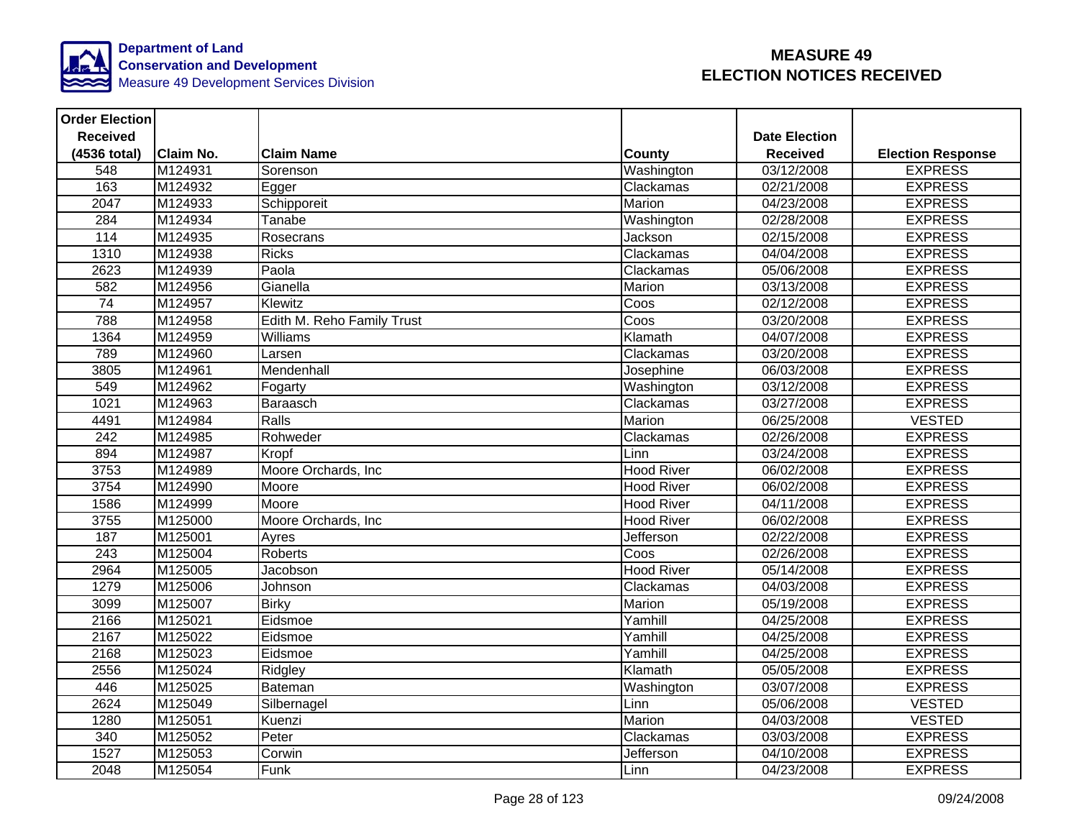

| <b>Order Election</b> |                  |                            |                   |                         |                          |
|-----------------------|------------------|----------------------------|-------------------|-------------------------|--------------------------|
| <b>Received</b>       |                  |                            |                   | <b>Date Election</b>    |                          |
| (4536 total)          | <b>Claim No.</b> | <b>Claim Name</b>          | <b>County</b>     | <b>Received</b>         | <b>Election Response</b> |
| 548                   | M124931          | Sorenson                   | Washington        | 03/12/2008              | <b>EXPRESS</b>           |
| 163                   | M124932          | Egger                      | Clackamas         | 02/21/2008              | <b>EXPRESS</b>           |
| 2047                  | M124933          | Schipporeit                | Marion            | 04/23/2008              | <b>EXPRESS</b>           |
| 284                   | M124934          | Tanabe                     | Washington        | 02/28/2008              | <b>EXPRESS</b>           |
| $\frac{1}{114}$       | M124935          | Rosecrans                  | Jackson           | 02/15/2008              | <b>EXPRESS</b>           |
| 1310                  | M124938          | <b>Ricks</b>               | Clackamas         | 04/04/2008              | <b>EXPRESS</b>           |
| 2623                  | M124939          | Paola                      | Clackamas         | 05/06/2008              | <b>EXPRESS</b>           |
| 582                   | M124956          | Gianella                   | <b>Marion</b>     | 03/13/2008              | <b>EXPRESS</b>           |
| 74                    | M124957          | Klewitz                    | Coos              | 02/12/2008              | <b>EXPRESS</b>           |
| 788                   | M124958          | Edith M. Reho Family Trust | Coos              | 03/20/2008              | <b>EXPRESS</b>           |
| 1364                  | M124959          | Williams                   | Klamath           | 04/07/2008              | <b>EXPRESS</b>           |
| 789                   | M124960          | Larsen                     | Clackamas         | 03/20/2008              | <b>EXPRESS</b>           |
| 3805                  | M124961          | Mendenhall                 | Josephine         | 06/03/2008              | <b>EXPRESS</b>           |
| 549                   | M124962          | Fogarty                    | Washington        | 03/12/2008              | <b>EXPRESS</b>           |
| 1021                  | M124963          | Baraasch                   | Clackamas         | 03/27/2008              | <b>EXPRESS</b>           |
| 4491                  | M124984          | Ralls                      | Marion            | 06/25/2008              | <b>VESTED</b>            |
| 242                   | M124985          | Rohweder                   | Clackamas         | 02/26/2008              | <b>EXPRESS</b>           |
| 894                   | M124987          | Kropf                      | Linn              | 03/24/2008              | <b>EXPRESS</b>           |
| 3753                  | M124989          | Moore Orchards, Inc        | <b>Hood River</b> | 06/02/2008              | <b>EXPRESS</b>           |
| 3754                  | M124990          | Moore                      | <b>Hood River</b> | 06/02/2008              | <b>EXPRESS</b>           |
| 1586                  | M124999          | Moore                      | <b>Hood River</b> | 04/11/2008              | <b>EXPRESS</b>           |
| 3755                  | M125000          | Moore Orchards, Inc        | <b>Hood River</b> | 06/02/2008              | <b>EXPRESS</b>           |
| 187                   | M125001          | Ayres                      | Jefferson         | $\overline{02/22/2008}$ | <b>EXPRESS</b>           |
| $\overline{243}$      | M125004          | Roberts                    | Coos              | 02/26/2008              | <b>EXPRESS</b>           |
| 2964                  | M125005          | Jacobson                   | <b>Hood River</b> | 05/14/2008              | <b>EXPRESS</b>           |
| 1279                  | M125006          | Johnson                    | Clackamas         | 04/03/2008              | <b>EXPRESS</b>           |
| 3099                  | M125007          | <b>Birky</b>               | Marion            | 05/19/2008              | <b>EXPRESS</b>           |
| 2166                  | M125021          | Eidsmoe                    | Yamhill           | 04/25/2008              | <b>EXPRESS</b>           |
| 2167                  | M125022          | Eidsmoe                    | Yamhill           | 04/25/2008              | <b>EXPRESS</b>           |
| 2168                  | M125023          | Eidsmoe                    | Yamhill           | 04/25/2008              | <b>EXPRESS</b>           |
| 2556                  | M125024          | Ridgley                    | Klamath           | 05/05/2008              | <b>EXPRESS</b>           |
| 446                   | M125025          | Bateman                    | Washington        | 03/07/2008              | <b>EXPRESS</b>           |
| 2624                  | M125049          | Silbernagel                | Linn              | 05/06/2008              | <b>VESTED</b>            |
| 1280                  | M125051          | Kuenzi                     | Marion            | 04/03/2008              | <b>VESTED</b>            |
| 340                   | M125052          | Peter                      | Clackamas         | 03/03/2008              | <b>EXPRESS</b>           |
| 1527                  | M125053          | Corwin                     | Jefferson         | 04/10/2008              | <b>EXPRESS</b>           |
| 2048                  | M125054          | Funk                       | Linn              | 04/23/2008              | <b>EXPRESS</b>           |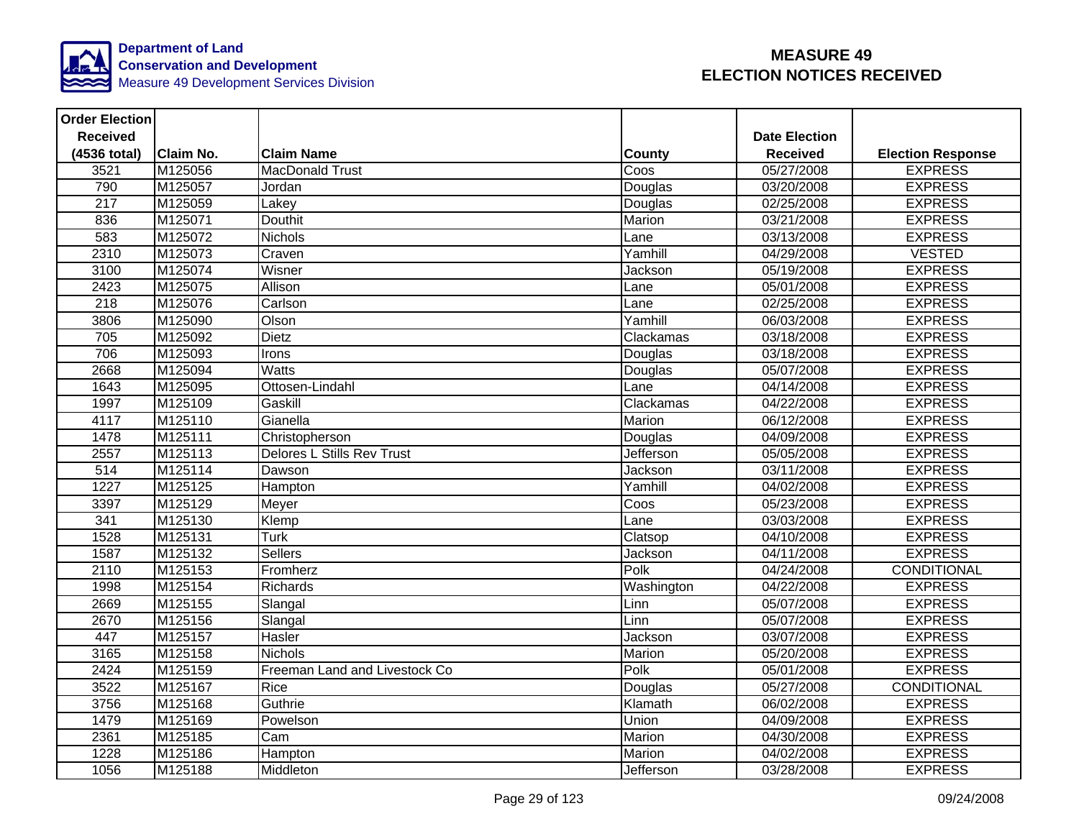

| <b>Order Election</b> |                  |                                   |               |                      |                          |
|-----------------------|------------------|-----------------------------------|---------------|----------------------|--------------------------|
| <b>Received</b>       |                  |                                   |               | <b>Date Election</b> |                          |
| (4536 total)          | <b>Claim No.</b> | <b>Claim Name</b>                 | <b>County</b> | <b>Received</b>      | <b>Election Response</b> |
| 3521                  | M125056          | <b>MacDonald Trust</b>            | Coos          | 05/27/2008           | <b>EXPRESS</b>           |
| 790                   | M125057          | Jordan                            | Douglas       | 03/20/2008           | <b>EXPRESS</b>           |
| 217                   | M125059          | Lakey                             | Douglas       | 02/25/2008           | <b>EXPRESS</b>           |
| 836                   | M125071          | <b>Douthit</b>                    | Marion        | 03/21/2008           | <b>EXPRESS</b>           |
| 583                   | M125072          | <b>Nichols</b>                    | Lane          | 03/13/2008           | <b>EXPRESS</b>           |
| 2310                  | M125073          | Craven                            | Yamhill       | 04/29/2008           | <b>VESTED</b>            |
| 3100                  | M125074          | Wisner                            | Jackson       | 05/19/2008           | <b>EXPRESS</b>           |
| 2423                  | M125075          | Allison                           | Lane          | 05/01/2008           | <b>EXPRESS</b>           |
| $\overline{218}$      | M125076          | Carlson                           | Lane          | 02/25/2008           | <b>EXPRESS</b>           |
| 3806                  | M125090          | Olson                             | Yamhill       | 06/03/2008           | <b>EXPRESS</b>           |
| 705                   | M125092          | <b>Dietz</b>                      | Clackamas     | 03/18/2008           | <b>EXPRESS</b>           |
| 706                   | M125093          | Irons                             | Douglas       | 03/18/2008           | <b>EXPRESS</b>           |
| 2668                  | M125094          | Watts                             | Douglas       | 05/07/2008           | <b>EXPRESS</b>           |
| 1643                  | M125095          | Ottosen-Lindahl                   | Lane          | 04/14/2008           | <b>EXPRESS</b>           |
| 1997                  | M125109          | Gaskill                           | Clackamas     | 04/22/2008           | <b>EXPRESS</b>           |
| 4117                  | M125110          | Gianella                          | Marion        | 06/12/2008           | <b>EXPRESS</b>           |
| 1478                  | M125111          | Christopherson                    | Douglas       | 04/09/2008           | <b>EXPRESS</b>           |
| 2557                  | M125113          | <b>Delores L Stills Rev Trust</b> | Jefferson     | 05/05/2008           | <b>EXPRESS</b>           |
| $\overline{514}$      | M125114          | Dawson                            | Jackson       | 03/11/2008           | <b>EXPRESS</b>           |
| 1227                  | M125125          | Hampton                           | Yamhill       | 04/02/2008           | <b>EXPRESS</b>           |
| 3397                  | M125129          | Meyer                             | Coos          | 05/23/2008           | <b>EXPRESS</b>           |
| 341                   | M125130          | Klemp                             | Lane          | 03/03/2008           | <b>EXPRESS</b>           |
| 1528                  | M125131          | <b>Turk</b>                       | Clatsop       | 04/10/2008           | <b>EXPRESS</b>           |
| 1587                  | M125132          | <b>Sellers</b>                    | Jackson       | 04/11/2008           | <b>EXPRESS</b>           |
| 2110                  | M125153          | Fromherz                          | Polk          | 04/24/2008           | <b>CONDITIONAL</b>       |
| 1998                  | M125154          | <b>Richards</b>                   | Washington    | 04/22/2008           | <b>EXPRESS</b>           |
| 2669                  | M125155          | Slangal                           | Linn          | 05/07/2008           | <b>EXPRESS</b>           |
| 2670                  | M125156          | Slangal                           | Linn          | 05/07/2008           | <b>EXPRESS</b>           |
| 447                   | M125157          | Hasler                            | Jackson       | 03/07/2008           | <b>EXPRESS</b>           |
| 3165                  | M125158          | <b>Nichols</b>                    | Marion        | 05/20/2008           | <b>EXPRESS</b>           |
| 2424                  | M125159          | Freeman Land and Livestock Co     | Polk          | 05/01/2008           | <b>EXPRESS</b>           |
| 3522                  | M125167          | Rice                              | Douglas       | 05/27/2008           | CONDITIONAL              |
| 3756                  | M125168          | Guthrie                           | Klamath       | 06/02/2008           | <b>EXPRESS</b>           |
| 1479                  | M125169          | Powelson                          | Union         | 04/09/2008           | <b>EXPRESS</b>           |
| 2361                  | M125185          | Cam                               | Marion        | 04/30/2008           | <b>EXPRESS</b>           |
| 1228                  | M125186          | Hampton                           | Marion        | 04/02/2008           | <b>EXPRESS</b>           |
| 1056                  | M125188          | Middleton                         | Jefferson     | 03/28/2008           | <b>EXPRESS</b>           |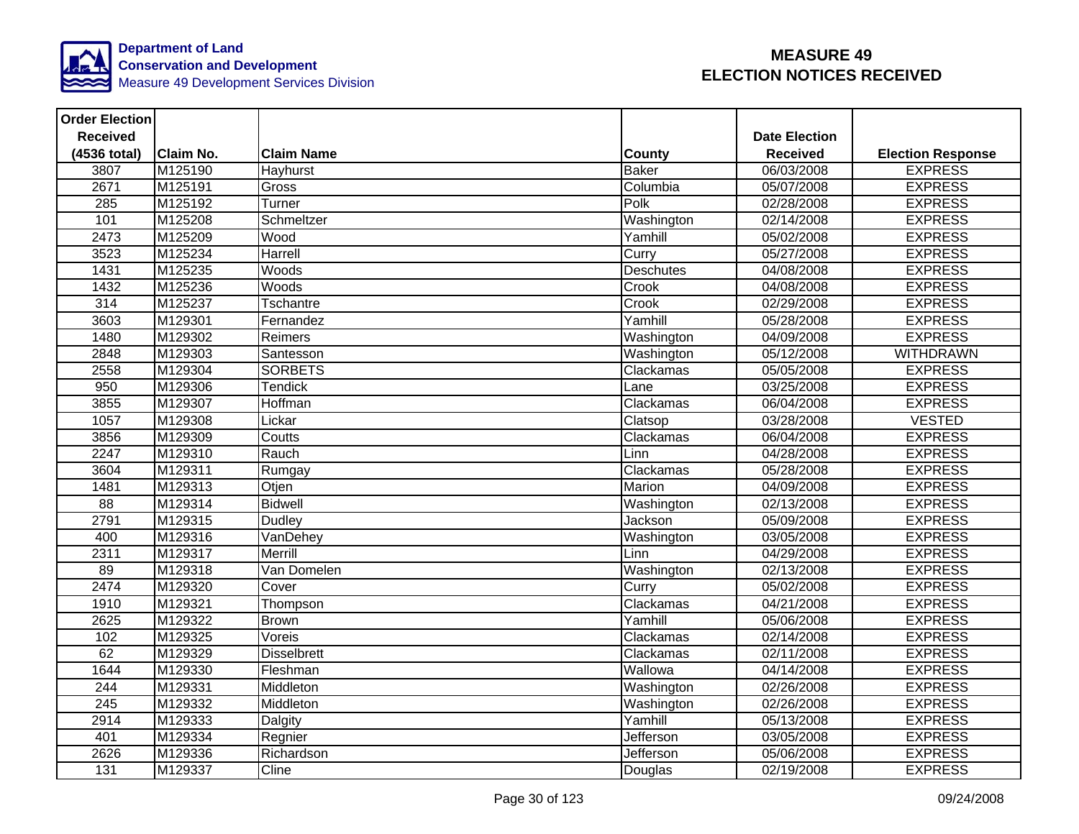

| <b>Order Election</b> |                  |                    |              |                      |                          |
|-----------------------|------------------|--------------------|--------------|----------------------|--------------------------|
| <b>Received</b>       |                  |                    |              | <b>Date Election</b> |                          |
| (4536 total)          | <b>Claim No.</b> | <b>Claim Name</b>  | County       | <b>Received</b>      | <b>Election Response</b> |
| 3807                  | M125190          | Hayhurst           | <b>Baker</b> | 06/03/2008           | <b>EXPRESS</b>           |
| 2671                  | M125191          | Gross              | Columbia     | 05/07/2008           | <b>EXPRESS</b>           |
| 285                   | M125192          | Turner             | Polk         | 02/28/2008           | <b>EXPRESS</b>           |
| 101                   | M125208          | Schmeltzer         | Washington   | 02/14/2008           | <b>EXPRESS</b>           |
| 2473                  | M125209          | Wood               | Yamhill      | 05/02/2008           | <b>EXPRESS</b>           |
| 3523                  | M125234          | Harrell            | Curry        | 05/27/2008           | <b>EXPRESS</b>           |
| 1431                  | M125235          | Woods              | Deschutes    | 04/08/2008           | <b>EXPRESS</b>           |
| 1432                  | M125236          | Woods              | Crook        | 04/08/2008           | <b>EXPRESS</b>           |
| 314                   | M125237          | Tschantre          | Crook        | 02/29/2008           | <b>EXPRESS</b>           |
| 3603                  | M129301          | Fernandez          | Yamhill      | 05/28/2008           | <b>EXPRESS</b>           |
| 1480                  | M129302          | Reimers            | Washington   | 04/09/2008           | <b>EXPRESS</b>           |
| 2848                  | M129303          | Santesson          | Washington   | 05/12/2008           | <b>WITHDRAWN</b>         |
| 2558                  | M129304          | <b>SORBETS</b>     | Clackamas    | 05/05/2008           | <b>EXPRESS</b>           |
| 950                   | M129306          | Tendick            | Lane         | 03/25/2008           | <b>EXPRESS</b>           |
| 3855                  | M129307          | Hoffman            | Clackamas    | 06/04/2008           | <b>EXPRESS</b>           |
| 1057                  | M129308          | Lickar             | Clatsop      | 03/28/2008           | <b>VESTED</b>            |
| 3856                  | M129309          | Coutts             | Clackamas    | 06/04/2008           | <b>EXPRESS</b>           |
| 2247                  | M129310          | Rauch              | Linn         | 04/28/2008           | <b>EXPRESS</b>           |
| 3604                  | M129311          | Rumgay             | Clackamas    | 05/28/2008           | <b>EXPRESS</b>           |
| 1481                  | M129313          | Otjen              | Marion       | 04/09/2008           | <b>EXPRESS</b>           |
| $\overline{88}$       | M129314          | <b>Bidwell</b>     | Washington   | 02/13/2008           | <b>EXPRESS</b>           |
| 2791                  | M129315          | Dudley             | Jackson      | 05/09/2008           | <b>EXPRESS</b>           |
| 400                   | M129316          | VanDehey           | Washington   | 03/05/2008           | <b>EXPRESS</b>           |
| 2311                  | M129317          | Merrill            | Linn         | 04/29/2008           | <b>EXPRESS</b>           |
| 89                    | M129318          | Van Domelen        | Washington   | 02/13/2008           | <b>EXPRESS</b>           |
| 2474                  | M129320          | Cover              | Curry        | 05/02/2008           | <b>EXPRESS</b>           |
| 1910                  | M129321          | Thompson           | Clackamas    | 04/21/2008           | <b>EXPRESS</b>           |
| 2625                  | M129322          | <b>Brown</b>       | Yamhill      | 05/06/2008           | <b>EXPRESS</b>           |
| 102                   | M129325          | Voreis             | Clackamas    | 02/14/2008           | <b>EXPRESS</b>           |
| 62                    | M129329          | <b>Disselbrett</b> | Clackamas    | 02/11/2008           | <b>EXPRESS</b>           |
| 1644                  | M129330          | Fleshman           | Wallowa      | 04/14/2008           | <b>EXPRESS</b>           |
| 244                   | M129331          | Middleton          | Washington   | 02/26/2008           | <b>EXPRESS</b>           |
| $\overline{245}$      | M129332          | Middleton          | Washington   | 02/26/2008           | <b>EXPRESS</b>           |
| 2914                  | M129333          | Dalgity            | Yamhill      | 05/13/2008           | <b>EXPRESS</b>           |
| 401                   | M129334          | Regnier            | Jefferson    | 03/05/2008           | <b>EXPRESS</b>           |
| 2626                  | M129336          | Richardson         | Jefferson    | 05/06/2008           | <b>EXPRESS</b>           |
| 131                   | M129337          | Cline              | Douglas      | 02/19/2008           | <b>EXPRESS</b>           |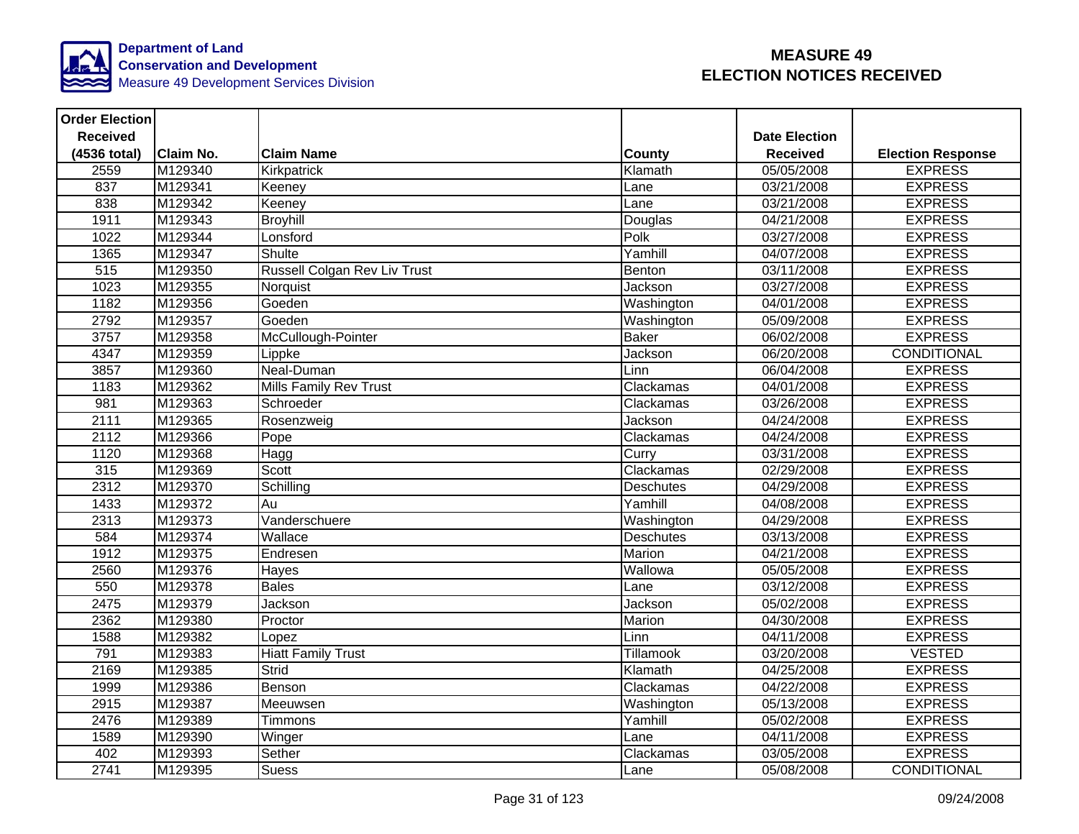

| <b>Order Election</b> |                  |                               |                  |                      |                          |
|-----------------------|------------------|-------------------------------|------------------|----------------------|--------------------------|
| <b>Received</b>       |                  |                               |                  | <b>Date Election</b> |                          |
| (4536 total)          | <b>Claim No.</b> | <b>Claim Name</b>             | <b>County</b>    | <b>Received</b>      | <b>Election Response</b> |
| 2559                  | M129340          | Kirkpatrick                   | Klamath          | 05/05/2008           | <b>EXPRESS</b>           |
| 837                   | M129341          | Keeney                        | Lane             | 03/21/2008           | <b>EXPRESS</b>           |
| 838                   | M129342          | Keeney                        | Lane             | 03/21/2008           | <b>EXPRESS</b>           |
| 1911                  | M129343          | <b>Broyhill</b>               | Douglas          | 04/21/2008           | <b>EXPRESS</b>           |
| 1022                  | M129344          | Lonsford                      | Polk             | 03/27/2008           | <b>EXPRESS</b>           |
| 1365                  | M129347          | Shulte                        | Yamhill          | 04/07/2008           | <b>EXPRESS</b>           |
| 515                   | M129350          | Russell Colgan Rev Liv Trust  | Benton           | 03/11/2008           | <b>EXPRESS</b>           |
| 1023                  | M129355          | Norquist                      | Jackson          | 03/27/2008           | <b>EXPRESS</b>           |
| 1182                  | M129356          | Goeden                        | Washington       | 04/01/2008           | <b>EXPRESS</b>           |
| 2792                  | M129357          | Goeden                        | Washington       | 05/09/2008           | <b>EXPRESS</b>           |
| 3757                  | M129358          | McCullough-Pointer            | <b>Baker</b>     | 06/02/2008           | <b>EXPRESS</b>           |
| 4347                  | M129359          | Lippke                        | Jackson          | 06/20/2008           | CONDITIONAL              |
| 3857                  | M129360          | Neal-Duman                    | Linn             | 06/04/2008           | <b>EXPRESS</b>           |
| 1183                  | M129362          | <b>Mills Family Rev Trust</b> | Clackamas        | 04/01/2008           | <b>EXPRESS</b>           |
| $\overline{981}$      | M129363          | Schroeder                     | Clackamas        | 03/26/2008           | <b>EXPRESS</b>           |
| 2111                  | M129365          | Rosenzweig                    | Jackson          | 04/24/2008           | <b>EXPRESS</b>           |
| 2112                  | M129366          | Pope                          | Clackamas        | 04/24/2008           | <b>EXPRESS</b>           |
| 1120                  | M129368          | Hagg                          | Curry            | 03/31/2008           | <b>EXPRESS</b>           |
| 315                   | M129369          | <b>Scott</b>                  | Clackamas        | 02/29/2008           | <b>EXPRESS</b>           |
| 2312                  | M129370          | Schilling                     | <b>Deschutes</b> | 04/29/2008           | <b>EXPRESS</b>           |
| 1433                  | M129372          | Au                            | Yamhill          | 04/08/2008           | <b>EXPRESS</b>           |
| 2313                  | M129373          | Vanderschuere                 | Washington       | 04/29/2008           | <b>EXPRESS</b>           |
| 584                   | M129374          | Wallace                       | <b>Deschutes</b> | 03/13/2008           | <b>EXPRESS</b>           |
| 1912                  | M129375          | Endresen                      | Marion           | 04/21/2008           | <b>EXPRESS</b>           |
| 2560                  | M129376          | Hayes                         | Wallowa          | 05/05/2008           | <b>EXPRESS</b>           |
| 550                   | M129378          | <b>Bales</b>                  | Lane             | 03/12/2008           | <b>EXPRESS</b>           |
| 2475                  | M129379          | Jackson                       | Jackson          | 05/02/2008           | <b>EXPRESS</b>           |
| 2362                  | M129380          | Proctor                       | Marion           | 04/30/2008           | <b>EXPRESS</b>           |
| 1588                  | M129382          | Lopez                         | Linn             | 04/11/2008           | <b>EXPRESS</b>           |
| 791                   | M129383          | <b>Hiatt Family Trust</b>     | <b>Tillamook</b> | 03/20/2008           | <b>VESTED</b>            |
| 2169                  | M129385          | Strid                         | Klamath          | 04/25/2008           | <b>EXPRESS</b>           |
| 1999                  | M129386          | Benson                        | Clackamas        | 04/22/2008           | <b>EXPRESS</b>           |
| 2915                  | M129387          | Meeuwsen                      | Washington       | 05/13/2008           | <b>EXPRESS</b>           |
| 2476                  | M129389          | Timmons                       | Yamhill          | 05/02/2008           | <b>EXPRESS</b>           |
| 1589                  | M129390          | Winger                        | Lane             | 04/11/2008           | <b>EXPRESS</b>           |
| 402                   | M129393          | Sether                        | Clackamas        | 03/05/2008           | <b>EXPRESS</b>           |
| 2741                  | M129395          | <b>Suess</b>                  | Lane             | 05/08/2008           | CONDITIONAL              |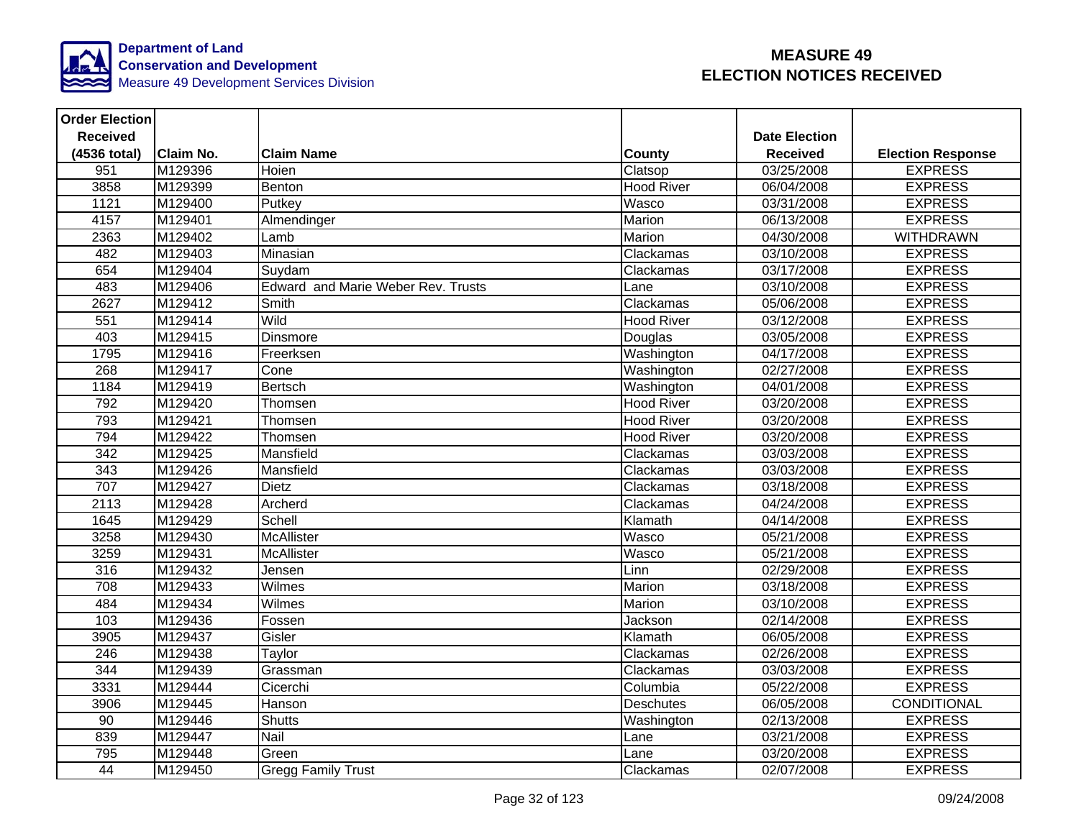

| <b>Order Election</b> |                  |                                           |                   |                      |                          |
|-----------------------|------------------|-------------------------------------------|-------------------|----------------------|--------------------------|
| <b>Received</b>       |                  |                                           |                   | <b>Date Election</b> |                          |
| (4536 total)          | <b>Claim No.</b> | <b>Claim Name</b>                         | County            | <b>Received</b>      | <b>Election Response</b> |
| 951                   | M129396          | Hoien                                     | Clatsop           | 03/25/2008           | <b>EXPRESS</b>           |
| 3858                  | M129399          | Benton                                    | <b>Hood River</b> | 06/04/2008           | <b>EXPRESS</b>           |
| 1121                  | M129400          | Putkey                                    | Wasco             | 03/31/2008           | <b>EXPRESS</b>           |
| 4157                  | M129401          | Almendinger                               | Marion            | 06/13/2008           | <b>EXPRESS</b>           |
| 2363                  | M129402          | Lamb                                      | Marion            | 04/30/2008           | <b>WITHDRAWN</b>         |
| 482                   | M129403          | Minasian                                  | Clackamas         | 03/10/2008           | <b>EXPRESS</b>           |
| 654                   | M129404          | Suydam                                    | Clackamas         | 03/17/2008           | <b>EXPRESS</b>           |
| 483                   | M129406          | <b>Edward and Marie Weber Rev. Trusts</b> | Lane              | 03/10/2008           | <b>EXPRESS</b>           |
| 2627                  | M129412          | Smith                                     | Clackamas         | 05/06/2008           | <b>EXPRESS</b>           |
| 551                   | M129414          | <b>Wild</b>                               | <b>Hood River</b> | 03/12/2008           | <b>EXPRESS</b>           |
| 403                   | M129415          | <b>Dinsmore</b>                           | Douglas           | 03/05/2008           | <b>EXPRESS</b>           |
| 1795                  | M129416          | Freerksen                                 | Washington        | 04/17/2008           | <b>EXPRESS</b>           |
| 268                   | M129417          | Cone                                      | Washington        | 02/27/2008           | <b>EXPRESS</b>           |
| 1184                  | M129419          | <b>Bertsch</b>                            | Washington        | 04/01/2008           | <b>EXPRESS</b>           |
| 792                   | M129420          | Thomsen                                   | <b>Hood River</b> | 03/20/2008           | <b>EXPRESS</b>           |
| 793                   | M129421          | Thomsen                                   | <b>Hood River</b> | 03/20/2008           | <b>EXPRESS</b>           |
| 794                   | M129422          | Thomsen                                   | <b>Hood River</b> | 03/20/2008           | <b>EXPRESS</b>           |
| 342                   | M129425          | Mansfield                                 | Clackamas         | 03/03/2008           | <b>EXPRESS</b>           |
| $\frac{1}{343}$       | M129426          | Mansfield                                 | Clackamas         | 03/03/2008           | <b>EXPRESS</b>           |
| 707                   | M129427          | <b>Dietz</b>                              | Clackamas         | 03/18/2008           | <b>EXPRESS</b>           |
| 2113                  | M129428          | Archerd                                   | Clackamas         | 04/24/2008           | <b>EXPRESS</b>           |
| 1645                  | M129429          | Schell                                    | Klamath           | 04/14/2008           | <b>EXPRESS</b>           |
| 3258                  | M129430          | <b>McAllister</b>                         | Wasco             | 05/21/2008           | <b>EXPRESS</b>           |
| 3259                  | M129431          | McAllister                                | Wasco             | 05/21/2008           | <b>EXPRESS</b>           |
| 316                   | M129432          | Jensen                                    | Linn              | 02/29/2008           | <b>EXPRESS</b>           |
| 708                   | M129433          | Wilmes                                    | Marion            | 03/18/2008           | <b>EXPRESS</b>           |
| 484                   | M129434          | Wilmes                                    | Marion            | 03/10/2008           | <b>EXPRESS</b>           |
| 103                   | M129436          | Fossen                                    | Jackson           | 02/14/2008           | <b>EXPRESS</b>           |
| 3905                  | M129437          | Gisler                                    | Klamath           | 06/05/2008           | <b>EXPRESS</b>           |
| $\overline{246}$      | M129438          | Taylor                                    | Clackamas         | 02/26/2008           | <b>EXPRESS</b>           |
| 344                   | M129439          | Grassman                                  | Clackamas         | 03/03/2008           | <b>EXPRESS</b>           |
| 3331                  | M129444          | Cicerchi                                  | Columbia          | 05/22/2008           | <b>EXPRESS</b>           |
| 3906                  | M129445          | Hanson                                    | Deschutes         | 06/05/2008           | <b>CONDITIONAL</b>       |
| 90                    | M129446          | <b>Shutts</b>                             | Washington        | 02/13/2008           | <b>EXPRESS</b>           |
| 839                   | M129447          | <b>Nail</b>                               | Lane              | 03/21/2008           | <b>EXPRESS</b>           |
| 795                   | M129448          | Green                                     | Lane              | 03/20/2008           | <b>EXPRESS</b>           |
| 44                    | M129450          | <b>Gregg Family Trust</b>                 | Clackamas         | 02/07/2008           | <b>EXPRESS</b>           |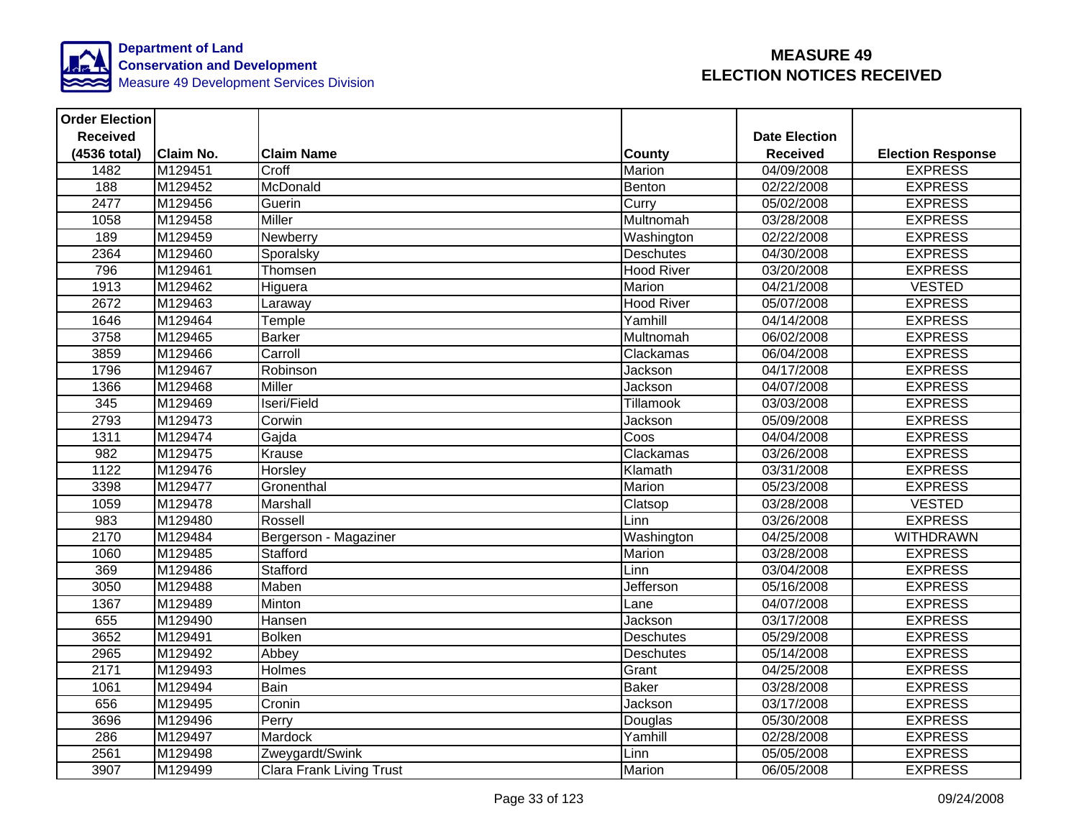

| <b>Order Election</b> |                  |                                 |                   |                      |                          |
|-----------------------|------------------|---------------------------------|-------------------|----------------------|--------------------------|
| <b>Received</b>       |                  |                                 |                   | <b>Date Election</b> |                          |
| (4536 total)          | <b>Claim No.</b> | <b>Claim Name</b>               | County            | <b>Received</b>      | <b>Election Response</b> |
| 1482                  | M129451          | Croff                           | Marion            | 04/09/2008           | <b>EXPRESS</b>           |
| 188                   | M129452          | McDonald                        | Benton            | 02/22/2008           | <b>EXPRESS</b>           |
| 2477                  | M129456          | Guerin                          | Curry             | 05/02/2008           | <b>EXPRESS</b>           |
| 1058                  | M129458          | <b>Miller</b>                   | Multnomah         | 03/28/2008           | <b>EXPRESS</b>           |
| 189                   | M129459          | Newberry                        | Washington        | 02/22/2008           | <b>EXPRESS</b>           |
| 2364                  | M129460          | Sporalsky                       | Deschutes         | 04/30/2008           | <b>EXPRESS</b>           |
| 796                   | M129461          | Thomsen                         | <b>Hood River</b> | 03/20/2008           | <b>EXPRESS</b>           |
| 1913                  | M129462          | Higuera                         | <b>Marion</b>     | 04/21/2008           | <b>VESTED</b>            |
| 2672                  | M129463          | Laraway                         | <b>Hood River</b> | 05/07/2008           | <b>EXPRESS</b>           |
| 1646                  | M129464          | Temple                          | Yamhill           | 04/14/2008           | <b>EXPRESS</b>           |
| 3758                  | M129465          | <b>Barker</b>                   | Multnomah         | 06/02/2008           | <b>EXPRESS</b>           |
| 3859                  | M129466          | Carroll                         | Clackamas         | 06/04/2008           | <b>EXPRESS</b>           |
| 1796                  | M129467          | Robinson                        | Jackson           | 04/17/2008           | <b>EXPRESS</b>           |
| 1366                  | M129468          | <b>Miller</b>                   | Jackson           | 04/07/2008           | <b>EXPRESS</b>           |
| 345                   | M129469          | Iseri/Field                     | Tillamook         | 03/03/2008           | <b>EXPRESS</b>           |
| 2793                  | M129473          | Corwin                          | Jackson           | 05/09/2008           | <b>EXPRESS</b>           |
| 1311                  | M129474          | Gajda                           | Coos              | 04/04/2008           | <b>EXPRESS</b>           |
| 982                   | M129475          | Krause                          | Clackamas         | 03/26/2008           | <b>EXPRESS</b>           |
| 1122                  | M129476          | Horsley                         | Klamath           | 03/31/2008           | <b>EXPRESS</b>           |
| 3398                  | M129477          | Gronenthal                      | Marion            | 05/23/2008           | <b>EXPRESS</b>           |
| 1059                  | M129478          | Marshall                        | Clatsop           | 03/28/2008           | <b>VESTED</b>            |
| 983                   | M129480          | Rossell                         | Linn              | 03/26/2008           | <b>EXPRESS</b>           |
| 2170                  | M129484          | Bergerson - Magaziner           | Washington        | 04/25/2008           | <b>WITHDRAWN</b>         |
| 1060                  | M129485          | Stafford                        | <b>Marion</b>     | 03/28/2008           | <b>EXPRESS</b>           |
| 369                   | M129486          | Stafford                        | Linn              | 03/04/2008           | <b>EXPRESS</b>           |
| 3050                  | M129488          | Maben                           | Jefferson         | 05/16/2008           | <b>EXPRESS</b>           |
| 1367                  | M129489          | Minton                          | Lane              | 04/07/2008           | <b>EXPRESS</b>           |
| 655                   | M129490          | Hansen                          | Jackson           | 03/17/2008           | <b>EXPRESS</b>           |
| 3652                  | M129491          | Bolken                          | Deschutes         | 05/29/2008           | <b>EXPRESS</b>           |
| 2965                  | M129492          | Abbey                           | Deschutes         | 05/14/2008           | <b>EXPRESS</b>           |
| 2171                  | M129493          | Holmes                          | Grant             | 04/25/2008           | <b>EXPRESS</b>           |
| 1061                  | M129494          | Bain                            | <b>Baker</b>      | 03/28/2008           | <b>EXPRESS</b>           |
| 656                   | M129495          | Cronin                          | Jackson           | 03/17/2008           | <b>EXPRESS</b>           |
| 3696                  | M129496          | Perry                           | Douglas           | 05/30/2008           | <b>EXPRESS</b>           |
| 286                   | M129497          | Mardock                         | Yamhill           | 02/28/2008           | <b>EXPRESS</b>           |
| 2561                  | M129498          | Zweygardt/Swink                 | Linn              | 05/05/2008           | <b>EXPRESS</b>           |
| 3907                  | M129499          | <b>Clara Frank Living Trust</b> | Marion            | 06/05/2008           | <b>EXPRESS</b>           |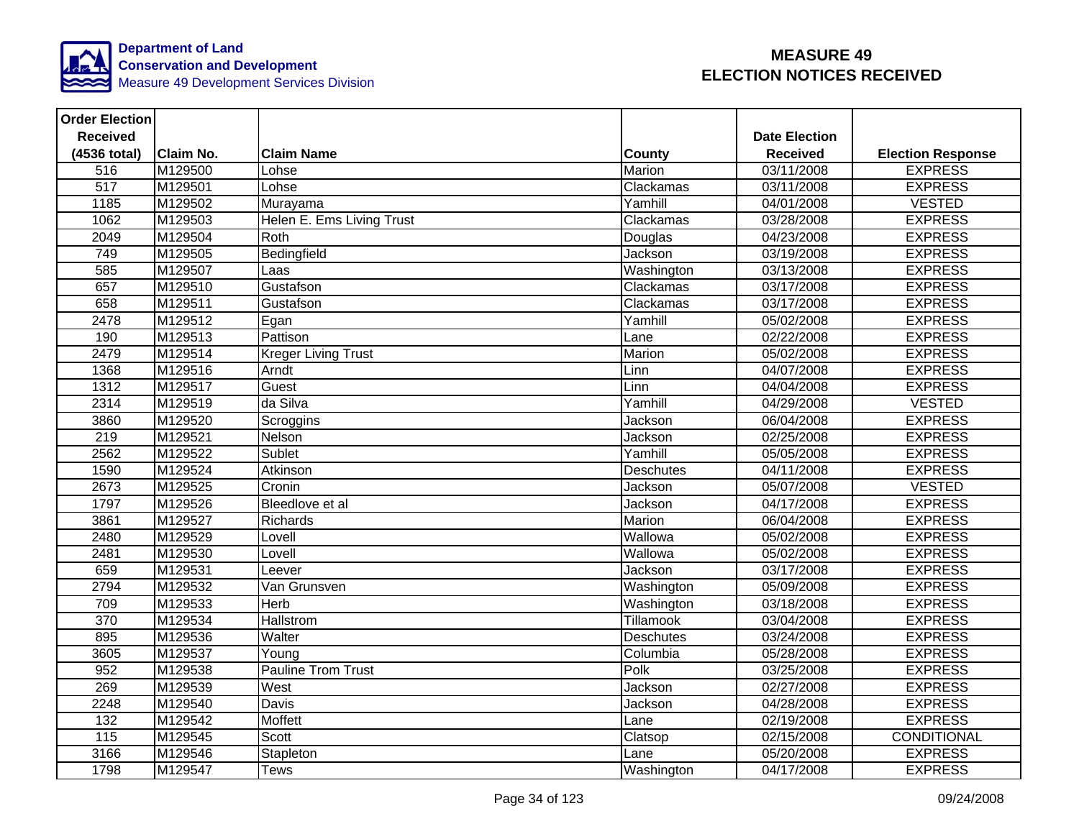

| <b>Order Election</b> |                  |                            |                  |                      |                          |
|-----------------------|------------------|----------------------------|------------------|----------------------|--------------------------|
| <b>Received</b>       |                  |                            |                  | <b>Date Election</b> |                          |
| (4536 total)          | <b>Claim No.</b> | <b>Claim Name</b>          | County           | <b>Received</b>      | <b>Election Response</b> |
| 516                   | M129500          | Lohse                      | Marion           | 03/11/2008           | <b>EXPRESS</b>           |
| 517                   | M129501          | Lohse                      | Clackamas        | 03/11/2008           | <b>EXPRESS</b>           |
| 1185                  | M129502          | Murayama                   | Yamhill          | 04/01/2008           | <b>VESTED</b>            |
| 1062                  | M129503          | Helen E. Ems Living Trust  | Clackamas        | 03/28/2008           | <b>EXPRESS</b>           |
| 2049                  | M129504          | Roth                       | Douglas          | 04/23/2008           | <b>EXPRESS</b>           |
| 749                   | M129505          | Bedingfield                | Jackson          | 03/19/2008           | <b>EXPRESS</b>           |
| 585                   | M129507          | Laas                       | Washington       | 03/13/2008           | <b>EXPRESS</b>           |
| 657                   | M129510          | Gustafson                  | Clackamas        | 03/17/2008           | <b>EXPRESS</b>           |
| 658                   | M129511          | Gustafson                  | Clackamas        | 03/17/2008           | <b>EXPRESS</b>           |
| 2478                  | M129512          | Egan                       | Yamhill          | 05/02/2008           | <b>EXPRESS</b>           |
| 190                   | M129513          | Pattison                   | Lane             | 02/22/2008           | <b>EXPRESS</b>           |
| 2479                  | M129514          | <b>Kreger Living Trust</b> | Marion           | 05/02/2008           | <b>EXPRESS</b>           |
| 1368                  | M129516          | Arndt                      | Linn             | 04/07/2008           | <b>EXPRESS</b>           |
| 1312                  | M129517          | Guest                      | Linn             | 04/04/2008           | <b>EXPRESS</b>           |
| 2314                  | M129519          | da Silva                   | Yamhill          | $\sqrt{04/29}/2008$  | <b>VESTED</b>            |
| 3860                  | M129520          | Scroggins                  | Jackson          | 06/04/2008           | <b>EXPRESS</b>           |
| 219                   | M129521          | Nelson                     | Jackson          | 02/25/2008           | <b>EXPRESS</b>           |
| 2562                  | M129522          | Sublet                     | Yamhill          | 05/05/2008           | <b>EXPRESS</b>           |
| 1590                  | M129524          | Atkinson                   | <b>Deschutes</b> | 04/11/2008           | <b>EXPRESS</b>           |
| 2673                  | M129525          | Cronin                     | Jackson          | 05/07/2008           | <b>VESTED</b>            |
| 1797                  | M129526          | Bleedlove et al            | Jackson          | 04/17/2008           | <b>EXPRESS</b>           |
| 3861                  | M129527          | Richards                   | Marion           | 06/04/2008           | <b>EXPRESS</b>           |
| 2480                  | M129529          | Lovell                     | Wallowa          | 05/02/2008           | <b>EXPRESS</b>           |
| 2481                  | M129530          | Lovell                     | Wallowa          | 05/02/2008           | <b>EXPRESS</b>           |
| 659                   | M129531          | Leever                     | Jackson          | 03/17/2008           | <b>EXPRESS</b>           |
| 2794                  | M129532          | Van Grunsven               | Washington       | 05/09/2008           | <b>EXPRESS</b>           |
| 709                   | M129533          | <b>Herb</b>                | Washington       | 03/18/2008           | <b>EXPRESS</b>           |
| 370                   | M129534          | Hallstrom                  | <b>Tillamook</b> | 03/04/2008           | <b>EXPRESS</b>           |
| 895                   | M129536          | Walter                     | Deschutes        | 03/24/2008           | <b>EXPRESS</b>           |
| 3605                  | M129537          | Young                      | Columbia         | 05/28/2008           | <b>EXPRESS</b>           |
| 952                   | M129538          | <b>Pauline Trom Trust</b>  | Polk             | 03/25/2008           | <b>EXPRESS</b>           |
| 269                   | M129539          | West                       | Jackson          | 02/27/2008           | <b>EXPRESS</b>           |
| 2248                  | M129540          | Davis                      | Jackson          | 04/28/2008           | <b>EXPRESS</b>           |
| 132                   | M129542          | Moffett                    | Lane             | 02/19/2008           | <b>EXPRESS</b>           |
| 115                   | M129545          | Scott                      | Clatsop          | 02/15/2008           | CONDITIONAL              |
| 3166                  | M129546          | Stapleton                  | Lane             | 05/20/2008           | <b>EXPRESS</b>           |
| 1798                  | M129547          | <b>Tews</b>                | Washington       | 04/17/2008           | <b>EXPRESS</b>           |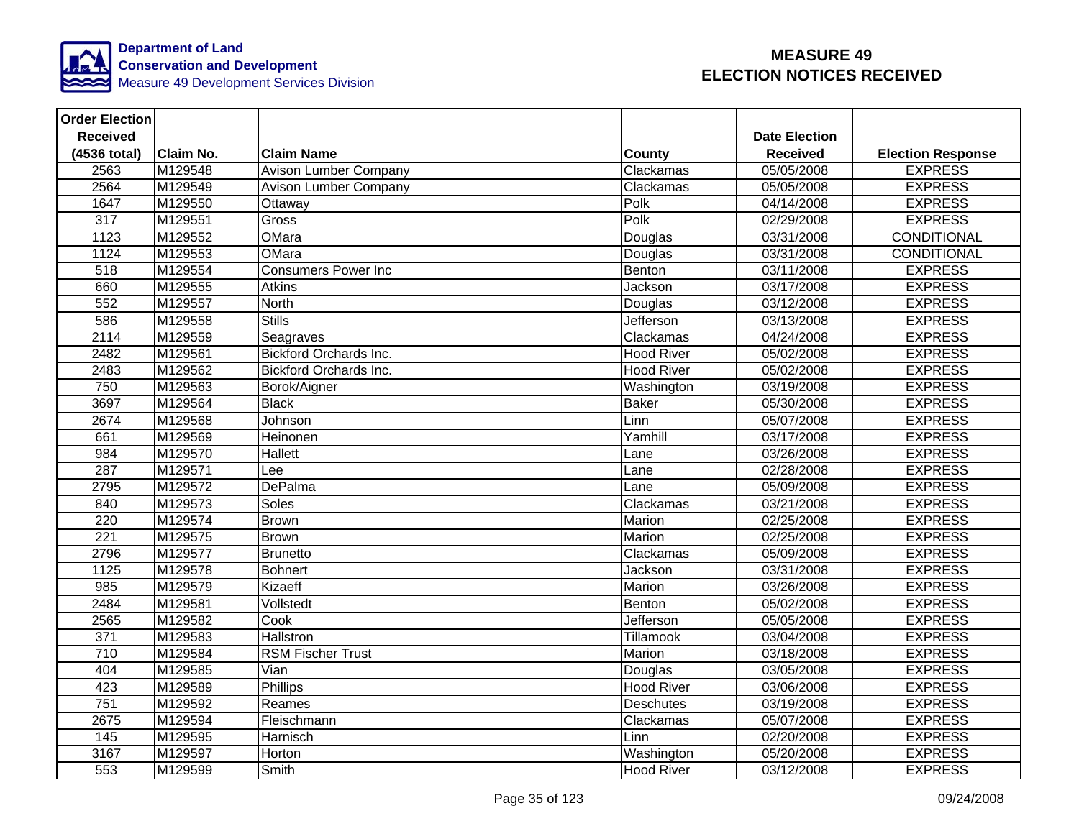

| <b>Order Election</b> |                  |                               |                   |                      |                          |
|-----------------------|------------------|-------------------------------|-------------------|----------------------|--------------------------|
| <b>Received</b>       |                  |                               |                   | <b>Date Election</b> |                          |
| (4536 total)          | <b>Claim No.</b> | <b>Claim Name</b>             | County            | <b>Received</b>      | <b>Election Response</b> |
| 2563                  | M129548          | Avison Lumber Company         | Clackamas         | 05/05/2008           | <b>EXPRESS</b>           |
| 2564                  | M129549          | Avison Lumber Company         | Clackamas         | 05/05/2008           | <b>EXPRESS</b>           |
| 1647                  | M129550          | Ottaway                       | Polk              | 04/14/2008           | <b>EXPRESS</b>           |
| $\overline{317}$      | M129551          | Gross                         | Polk              | 02/29/2008           | <b>EXPRESS</b>           |
| 1123                  | M129552          | OMara                         | Douglas           | 03/31/2008           | <b>CONDITIONAL</b>       |
| 1124                  | M129553          | OMara                         | Douglas           | 03/31/2008           | CONDITIONAL              |
| $\overline{518}$      | M129554          | <b>Consumers Power Inc</b>    | Benton            | 03/11/2008           | <b>EXPRESS</b>           |
| 660                   | M129555          | <b>Atkins</b>                 | Jackson           | 03/17/2008           | <b>EXPRESS</b>           |
| 552                   | M129557          | <b>North</b>                  | Douglas           | 03/12/2008           | <b>EXPRESS</b>           |
| 586                   | M129558          | <b>Stills</b>                 | <b>Jefferson</b>  | 03/13/2008           | <b>EXPRESS</b>           |
| 2114                  | M129559          | Seagraves                     | Clackamas         | 04/24/2008           | <b>EXPRESS</b>           |
| 2482                  | M129561          | <b>Bickford Orchards Inc.</b> | <b>Hood River</b> | 05/02/2008           | <b>EXPRESS</b>           |
| 2483                  | M129562          | <b>Bickford Orchards Inc.</b> | <b>Hood River</b> | 05/02/2008           | <b>EXPRESS</b>           |
| 750                   | M129563          | Borok/Aigner                  | Washington        | 03/19/2008           | <b>EXPRESS</b>           |
| 3697                  | M129564          | <b>Black</b>                  | <b>Baker</b>      | 05/30/2008           | <b>EXPRESS</b>           |
| 2674                  | M129568          | Johnson                       | Linn              | 05/07/2008           | <b>EXPRESS</b>           |
| 661                   | M129569          | Heinonen                      | Yamhill           | 03/17/2008           | <b>EXPRESS</b>           |
| 984                   | M129570          | <b>Hallett</b>                | Lane              | 03/26/2008           | <b>EXPRESS</b>           |
| 287                   | M129571          | Lee                           | Lane              | 02/28/2008           | <b>EXPRESS</b>           |
| 2795                  | M129572          | <b>DePalma</b>                | Lane              | 05/09/2008           | <b>EXPRESS</b>           |
| 840                   | M129573          | Soles                         | Clackamas         | 03/21/2008           | <b>EXPRESS</b>           |
| 220                   | M129574          | <b>Brown</b>                  | Marion            | 02/25/2008           | <b>EXPRESS</b>           |
| $\overline{221}$      | M129575          | <b>Brown</b>                  | Marion            | 02/25/2008           | <b>EXPRESS</b>           |
| 2796                  | M129577          | <b>Brunetto</b>               | Clackamas         | 05/09/2008           | <b>EXPRESS</b>           |
| 1125                  | M129578          | <b>Bohnert</b>                | Jackson           | 03/31/2008           | <b>EXPRESS</b>           |
| $\overline{985}$      | M129579          | Kizaeff                       | Marion            | 03/26/2008           | <b>EXPRESS</b>           |
| 2484                  | M129581          | Vollstedt                     | Benton            | 05/02/2008           | <b>EXPRESS</b>           |
| 2565                  | M129582          | Cook                          | Jefferson         | 05/05/2008           | <b>EXPRESS</b>           |
| 371                   | M129583          | Hallstron                     | Tillamook         | 03/04/2008           | <b>EXPRESS</b>           |
| 710                   | M129584          | <b>RSM Fischer Trust</b>      | Marion            | 03/18/2008           | <b>EXPRESS</b>           |
| 404                   | M129585          | Vian                          | Douglas           | 03/05/2008           | <b>EXPRESS</b>           |
| 423                   | M129589          | Phillips                      | <b>Hood River</b> | 03/06/2008           | <b>EXPRESS</b>           |
| 751                   | M129592          | Reames                        | <b>Deschutes</b>  | 03/19/2008           | <b>EXPRESS</b>           |
| 2675                  | M129594          | Fleischmann                   | Clackamas         | 05/07/2008           | <b>EXPRESS</b>           |
| 145                   | M129595          | Harnisch                      | Linn              | 02/20/2008           | <b>EXPRESS</b>           |
| 3167                  | M129597          | Horton                        | Washington        | 05/20/2008           | <b>EXPRESS</b>           |
| 553                   | M129599          | Smith                         | <b>Hood River</b> | 03/12/2008           | <b>EXPRESS</b>           |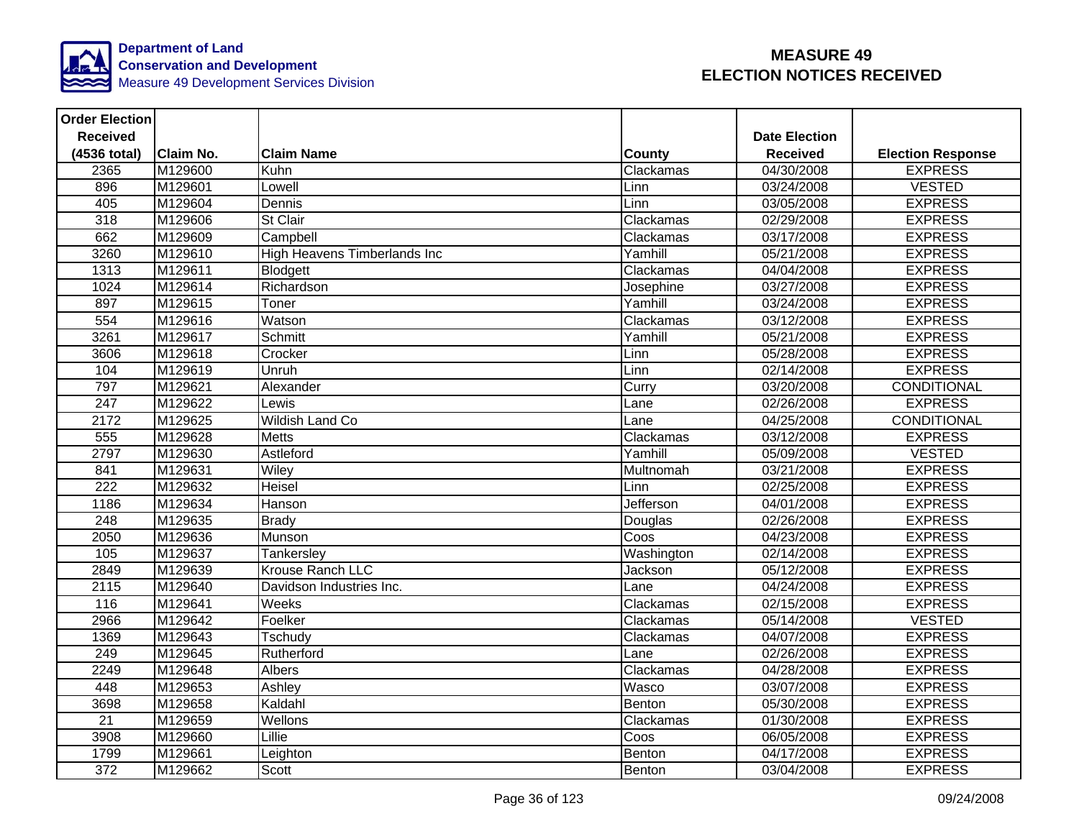

| <b>Order Election</b> |                  |                                     |               |                      |                          |
|-----------------------|------------------|-------------------------------------|---------------|----------------------|--------------------------|
| <b>Received</b>       |                  |                                     |               | <b>Date Election</b> |                          |
| (4536 total)          | <b>Claim No.</b> | <b>Claim Name</b>                   | <b>County</b> | <b>Received</b>      | <b>Election Response</b> |
| 2365                  | M129600          | Kuhn                                | Clackamas     | 04/30/2008           | <b>EXPRESS</b>           |
| 896                   | M129601          | Lowell                              | Linn          | 03/24/2008           | <b>VESTED</b>            |
| 405                   | M129604          | Dennis                              | Linn          | 03/05/2008           | <b>EXPRESS</b>           |
| 318                   | M129606          | St Clair                            | Clackamas     | 02/29/2008           | <b>EXPRESS</b>           |
| 662                   | M129609          | Campbell                            | Clackamas     | 03/17/2008           | <b>EXPRESS</b>           |
| 3260                  | M129610          | <b>High Heavens Timberlands Inc</b> | Yamhill       | 05/21/2008           | <b>EXPRESS</b>           |
| 1313                  | M129611          | Blodgett                            | Clackamas     | 04/04/2008           | <b>EXPRESS</b>           |
| 1024                  | M129614          | Richardson                          | Josephine     | 03/27/2008           | <b>EXPRESS</b>           |
| 897                   | M129615          | Toner                               | Yamhill       | 03/24/2008           | <b>EXPRESS</b>           |
| 554                   | M129616          | Watson                              | Clackamas     | 03/12/2008           | <b>EXPRESS</b>           |
| 3261                  | M129617          | Schmitt                             | Yamhill       | 05/21/2008           | <b>EXPRESS</b>           |
| 3606                  | M129618          | Crocker                             | Linn          | 05/28/2008           | <b>EXPRESS</b>           |
| 104                   | M129619          | Unruh                               | Linn          | 02/14/2008           | <b>EXPRESS</b>           |
| 797                   | M129621          | Alexander                           | Curry         | 03/20/2008           | <b>CONDITIONAL</b>       |
| 247                   | M129622          | Lewis                               | Lane          | 02/26/2008           | <b>EXPRESS</b>           |
| 2172                  | M129625          | <b>Wildish Land Co</b>              | Lane          | 04/25/2008           | <b>CONDITIONAL</b>       |
| 555                   | M129628          | <b>Metts</b>                        | Clackamas     | 03/12/2008           | <b>EXPRESS</b>           |
| 2797                  | M129630          | Astleford                           | Yamhill       | 05/09/2008           | <b>VESTED</b>            |
| 841                   | M129631          | Wiley                               | Multnomah     | 03/21/2008           | <b>EXPRESS</b>           |
| 222                   | M129632          | Heisel                              | Linn          | 02/25/2008           | <b>EXPRESS</b>           |
| 1186                  | M129634          | Hanson                              | Jefferson     | 04/01/2008           | <b>EXPRESS</b>           |
| $\overline{248}$      | M129635          | <b>Brady</b>                        | Douglas       | 02/26/2008           | <b>EXPRESS</b>           |
| 2050                  | M129636          | Munson                              | Coos          | 04/23/2008           | <b>EXPRESS</b>           |
| 105                   | M129637          | Tankersley                          | Washington    | 02/14/2008           | <b>EXPRESS</b>           |
| 2849                  | M129639          | Krouse Ranch LLC                    | Jackson       | 05/12/2008           | <b>EXPRESS</b>           |
| 2115                  | M129640          | Davidson Industries Inc.            | Lane          | 04/24/2008           | <b>EXPRESS</b>           |
| 116                   | M129641          | Weeks                               | Clackamas     | 02/15/2008           | <b>EXPRESS</b>           |
| 2966                  | M129642          | Foelker                             | Clackamas     | 05/14/2008           | <b>VESTED</b>            |
| 1369                  | M129643          | Tschudy                             | Clackamas     | 04/07/2008           | <b>EXPRESS</b>           |
| 249                   | M129645          | Rutherford                          | Lane          | 02/26/2008           | <b>EXPRESS</b>           |
| 2249                  | M129648          | Albers                              | Clackamas     | 04/28/2008           | <b>EXPRESS</b>           |
| 448                   | M129653          | Ashley                              | Wasco         | 03/07/2008           | <b>EXPRESS</b>           |
| 3698                  | M129658          | Kaldahl                             | Benton        | 05/30/2008           | <b>EXPRESS</b>           |
| $\overline{21}$       | M129659          | Wellons                             | Clackamas     | 01/30/2008           | <b>EXPRESS</b>           |
| 3908                  | M129660          | Lillie                              | Coos          | 06/05/2008           | <b>EXPRESS</b>           |
| 1799                  | M129661          | Leighton                            | Benton        | 04/17/2008           | <b>EXPRESS</b>           |
| 372                   | M129662          | Scott                               | Benton        | 03/04/2008           | <b>EXPRESS</b>           |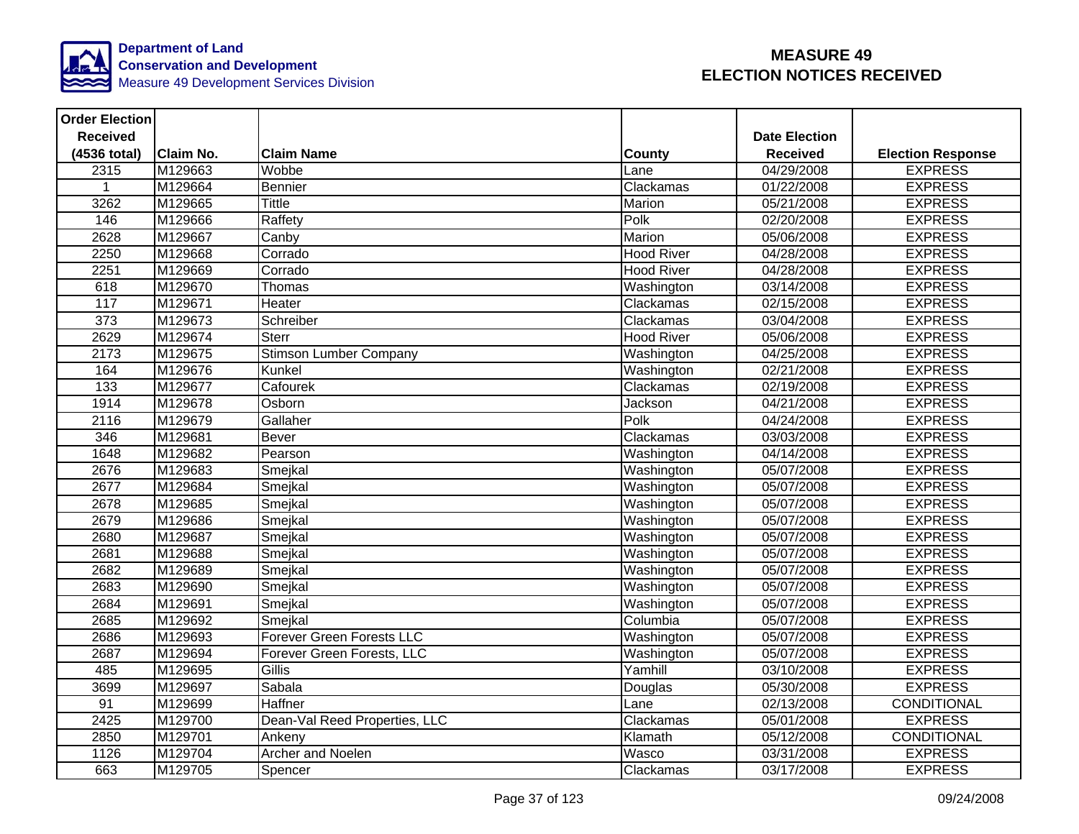

| <b>Order Election</b> |                  |                                  |                   |                      |                          |
|-----------------------|------------------|----------------------------------|-------------------|----------------------|--------------------------|
| <b>Received</b>       |                  |                                  |                   | <b>Date Election</b> |                          |
| (4536 total)          | <b>Claim No.</b> | <b>Claim Name</b>                | County            | <b>Received</b>      | <b>Election Response</b> |
| 2315                  | M129663          | Wobbe                            | Lane              | 04/29/2008           | <b>EXPRESS</b>           |
|                       | M129664          | <b>Bennier</b>                   | Clackamas         | 01/22/2008           | <b>EXPRESS</b>           |
| 3262                  | M129665          | <b>Tittle</b>                    | Marion            | 05/21/2008           | <b>EXPRESS</b>           |
| 146                   | M129666          | Raffety                          | Polk              | 02/20/2008           | <b>EXPRESS</b>           |
| 2628                  | M129667          | $\overline{C}$ anby              | Marion            | 05/06/2008           | <b>EXPRESS</b>           |
| 2250                  | M129668          | Corrado                          | <b>Hood River</b> | 04/28/2008           | <b>EXPRESS</b>           |
| 2251                  | M129669          | Corrado                          | <b>Hood River</b> | 04/28/2008           | <b>EXPRESS</b>           |
| 618                   | M129670          | Thomas                           | Washington        | 03/14/2008           | <b>EXPRESS</b>           |
| 117                   | M129671          | Heater                           | Clackamas         | 02/15/2008           | <b>EXPRESS</b>           |
| $\overline{373}$      | M129673          | Schreiber                        | Clackamas         | 03/04/2008           | <b>EXPRESS</b>           |
| 2629                  | M129674          | <b>Sterr</b>                     | <b>Hood River</b> | 05/06/2008           | <b>EXPRESS</b>           |
| 2173                  | M129675          | Stimson Lumber Company           | Washington        | 04/25/2008           | <b>EXPRESS</b>           |
| 164                   | M129676          | Kunkel                           | Washington        | 02/21/2008           | <b>EXPRESS</b>           |
| 133                   | M129677          | Cafourek                         | Clackamas         | 02/19/2008           | <b>EXPRESS</b>           |
| 1914                  | M129678          | Osborn                           | Jackson           | 04/21/2008           | <b>EXPRESS</b>           |
| 2116                  | M129679          | Gallaher                         | Polk              | 04/24/2008           | <b>EXPRESS</b>           |
| 346                   | M129681          | Bever                            | Clackamas         | 03/03/2008           | <b>EXPRESS</b>           |
| 1648                  | M129682          | Pearson                          | Washington        | 04/14/2008           | <b>EXPRESS</b>           |
| 2676                  | M129683          | Smejkal                          | Washington        | 05/07/2008           | <b>EXPRESS</b>           |
| 2677                  | M129684          | Smejkal                          | Washington        | 05/07/2008           | <b>EXPRESS</b>           |
| 2678                  | M129685          | Smejkal                          | Washington        | 05/07/2008           | <b>EXPRESS</b>           |
| 2679                  | M129686          | Smejkal                          | Washington        | 05/07/2008           | <b>EXPRESS</b>           |
| 2680                  | M129687          | Smejkal                          | Washington        | 05/07/2008           | <b>EXPRESS</b>           |
| 2681                  | M129688          | Smejkal                          | Washington        | 05/07/2008           | <b>EXPRESS</b>           |
| 2682                  | M129689          | Smejkal                          | Washington        | 05/07/2008           | <b>EXPRESS</b>           |
| 2683                  | M129690          | Smejkal                          | Washington        | 05/07/2008           | <b>EXPRESS</b>           |
| 2684                  | M129691          | Smejkal                          | Washington        | 05/07/2008           | <b>EXPRESS</b>           |
| 2685                  | M129692          | Smejkal                          | Columbia          | 05/07/2008           | <b>EXPRESS</b>           |
| 2686                  | M129693          | <b>Forever Green Forests LLC</b> | Washington        | 05/07/2008           | <b>EXPRESS</b>           |
| 2687                  | M129694          | Forever Green Forests, LLC       | Washington        | 05/07/2008           | <b>EXPRESS</b>           |
| 485                   | M129695          | Gillis                           | Yamhill           | 03/10/2008           | <b>EXPRESS</b>           |
| 3699                  | M129697          | Sabala                           | Douglas           | 05/30/2008           | <b>EXPRESS</b>           |
| $\overline{91}$       | M129699          | Haffner                          | Lane              | 02/13/2008           | <b>CONDITIONAL</b>       |
| 2425                  | M129700          | Dean-Val Reed Properties, LLC    | Clackamas         | 05/01/2008           | <b>EXPRESS</b>           |
| 2850                  | M129701          | Ankeny                           | Klamath           | 05/12/2008           | CONDITIONAL              |
| 1126                  | M129704          | <b>Archer and Noelen</b>         | Wasco             | 03/31/2008           | <b>EXPRESS</b>           |
| 663                   | M129705          | Spencer                          | Clackamas         | 03/17/2008           | <b>EXPRESS</b>           |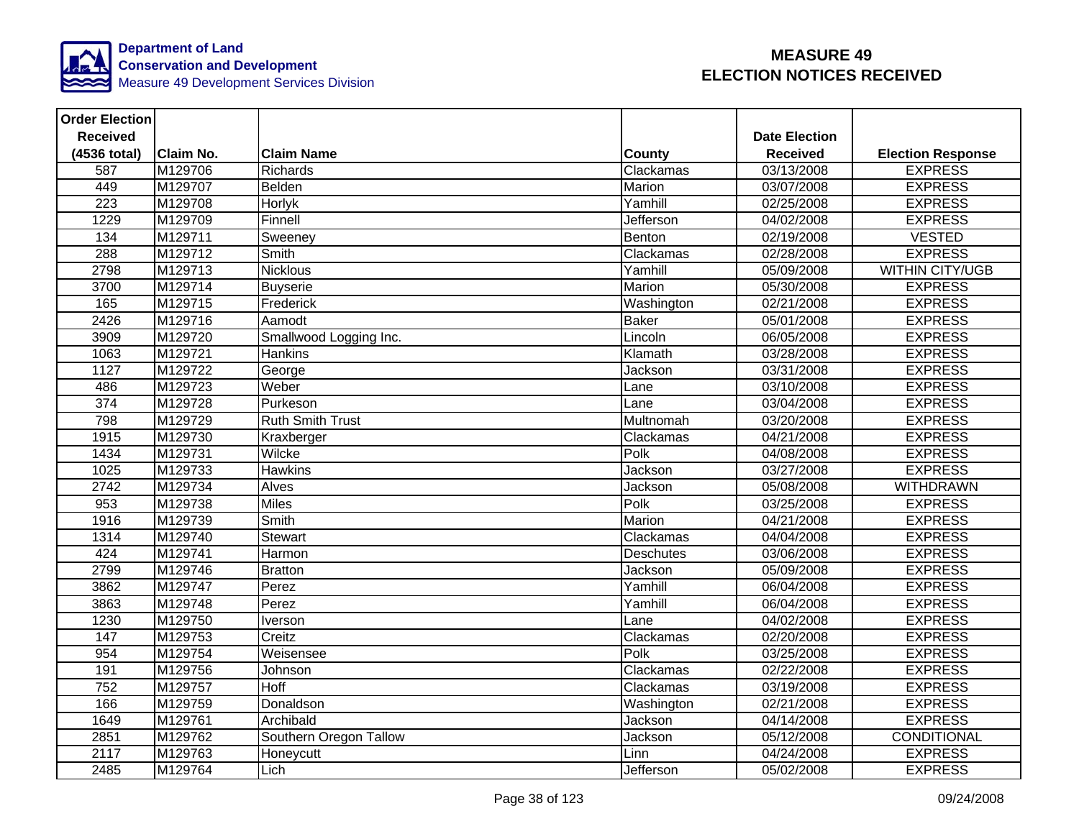

| <b>Order Election</b> |                  |                         |                  |                      |                          |
|-----------------------|------------------|-------------------------|------------------|----------------------|--------------------------|
| <b>Received</b>       |                  |                         |                  | <b>Date Election</b> |                          |
| (4536 total)          | <b>Claim No.</b> | <b>Claim Name</b>       | <b>County</b>    | <b>Received</b>      | <b>Election Response</b> |
| 587                   | M129706          | <b>Richards</b>         | Clackamas        | 03/13/2008           | <b>EXPRESS</b>           |
| 449                   | M129707          | Belden                  | Marion           | 03/07/2008           | <b>EXPRESS</b>           |
| $\overline{223}$      | M129708          | Horlyk                  | Yamhill          | 02/25/2008           | <b>EXPRESS</b>           |
| 1229                  | M129709          | Finnell                 | Jefferson        | 04/02/2008           | <b>EXPRESS</b>           |
| 134                   | M129711          | Sweeney                 | Benton           | 02/19/2008           | <b>VESTED</b>            |
| 288                   | M129712          | Smith                   | Clackamas        | 02/28/2008           | <b>EXPRESS</b>           |
| 2798                  | M129713          | <b>Nicklous</b>         | Yamhill          | 05/09/2008           | <b>WITHIN CITY/UGB</b>   |
| 3700                  | M129714          | <b>Buyserie</b>         | <b>Marion</b>    | 05/30/2008           | <b>EXPRESS</b>           |
| 165                   | M129715          | Frederick               | Washington       | 02/21/2008           | <b>EXPRESS</b>           |
| 2426                  | M129716          | Aamodt                  | <b>Baker</b>     | 05/01/2008           | <b>EXPRESS</b>           |
| 3909                  | M129720          | Smallwood Logging Inc.  | Lincoln          | 06/05/2008           | <b>EXPRESS</b>           |
| 1063                  | M129721          | <b>Hankins</b>          | Klamath          | 03/28/2008           | <b>EXPRESS</b>           |
| 1127                  | M129722          | George                  | Jackson          | 03/31/2008           | <b>EXPRESS</b>           |
| 486                   | M129723          | Weber                   | Lane             | 03/10/2008           | <b>EXPRESS</b>           |
| 374                   | M129728          | Purkeson                | Lane             | 03/04/2008           | <b>EXPRESS</b>           |
| 798                   | M129729          | <b>Ruth Smith Trust</b> | Multnomah        | 03/20/2008           | <b>EXPRESS</b>           |
| 1915                  | M129730          | Kraxberger              | Clackamas        | 04/21/2008           | <b>EXPRESS</b>           |
| 1434                  | M129731          | Wilcke                  | Polk             | 04/08/2008           | <b>EXPRESS</b>           |
| 1025                  | M129733          | <b>Hawkins</b>          | Jackson          | 03/27/2008           | <b>EXPRESS</b>           |
| 2742                  | M129734          | Alves                   | Jackson          | 05/08/2008           | <b>WITHDRAWN</b>         |
| 953                   | M129738          | <b>Miles</b>            | Polk             | 03/25/2008           | <b>EXPRESS</b>           |
| 1916                  | M129739          | <b>Smith</b>            | Marion           | 04/21/2008           | <b>EXPRESS</b>           |
| 1314                  | M129740          | Stewart                 | Clackamas        | 04/04/2008           | <b>EXPRESS</b>           |
| 424                   | M129741          | Harmon                  | <b>Deschutes</b> | 03/06/2008           | <b>EXPRESS</b>           |
| 2799                  | M129746          | <b>Bratton</b>          | Jackson          | 05/09/2008           | <b>EXPRESS</b>           |
| 3862                  | M129747          | Perez                   | Yamhill          | 06/04/2008           | <b>EXPRESS</b>           |
| 3863                  | M129748          | Perez                   | Yamhill          | 06/04/2008           | <b>EXPRESS</b>           |
| 1230                  | M129750          | Iverson                 | Lane             | 04/02/2008           | <b>EXPRESS</b>           |
| 147                   | M129753          | Creitz                  | Clackamas        | 02/20/2008           | <b>EXPRESS</b>           |
| 954                   | M129754          | Weisensee               | Polk             | 03/25/2008           | <b>EXPRESS</b>           |
| 191                   | M129756          | Johnson                 | Clackamas        | 02/22/2008           | <b>EXPRESS</b>           |
| 752                   | M129757          | Hoff                    | Clackamas        | 03/19/2008           | <b>EXPRESS</b>           |
| 166                   | M129759          | Donaldson               | Washington       | 02/21/2008           | <b>EXPRESS</b>           |
| 1649                  | M129761          | Archibald               | Jackson          | 04/14/2008           | <b>EXPRESS</b>           |
| 2851                  | M129762          | Southern Oregon Tallow  | Jackson          | 05/12/2008           | CONDITIONAL              |
| $\overline{2117}$     | M129763          | Honeycutt               | Linn             | 04/24/2008           | <b>EXPRESS</b>           |
| 2485                  | M129764          | Lich                    | Jefferson        | 05/02/2008           | <b>EXPRESS</b>           |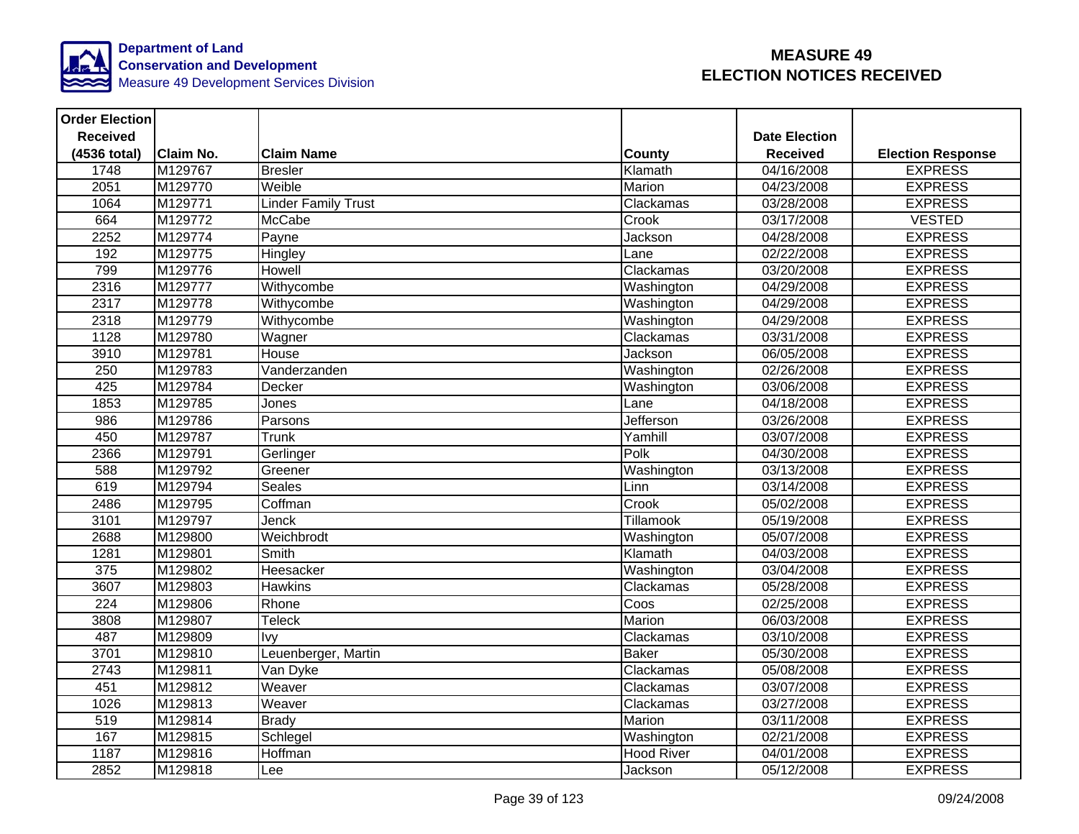

| <b>Order Election</b> |                  |                            |                   |                      |                          |
|-----------------------|------------------|----------------------------|-------------------|----------------------|--------------------------|
| <b>Received</b>       |                  |                            |                   | <b>Date Election</b> |                          |
| (4536 total)          | <b>Claim No.</b> | <b>Claim Name</b>          | County            | <b>Received</b>      | <b>Election Response</b> |
| 1748                  | M129767          | <b>Bresler</b>             | Klamath           | 04/16/2008           | <b>EXPRESS</b>           |
| 2051                  | M129770          | Weible                     | Marion            | 04/23/2008           | <b>EXPRESS</b>           |
| 1064                  | M129771          | <b>Linder Family Trust</b> | Clackamas         | 03/28/2008           | <b>EXPRESS</b>           |
| 664                   | M129772          | <b>McCabe</b>              | Crook             | 03/17/2008           | <b>VESTED</b>            |
| 2252                  | M129774          | Payne                      | Jackson           | 04/28/2008           | <b>EXPRESS</b>           |
| 192                   | M129775          | Hingley                    | Lane              | 02/22/2008           | <b>EXPRESS</b>           |
| 799                   | M129776          | Howell                     | Clackamas         | 03/20/2008           | <b>EXPRESS</b>           |
| 2316                  | M129777          | Withycombe                 | Washington        | 04/29/2008           | <b>EXPRESS</b>           |
| 2317                  | M129778          | Withycombe                 | Washington        | 04/29/2008           | <b>EXPRESS</b>           |
| 2318                  | M129779          | Withycombe                 | Washington        | 04/29/2008           | <b>EXPRESS</b>           |
| 1128                  | M129780          | Wagner                     | Clackamas         | 03/31/2008           | <b>EXPRESS</b>           |
| 3910                  | M129781          | House                      | Jackson           | 06/05/2008           | <b>EXPRESS</b>           |
| 250                   | M129783          | Vanderzanden               | Washington        | 02/26/2008           | <b>EXPRESS</b>           |
| 425                   | M129784          | Decker                     | Washington        | 03/06/2008           | <b>EXPRESS</b>           |
| 1853                  | M129785          | Jones                      | Lane              | 04/18/2008           | <b>EXPRESS</b>           |
| $\overline{986}$      | M129786          | Parsons                    | Jefferson         | 03/26/2008           | <b>EXPRESS</b>           |
| 450                   | M129787          | Trunk                      | Yamhill           | 03/07/2008           | <b>EXPRESS</b>           |
| 2366                  | M129791          | Gerlinger                  | Polk              | 04/30/2008           | <b>EXPRESS</b>           |
| 588                   | M129792          | Greener                    | Washington        | 03/13/2008           | <b>EXPRESS</b>           |
| 619                   | M129794          | <b>Seales</b>              | Linn              | 03/14/2008           | <b>EXPRESS</b>           |
| 2486                  | M129795          | Coffman                    | Crook             | 05/02/2008           | <b>EXPRESS</b>           |
| 3101                  | M129797          | Jenck                      | Tillamook         | 05/19/2008           | <b>EXPRESS</b>           |
| 2688                  | M129800          | Weichbrodt                 | Washington        | 05/07/2008           | <b>EXPRESS</b>           |
| 1281                  | M129801          | Smith                      | Klamath           | 04/03/2008           | <b>EXPRESS</b>           |
| 375                   | M129802          | Heesacker                  | Washington        | 03/04/2008           | <b>EXPRESS</b>           |
| 3607                  | M129803          | <b>Hawkins</b>             | Clackamas         | 05/28/2008           | <b>EXPRESS</b>           |
| $\overline{224}$      | M129806          | Rhone                      | Coos              | 02/25/2008           | <b>EXPRESS</b>           |
| 3808                  | M129807          | <b>Teleck</b>              | <b>Marion</b>     | 06/03/2008           | <b>EXPRESS</b>           |
| 487                   | M129809          | Ivy                        | Clackamas         | 03/10/2008           | <b>EXPRESS</b>           |
| 3701                  | M129810          | Leuenberger, Martin        | <b>Baker</b>      | 05/30/2008           | <b>EXPRESS</b>           |
| 2743                  | M129811          | Van Dyke                   | Clackamas         | 05/08/2008           | <b>EXPRESS</b>           |
| 451                   | M129812          | Weaver                     | Clackamas         | 03/07/2008           | <b>EXPRESS</b>           |
| 1026                  | M129813          | Weaver                     | Clackamas         | 03/27/2008           | <b>EXPRESS</b>           |
| 519                   | M129814          | <b>Brady</b>               | Marion            | 03/11/2008           | <b>EXPRESS</b>           |
| 167                   | M129815          | Schlegel                   | Washington        | 02/21/2008           | <b>EXPRESS</b>           |
| 1187                  | M129816          | Hoffman                    | <b>Hood River</b> | 04/01/2008           | <b>EXPRESS</b>           |
| 2852                  | M129818          | Lee                        | Jackson           | 05/12/2008           | <b>EXPRESS</b>           |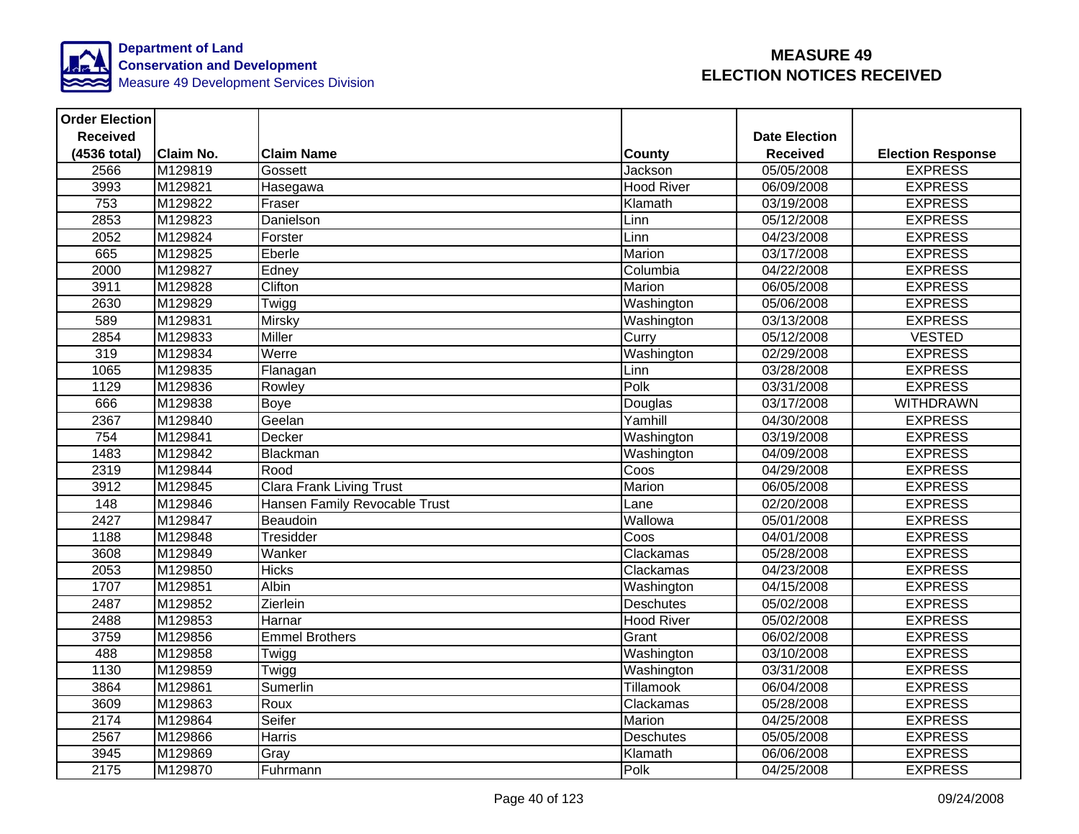

| <b>Order Election</b> |                  |                                 |                   |                      |                          |
|-----------------------|------------------|---------------------------------|-------------------|----------------------|--------------------------|
| <b>Received</b>       |                  |                                 |                   | <b>Date Election</b> |                          |
| (4536 total)          | <b>Claim No.</b> | <b>Claim Name</b>               | <b>County</b>     | <b>Received</b>      | <b>Election Response</b> |
| 2566                  | M129819          | Gossett                         | Jackson           | 05/05/2008           | <b>EXPRESS</b>           |
| 3993                  | M129821          | Hasegawa                        | <b>Hood River</b> | 06/09/2008           | <b>EXPRESS</b>           |
| 753                   | M129822          | Fraser                          | Klamath           | 03/19/2008           | <b>EXPRESS</b>           |
| 2853                  | M129823          | Danielson                       | Linn              | 05/12/2008           | <b>EXPRESS</b>           |
| 2052                  | M129824          | Forster                         | Linn              | 04/23/2008           | <b>EXPRESS</b>           |
| 665                   | M129825          | Eberle                          | Marion            | 03/17/2008           | <b>EXPRESS</b>           |
| 2000                  | M129827          | Edney                           | Columbia          | 04/22/2008           | <b>EXPRESS</b>           |
| 3911                  | M129828          | Clifton                         | Marion            | 06/05/2008           | <b>EXPRESS</b>           |
| 2630                  | M129829          | Twigg                           | Washington        | 05/06/2008           | <b>EXPRESS</b>           |
| 589                   | M129831          | <b>Mirsky</b>                   | Washington        | 03/13/2008           | <b>EXPRESS</b>           |
| 2854                  | M129833          | <b>Miller</b>                   | Curry             | 05/12/2008           | <b>VESTED</b>            |
| 319                   | M129834          | Werre                           | Washington        | 02/29/2008           | <b>EXPRESS</b>           |
| 1065                  | M129835          | Flanagan                        | Linn              | 03/28/2008           | <b>EXPRESS</b>           |
| 1129                  | M129836          | Rowley                          | Polk              | 03/31/2008           | <b>EXPRESS</b>           |
| 666                   | M129838          | Boye                            | Douglas           | 03/17/2008           | <b>WITHDRAWN</b>         |
| 2367                  | M129840          | Geelan                          | Yamhill           | 04/30/2008           | <b>EXPRESS</b>           |
| 754                   | M129841          | Decker                          | Washington        | 03/19/2008           | <b>EXPRESS</b>           |
| 1483                  | M129842          | Blackman                        | Washington        | 04/09/2008           | <b>EXPRESS</b>           |
| 2319                  | M129844          | Rood                            | Coos              | 04/29/2008           | <b>EXPRESS</b>           |
| 3912                  | M129845          | <b>Clara Frank Living Trust</b> | Marion            | 06/05/2008           | <b>EXPRESS</b>           |
| 148                   | M129846          | Hansen Family Revocable Trust   | Lane              | 02/20/2008           | <b>EXPRESS</b>           |
| 2427                  | M129847          | Beaudoin                        | Wallowa           | 05/01/2008           | <b>EXPRESS</b>           |
| 1188                  | M129848          | Tresidder                       | Coos              | 04/01/2008           | <b>EXPRESS</b>           |
| 3608                  | M129849          | Wanker                          | Clackamas         | 05/28/2008           | <b>EXPRESS</b>           |
| 2053                  | M129850          | <b>Hicks</b>                    | Clackamas         | 04/23/2008           | <b>EXPRESS</b>           |
| 1707                  | M129851          | <b>Albin</b>                    | Washington        | 04/15/2008           | <b>EXPRESS</b>           |
| 2487                  | M129852          | Zierlein                        | <b>Deschutes</b>  | 05/02/2008           | <b>EXPRESS</b>           |
| 2488                  | M129853          | Harnar                          | <b>Hood River</b> | 05/02/2008           | <b>EXPRESS</b>           |
| 3759                  | M129856          | <b>Emmel Brothers</b>           | Grant             | 06/02/2008           | <b>EXPRESS</b>           |
| 488                   | M129858          | Twigg                           | Washington        | 03/10/2008           | <b>EXPRESS</b>           |
| 1130                  | M129859          | Twigg                           | Washington        | 03/31/2008           | <b>EXPRESS</b>           |
| 3864                  | M129861          | Sumerlin                        | Tillamook         | 06/04/2008           | <b>EXPRESS</b>           |
| 3609                  | M129863          | Roux                            | Clackamas         | 05/28/2008           | <b>EXPRESS</b>           |
| 2174                  | M129864          | Seifer                          | Marion            | 04/25/2008           | <b>EXPRESS</b>           |
| 2567                  | M129866          | Harris                          | <b>Deschutes</b>  | 05/05/2008           | <b>EXPRESS</b>           |
| 3945                  | M129869          | Gray                            | Klamath           | 06/06/2008           | <b>EXPRESS</b>           |
| 2175                  | M129870          | Fuhrmann                        | Polk              | 04/25/2008           | <b>EXPRESS</b>           |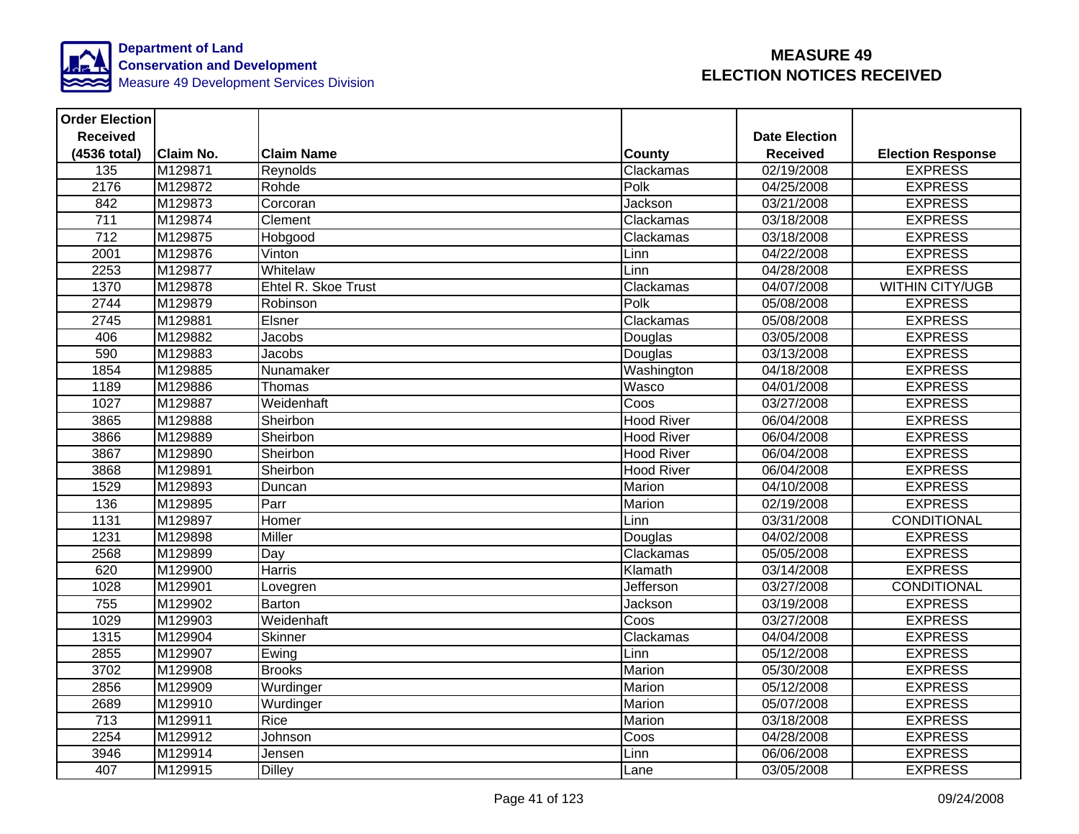

| <b>Order Election</b> |                  |                     |                   |                      |                          |
|-----------------------|------------------|---------------------|-------------------|----------------------|--------------------------|
| <b>Received</b>       |                  |                     |                   | <b>Date Election</b> |                          |
| (4536 total)          | <b>Claim No.</b> | <b>Claim Name</b>   | <b>County</b>     | <b>Received</b>      | <b>Election Response</b> |
| $\frac{1}{135}$       | M129871          | Reynolds            | Clackamas         | 02/19/2008           | <b>EXPRESS</b>           |
| 2176                  | M129872          | Rohde               | Polk              | 04/25/2008           | <b>EXPRESS</b>           |
| 842                   | M129873          | Corcoran            | Jackson           | 03/21/2008           | <b>EXPRESS</b>           |
| $\overline{711}$      | M129874          | Clement             | Clackamas         | 03/18/2008           | <b>EXPRESS</b>           |
| 712                   | M129875          | Hobgood             | Clackamas         | 03/18/2008           | <b>EXPRESS</b>           |
| 2001                  | M129876          | Vinton              | Linn              | 04/22/2008           | <b>EXPRESS</b>           |
| 2253                  | M129877          | Whitelaw            | Linn              | 04/28/2008           | <b>EXPRESS</b>           |
| 1370                  | M129878          | Ehtel R. Skoe Trust | Clackamas         | 04/07/2008           | <b>WITHIN CITY/UGB</b>   |
| 2744                  | M129879          | Robinson            | Polk              | 05/08/2008           | <b>EXPRESS</b>           |
| 2745                  | M129881          | Elsner              | Clackamas         | 05/08/2008           | <b>EXPRESS</b>           |
| 406                   | M129882          | Jacobs              | Douglas           | 03/05/2008           | <b>EXPRESS</b>           |
| 590                   | M129883          | Jacobs              | Douglas           | 03/13/2008           | <b>EXPRESS</b>           |
| 1854                  | M129885          | Nunamaker           | Washington        | 04/18/2008           | <b>EXPRESS</b>           |
| 1189                  | M129886          | Thomas              | Wasco             | 04/01/2008           | <b>EXPRESS</b>           |
| 1027                  | M129887          | Weidenhaft          | Coos              | 03/27/2008           | <b>EXPRESS</b>           |
| 3865                  | M129888          | Sheirbon            | <b>Hood River</b> | 06/04/2008           | <b>EXPRESS</b>           |
| 3866                  | M129889          | Sheirbon            | <b>Hood River</b> | 06/04/2008           | <b>EXPRESS</b>           |
| 3867                  | M129890          | Sheirbon            | <b>Hood River</b> | 06/04/2008           | <b>EXPRESS</b>           |
| 3868                  | M129891          | Sheirbon            | <b>Hood River</b> | 06/04/2008           | <b>EXPRESS</b>           |
| 1529                  | M129893          | Duncan              | Marion            | 04/10/2008           | <b>EXPRESS</b>           |
| 136                   | M129895          | Parr                | Marion            | 02/19/2008           | <b>EXPRESS</b>           |
| 1131                  | M129897          | Homer               | Linn              | 03/31/2008           | <b>CONDITIONAL</b>       |
| 1231                  | M129898          | Miller              | Douglas           | 04/02/2008           | <b>EXPRESS</b>           |
| 2568                  | M129899          | Day                 | Clackamas         | 05/05/2008           | <b>EXPRESS</b>           |
| 620                   | M129900          | <b>Harris</b>       | Klamath           | 03/14/2008           | <b>EXPRESS</b>           |
| 1028                  | M129901          | Lovegren            | Jefferson         | 03/27/2008           | CONDITIONAL              |
| 755                   | M129902          | <b>Barton</b>       | Jackson           | 03/19/2008           | <b>EXPRESS</b>           |
| 1029                  | M129903          | Weidenhaft          | Coos              | 03/27/2008           | <b>EXPRESS</b>           |
| 1315                  | M129904          | Skinner             | Clackamas         | 04/04/2008           | <b>EXPRESS</b>           |
| 2855                  | M129907          | Ewing               | Linn              | 05/12/2008           | <b>EXPRESS</b>           |
| 3702                  | M129908          | <b>Brooks</b>       | Marion            | 05/30/2008           | <b>EXPRESS</b>           |
| 2856                  | M129909          | Wurdinger           | Marion            | 05/12/2008           | <b>EXPRESS</b>           |
| 2689                  | M129910          | Wurdinger           | Marion            | 05/07/2008           | <b>EXPRESS</b>           |
| 713                   | M129911          | Rice                | Marion            | 03/18/2008           | <b>EXPRESS</b>           |
| 2254                  | M129912          | Johnson             | Coos              | 04/28/2008           | <b>EXPRESS</b>           |
| 3946                  | M129914          | Jensen              | Linn              | 06/06/2008           | <b>EXPRESS</b>           |
| 407                   | M129915          | <b>Dilley</b>       | Lane              | 03/05/2008           | <b>EXPRESS</b>           |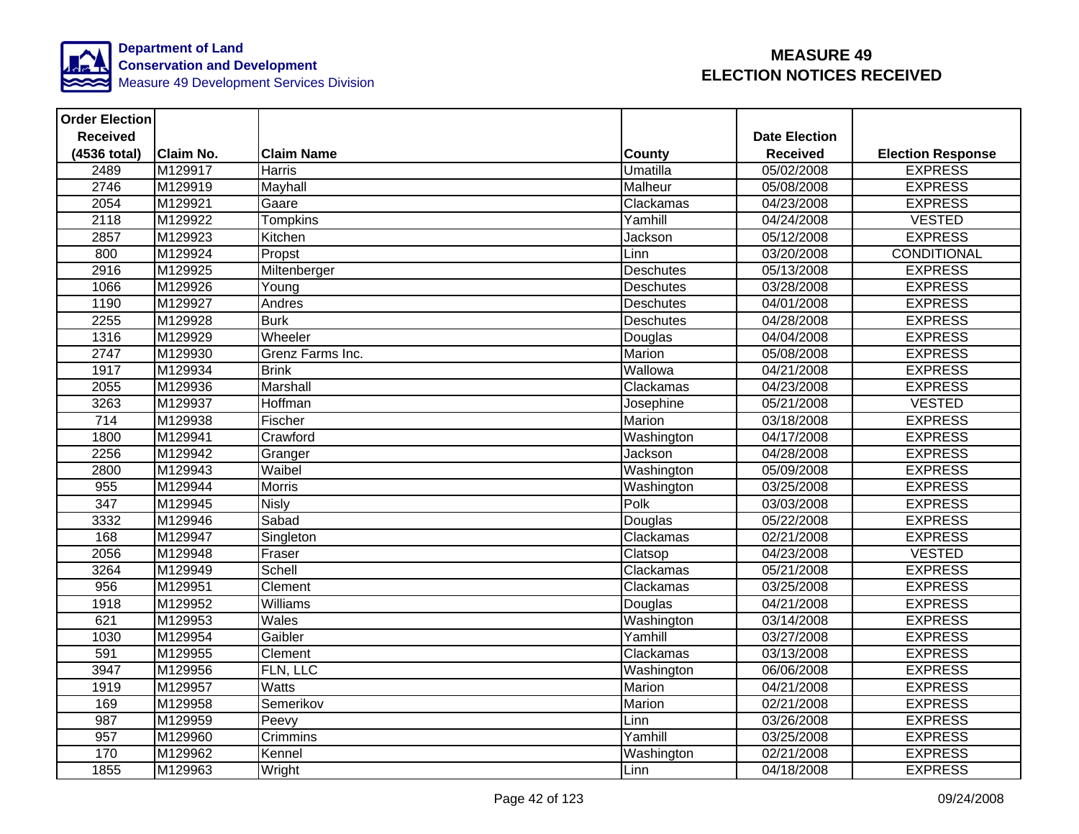

| <b>Order Election</b> |                  |                   |                  |                         |                          |
|-----------------------|------------------|-------------------|------------------|-------------------------|--------------------------|
| <b>Received</b>       |                  |                   |                  | <b>Date Election</b>    |                          |
| (4536 total)          | <b>Claim No.</b> | <b>Claim Name</b> | <b>County</b>    | <b>Received</b>         | <b>Election Response</b> |
| 2489                  | M129917          | Harris            | <b>Umatilla</b>  | 05/02/2008              | <b>EXPRESS</b>           |
| 2746                  | M129919          | Mayhall           | Malheur          | 05/08/2008              | <b>EXPRESS</b>           |
| 2054                  | M129921          | Gaare             | Clackamas        | 04/23/2008              | <b>EXPRESS</b>           |
| 2118                  | M129922          | Tompkins          | Yamhill          | 04/24/2008              | <b>VESTED</b>            |
| 2857                  | M129923          | Kitchen           | Jackson          | 05/12/2008              | <b>EXPRESS</b>           |
| 800                   | M129924          | Propst            | Linn             | 03/20/2008              | CONDITIONAL              |
| 2916                  | M129925          | Miltenberger      | <b>Deschutes</b> | 05/13/2008              | <b>EXPRESS</b>           |
| 1066                  | M129926          | Young             | <b>Deschutes</b> | 03/28/2008              | <b>EXPRESS</b>           |
| 1190                  | M129927          | Andres            | <b>Deschutes</b> | 04/01/2008              | <b>EXPRESS</b>           |
| 2255                  | M129928          | <b>Burk</b>       | <b>Deschutes</b> | 04/28/2008              | <b>EXPRESS</b>           |
| 1316                  | M129929          | Wheeler           | Douglas          | 04/04/2008              | <b>EXPRESS</b>           |
| 2747                  | M129930          | Grenz Farms Inc.  | Marion           | 05/08/2008              | <b>EXPRESS</b>           |
| 1917                  | M129934          | <b>Brink</b>      | Wallowa          | 04/21/2008              | <b>EXPRESS</b>           |
| 2055                  | M129936          | Marshall          | Clackamas        | 04/23/2008              | <b>EXPRESS</b>           |
| 3263                  | M129937          | Hoffman           | Josephine        | 05/21/2008              | <b>VESTED</b>            |
| $\overline{714}$      | M129938          | Fischer           | Marion           | 03/18/2008              | <b>EXPRESS</b>           |
| 1800                  | M129941          | Crawford          | Washington       | 04/17/2008              | <b>EXPRESS</b>           |
| 2256                  | M129942          | Granger           | Jackson          | 04/28/2008              | <b>EXPRESS</b>           |
| 2800                  | M129943          | Waibel            | Washington       | 05/09/2008              | <b>EXPRESS</b>           |
| 955                   | M129944          | <b>Morris</b>     | Washington       | 03/25/2008              | <b>EXPRESS</b>           |
| $\overline{347}$      | M129945          | <b>Nisly</b>      | Polk             | 03/03/2008              | <b>EXPRESS</b>           |
| 3332                  | M129946          | Sabad             | Douglas          | 05/22/2008              | <b>EXPRESS</b>           |
| 168                   | M129947          | Singleton         | Clackamas        | 02/21/2008              | <b>EXPRESS</b>           |
| 2056                  | M129948          | Fraser            | Clatsop          | 04/23/2008              | <b>VESTED</b>            |
| 3264                  | M129949          | Schell            | Clackamas        | 05/21/2008              | <b>EXPRESS</b>           |
| 956                   | M129951          | Clement           | Clackamas        | 03/25/2008              | <b>EXPRESS</b>           |
| 1918                  | M129952          | <b>Williams</b>   | Douglas          | $\overline{04/21}/2008$ | <b>EXPRESS</b>           |
| 621                   | M129953          | Wales             | Washington       | 03/14/2008              | <b>EXPRESS</b>           |
| 1030                  | M129954          | Gaibler           | Yamhill          | 03/27/2008              | <b>EXPRESS</b>           |
| 591                   | M129955          | Clement           | Clackamas        | 03/13/2008              | <b>EXPRESS</b>           |
| 3947                  | M129956          | FLN, LLC          | Washington       | 06/06/2008              | <b>EXPRESS</b>           |
| 1919                  | M129957          | <b>Watts</b>      | Marion           | 04/21/2008              | <b>EXPRESS</b>           |
| 169                   | M129958          | Semerikov         | Marion           | 02/21/2008              | <b>EXPRESS</b>           |
| 987                   | M129959          | Peevy             | Linn             | 03/26/2008              | <b>EXPRESS</b>           |
| 957                   | M129960          | Crimmins          | Yamhill          | 03/25/2008              | <b>EXPRESS</b>           |
| 170                   | M129962          | Kennel            | Washington       | 02/21/2008              | <b>EXPRESS</b>           |
| 1855                  | M129963          | Wright            | Linn             | 04/18/2008              | <b>EXPRESS</b>           |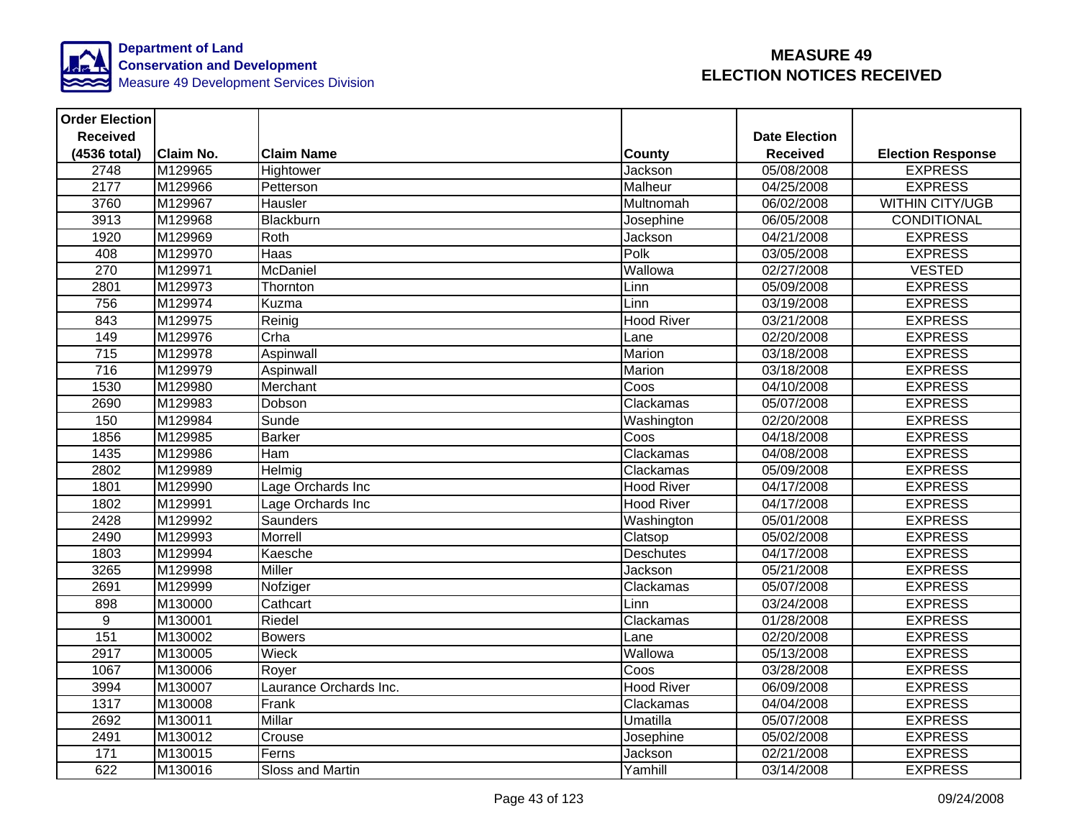

| <b>Order Election</b> |                  |                        |                   |                      |                          |
|-----------------------|------------------|------------------------|-------------------|----------------------|--------------------------|
| <b>Received</b>       |                  |                        |                   | <b>Date Election</b> |                          |
| (4536 total)          | <b>Claim No.</b> | <b>Claim Name</b>      | <b>County</b>     | <b>Received</b>      | <b>Election Response</b> |
| 2748                  | M129965          | Hightower              | Jackson           | 05/08/2008           | <b>EXPRESS</b>           |
| 2177                  | M129966          | Petterson              | Malheur           | 04/25/2008           | <b>EXPRESS</b>           |
| 3760                  | M129967          | Hausler                | Multnomah         | 06/02/2008           | <b>WITHIN CITY/UGB</b>   |
| 3913                  | M129968          | Blackburn              | Josephine         | 06/05/2008           | <b>CONDITIONAL</b>       |
| 1920                  | M129969          | Roth                   | Jackson           | 04/21/2008           | <b>EXPRESS</b>           |
| 408                   | M129970          | Haas                   | Polk              | 03/05/2008           | <b>EXPRESS</b>           |
| 270                   | M129971          | McDaniel               | Wallowa           | 02/27/2008           | <b>VESTED</b>            |
| 2801                  | M129973          | Thornton               | Linn              | 05/09/2008           | <b>EXPRESS</b>           |
| 756                   | M129974          | Kuzma                  | Linn              | 03/19/2008           | <b>EXPRESS</b>           |
| 843                   | M129975          | Reinig                 | <b>Hood River</b> | 03/21/2008           | <b>EXPRESS</b>           |
| 149                   | M129976          | Crha                   | Lane              | 02/20/2008           | <b>EXPRESS</b>           |
| 715                   | M129978          | Aspinwall              | Marion            | 03/18/2008           | <b>EXPRESS</b>           |
| 716                   | M129979          | Aspinwall              | Marion            | 03/18/2008           | <b>EXPRESS</b>           |
| 1530                  | M129980          | Merchant               | Coos              | 04/10/2008           | <b>EXPRESS</b>           |
| 2690                  | M129983          | Dobson                 | Clackamas         | 05/07/2008           | <b>EXPRESS</b>           |
| 150                   | M129984          | Sunde                  | Washington        | 02/20/2008           | <b>EXPRESS</b>           |
| 1856                  | M129985          | <b>Barker</b>          | Coos              | 04/18/2008           | <b>EXPRESS</b>           |
| 1435                  | M129986          | Ham                    | Clackamas         | 04/08/2008           | <b>EXPRESS</b>           |
| 2802                  | M129989          | Helmig                 | Clackamas         | 05/09/2008           | <b>EXPRESS</b>           |
| 1801                  | M129990          | Lage Orchards Inc      | <b>Hood River</b> | 04/17/2008           | <b>EXPRESS</b>           |
| 1802                  | M129991          | Lage Orchards Inc      | <b>Hood River</b> | 04/17/2008           | <b>EXPRESS</b>           |
| 2428                  | M129992          | <b>Saunders</b>        | Washington        | 05/01/2008           | <b>EXPRESS</b>           |
| 2490                  | M129993          | Morrell                | Clatsop           | 05/02/2008           | <b>EXPRESS</b>           |
| 1803                  | M129994          | Kaesche                | <b>Deschutes</b>  | 04/17/2008           | <b>EXPRESS</b>           |
| 3265                  | M129998          | Miller                 | Jackson           | 05/21/2008           | <b>EXPRESS</b>           |
| 2691                  | M129999          | Nofziger               | Clackamas         | 05/07/2008           | <b>EXPRESS</b>           |
| 898                   | M130000          | Cathcart               | Linn              | 03/24/2008           | <b>EXPRESS</b>           |
| 9                     | M130001          | Riedel                 | Clackamas         | 01/28/2008           | <b>EXPRESS</b>           |
| 151                   | M130002          | <b>Bowers</b>          | Lane              | 02/20/2008           | <b>EXPRESS</b>           |
| 2917                  | M130005          | Wieck                  | Wallowa           | 05/13/2008           | <b>EXPRESS</b>           |
| 1067                  | M130006          | Royer                  | Coos              | 03/28/2008           | <b>EXPRESS</b>           |
| 3994                  | M130007          | Laurance Orchards Inc. | <b>Hood River</b> | 06/09/2008           | <b>EXPRESS</b>           |
| 1317                  | M130008          | Frank                  | Clackamas         | 04/04/2008           | <b>EXPRESS</b>           |
| 2692                  | M130011          | <b>Millar</b>          | Umatilla          | 05/07/2008           | <b>EXPRESS</b>           |
| 2491                  | M130012          | Crouse                 | Josephine         | 05/02/2008           | <b>EXPRESS</b>           |
| $171$                 | M130015          | Ferns                  | Jackson           | 02/21/2008           | <b>EXPRESS</b>           |
| 622                   | M130016          | Sloss and Martin       | Yamhill           | 03/14/2008           | <b>EXPRESS</b>           |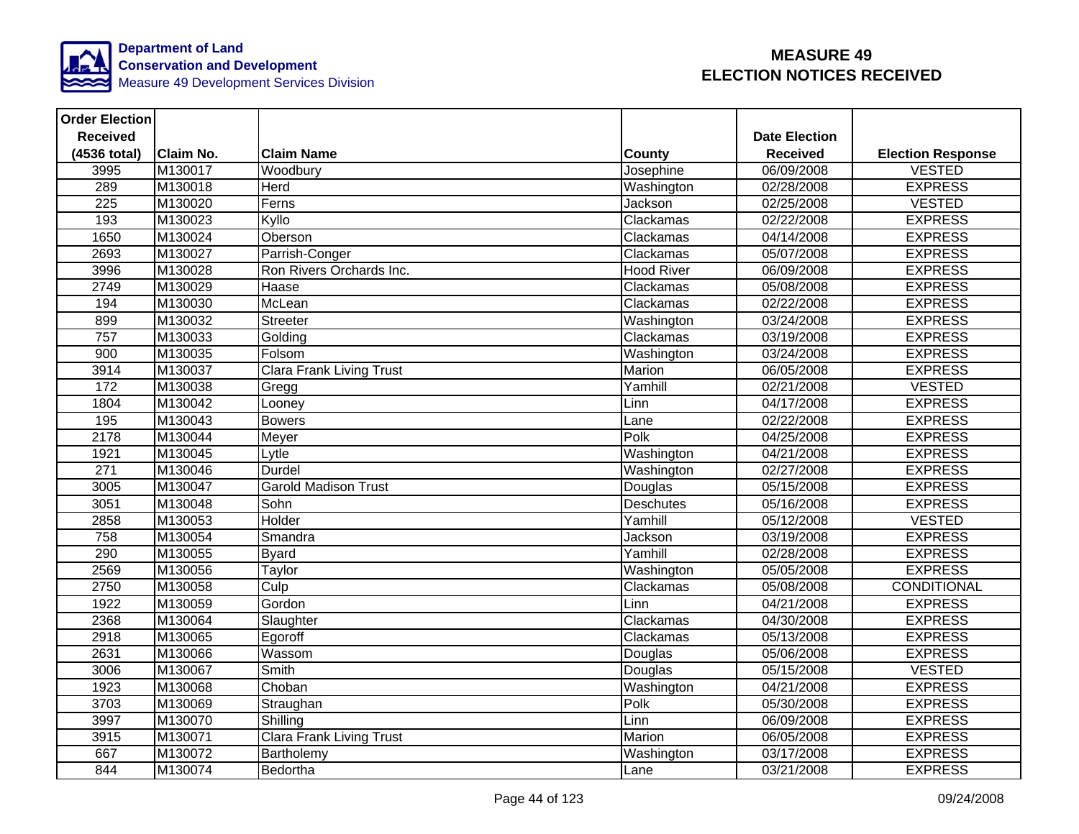

| <b>Order Election</b> |                  |                                 |                   |                      |                          |
|-----------------------|------------------|---------------------------------|-------------------|----------------------|--------------------------|
| <b>Received</b>       |                  |                                 |                   | <b>Date Election</b> |                          |
| (4536 total)          | <b>Claim No.</b> | <b>Claim Name</b>               | <b>County</b>     | <b>Received</b>      | <b>Election Response</b> |
| 3995                  | M130017          | Woodbury                        | Josephine         | 06/09/2008           | <b>VESTED</b>            |
| 289                   | M130018          | <b>Herd</b>                     | Washington        | 02/28/2008           | <b>EXPRESS</b>           |
| $\overline{225}$      | M130020          | Ferns                           | Jackson           | 02/25/2008           | <b>VESTED</b>            |
| 193                   | M130023          | Kyllo                           | Clackamas         | 02/22/2008           | <b>EXPRESS</b>           |
| 1650                  | M130024          | Oberson                         | Clackamas         | 04/14/2008           | <b>EXPRESS</b>           |
| 2693                  | M130027          | Parrish-Conger                  | Clackamas         | 05/07/2008           | <b>EXPRESS</b>           |
| 3996                  | M130028          | Ron Rivers Orchards Inc.        | <b>Hood River</b> | 06/09/2008           | <b>EXPRESS</b>           |
| 2749                  | M130029          | Haase                           | Clackamas         | 05/08/2008           | <b>EXPRESS</b>           |
| 194                   | M130030          | McLean                          | Clackamas         | 02/22/2008           | <b>EXPRESS</b>           |
| 899                   | M130032          | Streeter                        | Washington        | 03/24/2008           | <b>EXPRESS</b>           |
| 757                   | M130033          | Golding                         | Clackamas         | 03/19/2008           | <b>EXPRESS</b>           |
| 900                   | M130035          | Folsom                          | Washington        | 03/24/2008           | <b>EXPRESS</b>           |
| 3914                  | M130037          | <b>Clara Frank Living Trust</b> | Marion            | 06/05/2008           | <b>EXPRESS</b>           |
| 172                   | M130038          | Gregg                           | Yamhill           | 02/21/2008           | <b>VESTED</b>            |
| 1804                  | M130042          | Looney                          | Linn              | 04/17/2008           | <b>EXPRESS</b>           |
| 195                   | M130043          | <b>Bowers</b>                   | Lane              | 02/22/2008           | <b>EXPRESS</b>           |
| 2178                  | M130044          | Meyer                           | Polk              | 04/25/2008           | <b>EXPRESS</b>           |
| 1921                  | M130045          | Lytle                           | Washington        | 04/21/2008           | <b>EXPRESS</b>           |
| 271                   | M130046          | <b>Durdel</b>                   | Washington        | 02/27/2008           | <b>EXPRESS</b>           |
| 3005                  | M130047          | <b>Garold Madison Trust</b>     | Douglas           | 05/15/2008           | <b>EXPRESS</b>           |
| 3051                  | M130048          | Sohn                            | Deschutes         | 05/16/2008           | <b>EXPRESS</b>           |
| 2858                  | M130053          | Holder                          | Yamhill           | 05/12/2008           | <b>VESTED</b>            |
| 758                   | M130054          | Smandra                         | Jackson           | 03/19/2008           | <b>EXPRESS</b>           |
| 290                   | M130055          | <b>Byard</b>                    | Yamhill           | 02/28/2008           | <b>EXPRESS</b>           |
| 2569                  | M130056          | Taylor                          | Washington        | 05/05/2008           | <b>EXPRESS</b>           |
| 2750                  | M130058          | Culp                            | Clackamas         | 05/08/2008           | CONDITIONAL              |
| 1922                  | M130059          | Gordon                          | Linn              | 04/21/2008           | <b>EXPRESS</b>           |
| 2368                  | M130064          | Slaughter                       | Clackamas         | 04/30/2008           | <b>EXPRESS</b>           |
| 2918                  | M130065          | Egoroff                         | Clackamas         | 05/13/2008           | <b>EXPRESS</b>           |
| 2631                  | M130066          | Wassom                          | Douglas           | 05/06/2008           | <b>EXPRESS</b>           |
| 3006                  | M130067          | Smith                           | Douglas           | 05/15/2008           | <b>VESTED</b>            |
| 1923                  | M130068          | Choban                          | Washington        | 04/21/2008           | <b>EXPRESS</b>           |
| 3703                  | M130069          | Straughan                       | Polk              | 05/30/2008           | <b>EXPRESS</b>           |
| 3997                  | M130070          | Shilling                        | Linn              | 06/09/2008           | <b>EXPRESS</b>           |
| 3915                  | M130071          | <b>Clara Frank Living Trust</b> | Marion            | 06/05/2008           | <b>EXPRESS</b>           |
| 667                   | M130072          | Bartholemy                      | Washington        | 03/17/2008           | <b>EXPRESS</b>           |
| 844                   | M130074          | Bedortha                        | Lane              | 03/21/2008           | <b>EXPRESS</b>           |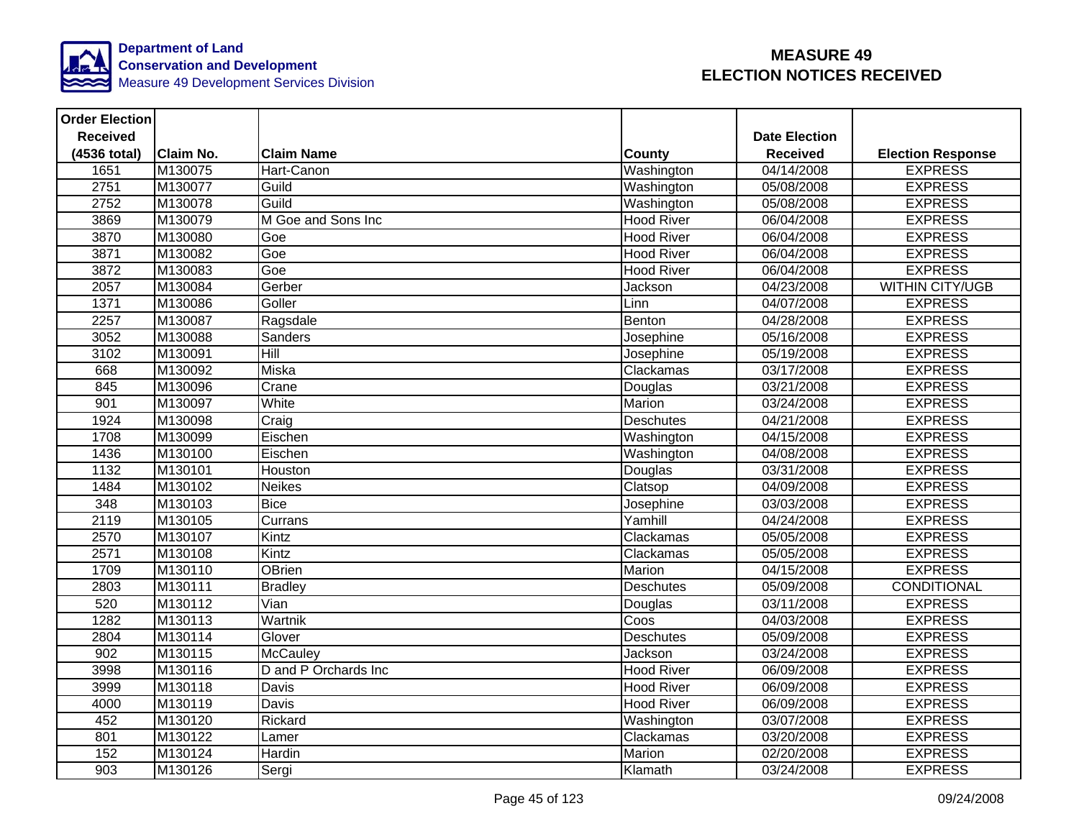

| <b>Order Election</b> |                  |                      |                   |                      |                          |
|-----------------------|------------------|----------------------|-------------------|----------------------|--------------------------|
| <b>Received</b>       |                  |                      |                   | <b>Date Election</b> |                          |
| (4536 total)          | <b>Claim No.</b> | <b>Claim Name</b>    | County            | <b>Received</b>      | <b>Election Response</b> |
| 1651                  | M130075          | Hart-Canon           | Washington        | 04/14/2008           | <b>EXPRESS</b>           |
| 2751                  | M130077          | Guild                | Washington        | 05/08/2008           | <b>EXPRESS</b>           |
| 2752                  | M130078          | Guild                | Washington        | 05/08/2008           | <b>EXPRESS</b>           |
| 3869                  | M130079          | M Goe and Sons Inc   | <b>Hood River</b> | 06/04/2008           | <b>EXPRESS</b>           |
| 3870                  | M130080          | Goe                  | <b>Hood River</b> | 06/04/2008           | <b>EXPRESS</b>           |
| 3871                  | M130082          | Goe                  | <b>Hood River</b> | 06/04/2008           | <b>EXPRESS</b>           |
| 3872                  | M130083          | Goe                  | <b>Hood River</b> | 06/04/2008           | <b>EXPRESS</b>           |
| 2057                  | M130084          | Gerber               | Jackson           | 04/23/2008           | <b>WITHIN CITY/UGB</b>   |
| 1371                  | M130086          | Goller               | Linn              | 04/07/2008           | <b>EXPRESS</b>           |
| 2257                  | M130087          | Ragsdale             | Benton            | 04/28/2008           | <b>EXPRESS</b>           |
| 3052                  | M130088          | Sanders              | Josephine         | 05/16/2008           | <b>EXPRESS</b>           |
| 3102                  | M130091          | <b>Hill</b>          | Josephine         | 05/19/2008           | <b>EXPRESS</b>           |
| 668                   | M130092          | Miska                | Clackamas         | 03/17/2008           | <b>EXPRESS</b>           |
| 845                   | M130096          | Crane                | Douglas           | 03/21/2008           | <b>EXPRESS</b>           |
| 901                   | M130097          | White                | Marion            | 03/24/2008           | <b>EXPRESS</b>           |
| 1924                  | M130098          | Craig                | <b>Deschutes</b>  | 04/21/2008           | <b>EXPRESS</b>           |
| 1708                  | M130099          | Eischen              | Washington        | 04/15/2008           | <b>EXPRESS</b>           |
| 1436                  | M130100          | Eischen              | Washington        | 04/08/2008           | <b>EXPRESS</b>           |
| 1132                  | M130101          | Houston              | Douglas           | 03/31/2008           | <b>EXPRESS</b>           |
| 1484                  | M130102          | <b>Neikes</b>        | Clatsop           | 04/09/2008           | <b>EXPRESS</b>           |
| 348                   | M130103          | <b>Bice</b>          | Josephine         | 03/03/2008           | <b>EXPRESS</b>           |
| 2119                  | M130105          | Currans              | Yamhill           | 04/24/2008           | <b>EXPRESS</b>           |
| 2570                  | M130107          | Kintz                | Clackamas         | 05/05/2008           | <b>EXPRESS</b>           |
| 2571                  | M130108          | Kintz                | Clackamas         | 05/05/2008           | <b>EXPRESS</b>           |
| 1709                  | M130110          | <b>OBrien</b>        | Marion            | 04/15/2008           | <b>EXPRESS</b>           |
| 2803                  | M130111          | <b>Bradley</b>       | <b>Deschutes</b>  | 05/09/2008           | CONDITIONAL              |
| 520                   | M130112          | Vian                 | Douglas           | 03/11/2008           | <b>EXPRESS</b>           |
| 1282                  | M130113          | Wartnik              | Coos              | 04/03/2008           | <b>EXPRESS</b>           |
| 2804                  | M130114          | Glover               | Deschutes         | 05/09/2008           | <b>EXPRESS</b>           |
| 902                   | M130115          | McCauley             | Jackson           | 03/24/2008           | <b>EXPRESS</b>           |
| 3998                  | M130116          | D and P Orchards Inc | Hood River        | 06/09/2008           | <b>EXPRESS</b>           |
| 3999                  | M130118          | Davis                | <b>Hood River</b> | 06/09/2008           | <b>EXPRESS</b>           |
| 4000                  | M130119          | <b>Davis</b>         | <b>Hood River</b> | 06/09/2008           | <b>EXPRESS</b>           |
| 452                   | M130120          | Rickard              | Washington        | 03/07/2008           | <b>EXPRESS</b>           |
| 801                   | M130122          | Lamer                | Clackamas         | 03/20/2008           | <b>EXPRESS</b>           |
| 152                   | M130124          | Hardin               | Marion            | 02/20/2008           | <b>EXPRESS</b>           |
| 903                   | M130126          | Sergi                | Klamath           | 03/24/2008           | <b>EXPRESS</b>           |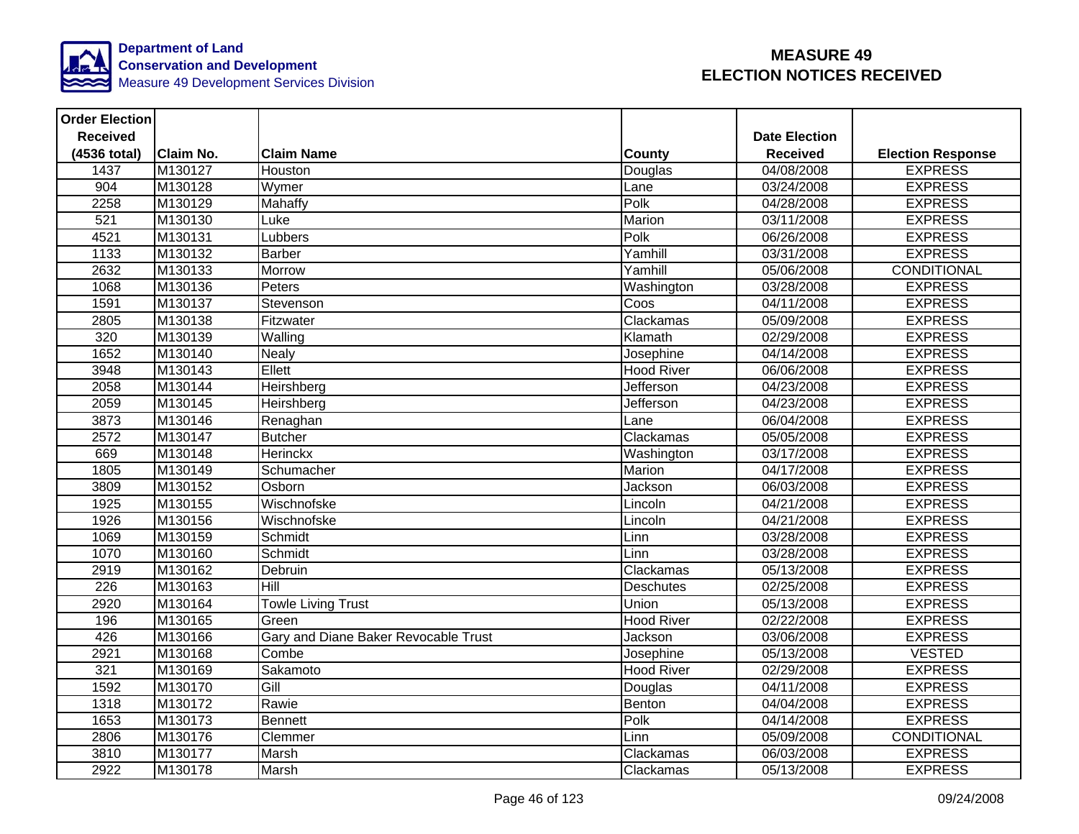

| <b>Order Election</b> |                  |                                      |                   |                      |                          |
|-----------------------|------------------|--------------------------------------|-------------------|----------------------|--------------------------|
| <b>Received</b>       |                  |                                      |                   | <b>Date Election</b> |                          |
| (4536 total)          | <b>Claim No.</b> | <b>Claim Name</b>                    | <b>County</b>     | <b>Received</b>      | <b>Election Response</b> |
| 1437                  | M130127          | Houston                              | Douglas           | 04/08/2008           | <b>EXPRESS</b>           |
| 904                   | M130128          | Wymer                                | Lane              | 03/24/2008           | <b>EXPRESS</b>           |
| 2258                  | M130129          | <b>Mahaffy</b>                       | Polk              | 04/28/2008           | <b>EXPRESS</b>           |
| 521                   | M130130          | Luke                                 | Marion            | 03/11/2008           | <b>EXPRESS</b>           |
| 4521                  | M130131          | Lubbers                              | Polk              | 06/26/2008           | <b>EXPRESS</b>           |
| 1133                  | M130132          | <b>Barber</b>                        | Yamhill           | 03/31/2008           | <b>EXPRESS</b>           |
| 2632                  | M130133          | <b>Morrow</b>                        | Yamhill           | 05/06/2008           | <b>CONDITIONAL</b>       |
| 1068                  | M130136          | Peters                               | Washington        | 03/28/2008           | <b>EXPRESS</b>           |
| 1591                  | M130137          | Stevenson                            | Coos              | 04/11/2008           | <b>EXPRESS</b>           |
| 2805                  | M130138          | Fitzwater                            | Clackamas         | 05/09/2008           | <b>EXPRESS</b>           |
| 320                   | M130139          | Walling                              | Klamath           | 02/29/2008           | <b>EXPRESS</b>           |
| 1652                  | M130140          | <b>Nealy</b>                         | Josephine         | 04/14/2008           | <b>EXPRESS</b>           |
| 3948                  | M130143          | Ellett                               | <b>Hood River</b> | 06/06/2008           | <b>EXPRESS</b>           |
| 2058                  | M130144          | Heirshberg                           | <b>Jefferson</b>  | 04/23/2008           | <b>EXPRESS</b>           |
| 2059                  | M130145          | Heirshberg                           | Jefferson         | 04/23/2008           | <b>EXPRESS</b>           |
| 3873                  | M130146          | Renaghan                             | Lane              | 06/04/2008           | <b>EXPRESS</b>           |
| 2572                  | M130147          | <b>Butcher</b>                       | Clackamas         | 05/05/2008           | <b>EXPRESS</b>           |
| 669                   | M130148          | Herinckx                             | Washington        | 03/17/2008           | <b>EXPRESS</b>           |
| 1805                  | M130149          | Schumacher                           | Marion            | 04/17/2008           | <b>EXPRESS</b>           |
| 3809                  | M130152          | Osborn                               | Jackson           | 06/03/2008           | <b>EXPRESS</b>           |
| 1925                  | M130155          | Wischnofske                          | Lincoln           | 04/21/2008           | <b>EXPRESS</b>           |
| 1926                  | M130156          | Wischnofske                          | Lincoln           | 04/21/2008           | <b>EXPRESS</b>           |
| 1069                  | M130159          | Schmidt                              | Linn              | 03/28/2008           | <b>EXPRESS</b>           |
| 1070                  | M130160          | Schmidt                              | Linn              | 03/28/2008           | <b>EXPRESS</b>           |
| 2919                  | M130162          | Debruin                              | Clackamas         | 05/13/2008           | <b>EXPRESS</b>           |
| 226                   | M130163          | Hill                                 | <b>Deschutes</b>  | 02/25/2008           | <b>EXPRESS</b>           |
| 2920                  | M130164          | <b>Towle Living Trust</b>            | Union             | 05/13/2008           | <b>EXPRESS</b>           |
| 196                   | M130165          | Green                                | <b>Hood River</b> | 02/22/2008           | <b>EXPRESS</b>           |
| 426                   | M130166          | Gary and Diane Baker Revocable Trust | Jackson           | 03/06/2008           | <b>EXPRESS</b>           |
| 2921                  | M130168          | Combe                                | Josephine         | 05/13/2008           | <b>VESTED</b>            |
| 321                   | M130169          | Sakamoto                             | <b>Hood River</b> | 02/29/2008           | <b>EXPRESS</b>           |
| 1592                  | M130170          | Gill                                 | Douglas           | 04/11/2008           | <b>EXPRESS</b>           |
| 1318                  | M130172          | Rawie                                | Benton            | 04/04/2008           | <b>EXPRESS</b>           |
| 1653                  | M130173          | Bennett                              | Polk              | 04/14/2008           | <b>EXPRESS</b>           |
| 2806                  | M130176          | Clemmer                              | Linn              | 05/09/2008           | CONDITIONAL              |
| 3810                  | M130177          | Marsh                                | Clackamas         | 06/03/2008           | <b>EXPRESS</b>           |
| 2922                  | M130178          | Marsh                                | Clackamas         | 05/13/2008           | <b>EXPRESS</b>           |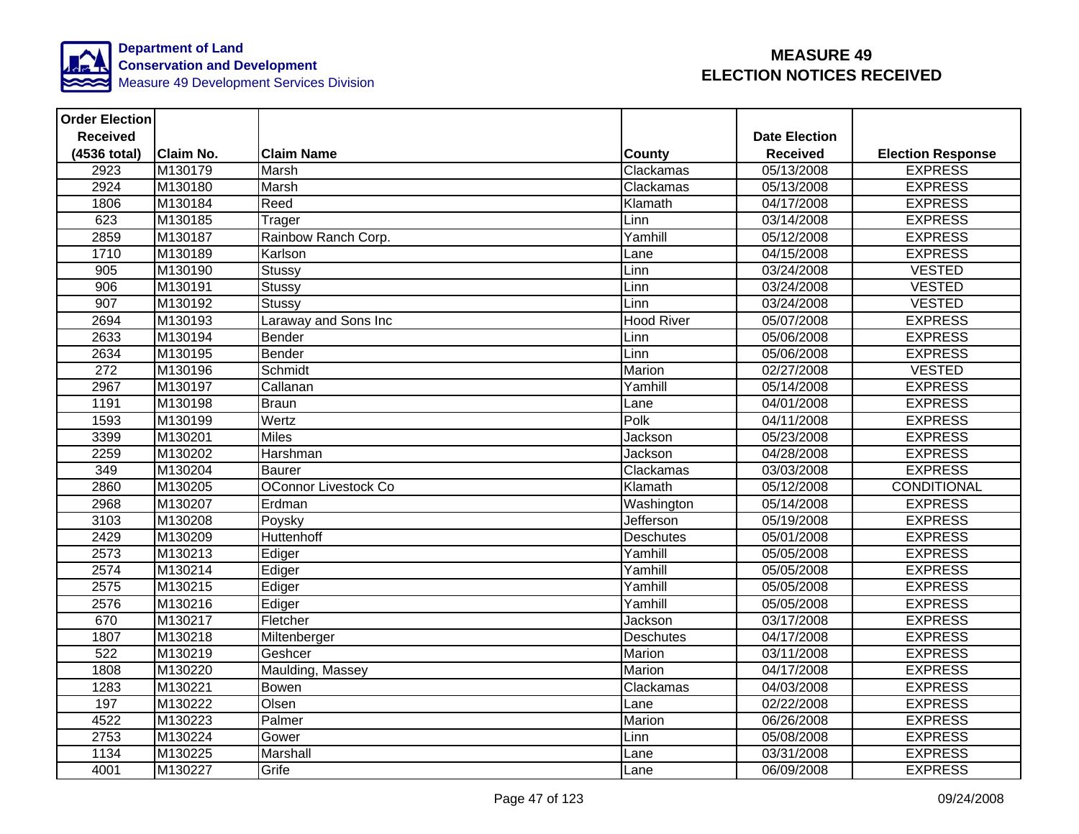

| <b>Order Election</b> |                  |                             |                   |                      |                          |
|-----------------------|------------------|-----------------------------|-------------------|----------------------|--------------------------|
| <b>Received</b>       |                  |                             |                   | <b>Date Election</b> |                          |
| (4536 total)          | <b>Claim No.</b> | <b>Claim Name</b>           | <b>County</b>     | <b>Received</b>      | <b>Election Response</b> |
| 2923                  | M130179          | Marsh                       | Clackamas         | 05/13/2008           | <b>EXPRESS</b>           |
| 2924                  | M130180          | Marsh                       | Clackamas         | 05/13/2008           | <b>EXPRESS</b>           |
| 1806                  | M130184          | Reed                        | Klamath           | 04/17/2008           | <b>EXPRESS</b>           |
| 623                   | M130185          | Trager                      | Linn              | 03/14/2008           | <b>EXPRESS</b>           |
| 2859                  | M130187          | Rainbow Ranch Corp.         | Yamhill           | 05/12/2008           | <b>EXPRESS</b>           |
| 1710                  | M130189          | Karlson                     | Lane              | 04/15/2008           | <b>EXPRESS</b>           |
| 905                   | M130190          | <b>Stussy</b>               | Linn              | 03/24/2008           | <b>VESTED</b>            |
| 906                   | M130191          | Stussy                      | Linn              | 03/24/2008           | <b>VESTED</b>            |
| 907                   | M130192          | <b>Stussy</b>               | Linn              | 03/24/2008           | <b>VESTED</b>            |
| 2694                  | M130193          | Laraway and Sons Inc        | <b>Hood River</b> | 05/07/2008           | <b>EXPRESS</b>           |
| 2633                  | M130194          | Bender                      | Linn              | 05/06/2008           | <b>EXPRESS</b>           |
| 2634                  | M130195          | Bender                      | Linn              | 05/06/2008           | <b>EXPRESS</b>           |
| 272                   | M130196          | Schmidt                     | Marion            | 02/27/2008           | <b>VESTED</b>            |
| 2967                  | M130197          | Callanan                    | Yamhill           | 05/14/2008           | <b>EXPRESS</b>           |
| 1191                  | M130198          | <b>Braun</b>                | Lane              | 04/01/2008           | <b>EXPRESS</b>           |
| 1593                  | M130199          | Wertz                       | Polk              | 04/11/2008           | <b>EXPRESS</b>           |
| 3399                  | M130201          | <b>Miles</b>                | Jackson           | 05/23/2008           | <b>EXPRESS</b>           |
| 2259                  | M130202          | Harshman                    | Jackson           | 04/28/2008           | <b>EXPRESS</b>           |
| 349                   | M130204          | <b>Baurer</b>               | Clackamas         | 03/03/2008           | <b>EXPRESS</b>           |
| 2860                  | M130205          | <b>OConnor Livestock Co</b> | Klamath           | 05/12/2008           | CONDITIONAL              |
| 2968                  | M130207          | Erdman                      | Washington        | 05/14/2008           | <b>EXPRESS</b>           |
| 3103                  | M130208          | Poysky                      | <b>Jefferson</b>  | 05/19/2008           | <b>EXPRESS</b>           |
| 2429                  | M130209          | Huttenhoff                  | <b>Deschutes</b>  | 05/01/2008           | <b>EXPRESS</b>           |
| 2573                  | M130213          | Ediger                      | Yamhill           | 05/05/2008           | <b>EXPRESS</b>           |
| 2574                  | M130214          | Ediger                      | Yamhill           | 05/05/2008           | <b>EXPRESS</b>           |
| 2575                  | M130215          | Ediger                      | Yamhill           | 05/05/2008           | <b>EXPRESS</b>           |
| 2576                  | M130216          | Ediger                      | Yamhill           | 05/05/2008           | <b>EXPRESS</b>           |
| 670                   | M130217          | Fletcher                    | <b>Jackson</b>    | 03/17/2008           | <b>EXPRESS</b>           |
| 1807                  | M130218          | Miltenberger                | <b>Deschutes</b>  | 04/17/2008           | <b>EXPRESS</b>           |
| 522                   | M130219          | Geshcer                     | Marion            | 03/11/2008           | <b>EXPRESS</b>           |
| 1808                  | M130220          | Maulding, Massey            | Marion            | 04/17/2008           | <b>EXPRESS</b>           |
| 1283                  | M130221          | <b>Bowen</b>                | Clackamas         | 04/03/2008           | <b>EXPRESS</b>           |
| 197                   | M130222          | Olsen                       | Lane              | 02/22/2008           | <b>EXPRESS</b>           |
| 4522                  | M130223          | Palmer                      | Marion            | 06/26/2008           | <b>EXPRESS</b>           |
| 2753                  | M130224          | Gower                       | Linn              | 05/08/2008           | <b>EXPRESS</b>           |
| 1134                  | M130225          | Marshall                    | Lane              | 03/31/2008           | <b>EXPRESS</b>           |
| 4001                  | M130227          | Grife                       | Lane              | 06/09/2008           | <b>EXPRESS</b>           |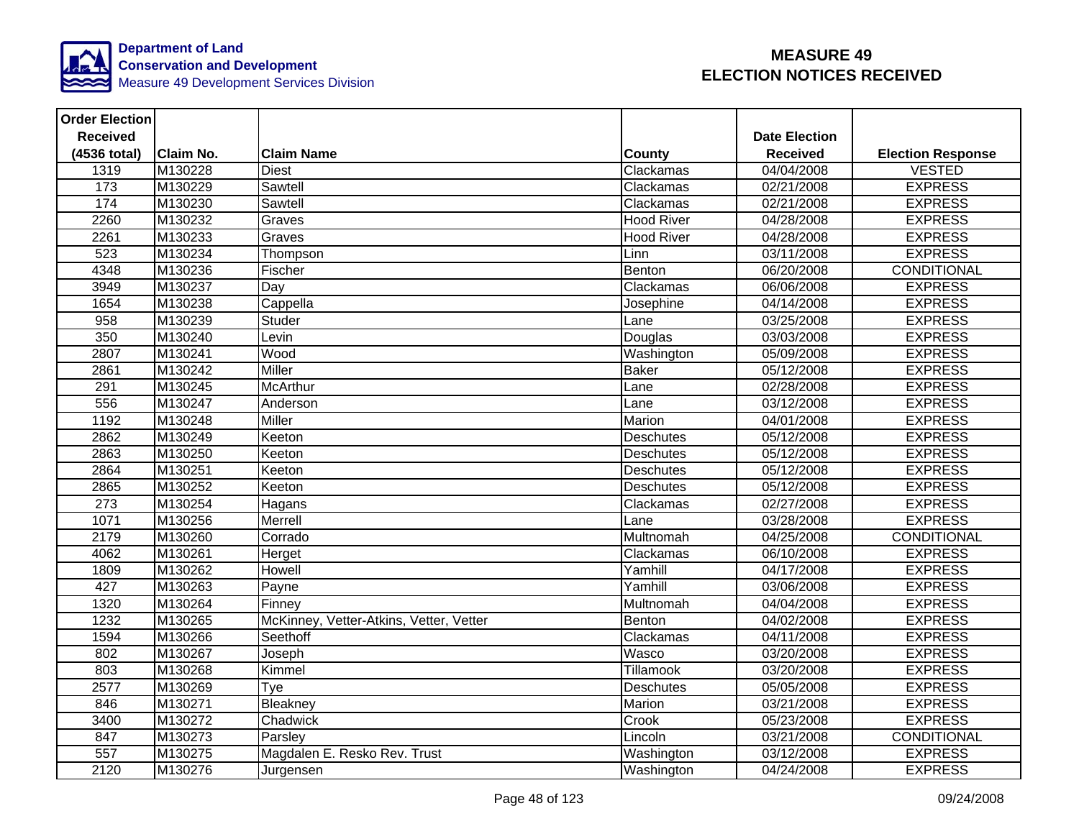

| <b>Order Election</b> |                  |                                         |                   |                      |                          |
|-----------------------|------------------|-----------------------------------------|-------------------|----------------------|--------------------------|
| <b>Received</b>       |                  |                                         |                   | <b>Date Election</b> |                          |
| (4536 total)          | <b>Claim No.</b> | <b>Claim Name</b>                       | <b>County</b>     | <b>Received</b>      | <b>Election Response</b> |
| 1319                  | M130228          | <b>Diest</b>                            | Clackamas         | 04/04/2008           | <b>VESTED</b>            |
| 173                   | M130229          | Sawtell                                 | Clackamas         | 02/21/2008           | <b>EXPRESS</b>           |
| 174                   | M130230          | Sawtell                                 | Clackamas         | 02/21/2008           | <b>EXPRESS</b>           |
| 2260                  | M130232          | Graves                                  | <b>Hood River</b> | 04/28/2008           | <b>EXPRESS</b>           |
| 2261                  | M130233          | Graves                                  | <b>Hood River</b> | 04/28/2008           | <b>EXPRESS</b>           |
| 523                   | M130234          | Thompson                                | Linn              | 03/11/2008           | <b>EXPRESS</b>           |
| 4348                  | M130236          | Fischer                                 | Benton            | 06/20/2008           | <b>CONDITIONAL</b>       |
| 3949                  | M130237          | Day                                     | Clackamas         | 06/06/2008           | <b>EXPRESS</b>           |
| 1654                  | M130238          | Cappella                                | Josephine         | 04/14/2008           | <b>EXPRESS</b>           |
| $\overline{958}$      | M130239          | Studer                                  | Lane              | 03/25/2008           | <b>EXPRESS</b>           |
| 350                   | M130240          | Levin                                   | Douglas           | 03/03/2008           | <b>EXPRESS</b>           |
| 2807                  | M130241          | Wood                                    | Washington        | 05/09/2008           | <b>EXPRESS</b>           |
| 2861                  | M130242          | Miller                                  | Baker             | 05/12/2008           | <b>EXPRESS</b>           |
| 291                   | M130245          | <b>McArthur</b>                         | Lane              | 02/28/2008           | <b>EXPRESS</b>           |
| 556                   | M130247          | Anderson                                | Lane              | 03/12/2008           | <b>EXPRESS</b>           |
| 1192                  | M130248          | <b>Miller</b>                           | Marion            | 04/01/2008           | <b>EXPRESS</b>           |
| 2862                  | M130249          | Keeton                                  | <b>Deschutes</b>  | 05/12/2008           | <b>EXPRESS</b>           |
| 2863                  | M130250          | Keeton                                  | <b>Deschutes</b>  | 05/12/2008           | <b>EXPRESS</b>           |
| 2864                  | M130251          | Keeton                                  | <b>Deschutes</b>  | 05/12/2008           | <b>EXPRESS</b>           |
| 2865                  | M130252          | Keeton                                  | <b>Deschutes</b>  | 05/12/2008           | <b>EXPRESS</b>           |
| 273                   | M130254          | Hagans                                  | Clackamas         | 02/27/2008           | <b>EXPRESS</b>           |
| 1071                  | M130256          | Merrell                                 | Lane              | 03/28/2008           | <b>EXPRESS</b>           |
| 2179                  | M130260          | Corrado                                 | Multnomah         | 04/25/2008           | CONDITIONAL              |
| 4062                  | M130261          | Herget                                  | Clackamas         | 06/10/2008           | <b>EXPRESS</b>           |
| 1809                  | M130262          | Howell                                  | Yamhill           | 04/17/2008           | <b>EXPRESS</b>           |
| 427                   | M130263          | Payne                                   | Yamhill           | 03/06/2008           | <b>EXPRESS</b>           |
| 1320                  | M130264          | Finney                                  | Multnomah         | 04/04/2008           | <b>EXPRESS</b>           |
| 1232                  | M130265          | McKinney, Vetter-Atkins, Vetter, Vetter | Benton            | 04/02/2008           | <b>EXPRESS</b>           |
| 1594                  | M130266          | Seethoff                                | Clackamas         | 04/11/2008           | <b>EXPRESS</b>           |
| 802                   | M130267          | Joseph                                  | Wasco             | 03/20/2008           | <b>EXPRESS</b>           |
| 803                   | M130268          | Kimmel                                  | Tillamook         | 03/20/2008           | <b>EXPRESS</b>           |
| 2577                  | M130269          | Tye                                     | <b>Deschutes</b>  | 05/05/2008           | <b>EXPRESS</b>           |
| 846                   | M130271          | Bleakney                                | Marion            | 03/21/2008           | <b>EXPRESS</b>           |
| 3400                  | M130272          | Chadwick                                | Crook             | 05/23/2008           | <b>EXPRESS</b>           |
| 847                   | M130273          | Parsley                                 | Lincoln           | 03/21/2008           | CONDITIONAL              |
| 557                   | M130275          | Magdalen E. Resko Rev. Trust            | Washington        | 03/12/2008           | <b>EXPRESS</b>           |
| 2120                  | M130276          | Jurgensen                               | Washington        | 04/24/2008           | <b>EXPRESS</b>           |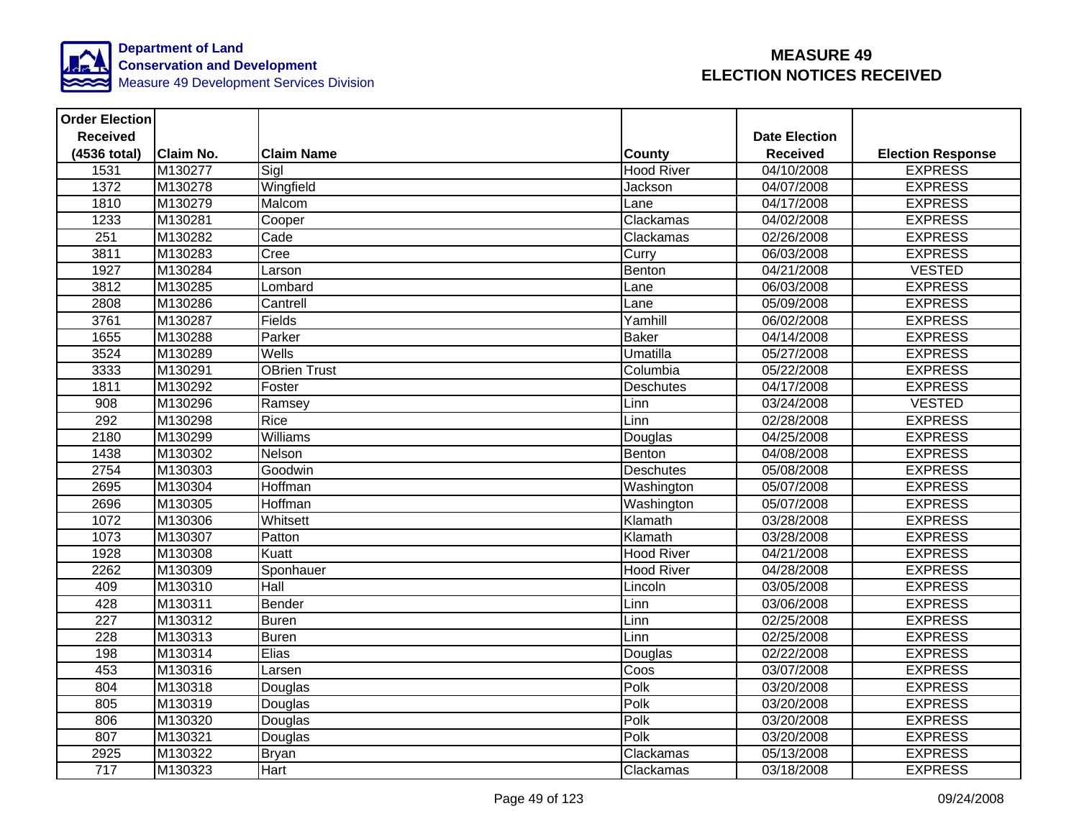

| <b>Order Election</b> |                  |                     |                   |                      |                          |
|-----------------------|------------------|---------------------|-------------------|----------------------|--------------------------|
| <b>Received</b>       |                  |                     |                   | <b>Date Election</b> |                          |
| (4536 total)          | <b>Claim No.</b> | <b>Claim Name</b>   | <b>County</b>     | <b>Received</b>      | <b>Election Response</b> |
| 1531                  | M130277          | Sigl                | <b>Hood River</b> | 04/10/2008           | <b>EXPRESS</b>           |
| 1372                  | M130278          | Wingfield           | Jackson           | 04/07/2008           | <b>EXPRESS</b>           |
| 1810                  | M130279          | Malcom              | Lane              | 04/17/2008           | <b>EXPRESS</b>           |
| 1233                  | M130281          | Cooper              | Clackamas         | 04/02/2008           | <b>EXPRESS</b>           |
| 251                   | M130282          | Cade                | Clackamas         | 02/26/2008           | <b>EXPRESS</b>           |
| 3811                  | M130283          | Cree                | Curry             | 06/03/2008           | <b>EXPRESS</b>           |
| 1927                  | M130284          | Larson              | Benton            | 04/21/2008           | <b>VESTED</b>            |
| 3812                  | M130285          | Lombard             | Lane              | 06/03/2008           | <b>EXPRESS</b>           |
| 2808                  | M130286          | Cantrell            | Lane              | 05/09/2008           | <b>EXPRESS</b>           |
| 3761                  | M130287          | Fields              | Yamhill           | 06/02/2008           | <b>EXPRESS</b>           |
| 1655                  | M130288          | Parker              | <b>Baker</b>      | 04/14/2008           | <b>EXPRESS</b>           |
| 3524                  | M130289          | Wells               | Umatilla          | 05/27/2008           | <b>EXPRESS</b>           |
| 3333                  | M130291          | <b>OBrien Trust</b> | Columbia          | 05/22/2008           | <b>EXPRESS</b>           |
| 1811                  | M130292          | Foster              | Deschutes         | 04/17/2008           | <b>EXPRESS</b>           |
| 908                   | M130296          | Ramsey              | Linn              | 03/24/2008           | <b>VESTED</b>            |
| 292                   | M130298          | Rice                | Linn              | 02/28/2008           | <b>EXPRESS</b>           |
| 2180                  | M130299          | Williams            | Douglas           | 04/25/2008           | <b>EXPRESS</b>           |
| 1438                  | M130302          | Nelson              | Benton            | 04/08/2008           | <b>EXPRESS</b>           |
| 2754                  | M130303          | Goodwin             | <b>Deschutes</b>  | 05/08/2008           | <b>EXPRESS</b>           |
| 2695                  | M130304          | Hoffman             | Washington        | 05/07/2008           | <b>EXPRESS</b>           |
| 2696                  | M130305          | Hoffman             | Washington        | 05/07/2008           | <b>EXPRESS</b>           |
| 1072                  | M130306          | Whitsett            | Klamath           | 03/28/2008           | <b>EXPRESS</b>           |
| 1073                  | M130307          | Patton              | Klamath           | 03/28/2008           | <b>EXPRESS</b>           |
| 1928                  | M130308          | Kuatt               | <b>Hood River</b> | 04/21/2008           | <b>EXPRESS</b>           |
| 2262                  | M130309          | Sponhauer           | <b>Hood River</b> | 04/28/2008           | <b>EXPRESS</b>           |
| 409                   | M130310          | <b>Hall</b>         | Lincoln           | 03/05/2008           | <b>EXPRESS</b>           |
| 428                   | M130311          | Bender              | Linn              | 03/06/2008           | <b>EXPRESS</b>           |
| 227                   | M130312          | <b>Buren</b>        | Linn              | 02/25/2008           | <b>EXPRESS</b>           |
| $\overline{228}$      | M130313          | Buren               | Linn              | 02/25/2008           | <b>EXPRESS</b>           |
| 198                   | M130314          | Elias               | <b>Douglas</b>    | 02/22/2008           | <b>EXPRESS</b>           |
| 453                   | M130316          | Larsen              | Coos              | 03/07/2008           | <b>EXPRESS</b>           |
| 804                   | M130318          | Douglas             | Polk              | 03/20/2008           | <b>EXPRESS</b>           |
| 805                   | M130319          | Douglas             | Polk              | 03/20/2008           | <b>EXPRESS</b>           |
| 806                   | M130320          | Douglas             | Polk              | 03/20/2008           | <b>EXPRESS</b>           |
| 807                   | M130321          | Douglas             | Polk              | 03/20/2008           | <b>EXPRESS</b>           |
| 2925                  | M130322          | <b>Bryan</b>        | Clackamas         | 05/13/2008           | <b>EXPRESS</b>           |
| 717                   | M130323          | Hart                | Clackamas         | 03/18/2008           | <b>EXPRESS</b>           |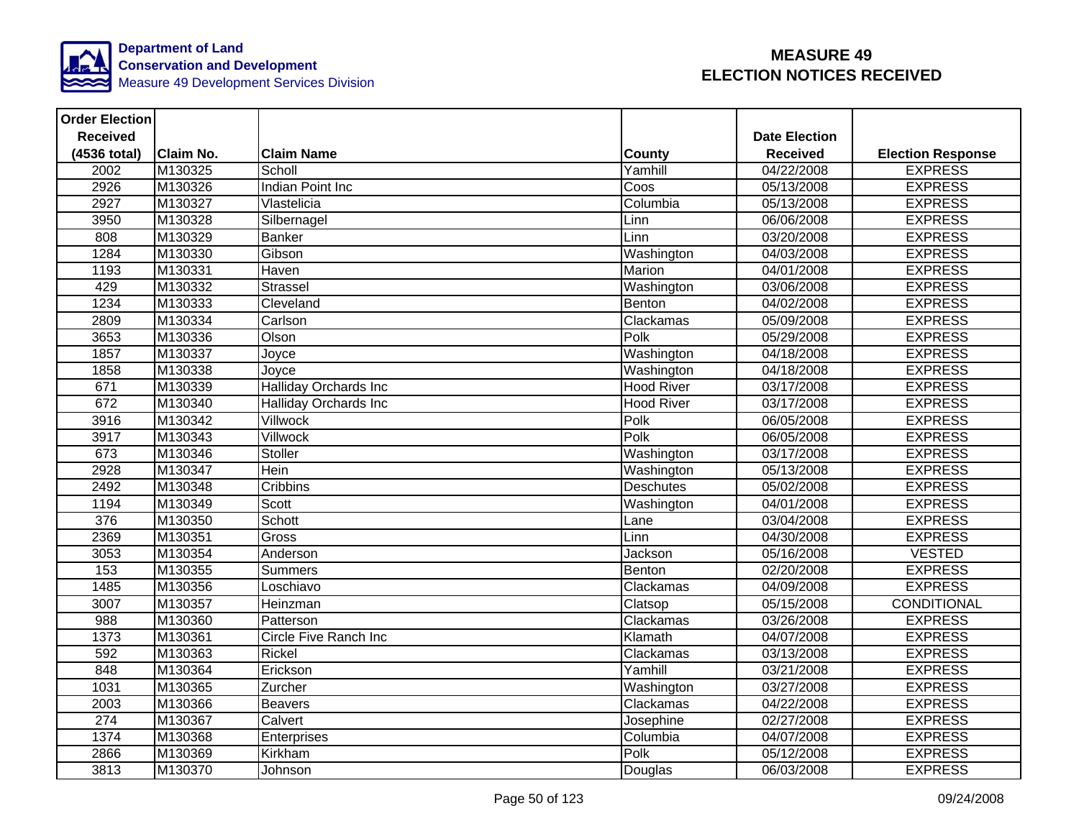

| <b>Order Election</b> |                  |                              |                   |                      |                          |
|-----------------------|------------------|------------------------------|-------------------|----------------------|--------------------------|
| <b>Received</b>       |                  |                              |                   | <b>Date Election</b> |                          |
| (4536 total)          | <b>Claim No.</b> | <b>Claim Name</b>            | County            | <b>Received</b>      | <b>Election Response</b> |
| 2002                  | M130325          | Scholl                       | Yamhill           | 04/22/2008           | <b>EXPRESS</b>           |
| 2926                  | M130326          | Indian Point Inc             | Coos              | 05/13/2008           | <b>EXPRESS</b>           |
| 2927                  | M130327          | Vlastelicia                  | Columbia          | 05/13/2008           | <b>EXPRESS</b>           |
| 3950                  | M130328          | Silbernagel                  | Linn              | 06/06/2008           | <b>EXPRESS</b>           |
| 808                   | M130329          | <b>Banker</b>                | Linn              | 03/20/2008           | <b>EXPRESS</b>           |
| 1284                  | M130330          | Gibson                       | Washington        | 04/03/2008           | <b>EXPRESS</b>           |
| 1193                  | M130331          | Haven                        | Marion            | 04/01/2008           | <b>EXPRESS</b>           |
| 429                   | M130332          | <b>Strassel</b>              | Washington        | 03/06/2008           | <b>EXPRESS</b>           |
| 1234                  | M130333          | Cleveland                    | Benton            | 04/02/2008           | <b>EXPRESS</b>           |
| 2809                  | M130334          | Carlson                      | Clackamas         | 05/09/2008           | <b>EXPRESS</b>           |
| 3653                  | M130336          | Olson                        | Polk              | 05/29/2008           | <b>EXPRESS</b>           |
| 1857                  | M130337          | Joyce                        | Washington        | 04/18/2008           | <b>EXPRESS</b>           |
| 1858                  | M130338          | Joyce                        | Washington        | 04/18/2008           | <b>EXPRESS</b>           |
| 671                   | M130339          | <b>Halliday Orchards Inc</b> | <b>Hood River</b> | 03/17/2008           | <b>EXPRESS</b>           |
| 672                   | M130340          | <b>Halliday Orchards Inc</b> | <b>Hood River</b> | 03/17/2008           | <b>EXPRESS</b>           |
| 3916                  | M130342          | <b>Villwock</b>              | Polk              | 06/05/2008           | <b>EXPRESS</b>           |
| 3917                  | M130343          | Villwock                     | Polk              | 06/05/2008           | <b>EXPRESS</b>           |
| 673                   | M130346          | <b>Stoller</b>               | Washington        | 03/17/2008           | <b>EXPRESS</b>           |
| 2928                  | M130347          | Hein                         | Washington        | 05/13/2008           | <b>EXPRESS</b>           |
| 2492                  | M130348          | Cribbins                     | <b>Deschutes</b>  | 05/02/2008           | <b>EXPRESS</b>           |
| 1194                  | M130349          | <b>Scott</b>                 | Washington        | 04/01/2008           | <b>EXPRESS</b>           |
| 376                   | M130350          | Schott                       | Lane              | 03/04/2008           | <b>EXPRESS</b>           |
| 2369                  | M130351          | Gross                        | Linn              | 04/30/2008           | <b>EXPRESS</b>           |
| 3053                  | M130354          | Anderson                     | Jackson           | 05/16/2008           | <b>VESTED</b>            |
| 153                   | M130355          | <b>Summers</b>               | Benton            | 02/20/2008           | <b>EXPRESS</b>           |
| 1485                  | M130356          | Loschiavo                    | Clackamas         | 04/09/2008           | <b>EXPRESS</b>           |
| 3007                  | M130357          | Heinzman                     | Clatsop           | 05/15/2008           | CONDITIONAL              |
| 988                   | M130360          | Patterson                    | Clackamas         | 03/26/2008           | <b>EXPRESS</b>           |
| 1373                  | M130361          | Circle Five Ranch Inc        | Klamath           | 04/07/2008           | <b>EXPRESS</b>           |
| 592                   | M130363          | Rickel                       | Clackamas         | 03/13/2008           | <b>EXPRESS</b>           |
| 848                   | M130364          | Erickson                     | Yamhill           | 03/21/2008           | <b>EXPRESS</b>           |
| 1031                  | M130365          | Zurcher                      | Washington        | 03/27/2008           | <b>EXPRESS</b>           |
| 2003                  | M130366          | <b>Beavers</b>               | Clackamas         | 04/22/2008           | <b>EXPRESS</b>           |
| 274                   | M130367          | Calvert                      | Josephine         | 02/27/2008           | <b>EXPRESS</b>           |
| 1374                  | M130368          | Enterprises                  | Columbia          | 04/07/2008           | <b>EXPRESS</b>           |
| 2866                  | M130369          | Kirkham                      | Polk              | 05/12/2008           | <b>EXPRESS</b>           |
| 3813                  | M130370          | Johnson                      | Douglas           | 06/03/2008           | <b>EXPRESS</b>           |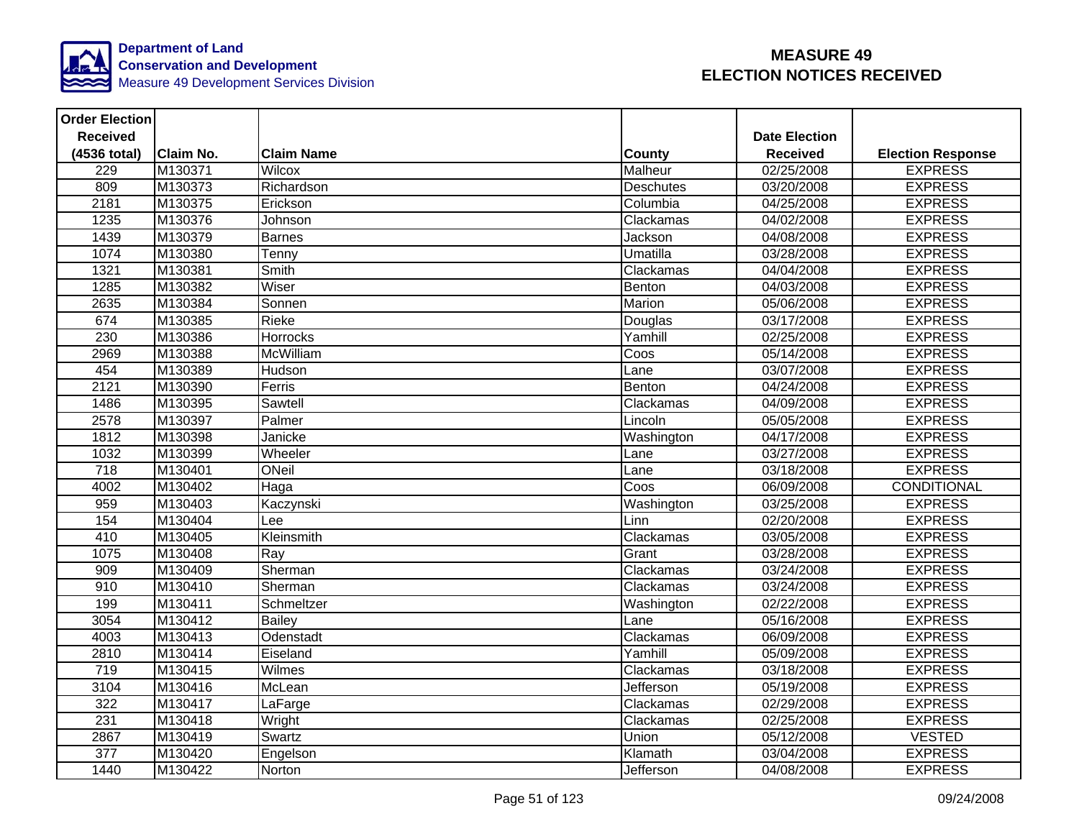

| <b>Order Election</b> |                  |                   |                  |                      |                          |
|-----------------------|------------------|-------------------|------------------|----------------------|--------------------------|
| <b>Received</b>       |                  |                   |                  | <b>Date Election</b> |                          |
| (4536 total)          | <b>Claim No.</b> | <b>Claim Name</b> | <b>County</b>    | <b>Received</b>      | <b>Election Response</b> |
| 229                   | M130371          | Wilcox            | Malheur          | 02/25/2008           | <b>EXPRESS</b>           |
| 809                   | M130373          | Richardson        | <b>Deschutes</b> | 03/20/2008           | <b>EXPRESS</b>           |
| 2181                  | M130375          | Erickson          | Columbia         | 04/25/2008           | <b>EXPRESS</b>           |
| 1235                  | M130376          | Johnson           | Clackamas        | 04/02/2008           | <b>EXPRESS</b>           |
| 1439                  | M130379          | Barnes            | Jackson          | 04/08/2008           | <b>EXPRESS</b>           |
| 1074                  | M130380          | Tenny             | Umatilla         | 03/28/2008           | <b>EXPRESS</b>           |
| 1321                  | M130381          | Smith             | Clackamas        | 04/04/2008           | <b>EXPRESS</b>           |
| 1285                  | M130382          | Wiser             | Benton           | 04/03/2008           | <b>EXPRESS</b>           |
| 2635                  | M130384          | Sonnen            | Marion           | 05/06/2008           | <b>EXPRESS</b>           |
| 674                   | M130385          | Rieke             | Douglas          | 03/17/2008           | <b>EXPRESS</b>           |
| 230                   | M130386          | Horrocks          | Yamhill          | 02/25/2008           | <b>EXPRESS</b>           |
| 2969                  | M130388          | McWilliam         | Coos             | 05/14/2008           | <b>EXPRESS</b>           |
| 454                   | M130389          | Hudson            | Lane             | 03/07/2008           | <b>EXPRESS</b>           |
| 2121                  | M130390          | Ferris            | Benton           | 04/24/2008           | <b>EXPRESS</b>           |
| 1486                  | M130395          | Sawtell           | Clackamas        | 04/09/2008           | <b>EXPRESS</b>           |
| 2578                  | M130397          | Palmer            | Lincoln          | 05/05/2008           | <b>EXPRESS</b>           |
| 1812                  | M130398          | Janicke           | Washington       | 04/17/2008           | <b>EXPRESS</b>           |
| 1032                  | M130399          | Wheeler           | Lane             | 03/27/2008           | <b>EXPRESS</b>           |
| 718                   | M130401          | ONeil             | Lane             | 03/18/2008           | <b>EXPRESS</b>           |
| 4002                  | M130402          | Haga              | Coos             | 06/09/2008           | CONDITIONAL              |
| 959                   | M130403          | Kaczynski         | Washington       | 03/25/2008           | <b>EXPRESS</b>           |
| 154                   | M130404          | Lee               | Linn             | 02/20/2008           | <b>EXPRESS</b>           |
| 410                   | M130405          | Kleinsmith        | Clackamas        | 03/05/2008           | <b>EXPRESS</b>           |
| 1075                  | M130408          | Ray               | Grant            | 03/28/2008           | <b>EXPRESS</b>           |
| 909                   | M130409          | Sherman           | Clackamas        | 03/24/2008           | <b>EXPRESS</b>           |
| 910                   | M130410          | Sherman           | Clackamas        | 03/24/2008           | <b>EXPRESS</b>           |
| 199                   | M130411          | Schmeltzer        | Washington       | 02/22/2008           | <b>EXPRESS</b>           |
| 3054                  | M130412          | <b>Bailey</b>     | Lane             | 05/16/2008           | <b>EXPRESS</b>           |
| 4003                  | M130413          | Odenstadt         | Clackamas        | 06/09/2008           | <b>EXPRESS</b>           |
| 2810                  | M130414          | Eiseland          | Yamhill          | 05/09/2008           | <b>EXPRESS</b>           |
| $\overline{719}$      | M130415          | Wilmes            | Clackamas        | 03/18/2008           | <b>EXPRESS</b>           |
| 3104                  | M130416          | McLean            | Jefferson        | 05/19/2008           | <b>EXPRESS</b>           |
| 322                   | M130417          | LaFarge           | Clackamas        | 02/29/2008           | <b>EXPRESS</b>           |
| 231                   | M130418          | Wright            | Clackamas        | 02/25/2008           | <b>EXPRESS</b>           |
| 2867                  | M130419          | Swartz            | Union            | 05/12/2008           | <b>VESTED</b>            |
| $\overline{377}$      | M130420          | Engelson          | Klamath          | 03/04/2008           | <b>EXPRESS</b>           |
| 1440                  | M130422          | Norton            | Jefferson        | 04/08/2008           | <b>EXPRESS</b>           |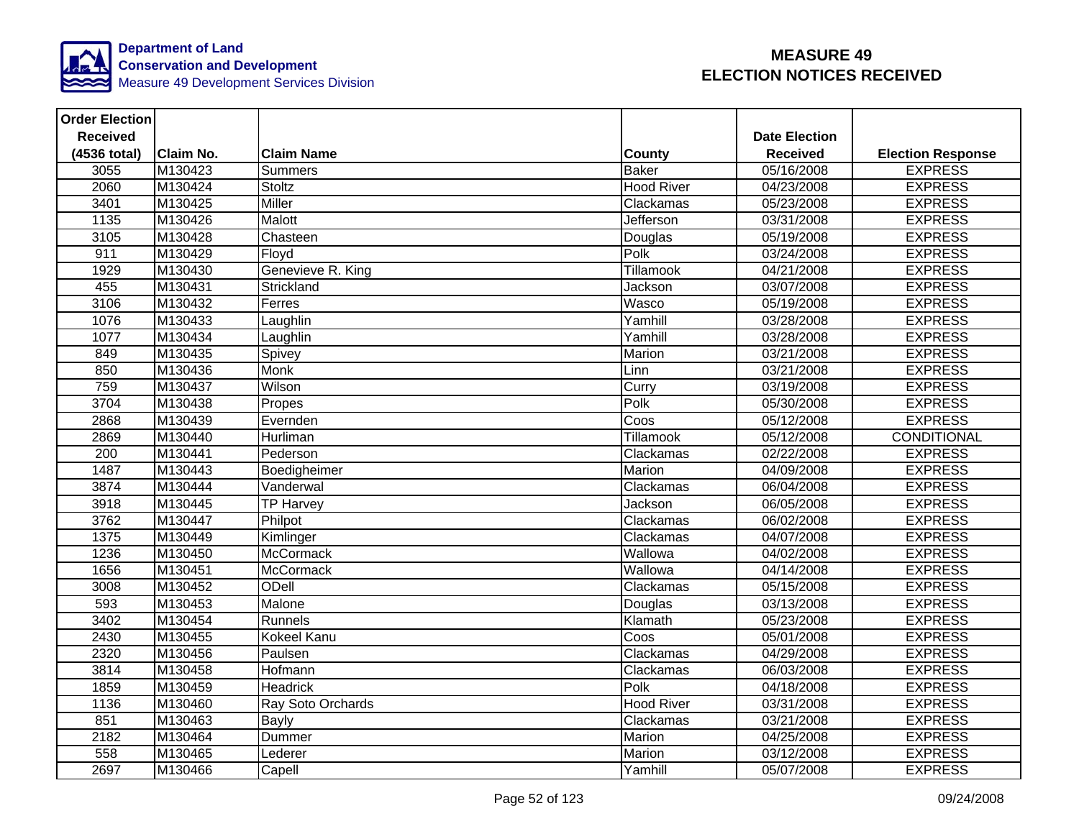

| <b>Order Election</b> |                  |                   |                   |                      |                          |
|-----------------------|------------------|-------------------|-------------------|----------------------|--------------------------|
| <b>Received</b>       |                  |                   |                   | <b>Date Election</b> |                          |
| (4536 total)          | <b>Claim No.</b> | <b>Claim Name</b> | <b>County</b>     | <b>Received</b>      | <b>Election Response</b> |
| 3055                  | M130423          | <b>Summers</b>    | <b>Baker</b>      | 05/16/2008           | <b>EXPRESS</b>           |
| 2060                  | M130424          | Stoltz            | <b>Hood River</b> | 04/23/2008           | <b>EXPRESS</b>           |
| 3401                  | M130425          | Miller            | Clackamas         | 05/23/2008           | <b>EXPRESS</b>           |
| 1135                  | M130426          | Malott            | Jefferson         | 03/31/2008           | <b>EXPRESS</b>           |
| 3105                  | M130428          | Chasteen          | Douglas           | 05/19/2008           | <b>EXPRESS</b>           |
| 911                   | M130429          | Floyd             | Polk              | 03/24/2008           | <b>EXPRESS</b>           |
| 1929                  | M130430          | Genevieve R. King | <b>Tillamook</b>  | 04/21/2008           | <b>EXPRESS</b>           |
| 455                   | M130431          | Strickland        | Jackson           | 03/07/2008           | <b>EXPRESS</b>           |
| 3106                  | M130432          | Ferres            | Wasco             | 05/19/2008           | <b>EXPRESS</b>           |
| 1076                  | M130433          | Laughlin          | Yamhill           | 03/28/2008           | <b>EXPRESS</b>           |
| 1077                  | M130434          | Laughlin          | Yamhill           | 03/28/2008           | <b>EXPRESS</b>           |
| 849                   | M130435          | Spivey            | Marion            | 03/21/2008           | <b>EXPRESS</b>           |
| 850                   | M130436          | Monk              | Linn              | 03/21/2008           | <b>EXPRESS</b>           |
| 759                   | M130437          | Wilson            | Curry             | 03/19/2008           | <b>EXPRESS</b>           |
| 3704                  | M130438          | Propes            | Polk              | 05/30/2008           | <b>EXPRESS</b>           |
| 2868                  | M130439          | Evernden          | Coos              | 05/12/2008           | <b>EXPRESS</b>           |
| 2869                  | M130440          | Hurliman          | Tillamook         | 05/12/2008           | CONDITIONAL              |
| 200                   | M130441          | Pederson          | Clackamas         | 02/22/2008           | <b>EXPRESS</b>           |
| 1487                  | M130443          | Boedigheimer      | Marion            | 04/09/2008           | <b>EXPRESS</b>           |
| 3874                  | M130444          | Vanderwal         | Clackamas         | 06/04/2008           | <b>EXPRESS</b>           |
| 3918                  | M130445          | <b>TP Harvey</b>  | Jackson           | 06/05/2008           | <b>EXPRESS</b>           |
| 3762                  | M130447          | Philpot           | Clackamas         | 06/02/2008           | <b>EXPRESS</b>           |
| 1375                  | M130449          | Kimlinger         | Clackamas         | 04/07/2008           | <b>EXPRESS</b>           |
| 1236                  | M130450          | <b>McCormack</b>  | Wallowa           | 04/02/2008           | <b>EXPRESS</b>           |
| 1656                  | M130451          | <b>McCormack</b>  | Wallowa           | 04/14/2008           | <b>EXPRESS</b>           |
| 3008                  | M130452          | ODell             | Clackamas         | 05/15/2008           | <b>EXPRESS</b>           |
| 593                   | M130453          | Malone            | Douglas           | 03/13/2008           | <b>EXPRESS</b>           |
| 3402                  | M130454          | Runnels           | Klamath           | 05/23/2008           | <b>EXPRESS</b>           |
| 2430                  | M130455          | Kokeel Kanu       | Coos              | 05/01/2008           | <b>EXPRESS</b>           |
| 2320                  | M130456          | Paulsen           | Clackamas         | 04/29/2008           | <b>EXPRESS</b>           |
| 3814                  | M130458          | Hofmann           | Clackamas         | 06/03/2008           | <b>EXPRESS</b>           |
| 1859                  | M130459          | <b>Headrick</b>   | Polk              | 04/18/2008           | <b>EXPRESS</b>           |
| 1136                  | M130460          | Ray Soto Orchards | <b>Hood River</b> | 03/31/2008           | <b>EXPRESS</b>           |
| 851                   | M130463          | Bayly             | Clackamas         | 03/21/2008           | <b>EXPRESS</b>           |
| 2182                  | M130464          | Dummer            | Marion            | 04/25/2008           | <b>EXPRESS</b>           |
| 558                   | M130465          | Lederer           | Marion            | 03/12/2008           | <b>EXPRESS</b>           |
| 2697                  | M130466          | Capell            | Yamhill           | 05/07/2008           | <b>EXPRESS</b>           |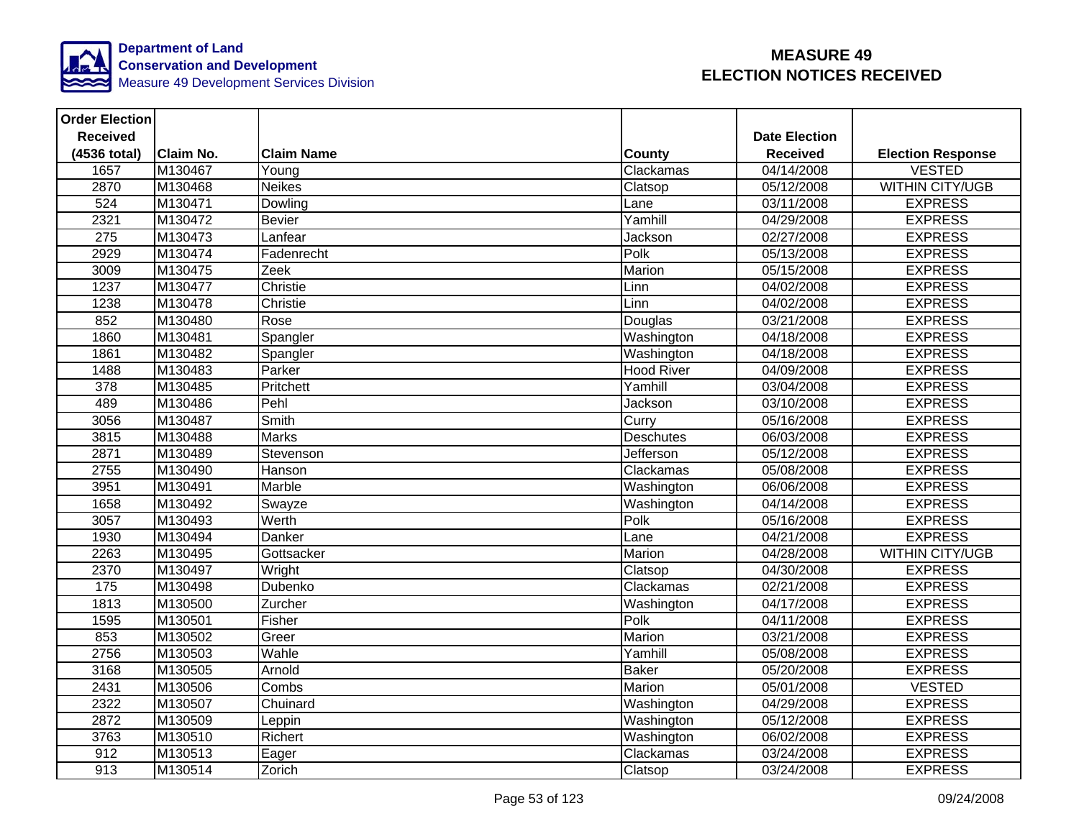

| <b>Order Election</b> |                  |                   |                   |                      |                          |
|-----------------------|------------------|-------------------|-------------------|----------------------|--------------------------|
| <b>Received</b>       |                  |                   |                   | <b>Date Election</b> |                          |
| (4536 total)          | <b>Claim No.</b> | <b>Claim Name</b> | <b>County</b>     | <b>Received</b>      | <b>Election Response</b> |
| 1657                  | M130467          | Young             | Clackamas         | 04/14/2008           | <b>VESTED</b>            |
| 2870                  | M130468          | <b>Neikes</b>     | Clatsop           | 05/12/2008           | <b>WITHIN CITY/UGB</b>   |
| 524                   | M130471          | Dowling           | Lane              | 03/11/2008           | <b>EXPRESS</b>           |
| 2321                  | M130472          | <b>Bevier</b>     | Yamhill           | 04/29/2008           | <b>EXPRESS</b>           |
| 275                   | M130473          | Lanfear           | Jackson           | 02/27/2008           | <b>EXPRESS</b>           |
| 2929                  | M130474          | Fadenrecht        | Polk              | 05/13/2008           | <b>EXPRESS</b>           |
| 3009                  | M130475          | Zeek              | Marion            | 05/15/2008           | <b>EXPRESS</b>           |
| 1237                  | M130477          | Christie          | Linn              | 04/02/2008           | <b>EXPRESS</b>           |
| 1238                  | M130478          | Christie          | Linn              | 04/02/2008           | <b>EXPRESS</b>           |
| 852                   | M130480          | Rose              | Douglas           | 03/21/2008           | <b>EXPRESS</b>           |
| 1860                  | M130481          | Spangler          | Washington        | 04/18/2008           | <b>EXPRESS</b>           |
| 1861                  | M130482          | Spangler          | Washington        | 04/18/2008           | <b>EXPRESS</b>           |
| 1488                  | M130483          | Parker            | <b>Hood River</b> | 04/09/2008           | <b>EXPRESS</b>           |
| $\overline{378}$      | M130485          | Pritchett         | Yamhill           | 03/04/2008           | <b>EXPRESS</b>           |
| 489                   | M130486          | Pehl              | Jackson           | 03/10/2008           | <b>EXPRESS</b>           |
| 3056                  | M130487          | Smith             | Curry             | 05/16/2008           | <b>EXPRESS</b>           |
| 3815                  | M130488          | <b>Marks</b>      | <b>Deschutes</b>  | 06/03/2008           | <b>EXPRESS</b>           |
| 2871                  | M130489          | Stevenson         | Jefferson         | 05/12/2008           | <b>EXPRESS</b>           |
| 2755                  | M130490          | Hanson            | Clackamas         | 05/08/2008           | <b>EXPRESS</b>           |
| 3951                  | M130491          | Marble            | Washington        | 06/06/2008           | <b>EXPRESS</b>           |
| 1658                  | M130492          | Swayze            | Washington        | 04/14/2008           | <b>EXPRESS</b>           |
| 3057                  | M130493          | Werth             | Polk              | 05/16/2008           | <b>EXPRESS</b>           |
| 1930                  | M130494          | Danker            | Lane              | 04/21/2008           | <b>EXPRESS</b>           |
| 2263                  | M130495          | Gottsacker        | <b>Marion</b>     | 04/28/2008           | <b>WITHIN CITY/UGB</b>   |
| 2370                  | M130497          | Wright            | Clatsop           | 04/30/2008           | <b>EXPRESS</b>           |
| 175                   | M130498          | Dubenko           | Clackamas         | 02/21/2008           | <b>EXPRESS</b>           |
| 1813                  | M130500          | Zurcher           | Washington        | 04/17/2008           | <b>EXPRESS</b>           |
| 1595                  | M130501          | Fisher            | Polk              | 04/11/2008           | <b>EXPRESS</b>           |
| 853                   | M130502          | Greer             | Marion            | 03/21/2008           | <b>EXPRESS</b>           |
| 2756                  | M130503          | Wahle             | Yamhill           | 05/08/2008           | <b>EXPRESS</b>           |
| 3168                  | M130505          | Arnold            | <b>Baker</b>      | 05/20/2008           | <b>EXPRESS</b>           |
| 2431                  | M130506          | Combs             | Marion            | 05/01/2008           | <b>VESTED</b>            |
| 2322                  | M130507          | Chuinard          | Washington        | 04/29/2008           | <b>EXPRESS</b>           |
| 2872                  | M130509          | Leppin            | Washington        | 05/12/2008           | <b>EXPRESS</b>           |
| 3763                  | M130510          | Richert           | Washington        | 06/02/2008           | <b>EXPRESS</b>           |
| 912                   | M130513          | Eager             | Clackamas         | 03/24/2008           | <b>EXPRESS</b>           |
| 913                   | M130514          | Zorich            | Clatsop           | 03/24/2008           | <b>EXPRESS</b>           |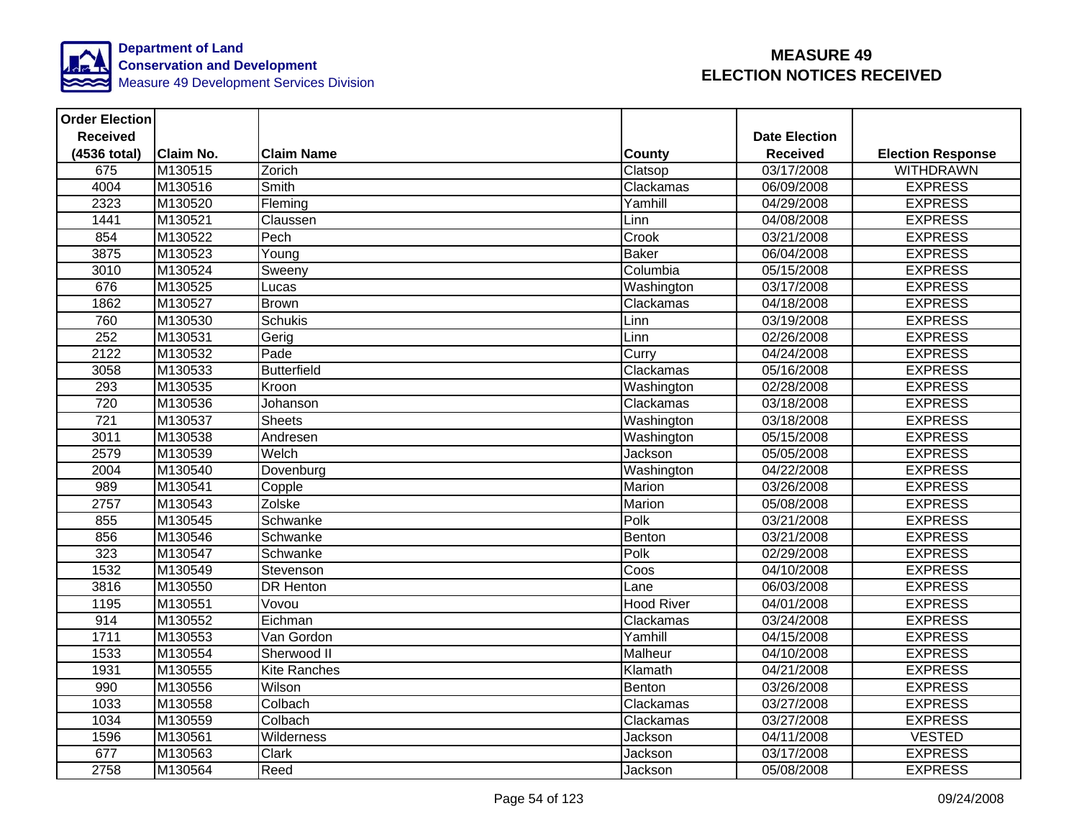

| <b>Order Election</b> |                  |                     |                   |                      |                          |
|-----------------------|------------------|---------------------|-------------------|----------------------|--------------------------|
| <b>Received</b>       |                  |                     |                   | <b>Date Election</b> |                          |
| (4536 total)          | <b>Claim No.</b> | <b>Claim Name</b>   | <b>County</b>     | <b>Received</b>      | <b>Election Response</b> |
| 675                   | M130515          | Zorich              | Clatsop           | 03/17/2008           | <b>WITHDRAWN</b>         |
| 4004                  | M130516          | Smith               | Clackamas         | 06/09/2008           | <b>EXPRESS</b>           |
| 2323                  | M130520          | Fleming             | Yamhill           | 04/29/2008           | <b>EXPRESS</b>           |
| 1441                  | M130521          | Claussen            | Linn              | 04/08/2008           | <b>EXPRESS</b>           |
| 854                   | M130522          | Pech                | Crook             | 03/21/2008           | <b>EXPRESS</b>           |
| 3875                  | M130523          | Young               | <b>Baker</b>      | 06/04/2008           | <b>EXPRESS</b>           |
| 3010                  | M130524          | Sweeny              | Columbia          | 05/15/2008           | <b>EXPRESS</b>           |
| 676                   | M130525          | Lucas               | Washington        | 03/17/2008           | <b>EXPRESS</b>           |
| 1862                  | M130527          | <b>Brown</b>        | Clackamas         | 04/18/2008           | <b>EXPRESS</b>           |
| 760                   | M130530          | <b>Schukis</b>      | Linn              | 03/19/2008           | <b>EXPRESS</b>           |
| 252                   | M130531          | Gerig               | Linn              | 02/26/2008           | <b>EXPRESS</b>           |
| 2122                  | M130532          | Pade                | Curry             | 04/24/2008           | <b>EXPRESS</b>           |
| 3058                  | M130533          | <b>Butterfield</b>  | Clackamas         | 05/16/2008           | <b>EXPRESS</b>           |
| 293                   | M130535          | Kroon               | Washington        | 02/28/2008           | <b>EXPRESS</b>           |
| $\overline{720}$      | M130536          | Johanson            | Clackamas         | 03/18/2008           | <b>EXPRESS</b>           |
| $\overline{721}$      | M130537          | <b>Sheets</b>       | Washington        | 03/18/2008           | <b>EXPRESS</b>           |
| 3011                  | M130538          | Andresen            | Washington        | 05/15/2008           | <b>EXPRESS</b>           |
| 2579                  | M130539          | Welch               | Jackson           | 05/05/2008           | <b>EXPRESS</b>           |
| 2004                  | M130540          | Dovenburg           | Washington        | $\sqrt{04/22}/2008$  | <b>EXPRESS</b>           |
| 989                   | M130541          | Copple              | Marion            | 03/26/2008           | <b>EXPRESS</b>           |
| 2757                  | M130543          | Zolske              | Marion            | 05/08/2008           | <b>EXPRESS</b>           |
| 855                   | M130545          | Schwanke            | Polk              | 03/21/2008           | <b>EXPRESS</b>           |
| 856                   | M130546          | Schwanke            | Benton            | 03/21/2008           | <b>EXPRESS</b>           |
| 323                   | M130547          | Schwanke            | Polk              | 02/29/2008           | <b>EXPRESS</b>           |
| 1532                  | M130549          | Stevenson           | Coos              | 04/10/2008           | <b>EXPRESS</b>           |
| 3816                  | M130550          | <b>DR Henton</b>    | Lane              | 06/03/2008           | <b>EXPRESS</b>           |
| 1195                  | M130551          | Vovou               | <b>Hood River</b> | 04/01/2008           | <b>EXPRESS</b>           |
| 914                   | M130552          | Eichman             | Clackamas         | 03/24/2008           | <b>EXPRESS</b>           |
| 1711                  | M130553          | Van Gordon          | Yamhill           | 04/15/2008           | <b>EXPRESS</b>           |
| 1533                  | M130554          | Sherwood II         | Malheur           | 04/10/2008           | <b>EXPRESS</b>           |
| 1931                  | M130555          | <b>Kite Ranches</b> | Klamath           | 04/21/2008           | <b>EXPRESS</b>           |
| 990                   | M130556          | Wilson              | Benton            | 03/26/2008           | <b>EXPRESS</b>           |
| 1033                  | M130558          | Colbach             | Clackamas         | 03/27/2008           | <b>EXPRESS</b>           |
| 1034                  | M130559          | Colbach             | Clackamas         | 03/27/2008           | <b>EXPRESS</b>           |
| 1596                  | M130561          | Wilderness          | Jackson           | 04/11/2008           | <b>VESTED</b>            |
| 677                   | M130563          | Clark               | Jackson           | 03/17/2008           | <b>EXPRESS</b>           |
| 2758                  | M130564          | Reed                | Jackson           | 05/08/2008           | <b>EXPRESS</b>           |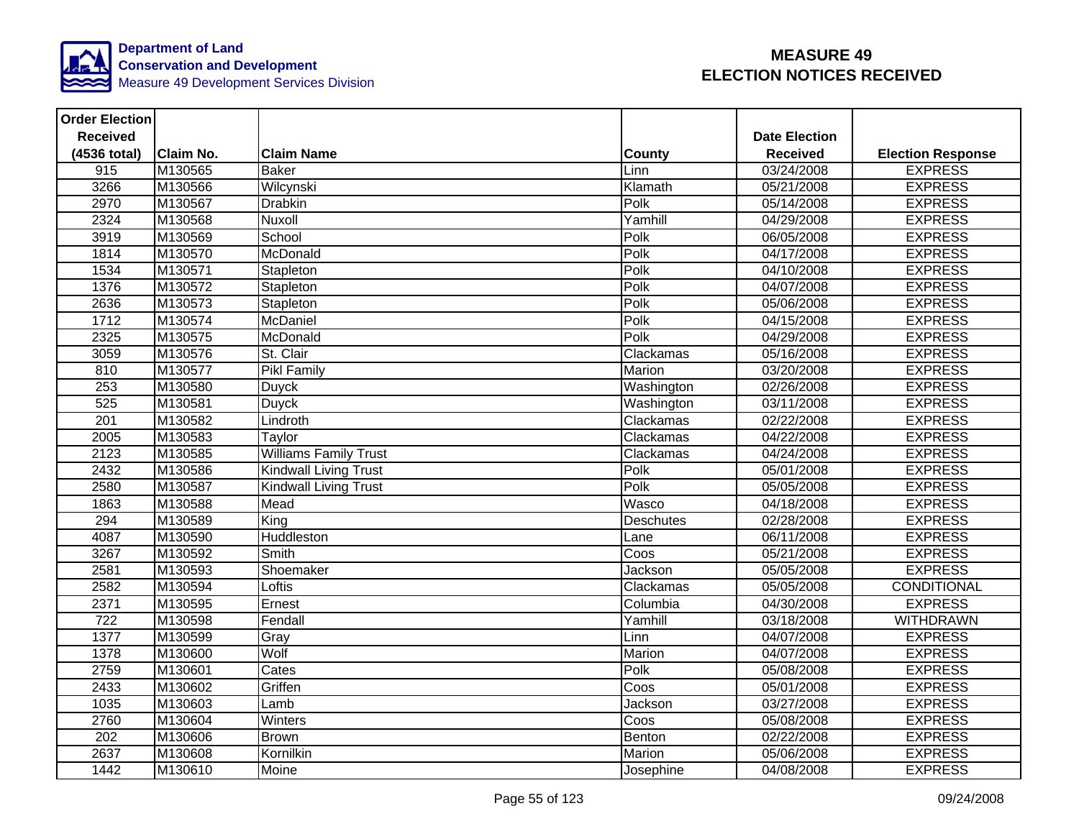

| <b>Order Election</b> |                  |                              |                          |                      |                          |
|-----------------------|------------------|------------------------------|--------------------------|----------------------|--------------------------|
| <b>Received</b>       |                  |                              |                          | <b>Date Election</b> |                          |
| (4536 total)          | <b>Claim No.</b> | <b>Claim Name</b>            | <b>County</b>            | <b>Received</b>      | <b>Election Response</b> |
| 915                   | M130565          | <b>Baker</b>                 | Linn                     | 03/24/2008           | <b>EXPRESS</b>           |
| 3266                  | M130566          | Wilcynski                    | Klamath                  | 05/21/2008           | <b>EXPRESS</b>           |
| 2970                  | M130567          | <b>Drabkin</b>               | Polk                     | 05/14/2008           | <b>EXPRESS</b>           |
| 2324                  | M130568          | Nuxoll                       | Yamhill                  | 04/29/2008           | <b>EXPRESS</b>           |
| 3919                  | M130569          | School                       | Polk                     | 06/05/2008           | <b>EXPRESS</b>           |
| 1814                  | M130570          | McDonald                     | Polk                     | 04/17/2008           | <b>EXPRESS</b>           |
| 1534                  | M130571          | Stapleton                    | Polk                     | 04/10/2008           | <b>EXPRESS</b>           |
| 1376                  | M130572          | Stapleton                    | Polk                     | 04/07/2008           | <b>EXPRESS</b>           |
| 2636                  | M130573          | Stapleton                    | Polk                     | 05/06/2008           | <b>EXPRESS</b>           |
| 1712                  | M130574          | McDaniel                     | Polk                     | 04/15/2008           | <b>EXPRESS</b>           |
| 2325                  | M130575          | McDonald                     | Polk                     | 04/29/2008           | <b>EXPRESS</b>           |
| 3059                  | M130576          | St. Clair                    | Clackamas                | 05/16/2008           | <b>EXPRESS</b>           |
| 810                   | M130577          | <b>Pikl Family</b>           | Marion                   | 03/20/2008           | <b>EXPRESS</b>           |
| 253                   | M130580          | <b>Duyck</b>                 | Washington               | 02/26/2008           | <b>EXPRESS</b>           |
| $\overline{525}$      | M130581          | <b>Duyck</b>                 | Washington               | 03/11/2008           | <b>EXPRESS</b>           |
| 201                   | M130582          | Lindroth                     | Clackamas                | 02/22/2008           | <b>EXPRESS</b>           |
| 2005                  | M130583          | Taylor                       | Clackamas                | 04/22/2008           | <b>EXPRESS</b>           |
| 2123                  | M130585          | <b>Williams Family Trust</b> | Clackamas                | 04/24/2008           | <b>EXPRESS</b>           |
| 2432                  | M130586          | Kindwall Living Trust        | Polk                     | 05/01/2008           | <b>EXPRESS</b>           |
| 2580                  | M130587          | <b>Kindwall Living Trust</b> | Polk                     | 05/05/2008           | <b>EXPRESS</b>           |
| 1863                  | M130588          | Mead                         | Wasco                    | 04/18/2008           | <b>EXPRESS</b>           |
| 294                   | M130589          | King                         | Deschutes                | 02/28/2008           | <b>EXPRESS</b>           |
| 4087                  | M130590          | Huddleston                   | Lane                     | 06/11/2008           | <b>EXPRESS</b>           |
| 3267                  | M130592          | Smith                        | $\overline{\text{Coss}}$ | 05/21/2008           | <b>EXPRESS</b>           |
| 2581                  | M130593          | Shoemaker                    | Jackson                  | 05/05/2008           | <b>EXPRESS</b>           |
| 2582                  | M130594          | Loftis                       | Clackamas                | 05/05/2008           | <b>CONDITIONAL</b>       |
| 2371                  | M130595          | Ernest                       | Columbia                 | 04/30/2008           | <b>EXPRESS</b>           |
| 722                   | M130598          | Fendall                      | Yamhill                  | 03/18/2008           | <b>WITHDRAWN</b>         |
| 1377                  | M130599          | Gray                         | Linn                     | 04/07/2008           | <b>EXPRESS</b>           |
| 1378                  | M130600          | Wolf                         | Marion                   | 04/07/2008           | <b>EXPRESS</b>           |
| 2759                  | M130601          | Cates                        | Polk                     | 05/08/2008           | <b>EXPRESS</b>           |
| 2433                  | M130602          | Griffen                      | Coos                     | 05/01/2008           | <b>EXPRESS</b>           |
| 1035                  | M130603          | Lamb                         | Jackson                  | 03/27/2008           | <b>EXPRESS</b>           |
| 2760                  | M130604          | Winters                      | Coos                     | 05/08/2008           | <b>EXPRESS</b>           |
| 202                   | M130606          | <b>Brown</b>                 | Benton                   | 02/22/2008           | <b>EXPRESS</b>           |
| 2637                  | M130608          | Kornilkin                    | Marion                   | 05/06/2008           | <b>EXPRESS</b>           |
| 1442                  | M130610          | Moine                        | Josephine                | 04/08/2008           | <b>EXPRESS</b>           |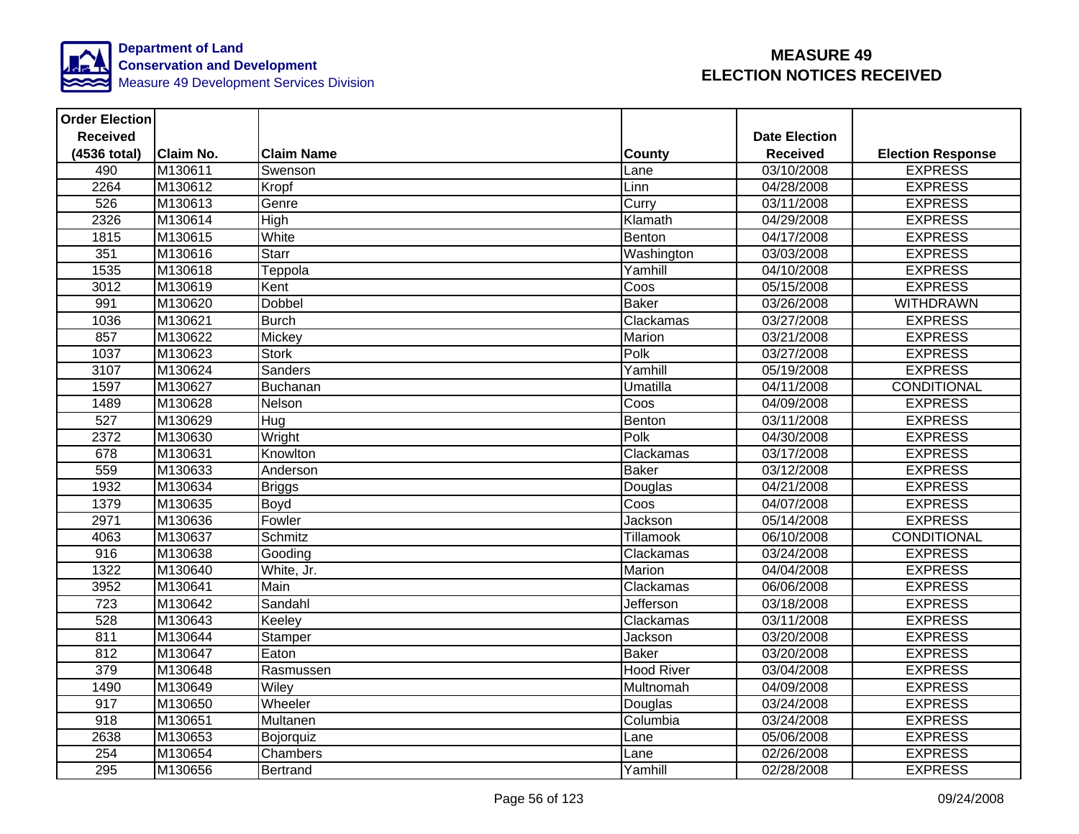

| <b>Order Election</b> |                  |                   |                   |                      |                          |
|-----------------------|------------------|-------------------|-------------------|----------------------|--------------------------|
| <b>Received</b>       |                  |                   |                   | <b>Date Election</b> |                          |
| (4536 total)          | <b>Claim No.</b> | <b>Claim Name</b> | County            | <b>Received</b>      | <b>Election Response</b> |
| 490                   | M130611          | Swenson           | Lane              | 03/10/2008           | <b>EXPRESS</b>           |
| 2264                  | M130612          | Kropf             | Linn              | 04/28/2008           | <b>EXPRESS</b>           |
| 526                   | M130613          | Genre             | Curry             | 03/11/2008           | <b>EXPRESS</b>           |
| 2326                  | M130614          | High              | Klamath           | 04/29/2008           | <b>EXPRESS</b>           |
| 1815                  | M130615          | White             | Benton            | 04/17/2008           | <b>EXPRESS</b>           |
| 351                   | M130616          | Starr             | Washington        | 03/03/2008           | <b>EXPRESS</b>           |
| 1535                  | M130618          | Teppola           | Yamhill           | 04/10/2008           | <b>EXPRESS</b>           |
| 3012                  | M130619          | Kent              | Coos              | 05/15/2008           | <b>EXPRESS</b>           |
| 991                   | M130620          | Dobbel            | <b>Baker</b>      | 03/26/2008           | <b>WITHDRAWN</b>         |
| 1036                  | M130621          | <b>Burch</b>      | Clackamas         | 03/27/2008           | <b>EXPRESS</b>           |
| 857                   | M130622          | Mickey            | Marion            | 03/21/2008           | <b>EXPRESS</b>           |
| 1037                  | M130623          | <b>Stork</b>      | Polk              | 03/27/2008           | <b>EXPRESS</b>           |
| 3107                  | M130624          | Sanders           | Yamhill           | 05/19/2008           | <b>EXPRESS</b>           |
| 1597                  | M130627          | Buchanan          | Umatilla          | 04/11/2008           | <b>CONDITIONAL</b>       |
| 1489                  | M130628          | Nelson            | Coos              | 04/09/2008           | <b>EXPRESS</b>           |
| 527                   | M130629          | Hug               | Benton            | 03/11/2008           | <b>EXPRESS</b>           |
| 2372                  | M130630          | Wright            | Polk              | 04/30/2008           | <b>EXPRESS</b>           |
| 678                   | M130631          | Knowlton          | Clackamas         | 03/17/2008           | <b>EXPRESS</b>           |
| 559                   | M130633          | Anderson          | <b>Baker</b>      | 03/12/2008           | <b>EXPRESS</b>           |
| 1932                  | M130634          | <b>Briggs</b>     | Douglas           | 04/21/2008           | <b>EXPRESS</b>           |
| 1379                  | M130635          | Boyd              | Coos              | 04/07/2008           | <b>EXPRESS</b>           |
| 2971                  | M130636          | Fowler            | Jackson           | 05/14/2008           | <b>EXPRESS</b>           |
| 4063                  | M130637          | Schmitz           | Tillamook         | 06/10/2008           | CONDITIONAL              |
| 916                   | M130638          | Gooding           | Clackamas         | 03/24/2008           | <b>EXPRESS</b>           |
| 1322                  | M130640          | White, Jr.        | Marion            | 04/04/2008           | <b>EXPRESS</b>           |
| 3952                  | M130641          | Main              | Clackamas         | 06/06/2008           | <b>EXPRESS</b>           |
| $\overline{723}$      | M130642          | Sandahl           | Jefferson         | 03/18/2008           | <b>EXPRESS</b>           |
| 528                   | M130643          | Keeley            | Clackamas         | 03/11/2008           | <b>EXPRESS</b>           |
| 811                   | M130644          | Stamper           | Jackson           | 03/20/2008           | <b>EXPRESS</b>           |
| 812                   | M130647          | Eaton             | <b>Baker</b>      | 03/20/2008           | <b>EXPRESS</b>           |
| 379                   | M130648          | Rasmussen         | <b>Hood River</b> | 03/04/2008           | <b>EXPRESS</b>           |
| 1490                  | M130649          | Wiley             | Multnomah         | 04/09/2008           | <b>EXPRESS</b>           |
| 917                   | M130650          | Wheeler           | Douglas           | 03/24/2008           | <b>EXPRESS</b>           |
| 918                   | M130651          | Multanen          | Columbia          | 03/24/2008           | <b>EXPRESS</b>           |
| 2638                  | M130653          | Bojorquiz         | Lane              | 05/06/2008           | <b>EXPRESS</b>           |
| 254                   | M130654          | Chambers          | Lane              | 02/26/2008           | <b>EXPRESS</b>           |
| 295                   | M130656          | Bertrand          | Yamhill           | 02/28/2008           | <b>EXPRESS</b>           |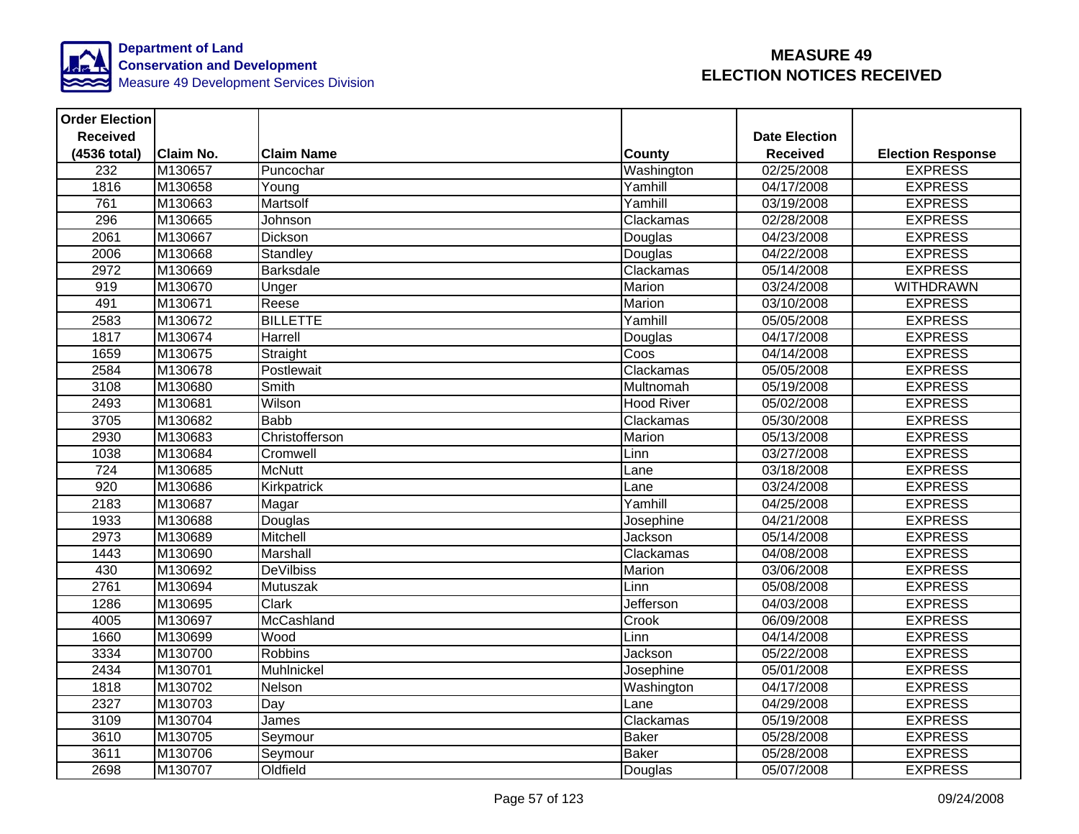

| <b>Order Election</b> |                  |                   |                   |                      |                          |
|-----------------------|------------------|-------------------|-------------------|----------------------|--------------------------|
| <b>Received</b>       |                  |                   |                   | <b>Date Election</b> |                          |
| (4536 total)          | <b>Claim No.</b> | <b>Claim Name</b> | <b>County</b>     | <b>Received</b>      | <b>Election Response</b> |
| $\overline{232}$      | M130657          | Puncochar         | Washington        | 02/25/2008           | <b>EXPRESS</b>           |
| 1816                  | M130658          | Young             | Yamhill           | 04/17/2008           | <b>EXPRESS</b>           |
| 761                   | M130663          | Martsolf          | Yamhill           | 03/19/2008           | <b>EXPRESS</b>           |
| 296                   | M130665          | Johnson           | Clackamas         | 02/28/2008           | <b>EXPRESS</b>           |
| 2061                  | M130667          | Dickson           | Douglas           | 04/23/2008           | <b>EXPRESS</b>           |
| 2006                  | M130668          | Standley          | Douglas           | 04/22/2008           | <b>EXPRESS</b>           |
| 2972                  | M130669          | <b>Barksdale</b>  | Clackamas         | 05/14/2008           | <b>EXPRESS</b>           |
| 919                   | M130670          | Unger             | Marion            | 03/24/2008           | <b>WITHDRAWN</b>         |
| 491                   | M130671          | Reese             | Marion            | 03/10/2008           | <b>EXPRESS</b>           |
| 2583                  | M130672          | <b>BILLETTE</b>   | Yamhill           | 05/05/2008           | <b>EXPRESS</b>           |
| 1817                  | M130674          | Harrell           | Douglas           | 04/17/2008           | <b>EXPRESS</b>           |
| 1659                  | M130675          | Straight          | Coos              | 04/14/2008           | <b>EXPRESS</b>           |
| 2584                  | M130678          | Postlewait        | Clackamas         | 05/05/2008           | <b>EXPRESS</b>           |
| 3108                  | M130680          | <b>Smith</b>      | Multnomah         | 05/19/2008           | <b>EXPRESS</b>           |
| 2493                  | M130681          | Wilson            | <b>Hood River</b> | 05/02/2008           | <b>EXPRESS</b>           |
| 3705                  | M130682          | <b>Babb</b>       | Clackamas         | 05/30/2008           | <b>EXPRESS</b>           |
| 2930                  | M130683          | Christofferson    | Marion            | 05/13/2008           | <b>EXPRESS</b>           |
| 1038                  | M130684          | Cromwell          | Linn              | 03/27/2008           | <b>EXPRESS</b>           |
| 724                   | M130685          | <b>McNutt</b>     | Lane              | 03/18/2008           | <b>EXPRESS</b>           |
| 920                   | M130686          | Kirkpatrick       | Lane              | 03/24/2008           | <b>EXPRESS</b>           |
| 2183                  | M130687          | Magar             | Yamhill           | 04/25/2008           | <b>EXPRESS</b>           |
| 1933                  | M130688          | Douglas           | Josephine         | 04/21/2008           | <b>EXPRESS</b>           |
| 2973                  | M130689          | Mitchell          | Jackson           | 05/14/2008           | <b>EXPRESS</b>           |
| 1443                  | M130690          | Marshall          | Clackamas         | 04/08/2008           | <b>EXPRESS</b>           |
| 430                   | M130692          | <b>DeVilbiss</b>  | Marion            | 03/06/2008           | <b>EXPRESS</b>           |
| 2761                  | M130694          | Mutuszak          | Linn              | 05/08/2008           | <b>EXPRESS</b>           |
| 1286                  | M130695          | <b>Clark</b>      | <b>Jefferson</b>  | 04/03/2008           | <b>EXPRESS</b>           |
| 4005                  | M130697          | McCashland        | Crook             | 06/09/2008           | <b>EXPRESS</b>           |
| 1660                  | M130699          | <b>Wood</b>       | Linn              | 04/14/2008           | <b>EXPRESS</b>           |
| 3334                  | M130700          | <b>Robbins</b>    | Jackson           | 05/22/2008           | <b>EXPRESS</b>           |
| 2434                  | M130701          | Muhlnickel        | Josephine         | 05/01/2008           | <b>EXPRESS</b>           |
| 1818                  | M130702          | Nelson            | Washington        | 04/17/2008           | <b>EXPRESS</b>           |
| 2327                  | M130703          | Day               | Lane              | 04/29/2008           | <b>EXPRESS</b>           |
| 3109                  | M130704          | James             | Clackamas         | 05/19/2008           | <b>EXPRESS</b>           |
| 3610                  | M130705          | Seymour           | <b>Baker</b>      | 05/28/2008           | <b>EXPRESS</b>           |
| 3611                  | M130706          | Seymour           | <b>Baker</b>      | 05/28/2008           | <b>EXPRESS</b>           |
| 2698                  | M130707          | Oldfield          | Douglas           | 05/07/2008           | <b>EXPRESS</b>           |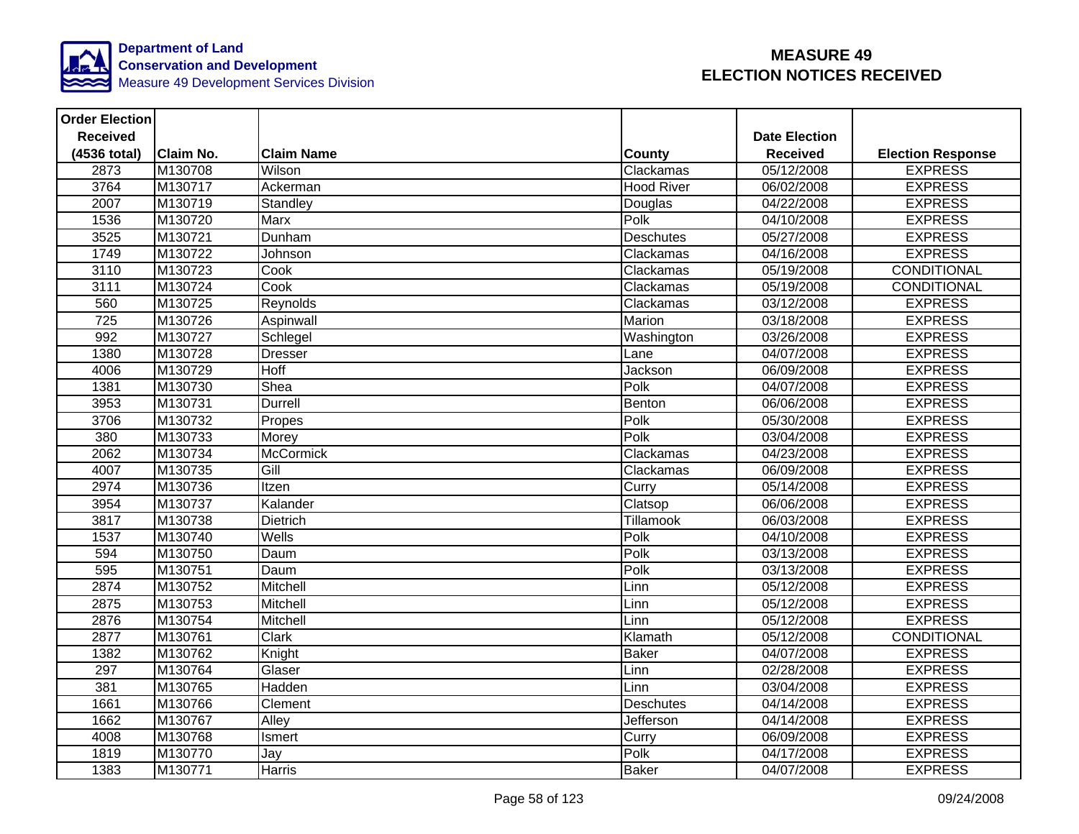

| <b>Order Election</b> |                  |                   |                   |                      |                          |
|-----------------------|------------------|-------------------|-------------------|----------------------|--------------------------|
| <b>Received</b>       |                  |                   |                   | <b>Date Election</b> |                          |
| (4536 total)          | <b>Claim No.</b> | <b>Claim Name</b> | County            | <b>Received</b>      | <b>Election Response</b> |
| 2873                  | M130708          | Wilson            | Clackamas         | 05/12/2008           | <b>EXPRESS</b>           |
| 3764                  | M130717          | Ackerman          | <b>Hood River</b> | 06/02/2008           | <b>EXPRESS</b>           |
| 2007                  | M130719          | Standley          | Douglas           | 04/22/2008           | <b>EXPRESS</b>           |
| 1536                  | M130720          | Marx              | Polk              | 04/10/2008           | <b>EXPRESS</b>           |
| 3525                  | M130721          | Dunham            | Deschutes         | 05/27/2008           | <b>EXPRESS</b>           |
| 1749                  | M130722          | Johnson           | Clackamas         | 04/16/2008           | <b>EXPRESS</b>           |
| 3110                  | M130723          | Cook              | Clackamas         | 05/19/2008           | <b>CONDITIONAL</b>       |
| 3111                  | M130724          | Cook              | Clackamas         | 05/19/2008           | <b>CONDITIONAL</b>       |
| 560                   | M130725          | Reynolds          | Clackamas         | 03/12/2008           | <b>EXPRESS</b>           |
| 725                   | M130726          | <b>Aspinwall</b>  | Marion            | 03/18/2008           | <b>EXPRESS</b>           |
| 992                   | M130727          | Schlegel          | Washington        | 03/26/2008           | <b>EXPRESS</b>           |
| 1380                  | M130728          | <b>Dresser</b>    | Lane              | 04/07/2008           | <b>EXPRESS</b>           |
| 4006                  | M130729          | Hoff              | Jackson           | 06/09/2008           | <b>EXPRESS</b>           |
| 1381                  | M130730          | Shea              | Polk              | 04/07/2008           | <b>EXPRESS</b>           |
| 3953                  | M130731          | <b>Durrell</b>    | Benton            | 06/06/2008           | <b>EXPRESS</b>           |
| 3706                  | M130732          | Propes            | Polk              | 05/30/2008           | <b>EXPRESS</b>           |
| 380                   | M130733          | Morey             | Polk              | 03/04/2008           | <b>EXPRESS</b>           |
| 2062                  | M130734          | <b>McCormick</b>  | Clackamas         | 04/23/2008           | <b>EXPRESS</b>           |
| 4007                  | M130735          | Gill              | Clackamas         | 06/09/2008           | <b>EXPRESS</b>           |
| 2974                  | M130736          | Itzen             | Curry             | 05/14/2008           | <b>EXPRESS</b>           |
| 3954                  | M130737          | Kalander          | Clatsop           | 06/06/2008           | <b>EXPRESS</b>           |
| 3817                  | M130738          | <b>Dietrich</b>   | <b>Tillamook</b>  | 06/03/2008           | <b>EXPRESS</b>           |
| 1537                  | M130740          | Wells             | Polk              | 04/10/2008           | <b>EXPRESS</b>           |
| 594                   | M130750          | Daum              | Polk              | 03/13/2008           | <b>EXPRESS</b>           |
| 595                   | M130751          | Daum              | Polk              | 03/13/2008           | <b>EXPRESS</b>           |
| 2874                  | M130752          | Mitchell          | Linn              | 05/12/2008           | <b>EXPRESS</b>           |
| 2875                  | M130753          | Mitchell          | Linn              | 05/12/2008           | <b>EXPRESS</b>           |
| 2876                  | M130754          | Mitchell          | Linn              | 05/12/2008           | <b>EXPRESS</b>           |
| 2877                  | M130761          | Clark             | Klamath           | 05/12/2008           | <b>CONDITIONAL</b>       |
| 1382                  | M130762          | Knight            | <b>Baker</b>      | 04/07/2008           | <b>EXPRESS</b>           |
| 297                   | M130764          | Glaser            | Linn              | 02/28/2008           | <b>EXPRESS</b>           |
| 381                   | M130765          | Hadden            | Linn              | 03/04/2008           | <b>EXPRESS</b>           |
| 1661                  | M130766          | Clement           | <b>Deschutes</b>  | 04/14/2008           | <b>EXPRESS</b>           |
| 1662                  | M130767          | Alley             | Jefferson         | 04/14/2008           | <b>EXPRESS</b>           |
| 4008                  | M130768          | Ismert            | Curry             | 06/09/2008           | <b>EXPRESS</b>           |
| 1819                  | M130770          | Jay               | Polk              | 04/17/2008           | <b>EXPRESS</b>           |
| 1383                  | M130771          | <b>Harris</b>     | <b>Baker</b>      | 04/07/2008           | <b>EXPRESS</b>           |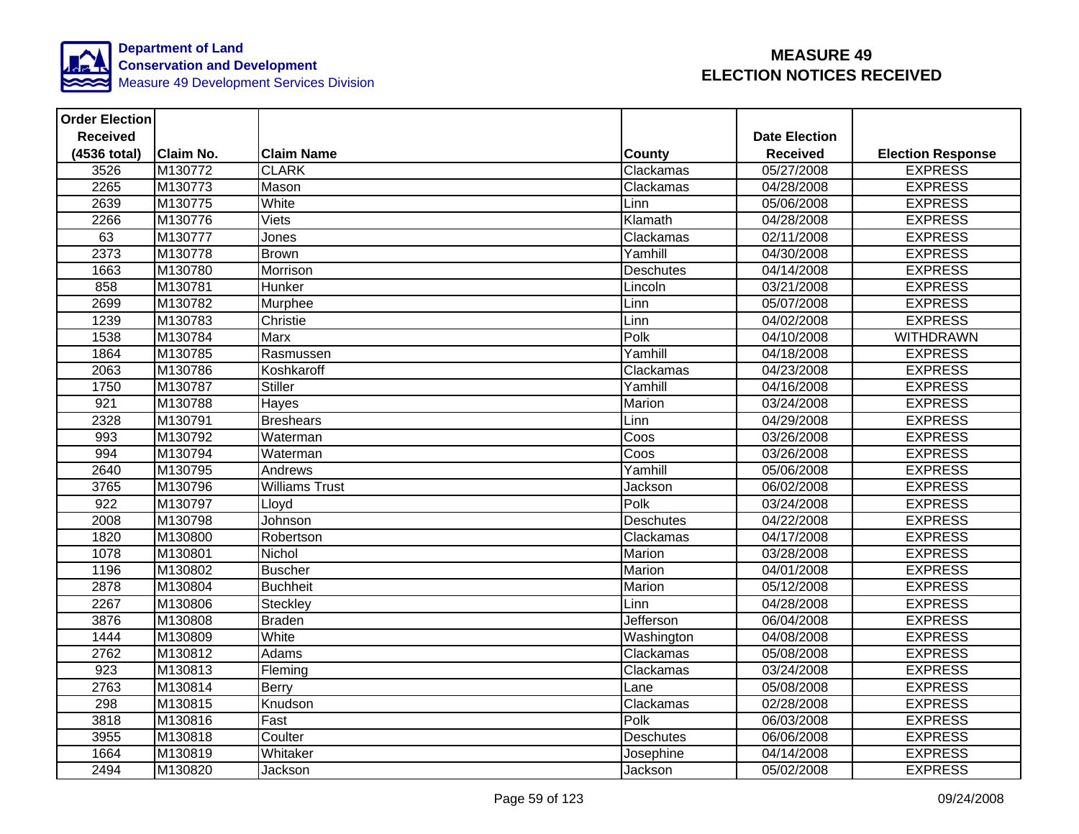

| <b>Order Election</b> |                  |                   |                  |                      |                          |
|-----------------------|------------------|-------------------|------------------|----------------------|--------------------------|
| <b>Received</b>       |                  |                   |                  | <b>Date Election</b> |                          |
| (4536 total)          | <b>Claim No.</b> | <b>Claim Name</b> | County           | <b>Received</b>      | <b>Election Response</b> |
| 3526                  | M130772          | <b>CLARK</b>      | Clackamas        | 05/27/2008           | <b>EXPRESS</b>           |
| 2265                  | M130773          | Mason             | Clackamas        | 04/28/2008           | <b>EXPRESS</b>           |
| 2639                  | M130775          | White             | Linn             | 05/06/2008           | <b>EXPRESS</b>           |
| 2266                  | M130776          | Viets             | Klamath          | 04/28/2008           | <b>EXPRESS</b>           |
| 63                    | M130777          | Jones             | Clackamas        | 02/11/2008           | <b>EXPRESS</b>           |
| 2373                  | M130778          | <b>Brown</b>      | Yamhill          | 04/30/2008           | <b>EXPRESS</b>           |
| 1663                  | M130780          | Morrison          | Deschutes        | 04/14/2008           | <b>EXPRESS</b>           |
| 858                   | M130781          | Hunker            | Lincoln          | 03/21/2008           | <b>EXPRESS</b>           |
| 2699                  | M130782          | Murphee           | Linn             | 05/07/2008           | <b>EXPRESS</b>           |
| 1239                  | M130783          | Christie          | Linn             | 04/02/2008           | <b>EXPRESS</b>           |
| 1538                  | M130784          | Marx              | Polk             | 04/10/2008           | <b>WITHDRAWN</b>         |
| 1864                  | M130785          | Rasmussen         | Yamhill          | 04/18/2008           | <b>EXPRESS</b>           |
| 2063                  | M130786          | Koshkaroff        | Clackamas        | 04/23/2008           | <b>EXPRESS</b>           |
| 1750                  | M130787          | <b>Stiller</b>    | Yamhill          | 04/16/2008           | <b>EXPRESS</b>           |
| 921                   | M130788          | Hayes             | Marion           | 03/24/2008           | <b>EXPRESS</b>           |
| 2328                  | M130791          | <b>Breshears</b>  | Linn             | 04/29/2008           | <b>EXPRESS</b>           |
| 993                   | M130792          | Waterman          | Coos             | 03/26/2008           | <b>EXPRESS</b>           |
| 994                   | M130794          | Waterman          | Coos             | 03/26/2008           | <b>EXPRESS</b>           |
| 2640                  | M130795          | Andrews           | Yamhill          | 05/06/2008           | <b>EXPRESS</b>           |
| 3765                  | M130796          | Williams Trust    | Jackson          | 06/02/2008           | <b>EXPRESS</b>           |
| $\overline{922}$      | M130797          | Lloyd             | Polk             | 03/24/2008           | <b>EXPRESS</b>           |
| 2008                  | M130798          | Johnson           | Deschutes        | 04/22/2008           | <b>EXPRESS</b>           |
| 1820                  | M130800          | Robertson         | Clackamas        | 04/17/2008           | <b>EXPRESS</b>           |
| 1078                  | M130801          | Nichol            | Marion           | 03/28/2008           | <b>EXPRESS</b>           |
| 1196                  | M130802          | <b>Buscher</b>    | <b>Marion</b>    | 04/01/2008           | <b>EXPRESS</b>           |
| 2878                  | M130804          | <b>Buchheit</b>   | Marion           | 05/12/2008           | <b>EXPRESS</b>           |
| 2267                  | M130806          | Steckley          | Linn             | 04/28/2008           | <b>EXPRESS</b>           |
| 3876                  | M130808          | <b>Braden</b>     | Jefferson        | 06/04/2008           | <b>EXPRESS</b>           |
| 1444                  | M130809          | White             | Washington       | 04/08/2008           | <b>EXPRESS</b>           |
| 2762                  | M130812          | Adams             | Clackamas        | 05/08/2008           | <b>EXPRESS</b>           |
| 923                   | M130813          | Fleming           | Clackamas        | 03/24/2008           | <b>EXPRESS</b>           |
| 2763                  | M130814          | Berry             | Lane             | 05/08/2008           | <b>EXPRESS</b>           |
| 298                   | M130815          | Knudson           | Clackamas        | 02/28/2008           | <b>EXPRESS</b>           |
| 3818                  | M130816          | Fast              | Polk             | 06/03/2008           | <b>EXPRESS</b>           |
| 3955                  | M130818          | Coulter           | <b>Deschutes</b> | 06/06/2008           | <b>EXPRESS</b>           |
| 1664                  | M130819          | Whitaker          | Josephine        | 04/14/2008           | <b>EXPRESS</b>           |
| 2494                  | M130820          | Jackson           | Jackson          | 05/02/2008           | <b>EXPRESS</b>           |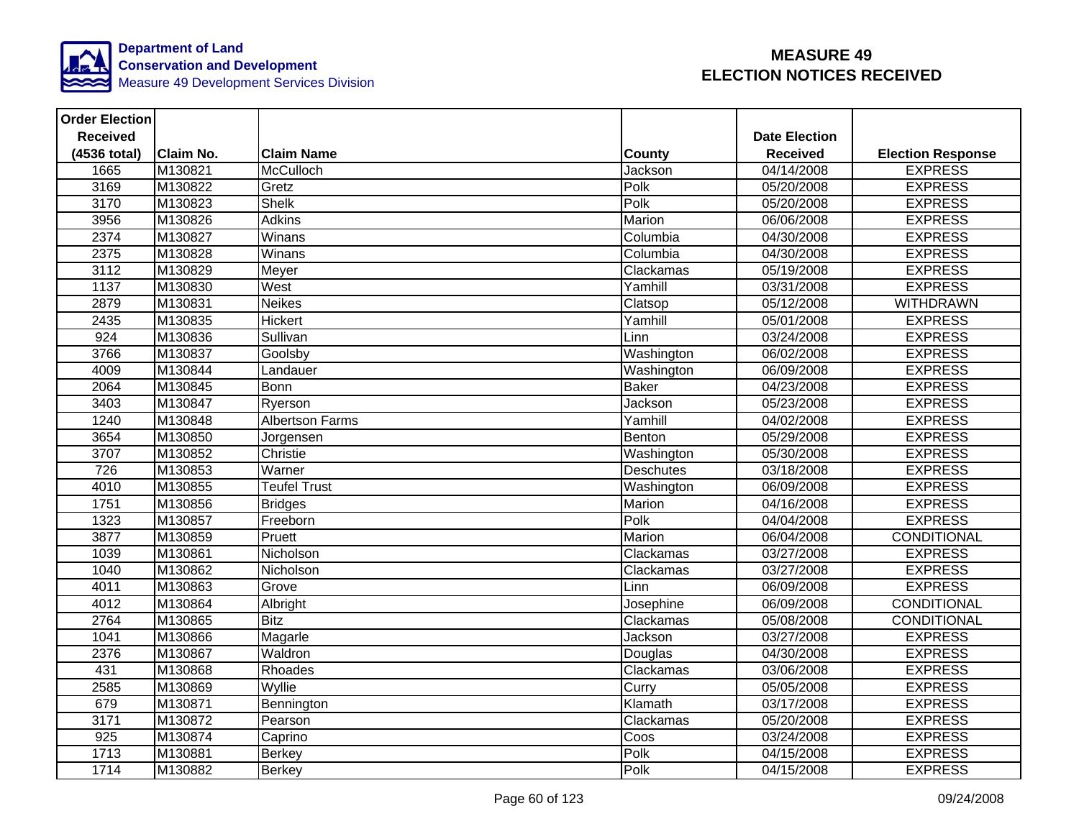

| <b>Order Election</b> |                  |                        |                  |                      |                          |
|-----------------------|------------------|------------------------|------------------|----------------------|--------------------------|
| <b>Received</b>       |                  |                        |                  | <b>Date Election</b> |                          |
| (4536 total)          | <b>Claim No.</b> | <b>Claim Name</b>      | <b>County</b>    | <b>Received</b>      | <b>Election Response</b> |
| 1665                  | M130821          | McCulloch              | Jackson          | 04/14/2008           | <b>EXPRESS</b>           |
| 3169                  | M130822          | Gretz                  | Polk             | 05/20/2008           | <b>EXPRESS</b>           |
| 3170                  | M130823          | <b>Shelk</b>           | Polk             | 05/20/2008           | <b>EXPRESS</b>           |
| 3956                  | M130826          | Adkins                 | Marion           | 06/06/2008           | <b>EXPRESS</b>           |
| 2374                  | M130827          | Winans                 | Columbia         | 04/30/2008           | <b>EXPRESS</b>           |
| 2375                  | M130828          | Winans                 | Columbia         | 04/30/2008           | <b>EXPRESS</b>           |
| 3112                  | M130829          | Meyer                  | Clackamas        | 05/19/2008           | <b>EXPRESS</b>           |
| 1137                  | M130830          | West                   | Yamhill          | 03/31/2008           | <b>EXPRESS</b>           |
| 2879                  | M130831          | <b>Neikes</b>          | Clatsop          | 05/12/2008           | <b>WITHDRAWN</b>         |
| 2435                  | M130835          | <b>Hickert</b>         | Yamhill          | 05/01/2008           | <b>EXPRESS</b>           |
| 924                   | M130836          | Sullivan               | Linn             | 03/24/2008           | <b>EXPRESS</b>           |
| 3766                  | M130837          | Goolsby                | Washington       | 06/02/2008           | <b>EXPRESS</b>           |
| 4009                  | M130844          | Landauer               | Washington       | 06/09/2008           | <b>EXPRESS</b>           |
| 2064                  | M130845          | <b>Bonn</b>            | <b>Baker</b>     | 04/23/2008           | <b>EXPRESS</b>           |
| 3403                  | M130847          | Ryerson                | Jackson          | 05/23/2008           | <b>EXPRESS</b>           |
| 1240                  | M130848          | <b>Albertson Farms</b> | Yamhill          | 04/02/2008           | <b>EXPRESS</b>           |
| 3654                  | M130850          | Jorgensen              | Benton           | 05/29/2008           | <b>EXPRESS</b>           |
| 3707                  | M130852          | Christie               | Washington       | 05/30/2008           | <b>EXPRESS</b>           |
| 726                   | M130853          | Warner                 | <b>Deschutes</b> | 03/18/2008           | <b>EXPRESS</b>           |
| 4010                  | M130855          | <b>Teufel Trust</b>    | Washington       | 06/09/2008           | <b>EXPRESS</b>           |
| 1751                  | M130856          | <b>Bridges</b>         | Marion           | 04/16/2008           | <b>EXPRESS</b>           |
| 1323                  | M130857          | Freeborn               | Polk             | 04/04/2008           | <b>EXPRESS</b>           |
| 3877                  | M130859          | Pruett                 | Marion           | 06/04/2008           | CONDITIONAL              |
| 1039                  | M130861          | Nicholson              | Clackamas        | 03/27/2008           | <b>EXPRESS</b>           |
| 1040                  | M130862          | Nicholson              | Clackamas        | 03/27/2008           | <b>EXPRESS</b>           |
| 4011                  | M130863          | Grove                  | Linn             | 06/09/2008           | <b>EXPRESS</b>           |
| 4012                  | M130864          | Albright               | Josephine        | 06/09/2008           | <b>CONDITIONAL</b>       |
| 2764                  | M130865          | <b>Bitz</b>            | Clackamas        | 05/08/2008           | <b>CONDITIONAL</b>       |
| 1041                  | M130866          | Magarle                | Jackson          | 03/27/2008           | <b>EXPRESS</b>           |
| 2376                  | M130867          | Waldron                | Douglas          | 04/30/2008           | <b>EXPRESS</b>           |
| 431                   | M130868          | Rhoades                | Clackamas        | 03/06/2008           | <b>EXPRESS</b>           |
| 2585                  | M130869          | Wyllie                 | Curry            | 05/05/2008           | <b>EXPRESS</b>           |
| 679                   | M130871          | Bennington             | Klamath          | 03/17/2008           | <b>EXPRESS</b>           |
| 3171                  | M130872          | Pearson                | Clackamas        | 05/20/2008           | <b>EXPRESS</b>           |
| 925                   | M130874          | Caprino                | Coos             | 03/24/2008           | <b>EXPRESS</b>           |
| 1713                  | M130881          | Berkey                 | Polk             | 04/15/2008           | <b>EXPRESS</b>           |
| 1714                  | M130882          | Berkey                 | Polk             | 04/15/2008           | <b>EXPRESS</b>           |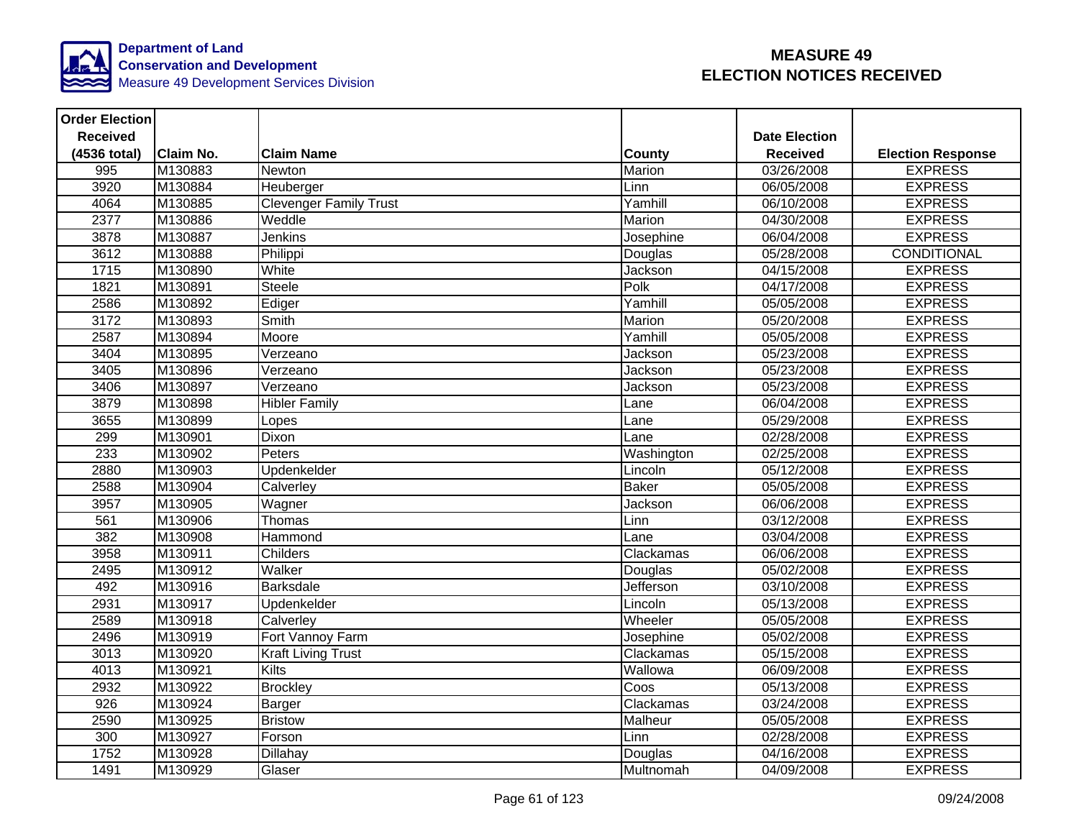

| <b>Order Election</b> |                  |                               |              |                      |                          |
|-----------------------|------------------|-------------------------------|--------------|----------------------|--------------------------|
| <b>Received</b>       |                  |                               |              | <b>Date Election</b> |                          |
| (4536 total)          | <b>Claim No.</b> | <b>Claim Name</b>             | County       | <b>Received</b>      | <b>Election Response</b> |
| 995                   | M130883          | Newton                        | Marion       | 03/26/2008           | <b>EXPRESS</b>           |
| 3920                  | M130884          | Heuberger                     | Linn         | 06/05/2008           | <b>EXPRESS</b>           |
| 4064                  | M130885          | <b>Clevenger Family Trust</b> | Yamhill      | 06/10/2008           | <b>EXPRESS</b>           |
| 2377                  | M130886          | Weddle                        | Marion       | 04/30/2008           | <b>EXPRESS</b>           |
| 3878                  | M130887          | Jenkins                       | Josephine    | 06/04/2008           | <b>EXPRESS</b>           |
| 3612                  | M130888          | Philippi                      | Douglas      | 05/28/2008           | <b>CONDITIONAL</b>       |
| 1715                  | M130890          | White                         | Jackson      | 04/15/2008           | <b>EXPRESS</b>           |
| 1821                  | M130891          | Steele                        | Polk         | 04/17/2008           | <b>EXPRESS</b>           |
| 2586                  | M130892          | Ediger                        | Yamhill      | 05/05/2008           | <b>EXPRESS</b>           |
| 3172                  | M130893          | Smith                         | Marion       | 05/20/2008           | <b>EXPRESS</b>           |
| 2587                  | M130894          | Moore                         | Yamhill      | 05/05/2008           | <b>EXPRESS</b>           |
| 3404                  | M130895          | Verzeano                      | Jackson      | 05/23/2008           | <b>EXPRESS</b>           |
| 3405                  | M130896          | Verzeano                      | Jackson      | 05/23/2008           | <b>EXPRESS</b>           |
| 3406                  | M130897          | Verzeano                      | Jackson      | 05/23/2008           | <b>EXPRESS</b>           |
| 3879                  | M130898          | <b>Hibler Family</b>          | Lane         | 06/04/2008           | <b>EXPRESS</b>           |
| 3655                  | M130899          | Lopes                         | Lane         | 05/29/2008           | <b>EXPRESS</b>           |
| 299                   | M130901          | Dixon                         | Lane         | 02/28/2008           | <b>EXPRESS</b>           |
| 233                   | M130902          | Peters                        | Washington   | 02/25/2008           | <b>EXPRESS</b>           |
| 2880                  | M130903          | Updenkelder                   | Lincoln      | 05/12/2008           | <b>EXPRESS</b>           |
| 2588                  | M130904          | Calverley                     | <b>Baker</b> | 05/05/2008           | <b>EXPRESS</b>           |
| 3957                  | M130905          | Wagner                        | Jackson      | 06/06/2008           | <b>EXPRESS</b>           |
| 561                   | M130906          | Thomas                        | Linn         | 03/12/2008           | <b>EXPRESS</b>           |
| 382                   | M130908          | Hammond                       | Lane         | 03/04/2008           | <b>EXPRESS</b>           |
| 3958                  | M130911          | Childers                      | Clackamas    | 06/06/2008           | <b>EXPRESS</b>           |
| 2495                  | M130912          | Walker                        | Douglas      | 05/02/2008           | <b>EXPRESS</b>           |
| 492                   | M130916          | Barksdale                     | Jefferson    | 03/10/2008           | <b>EXPRESS</b>           |
| 2931                  | M130917          | Updenkelder                   | Lincoln      | 05/13/2008           | <b>EXPRESS</b>           |
| 2589                  | M130918          | Calverley                     | Wheeler      | 05/05/2008           | <b>EXPRESS</b>           |
| 2496                  | M130919          | Fort Vannoy Farm              | Josephine    | 05/02/2008           | <b>EXPRESS</b>           |
| 3013                  | M130920          | <b>Kraft Living Trust</b>     | Clackamas    | 05/15/2008           | <b>EXPRESS</b>           |
| 4013                  | M130921          | Kilts                         | Wallowa      | 06/09/2008           | <b>EXPRESS</b>           |
| 2932                  | M130922          | <b>Brockley</b>               | Coos         | 05/13/2008           | <b>EXPRESS</b>           |
| 926                   | M130924          | Barger                        | Clackamas    | 03/24/2008           | <b>EXPRESS</b>           |
| 2590                  | M130925          | <b>Bristow</b>                | Malheur      | 05/05/2008           | <b>EXPRESS</b>           |
| 300                   | M130927          | Forson                        | Linn         | 02/28/2008           | <b>EXPRESS</b>           |
| 1752                  | M130928          | Dillahay                      | Douglas      | 04/16/2008           | <b>EXPRESS</b>           |
| 1491                  | M130929          | Glaser                        | Multnomah    | 04/09/2008           | <b>EXPRESS</b>           |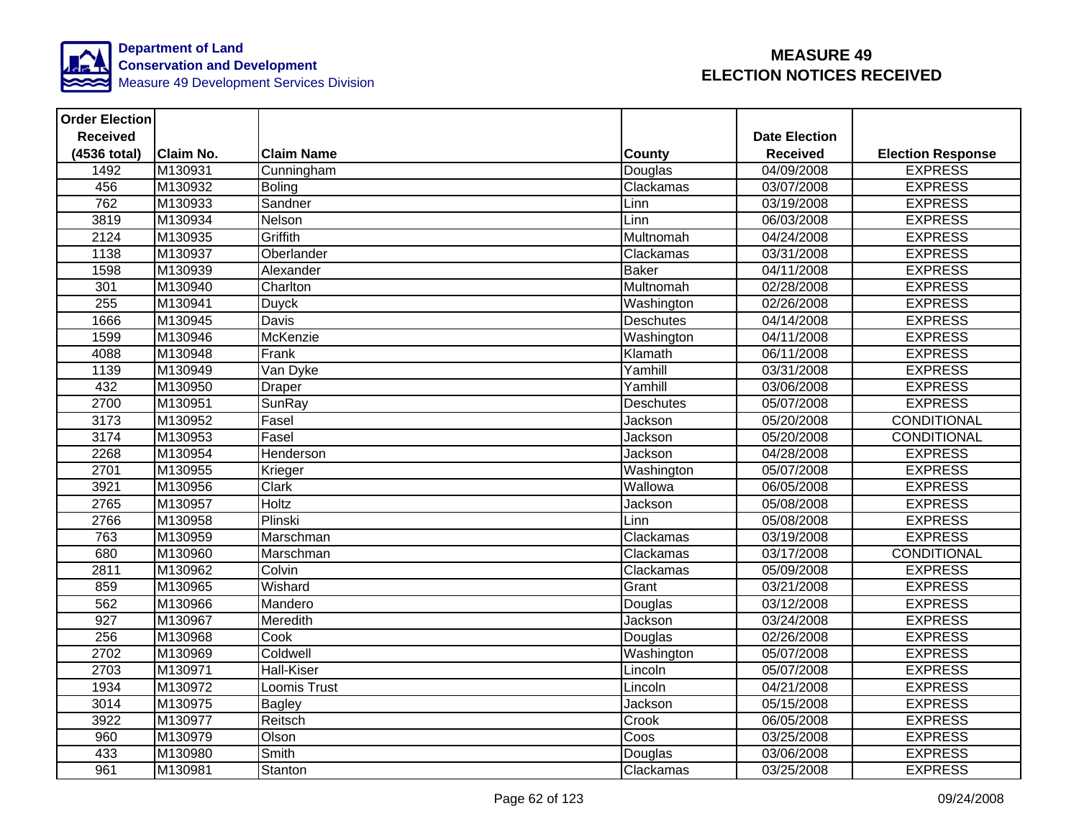

| <b>Order Election</b> |                  |                   |                  |                      |                          |
|-----------------------|------------------|-------------------|------------------|----------------------|--------------------------|
| <b>Received</b>       |                  |                   |                  | <b>Date Election</b> |                          |
| (4536 total)          | <b>Claim No.</b> | <b>Claim Name</b> | <b>County</b>    | <b>Received</b>      | <b>Election Response</b> |
| 1492                  | M130931          | Cunningham        | Douglas          | 04/09/2008           | <b>EXPRESS</b>           |
| 456                   | M130932          | <b>Boling</b>     | Clackamas        | 03/07/2008           | <b>EXPRESS</b>           |
| 762                   | M130933          | Sandner           | Linn             | 03/19/2008           | <b>EXPRESS</b>           |
| 3819                  | M130934          | Nelson            | Linn             | 06/03/2008           | <b>EXPRESS</b>           |
| 2124                  | M130935          | Griffith          | Multnomah        | 04/24/2008           | <b>EXPRESS</b>           |
| 1138                  | M130937          | Oberlander        | Clackamas        | 03/31/2008           | <b>EXPRESS</b>           |
| 1598                  | M130939          | Alexander         | <b>Baker</b>     | 04/11/2008           | <b>EXPRESS</b>           |
| 301                   | M130940          | Charlton          | Multnomah        | 02/28/2008           | <b>EXPRESS</b>           |
| 255                   | M130941          | <b>Duyck</b>      | Washington       | 02/26/2008           | <b>EXPRESS</b>           |
| 1666                  | M130945          | <b>Davis</b>      | <b>Deschutes</b> | 04/14/2008           | <b>EXPRESS</b>           |
| 1599                  | M130946          | McKenzie          | Washington       | 04/11/2008           | <b>EXPRESS</b>           |
| 4088                  | M130948          | Frank             | Klamath          | 06/11/2008           | <b>EXPRESS</b>           |
| 1139                  | M130949          | Van Dyke          | Yamhill          | 03/31/2008           | <b>EXPRESS</b>           |
| 432                   | M130950          | <b>Draper</b>     | Yamhill          | 03/06/2008           | <b>EXPRESS</b>           |
| 2700                  | M130951          | SunRay            | Deschutes        | 05/07/2008           | <b>EXPRESS</b>           |
| 3173                  | M130952          | Fasel             | Jackson          | 05/20/2008           | <b>CONDITIONAL</b>       |
| 3174                  | M130953          | Fasel             | Jackson          | 05/20/2008           | CONDITIONAL              |
| 2268                  | M130954          | Henderson         | Jackson          | 04/28/2008           | <b>EXPRESS</b>           |
| 2701                  | M130955          | Krieger           | Washington       | 05/07/2008           | <b>EXPRESS</b>           |
| 3921                  | M130956          | <b>Clark</b>      | Wallowa          | 06/05/2008           | <b>EXPRESS</b>           |
| 2765                  | M130957          | Holtz             | Jackson          | 05/08/2008           | <b>EXPRESS</b>           |
| 2766                  | M130958          | Plinski           | Linn             | 05/08/2008           | <b>EXPRESS</b>           |
| 763                   | M130959          | Marschman         | Clackamas        | 03/19/2008           | <b>EXPRESS</b>           |
| 680                   | M130960          | Marschman         | Clackamas        | 03/17/2008           | <b>CONDITIONAL</b>       |
| 2811                  | M130962          | Colvin            | Clackamas        | 05/09/2008           | <b>EXPRESS</b>           |
| 859                   | M130965          | Wishard           | Grant            | 03/21/2008           | <b>EXPRESS</b>           |
| 562                   | M130966          | Mandero           | Douglas          | 03/12/2008           | <b>EXPRESS</b>           |
| 927                   | M130967          | Meredith          | Jackson          | 03/24/2008           | <b>EXPRESS</b>           |
| 256                   | M130968          | Cook              | Douglas          | 02/26/2008           | <b>EXPRESS</b>           |
| 2702                  | M130969          | Coldwell          | Washington       | 05/07/2008           | <b>EXPRESS</b>           |
| 2703                  | M130971          | <b>Hall-Kiser</b> | Lincoln          | 05/07/2008           | <b>EXPRESS</b>           |
| 1934                  | M130972          | Loomis Trust      | Lincoln          | 04/21/2008           | <b>EXPRESS</b>           |
| 3014                  | M130975          | <b>Bagley</b>     | Jackson          | 05/15/2008           | <b>EXPRESS</b>           |
| 3922                  | M130977          | Reitsch           | Crook            | 06/05/2008           | <b>EXPRESS</b>           |
| 960                   | M130979          | Olson             | Coos             | 03/25/2008           | <b>EXPRESS</b>           |
| 433                   | M130980          | Smith             | Douglas          | 03/06/2008           | <b>EXPRESS</b>           |
| 961                   | M130981          | Stanton           | Clackamas        | 03/25/2008           | <b>EXPRESS</b>           |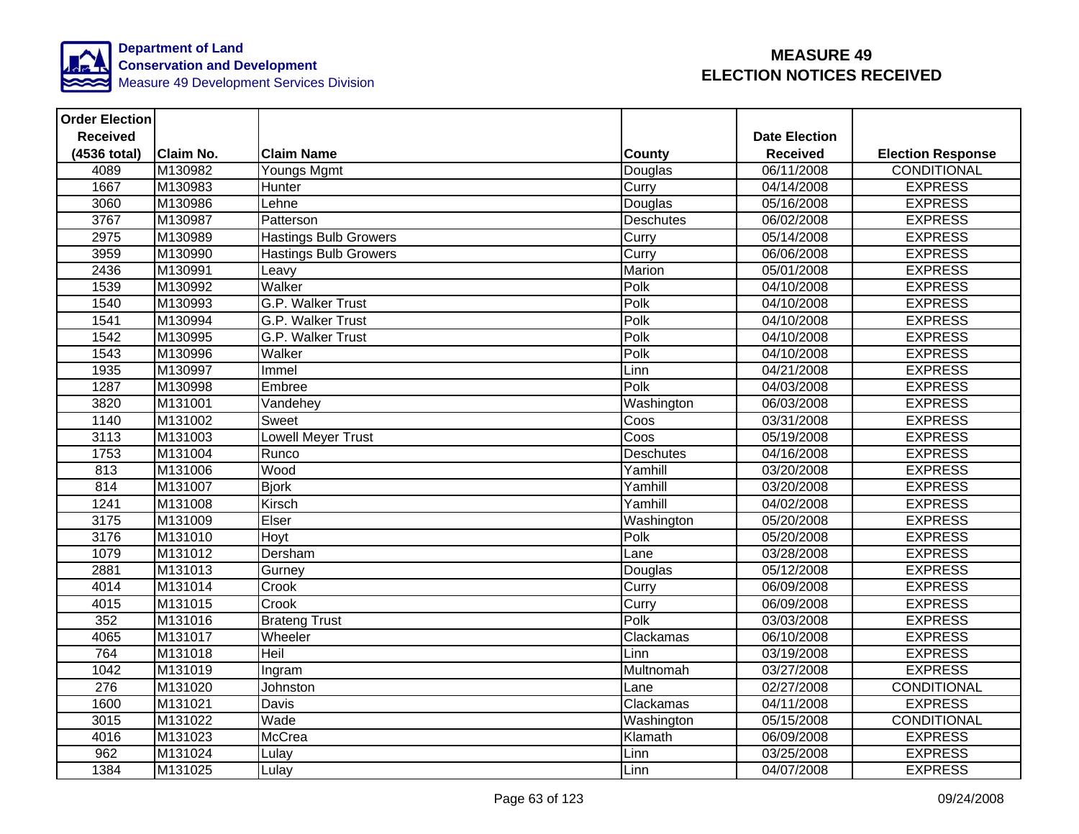

| <b>Order Election</b> |                  |                              |                  |                      |                          |
|-----------------------|------------------|------------------------------|------------------|----------------------|--------------------------|
| <b>Received</b>       |                  |                              |                  | <b>Date Election</b> |                          |
| (4536 total)          | <b>Claim No.</b> | <b>Claim Name</b>            | County           | <b>Received</b>      | <b>Election Response</b> |
| 4089                  | M130982          | Youngs Mgmt                  | Douglas          | 06/11/2008           | CONDITIONAL              |
| 1667                  | M130983          | Hunter                       | Curry            | 04/14/2008           | <b>EXPRESS</b>           |
| 3060                  | M130986          | Lehne                        | Douglas          | 05/16/2008           | <b>EXPRESS</b>           |
| 3767                  | M130987          | Patterson                    | <b>Deschutes</b> | 06/02/2008           | <b>EXPRESS</b>           |
| 2975                  | M130989          | <b>Hastings Bulb Growers</b> | Curry            | 05/14/2008           | <b>EXPRESS</b>           |
| 3959                  | M130990          | <b>Hastings Bulb Growers</b> | Curry            | 06/06/2008           | <b>EXPRESS</b>           |
| 2436                  | M130991          | Leavy                        | Marion           | 05/01/2008           | <b>EXPRESS</b>           |
| 1539                  | M130992          | Walker                       | Polk             | 04/10/2008           | <b>EXPRESS</b>           |
| 1540                  | M130993          | G.P. Walker Trust            | Polk             | 04/10/2008           | <b>EXPRESS</b>           |
| 1541                  | M130994          | G.P. Walker Trust            | Polk             | 04/10/2008           | <b>EXPRESS</b>           |
| 1542                  | M130995          | G.P. Walker Trust            | Polk             | 04/10/2008           | <b>EXPRESS</b>           |
| 1543                  | M130996          | Walker                       | Polk             | 04/10/2008           | <b>EXPRESS</b>           |
| 1935                  | M130997          | Immel                        | Linn             | 04/21/2008           | <b>EXPRESS</b>           |
| 1287                  | M130998          | Embree                       | Polk             | 04/03/2008           | <b>EXPRESS</b>           |
| 3820                  | M131001          | Vandehey                     | Washington       | 06/03/2008           | <b>EXPRESS</b>           |
| 1140                  | M131002          | Sweet                        | Coos             | 03/31/2008           | <b>EXPRESS</b>           |
| 3113                  | M131003          | <b>Lowell Meyer Trust</b>    | Coos             | 05/19/2008           | <b>EXPRESS</b>           |
| 1753                  | M131004          | Runco                        | <b>Deschutes</b> | 04/16/2008           | <b>EXPRESS</b>           |
| 813                   | M131006          | Wood                         | Yamhill          | 03/20/2008           | <b>EXPRESS</b>           |
| 814                   | M131007          | <b>Bjork</b>                 | Yamhill          | 03/20/2008           | <b>EXPRESS</b>           |
| 1241                  | M131008          | Kirsch                       | Yamhill          | 04/02/2008           | <b>EXPRESS</b>           |
| 3175                  | M131009          | Elser                        | Washington       | 05/20/2008           | <b>EXPRESS</b>           |
| 3176                  | M131010          | Hoyt                         | Polk             | 05/20/2008           | <b>EXPRESS</b>           |
| 1079                  | M131012          | Dersham                      | Lane             | 03/28/2008           | <b>EXPRESS</b>           |
| 2881                  | M131013          | Gurney                       | Douglas          | 05/12/2008           | <b>EXPRESS</b>           |
| 4014                  | M131014          | Crook                        | Curry            | 06/09/2008           | <b>EXPRESS</b>           |
| 4015                  | M131015          | Crook                        | Curry            | 06/09/2008           | <b>EXPRESS</b>           |
| 352                   | M131016          | <b>Brateng Trust</b>         | Polk             | 03/03/2008           | <b>EXPRESS</b>           |
| 4065                  | M131017          | Wheeler                      | Clackamas        | 06/10/2008           | <b>EXPRESS</b>           |
| 764                   | M131018          | Heil                         | Linn             | 03/19/2008           | <b>EXPRESS</b>           |
| 1042                  | M131019          | Ingram                       | Multnomah        | 03/27/2008           | <b>EXPRESS</b>           |
| 276                   | M131020          | Johnston                     | Lane             | 02/27/2008           | <b>CONDITIONAL</b>       |
| 1600                  | M131021          | <b>Davis</b>                 | Clackamas        | 04/11/2008           | <b>EXPRESS</b>           |
| 3015                  | M131022          | Wade                         | Washington       | 05/15/2008           | CONDITIONAL              |
| 4016                  | M131023          | <b>McCrea</b>                | Klamath          | 06/09/2008           | <b>EXPRESS</b>           |
| 962                   | M131024          | Lulay                        | Linn             | 03/25/2008           | <b>EXPRESS</b>           |
| 1384                  | M131025          | Lulay                        | Linn             | 04/07/2008           | <b>EXPRESS</b>           |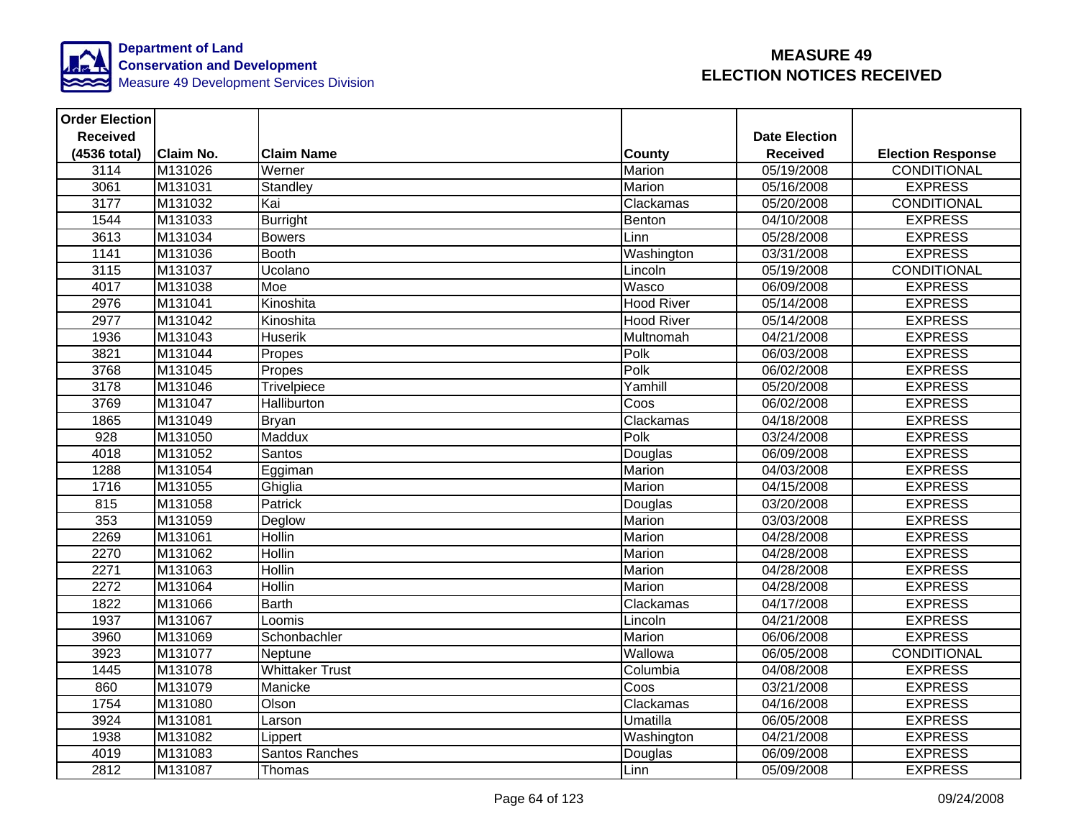

| <b>Order Election</b> |                  |                        |                   |                      |                          |
|-----------------------|------------------|------------------------|-------------------|----------------------|--------------------------|
| <b>Received</b>       |                  |                        |                   | <b>Date Election</b> |                          |
| (4536 total)          | <b>Claim No.</b> | <b>Claim Name</b>      | County            | <b>Received</b>      | <b>Election Response</b> |
| 3114                  | M131026          | Werner                 | Marion            | 05/19/2008           | <b>CONDITIONAL</b>       |
| 3061                  | M131031          | Standley               | Marion            | 05/16/2008           | <b>EXPRESS</b>           |
| 3177                  | M131032          | Kai                    | Clackamas         | 05/20/2008           | <b>CONDITIONAL</b>       |
| 1544                  | M131033          | <b>Burright</b>        | Benton            | 04/10/2008           | <b>EXPRESS</b>           |
| 3613                  | M131034          | <b>Bowers</b>          | Linn              | 05/28/2008           | <b>EXPRESS</b>           |
| 1141                  | M131036          | <b>Booth</b>           | Washington        | 03/31/2008           | <b>EXPRESS</b>           |
| 3115                  | M131037          | Ucolano                | Lincoln           | 05/19/2008           | <b>CONDITIONAL</b>       |
| 4017                  | M131038          | Moe                    | Wasco             | 06/09/2008           | <b>EXPRESS</b>           |
| 2976                  | M131041          | Kinoshita              | <b>Hood River</b> | 05/14/2008           | <b>EXPRESS</b>           |
| 2977                  | M131042          | Kinoshita              | <b>Hood River</b> | 05/14/2008           | <b>EXPRESS</b>           |
| 1936                  | M131043          | <b>Huserik</b>         | Multnomah         | 04/21/2008           | <b>EXPRESS</b>           |
| 3821                  | M131044          | Propes                 | Polk              | 06/03/2008           | <b>EXPRESS</b>           |
| 3768                  | M131045          | Propes                 | Polk              | 06/02/2008           | <b>EXPRESS</b>           |
| 3178                  | M131046          | Trivelpiece            | Yamhill           | 05/20/2008           | <b>EXPRESS</b>           |
| 3769                  | M131047          | Halliburton            | Coos              | 06/02/2008           | <b>EXPRESS</b>           |
| 1865                  | M131049          | <b>Bryan</b>           | Clackamas         | 04/18/2008           | <b>EXPRESS</b>           |
| 928                   | M131050          | Maddux                 | Polk              | 03/24/2008           | <b>EXPRESS</b>           |
| 4018                  | M131052          | Santos                 | Douglas           | 06/09/2008           | <b>EXPRESS</b>           |
| 1288                  | M131054          | Eggiman                | Marion            | 04/03/2008           | <b>EXPRESS</b>           |
| 1716                  | M131055          | Ghiglia                | Marion            | 04/15/2008           | <b>EXPRESS</b>           |
| 815                   | M131058          | Patrick                | Douglas           | 03/20/2008           | <b>EXPRESS</b>           |
| 353                   | M131059          | Deglow                 | Marion            | 03/03/2008           | <b>EXPRESS</b>           |
| 2269                  | M131061          | <b>Hollin</b>          | Marion            | 04/28/2008           | <b>EXPRESS</b>           |
| 2270                  | M131062          | <b>Hollin</b>          | Marion            | 04/28/2008           | <b>EXPRESS</b>           |
| 2271                  | M131063          | <b>Hollin</b>          | Marion            | 04/28/2008           | <b>EXPRESS</b>           |
| 2272                  | M131064          | <b>Hollin</b>          | Marion            | 04/28/2008           | <b>EXPRESS</b>           |
| 1822                  | M131066          | <b>Barth</b>           | Clackamas         | 04/17/2008           | <b>EXPRESS</b>           |
| 1937                  | M131067          | Loomis                 | Lincoln           | 04/21/2008           | <b>EXPRESS</b>           |
| 3960                  | M131069          | Schonbachler           | Marion            | 06/06/2008           | <b>EXPRESS</b>           |
| 3923                  | M131077          | Neptune                | Wallowa           | 06/05/2008           | <b>CONDITIONAL</b>       |
| 1445                  | M131078          | <b>Whittaker Trust</b> | Columbia          | 04/08/2008           | <b>EXPRESS</b>           |
| 860                   | M131079          | Manicke                | Coos              | 03/21/2008           | <b>EXPRESS</b>           |
| 1754                  | M131080          | Olson                  | Clackamas         | 04/16/2008           | <b>EXPRESS</b>           |
| 3924                  | M131081          | Larson                 | Umatilla          | 06/05/2008           | <b>EXPRESS</b>           |
| 1938                  | M131082          | Lippert                | Washington        | 04/21/2008           | <b>EXPRESS</b>           |
| 4019                  | M131083          | Santos Ranches         | Douglas           | 06/09/2008           | <b>EXPRESS</b>           |
| 2812                  | M131087          | Thomas                 | Linn              | 05/09/2008           | <b>EXPRESS</b>           |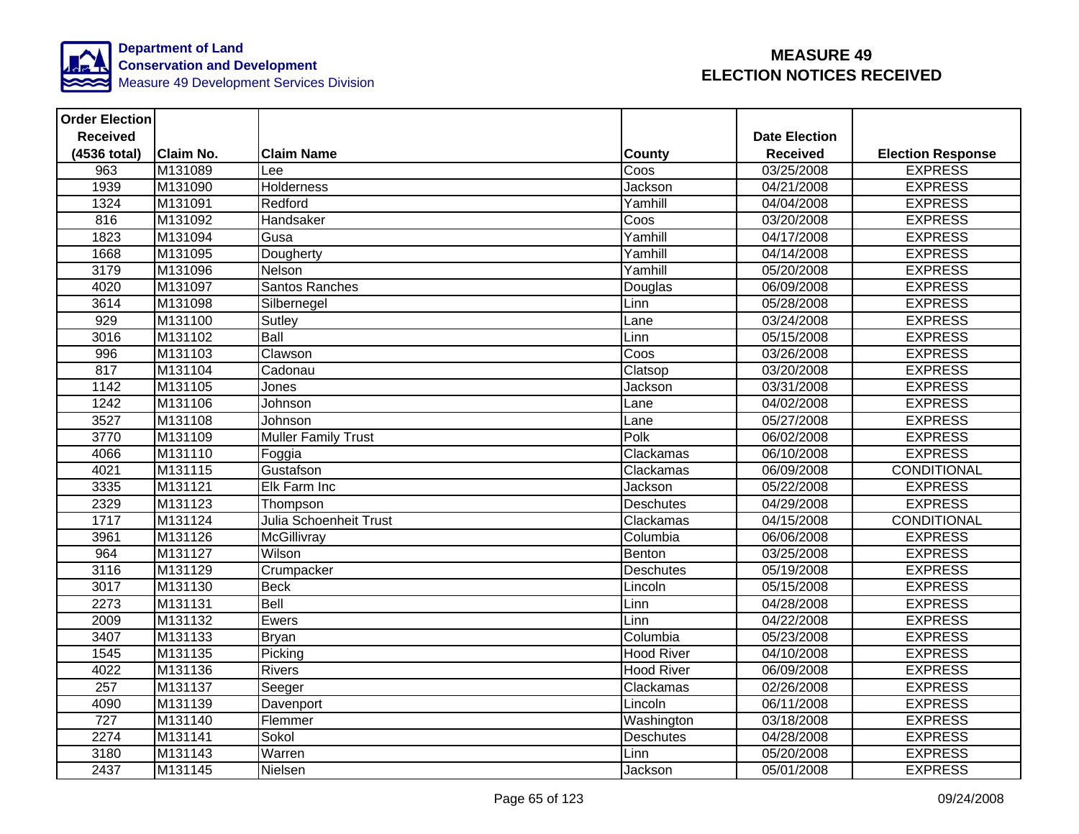

| <b>Order Election</b> |                  |                               |                   |                      |                          |
|-----------------------|------------------|-------------------------------|-------------------|----------------------|--------------------------|
| <b>Received</b>       |                  |                               |                   | <b>Date Election</b> |                          |
| (4536 total)          | <b>Claim No.</b> | <b>Claim Name</b>             | County            | <b>Received</b>      | <b>Election Response</b> |
| 963                   | M131089          | Lee                           | Coos              | 03/25/2008           | <b>EXPRESS</b>           |
| 1939                  | M131090          | <b>Holderness</b>             | Jackson           | 04/21/2008           | <b>EXPRESS</b>           |
| 1324                  | M131091          | Redford                       | Yamhill           | 04/04/2008           | <b>EXPRESS</b>           |
| 816                   | M131092          | Handsaker                     | Coos              | 03/20/2008           | <b>EXPRESS</b>           |
| 1823                  | M131094          | Gusa                          | Yamhill           | 04/17/2008           | <b>EXPRESS</b>           |
| 1668                  | M131095          | Dougherty                     | Yamhill           | 04/14/2008           | <b>EXPRESS</b>           |
| 3179                  | M131096          | Nelson                        | Yamhill           | 05/20/2008           | <b>EXPRESS</b>           |
| 4020                  | M131097          | Santos Ranches                | Douglas           | 06/09/2008           | <b>EXPRESS</b>           |
| 3614                  | M131098          | Silbernegel                   | Linn              | 05/28/2008           | <b>EXPRESS</b>           |
| 929                   | M131100          | Sutley                        | Lane              | 03/24/2008           | <b>EXPRESS</b>           |
| 3016                  | M131102          | Ball                          | Linn              | 05/15/2008           | <b>EXPRESS</b>           |
| 996                   | M131103          | Clawson                       | Coos              | 03/26/2008           | <b>EXPRESS</b>           |
| 817                   | M131104          | Cadonau                       | Clatsop           | 03/20/2008           | <b>EXPRESS</b>           |
| 1142                  | M131105          | Jones                         | Jackson           | 03/31/2008           | <b>EXPRESS</b>           |
| 1242                  | M131106          | Johnson                       | Lane              | 04/02/2008           | <b>EXPRESS</b>           |
| 3527                  | M131108          | Johnson                       | Lane              | 05/27/2008           | <b>EXPRESS</b>           |
| 3770                  | M131109          | Muller Family Trust           | Polk              | 06/02/2008           | <b>EXPRESS</b>           |
| 4066                  | M131110          | Foggia                        | Clackamas         | 06/10/2008           | <b>EXPRESS</b>           |
| 4021                  | M131115          | Gustafson                     | Clackamas         | 06/09/2008           | <b>CONDITIONAL</b>       |
| 3335                  | M131121          | Elk Farm Inc                  | Jackson           | 05/22/2008           | <b>EXPRESS</b>           |
| 2329                  | M131123          | Thompson                      | Deschutes         | 04/29/2008           | <b>EXPRESS</b>           |
| 1717                  | M131124          | <b>Julia Schoenheit Trust</b> | Clackamas         | 04/15/2008           | <b>CONDITIONAL</b>       |
| 3961                  | M131126          | McGillivray                   | Columbia          | 06/06/2008           | <b>EXPRESS</b>           |
| 964                   | M131127          | Wilson                        | Benton            | 03/25/2008           | <b>EXPRESS</b>           |
| 3116                  | M131129          | Crumpacker                    | <b>Deschutes</b>  | 05/19/2008           | <b>EXPRESS</b>           |
| 3017                  | M131130          | Beck                          | Lincoln           | 05/15/2008           | <b>EXPRESS</b>           |
| 2273                  | M131131          | Bell                          | Linn              | 04/28/2008           | <b>EXPRESS</b>           |
| 2009                  | M131132          | Ewers                         | Linn              | 04/22/2008           | <b>EXPRESS</b>           |
| 3407                  | M131133          | Bryan                         | Columbia          | 05/23/2008           | <b>EXPRESS</b>           |
| 1545                  | M131135          | Picking                       | <b>Hood River</b> | 04/10/2008           | <b>EXPRESS</b>           |
| 4022                  | M131136          | <b>Rivers</b>                 | <b>Hood River</b> | 06/09/2008           | <b>EXPRESS</b>           |
| $\overline{257}$      | M131137          | Seeger                        | Clackamas         | 02/26/2008           | <b>EXPRESS</b>           |
| 4090                  | M131139          | Davenport                     | Lincoln           | 06/11/2008           | <b>EXPRESS</b>           |
| 727                   | M131140          | Flemmer                       | Washington        | 03/18/2008           | <b>EXPRESS</b>           |
| 2274                  | M131141          | Sokol                         | Deschutes         | 04/28/2008           | <b>EXPRESS</b>           |
| 3180                  | M131143          | Warren                        | Linn              | 05/20/2008           | <b>EXPRESS</b>           |
| 2437                  | M131145          | Nielsen                       | Jackson           | 05/01/2008           | <b>EXPRESS</b>           |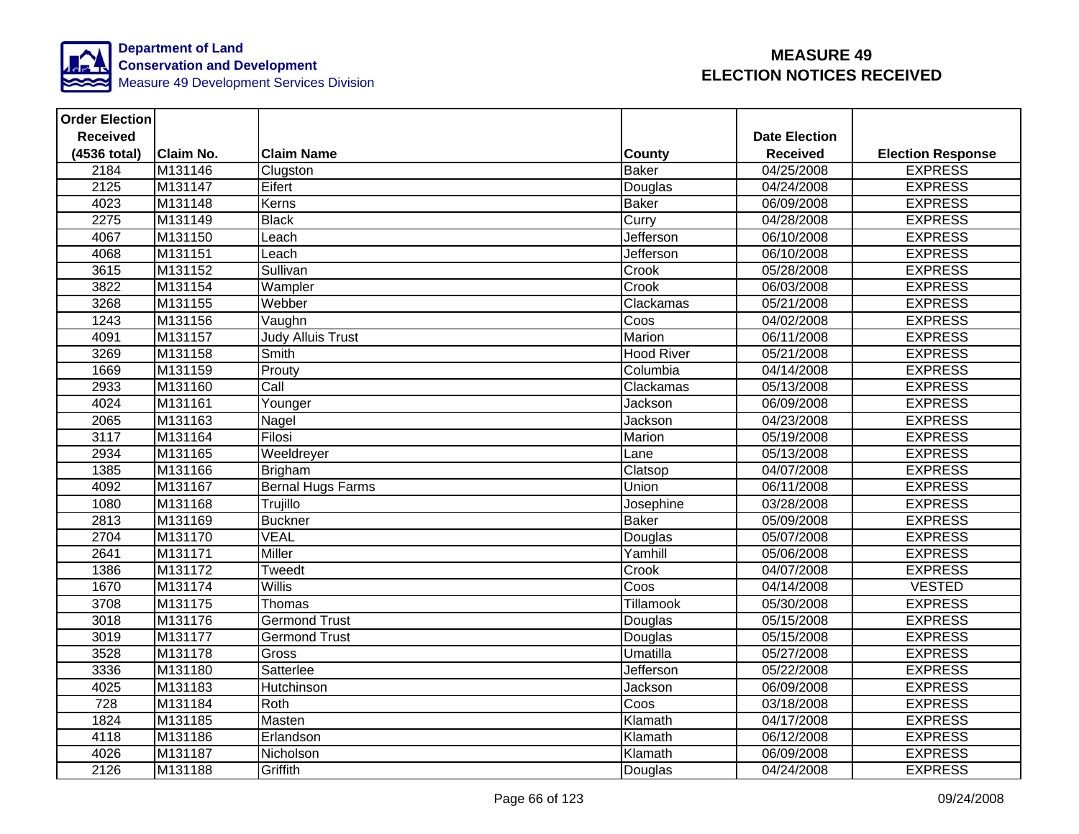

| <b>Order Election</b> |                  |                          |                   |                      |                          |
|-----------------------|------------------|--------------------------|-------------------|----------------------|--------------------------|
| <b>Received</b>       |                  |                          |                   | <b>Date Election</b> |                          |
| (4536 total)          | <b>Claim No.</b> | <b>Claim Name</b>        | <b>County</b>     | <b>Received</b>      | <b>Election Response</b> |
| 2184                  | M131146          | Clugston                 | <b>Baker</b>      | 04/25/2008           | <b>EXPRESS</b>           |
| 2125                  | M131147          | Eifert                   | Douglas           | 04/24/2008           | <b>EXPRESS</b>           |
| 4023                  | M131148          | Kerns                    | <b>Baker</b>      | 06/09/2008           | <b>EXPRESS</b>           |
| 2275                  | M131149          | <b>Black</b>             | Curry             | 04/28/2008           | <b>EXPRESS</b>           |
| 4067                  | M131150          | Leach                    | <b>Jefferson</b>  | 06/10/2008           | <b>EXPRESS</b>           |
| 4068                  | M131151          | Leach                    | <b>Jefferson</b>  | 06/10/2008           | <b>EXPRESS</b>           |
| 3615                  | M131152          | Sullivan                 | Crook             | 05/28/2008           | <b>EXPRESS</b>           |
| 3822                  | M131154          | Wampler                  | Crook             | 06/03/2008           | <b>EXPRESS</b>           |
| 3268                  | M131155          | Webber                   | Clackamas         | 05/21/2008           | <b>EXPRESS</b>           |
| 1243                  | M131156          | Vaughn                   | Coos              | 04/02/2008           | <b>EXPRESS</b>           |
| 4091                  | M131157          | <b>Judy Alluis Trust</b> | Marion            | 06/11/2008           | <b>EXPRESS</b>           |
| 3269                  | M131158          | Smith                    | <b>Hood River</b> | 05/21/2008           | <b>EXPRESS</b>           |
| 1669                  | M131159          | Prouty                   | Columbia          | 04/14/2008           | <b>EXPRESS</b>           |
| 2933                  | M131160          | $\overline{Call}$        | Clackamas         | 05/13/2008           | <b>EXPRESS</b>           |
| 4024                  | M131161          | Younger                  | Jackson           | 06/09/2008           | <b>EXPRESS</b>           |
| 2065                  | M131163          | Nagel                    | Jackson           | 04/23/2008           | <b>EXPRESS</b>           |
| 3117                  | M131164          | Filosi                   | Marion            | 05/19/2008           | <b>EXPRESS</b>           |
| 2934                  | M131165          | Weeldreyer               | Lane              | 05/13/2008           | <b>EXPRESS</b>           |
| 1385                  | M131166          | <b>Brigham</b>           | Clatsop           | 04/07/2008           | <b>EXPRESS</b>           |
| 4092                  | M131167          | <b>Bernal Hugs Farms</b> | Union             | 06/11/2008           | <b>EXPRESS</b>           |
| 1080                  | M131168          | Trujillo                 | Josephine         | 03/28/2008           | <b>EXPRESS</b>           |
| 2813                  | M131169          | <b>Buckner</b>           | <b>Baker</b>      | 05/09/2008           | <b>EXPRESS</b>           |
| 2704                  | M131170          | <b>VEAL</b>              | Douglas           | 05/07/2008           | <b>EXPRESS</b>           |
| 2641                  | M131171          | <b>Miller</b>            | Yamhill           | 05/06/2008           | <b>EXPRESS</b>           |
| 1386                  | M131172          | Tweedt                   | Crook             | 04/07/2008           | <b>EXPRESS</b>           |
| 1670                  | M131174          | <b>Willis</b>            | Coos              | 04/14/2008           | <b>VESTED</b>            |
| 3708                  | M131175          | Thomas                   | <b>Tillamook</b>  | 05/30/2008           | <b>EXPRESS</b>           |
| 3018                  | M131176          | <b>Germond Trust</b>     | Douglas           | 05/15/2008           | <b>EXPRESS</b>           |
| 3019                  | M131177          | <b>Germond Trust</b>     | Douglas           | 05/15/2008           | <b>EXPRESS</b>           |
| 3528                  | M131178          | Gross                    | <b>Umatilla</b>   | 05/27/2008           | <b>EXPRESS</b>           |
| 3336                  | M131180          | Satterlee                | Jefferson         | 05/22/2008           | <b>EXPRESS</b>           |
| 4025                  | M131183          | Hutchinson               | Jackson           | 06/09/2008           | <b>EXPRESS</b>           |
| 728                   | M131184          | Roth                     | Coos              | 03/18/2008           | <b>EXPRESS</b>           |
| 1824                  | M131185          | Masten                   | Klamath           | 04/17/2008           | <b>EXPRESS</b>           |
| 4118                  | M131186          | Erlandson                | Klamath           | 06/12/2008           | <b>EXPRESS</b>           |
| 4026                  | M131187          | Nicholson                | Klamath           | 06/09/2008           | <b>EXPRESS</b>           |
| 2126                  | M131188          | Griffith                 | Douglas           | 04/24/2008           | <b>EXPRESS</b>           |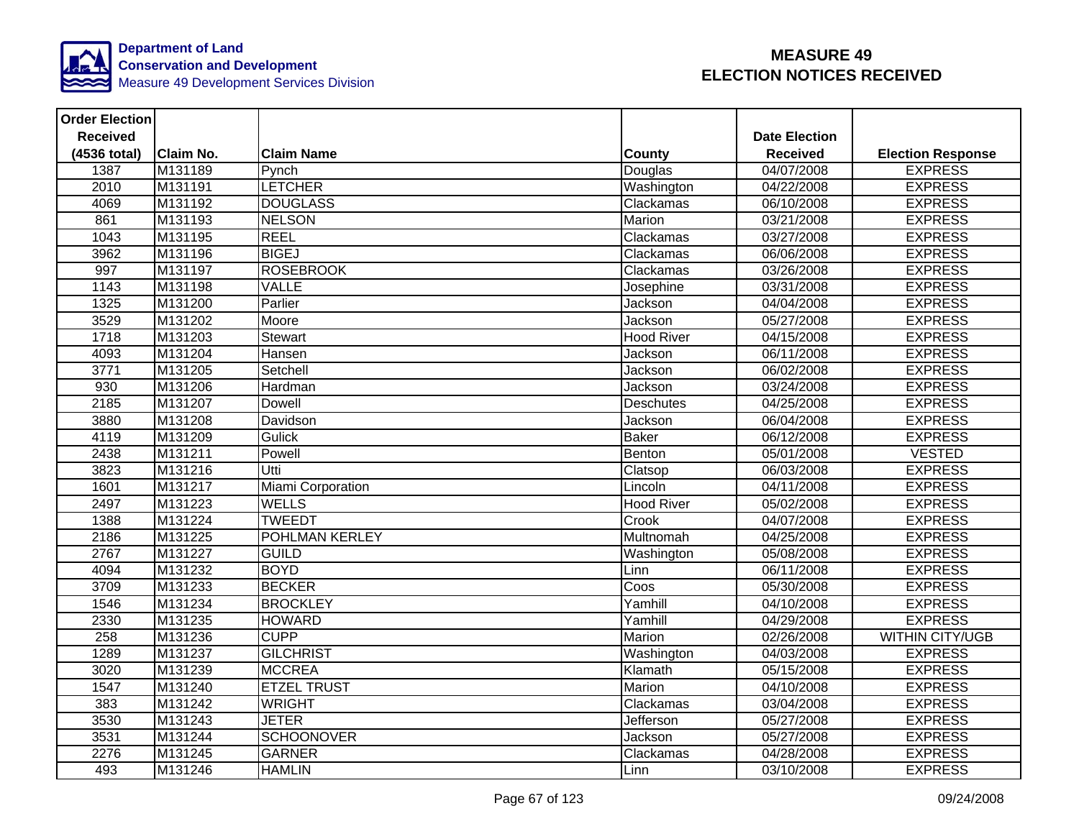

| <b>Order Election</b> |                  |                    |                   |                      |                          |
|-----------------------|------------------|--------------------|-------------------|----------------------|--------------------------|
| <b>Received</b>       |                  |                    |                   | <b>Date Election</b> |                          |
| (4536 total)          | <b>Claim No.</b> | <b>Claim Name</b>  | County            | <b>Received</b>      | <b>Election Response</b> |
| 1387                  | M131189          | Pynch              | Douglas           | 04/07/2008           | <b>EXPRESS</b>           |
| 2010                  | M131191          | <b>LETCHER</b>     | Washington        | 04/22/2008           | <b>EXPRESS</b>           |
| 4069                  | M131192          | <b>DOUGLASS</b>    | Clackamas         | 06/10/2008           | <b>EXPRESS</b>           |
| 861                   | M131193          | <b>NELSON</b>      | Marion            | 03/21/2008           | <b>EXPRESS</b>           |
| 1043                  | M131195          | <b>REEL</b>        | Clackamas         | 03/27/2008           | <b>EXPRESS</b>           |
| 3962                  | M131196          | <b>BIGEJ</b>       | Clackamas         | 06/06/2008           | <b>EXPRESS</b>           |
| 997                   | M131197          | <b>ROSEBROOK</b>   | Clackamas         | 03/26/2008           | <b>EXPRESS</b>           |
| 1143                  | M131198          | VALLE              | Josephine         | 03/31/2008           | <b>EXPRESS</b>           |
| 1325                  | M131200          | Parlier            | Jackson           | 04/04/2008           | <b>EXPRESS</b>           |
| 3529                  | M131202          | Moore              | Jackson           | 05/27/2008           | <b>EXPRESS</b>           |
| 1718                  | M131203          | <b>Stewart</b>     | <b>Hood River</b> | 04/15/2008           | <b>EXPRESS</b>           |
| 4093                  | M131204          | Hansen             | Jackson           | 06/11/2008           | <b>EXPRESS</b>           |
| 3771                  | M131205          | Setchell           | Jackson           | 06/02/2008           | <b>EXPRESS</b>           |
| 930                   | M131206          | Hardman            | Jackson           | $\sqrt{03/24}/2008$  | <b>EXPRESS</b>           |
| 2185                  | M131207          | <b>Dowell</b>      | Deschutes         | 04/25/2008           | <b>EXPRESS</b>           |
| 3880                  | M131208          | Davidson           | Jackson           | 06/04/2008           | <b>EXPRESS</b>           |
| 4119                  | M131209          | Gulick             | <b>Baker</b>      | 06/12/2008           | <b>EXPRESS</b>           |
| 2438                  | M131211          | Powell             | Benton            | 05/01/2008           | <b>VESTED</b>            |
| 3823                  | M131216          | Utti               | Clatsop           | 06/03/2008           | <b>EXPRESS</b>           |
| 1601                  | M131217          | Miami Corporation  | Lincoln           | 04/11/2008           | <b>EXPRESS</b>           |
| 2497                  | M131223          | <b>WELLS</b>       | <b>Hood River</b> | 05/02/2008           | <b>EXPRESS</b>           |
| 1388                  | M131224          | <b>TWEEDT</b>      | Crook             | 04/07/2008           | <b>EXPRESS</b>           |
| 2186                  | M131225          | POHLMAN KERLEY     | Multnomah         | 04/25/2008           | <b>EXPRESS</b>           |
| 2767                  | M131227          | <b>GUILD</b>       | Washington        | 05/08/2008           | <b>EXPRESS</b>           |
| 4094                  | M131232          | <b>BOYD</b>        | Linn              | 06/11/2008           | <b>EXPRESS</b>           |
| 3709                  | M131233          | <b>BECKER</b>      | Coos              | 05/30/2008           | <b>EXPRESS</b>           |
| 1546                  | M131234          | <b>BROCKLEY</b>    | Yamhill           | 04/10/2008           | <b>EXPRESS</b>           |
| 2330                  | M131235          | <b>HOWARD</b>      | Yamhill           | 04/29/2008           | <b>EXPRESS</b>           |
| 258                   | M131236          | <b>CUPP</b>        | Marion            | 02/26/2008           | <b>WITHIN CITY/UGB</b>   |
| 1289                  | M131237          | <b>GILCHRIST</b>   | Washington        | 04/03/2008           | <b>EXPRESS</b>           |
| 3020                  | M131239          | <b>MCCREA</b>      | Klamath           | 05/15/2008           | <b>EXPRESS</b>           |
| 1547                  | M131240          | <b>ETZEL TRUST</b> | Marion            | 04/10/2008           | <b>EXPRESS</b>           |
| 383                   | M131242          | <b>WRIGHT</b>      | Clackamas         | 03/04/2008           | <b>EXPRESS</b>           |
| 3530                  | M131243          | <b>JETER</b>       | Jefferson         | 05/27/2008           | <b>EXPRESS</b>           |
| 3531                  | M131244          | <b>SCHOONOVER</b>  | Jackson           | 05/27/2008           | <b>EXPRESS</b>           |
| 2276                  | M131245          | <b>GARNER</b>      | Clackamas         | 04/28/2008           | <b>EXPRESS</b>           |
| 493                   | M131246          | <b>HAMLIN</b>      | Linn              | 03/10/2008           | <b>EXPRESS</b>           |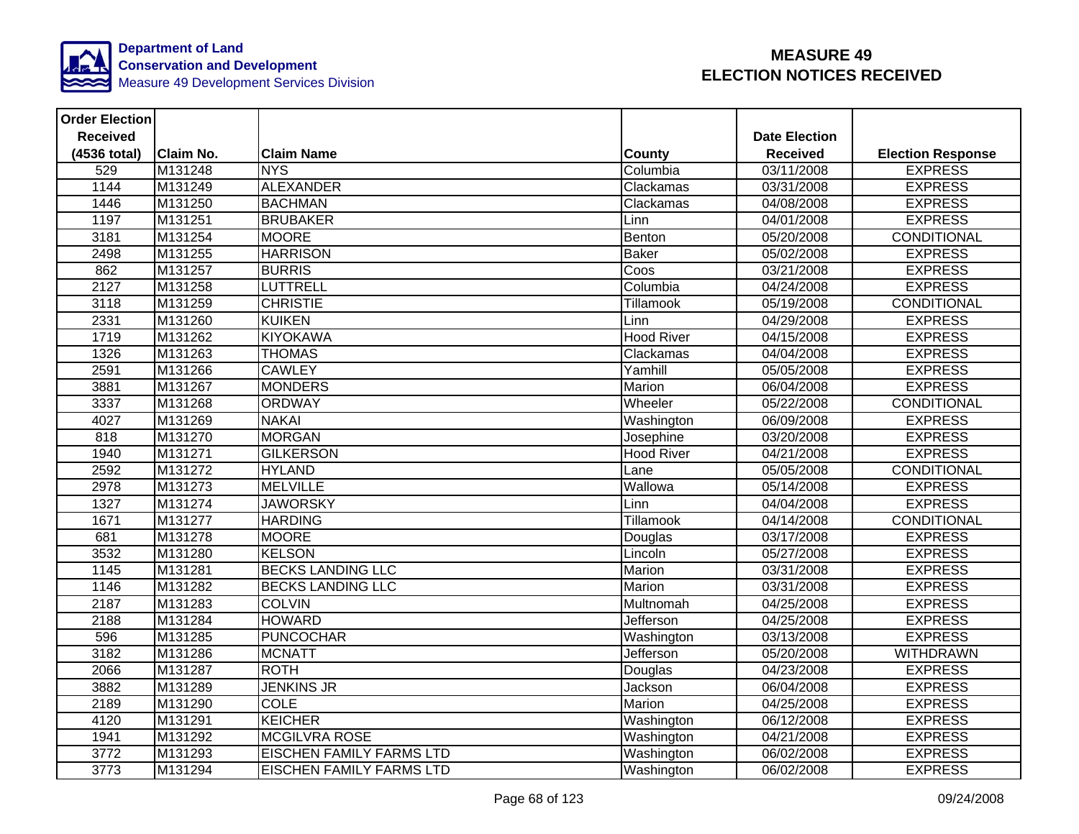

| <b>Order Election</b> |                  |                                 |                   |                      |                          |
|-----------------------|------------------|---------------------------------|-------------------|----------------------|--------------------------|
| <b>Received</b>       |                  |                                 |                   | <b>Date Election</b> |                          |
| (4536 total)          | <b>Claim No.</b> | <b>Claim Name</b>               | <b>County</b>     | <b>Received</b>      | <b>Election Response</b> |
| 529                   | M131248          | <b>NYS</b>                      | Columbia          | 03/11/2008           | <b>EXPRESS</b>           |
| 1144                  | M131249          | <b>ALEXANDER</b>                | Clackamas         | 03/31/2008           | <b>EXPRESS</b>           |
| 1446                  | M131250          | <b>BACHMAN</b>                  | Clackamas         | 04/08/2008           | <b>EXPRESS</b>           |
| 1197                  | M131251          | <b>BRUBAKER</b>                 | Linn              | 04/01/2008           | <b>EXPRESS</b>           |
| 3181                  | M131254          | <b>MOORE</b>                    | Benton            | 05/20/2008           | <b>CONDITIONAL</b>       |
| 2498                  | M131255          | <b>HARRISON</b>                 | <b>Baker</b>      | 05/02/2008           | <b>EXPRESS</b>           |
| 862                   | M131257          | <b>BURRIS</b>                   | Coos              | 03/21/2008           | <b>EXPRESS</b>           |
| 2127                  | M131258          | <b>LUTTRELL</b>                 | Columbia          | 04/24/2008           | <b>EXPRESS</b>           |
| 3118                  | M131259          | <b>CHRISTIE</b>                 | Tillamook         | 05/19/2008           | CONDITIONAL              |
| 2331                  | M131260          | <b>KUIKEN</b>                   | Linn              | 04/29/2008           | <b>EXPRESS</b>           |
| 1719                  | M131262          | <b>KIYOKAWA</b>                 | <b>Hood River</b> | 04/15/2008           | <b>EXPRESS</b>           |
| 1326                  | M131263          | <b>THOMAS</b>                   | Clackamas         | 04/04/2008           | <b>EXPRESS</b>           |
| 2591                  | M131266          | <b>CAWLEY</b>                   | Yamhill           | 05/05/2008           | <b>EXPRESS</b>           |
| 3881                  | M131267          | <b>MONDERS</b>                  | Marion            | 06/04/2008           | <b>EXPRESS</b>           |
| 3337                  | M131268          | <b>ORDWAY</b>                   | Wheeler           | 05/22/2008           | CONDITIONAL              |
| 4027                  | M131269          | <b>NAKAI</b>                    | Washington        | 06/09/2008           | <b>EXPRESS</b>           |
| 818                   | M131270          | <b>MORGAN</b>                   | Josephine         | 03/20/2008           | <b>EXPRESS</b>           |
| 1940                  | M131271          | <b>GILKERSON</b>                | <b>Hood River</b> | 04/21/2008           | <b>EXPRESS</b>           |
| 2592                  | M131272          | <b>HYLAND</b>                   | Lane              | 05/05/2008           | <b>CONDITIONAL</b>       |
| 2978                  | M131273          | <b>MELVILLE</b>                 | Wallowa           | 05/14/2008           | <b>EXPRESS</b>           |
| 1327                  | M131274          | <b>JAWORSKY</b>                 | Linn              | 04/04/2008           | <b>EXPRESS</b>           |
| 1671                  | M131277          | <b>HARDING</b>                  | <b>Tillamook</b>  | 04/14/2008           | <b>CONDITIONAL</b>       |
| 681                   | M131278          | <b>MOORE</b>                    | Douglas           | 03/17/2008           | <b>EXPRESS</b>           |
| 3532                  | M131280          | <b>KELSON</b>                   | Lincoln           | 05/27/2008           | <b>EXPRESS</b>           |
| 1145                  | M131281          | <b>BECKS LANDING LLC</b>        | Marion            | 03/31/2008           | <b>EXPRESS</b>           |
| 1146                  | M131282          | <b>BECKS LANDING LLC</b>        | Marion            | 03/31/2008           | <b>EXPRESS</b>           |
| 2187                  | M131283          | <b>COLVIN</b>                   | Multnomah         | 04/25/2008           | <b>EXPRESS</b>           |
| 2188                  | M131284          | <b>HOWARD</b>                   | Jefferson         | 04/25/2008           | <b>EXPRESS</b>           |
| 596                   | M131285          | <b>PUNCOCHAR</b>                | Washington        | 03/13/2008           | <b>EXPRESS</b>           |
| 3182                  | M131286          | <b>MCNATT</b>                   | Jefferson         | 05/20/2008           | <b>WITHDRAWN</b>         |
| 2066                  | M131287          | <b>ROTH</b>                     | Douglas           | 04/23/2008           | <b>EXPRESS</b>           |
| 3882                  | M131289          | <b>JENKINS JR</b>               | Jackson           | 06/04/2008           | <b>EXPRESS</b>           |
| 2189                  | M131290          | <b>COLE</b>                     | <b>Marion</b>     | 04/25/2008           | <b>EXPRESS</b>           |
| 4120                  | M131291          | <b>KEICHER</b>                  | Washington        | 06/12/2008           | <b>EXPRESS</b>           |
| 1941                  | M131292          | <b>MCGILVRA ROSE</b>            | Washington        | 04/21/2008           | <b>EXPRESS</b>           |
| 3772                  | M131293          | <b>EISCHEN FAMILY FARMS LTD</b> | Washington        | 06/02/2008           | <b>EXPRESS</b>           |
| 3773                  | M131294          | <b>EISCHEN FAMILY FARMS LTD</b> | Washington        | 06/02/2008           | <b>EXPRESS</b>           |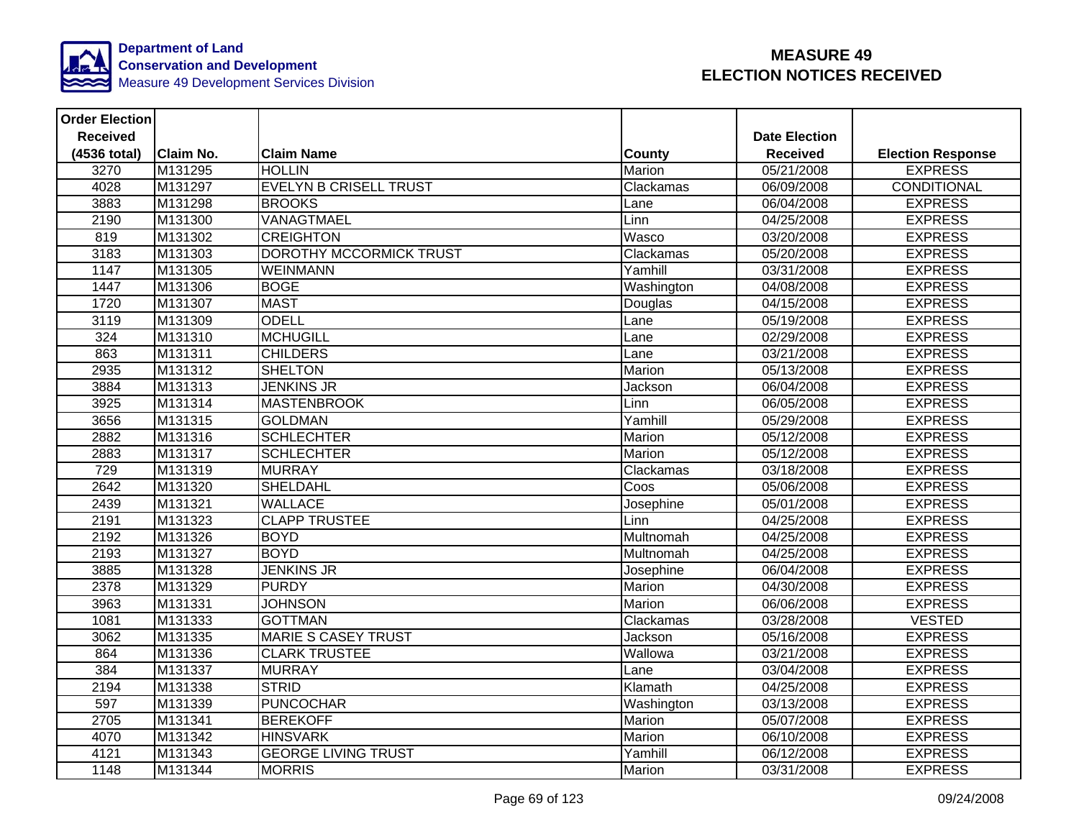

| <b>Order Election</b> |           |                               |                |                      |                          |
|-----------------------|-----------|-------------------------------|----------------|----------------------|--------------------------|
| <b>Received</b>       |           |                               |                | <b>Date Election</b> |                          |
| (4536 total)          | Claim No. | <b>Claim Name</b>             | <b>County</b>  | <b>Received</b>      | <b>Election Response</b> |
| 3270                  | M131295   | <b>HOLLIN</b>                 | Marion         | 05/21/2008           | <b>EXPRESS</b>           |
| 4028                  | M131297   | <b>EVELYN B CRISELL TRUST</b> | Clackamas      | 06/09/2008           | <b>CONDITIONAL</b>       |
| 3883                  | M131298   | <b>BROOKS</b>                 | Lane           | 06/04/2008           | <b>EXPRESS</b>           |
| 2190                  | M131300   | VANAGTMAEL                    | Linn           | 04/25/2008           | <b>EXPRESS</b>           |
| 819                   | M131302   | <b>CREIGHTON</b>              | Wasco          | 03/20/2008           | <b>EXPRESS</b>           |
| 3183                  | M131303   | DOROTHY MCCORMICK TRUST       | Clackamas      | 05/20/2008           | <b>EXPRESS</b>           |
| 1147                  | M131305   | <b>WEINMANN</b>               | Yamhill        | 03/31/2008           | <b>EXPRESS</b>           |
| 1447                  | M131306   | <b>BOGE</b>                   | Washington     | 04/08/2008           | <b>EXPRESS</b>           |
| 1720                  | M131307   | <b>MAST</b>                   | Douglas        | 04/15/2008           | <b>EXPRESS</b>           |
| 3119                  | M131309   | <b>ODELL</b>                  | Lane           | 05/19/2008           | <b>EXPRESS</b>           |
| 324                   | M131310   | <b>MCHUGILL</b>               | Lane           | 02/29/2008           | <b>EXPRESS</b>           |
| 863                   | M131311   | <b>CHILDERS</b>               | Lane           | 03/21/2008           | <b>EXPRESS</b>           |
| 2935                  | M131312   | <b>SHELTON</b>                | Marion         | 05/13/2008           | <b>EXPRESS</b>           |
| 3884                  | M131313   | <b>JENKINS JR</b>             | <b>Jackson</b> | 06/04/2008           | <b>EXPRESS</b>           |
| 3925                  | M131314   | <b>MASTENBROOK</b>            | Linn           | 06/05/2008           | <b>EXPRESS</b>           |
| 3656                  | M131315   | <b>GOLDMAN</b>                | Yamhill        | 05/29/2008           | <b>EXPRESS</b>           |
| 2882                  | M131316   | <b>SCHLECHTER</b>             | Marion         | 05/12/2008           | <b>EXPRESS</b>           |
| 2883                  | M131317   | <b>SCHLECHTER</b>             | Marion         | 05/12/2008           | <b>EXPRESS</b>           |
| 729                   | M131319   | <b>MURRAY</b>                 | Clackamas      | 03/18/2008           | <b>EXPRESS</b>           |
| 2642                  | M131320   | <b>SHELDAHL</b>               | Coos           | 05/06/2008           | <b>EXPRESS</b>           |
| 2439                  | M131321   | <b>WALLACE</b>                | Josephine      | 05/01/2008           | <b>EXPRESS</b>           |
| 2191                  | M131323   | <b>CLAPP TRUSTEE</b>          | Linn           | 04/25/2008           | <b>EXPRESS</b>           |
| 2192                  | M131326   | <b>BOYD</b>                   | Multnomah      | 04/25/2008           | <b>EXPRESS</b>           |
| 2193                  | M131327   | <b>BOYD</b>                   | Multnomah      | 04/25/2008           | <b>EXPRESS</b>           |
| 3885                  | M131328   | <b>JENKINS JR</b>             | Josephine      | 06/04/2008           | <b>EXPRESS</b>           |
| 2378                  | M131329   | <b>PURDY</b>                  | Marion         | 04/30/2008           | <b>EXPRESS</b>           |
| 3963                  | M131331   | <b>JOHNSON</b>                | <b>Marion</b>  | 06/06/2008           | <b>EXPRESS</b>           |
| 1081                  | M131333   | <b>GOTTMAN</b>                | Clackamas      | 03/28/2008           | <b>VESTED</b>            |
| 3062                  | M131335   | <b>MARIE S CASEY TRUST</b>    | Jackson        | 05/16/2008           | <b>EXPRESS</b>           |
| 864                   | M131336   | <b>CLARK TRUSTEE</b>          | Wallowa        | 03/21/2008           | <b>EXPRESS</b>           |
| 384                   | M131337   | <b>MURRAY</b>                 | Lane           | 03/04/2008           | <b>EXPRESS</b>           |
| 2194                  | M131338   | <b>STRID</b>                  | Klamath        | 04/25/2008           | <b>EXPRESS</b>           |
| 597                   | M131339   | <b>PUNCOCHAR</b>              | Washington     | 03/13/2008           | <b>EXPRESS</b>           |
| 2705                  | M131341   | <b>BEREKOFF</b>               | Marion         | 05/07/2008           | <b>EXPRESS</b>           |
| 4070                  | M131342   | <b>HINSVARK</b>               | Marion         | 06/10/2008           | <b>EXPRESS</b>           |
| 4121                  | M131343   | <b>GEORGE LIVING TRUST</b>    | Yamhill        | 06/12/2008           | <b>EXPRESS</b>           |
| 1148                  | M131344   | <b>MORRIS</b>                 | Marion         | 03/31/2008           | <b>EXPRESS</b>           |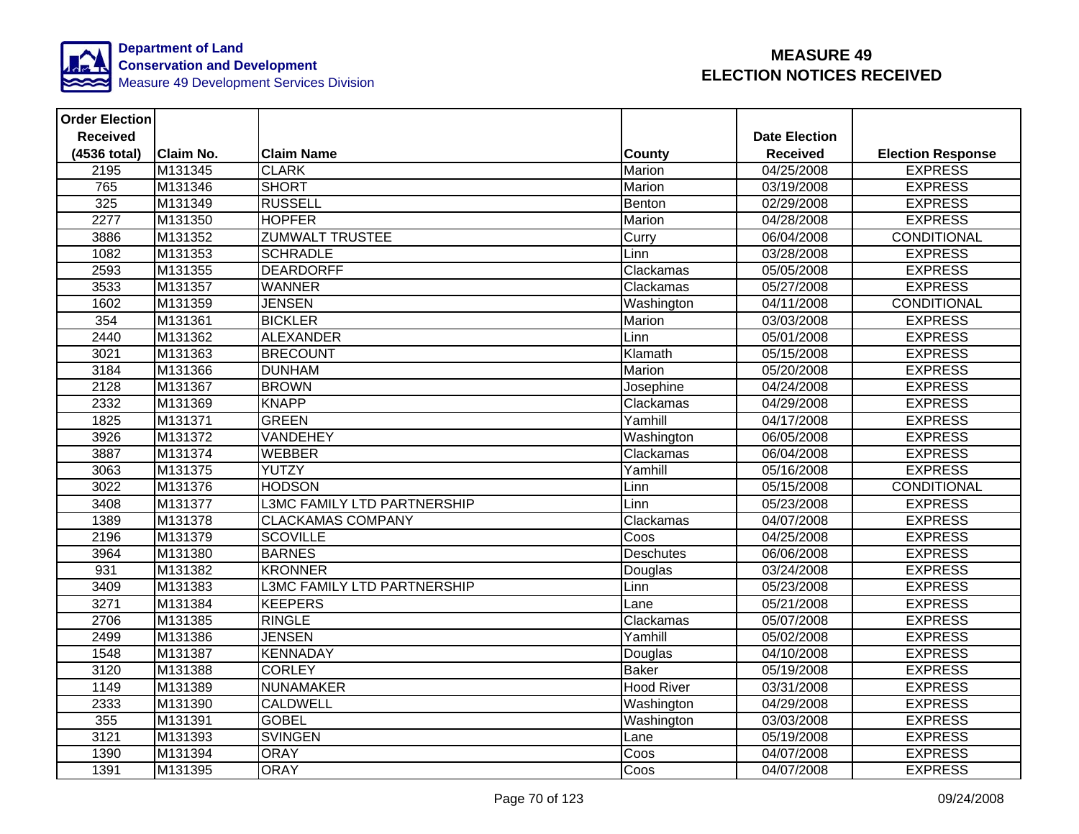

| <b>Order Election</b> |                  |                                    |                   |                      |                          |
|-----------------------|------------------|------------------------------------|-------------------|----------------------|--------------------------|
| <b>Received</b>       |                  |                                    |                   | <b>Date Election</b> |                          |
| (4536 total)          | <b>Claim No.</b> | <b>Claim Name</b>                  | <b>County</b>     | <b>Received</b>      | <b>Election Response</b> |
| 2195                  | M131345          | <b>CLARK</b>                       | Marion            | 04/25/2008           | <b>EXPRESS</b>           |
| 765                   | M131346          | <b>SHORT</b>                       | Marion            | 03/19/2008           | <b>EXPRESS</b>           |
| 325                   | M131349          | <b>RUSSELL</b>                     | Benton            | 02/29/2008           | <b>EXPRESS</b>           |
| 2277                  | M131350          | <b>HOPFER</b>                      | Marion            | 04/28/2008           | <b>EXPRESS</b>           |
| 3886                  | M131352          | <b>ZUMWALT TRUSTEE</b>             | Curry             | 06/04/2008           | <b>CONDITIONAL</b>       |
| 1082                  | M131353          | <b>SCHRADLE</b>                    | Linn              | 03/28/2008           | <b>EXPRESS</b>           |
| 2593                  | M131355          | <b>DEARDORFF</b>                   | Clackamas         | 05/05/2008           | <b>EXPRESS</b>           |
| 3533                  | M131357          | <b>WANNER</b>                      | Clackamas         | 05/27/2008           | <b>EXPRESS</b>           |
| 1602                  | M131359          | <b>JENSEN</b>                      | Washington        | 04/11/2008           | CONDITIONAL              |
| 354                   | M131361          | <b>BICKLER</b>                     | Marion            | 03/03/2008           | <b>EXPRESS</b>           |
| 2440                  | M131362          | <b>ALEXANDER</b>                   | Linn              | 05/01/2008           | <b>EXPRESS</b>           |
| 3021                  | M131363          | <b>BRECOUNT</b>                    | Klamath           | 05/15/2008           | <b>EXPRESS</b>           |
| 3184                  | M131366          | <b>DUNHAM</b>                      | Marion            | 05/20/2008           | <b>EXPRESS</b>           |
| 2128                  | M131367          | <b>BROWN</b>                       | Josephine         | 04/24/2008           | <b>EXPRESS</b>           |
| 2332                  | M131369          | <b>KNAPP</b>                       | Clackamas         | 04/29/2008           | <b>EXPRESS</b>           |
| 1825                  | M131371          | <b>GREEN</b>                       | Yamhill           | 04/17/2008           | <b>EXPRESS</b>           |
| 3926                  | M131372          | <b>VANDEHEY</b>                    | Washington        | 06/05/2008           | <b>EXPRESS</b>           |
| 3887                  | M131374          | <b>WEBBER</b>                      | Clackamas         | 06/04/2008           | <b>EXPRESS</b>           |
| 3063                  | M131375          | YUTZY                              | Yamhill           | 05/16/2008           | <b>EXPRESS</b>           |
| 3022                  | M131376          | <b>HODSON</b>                      | Linn              | 05/15/2008           | CONDITIONAL              |
| 3408                  | M131377          | L3MC FAMILY LTD PARTNERSHIP        | Linn              | 05/23/2008           | <b>EXPRESS</b>           |
| 1389                  | M131378          | <b>CLACKAMAS COMPANY</b>           | Clackamas         | 04/07/2008           | <b>EXPRESS</b>           |
| 2196                  | M131379          | <b>SCOVILLE</b>                    | Coos              | 04/25/2008           | <b>EXPRESS</b>           |
| 3964                  | M131380          | <b>BARNES</b>                      | Deschutes         | 06/06/2008           | <b>EXPRESS</b>           |
| 931                   | M131382          | <b>KRONNER</b>                     | Douglas           | 03/24/2008           | <b>EXPRESS</b>           |
| 3409                  | M131383          | <b>L3MC FAMILY LTD PARTNERSHIP</b> | Linn              | 05/23/2008           | <b>EXPRESS</b>           |
| 3271                  | M131384          | <b>KEEPERS</b>                     | Lane              | 05/21/2008           | <b>EXPRESS</b>           |
| 2706                  | M131385          | <b>RINGLE</b>                      | Clackamas         | 05/07/2008           | <b>EXPRESS</b>           |
| 2499                  | M131386          | <b>JENSEN</b>                      | Yamhill           | 05/02/2008           | <b>EXPRESS</b>           |
| 1548                  | M131387          | <b>KENNADAY</b>                    | Douglas           | 04/10/2008           | <b>EXPRESS</b>           |
| 3120                  | M131388          | <b>CORLEY</b>                      | <b>Baker</b>      | 05/19/2008           | <b>EXPRESS</b>           |
| 1149                  | M131389          | <b>NUNAMAKER</b>                   | <b>Hood River</b> | 03/31/2008           | <b>EXPRESS</b>           |
| 2333                  | M131390          | <b>CALDWELL</b>                    | Washington        | 04/29/2008           | <b>EXPRESS</b>           |
| 355                   | M131391          | <b>GOBEL</b>                       | Washington        | 03/03/2008           | <b>EXPRESS</b>           |
| 3121                  | M131393          | <b>SVINGEN</b>                     | Lane              | 05/19/2008           | <b>EXPRESS</b>           |
| 1390                  | M131394          | <b>ORAY</b>                        | Coos              | 04/07/2008           | <b>EXPRESS</b>           |
| 1391                  | M131395          | <b>ORAY</b>                        | Coos              | 04/07/2008           | <b>EXPRESS</b>           |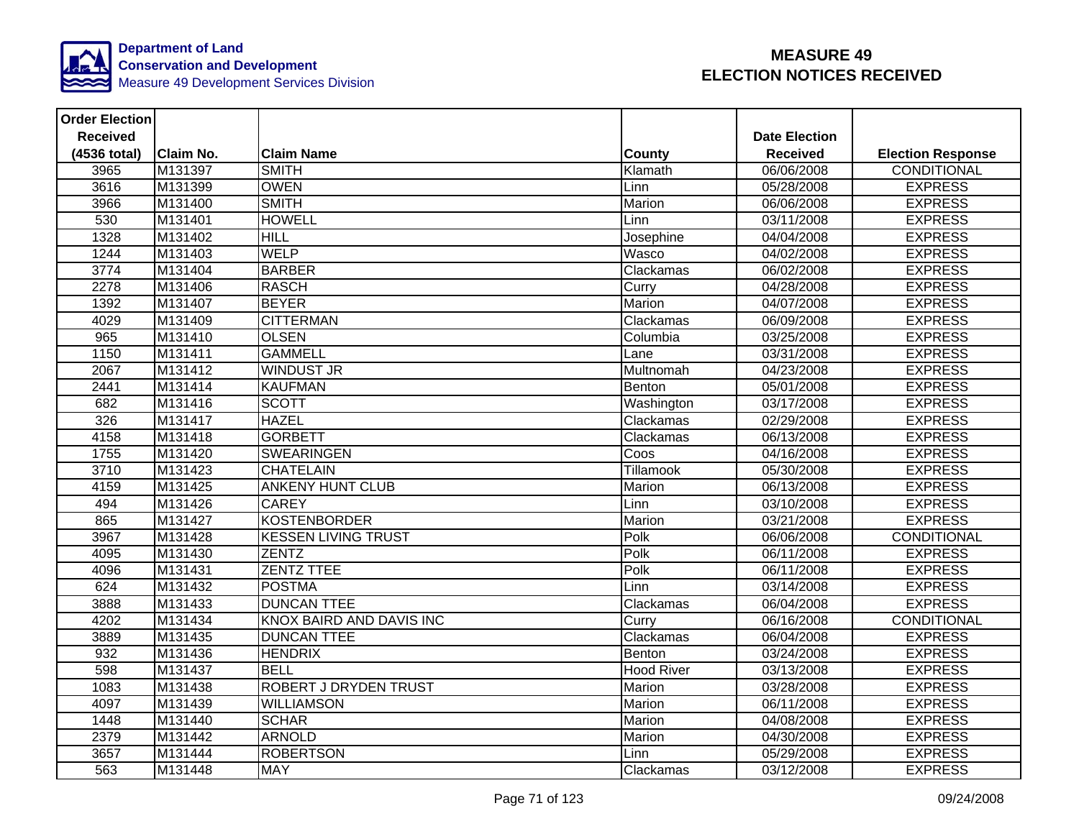

| <b>Order Election</b> |                  |                                 |                   |                      |                          |
|-----------------------|------------------|---------------------------------|-------------------|----------------------|--------------------------|
| <b>Received</b>       |                  |                                 |                   | <b>Date Election</b> |                          |
| (4536 total)          | <b>Claim No.</b> | <b>Claim Name</b>               | County            | <b>Received</b>      | <b>Election Response</b> |
| 3965                  | M131397          | <b>SMITH</b>                    | Klamath           | 06/06/2008           | <b>CONDITIONAL</b>       |
| 3616                  | M131399          | <b>OWEN</b>                     | Linn              | 05/28/2008           | <b>EXPRESS</b>           |
| 3966                  | M131400          | <b>SMITH</b>                    | Marion            | 06/06/2008           | <b>EXPRESS</b>           |
| 530                   | M131401          | <b>HOWELL</b>                   | Linn              | 03/11/2008           | <b>EXPRESS</b>           |
| 1328                  | M131402          | <b>HILL</b>                     | Josephine         | 04/04/2008           | <b>EXPRESS</b>           |
| 1244                  | M131403          | <b>WELP</b>                     | Wasco             | 04/02/2008           | <b>EXPRESS</b>           |
| 3774                  | M131404          | <b>BARBER</b>                   | Clackamas         | 06/02/2008           | <b>EXPRESS</b>           |
| 2278                  | M131406          | <b>RASCH</b>                    | Curry             | 04/28/2008           | <b>EXPRESS</b>           |
| 1392                  | M131407          | <b>BEYER</b>                    | Marion            | $\frac{04}{07}/2008$ | <b>EXPRESS</b>           |
| 4029                  | M131409          | <b>CITTERMAN</b>                | Clackamas         | 06/09/2008           | <b>EXPRESS</b>           |
| 965                   | M131410          | <b>OLSEN</b>                    | Columbia          | 03/25/2008           | <b>EXPRESS</b>           |
| 1150                  | M131411          | <b>GAMMELL</b>                  | Lane              | 03/31/2008           | <b>EXPRESS</b>           |
| 2067                  | M131412          | <b>WINDUST JR</b>               | Multnomah         | 04/23/2008           | <b>EXPRESS</b>           |
| 2441                  | M131414          | <b>KAUFMAN</b>                  | Benton            | 05/01/2008           | <b>EXPRESS</b>           |
| 682                   | M131416          | <b>SCOTT</b>                    | Washington        | 03/17/2008           | <b>EXPRESS</b>           |
| 326                   | M131417          | <b>HAZEL</b>                    | Clackamas         | 02/29/2008           | <b>EXPRESS</b>           |
| 4158                  | M131418          | <b>GORBETT</b>                  | Clackamas         | 06/13/2008           | <b>EXPRESS</b>           |
| 1755                  | M131420          | <b>SWEARINGEN</b>               | Coos              | 04/16/2008           | <b>EXPRESS</b>           |
| 3710                  | M131423          | <b>CHATELAIN</b>                | <b>Tillamook</b>  | 05/30/2008           | <b>EXPRESS</b>           |
| 4159                  | M131425          | <b>ANKENY HUNT CLUB</b>         | Marion            | 06/13/2008           | <b>EXPRESS</b>           |
| 494                   | M131426          | <b>CAREY</b>                    | Linn              | 03/10/2008           | <b>EXPRESS</b>           |
| 865                   | M131427          | <b>KOSTENBORDER</b>             | Marion            | 03/21/2008           | <b>EXPRESS</b>           |
| 3967                  | M131428          | <b>KESSEN LIVING TRUST</b>      | Polk              | 06/06/2008           | CONDITIONAL              |
| 4095                  | M131430          | <b>ZENTZ</b>                    | Polk              | 06/11/2008           | <b>EXPRESS</b>           |
| 4096                  | M131431          | <b>ZENTZ TTEE</b>               | Polk              | 06/11/2008           | <b>EXPRESS</b>           |
| 624                   | M131432          | <b>POSTMA</b>                   | Linn              | 03/14/2008           | <b>EXPRESS</b>           |
| 3888                  | M131433          | <b>DUNCAN TTEE</b>              | Clackamas         | 06/04/2008           | <b>EXPRESS</b>           |
| 4202                  | M131434          | <b>KNOX BAIRD AND DAVIS INC</b> | Curry             | 06/16/2008           | CONDITIONAL              |
| 3889                  | M131435          | <b>DUNCAN TTEE</b>              | Clackamas         | 06/04/2008           | <b>EXPRESS</b>           |
| 932                   | M131436          | <b>HENDRIX</b>                  | Benton            | 03/24/2008           | <b>EXPRESS</b>           |
| 598                   | M131437          | <b>BELL</b>                     | <b>Hood River</b> | 03/13/2008           | <b>EXPRESS</b>           |
| 1083                  | M131438          | <b>ROBERT J DRYDEN TRUST</b>    | Marion            | 03/28/2008           | <b>EXPRESS</b>           |
| 4097                  | M131439          | <b>WILLIAMSON</b>               | Marion            | 06/11/2008           | <b>EXPRESS</b>           |
| 1448                  | M131440          | <b>SCHAR</b>                    | Marion            | 04/08/2008           | <b>EXPRESS</b>           |
| 2379                  | M131442          | <b>ARNOLD</b>                   | Marion            | 04/30/2008           | <b>EXPRESS</b>           |
| 3657                  | M131444          | <b>ROBERTSON</b>                | Linn              | 05/29/2008           | <b>EXPRESS</b>           |
| 563                   | M131448          | <b>MAY</b>                      | Clackamas         | 03/12/2008           | <b>EXPRESS</b>           |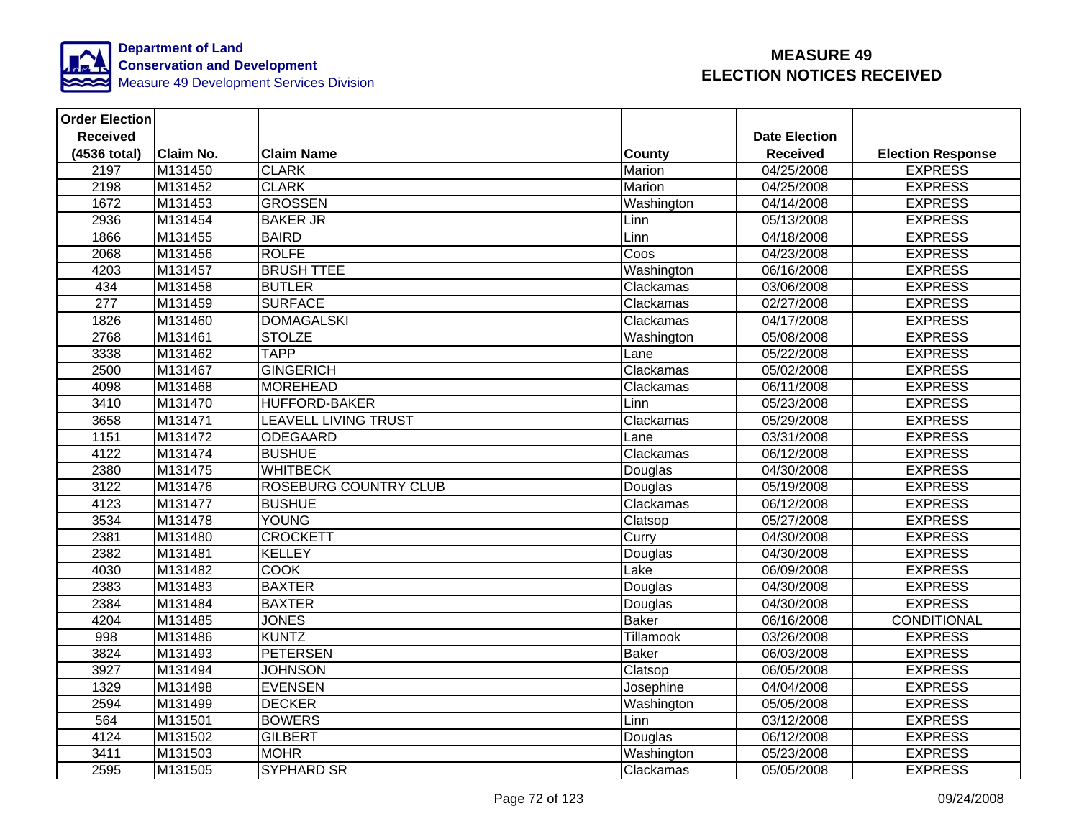

| <b>Order Election</b> |                  |                              |               |                         |                          |
|-----------------------|------------------|------------------------------|---------------|-------------------------|--------------------------|
| <b>Received</b>       |                  |                              |               | <b>Date Election</b>    |                          |
| (4536 total)          | <b>Claim No.</b> | <b>Claim Name</b>            | County        | <b>Received</b>         | <b>Election Response</b> |
| 2197                  | M131450          | <b>CLARK</b>                 | Marion        | $\overline{04/25}/2008$ | <b>EXPRESS</b>           |
| 2198                  | M131452          | <b>CLARK</b>                 | <b>Marion</b> | 04/25/2008              | <b>EXPRESS</b>           |
| 1672                  | M131453          | <b>GROSSEN</b>               | Washington    | 04/14/2008              | <b>EXPRESS</b>           |
| 2936                  | M131454          | <b>BAKER JR</b>              | Linn          | 05/13/2008              | <b>EXPRESS</b>           |
| 1866                  | M131455          | <b>BAIRD</b>                 | Linn          | 04/18/2008              | <b>EXPRESS</b>           |
| 2068                  | M131456          | <b>ROLFE</b>                 | Coos          | 04/23/2008              | <b>EXPRESS</b>           |
| 4203                  | M131457          | <b>BRUSH TTEE</b>            | Washington    | 06/16/2008              | <b>EXPRESS</b>           |
| 434                   | M131458          | <b>BUTLER</b>                | Clackamas     | 03/06/2008              | <b>EXPRESS</b>           |
| $\overline{277}$      | M131459          | <b>SURFACE</b>               | Clackamas     | 02/27/2008              | <b>EXPRESS</b>           |
| 1826                  | M131460          | <b>DOMAGALSKI</b>            | Clackamas     | 04/17/2008              | <b>EXPRESS</b>           |
| 2768                  | M131461          | <b>STOLZE</b>                | Washington    | 05/08/2008              | <b>EXPRESS</b>           |
| 3338                  | M131462          | <b>TAPP</b>                  | Lane          | 05/22/2008              | <b>EXPRESS</b>           |
| 2500                  | M131467          | <b>GINGERICH</b>             | Clackamas     | 05/02/2008              | <b>EXPRESS</b>           |
| 4098                  | M131468          | <b>MOREHEAD</b>              | Clackamas     | 06/11/2008              | <b>EXPRESS</b>           |
| 3410                  | M131470          | <b>HUFFORD-BAKER</b>         | Linn          | 05/23/2008              | <b>EXPRESS</b>           |
| 3658                  | M131471          | <b>LEAVELL LIVING TRUST</b>  | Clackamas     | 05/29/2008              | <b>EXPRESS</b>           |
| 1151                  | M131472          | ODEGAARD                     | Lane          | 03/31/2008              | <b>EXPRESS</b>           |
| 4122                  | M131474          | <b>BUSHUE</b>                | Clackamas     | 06/12/2008              | <b>EXPRESS</b>           |
| 2380                  | M131475          | <b>WHITBECK</b>              | Douglas       | 04/30/2008              | <b>EXPRESS</b>           |
| 3122                  | M131476          | <b>ROSEBURG COUNTRY CLUB</b> | Douglas       | 05/19/2008              | <b>EXPRESS</b>           |
| 4123                  | M131477          | <b>BUSHUE</b>                | Clackamas     | 06/12/2008              | <b>EXPRESS</b>           |
| 3534                  | M131478          | YOUNG                        | Clatsop       | 05/27/2008              | <b>EXPRESS</b>           |
| 2381                  | M131480          | <b>CROCKETT</b>              | Curry         | 04/30/2008              | <b>EXPRESS</b>           |
| 2382                  | M131481          | <b>KELLEY</b>                | Douglas       | 04/30/2008              | <b>EXPRESS</b>           |
| 4030                  | M131482          | <b>COOK</b>                  | Lake          | 06/09/2008              | <b>EXPRESS</b>           |
| 2383                  | M131483          | <b>BAXTER</b>                | Douglas       | 04/30/2008              | <b>EXPRESS</b>           |
| 2384                  | M131484          | <b>BAXTER</b>                | Douglas       | 04/30/2008              | <b>EXPRESS</b>           |
| 4204                  | M131485          | <b>JONES</b>                 | <b>Baker</b>  | 06/16/2008              | <b>CONDITIONAL</b>       |
| 998                   | M131486          | <b>KUNTZ</b>                 | Tillamook     | 03/26/2008              | <b>EXPRESS</b>           |
| 3824                  | M131493          | <b>PETERSEN</b>              | <b>Baker</b>  | 06/03/2008              | <b>EXPRESS</b>           |
| 3927                  | M131494          | <b>JOHNSON</b>               | Clatsop       | 06/05/2008              | <b>EXPRESS</b>           |
| 1329                  | M131498          | <b>EVENSEN</b>               | Josephine     | 04/04/2008              | <b>EXPRESS</b>           |
| 2594                  | M131499          | <b>DECKER</b>                | Washington    | 05/05/2008              | <b>EXPRESS</b>           |
| 564                   | M131501          | <b>BOWERS</b>                | Linn          | 03/12/2008              | <b>EXPRESS</b>           |
| 4124                  | M131502          | <b>GILBERT</b>               | Douglas       | 06/12/2008              | <b>EXPRESS</b>           |
| 3411                  | M131503          | <b>MOHR</b>                  | Washington    | 05/23/2008              | <b>EXPRESS</b>           |
| 2595                  | M131505          | <b>SYPHARD SR</b>            | Clackamas     | 05/05/2008              | <b>EXPRESS</b>           |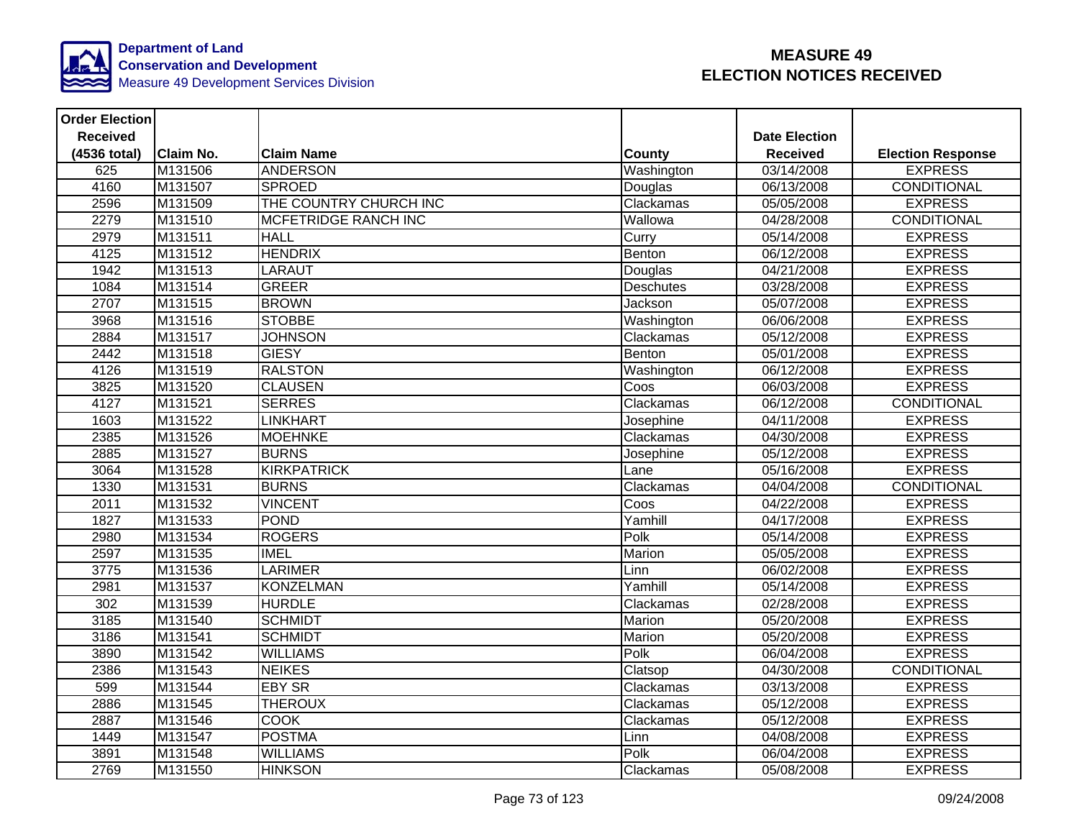

| <b>Order Election</b> |           |                             |                  |                      |                          |
|-----------------------|-----------|-----------------------------|------------------|----------------------|--------------------------|
| <b>Received</b>       |           |                             |                  | <b>Date Election</b> |                          |
| (4536 total)          | Claim No. | <b>Claim Name</b>           | <b>County</b>    | <b>Received</b>      | <b>Election Response</b> |
| 625                   | M131506   | <b>ANDERSON</b>             | Washington       | 03/14/2008           | <b>EXPRESS</b>           |
| 4160                  | M131507   | <b>SPROED</b>               | Douglas          | 06/13/2008           | <b>CONDITIONAL</b>       |
| 2596                  | M131509   | THE COUNTRY CHURCH INC      | Clackamas        | 05/05/2008           | <b>EXPRESS</b>           |
| 2279                  | M131510   | <b>MCFETRIDGE RANCH INC</b> | Wallowa          | 04/28/2008           | CONDITIONAL              |
| 2979                  | M131511   | <b>HALL</b>                 | Curry            | 05/14/2008           | <b>EXPRESS</b>           |
| 4125                  | M131512   | <b>HENDRIX</b>              | Benton           | 06/12/2008           | <b>EXPRESS</b>           |
| 1942                  | M131513   | <b>LARAUT</b>               | Douglas          | 04/21/2008           | <b>EXPRESS</b>           |
| 1084                  | M131514   | <b>GREER</b>                | <b>Deschutes</b> | 03/28/2008           | <b>EXPRESS</b>           |
| 2707                  | M131515   | <b>BROWN</b>                | Jackson          | 05/07/2008           | <b>EXPRESS</b>           |
| 3968                  | M131516   | <b>STOBBE</b>               | Washington       | 06/06/2008           | <b>EXPRESS</b>           |
| 2884                  | M131517   | <b>JOHNSON</b>              | Clackamas        | 05/12/2008           | <b>EXPRESS</b>           |
| 2442                  | M131518   | <b>GIESY</b>                | Benton           | 05/01/2008           | <b>EXPRESS</b>           |
| 4126                  | M131519   | <b>RALSTON</b>              | Washington       | 06/12/2008           | <b>EXPRESS</b>           |
| 3825                  | M131520   | <b>CLAUSEN</b>              | Coos             | 06/03/2008           | <b>EXPRESS</b>           |
| 4127                  | M131521   | <b>SERRES</b>               | Clackamas        | 06/12/2008           | CONDITIONAL              |
| 1603                  | M131522   | <b>LINKHART</b>             | Josephine        | 04/11/2008           | <b>EXPRESS</b>           |
| 2385                  | M131526   | <b>MOEHNKE</b>              | Clackamas        | 04/30/2008           | <b>EXPRESS</b>           |
| 2885                  | M131527   | <b>BURNS</b>                | Josephine        | 05/12/2008           | <b>EXPRESS</b>           |
| 3064                  | M131528   | <b>KIRKPATRICK</b>          | Lane             | 05/16/2008           | <b>EXPRESS</b>           |
| 1330                  | M131531   | <b>BURNS</b>                | Clackamas        | 04/04/2008           | CONDITIONAL              |
| 2011                  | M131532   | <b>VINCENT</b>              | Coos             | 04/22/2008           | <b>EXPRESS</b>           |
| 1827                  | M131533   | POND                        | Yamhill          | 04/17/2008           | <b>EXPRESS</b>           |
| 2980                  | M131534   | <b>ROGERS</b>               | Polk             | 05/14/2008           | <b>EXPRESS</b>           |
| 2597                  | M131535   | <b>IMEL</b>                 | Marion           | 05/05/2008           | <b>EXPRESS</b>           |
| 3775                  | M131536   | <b>LARIMER</b>              | Linn             | 06/02/2008           | <b>EXPRESS</b>           |
| 2981                  | M131537   | KONZELMAN                   | Yamhill          | 05/14/2008           | <b>EXPRESS</b>           |
| $\overline{302}$      | M131539   | <b>HURDLE</b>               | Clackamas        | 02/28/2008           | <b>EXPRESS</b>           |
| 3185                  | M131540   | <b>SCHMIDT</b>              | Marion           | 05/20/2008           | <b>EXPRESS</b>           |
| 3186                  | M131541   | <b>SCHMIDT</b>              | Marion           | 05/20/2008           | <b>EXPRESS</b>           |
| 3890                  | M131542   | <b>WILLIAMS</b>             | Polk             | 06/04/2008           | <b>EXPRESS</b>           |
| 2386                  | M131543   | <b>NEIKES</b>               | Clatsop          | 04/30/2008           | <b>CONDITIONAL</b>       |
| 599                   | M131544   | <b>EBY SR</b>               | Clackamas        | 03/13/2008           | <b>EXPRESS</b>           |
| 2886                  | M131545   | <b>THEROUX</b>              | Clackamas        | 05/12/2008           | <b>EXPRESS</b>           |
| 2887                  | M131546   | <b>COOK</b>                 | Clackamas        | 05/12/2008           | <b>EXPRESS</b>           |
| 1449                  | M131547   | <b>POSTMA</b>               | Linn             | 04/08/2008           | <b>EXPRESS</b>           |
| 3891                  | M131548   | <b>WILLIAMS</b>             | Polk             | 06/04/2008           | <b>EXPRESS</b>           |
| 2769                  | M131550   | <b>HINKSON</b>              | Clackamas        | 05/08/2008           | <b>EXPRESS</b>           |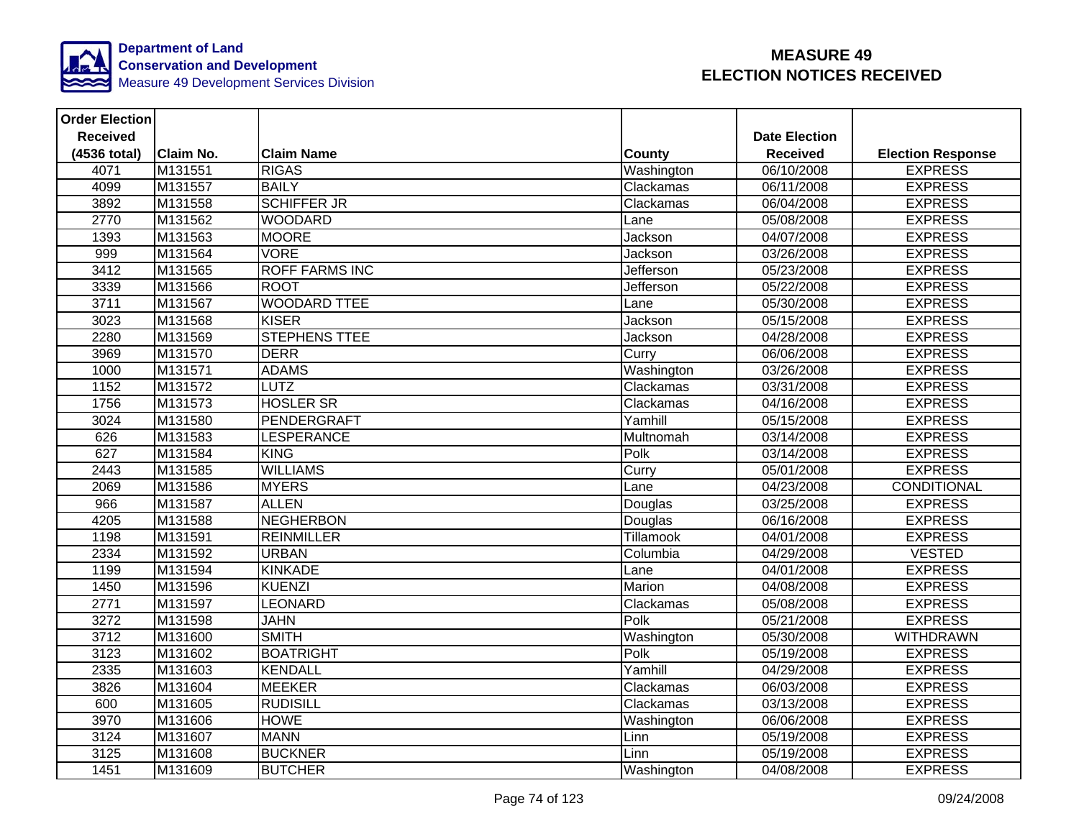

| <b>Order Election</b> |                  |                       |                  |                      |                          |
|-----------------------|------------------|-----------------------|------------------|----------------------|--------------------------|
| <b>Received</b>       |                  |                       |                  | <b>Date Election</b> |                          |
| (4536 total)          | <b>Claim No.</b> | <b>Claim Name</b>     | <b>County</b>    | <b>Received</b>      | <b>Election Response</b> |
| 4071                  | M131551          | <b>RIGAS</b>          | Washington       | 06/10/2008           | <b>EXPRESS</b>           |
| 4099                  | M131557          | <b>BAILY</b>          | Clackamas        | 06/11/2008           | <b>EXPRESS</b>           |
| 3892                  | M131558          | <b>SCHIFFER JR</b>    | Clackamas        | 06/04/2008           | <b>EXPRESS</b>           |
| 2770                  | M131562          | <b>WOODARD</b>        | Lane             | 05/08/2008           | <b>EXPRESS</b>           |
| 1393                  | M131563          | <b>MOORE</b>          | Jackson          | 04/07/2008           | <b>EXPRESS</b>           |
| 999                   | M131564          | <b>VORE</b>           | Jackson          | 03/26/2008           | <b>EXPRESS</b>           |
| 3412                  | M131565          | <b>ROFF FARMS INC</b> | Jefferson        | 05/23/2008           | <b>EXPRESS</b>           |
| 3339                  | M131566          | <b>ROOT</b>           | <b>Jefferson</b> | 05/22/2008           | <b>EXPRESS</b>           |
| 3711                  | M131567          | <b>WOODARD TTEE</b>   | Lane             | 05/30/2008           | <b>EXPRESS</b>           |
| 3023                  | M131568          | <b>KISER</b>          | Jackson          | 05/15/2008           | <b>EXPRESS</b>           |
| 2280                  | M131569          | <b>STEPHENS TTEE</b>  | Jackson          | 04/28/2008           | <b>EXPRESS</b>           |
| 3969                  | M131570          | <b>DERR</b>           | Curry            | 06/06/2008           | <b>EXPRESS</b>           |
| 1000                  | M131571          | <b>ADAMS</b>          | Washington       | 03/26/2008           | <b>EXPRESS</b>           |
| 1152                  | M131572          | <b>LUTZ</b>           | Clackamas        | 03/31/2008           | <b>EXPRESS</b>           |
| 1756                  | M131573          | <b>HOSLER SR</b>      | Clackamas        | 04/16/2008           | <b>EXPRESS</b>           |
| 3024                  | M131580          | <b>PENDERGRAFT</b>    | Yamhill          | 05/15/2008           | <b>EXPRESS</b>           |
| 626                   | M131583          | <b>LESPERANCE</b>     | Multnomah        | 03/14/2008           | <b>EXPRESS</b>           |
| 627                   | M131584          | <b>KING</b>           | Polk             | 03/14/2008           | <b>EXPRESS</b>           |
| 2443                  | M131585          | <b>WILLIAMS</b>       | Curry            | 05/01/2008           | <b>EXPRESS</b>           |
| 2069                  | M131586          | <b>MYERS</b>          | Lane             | 04/23/2008           | CONDITIONAL              |
| 966                   | M131587          | <b>ALLEN</b>          | Douglas          | 03/25/2008           | <b>EXPRESS</b>           |
| 4205                  | M131588          | <b>NEGHERBON</b>      | Douglas          | 06/16/2008           | <b>EXPRESS</b>           |
| 1198                  | M131591          | <b>REINMILLER</b>     | <b>Tillamook</b> | 04/01/2008           | <b>EXPRESS</b>           |
| 2334                  | M131592          | <b>URBAN</b>          | Columbia         | 04/29/2008           | <b>VESTED</b>            |
| 1199                  | M131594          | <b>KINKADE</b>        | Lane             | 04/01/2008           | <b>EXPRESS</b>           |
| 1450                  | M131596          | <b>KUENZI</b>         | Marion           | 04/08/2008           | <b>EXPRESS</b>           |
| 2771                  | M131597          | LEONARD               | Clackamas        | 05/08/2008           | <b>EXPRESS</b>           |
| 3272                  | M131598          | <b>JAHN</b>           | Polk             | 05/21/2008           | <b>EXPRESS</b>           |
| 3712                  | M131600          | <b>SMITH</b>          | Washington       | 05/30/2008           | <b>WITHDRAWN</b>         |
| 3123                  | M131602          | <b>BOATRIGHT</b>      | Polk             | 05/19/2008           | <b>EXPRESS</b>           |
| 2335                  | M131603          | <b>KENDALL</b>        | Yamhill          | 04/29/2008           | <b>EXPRESS</b>           |
| 3826                  | M131604          | <b>MEEKER</b>         | Clackamas        | 06/03/2008           | <b>EXPRESS</b>           |
| 600                   | M131605          | <b>RUDISILL</b>       | Clackamas        | 03/13/2008           | <b>EXPRESS</b>           |
| 3970                  | M131606          | <b>HOWE</b>           | Washington       | 06/06/2008           | <b>EXPRESS</b>           |
| 3124                  | M131607          | <b>MANN</b>           | Linn             | 05/19/2008           | <b>EXPRESS</b>           |
| 3125                  | M131608          | <b>BUCKNER</b>        | Linn             | 05/19/2008           | <b>EXPRESS</b>           |
| 1451                  | M131609          | <b>BUTCHER</b>        | Washington       | 04/08/2008           | <b>EXPRESS</b>           |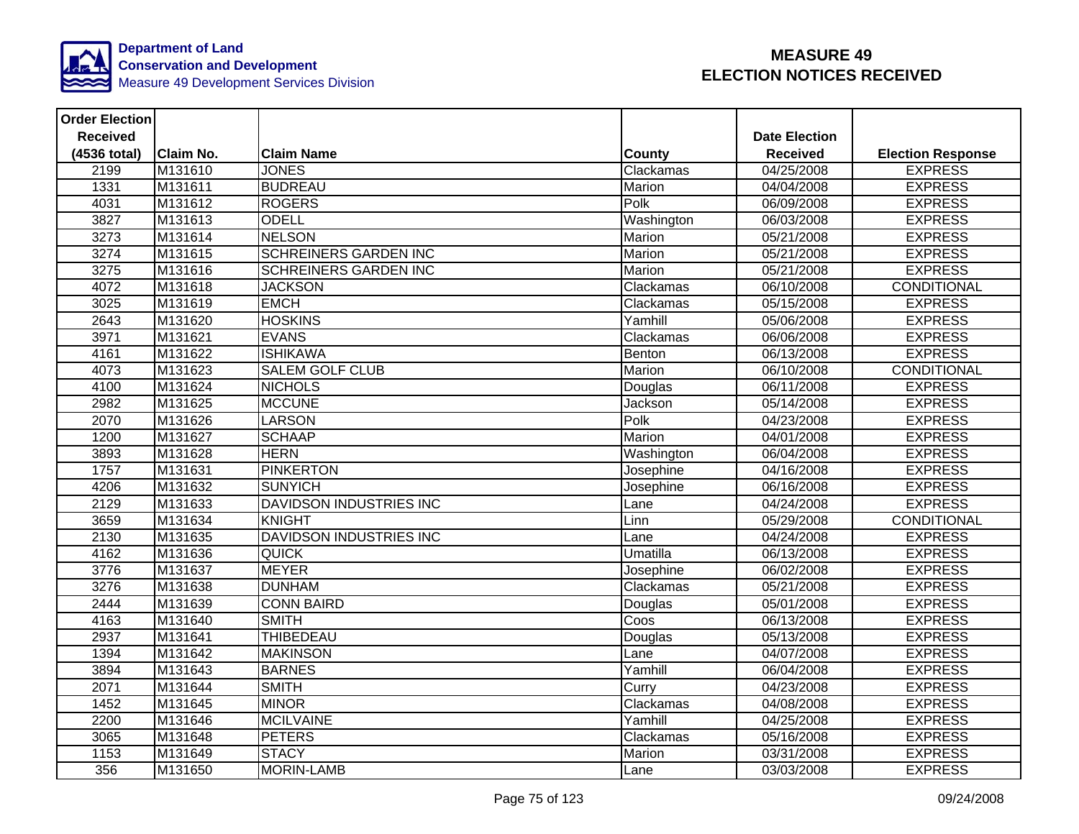

| <b>Order Election</b> |                  |                              |               |                      |                          |
|-----------------------|------------------|------------------------------|---------------|----------------------|--------------------------|
| <b>Received</b>       |                  |                              |               | <b>Date Election</b> |                          |
| (4536 total)          | <b>Claim No.</b> | <b>Claim Name</b>            | <b>County</b> | <b>Received</b>      | <b>Election Response</b> |
| 2199                  | M131610          | <b>JONES</b>                 | Clackamas     | 04/25/2008           | <b>EXPRESS</b>           |
| 1331                  | M131611          | <b>BUDREAU</b>               | Marion        | 04/04/2008           | <b>EXPRESS</b>           |
| 4031                  | M131612          | <b>ROGERS</b>                | Polk          | 06/09/2008           | <b>EXPRESS</b>           |
| 3827                  | M131613          | <b>ODELL</b>                 | Washington    | 06/03/2008           | <b>EXPRESS</b>           |
| 3273                  | M131614          | <b>NELSON</b>                | <b>Marion</b> | 05/21/2008           | <b>EXPRESS</b>           |
| 3274                  | M131615          | <b>SCHREINERS GARDEN INC</b> | Marion        | 05/21/2008           | <b>EXPRESS</b>           |
| 3275                  | M131616          | <b>SCHREINERS GARDEN INC</b> | Marion        | 05/21/2008           | <b>EXPRESS</b>           |
| 4072                  | M131618          | <b>JACKSON</b>               | Clackamas     | 06/10/2008           | <b>CONDITIONAL</b>       |
| 3025                  | M131619          | <b>EMCH</b>                  | Clackamas     | 05/15/2008           | <b>EXPRESS</b>           |
| 2643                  | M131620          | <b>HOSKINS</b>               | Yamhill       | 05/06/2008           | <b>EXPRESS</b>           |
| 3971                  | M131621          | <b>EVANS</b>                 | Clackamas     | 06/06/2008           | <b>EXPRESS</b>           |
| 4161                  | M131622          | <b>ISHIKAWA</b>              | Benton        | 06/13/2008           | <b>EXPRESS</b>           |
| 4073                  | M131623          | <b>SALEM GOLF CLUB</b>       | Marion        | 06/10/2008           | <b>CONDITIONAL</b>       |
| 4100                  | M131624          | <b>NICHOLS</b>               | Douglas       | 06/11/2008           | <b>EXPRESS</b>           |
| 2982                  | M131625          | <b>MCCUNE</b>                | Jackson       | 05/14/2008           | <b>EXPRESS</b>           |
| 2070                  | M131626          | <b>LARSON</b>                | Polk          | 04/23/2008           | <b>EXPRESS</b>           |
| 1200                  | M131627          | <b>SCHAAP</b>                | Marion        | 04/01/2008           | <b>EXPRESS</b>           |
| 3893                  | M131628          | <b>HERN</b>                  | Washington    | 06/04/2008           | <b>EXPRESS</b>           |
| 1757                  | M131631          | <b>PINKERTON</b>             | Josephine     | 04/16/2008           | <b>EXPRESS</b>           |
| 4206                  | M131632          | <b>SUNYICH</b>               | Josephine     | 06/16/2008           | <b>EXPRESS</b>           |
| 2129                  | M131633          | DAVIDSON INDUSTRIES INC      | Lane          | 04/24/2008           | <b>EXPRESS</b>           |
| 3659                  | M131634          | <b>KNIGHT</b>                | Linn          | 05/29/2008           | <b>CONDITIONAL</b>       |
| 2130                  | M131635          | DAVIDSON INDUSTRIES INC      | Lane          | 04/24/2008           | <b>EXPRESS</b>           |
| 4162                  | M131636          | <b>QUICK</b>                 | Umatilla      | 06/13/2008           | <b>EXPRESS</b>           |
| 3776                  | M131637          | <b>MEYER</b>                 | Josephine     | 06/02/2008           | <b>EXPRESS</b>           |
| 3276                  | M131638          | <b>DUNHAM</b>                | Clackamas     | 05/21/2008           | <b>EXPRESS</b>           |
| 2444                  | M131639          | <b>CONN BAIRD</b>            | Douglas       | 05/01/2008           | <b>EXPRESS</b>           |
| 4163                  | M131640          | <b>SMITH</b>                 | Coos          | 06/13/2008           | <b>EXPRESS</b>           |
| 2937                  | M131641          | THIBEDEAU                    | Douglas       | 05/13/2008           | <b>EXPRESS</b>           |
| 1394                  | M131642          | <b>MAKINSON</b>              | Lane          | 04/07/2008           | <b>EXPRESS</b>           |
| 3894                  | M131643          | <b>BARNES</b>                | Yamhill       | 06/04/2008           | <b>EXPRESS</b>           |
| 2071                  | M131644          | <b>SMITH</b>                 | Curry         | 04/23/2008           | <b>EXPRESS</b>           |
| 1452                  | M131645          | <b>MINOR</b>                 | Clackamas     | 04/08/2008           | <b>EXPRESS</b>           |
| 2200                  | M131646          | <b>MCILVAINE</b>             | Yamhill       | 04/25/2008           | <b>EXPRESS</b>           |
| 3065                  | M131648          | <b>PETERS</b>                | Clackamas     | 05/16/2008           | <b>EXPRESS</b>           |
| 1153                  | M131649          | <b>STACY</b>                 | Marion        | 03/31/2008           | <b>EXPRESS</b>           |
| 356                   | M131650          | MORIN-LAMB                   | Lane          | 03/03/2008           | <b>EXPRESS</b>           |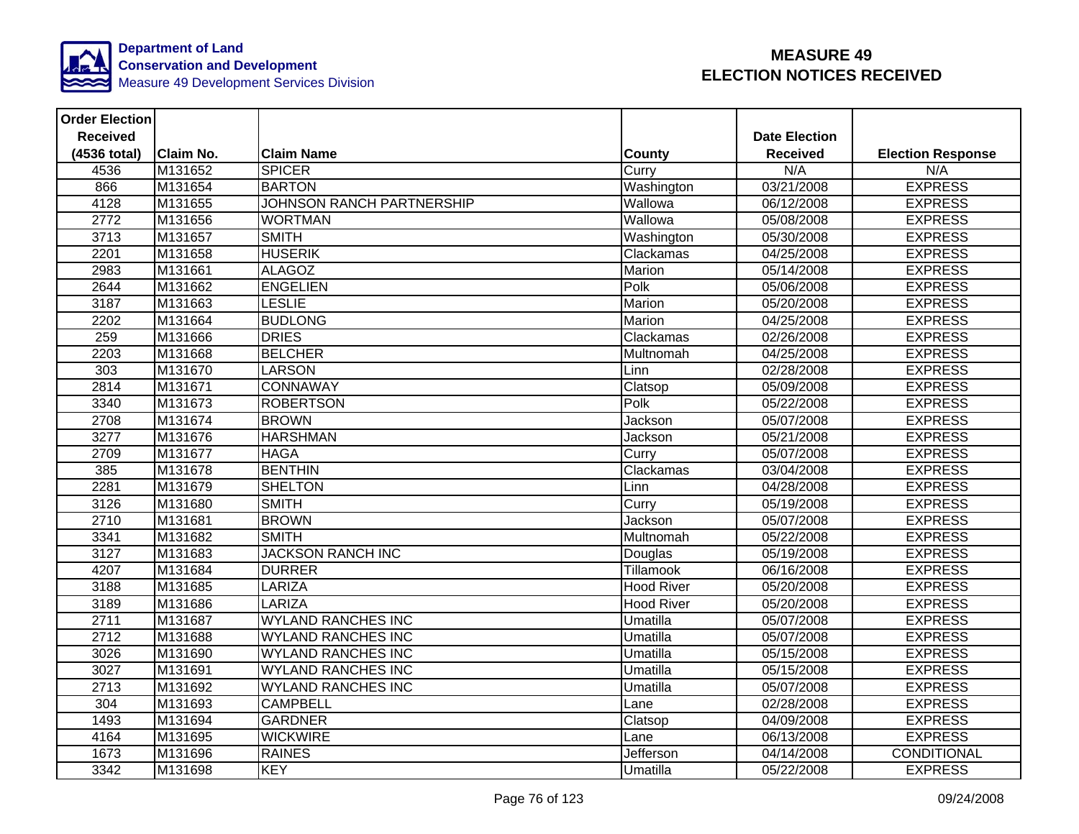

| <b>Order Election</b> |                  |                                  |                   |                      |                          |
|-----------------------|------------------|----------------------------------|-------------------|----------------------|--------------------------|
| <b>Received</b>       |                  |                                  |                   | <b>Date Election</b> |                          |
| (4536 total)          | <b>Claim No.</b> | <b>Claim Name</b>                | <b>County</b>     | <b>Received</b>      | <b>Election Response</b> |
| 4536                  | M131652          | <b>SPICER</b>                    | Curry             | N/A                  | N/A                      |
| 866                   | M131654          | <b>BARTON</b>                    | Washington        | 03/21/2008           | <b>EXPRESS</b>           |
| 4128                  | M131655          | <b>JOHNSON RANCH PARTNERSHIP</b> | Wallowa           | 06/12/2008           | <b>EXPRESS</b>           |
| 2772                  | M131656          | <b>WORTMAN</b>                   | Wallowa           | 05/08/2008           | <b>EXPRESS</b>           |
| 3713                  | M131657          | <b>SMITH</b>                     | Washington        | 05/30/2008           | <b>EXPRESS</b>           |
| 2201                  | M131658          | <b>HUSERIK</b>                   | Clackamas         | 04/25/2008           | <b>EXPRESS</b>           |
| 2983                  | M131661          | <b>ALAGOZ</b>                    | Marion            | 05/14/2008           | <b>EXPRESS</b>           |
| 2644                  | M131662          | <b>ENGELIEN</b>                  | Polk              | 05/06/2008           | <b>EXPRESS</b>           |
| 3187                  | M131663          | <b>LESLIE</b>                    | Marion            | 05/20/2008           | <b>EXPRESS</b>           |
| 2202                  | M131664          | <b>BUDLONG</b>                   | <b>Marion</b>     | 04/25/2008           | <b>EXPRESS</b>           |
| 259                   | M131666          | <b>DRIES</b>                     | Clackamas         | 02/26/2008           | <b>EXPRESS</b>           |
| 2203                  | M131668          | <b>BELCHER</b>                   | Multnomah         | 04/25/2008           | <b>EXPRESS</b>           |
| 303                   | M131670          | <b>LARSON</b>                    | Linn              | 02/28/2008           | <b>EXPRESS</b>           |
| 2814                  | M131671          | <b>CONNAWAY</b>                  | Clatsop           | 05/09/2008           | <b>EXPRESS</b>           |
| 3340                  | M131673          | <b>ROBERTSON</b>                 | Polk              | 05/22/2008           | <b>EXPRESS</b>           |
| 2708                  | M131674          | <b>BROWN</b>                     | Jackson           | 05/07/2008           | <b>EXPRESS</b>           |
| 3277                  | M131676          | <b>HARSHMAN</b>                  | Jackson           | 05/21/2008           | <b>EXPRESS</b>           |
| 2709                  | M131677          | <b>HAGA</b>                      | Curry             | 05/07/2008           | <b>EXPRESS</b>           |
| 385                   | M131678          | <b>BENTHIN</b>                   | Clackamas         | 03/04/2008           | <b>EXPRESS</b>           |
| 2281                  | M131679          | <b>SHELTON</b>                   | Linn              | 04/28/2008           | <b>EXPRESS</b>           |
| 3126                  | M131680          | <b>SMITH</b>                     | Curry             | 05/19/2008           | <b>EXPRESS</b>           |
| 2710                  | M131681          | <b>BROWN</b>                     | Jackson           | 05/07/2008           | <b>EXPRESS</b>           |
| 3341                  | M131682          | <b>SMITH</b>                     | Multnomah         | 05/22/2008           | <b>EXPRESS</b>           |
| 3127                  | M131683          | <b>JACKSON RANCH INC</b>         | Douglas           | 05/19/2008           | <b>EXPRESS</b>           |
| 4207                  | M131684          | <b>DURRER</b>                    | Tillamook         | 06/16/2008           | <b>EXPRESS</b>           |
| 3188                  | M131685          | <b>LARIZA</b>                    | <b>Hood River</b> | 05/20/2008           | <b>EXPRESS</b>           |
| 3189                  | M131686          | <b>LARIZA</b>                    | <b>Hood River</b> | 05/20/2008           | <b>EXPRESS</b>           |
| 2711                  | M131687          | <b>WYLAND RANCHES INC</b>        | Umatilla          | 05/07/2008           | <b>EXPRESS</b>           |
| 2712                  | M131688          | <b>WYLAND RANCHES INC</b>        | Umatilla          | 05/07/2008           | <b>EXPRESS</b>           |
| 3026                  | M131690          | <b>WYLAND RANCHES INC</b>        | Umatilla          | 05/15/2008           | <b>EXPRESS</b>           |
| 3027                  | M131691          | <b>WYLAND RANCHES INC</b>        | Umatilla          | 05/15/2008           | <b>EXPRESS</b>           |
| 2713                  | M131692          | <b>WYLAND RANCHES INC</b>        | <b>Umatilla</b>   | 05/07/2008           | <b>EXPRESS</b>           |
| 304                   | M131693          | <b>CAMPBELL</b>                  | Lane              | 02/28/2008           | <b>EXPRESS</b>           |
| 1493                  | M131694          | <b>GARDNER</b>                   | Clatsop           | 04/09/2008           | <b>EXPRESS</b>           |
| 4164                  | M131695          | <b>WICKWIRE</b>                  | Lane              | 06/13/2008           | <b>EXPRESS</b>           |
| 1673                  | M131696          | <b>RAINES</b>                    | Jefferson         | 04/14/2008           | CONDITIONAL              |
| 3342                  | M131698          | <b>KEY</b>                       | <b>Umatilla</b>   | 05/22/2008           | <b>EXPRESS</b>           |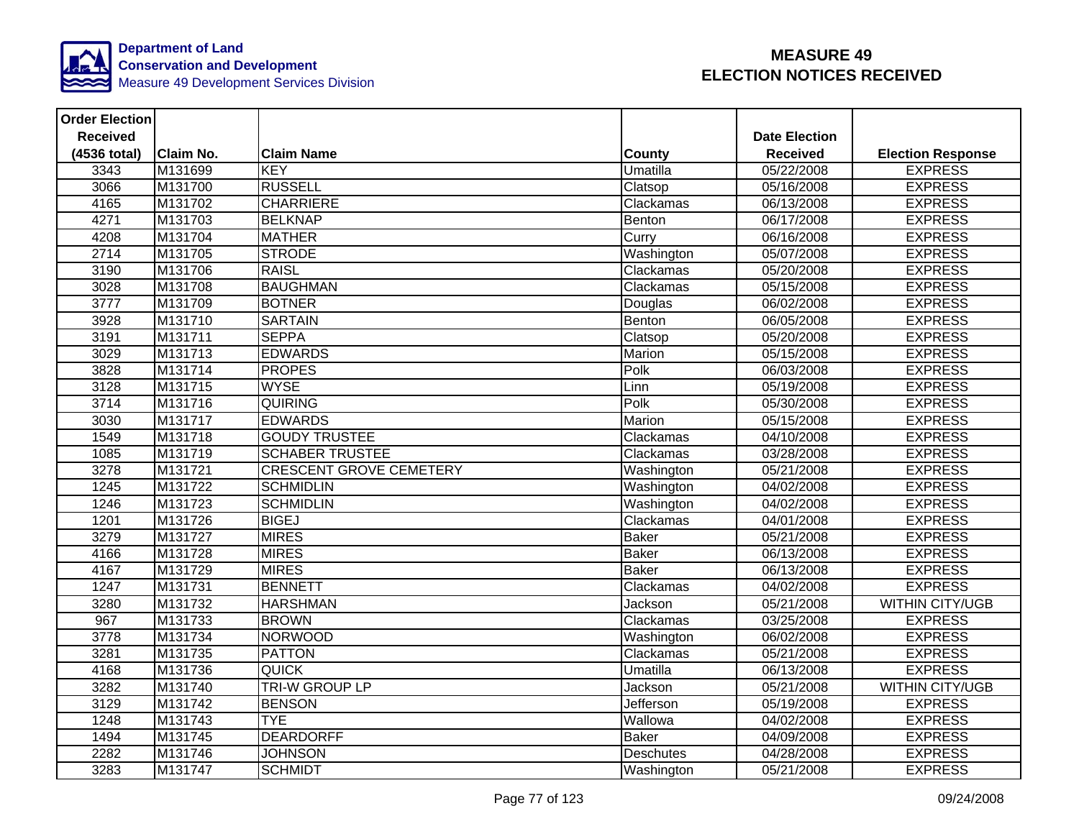

| <b>Order Election</b> |                  |                                |                  |                      |                          |
|-----------------------|------------------|--------------------------------|------------------|----------------------|--------------------------|
| <b>Received</b>       |                  |                                |                  | <b>Date Election</b> |                          |
| (4536 total)          | <b>Claim No.</b> | <b>Claim Name</b>              | <b>County</b>    | <b>Received</b>      | <b>Election Response</b> |
| 3343                  | M131699          | <b>KEY</b>                     | Umatilla         | 05/22/2008           | <b>EXPRESS</b>           |
| 3066                  | M131700          | <b>RUSSELL</b>                 | Clatsop          | 05/16/2008           | <b>EXPRESS</b>           |
| 4165                  | M131702          | <b>CHARRIERE</b>               | Clackamas        | 06/13/2008           | <b>EXPRESS</b>           |
| 4271                  | M131703          | <b>BELKNAP</b>                 | Benton           | 06/17/2008           | <b>EXPRESS</b>           |
| 4208                  | M131704          | <b>MATHER</b>                  | Curry            | 06/16/2008           | <b>EXPRESS</b>           |
| 2714                  | M131705          | <b>STRODE</b>                  | Washington       | 05/07/2008           | <b>EXPRESS</b>           |
| 3190                  | M131706          | <b>RAISL</b>                   | Clackamas        | 05/20/2008           | <b>EXPRESS</b>           |
| 3028                  | M131708          | <b>BAUGHMAN</b>                | Clackamas        | 05/15/2008           | <b>EXPRESS</b>           |
| 3777                  | M131709          | <b>BOTNER</b>                  | Douglas          | 06/02/2008           | <b>EXPRESS</b>           |
| 3928                  | M131710          | <b>SARTAIN</b>                 | Benton           | 06/05/2008           | <b>EXPRESS</b>           |
| 3191                  | M131711          | <b>SEPPA</b>                   | Clatsop          | 05/20/2008           | <b>EXPRESS</b>           |
| 3029                  | M131713          | <b>EDWARDS</b>                 | Marion           | 05/15/2008           | <b>EXPRESS</b>           |
| 3828                  | M131714          | <b>PROPES</b>                  | Polk             | 06/03/2008           | <b>EXPRESS</b>           |
| 3128                  | M131715          | <b>WYSE</b>                    | Linn             | 05/19/2008           | <b>EXPRESS</b>           |
| 3714                  | M131716          | <b>QUIRING</b>                 | Polk             | 05/30/2008           | <b>EXPRESS</b>           |
| 3030                  | M131717          | <b>EDWARDS</b>                 | <b>Marion</b>    | 05/15/2008           | <b>EXPRESS</b>           |
| 1549                  | M131718          | <b>GOUDY TRUSTEE</b>           | Clackamas        | 04/10/2008           | <b>EXPRESS</b>           |
| 1085                  | M131719          | <b>SCHABER TRUSTEE</b>         | Clackamas        | 03/28/2008           | <b>EXPRESS</b>           |
| 3278                  | M131721          | <b>CRESCENT GROVE CEMETERY</b> | Washington       | 05/21/2008           | <b>EXPRESS</b>           |
| 1245                  | M131722          | <b>SCHMIDLIN</b>               | Washington       | 04/02/2008           | <b>EXPRESS</b>           |
| 1246                  | M131723          | <b>SCHMIDLIN</b>               | Washington       | 04/02/2008           | <b>EXPRESS</b>           |
| 1201                  | M131726          | <b>BIGEJ</b>                   | Clackamas        | 04/01/2008           | <b>EXPRESS</b>           |
| 3279                  | M131727          | <b>MIRES</b>                   | <b>Baker</b>     | 05/21/2008           | <b>EXPRESS</b>           |
| 4166                  | M131728          | <b>MIRES</b>                   | <b>Baker</b>     | 06/13/2008           | <b>EXPRESS</b>           |
| 4167                  | M131729          | <b>MIRES</b>                   | <b>Baker</b>     | 06/13/2008           | <b>EXPRESS</b>           |
| 1247                  | M131731          | <b>BENNETT</b>                 | Clackamas        | 04/02/2008           | <b>EXPRESS</b>           |
| 3280                  | M131732          | <b>HARSHMAN</b>                | Jackson          | 05/21/2008           | <b>WITHIN CITY/UGB</b>   |
| 967                   | M131733          | <b>BROWN</b>                   | Clackamas        | 03/25/2008           | <b>EXPRESS</b>           |
| 3778                  | M131734          | <b>NORWOOD</b>                 | Washington       | 06/02/2008           | <b>EXPRESS</b>           |
| 3281                  | M131735          | <b>PATTON</b>                  | Clackamas        | 05/21/2008           | <b>EXPRESS</b>           |
| 4168                  | M131736          | <b>QUICK</b>                   | <b>Umatilla</b>  | 06/13/2008           | <b>EXPRESS</b>           |
| 3282                  | M131740          | <b>TRI-W GROUP LP</b>          | Jackson          | 05/21/2008           | <b>WITHIN CITY/UGB</b>   |
| 3129                  | M131742          | <b>BENSON</b>                  | Jefferson        | 05/19/2008           | <b>EXPRESS</b>           |
| 1248                  | M131743          | <b>TYE</b>                     | Wallowa          | 04/02/2008           | <b>EXPRESS</b>           |
| 1494                  | M131745          | <b>DEARDORFF</b>               | <b>Baker</b>     | 04/09/2008           | <b>EXPRESS</b>           |
| 2282                  | M131746          | <b>JOHNSON</b>                 | <b>Deschutes</b> | 04/28/2008           | <b>EXPRESS</b>           |
| 3283                  | M131747          | <b>SCHMIDT</b>                 | Washington       | 05/21/2008           | <b>EXPRESS</b>           |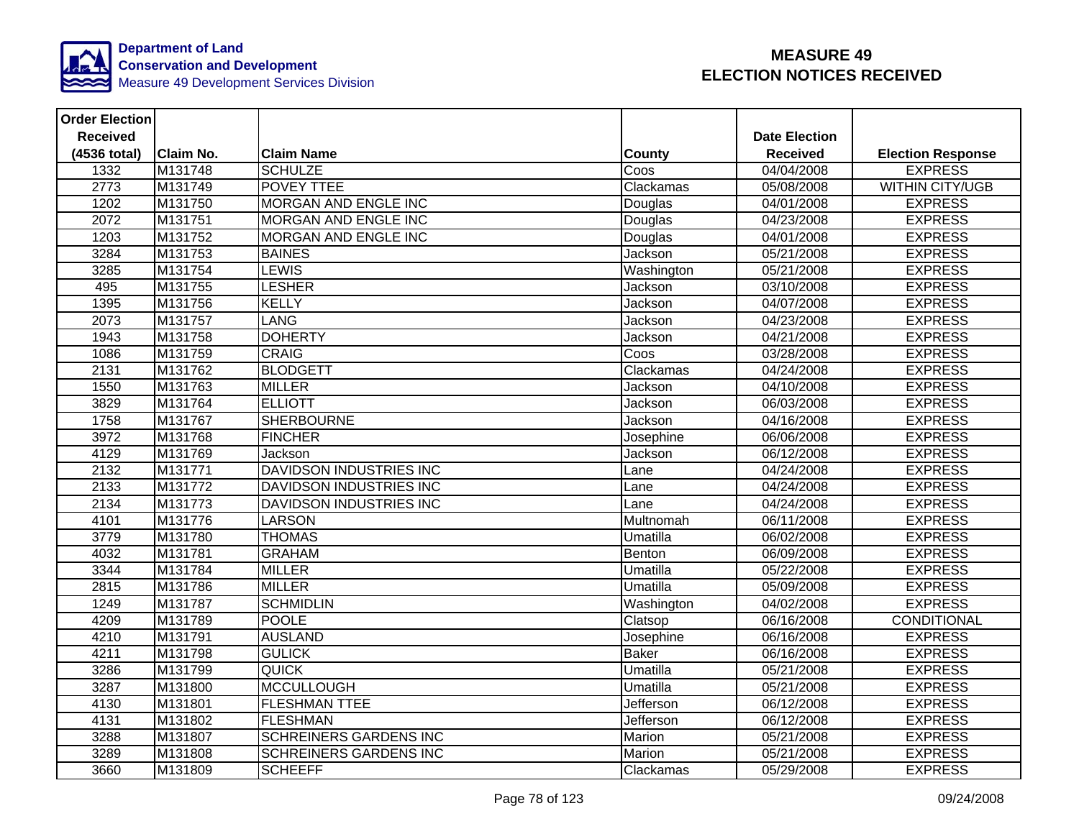

| <b>Order Election</b> |                  |                                |                  |                      |                          |
|-----------------------|------------------|--------------------------------|------------------|----------------------|--------------------------|
| <b>Received</b>       |                  |                                |                  | <b>Date Election</b> |                          |
| (4536 total)          | <b>Claim No.</b> | <b>Claim Name</b>              | <b>County</b>    | <b>Received</b>      | <b>Election Response</b> |
| 1332                  | M131748          | <b>SCHULZE</b>                 | Coos             | 04/04/2008           | <b>EXPRESS</b>           |
| 2773                  | M131749          | <b>POVEY TTEE</b>              | Clackamas        | 05/08/2008           | <b>WITHIN CITY/UGB</b>   |
| 1202                  | M131750          | <b>MORGAN AND ENGLE INC</b>    | Douglas          | 04/01/2008           | <b>EXPRESS</b>           |
| 2072                  | M131751          | MORGAN AND ENGLE INC           | Douglas          | 04/23/2008           | <b>EXPRESS</b>           |
| 1203                  | M131752          | <b>MORGAN AND ENGLE INC</b>    | Douglas          | 04/01/2008           | <b>EXPRESS</b>           |
| 3284                  | M131753          | <b>BAINES</b>                  | Jackson          | 05/21/2008           | <b>EXPRESS</b>           |
| 3285                  | M131754          | <b>LEWIS</b>                   | Washington       | 05/21/2008           | <b>EXPRESS</b>           |
| 495                   | M131755          | <b>LESHER</b>                  | Jackson          | 03/10/2008           | <b>EXPRESS</b>           |
| 1395                  | M131756          | <b>KELLY</b>                   | Jackson          | 04/07/2008           | <b>EXPRESS</b>           |
| 2073                  | M131757          | <b>LANG</b>                    | Jackson          | 04/23/2008           | <b>EXPRESS</b>           |
| 1943                  | M131758          | <b>DOHERTY</b>                 | Jackson          | 04/21/2008           | <b>EXPRESS</b>           |
| 1086                  | M131759          | <b>CRAIG</b>                   | Coos             | 03/28/2008           | <b>EXPRESS</b>           |
| 2131                  | M131762          | <b>BLODGETT</b>                | Clackamas        | 04/24/2008           | <b>EXPRESS</b>           |
| 1550                  | M131763          | <b>MILLER</b>                  | Jackson          | 04/10/2008           | <b>EXPRESS</b>           |
| 3829                  | M131764          | <b>ELLIOTT</b>                 | Jackson          | 06/03/2008           | <b>EXPRESS</b>           |
| 1758                  | M131767          | <b>SHERBOURNE</b>              | Jackson          | 04/16/2008           | <b>EXPRESS</b>           |
| 3972                  | M131768          | <b>FINCHER</b>                 | Josephine        | 06/06/2008           | <b>EXPRESS</b>           |
| 4129                  | M131769          | Jackson                        | Jackson          | 06/12/2008           | <b>EXPRESS</b>           |
| 2132                  | M131771          | <b>DAVIDSON INDUSTRIES INC</b> | Lane             | 04/24/2008           | <b>EXPRESS</b>           |
| 2133                  | M131772          | DAVIDSON INDUSTRIES INC        | Lane             | 04/24/2008           | <b>EXPRESS</b>           |
| 2134                  | M131773          | <b>DAVIDSON INDUSTRIES INC</b> | Lane             | 04/24/2008           | <b>EXPRESS</b>           |
| 4101                  | M131776          | <b>LARSON</b>                  | Multnomah        | 06/11/2008           | <b>EXPRESS</b>           |
| 3779                  | M131780          | <b>THOMAS</b>                  | Umatilla         | 06/02/2008           | <b>EXPRESS</b>           |
| 4032                  | M131781          | <b>GRAHAM</b>                  | Benton           | 06/09/2008           | <b>EXPRESS</b>           |
| 3344                  | M131784          | <b>MILLER</b>                  | Umatilla         | 05/22/2008           | <b>EXPRESS</b>           |
| 2815                  | M131786          | <b>MILLER</b>                  | Umatilla         | 05/09/2008           | <b>EXPRESS</b>           |
| 1249                  | M131787          | <b>SCHMIDLIN</b>               | Washington       | 04/02/2008           | <b>EXPRESS</b>           |
| 4209                  | M131789          | <b>POOLE</b>                   | Clatsop          | 06/16/2008           | CONDITIONAL              |
| 4210                  | M131791          | <b>AUSLAND</b>                 | Josephine        | 06/16/2008           | <b>EXPRESS</b>           |
| 4211                  | M131798          | <b>GULICK</b>                  | <b>Baker</b>     | 06/16/2008           | <b>EXPRESS</b>           |
| 3286                  | M131799          | <b>QUICK</b>                   | Umatilla         | 05/21/2008           | <b>EXPRESS</b>           |
| 3287                  | M131800          | <b>MCCULLOUGH</b>              | Umatilla         | 05/21/2008           | <b>EXPRESS</b>           |
| 4130                  | M131801          | <b>FLESHMAN TTEE</b>           | Jefferson        | 06/12/2008           | <b>EXPRESS</b>           |
| 4131                  | M131802          | <b>FLESHMAN</b>                | Jefferson        | 06/12/2008           | <b>EXPRESS</b>           |
| 3288                  | M131807          | <b>SCHREINERS GARDENS INC</b>  | Marion           | 05/21/2008           | <b>EXPRESS</b>           |
| 3289                  | M131808          | <b>SCHREINERS GARDENS INC</b>  | Marion           | 05/21/2008           | <b>EXPRESS</b>           |
| 3660                  | M131809          | <b>SCHEEFF</b>                 | <b>Clackamas</b> | 05/29/2008           | <b>EXPRESS</b>           |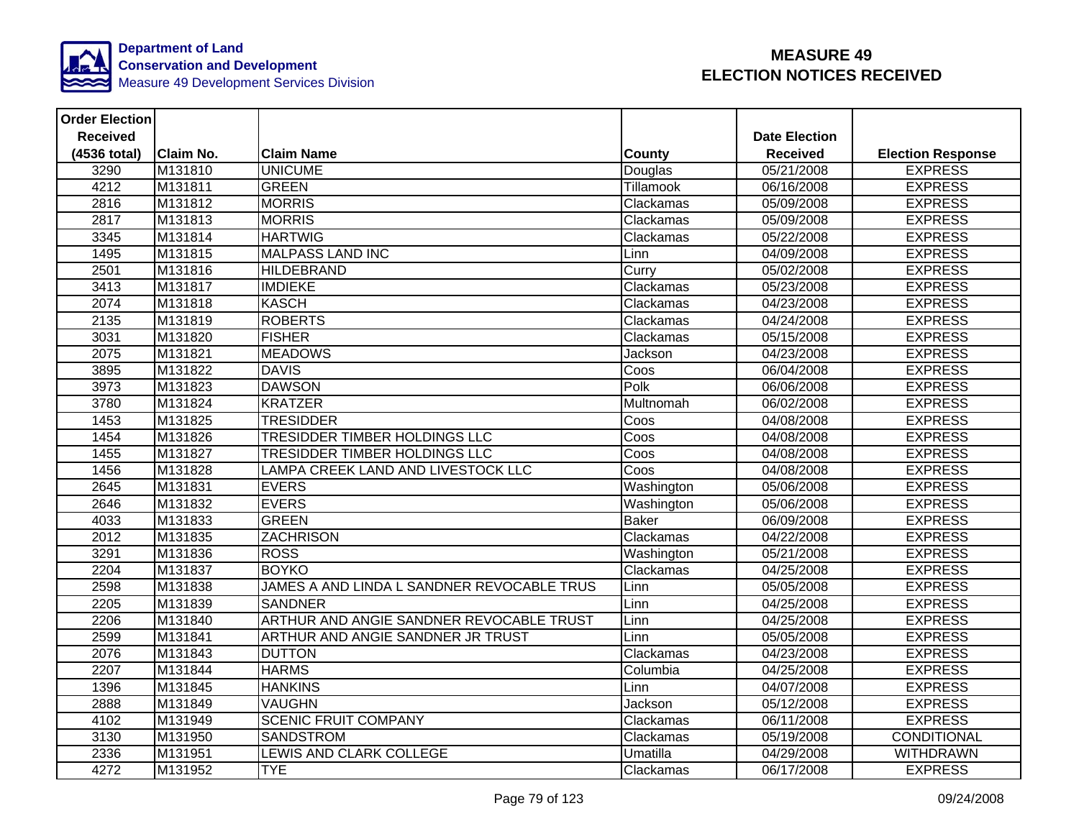

| <b>Order Election</b> |                  |                                            |                  |                      |                          |
|-----------------------|------------------|--------------------------------------------|------------------|----------------------|--------------------------|
| <b>Received</b>       |                  |                                            |                  | <b>Date Election</b> |                          |
| (4536 total)          | <b>Claim No.</b> | <b>Claim Name</b>                          | <b>County</b>    | <b>Received</b>      | <b>Election Response</b> |
| 3290                  | M131810          | <b>UNICUME</b>                             | Douglas          | 05/21/2008           | <b>EXPRESS</b>           |
| 4212                  | M131811          | <b>GREEN</b>                               | <b>Tillamook</b> | 06/16/2008           | <b>EXPRESS</b>           |
| 2816                  | M131812          | <b>MORRIS</b>                              | Clackamas        | 05/09/2008           | <b>EXPRESS</b>           |
| 2817                  | M131813          | <b>MORRIS</b>                              | Clackamas        | 05/09/2008           | <b>EXPRESS</b>           |
| 3345                  | M131814          | <b>HARTWIG</b>                             | Clackamas        | 05/22/2008           | <b>EXPRESS</b>           |
| 1495                  | M131815          | <b>MALPASS LAND INC</b>                    | Linn             | 04/09/2008           | <b>EXPRESS</b>           |
| 2501                  | M131816          | <b>HILDEBRAND</b>                          | Curry            | 05/02/2008           | <b>EXPRESS</b>           |
| 3413                  | M131817          | <b>IMDIEKE</b>                             | Clackamas        | 05/23/2008           | <b>EXPRESS</b>           |
| 2074                  | M131818          | <b>KASCH</b>                               | Clackamas        | 04/23/2008           | <b>EXPRESS</b>           |
| 2135                  | M131819          | <b>ROBERTS</b>                             | Clackamas        | 04/24/2008           | <b>EXPRESS</b>           |
| 3031                  | M131820          | <b>FISHER</b>                              | Clackamas        | 05/15/2008           | <b>EXPRESS</b>           |
| 2075                  | M131821          | <b>MEADOWS</b>                             | Jackson          | 04/23/2008           | <b>EXPRESS</b>           |
| 3895                  | M131822          | <b>DAVIS</b>                               | Coos             | 06/04/2008           | <b>EXPRESS</b>           |
| 3973                  | M131823          | <b>DAWSON</b>                              | Polk             | 06/06/2008           | <b>EXPRESS</b>           |
| 3780                  | M131824          | <b>KRATZER</b>                             | Multnomah        | 06/02/2008           | <b>EXPRESS</b>           |
| 1453                  | M131825          | <b>TRESIDDER</b>                           | Coos             | 04/08/2008           | <b>EXPRESS</b>           |
| 1454                  | M131826          | <b>TRESIDDER TIMBER HOLDINGS LLC</b>       | Coos             | 04/08/2008           | <b>EXPRESS</b>           |
| 1455                  | M131827          | TRESIDDER TIMBER HOLDINGS LLC              | Coos             | 04/08/2008           | <b>EXPRESS</b>           |
| 1456                  | M131828          | LAMPA CREEK LAND AND LIVESTOCK LLC         | Coos             | 04/08/2008           | <b>EXPRESS</b>           |
| 2645                  | M131831          | <b>EVERS</b>                               | Washington       | 05/06/2008           | <b>EXPRESS</b>           |
| 2646                  | M131832          | <b>EVERS</b>                               | Washington       | 05/06/2008           | <b>EXPRESS</b>           |
| 4033                  | M131833          | <b>GREEN</b>                               | <b>Baker</b>     | 06/09/2008           | <b>EXPRESS</b>           |
| 2012                  | M131835          | <b>ZACHRISON</b>                           | Clackamas        | 04/22/2008           | <b>EXPRESS</b>           |
| 3291                  | M131836          | <b>ROSS</b>                                | Washington       | 05/21/2008           | <b>EXPRESS</b>           |
| 2204                  | M131837          | <b>BOYKO</b>                               | Clackamas        | 04/25/2008           | <b>EXPRESS</b>           |
| 2598                  | M131838          | JAMES A AND LINDA L SANDNER REVOCABLE TRUS | Linn             | 05/05/2008           | <b>EXPRESS</b>           |
| 2205                  | M131839          | <b>SANDNER</b>                             | Linn             | 04/25/2008           | <b>EXPRESS</b>           |
| 2206                  | M131840          | ARTHUR AND ANGIE SANDNER REVOCABLE TRUST   | Linn             | 04/25/2008           | <b>EXPRESS</b>           |
| 2599                  | M131841          | ARTHUR AND ANGIE SANDNER JR TRUST          | Linn             | 05/05/2008           | <b>EXPRESS</b>           |
| 2076                  | M131843          | <b>DUTTON</b>                              | Clackamas        | 04/23/2008           | <b>EXPRESS</b>           |
| 2207                  | M131844          | <b>HARMS</b>                               | Columbia         | 04/25/2008           | <b>EXPRESS</b>           |
| 1396                  | M131845          | <b>HANKINS</b>                             | Linn             | 04/07/2008           | <b>EXPRESS</b>           |
| 2888                  | M131849          | <b>VAUGHN</b>                              | Jackson          | 05/12/2008           | <b>EXPRESS</b>           |
| 4102                  | M131949          | <b>SCENIC FRUIT COMPANY</b>                | Clackamas        | 06/11/2008           | <b>EXPRESS</b>           |
| 3130                  | M131950          | <b>SANDSTROM</b>                           | Clackamas        | 05/19/2008           | CONDITIONAL              |
| 2336                  | M131951          | LEWIS AND CLARK COLLEGE                    | Umatilla         | 04/29/2008           | <b>WITHDRAWN</b>         |
| 4272                  | M131952          | <b>TYE</b>                                 | Clackamas        | 06/17/2008           | <b>EXPRESS</b>           |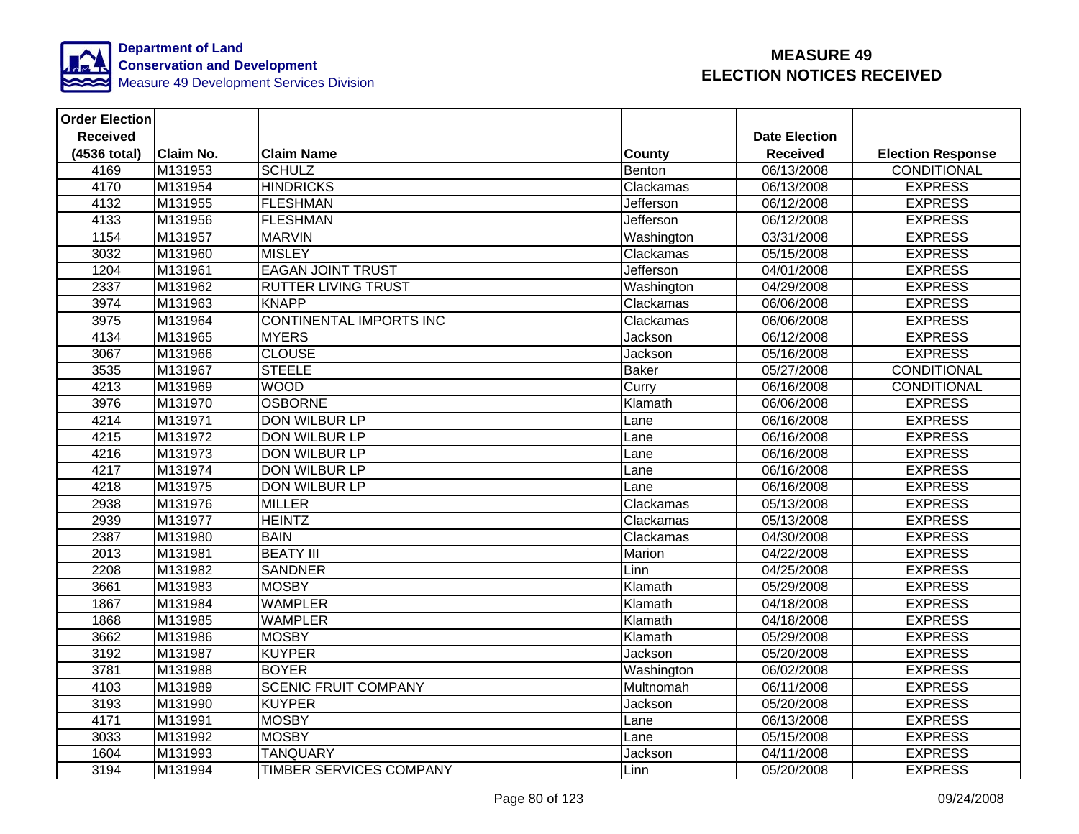

| <b>Order Election</b> |                  |                                |               |                      |                          |
|-----------------------|------------------|--------------------------------|---------------|----------------------|--------------------------|
| <b>Received</b>       |                  |                                |               | <b>Date Election</b> |                          |
| (4536 total)          | <b>Claim No.</b> | <b>Claim Name</b>              | <b>County</b> | <b>Received</b>      | <b>Election Response</b> |
| 4169                  | M131953          | <b>SCHULZ</b>                  | Benton        | 06/13/2008           | <b>CONDITIONAL</b>       |
| 4170                  | M131954          | <b>HINDRICKS</b>               | Clackamas     | 06/13/2008           | <b>EXPRESS</b>           |
| 4132                  | M131955          | <b>FLESHMAN</b>                | Jefferson     | 06/12/2008           | <b>EXPRESS</b>           |
| 4133                  | M131956          | <b>FLESHMAN</b>                | Jefferson     | 06/12/2008           | <b>EXPRESS</b>           |
| 1154                  | M131957          | <b>MARVIN</b>                  | Washington    | 03/31/2008           | <b>EXPRESS</b>           |
| 3032                  | M131960          | <b>MISLEY</b>                  | Clackamas     | 05/15/2008           | <b>EXPRESS</b>           |
| 1204                  | M131961          | <b>EAGAN JOINT TRUST</b>       | Jefferson     | 04/01/2008           | <b>EXPRESS</b>           |
| 2337                  | M131962          | <b>RUTTER LIVING TRUST</b>     | Washington    | 04/29/2008           | <b>EXPRESS</b>           |
| 3974                  | M131963          | <b>KNAPP</b>                   | Clackamas     | 06/06/2008           | <b>EXPRESS</b>           |
| 3975                  | M131964          | <b>CONTINENTAL IMPORTS INC</b> | Clackamas     | 06/06/2008           | <b>EXPRESS</b>           |
| 4134                  | M131965          | <b>MYERS</b>                   | Jackson       | 06/12/2008           | <b>EXPRESS</b>           |
| 3067                  | M131966          | <b>CLOUSE</b>                  | Jackson       | 05/16/2008           | <b>EXPRESS</b>           |
| 3535                  | M131967          | <b>STEELE</b>                  | <b>Baker</b>  | 05/27/2008           | CONDITIONAL              |
| 4213                  | M131969          | <b>MOOD</b>                    | Curry         | 06/16/2008           | <b>CONDITIONAL</b>       |
| 3976                  | M131970          | <b>OSBORNE</b>                 | Klamath       | 06/06/2008           | <b>EXPRESS</b>           |
| 4214                  | M131971          | <b>DON WILBUR LP</b>           | Lane          | 06/16/2008           | <b>EXPRESS</b>           |
| 4215                  | M131972          | <b>DON WILBUR LP</b>           | Lane          | 06/16/2008           | <b>EXPRESS</b>           |
| 4216                  | M131973          | <b>DON WILBUR LP</b>           | Lane          | 06/16/2008           | <b>EXPRESS</b>           |
| 4217                  | M131974          | <b>DON WILBUR LP</b>           | Lane          | 06/16/2008           | <b>EXPRESS</b>           |
| 4218                  | M131975          | <b>DON WILBUR LP</b>           | Lane          | 06/16/2008           | <b>EXPRESS</b>           |
| 2938                  | M131976          | <b>MILLER</b>                  | Clackamas     | 05/13/2008           | <b>EXPRESS</b>           |
| 2939                  | M131977          | <b>HEINTZ</b>                  | Clackamas     | 05/13/2008           | <b>EXPRESS</b>           |
| 2387                  | M131980          | <b>BAIN</b>                    | Clackamas     | 04/30/2008           | <b>EXPRESS</b>           |
| 2013                  | M131981          | <b>BEATY III</b>               | Marion        | 04/22/2008           | <b>EXPRESS</b>           |
| 2208                  | M131982          | <b>SANDNER</b>                 | Linn          | 04/25/2008           | <b>EXPRESS</b>           |
| 3661                  | M131983          | <b>MOSBY</b>                   | Klamath       | 05/29/2008           | <b>EXPRESS</b>           |
| 1867                  | M131984          | <b>WAMPLER</b>                 | Klamath       | 04/18/2008           | <b>EXPRESS</b>           |
| 1868                  | M131985          | <b>WAMPLER</b>                 | Klamath       | 04/18/2008           | <b>EXPRESS</b>           |
| 3662                  | M131986          | <b>MOSBY</b>                   | Klamath       | 05/29/2008           | <b>EXPRESS</b>           |
| 3192                  | M131987          | <b>KUYPER</b>                  | Jackson       | 05/20/2008           | <b>EXPRESS</b>           |
| 3781                  | M131988          | <b>BOYER</b>                   | Washington    | 06/02/2008           | <b>EXPRESS</b>           |
| 4103                  | M131989          | <b>SCENIC FRUIT COMPANY</b>    | Multnomah     | 06/11/2008           | <b>EXPRESS</b>           |
| 3193                  | M131990          | <b>KUYPER</b>                  | Jackson       | 05/20/2008           | <b>EXPRESS</b>           |
| 4171                  | M131991          | <b>MOSBY</b>                   | Lane          | 06/13/2008           | <b>EXPRESS</b>           |
| 3033                  | M131992          | <b>MOSBY</b>                   | Lane          | 05/15/2008           | <b>EXPRESS</b>           |
| 1604                  | M131993          | <b>TANQUARY</b>                | Jackson       | 04/11/2008           | <b>EXPRESS</b>           |
| 3194                  | M131994          | TIMBER SERVICES COMPANY        | Linn          | 05/20/2008           | <b>EXPRESS</b>           |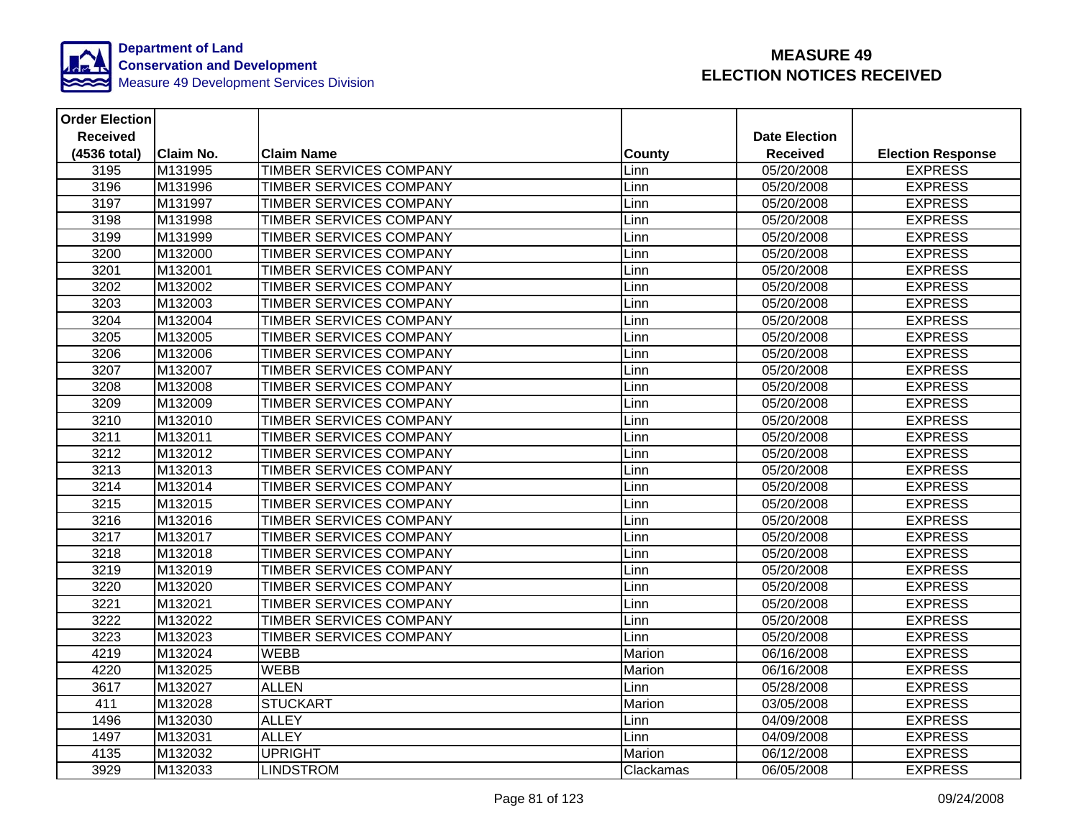

| <b>Order Election</b> |           |                                |               |                      |                          |
|-----------------------|-----------|--------------------------------|---------------|----------------------|--------------------------|
| <b>Received</b>       |           |                                |               | <b>Date Election</b> |                          |
| (4536 total)          | Claim No. | <b>Claim Name</b>              | <b>County</b> | <b>Received</b>      | <b>Election Response</b> |
| 3195                  | M131995   | <b>TIMBER SERVICES COMPANY</b> | Linn          | 05/20/2008           | <b>EXPRESS</b>           |
| 3196                  | M131996   | <b>TIMBER SERVICES COMPANY</b> | Linn          | 05/20/2008           | <b>EXPRESS</b>           |
| 3197                  | M131997   | <b>TIMBER SERVICES COMPANY</b> | Linn          | 05/20/2008           | <b>EXPRESS</b>           |
| 3198                  | M131998   | <b>TIMBER SERVICES COMPANY</b> | Linn          | 05/20/2008           | <b>EXPRESS</b>           |
| 3199                  | M131999   | TIMBER SERVICES COMPANY        | Linn          | 05/20/2008           | <b>EXPRESS</b>           |
| 3200                  | M132000   | TIMBER SERVICES COMPANY        | Linn          | 05/20/2008           | <b>EXPRESS</b>           |
| 3201                  | M132001   | <b>TIMBER SERVICES COMPANY</b> | Linn          | 05/20/2008           | <b>EXPRESS</b>           |
| 3202                  | M132002   | TIMBER SERVICES COMPANY        | Linn          | 05/20/2008           | <b>EXPRESS</b>           |
| 3203                  | M132003   | TIMBER SERVICES COMPANY        | Linn          | 05/20/2008           | <b>EXPRESS</b>           |
| 3204                  | M132004   | <b>TIMBER SERVICES COMPANY</b> | Linn          | 05/20/2008           | <b>EXPRESS</b>           |
| 3205                  | M132005   | TIMBER SERVICES COMPANY        | Linn          | 05/20/2008           | <b>EXPRESS</b>           |
| 3206                  | M132006   | <b>TIMBER SERVICES COMPANY</b> | Linn          | 05/20/2008           | <b>EXPRESS</b>           |
| 3207                  | M132007   | TIMBER SERVICES COMPANY        | Linn          | 05/20/2008           | <b>EXPRESS</b>           |
| 3208                  | M132008   | TIMBER SERVICES COMPANY        | Linn          | 05/20/2008           | <b>EXPRESS</b>           |
| 3209                  | M132009   | TIMBER SERVICES COMPANY        | Linn          | 05/20/2008           | <b>EXPRESS</b>           |
| 3210                  | M132010   | <b>TIMBER SERVICES COMPANY</b> | Linn          | 05/20/2008           | <b>EXPRESS</b>           |
| 3211                  | M132011   | <b>TIMBER SERVICES COMPANY</b> | Linn          | 05/20/2008           | <b>EXPRESS</b>           |
| 3212                  | M132012   | <b>TIMBER SERVICES COMPANY</b> | Linn          | 05/20/2008           | <b>EXPRESS</b>           |
| 3213                  | M132013   | <b>TIMBER SERVICES COMPANY</b> | Linn          | 05/20/2008           | <b>EXPRESS</b>           |
| 3214                  | M132014   | <b>TIMBER SERVICES COMPANY</b> | Linn          | 05/20/2008           | <b>EXPRESS</b>           |
| 3215                  | M132015   | TIMBER SERVICES COMPANY        | Linn          | 05/20/2008           | <b>EXPRESS</b>           |
| 3216                  | M132016   | TIMBER SERVICES COMPANY        | Linn          | 05/20/2008           | <b>EXPRESS</b>           |
| 3217                  | M132017   | <b>TIMBER SERVICES COMPANY</b> | Linn          | 05/20/2008           | <b>EXPRESS</b>           |
| 3218                  | M132018   | <b>TIMBER SERVICES COMPANY</b> | Linn          | 05/20/2008           | <b>EXPRESS</b>           |
| 3219                  | M132019   | <b>TIMBER SERVICES COMPANY</b> | Linn          | 05/20/2008           | <b>EXPRESS</b>           |
| 3220                  | M132020   | <b>TIMBER SERVICES COMPANY</b> | Linn          | 05/20/2008           | <b>EXPRESS</b>           |
| 3221                  | M132021   | TIMBER SERVICES COMPANY        | Linn          | 05/20/2008           | <b>EXPRESS</b>           |
| 3222                  | M132022   | TIMBER SERVICES COMPANY        | Linn          | 05/20/2008           | <b>EXPRESS</b>           |
| 3223                  | M132023   | TIMBER SERVICES COMPANY        | Linn          | 05/20/2008           | <b>EXPRESS</b>           |
| 4219                  | M132024   | <b>WEBB</b>                    | Marion        | 06/16/2008           | <b>EXPRESS</b>           |
| 4220                  | M132025   | <b>WEBB</b>                    | Marion        | 06/16/2008           | <b>EXPRESS</b>           |
| 3617                  | M132027   | <b>ALLEN</b>                   | Linn          | 05/28/2008           | <b>EXPRESS</b>           |
| 411                   | M132028   | <b>STUCKART</b>                | Marion        | 03/05/2008           | <b>EXPRESS</b>           |
| 1496                  | M132030   | <b>ALLEY</b>                   | Linn          | 04/09/2008           | <b>EXPRESS</b>           |
| 1497                  | M132031   | <b>ALLEY</b>                   | Linn          | 04/09/2008           | <b>EXPRESS</b>           |
| 4135                  | M132032   | <b>UPRIGHT</b>                 | Marion        | 06/12/2008           | <b>EXPRESS</b>           |
| 3929                  | M132033   | <b>LINDSTROM</b>               | Clackamas     | 06/05/2008           | <b>EXPRESS</b>           |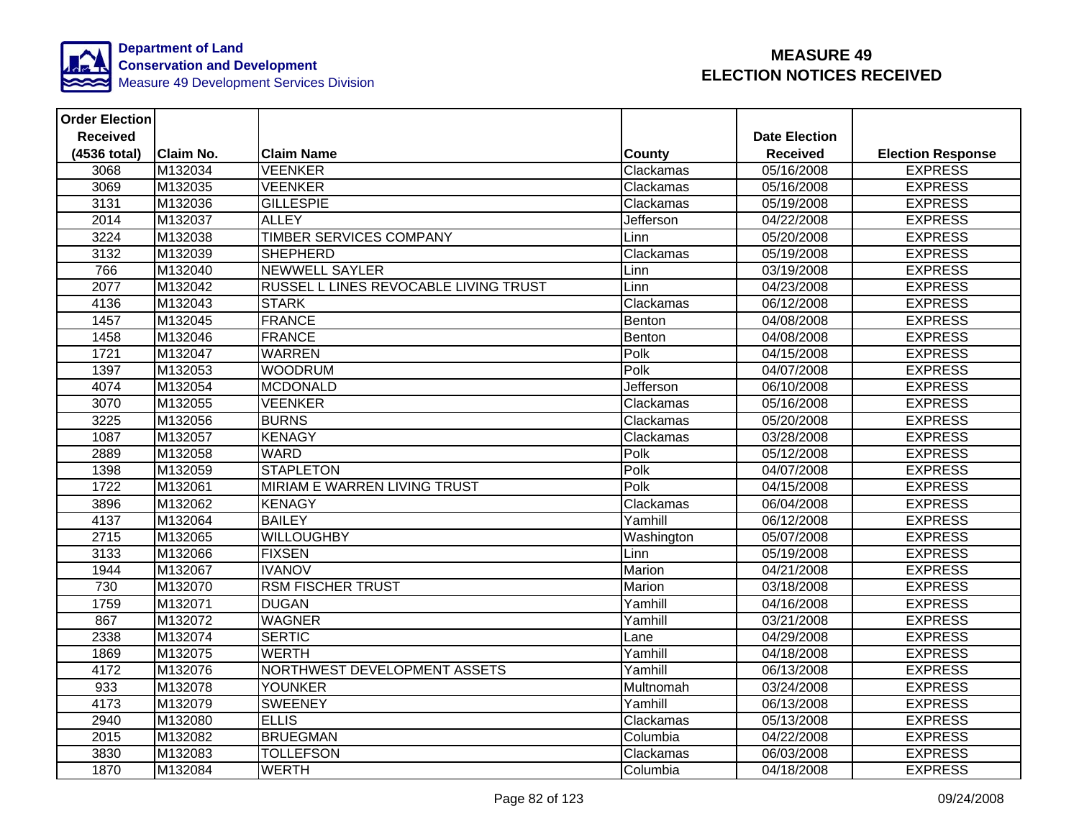

| <b>Order Election</b> |                  |                                       |               |                      |                          |
|-----------------------|------------------|---------------------------------------|---------------|----------------------|--------------------------|
| <b>Received</b>       |                  |                                       |               | <b>Date Election</b> |                          |
| (4536 total)          | <b>Claim No.</b> | <b>Claim Name</b>                     | <b>County</b> | <b>Received</b>      | <b>Election Response</b> |
| 3068                  | M132034          | <b>VEENKER</b>                        | Clackamas     | 05/16/2008           | <b>EXPRESS</b>           |
| 3069                  | M132035          | <b>VEENKER</b>                        | Clackamas     | 05/16/2008           | <b>EXPRESS</b>           |
| 3131                  | M132036          | <b>GILLESPIE</b>                      | Clackamas     | 05/19/2008           | <b>EXPRESS</b>           |
| 2014                  | M132037          | <b>ALLEY</b>                          | Jefferson     | 04/22/2008           | <b>EXPRESS</b>           |
| 3224                  | M132038          | <b>TIMBER SERVICES COMPANY</b>        | Linn          | 05/20/2008           | <b>EXPRESS</b>           |
| 3132                  | M132039          | <b>SHEPHERD</b>                       | Clackamas     | 05/19/2008           | <b>EXPRESS</b>           |
| 766                   | M132040          | <b>NEWWELL SAYLER</b>                 | Linn          | 03/19/2008           | <b>EXPRESS</b>           |
| 2077                  | M132042          | RUSSEL L LINES REVOCABLE LIVING TRUST | Linn          | 04/23/2008           | <b>EXPRESS</b>           |
| 4136                  | M132043          | <b>STARK</b>                          | Clackamas     | 06/12/2008           | <b>EXPRESS</b>           |
| 1457                  | M132045          | <b>FRANCE</b>                         | Benton        | 04/08/2008           | <b>EXPRESS</b>           |
| 1458                  | M132046          | <b>FRANCE</b>                         | Benton        | 04/08/2008           | <b>EXPRESS</b>           |
| 1721                  | M132047          | <b>WARREN</b>                         | Polk          | 04/15/2008           | <b>EXPRESS</b>           |
| 1397                  | M132053          | <b>WOODRUM</b>                        | Polk          | 04/07/2008           | <b>EXPRESS</b>           |
| 4074                  | M132054          | <b>MCDONALD</b>                       | Jefferson     | 06/10/2008           | <b>EXPRESS</b>           |
| 3070                  | M132055          | <b>VEENKER</b>                        | Clackamas     | 05/16/2008           | <b>EXPRESS</b>           |
| 3225                  | M132056          | <b>BURNS</b>                          | Clackamas     | 05/20/2008           | <b>EXPRESS</b>           |
| 1087                  | M132057          | <b>KENAGY</b>                         | Clackamas     | 03/28/2008           | <b>EXPRESS</b>           |
| 2889                  | M132058          | <b>WARD</b>                           | Polk          | 05/12/2008           | <b>EXPRESS</b>           |
| 1398                  | M132059          | <b>STAPLETON</b>                      | Polk          | 04/07/2008           | <b>EXPRESS</b>           |
| 1722                  | M132061          | <b>MIRIAM E WARREN LIVING TRUST</b>   | Polk          | 04/15/2008           | <b>EXPRESS</b>           |
| 3896                  | M132062          | <b>KENAGY</b>                         | Clackamas     | 06/04/2008           | <b>EXPRESS</b>           |
| 4137                  | M132064          | <b>BAILEY</b>                         | Yamhill       | 06/12/2008           | <b>EXPRESS</b>           |
| 2715                  | M132065          | <b>WILLOUGHBY</b>                     | Washington    | 05/07/2008           | <b>EXPRESS</b>           |
| 3133                  | M132066          | <b>FIXSEN</b>                         | Linn          | 05/19/2008           | <b>EXPRESS</b>           |
| 1944                  | M132067          | <b>IVANOV</b>                         | Marion        | 04/21/2008           | <b>EXPRESS</b>           |
| 730                   | M132070          | <b>RSM FISCHER TRUST</b>              | Marion        | 03/18/2008           | <b>EXPRESS</b>           |
| 1759                  | M132071          | <b>DUGAN</b>                          | Yamhill       | 04/16/2008           | <b>EXPRESS</b>           |
| 867                   | M132072          | <b>WAGNER</b>                         | Yamhill       | 03/21/2008           | <b>EXPRESS</b>           |
| 2338                  | M132074          | <b>SERTIC</b>                         | Lane          | 04/29/2008           | <b>EXPRESS</b>           |
| 1869                  | M132075          | <b>WERTH</b>                          | Yamhill       | 04/18/2008           | <b>EXPRESS</b>           |
| 4172                  | M132076          | NORTHWEST DEVELOPMENT ASSETS          | Yamhill       | 06/13/2008           | <b>EXPRESS</b>           |
| 933                   | M132078          | YOUNKER                               | Multnomah     | 03/24/2008           | <b>EXPRESS</b>           |
| 4173                  | M132079          | <b>SWEENEY</b>                        | Yamhill       | 06/13/2008           | <b>EXPRESS</b>           |
| 2940                  | M132080          | <b>ELLIS</b>                          | Clackamas     | 05/13/2008           | <b>EXPRESS</b>           |
| 2015                  | M132082          | <b>BRUEGMAN</b>                       | Columbia      | 04/22/2008           | <b>EXPRESS</b>           |
| 3830                  | M132083          | <b>TOLLEFSON</b>                      | Clackamas     | 06/03/2008           | <b>EXPRESS</b>           |
| 1870                  | M132084          | <b>WERTH</b>                          | Columbia      | 04/18/2008           | <b>EXPRESS</b>           |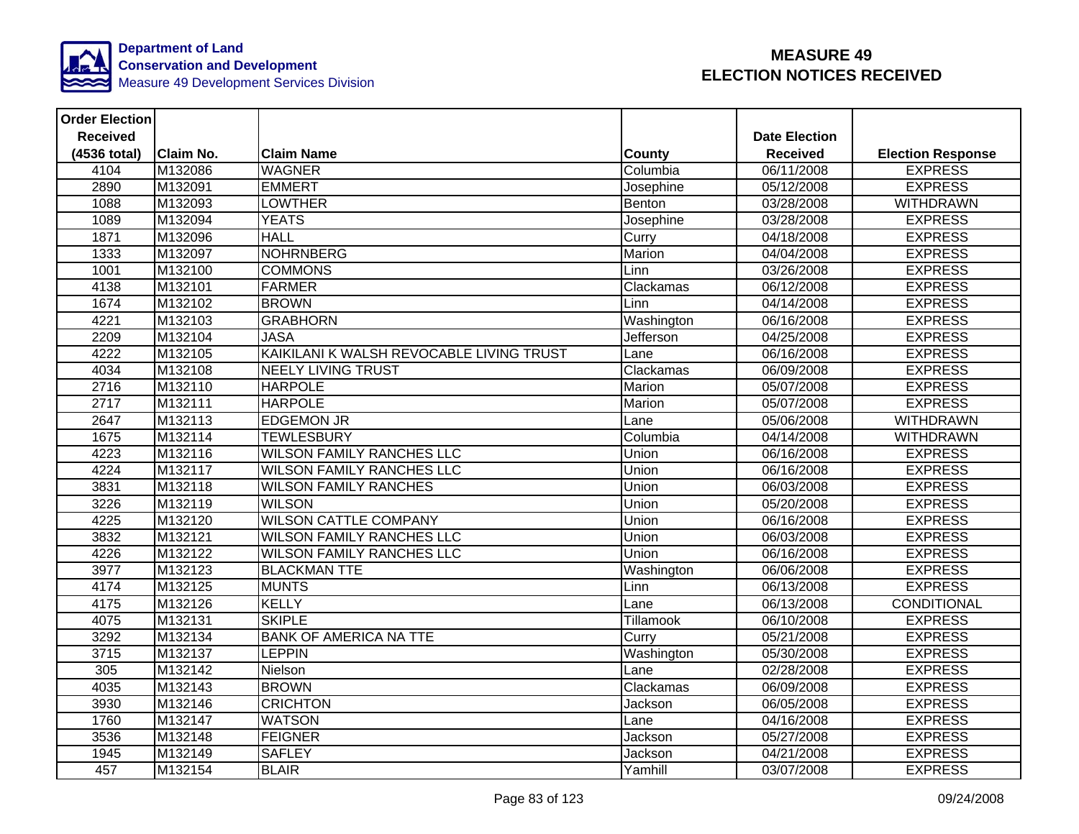

| <b>Order Election</b> |                  |                                          |                  |                      |                          |
|-----------------------|------------------|------------------------------------------|------------------|----------------------|--------------------------|
| <b>Received</b>       |                  |                                          |                  | <b>Date Election</b> |                          |
| (4536 total)          | <b>Claim No.</b> | <b>Claim Name</b>                        | <b>County</b>    | <b>Received</b>      | <b>Election Response</b> |
| 4104                  | M132086          | <b>WAGNER</b>                            | Columbia         | 06/11/2008           | <b>EXPRESS</b>           |
| 2890                  | M132091          | <b>EMMERT</b>                            | Josephine        | 05/12/2008           | <b>EXPRESS</b>           |
| 1088                  | M132093          | <b>LOWTHER</b>                           | Benton           | 03/28/2008           | <b>WITHDRAWN</b>         |
| 1089                  | M132094          | <b>YEATS</b>                             | Josephine        | 03/28/2008           | <b>EXPRESS</b>           |
| 1871                  | M132096          | <b>HALL</b>                              | Curry            | 04/18/2008           | <b>EXPRESS</b>           |
| 1333                  | M132097          | <b>NOHRNBERG</b>                         | Marion           | 04/04/2008           | <b>EXPRESS</b>           |
| 1001                  | M132100          | <b>COMMONS</b>                           | Linn             | 03/26/2008           | <b>EXPRESS</b>           |
| 4138                  | M132101          | <b>FARMER</b>                            | Clackamas        | 06/12/2008           | <b>EXPRESS</b>           |
| 1674                  | M132102          | <b>BROWN</b>                             | Linn             | 04/14/2008           | <b>EXPRESS</b>           |
| 4221                  | M132103          | <b>GRABHORN</b>                          | Washington       | 06/16/2008           | <b>EXPRESS</b>           |
| 2209                  | M132104          | <b>JASA</b>                              | Jefferson        | 04/25/2008           | <b>EXPRESS</b>           |
| 4222                  | M132105          | KAIKILANI K WALSH REVOCABLE LIVING TRUST | Lane             | 06/16/2008           | <b>EXPRESS</b>           |
| 4034                  | M132108          | <b>NEELY LIVING TRUST</b>                | Clackamas        | 06/09/2008           | <b>EXPRESS</b>           |
| 2716                  | M132110          | <b>HARPOLE</b>                           | Marion           | 05/07/2008           | <b>EXPRESS</b>           |
| 2717                  | M132111          | <b>HARPOLE</b>                           | Marion           | 05/07/2008           | <b>EXPRESS</b>           |
| 2647                  | M132113          | <b>EDGEMON JR</b>                        | Lane             | 05/06/2008           | <b>WITHDRAWN</b>         |
| 1675                  | M132114          | <b>TEWLESBURY</b>                        | Columbia         | 04/14/2008           | <b>WITHDRAWN</b>         |
| 4223                  | M132116          | <b>WILSON FAMILY RANCHES LLC</b>         | Union            | 06/16/2008           | <b>EXPRESS</b>           |
| 4224                  | M132117          | <b>WILSON FAMILY RANCHES LLC</b>         | Union            | 06/16/2008           | <b>EXPRESS</b>           |
| 3831                  | M132118          | <b>WILSON FAMILY RANCHES</b>             | Union            | 06/03/2008           | <b>EXPRESS</b>           |
| 3226                  | M132119          | <b>WILSON</b>                            | Union            | 05/20/2008           | <b>EXPRESS</b>           |
| 4225                  | M132120          | <b>WILSON CATTLE COMPANY</b>             | Union            | 06/16/2008           | <b>EXPRESS</b>           |
| 3832                  | M132121          | <b>WILSON FAMILY RANCHES LLC</b>         | Union            | 06/03/2008           | <b>EXPRESS</b>           |
| 4226                  | M132122          | <b>WILSON FAMILY RANCHES LLC</b>         | Union            | 06/16/2008           | <b>EXPRESS</b>           |
| 3977                  | M132123          | <b>BLACKMAN TTE</b>                      | Washington       | 06/06/2008           | <b>EXPRESS</b>           |
| 4174                  | M132125          | <b>MUNTS</b>                             | Linn             | 06/13/2008           | <b>EXPRESS</b>           |
| 4175                  | M132126          | <b>KELLY</b>                             | Lane             | 06/13/2008           | <b>CONDITIONAL</b>       |
| 4075                  | M132131          | <b>SKIPLE</b>                            | <b>Tillamook</b> | 06/10/2008           | <b>EXPRESS</b>           |
| 3292                  | M132134          | <b>BANK OF AMERICA NA TTE</b>            | Curry            | 05/21/2008           | <b>EXPRESS</b>           |
| 3715                  | M132137          | <b>LEPPIN</b>                            | Washington       | 05/30/2008           | <b>EXPRESS</b>           |
| 305                   | M132142          | Nielson                                  | Lane             | 02/28/2008           | <b>EXPRESS</b>           |
| 4035                  | M132143          | <b>BROWN</b>                             | Clackamas        | 06/09/2008           | <b>EXPRESS</b>           |
| 3930                  | M132146          | <b>CRICHTON</b>                          | Jackson          | 06/05/2008           | <b>EXPRESS</b>           |
| 1760                  | M132147          | <b>WATSON</b>                            | Lane             | 04/16/2008           | <b>EXPRESS</b>           |
| 3536                  | M132148          | <b>FEIGNER</b>                           | Jackson          | 05/27/2008           | <b>EXPRESS</b>           |
| 1945                  | M132149          | <b>SAFLEY</b>                            | Jackson          | 04/21/2008           | <b>EXPRESS</b>           |
| 457                   | M132154          | <b>BLAIR</b>                             | Yamhill          | 03/07/2008           | <b>EXPRESS</b>           |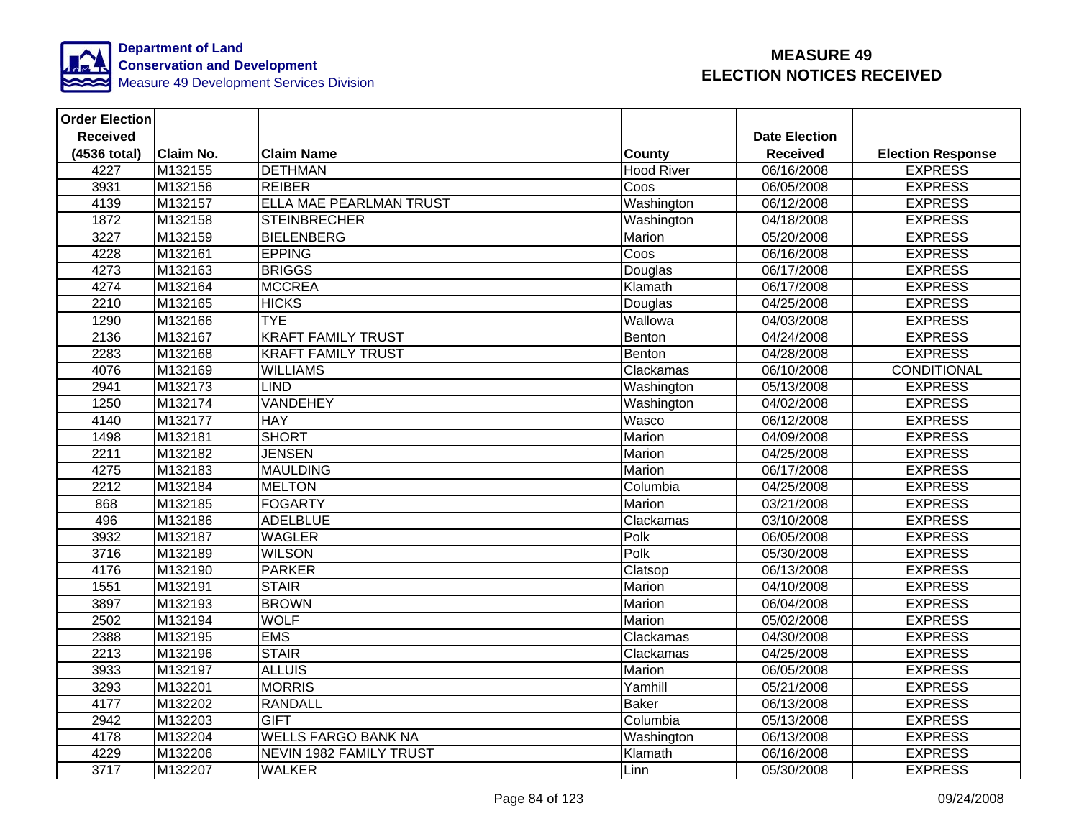

| <b>Order Election</b> |                  |                                |                   |                      |                          |
|-----------------------|------------------|--------------------------------|-------------------|----------------------|--------------------------|
| <b>Received</b>       |                  |                                |                   | <b>Date Election</b> |                          |
| (4536 total)          | <b>Claim No.</b> | <b>Claim Name</b>              | <b>County</b>     | <b>Received</b>      | <b>Election Response</b> |
| 4227                  | M132155          | <b>DETHMAN</b>                 | <b>Hood River</b> | 06/16/2008           | <b>EXPRESS</b>           |
| 3931                  | M132156          | <b>REIBER</b>                  | Coos              | 06/05/2008           | <b>EXPRESS</b>           |
| 4139                  | M132157          | <b>ELLA MAE PEARLMAN TRUST</b> | Washington        | 06/12/2008           | <b>EXPRESS</b>           |
| 1872                  | M132158          | <b>STEINBRECHER</b>            | Washington        | 04/18/2008           | <b>EXPRESS</b>           |
| 3227                  | M132159          | <b>BIELENBERG</b>              | Marion            | 05/20/2008           | <b>EXPRESS</b>           |
| 4228                  | M132161          | <b>EPPING</b>                  | Coos              | 06/16/2008           | <b>EXPRESS</b>           |
| 4273                  | M132163          | <b>BRIGGS</b>                  | Douglas           | 06/17/2008           | <b>EXPRESS</b>           |
| 4274                  | M132164          | <b>MCCREA</b>                  | Klamath           | 06/17/2008           | <b>EXPRESS</b>           |
| 2210                  | M132165          | <b>HICKS</b>                   | Douglas           | 04/25/2008           | <b>EXPRESS</b>           |
| 1290                  | M132166          | <b>TYE</b>                     | Wallowa           | 04/03/2008           | <b>EXPRESS</b>           |
| 2136                  | M132167          | <b>KRAFT FAMILY TRUST</b>      | Benton            | 04/24/2008           | <b>EXPRESS</b>           |
| 2283                  | M132168          | <b>KRAFT FAMILY TRUST</b>      | Benton            | 04/28/2008           | <b>EXPRESS</b>           |
| 4076                  | M132169          | <b>WILLIAMS</b>                | Clackamas         | 06/10/2008           | CONDITIONAL              |
| 2941                  | M132173          | <b>LIND</b>                    | Washington        | 05/13/2008           | <b>EXPRESS</b>           |
| 1250                  | M132174          | VANDEHEY                       | Washington        | 04/02/2008           | <b>EXPRESS</b>           |
| 4140                  | M132177          | <b>HAY</b>                     | Wasco             | 06/12/2008           | <b>EXPRESS</b>           |
| 1498                  | M132181          | <b>SHORT</b>                   | Marion            | 04/09/2008           | <b>EXPRESS</b>           |
| 2211                  | M132182          | <b>JENSEN</b>                  | Marion            | 04/25/2008           | <b>EXPRESS</b>           |
| 4275                  | M132183          | <b>MAULDING</b>                | Marion            | 06/17/2008           | <b>EXPRESS</b>           |
| 2212                  | M132184          | <b>MELTON</b>                  | Columbia          | 04/25/2008           | <b>EXPRESS</b>           |
| 868                   | M132185          | <b>FOGARTY</b>                 | Marion            | 03/21/2008           | <b>EXPRESS</b>           |
| 496                   | M132186          | <b>ADELBLUE</b>                | Clackamas         | 03/10/2008           | <b>EXPRESS</b>           |
| 3932                  | M132187          | <b>WAGLER</b>                  | Polk              | 06/05/2008           | <b>EXPRESS</b>           |
| 3716                  | M132189          | <b>WILSON</b>                  | Polk              | 05/30/2008           | <b>EXPRESS</b>           |
| 4176                  | M132190          | <b>PARKER</b>                  | Clatsop           | 06/13/2008           | <b>EXPRESS</b>           |
| 1551                  | M132191          | <b>STAIR</b>                   | Marion            | 04/10/2008           | <b>EXPRESS</b>           |
| 3897                  | M132193          | <b>BROWN</b>                   | Marion            | 06/04/2008           | <b>EXPRESS</b>           |
| 2502                  | M132194          | <b>WOLF</b>                    | Marion            | 05/02/2008           | <b>EXPRESS</b>           |
| 2388                  | M132195          | <b>EMS</b>                     | Clackamas         | 04/30/2008           | <b>EXPRESS</b>           |
| 2213                  | M132196          | <b>STAIR</b>                   | Clackamas         | 04/25/2008           | <b>EXPRESS</b>           |
| 3933                  | M132197          | <b>ALLUIS</b>                  | Marion            | 06/05/2008           | <b>EXPRESS</b>           |
| 3293                  | M132201          | <b>MORRIS</b>                  | Yamhill           | 05/21/2008           | <b>EXPRESS</b>           |
| 4177                  | M132202          | <b>RANDALL</b>                 | <b>Baker</b>      | 06/13/2008           | <b>EXPRESS</b>           |
| 2942                  | M132203          | <b>GIFT</b>                    | Columbia          | 05/13/2008           | <b>EXPRESS</b>           |
| 4178                  | M132204          | <b>WELLS FARGO BANK NA</b>     | Washington        | 06/13/2008           | <b>EXPRESS</b>           |
| 4229                  | M132206          | <b>NEVIN 1982 FAMILY TRUST</b> | Klamath           | 06/16/2008           | <b>EXPRESS</b>           |
| 3717                  | M132207          | <b>WALKER</b>                  | Linn              | 05/30/2008           | <b>EXPRESS</b>           |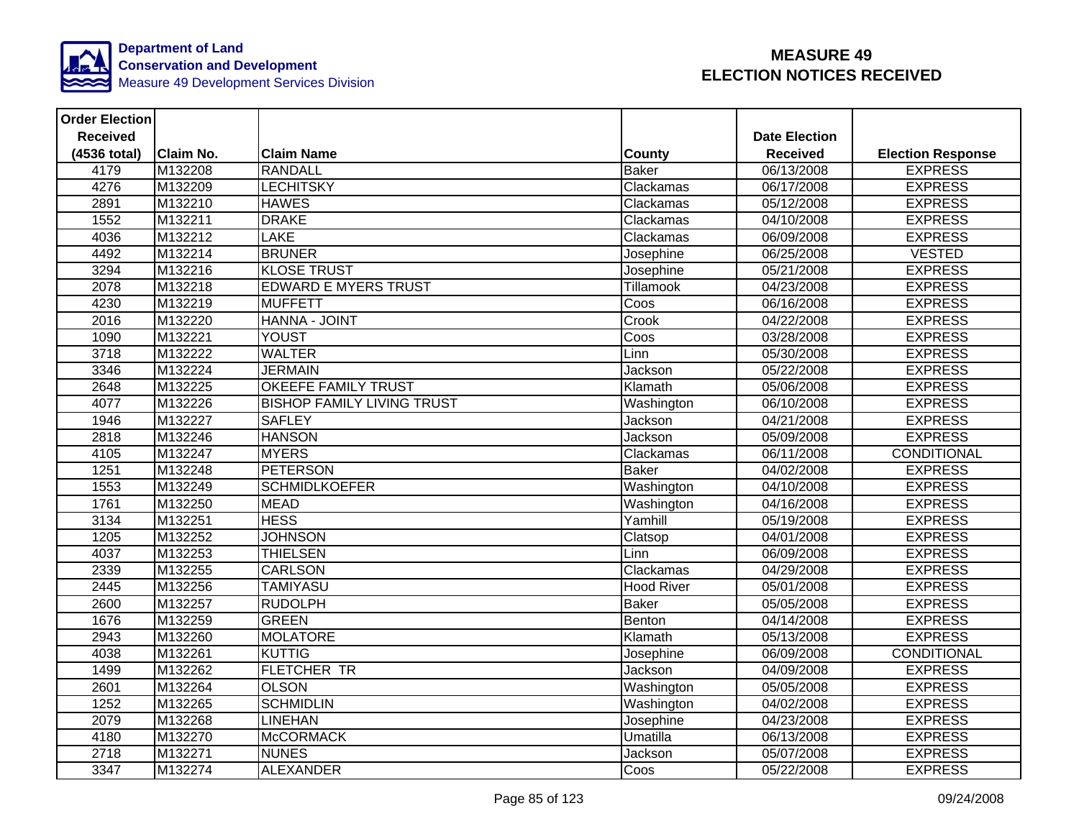

| <b>Order Election</b> |                  |                                   |                          |                      |                          |
|-----------------------|------------------|-----------------------------------|--------------------------|----------------------|--------------------------|
| <b>Received</b>       |                  |                                   |                          | <b>Date Election</b> |                          |
| (4536 total)          | <b>Claim No.</b> | <b>Claim Name</b>                 | County                   | <b>Received</b>      | <b>Election Response</b> |
| 4179                  | M132208          | <b>RANDALL</b>                    | <b>Baker</b>             | 06/13/2008           | <b>EXPRESS</b>           |
| 4276                  | M132209          | <b>LECHITSKY</b>                  | Clackamas                | 06/17/2008           | <b>EXPRESS</b>           |
| 2891                  | M132210          | <b>HAWES</b>                      | Clackamas                | 05/12/2008           | <b>EXPRESS</b>           |
| 1552                  | M132211          | <b>DRAKE</b>                      | Clackamas                | 04/10/2008           | <b>EXPRESS</b>           |
| 4036                  | M132212          | <b>LAKE</b>                       | Clackamas                | 06/09/2008           | <b>EXPRESS</b>           |
| 4492                  | M132214          | <b>BRUNER</b>                     | Josephine                | 06/25/2008           | <b>VESTED</b>            |
| 3294                  | M132216          | <b>KLOSE TRUST</b>                | Josephine                | 05/21/2008           | <b>EXPRESS</b>           |
| 2078                  | M132218          | <b>EDWARD E MYERS TRUST</b>       | <b>Tillamook</b>         | 04/23/2008           | <b>EXPRESS</b>           |
| 4230                  | M132219          | <b>MUFFETT</b>                    | Coos                     | 06/16/2008           | <b>EXPRESS</b>           |
| 2016                  | M132220          | HANNA - JOINT                     | Crook                    | 04/22/2008           | <b>EXPRESS</b>           |
| 1090                  | M132221          | YOUST                             | $\overline{\text{C}}$ os | 03/28/2008           | <b>EXPRESS</b>           |
| 3718                  | M132222          | <b>WALTER</b>                     | Linn                     | 05/30/2008           | <b>EXPRESS</b>           |
| 3346                  | M132224          | <b>JERMAIN</b>                    | Jackson                  | 05/22/2008           | <b>EXPRESS</b>           |
| 2648                  | M132225          | <b>OKEEFE FAMILY TRUST</b>        | Klamath                  | 05/06/2008           | <b>EXPRESS</b>           |
| 4077                  | M132226          | <b>BISHOP FAMILY LIVING TRUST</b> | Washington               | 06/10/2008           | <b>EXPRESS</b>           |
| 1946                  | M132227          | <b>SAFLEY</b>                     | Jackson                  | 04/21/2008           | <b>EXPRESS</b>           |
| 2818                  | M132246          | <b>HANSON</b>                     | Jackson                  | 05/09/2008           | <b>EXPRESS</b>           |
| 4105                  | M132247          | <b>MYERS</b>                      | Clackamas                | 06/11/2008           | <b>CONDITIONAL</b>       |
| 1251                  | M132248          | <b>PETERSON</b>                   | <b>Baker</b>             | 04/02/2008           | <b>EXPRESS</b>           |
| 1553                  | M132249          | <b>SCHMIDLKOEFER</b>              | Washington               | 04/10/2008           | <b>EXPRESS</b>           |
| 1761                  | M132250          | <b>MEAD</b>                       | Washington               | 04/16/2008           | <b>EXPRESS</b>           |
| 3134                  | M132251          | <b>HESS</b>                       | Yamhill                  | 05/19/2008           | <b>EXPRESS</b>           |
| 1205                  | M132252          | <b>JOHNSON</b>                    | Clatsop                  | 04/01/2008           | <b>EXPRESS</b>           |
| 4037                  | M132253          | <b>THIELSEN</b>                   | Linn                     | 06/09/2008           | <b>EXPRESS</b>           |
| 2339                  | M132255          | <b>CARLSON</b>                    | Clackamas                | 04/29/2008           | <b>EXPRESS</b>           |
| 2445                  | M132256          | <b>TAMIYASU</b>                   | <b>Hood River</b>        | 05/01/2008           | <b>EXPRESS</b>           |
| 2600                  | M132257          | <b>RUDOLPH</b>                    | <b>Baker</b>             | 05/05/2008           | <b>EXPRESS</b>           |
| 1676                  | M132259          | <b>GREEN</b>                      | Benton                   | 04/14/2008           | <b>EXPRESS</b>           |
| 2943                  | M132260          | <b>MOLATORE</b>                   | Klamath                  | 05/13/2008           | <b>EXPRESS</b>           |
| 4038                  | M132261          | <b>KUTTIG</b>                     | Josephine                | 06/09/2008           | <b>CONDITIONAL</b>       |
| 1499                  | M132262          | <b>FLETCHER TR</b>                | Jackson                  | 04/09/2008           | <b>EXPRESS</b>           |
| 2601                  | M132264          | <b>OLSON</b>                      | Washington               | 05/05/2008           | <b>EXPRESS</b>           |
| 1252                  | M132265          | <b>SCHMIDLIN</b>                  | Washington               | 04/02/2008           | <b>EXPRESS</b>           |
| 2079                  | M132268          | <b>LINEHAN</b>                    | Josephine                | 04/23/2008           | <b>EXPRESS</b>           |
| 4180                  | M132270          | <b>McCORMACK</b>                  | Umatilla                 | 06/13/2008           | <b>EXPRESS</b>           |
| 2718                  | M132271          | <b>NUNES</b>                      | Jackson                  | 05/07/2008           | <b>EXPRESS</b>           |
| 3347                  | M132274          | <b>ALEXANDER</b>                  | Coos                     | 05/22/2008           | <b>EXPRESS</b>           |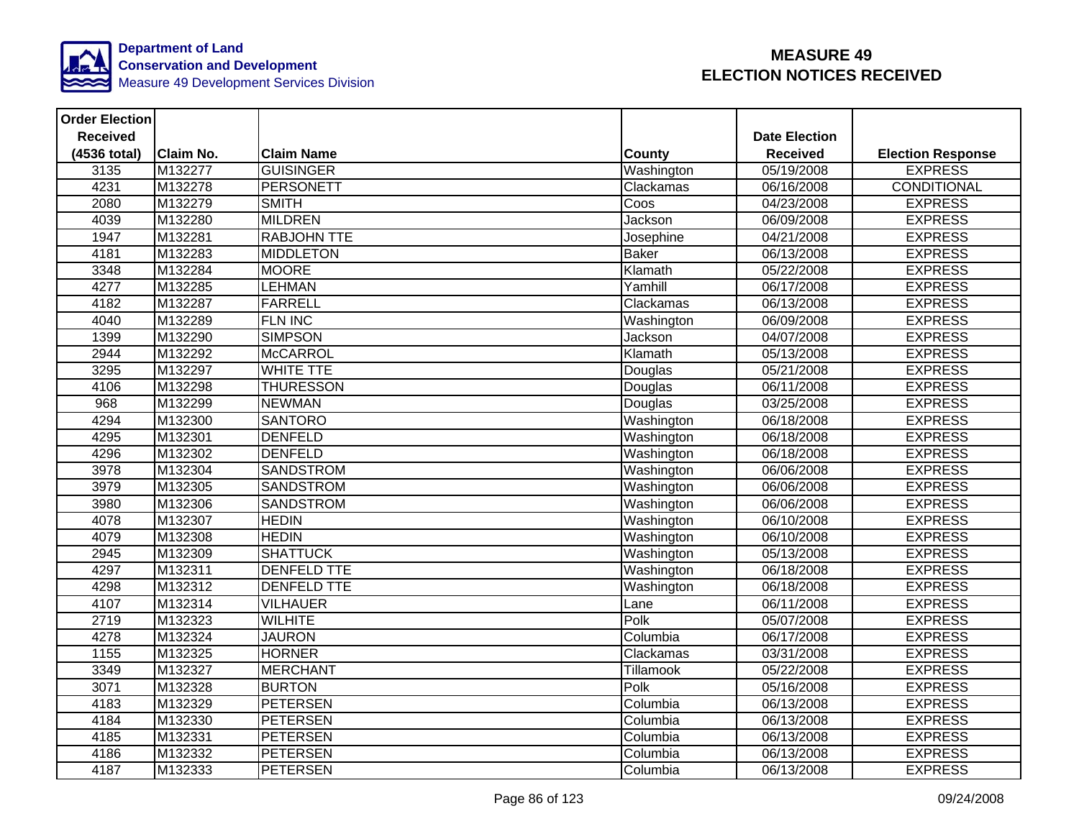

| <b>Order Election</b> |                  |                    |               |                      |                          |
|-----------------------|------------------|--------------------|---------------|----------------------|--------------------------|
| <b>Received</b>       |                  |                    |               | <b>Date Election</b> |                          |
| (4536 total)          | <b>Claim No.</b> | <b>Claim Name</b>  | <b>County</b> | <b>Received</b>      | <b>Election Response</b> |
| 3135                  | M132277          | <b>GUISINGER</b>   | Washington    | 05/19/2008           | <b>EXPRESS</b>           |
| 4231                  | M132278          | <b>PERSONETT</b>   | Clackamas     | 06/16/2008           | <b>CONDITIONAL</b>       |
| 2080                  | M132279          | <b>SMITH</b>       | Coos          | 04/23/2008           | <b>EXPRESS</b>           |
| 4039                  | M132280          | <b>MILDREN</b>     | Jackson       | 06/09/2008           | <b>EXPRESS</b>           |
| 1947                  | M132281          | <b>RABJOHN TTE</b> | Josephine     | 04/21/2008           | <b>EXPRESS</b>           |
| 4181                  | M132283          | <b>MIDDLETON</b>   | <b>Baker</b>  | 06/13/2008           | <b>EXPRESS</b>           |
| 3348                  | M132284          | <b>MOORE</b>       | Klamath       | 05/22/2008           | <b>EXPRESS</b>           |
| 4277                  | M132285          | <b>LEHMAN</b>      | Yamhill       | 06/17/2008           | <b>EXPRESS</b>           |
| 4182                  | M132287          | <b>FARRELL</b>     | Clackamas     | 06/13/2008           | <b>EXPRESS</b>           |
| 4040                  | M132289          | <b>FLN INC</b>     | Washington    | 06/09/2008           | <b>EXPRESS</b>           |
| 1399                  | M132290          | <b>SIMPSON</b>     | Jackson       | 04/07/2008           | <b>EXPRESS</b>           |
| 2944                  | M132292          | <b>McCARROL</b>    | Klamath       | 05/13/2008           | <b>EXPRESS</b>           |
| 3295                  | M132297          | <b>WHITE TTE</b>   | Douglas       | 05/21/2008           | <b>EXPRESS</b>           |
| 4106                  | M132298          | <b>THURESSON</b>   | Douglas       | 06/11/2008           | <b>EXPRESS</b>           |
| 968                   | M132299          | <b>NEWMAN</b>      | Douglas       | 03/25/2008           | <b>EXPRESS</b>           |
| 4294                  | M132300          | <b>SANTORO</b>     | Washington    | 06/18/2008           | <b>EXPRESS</b>           |
| 4295                  | M132301          | <b>DENFELD</b>     | Washington    | 06/18/2008           | <b>EXPRESS</b>           |
| 4296                  | M132302          | <b>DENFELD</b>     | Washington    | 06/18/2008           | <b>EXPRESS</b>           |
| 3978                  | M132304          | <b>SANDSTROM</b>   | Washington    | 06/06/2008           | <b>EXPRESS</b>           |
| 3979                  | M132305          | <b>SANDSTROM</b>   | Washington    | 06/06/2008           | <b>EXPRESS</b>           |
| 3980                  | M132306          | SANDSTROM          | Washington    | 06/06/2008           | <b>EXPRESS</b>           |
| 4078                  | M132307          | <b>HEDIN</b>       | Washington    | 06/10/2008           | <b>EXPRESS</b>           |
| 4079                  | M132308          | <b>HEDIN</b>       | Washington    | 06/10/2008           | <b>EXPRESS</b>           |
| 2945                  | M132309          | <b>SHATTUCK</b>    | Washington    | 05/13/2008           | <b>EXPRESS</b>           |
| 4297                  | M132311          | <b>DENFELD TTE</b> | Washington    | 06/18/2008           | <b>EXPRESS</b>           |
| 4298                  | M132312          | <b>DENFELD TTE</b> | Washington    | 06/18/2008           | <b>EXPRESS</b>           |
| 4107                  | M132314          | <b>VILHAUER</b>    | Lane          | 06/11/2008           | <b>EXPRESS</b>           |
| 2719                  | M132323          | <b>WILHITE</b>     | Polk          | 05/07/2008           | <b>EXPRESS</b>           |
| 4278                  | M132324          | <b>JAURON</b>      | Columbia      | 06/17/2008           | <b>EXPRESS</b>           |
| 1155                  | M132325          | <b>HORNER</b>      | Clackamas     | 03/31/2008           | <b>EXPRESS</b>           |
| 3349                  | M132327          | <b>MERCHANT</b>    | Tillamook     | 05/22/2008           | <b>EXPRESS</b>           |
| 3071                  | M132328          | <b>BURTON</b>      | Polk          | 05/16/2008           | <b>EXPRESS</b>           |
| 4183                  | M132329          | <b>PETERSEN</b>    | Columbia      | 06/13/2008           | <b>EXPRESS</b>           |
| 4184                  | M132330          | <b>PETERSEN</b>    | Columbia      | 06/13/2008           | <b>EXPRESS</b>           |
| 4185                  | M132331          | <b>PETERSEN</b>    | Columbia      | 06/13/2008           | <b>EXPRESS</b>           |
| 4186                  | M132332          | <b>PETERSEN</b>    | Columbia      | 06/13/2008           | <b>EXPRESS</b>           |
| 4187                  | M132333          | <b>PETERSEN</b>    | Columbia      | 06/13/2008           | <b>EXPRESS</b>           |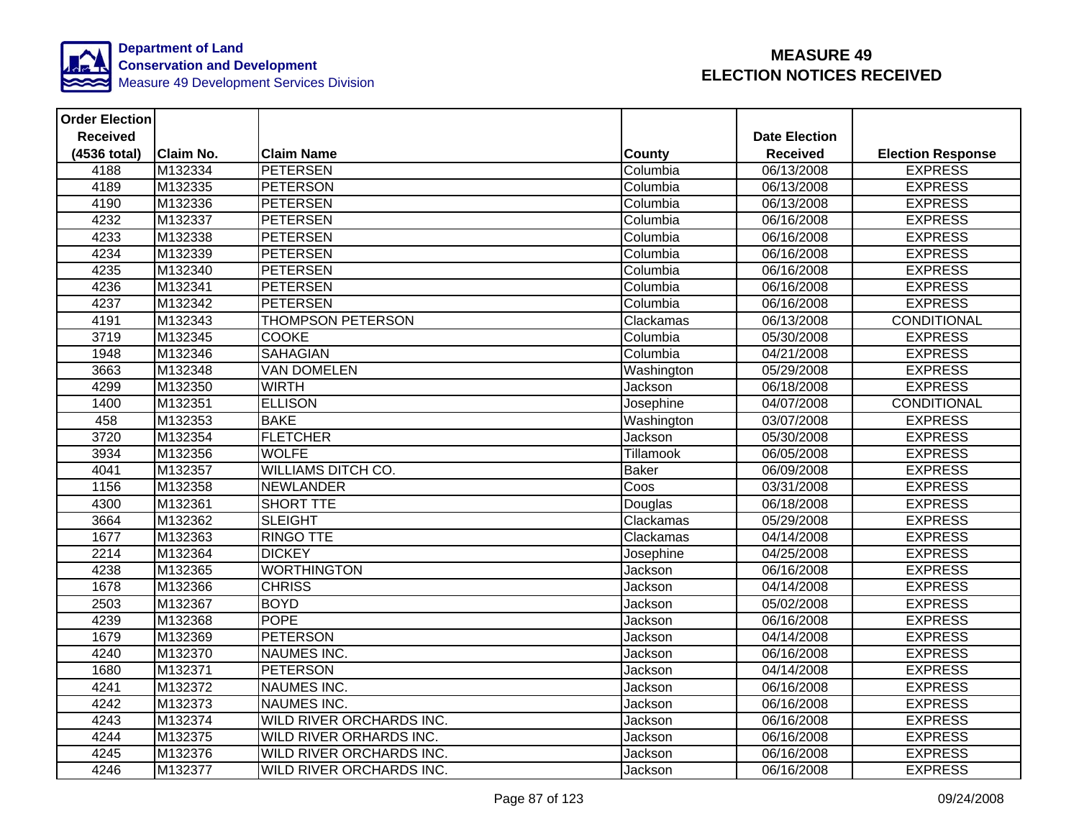

| <b>Order Election</b> |                  |                           |               |                      |                          |
|-----------------------|------------------|---------------------------|---------------|----------------------|--------------------------|
| <b>Received</b>       |                  |                           |               | <b>Date Election</b> |                          |
| (4536 total)          | <b>Claim No.</b> | <b>Claim Name</b>         | <b>County</b> | <b>Received</b>      | <b>Election Response</b> |
| 4188                  | M132334          | <b>PETERSEN</b>           | Columbia      | 06/13/2008           | <b>EXPRESS</b>           |
| 4189                  | M132335          | <b>PETERSON</b>           | Columbia      | 06/13/2008           | <b>EXPRESS</b>           |
| 4190                  | M132336          | <b>PETERSEN</b>           | Columbia      | 06/13/2008           | <b>EXPRESS</b>           |
| 4232                  | M132337          | <b>PETERSEN</b>           | Columbia      | 06/16/2008           | <b>EXPRESS</b>           |
| 4233                  | M132338          | <b>PETERSEN</b>           | Columbia      | 06/16/2008           | <b>EXPRESS</b>           |
| 4234                  | M132339          | <b>PETERSEN</b>           | Columbia      | 06/16/2008           | <b>EXPRESS</b>           |
| 4235                  | M132340          | <b>PETERSEN</b>           | Columbia      | 06/16/2008           | <b>EXPRESS</b>           |
| 4236                  | M132341          | <b>PETERSEN</b>           | Columbia      | 06/16/2008           | <b>EXPRESS</b>           |
| 4237                  | M132342          | <b>PETERSEN</b>           | Columbia      | 06/16/2008           | <b>EXPRESS</b>           |
| 4191                  | M132343          | <b>THOMPSON PETERSON</b>  | Clackamas     | 06/13/2008           | <b>CONDITIONAL</b>       |
| 3719                  | M132345          | <b>COOKE</b>              | Columbia      | 05/30/2008           | <b>EXPRESS</b>           |
| 1948                  | M132346          | <b>SAHAGIAN</b>           | Columbia      | 04/21/2008           | <b>EXPRESS</b>           |
| 3663                  | M132348          | <b>VAN DOMELEN</b>        | Washington    | 05/29/2008           | <b>EXPRESS</b>           |
| 4299                  | M132350          | <b>WIRTH</b>              | Jackson       | 06/18/2008           | <b>EXPRESS</b>           |
| 1400                  | M132351          | <b>ELLISON</b>            | Josephine     | 04/07/2008           | CONDITIONAL              |
| 458                   | M132353          | <b>BAKE</b>               | Washington    | 03/07/2008           | <b>EXPRESS</b>           |
| 3720                  | M132354          | <b>FLETCHER</b>           | Jackson       | 05/30/2008           | <b>EXPRESS</b>           |
| 3934                  | M132356          | <b>WOLFE</b>              | Tillamook     | 06/05/2008           | <b>EXPRESS</b>           |
| 4041                  | M132357          | <b>WILLIAMS DITCH CO.</b> | <b>Baker</b>  | 06/09/2008           | <b>EXPRESS</b>           |
| 1156                  | M132358          | <b>NEWLANDER</b>          | Coos          | 03/31/2008           | <b>EXPRESS</b>           |
| 4300                  | M132361          | <b>SHORT TTE</b>          | Douglas       | 06/18/2008           | <b>EXPRESS</b>           |
| 3664                  | M132362          | <b>SLEIGHT</b>            | Clackamas     | 05/29/2008           | <b>EXPRESS</b>           |
| 1677                  | M132363          | <b>RINGO TTE</b>          | Clackamas     | 04/14/2008           | <b>EXPRESS</b>           |
| 2214                  | M132364          | <b>DICKEY</b>             | Josephine     | 04/25/2008           | <b>EXPRESS</b>           |
| 4238                  | M132365          | <b>WORTHINGTON</b>        | Jackson       | 06/16/2008           | <b>EXPRESS</b>           |
| 1678                  | M132366          | <b>CHRISS</b>             | Jackson       | 04/14/2008           | <b>EXPRESS</b>           |
| 2503                  | M132367          | <b>BOYD</b>               | Jackson       | 05/02/2008           | <b>EXPRESS</b>           |
| 4239                  | M132368          | <b>POPE</b>               | Jackson       | 06/16/2008           | <b>EXPRESS</b>           |
| 1679                  | M132369          | <b>PETERSON</b>           | Jackson       | 04/14/2008           | <b>EXPRESS</b>           |
| 4240                  | M132370          | <b>NAUMES INC.</b>        | Jackson       | 06/16/2008           | <b>EXPRESS</b>           |
| 1680                  | M132371          | <b>PETERSON</b>           | Jackson       | 04/14/2008           | <b>EXPRESS</b>           |
| 4241                  | M132372          | <b>NAUMES INC.</b>        | Jackson       | 06/16/2008           | <b>EXPRESS</b>           |
| 4242                  | M132373          | <b>NAUMES INC.</b>        | Jackson       | 06/16/2008           | <b>EXPRESS</b>           |
| 4243                  | M132374          | WILD RIVER ORCHARDS INC.  | Jackson       | 06/16/2008           | <b>EXPRESS</b>           |
| 4244                  | M132375          | WILD RIVER ORHARDS INC.   | Jackson       | 06/16/2008           | <b>EXPRESS</b>           |
| 4245                  | M132376          | WILD RIVER ORCHARDS INC.  | Jackson       | 06/16/2008           | <b>EXPRESS</b>           |
| 4246                  | M132377          | WILD RIVER ORCHARDS INC.  | Jackson       | 06/16/2008           | <b>EXPRESS</b>           |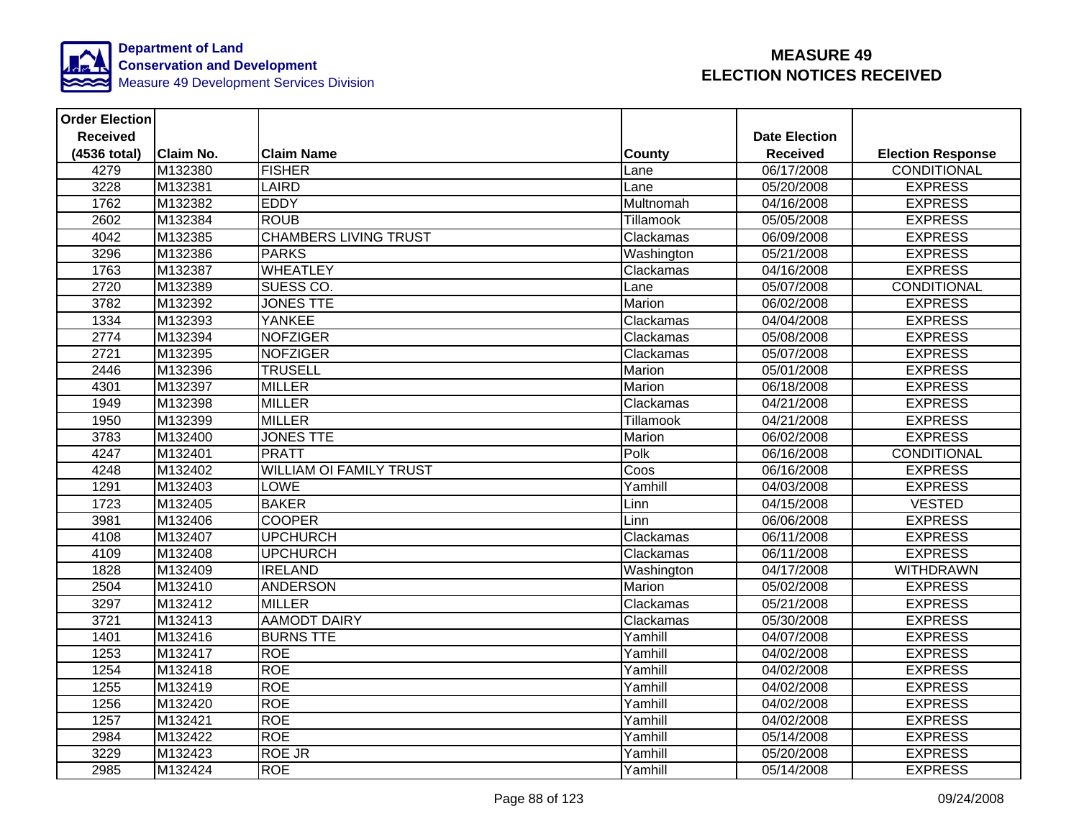

| <b>Order Election</b> |                  |                                |                  |                         |                          |
|-----------------------|------------------|--------------------------------|------------------|-------------------------|--------------------------|
| <b>Received</b>       |                  |                                |                  | <b>Date Election</b>    |                          |
| (4536 total)          | <b>Claim No.</b> | <b>Claim Name</b>              | County           | <b>Received</b>         | <b>Election Response</b> |
| 4279                  | M132380          | <b>FISHER</b>                  | Lane             | 06/17/2008              | CONDITIONAL              |
| 3228                  | M132381          | <b>LAIRD</b>                   | Lane             | 05/20/2008              | <b>EXPRESS</b>           |
| 1762                  | M132382          | <b>EDDY</b>                    | Multnomah        | 04/16/2008              | <b>EXPRESS</b>           |
| 2602                  | M132384          | <b>ROUB</b>                    | Tillamook        | 05/05/2008              | <b>EXPRESS</b>           |
| 4042                  | M132385          | <b>CHAMBERS LIVING TRUST</b>   | Clackamas        | 06/09/2008              | <b>EXPRESS</b>           |
| 3296                  | M132386          | <b>PARKS</b>                   | Washington       | 05/21/2008              | <b>EXPRESS</b>           |
| 1763                  | M132387          | <b>WHEATLEY</b>                | Clackamas        | 04/16/2008              | <b>EXPRESS</b>           |
| 2720                  | M132389          | SUESS CO.                      | Lane             | 05/07/2008              | <b>CONDITIONAL</b>       |
| 3782                  | M132392          | <b>JONES TTE</b>               | Marion           | 06/02/2008              | <b>EXPRESS</b>           |
| 1334                  | M132393          | <b>YANKEE</b>                  | Clackamas        | 04/04/2008              | <b>EXPRESS</b>           |
| 2774                  | M132394          | <b>NOFZIGER</b>                | Clackamas        | 05/08/2008              | <b>EXPRESS</b>           |
| 2721                  | M132395          | <b>NOFZIGER</b>                | Clackamas        | 05/07/2008              | <b>EXPRESS</b>           |
| 2446                  | M132396          | <b>TRUSELL</b>                 | Marion           | 05/01/2008              | <b>EXPRESS</b>           |
| 4301                  | M132397          | <b>MILLER</b>                  | Marion           | 06/18/2008              | <b>EXPRESS</b>           |
| 1949                  | M132398          | <b>MILLER</b>                  | Clackamas        | 04/21/2008              | <b>EXPRESS</b>           |
| 1950                  | M132399          | <b>MILLER</b>                  | <b>Tillamook</b> | $\overline{04/21}/2008$ | <b>EXPRESS</b>           |
| 3783                  | M132400          | <b>JONES TTE</b>               | Marion           | 06/02/2008              | <b>EXPRESS</b>           |
| 4247                  | M132401          | <b>PRATT</b>                   | Polk             | 06/16/2008              | <b>CONDITIONAL</b>       |
| 4248                  | M132402          | <b>WILLIAM OI FAMILY TRUST</b> | Coos             | 06/16/2008              | <b>EXPRESS</b>           |
| 1291                  | M132403          | <b>LOWE</b>                    | Yamhill          | 04/03/2008              | <b>EXPRESS</b>           |
| 1723                  | M132405          | <b>BAKER</b>                   | Linn             | 04/15/2008              | <b>VESTED</b>            |
| 3981                  | M132406          | <b>COOPER</b>                  | Linn             | 06/06/2008              | <b>EXPRESS</b>           |
| 4108                  | M132407          | <b>UPCHURCH</b>                | Clackamas        | 06/11/2008              | <b>EXPRESS</b>           |
| 4109                  | M132408          | <b>UPCHURCH</b>                | Clackamas        | 06/11/2008              | <b>EXPRESS</b>           |
| 1828                  | M132409          | <b>IRELAND</b>                 | Washington       | 04/17/2008              | <b>WITHDRAWN</b>         |
| 2504                  | M132410          | <b>ANDERSON</b>                | Marion           | 05/02/2008              | <b>EXPRESS</b>           |
| 3297                  | M132412          | <b>MILLER</b>                  | Clackamas        | 05/21/2008              | <b>EXPRESS</b>           |
| 3721                  | M132413          | <b>AAMODT DAIRY</b>            | Clackamas        | 05/30/2008              | <b>EXPRESS</b>           |
| 1401                  | M132416          | <b>BURNS TTE</b>               | Yamhill          | 04/07/2008              | <b>EXPRESS</b>           |
| 1253                  | M132417          | <b>ROE</b>                     | Yamhill          | 04/02/2008              | <b>EXPRESS</b>           |
| 1254                  | M132418          | <b>ROE</b>                     | Yamhill          | 04/02/2008              | <b>EXPRESS</b>           |
| 1255                  | M132419          | <b>ROE</b>                     | Yamhill          | 04/02/2008              | <b>EXPRESS</b>           |
| 1256                  | M132420          | <b>ROE</b>                     | Yamhill          | 04/02/2008              | <b>EXPRESS</b>           |
| 1257                  | M132421          | <b>ROE</b>                     | Yamhill          | 04/02/2008              | <b>EXPRESS</b>           |
| 2984                  | M132422          | <b>ROE</b>                     | Yamhill          | 05/14/2008              | <b>EXPRESS</b>           |
| 3229                  | M132423          | <b>ROE JR</b>                  | Yamhill          | 05/20/2008              | <b>EXPRESS</b>           |
| 2985                  | M132424          | <b>ROE</b>                     | Yamhill          | 05/14/2008              | <b>EXPRESS</b>           |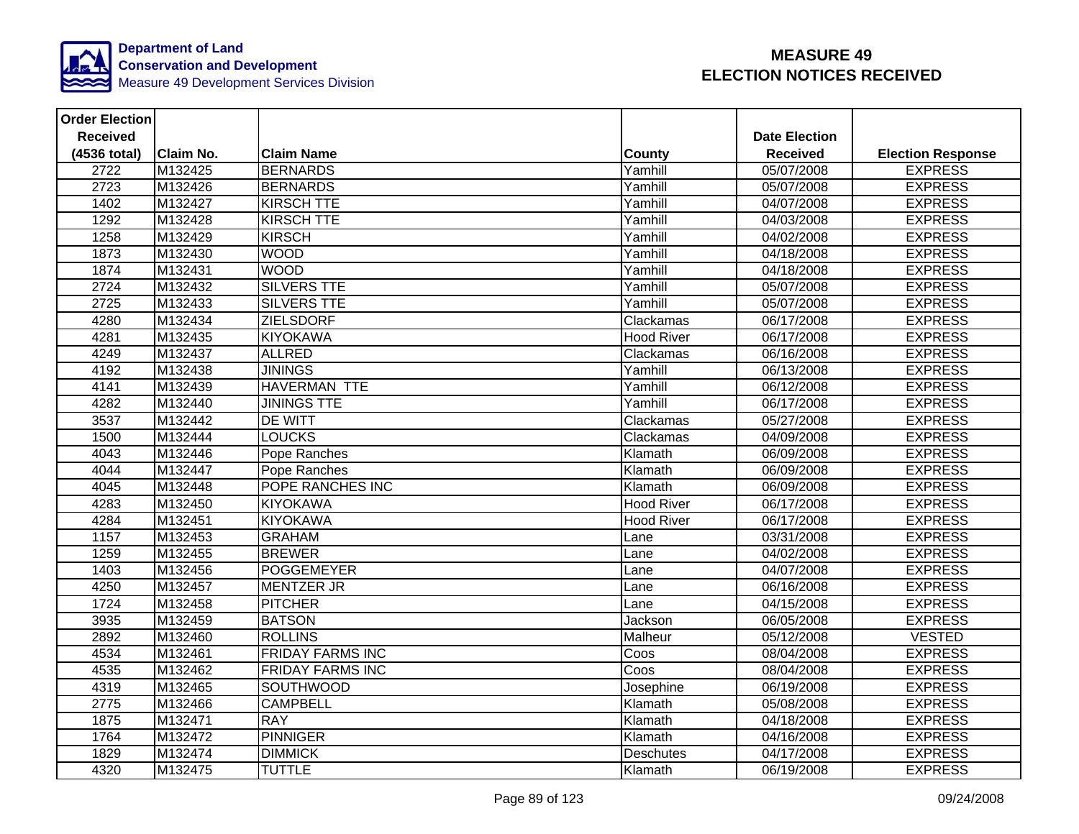

| <b>Order Election</b> |                  |                         |                   |                      |                          |
|-----------------------|------------------|-------------------------|-------------------|----------------------|--------------------------|
| <b>Received</b>       |                  |                         |                   | <b>Date Election</b> |                          |
| (4536 total)          | <b>Claim No.</b> | <b>Claim Name</b>       | County            | <b>Received</b>      | <b>Election Response</b> |
| 2722                  | M132425          | <b>BERNARDS</b>         | Yamhill           | 05/07/2008           | <b>EXPRESS</b>           |
| 2723                  | M132426          | <b>BERNARDS</b>         | Yamhill           | 05/07/2008           | <b>EXPRESS</b>           |
| 1402                  | M132427          | <b>KIRSCH TTE</b>       | Yamhill           | 04/07/2008           | <b>EXPRESS</b>           |
| 1292                  | M132428          | <b>KIRSCH TTE</b>       | Yamhill           | 04/03/2008           | <b>EXPRESS</b>           |
| 1258                  | M132429          | <b>KIRSCH</b>           | Yamhill           | $\sqrt{04/02}/2008$  | <b>EXPRESS</b>           |
| 1873                  | M132430          | <b>WOOD</b>             | Yamhill           | 04/18/2008           | <b>EXPRESS</b>           |
| 1874                  | M132431          | <b>WOOD</b>             | Yamhill           | 04/18/2008           | <b>EXPRESS</b>           |
| 2724                  | M132432          | <b>SILVERS TTE</b>      | Yamhill           | 05/07/2008           | <b>EXPRESS</b>           |
| 2725                  | M132433          | <b>SILVERS TTE</b>      | Yamhill           | 05/07/2008           | <b>EXPRESS</b>           |
| 4280                  | M132434          | <b>ZIELSDORF</b>        | Clackamas         | 06/17/2008           | <b>EXPRESS</b>           |
| 4281                  | M132435          | <b>KIYOKAWA</b>         | <b>Hood River</b> | 06/17/2008           | <b>EXPRESS</b>           |
| 4249                  | M132437          | <b>ALLRED</b>           | Clackamas         | 06/16/2008           | <b>EXPRESS</b>           |
| 4192                  | M132438          | <b>JININGS</b>          | Yamhill           | 06/13/2008           | <b>EXPRESS</b>           |
| 4141                  | M132439          | <b>HAVERMAN TTE</b>     | Yamhill           | 06/12/2008           | <b>EXPRESS</b>           |
| 4282                  | M132440          | <b>JININGS TTE</b>      | Yamhill           | 06/17/2008           | <b>EXPRESS</b>           |
| 3537                  | M132442          | <b>DE WITT</b>          | Clackamas         | 05/27/2008           | <b>EXPRESS</b>           |
| 1500                  | M132444          | <b>LOUCKS</b>           | Clackamas         | 04/09/2008           | <b>EXPRESS</b>           |
| 4043                  | M132446          | Pope Ranches            | Klamath           | 06/09/2008           | <b>EXPRESS</b>           |
| 4044                  | M132447          | Pope Ranches            | Klamath           | 06/09/2008           | <b>EXPRESS</b>           |
| 4045                  | M132448          | POPE RANCHES INC        | Klamath           | 06/09/2008           | <b>EXPRESS</b>           |
| 4283                  | M132450          | <b>KIYOKAWA</b>         | <b>Hood River</b> | 06/17/2008           | <b>EXPRESS</b>           |
| 4284                  | M132451          | <b>KIYOKAWA</b>         | <b>Hood River</b> | 06/17/2008           | <b>EXPRESS</b>           |
| 1157                  | M132453          | <b>GRAHAM</b>           | Lane              | 03/31/2008           | <b>EXPRESS</b>           |
| 1259                  | M132455          | <b>BREWER</b>           | Lane              | 04/02/2008           | <b>EXPRESS</b>           |
| 1403                  | M132456          | <b>POGGEMEYER</b>       | Lane              | 04/07/2008           | <b>EXPRESS</b>           |
| 4250                  | M132457          | <b>MENTZER JR</b>       | Lane              | 06/16/2008           | <b>EXPRESS</b>           |
| 1724                  | M132458          | <b>PITCHER</b>          | Lane              | 04/15/2008           | <b>EXPRESS</b>           |
| 3935                  | M132459          | <b>BATSON</b>           | Jackson           | 06/05/2008           | <b>EXPRESS</b>           |
| 2892                  | M132460          | <b>ROLLINS</b>          | Malheur           | 05/12/2008           | <b>VESTED</b>            |
| 4534                  | M132461          | <b>FRIDAY FARMS INC</b> | Coos              | 08/04/2008           | <b>EXPRESS</b>           |
| 4535                  | M132462          | <b>FRIDAY FARMS INC</b> | Coos              | 08/04/2008           | <b>EXPRESS</b>           |
| 4319                  | M132465          | <b>SOUTHWOOD</b>        | Josephine         | 06/19/2008           | <b>EXPRESS</b>           |
| 2775                  | M132466          | <b>CAMPBELL</b>         | Klamath           | 05/08/2008           | <b>EXPRESS</b>           |
| 1875                  | M132471          | <b>RAY</b>              | Klamath           | 04/18/2008           | <b>EXPRESS</b>           |
| 1764                  | M132472          | PINNIGER                | Klamath           | 04/16/2008           | <b>EXPRESS</b>           |
| 1829                  | M132474          | <b>DIMMICK</b>          | Deschutes         | 04/17/2008           | <b>EXPRESS</b>           |
| 4320                  | M132475          | <b>TUTTLE</b>           | Klamath           | 06/19/2008           | <b>EXPRESS</b>           |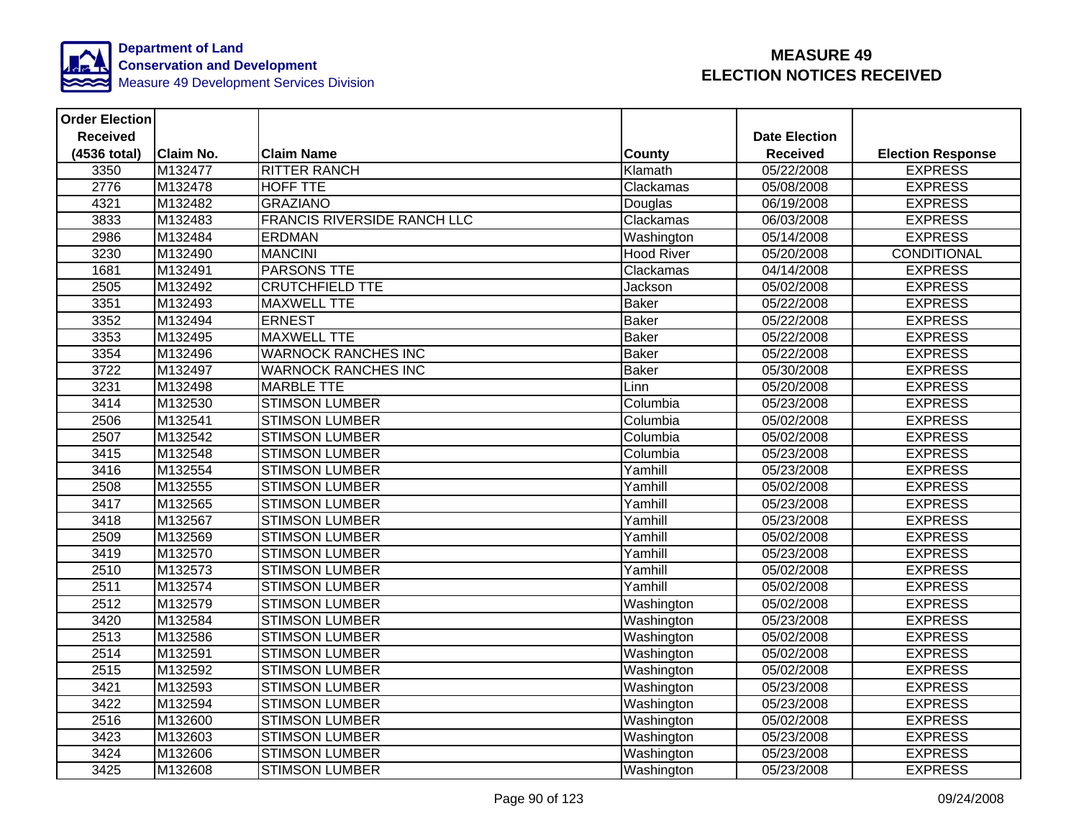

| <b>Order Election</b> |                  |                                    |                   |                      |                          |
|-----------------------|------------------|------------------------------------|-------------------|----------------------|--------------------------|
| <b>Received</b>       |                  |                                    |                   | <b>Date Election</b> |                          |
| (4536 total)          | <b>Claim No.</b> | <b>Claim Name</b>                  | County            | <b>Received</b>      | <b>Election Response</b> |
| 3350                  | M132477          | <b>RITTER RANCH</b>                | Klamath           | 05/22/2008           | <b>EXPRESS</b>           |
| 2776                  | M132478          | <b>HOFF TTE</b>                    | Clackamas         | 05/08/2008           | <b>EXPRESS</b>           |
| 4321                  | M132482          | <b>GRAZIANO</b>                    | Douglas           | 06/19/2008           | <b>EXPRESS</b>           |
| 3833                  | M132483          | <b>FRANCIS RIVERSIDE RANCH LLC</b> | Clackamas         | 06/03/2008           | <b>EXPRESS</b>           |
| 2986                  | M132484          | <b>ERDMAN</b>                      | Washington        | 05/14/2008           | <b>EXPRESS</b>           |
| 3230                  | M132490          | <b>MANCINI</b>                     | <b>Hood River</b> | 05/20/2008           | CONDITIONAL              |
| 1681                  | M132491          | <b>PARSONS TTE</b>                 | Clackamas         | 04/14/2008           | <b>EXPRESS</b>           |
| 2505                  | M132492          | <b>CRUTCHFIELD TTE</b>             | Jackson           | 05/02/2008           | <b>EXPRESS</b>           |
| 3351                  | M132493          | <b>MAXWELL TTE</b>                 | <b>Baker</b>      | 05/22/2008           | <b>EXPRESS</b>           |
| 3352                  | M132494          | <b>ERNEST</b>                      | <b>Baker</b>      | 05/22/2008           | <b>EXPRESS</b>           |
| 3353                  | M132495          | <b>MAXWELL TTE</b>                 | <b>Baker</b>      | 05/22/2008           | <b>EXPRESS</b>           |
| 3354                  | M132496          | <b>WARNOCK RANCHES INC</b>         | <b>Baker</b>      | 05/22/2008           | <b>EXPRESS</b>           |
| 3722                  | M132497          | <b>WARNOCK RANCHES INC</b>         | <b>Baker</b>      | 05/30/2008           | <b>EXPRESS</b>           |
| 3231                  | M132498          | <b>MARBLE TTE</b>                  | Linn              | 05/20/2008           | <b>EXPRESS</b>           |
| 3414                  | M132530          | <b>STIMSON LUMBER</b>              | Columbia          | 05/23/2008           | <b>EXPRESS</b>           |
| 2506                  | M132541          | <b>STIMSON LUMBER</b>              | Columbia          | 05/02/2008           | <b>EXPRESS</b>           |
| 2507                  | M132542          | <b>STIMSON LUMBER</b>              | Columbia          | 05/02/2008           | <b>EXPRESS</b>           |
| 3415                  | M132548          | <b>STIMSON LUMBER</b>              | Columbia          | 05/23/2008           | <b>EXPRESS</b>           |
| 3416                  | M132554          | <b>STIMSON LUMBER</b>              | Yamhill           | 05/23/2008           | <b>EXPRESS</b>           |
| 2508                  | M132555          | <b>STIMSON LUMBER</b>              | Yamhill           | 05/02/2008           | <b>EXPRESS</b>           |
| 3417                  | M132565          | <b>STIMSON LUMBER</b>              | Yamhill           | 05/23/2008           | <b>EXPRESS</b>           |
| 3418                  | M132567          | <b>STIMSON LUMBER</b>              | Yamhill           | 05/23/2008           | <b>EXPRESS</b>           |
| 2509                  | M132569          | <b>STIMSON LUMBER</b>              | Yamhill           | 05/02/2008           | <b>EXPRESS</b>           |
| 3419                  | M132570          | <b>STIMSON LUMBER</b>              | Yamhill           | 05/23/2008           | <b>EXPRESS</b>           |
| 2510                  | M132573          | <b>STIMSON LUMBER</b>              | Yamhill           | 05/02/2008           | <b>EXPRESS</b>           |
| 2511                  | M132574          | <b>STIMSON LUMBER</b>              | Yamhill           | 05/02/2008           | <b>EXPRESS</b>           |
| 2512                  | M132579          | <b>STIMSON LUMBER</b>              | Washington        | 05/02/2008           | <b>EXPRESS</b>           |
| 3420                  | M132584          | <b>STIMSON LUMBER</b>              | Washington        | 05/23/2008           | <b>EXPRESS</b>           |
| 2513                  | M132586          | <b>STIMSON LUMBER</b>              | Washington        | 05/02/2008           | <b>EXPRESS</b>           |
| 2514                  | M132591          | <b>STIMSON LUMBER</b>              | Washington        | 05/02/2008           | <b>EXPRESS</b>           |
| 2515                  | M132592          | <b>STIMSON LUMBER</b>              | Washington        | 05/02/2008           | <b>EXPRESS</b>           |
| 3421                  | M132593          | <b>STIMSON LUMBER</b>              | Washington        | 05/23/2008           | <b>EXPRESS</b>           |
| 3422                  | M132594          | <b>STIMSON LUMBER</b>              | Washington        | 05/23/2008           | <b>EXPRESS</b>           |
| 2516                  | M132600          | <b>STIMSON LUMBER</b>              | Washington        | 05/02/2008           | <b>EXPRESS</b>           |
| 3423                  | M132603          | <b>STIMSON LUMBER</b>              | Washington        | 05/23/2008           | <b>EXPRESS</b>           |
| 3424                  | M132606          | <b>STIMSON LUMBER</b>              | Washington        | 05/23/2008           | <b>EXPRESS</b>           |
| 3425                  | M132608          | <b>STIMSON LUMBER</b>              | Washington        | 05/23/2008           | <b>EXPRESS</b>           |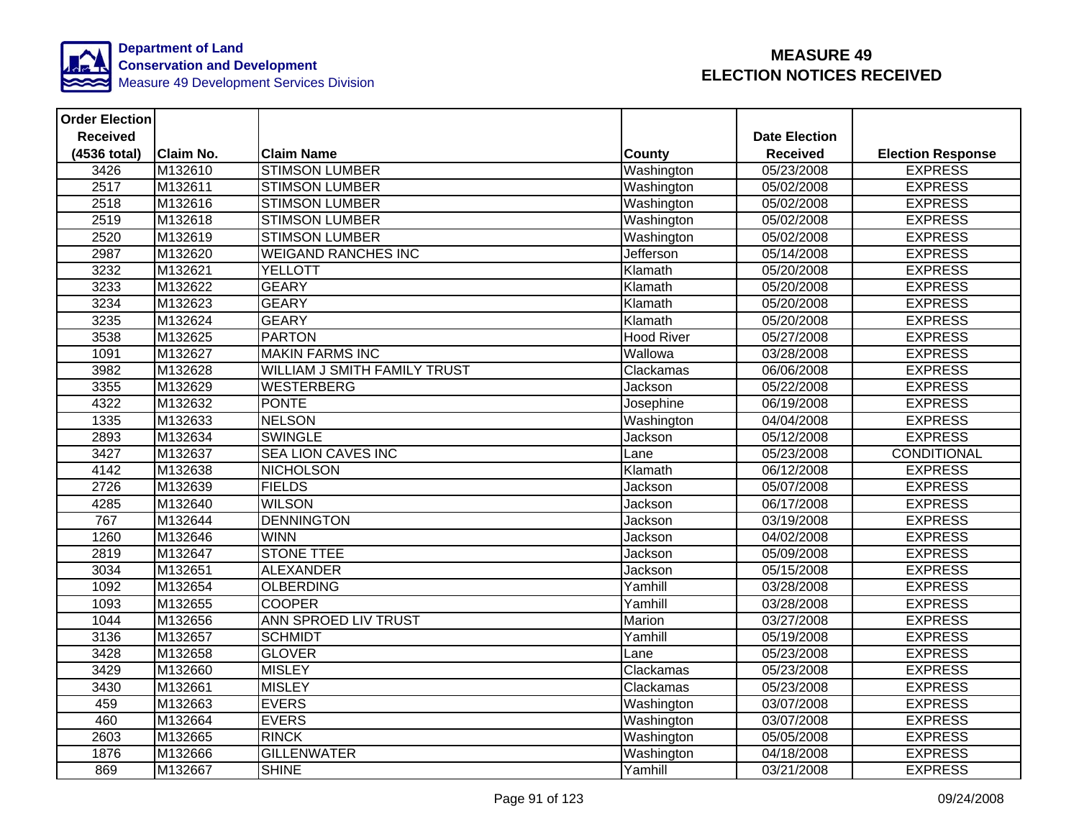

| <b>Order Election</b> |                  |                                     |                   |                      |                          |
|-----------------------|------------------|-------------------------------------|-------------------|----------------------|--------------------------|
| <b>Received</b>       |                  |                                     |                   | <b>Date Election</b> |                          |
| (4536 total)          | <b>Claim No.</b> | <b>Claim Name</b>                   | <b>County</b>     | <b>Received</b>      | <b>Election Response</b> |
| 3426                  | M132610          | <b>STIMSON LUMBER</b>               | Washington        | 05/23/2008           | <b>EXPRESS</b>           |
| 2517                  | M132611          | <b>STIMSON LUMBER</b>               | Washington        | 05/02/2008           | <b>EXPRESS</b>           |
| 2518                  | M132616          | <b>STIMSON LUMBER</b>               | Washington        | 05/02/2008           | <b>EXPRESS</b>           |
| 2519                  | M132618          | <b>STIMSON LUMBER</b>               | Washington        | 05/02/2008           | <b>EXPRESS</b>           |
| 2520                  | M132619          | <b>STIMSON LUMBER</b>               | Washington        | 05/02/2008           | <b>EXPRESS</b>           |
| 2987                  | M132620          | <b>WEIGAND RANCHES INC</b>          | Jefferson         | 05/14/2008           | <b>EXPRESS</b>           |
| 3232                  | M132621          | <b>YELLOTT</b>                      | Klamath           | 05/20/2008           | <b>EXPRESS</b>           |
| 3233                  | M132622          | <b>GEARY</b>                        | Klamath           | 05/20/2008           | <b>EXPRESS</b>           |
| 3234                  | M132623          | <b>GEARY</b>                        | Klamath           | 05/20/2008           | <b>EXPRESS</b>           |
| 3235                  | M132624          | <b>GEARY</b>                        | Klamath           | 05/20/2008           | <b>EXPRESS</b>           |
| 3538                  | M132625          | <b>PARTON</b>                       | <b>Hood River</b> | 05/27/2008           | <b>EXPRESS</b>           |
| 1091                  | M132627          | <b>MAKIN FARMS INC</b>              | Wallowa           | 03/28/2008           | <b>EXPRESS</b>           |
| 3982                  | M132628          | <b>WILLIAM J SMITH FAMILY TRUST</b> | Clackamas         | 06/06/2008           | <b>EXPRESS</b>           |
| 3355                  | M132629          | <b>WESTERBERG</b>                   | Jackson           | 05/22/2008           | <b>EXPRESS</b>           |
| 4322                  | M132632          | <b>PONTE</b>                        | Josephine         | 06/19/2008           | <b>EXPRESS</b>           |
| 1335                  | M132633          | <b>NELSON</b>                       | Washington        | 04/04/2008           | <b>EXPRESS</b>           |
| 2893                  | M132634          | <b>SWINGLE</b>                      | Jackson           | 05/12/2008           | <b>EXPRESS</b>           |
| 3427                  | M132637          | <b>SEA LION CAVES INC</b>           | Lane              | 05/23/2008           | <b>CONDITIONAL</b>       |
| 4142                  | M132638          | <b>NICHOLSON</b>                    | Klamath           | 06/12/2008           | <b>EXPRESS</b>           |
| 2726                  | M132639          | <b>FIELDS</b>                       | Jackson           | 05/07/2008           | <b>EXPRESS</b>           |
| 4285                  | M132640          | <b>WILSON</b>                       | Jackson           | 06/17/2008           | <b>EXPRESS</b>           |
| 767                   | M132644          | <b>DENNINGTON</b>                   | Jackson           | 03/19/2008           | <b>EXPRESS</b>           |
| 1260                  | M132646          | <b>WINN</b>                         | Jackson           | 04/02/2008           | <b>EXPRESS</b>           |
| 2819                  | M132647          | <b>STONE TTEE</b>                   | Jackson           | 05/09/2008           | <b>EXPRESS</b>           |
| 3034                  | M132651          | <b>ALEXANDER</b>                    | Jackson           | 05/15/2008           | <b>EXPRESS</b>           |
| 1092                  | M132654          | <b>OLBERDING</b>                    | Yamhill           | 03/28/2008           | <b>EXPRESS</b>           |
| 1093                  | M132655          | <b>COOPER</b>                       | Yamhill           | 03/28/2008           | <b>EXPRESS</b>           |
| 1044                  | M132656          | <b>ANN SPROED LIV TRUST</b>         | Marion            | 03/27/2008           | <b>EXPRESS</b>           |
| 3136                  | M132657          | <b>SCHMIDT</b>                      | Yamhill           | 05/19/2008           | <b>EXPRESS</b>           |
| 3428                  | M132658          | <b>GLOVER</b>                       | Lane              | 05/23/2008           | <b>EXPRESS</b>           |
| 3429                  | M132660          | <b>MISLEY</b>                       | Clackamas         | 05/23/2008           | <b>EXPRESS</b>           |
| 3430                  | M132661          | <b>MISLEY</b>                       | Clackamas         | 05/23/2008           | <b>EXPRESS</b>           |
| 459                   | M132663          | <b>EVERS</b>                        | Washington        | 03/07/2008           | <b>EXPRESS</b>           |
| 460                   | M132664          | <b>EVERS</b>                        | Washington        | 03/07/2008           | <b>EXPRESS</b>           |
| 2603                  | M132665          | <b>RINCK</b>                        | Washington        | 05/05/2008           | <b>EXPRESS</b>           |
| 1876                  | M132666          | <b>GILLENWATER</b>                  | Washington        | 04/18/2008           | <b>EXPRESS</b>           |
| 869                   | M132667          | <b>SHINE</b>                        | Yamhill           | 03/21/2008           | <b>EXPRESS</b>           |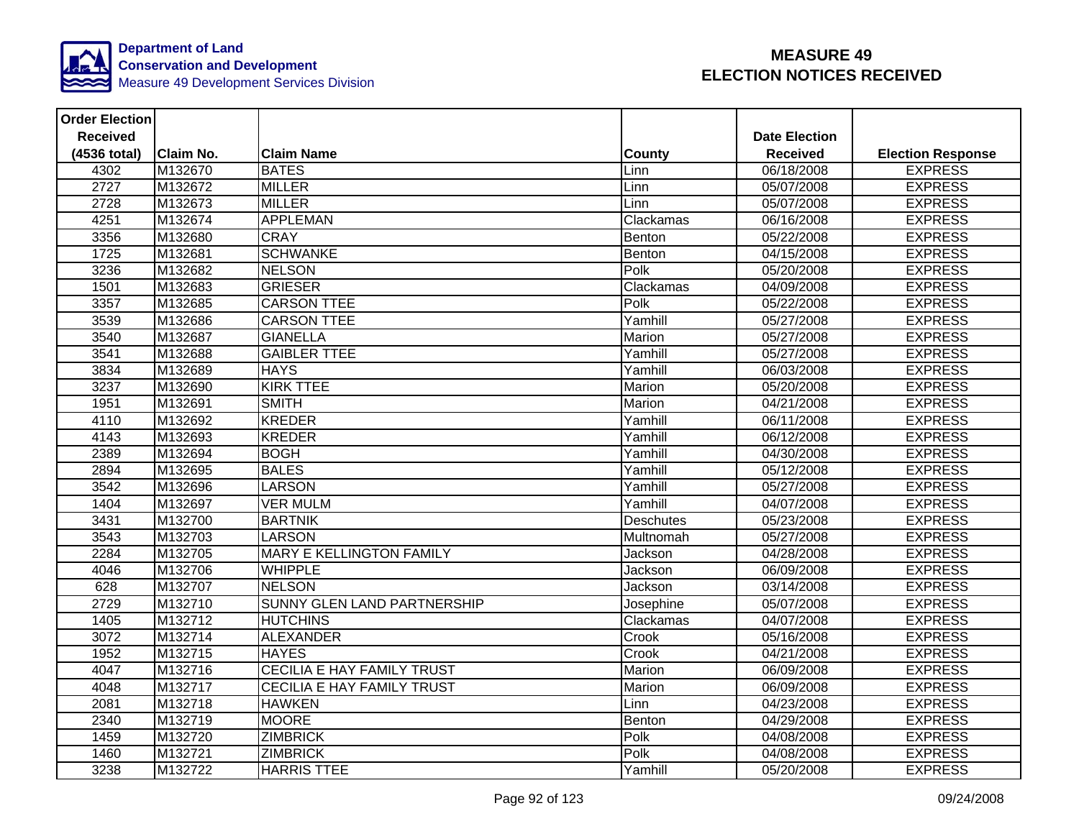

| <b>Order Election</b> |                  |                                    |                  |                      |                          |
|-----------------------|------------------|------------------------------------|------------------|----------------------|--------------------------|
| <b>Received</b>       |                  |                                    |                  | <b>Date Election</b> |                          |
| (4536 total)          | <b>Claim No.</b> | <b>Claim Name</b>                  | County           | <b>Received</b>      | <b>Election Response</b> |
| 4302                  | M132670          | <b>BATES</b>                       | Linn             | 06/18/2008           | <b>EXPRESS</b>           |
| 2727                  | M132672          | <b>MILLER</b>                      | Linn             | 05/07/2008           | <b>EXPRESS</b>           |
| 2728                  | M132673          | <b>MILLER</b>                      | Linn             | 05/07/2008           | <b>EXPRESS</b>           |
| 4251                  | M132674          | <b>APPLEMAN</b>                    | Clackamas        | 06/16/2008           | <b>EXPRESS</b>           |
| 3356                  | M132680          | <b>CRAY</b>                        | Benton           | 05/22/2008           | <b>EXPRESS</b>           |
| 1725                  | M132681          | <b>SCHWANKE</b>                    | Benton           | 04/15/2008           | <b>EXPRESS</b>           |
| 3236                  | M132682          | <b>NELSON</b>                      | Polk             | 05/20/2008           | <b>EXPRESS</b>           |
| 1501                  | M132683          | <b>GRIESER</b>                     | Clackamas        | 04/09/2008           | <b>EXPRESS</b>           |
| 3357                  | M132685          | <b>CARSON TTEE</b>                 | Polk             | 05/22/2008           | <b>EXPRESS</b>           |
| 3539                  | M132686          | <b>CARSON TTEE</b>                 | Yamhill          | 05/27/2008           | <b>EXPRESS</b>           |
| 3540                  | M132687          | <b>GIANELLA</b>                    | Marion           | 05/27/2008           | <b>EXPRESS</b>           |
| 3541                  | M132688          | <b>GAIBLER TTEE</b>                | Yamhill          | 05/27/2008           | <b>EXPRESS</b>           |
| 3834                  | M132689          | <b>HAYS</b>                        | Yamhill          | 06/03/2008           | <b>EXPRESS</b>           |
| 3237                  | M132690          | <b>KIRK TTEE</b>                   | Marion           | 05/20/2008           | <b>EXPRESS</b>           |
| 1951                  | M132691          | <b>SMITH</b>                       | Marion           | 04/21/2008           | <b>EXPRESS</b>           |
| 4110                  | M132692          | <b>KREDER</b>                      | Yamhill          | 06/11/2008           | <b>EXPRESS</b>           |
| 4143                  | M132693          | <b>KREDER</b>                      | Yamhill          | 06/12/2008           | <b>EXPRESS</b>           |
| 2389                  | M132694          | <b>BOGH</b>                        | Yamhill          | 04/30/2008           | <b>EXPRESS</b>           |
| 2894                  | M132695          | <b>BALES</b>                       | Yamhill          | 05/12/2008           | <b>EXPRESS</b>           |
| 3542                  | M132696          | <b>LARSON</b>                      | Yamhill          | 05/27/2008           | <b>EXPRESS</b>           |
| 1404                  | M132697          | <b>VER MULM</b>                    | Yamhill          | 04/07/2008           | <b>EXPRESS</b>           |
| 3431                  | M132700          | <b>BARTNIK</b>                     | <b>Deschutes</b> | 05/23/2008           | <b>EXPRESS</b>           |
| 3543                  | M132703          | <b>LARSON</b>                      | Multnomah        | 05/27/2008           | <b>EXPRESS</b>           |
| 2284                  | M132705          | <b>MARY E KELLINGTON FAMILY</b>    | Jackson          | 04/28/2008           | <b>EXPRESS</b>           |
| 4046                  | M132706          | <b>WHIPPLE</b>                     | Jackson          | 06/09/2008           | <b>EXPRESS</b>           |
| 628                   | M132707          | <b>NELSON</b>                      | Jackson          | 03/14/2008           | <b>EXPRESS</b>           |
| 2729                  | M132710          | <b>SUNNY GLEN LAND PARTNERSHIP</b> | Josephine        | 05/07/2008           | <b>EXPRESS</b>           |
| 1405                  | M132712          | <b>HUTCHINS</b>                    | Clackamas        | 04/07/2008           | <b>EXPRESS</b>           |
| 3072                  | M132714          | <b>ALEXANDER</b>                   | Crook            | 05/16/2008           | <b>EXPRESS</b>           |
| 1952                  | M132715          | <b>HAYES</b>                       | Crook            | 04/21/2008           | <b>EXPRESS</b>           |
| 4047                  | M132716          | CECILIA E HAY FAMILY TRUST         | Marion           | 06/09/2008           | <b>EXPRESS</b>           |
| 4048                  | M132717          | CECILIA E HAY FAMILY TRUST         | Marion           | 06/09/2008           | <b>EXPRESS</b>           |
| 2081                  | M132718          | <b>HAWKEN</b>                      | Linn             | 04/23/2008           | <b>EXPRESS</b>           |
| 2340                  | M132719          | <b>MOORE</b>                       | Benton           | 04/29/2008           | <b>EXPRESS</b>           |
| 1459                  | M132720          | <b>ZIMBRICK</b>                    | Polk             | 04/08/2008           | <b>EXPRESS</b>           |
| 1460                  | M132721          | <b>ZIMBRICK</b>                    | Polk             | 04/08/2008           | <b>EXPRESS</b>           |
| 3238                  | M132722          | <b>HARRIS TTEE</b>                 | Yamhill          | 05/20/2008           | <b>EXPRESS</b>           |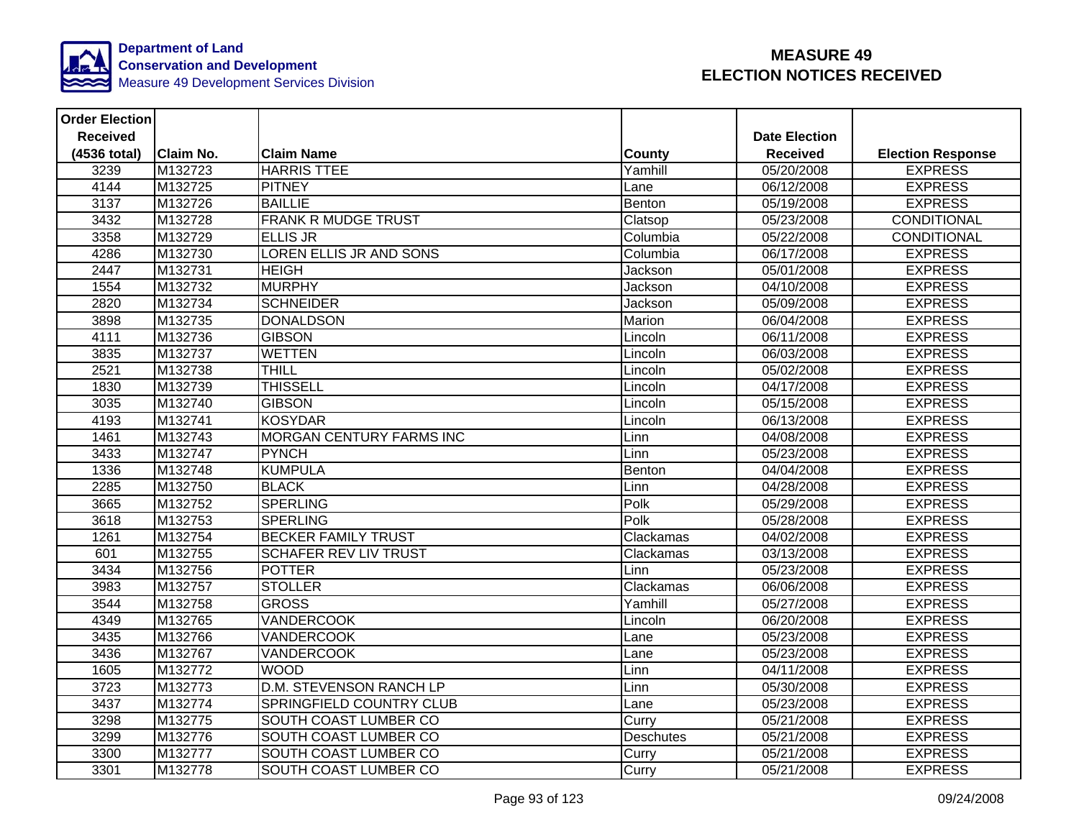

| <b>Order Election</b> |                  |                                 |               |                      |                          |
|-----------------------|------------------|---------------------------------|---------------|----------------------|--------------------------|
| <b>Received</b>       |                  |                                 |               | <b>Date Election</b> |                          |
| (4536 total)          | <b>Claim No.</b> | <b>Claim Name</b>               | <b>County</b> | <b>Received</b>      | <b>Election Response</b> |
| 3239                  | M132723          | <b>HARRIS TTEE</b>              | Yamhill       | 05/20/2008           | <b>EXPRESS</b>           |
| 4144                  | M132725          | <b>PITNEY</b>                   | Lane          | 06/12/2008           | <b>EXPRESS</b>           |
| 3137                  | M132726          | <b>BAILLIE</b>                  | Benton        | 05/19/2008           | <b>EXPRESS</b>           |
| 3432                  | M132728          | <b>FRANK R MUDGE TRUST</b>      | Clatsop       | 05/23/2008           | CONDITIONAL              |
| 3358                  | M132729          | <b>ELLIS JR</b>                 | Columbia      | 05/22/2008           | <b>CONDITIONAL</b>       |
| 4286                  | M132730          | LOREN ELLIS JR AND SONS         | Columbia      | 06/17/2008           | <b>EXPRESS</b>           |
| 2447                  | M132731          | <b>HEIGH</b>                    | Jackson       | 05/01/2008           | <b>EXPRESS</b>           |
| 1554                  | M132732          | <b>MURPHY</b>                   | Jackson       | 04/10/2008           | <b>EXPRESS</b>           |
| 2820                  | M132734          | <b>SCHNEIDER</b>                | Jackson       | 05/09/2008           | <b>EXPRESS</b>           |
| 3898                  | M132735          | <b>DONALDSON</b>                | Marion        | 06/04/2008           | <b>EXPRESS</b>           |
| 4111                  | M132736          | <b>GIBSON</b>                   | Lincoln       | 06/11/2008           | <b>EXPRESS</b>           |
| 3835                  | M132737          | <b>WETTEN</b>                   | Lincoln       | 06/03/2008           | <b>EXPRESS</b>           |
| 2521                  | M132738          | <b>THILL</b>                    | Lincoln       | 05/02/2008           | <b>EXPRESS</b>           |
| 1830                  | M132739          | <b>THISSELL</b>                 | Lincoln       | 04/17/2008           | <b>EXPRESS</b>           |
| 3035                  | M132740          | <b>GIBSON</b>                   | Lincoln       | 05/15/2008           | <b>EXPRESS</b>           |
| 4193                  | M132741          | <b>KOSYDAR</b>                  | Lincoln       | 06/13/2008           | <b>EXPRESS</b>           |
| 1461                  | M132743          | <b>MORGAN CENTURY FARMS INC</b> | Linn          | 04/08/2008           | <b>EXPRESS</b>           |
| 3433                  | M132747          | <b>PYNCH</b>                    | Linn          | 05/23/2008           | <b>EXPRESS</b>           |
| 1336                  | M132748          | <b>KUMPULA</b>                  | Benton        | 04/04/2008           | <b>EXPRESS</b>           |
| 2285                  | M132750          | <b>BLACK</b>                    | Linn          | 04/28/2008           | <b>EXPRESS</b>           |
| 3665                  | M132752          | <b>SPERLING</b>                 | Polk          | 05/29/2008           | <b>EXPRESS</b>           |
| 3618                  | M132753          | <b>SPERLING</b>                 | Polk          | 05/28/2008           | <b>EXPRESS</b>           |
| 1261                  | M132754          | <b>BECKER FAMILY TRUST</b>      | Clackamas     | 04/02/2008           | <b>EXPRESS</b>           |
| 601                   | M132755          | <b>SCHAFER REV LIV TRUST</b>    | Clackamas     | 03/13/2008           | <b>EXPRESS</b>           |
| 3434                  | M132756          | <b>POTTER</b>                   | Linn          | 05/23/2008           | <b>EXPRESS</b>           |
| 3983                  | M132757          | <b>STOLLER</b>                  | Clackamas     | 06/06/2008           | <b>EXPRESS</b>           |
| 3544                  | M132758          | <b>GROSS</b>                    | Yamhill       | 05/27/2008           | <b>EXPRESS</b>           |
| 4349                  | M132765          | <b>VANDERCOOK</b>               | Lincoln       | 06/20/2008           | <b>EXPRESS</b>           |
| 3435                  | M132766          | <b>VANDERCOOK</b>               | Lane          | 05/23/2008           | <b>EXPRESS</b>           |
| 3436                  | M132767          | <b>VANDERCOOK</b>               | Lane          | 05/23/2008           | <b>EXPRESS</b>           |
| 1605                  | M132772          | <b>WOOD</b>                     | Linn          | 04/11/2008           | <b>EXPRESS</b>           |
| 3723                  | M132773          | D.M. STEVENSON RANCH LP         | Linn          | 05/30/2008           | <b>EXPRESS</b>           |
| 3437                  | M132774          | <b>SPRINGFIELD COUNTRY CLUB</b> | Lane          | 05/23/2008           | <b>EXPRESS</b>           |
| 3298                  | M132775          | SOUTH COAST LUMBER CO           | Curry         | 05/21/2008           | <b>EXPRESS</b>           |
| 3299                  | M132776          | SOUTH COAST LUMBER CO           | Deschutes     | 05/21/2008           | <b>EXPRESS</b>           |
| 3300                  | M132777          | SOUTH COAST LUMBER CO           | Curry         | 05/21/2008           | <b>EXPRESS</b>           |
| 3301                  | M132778          | SOUTH COAST LUMBER CO           | Curry         | 05/21/2008           | <b>EXPRESS</b>           |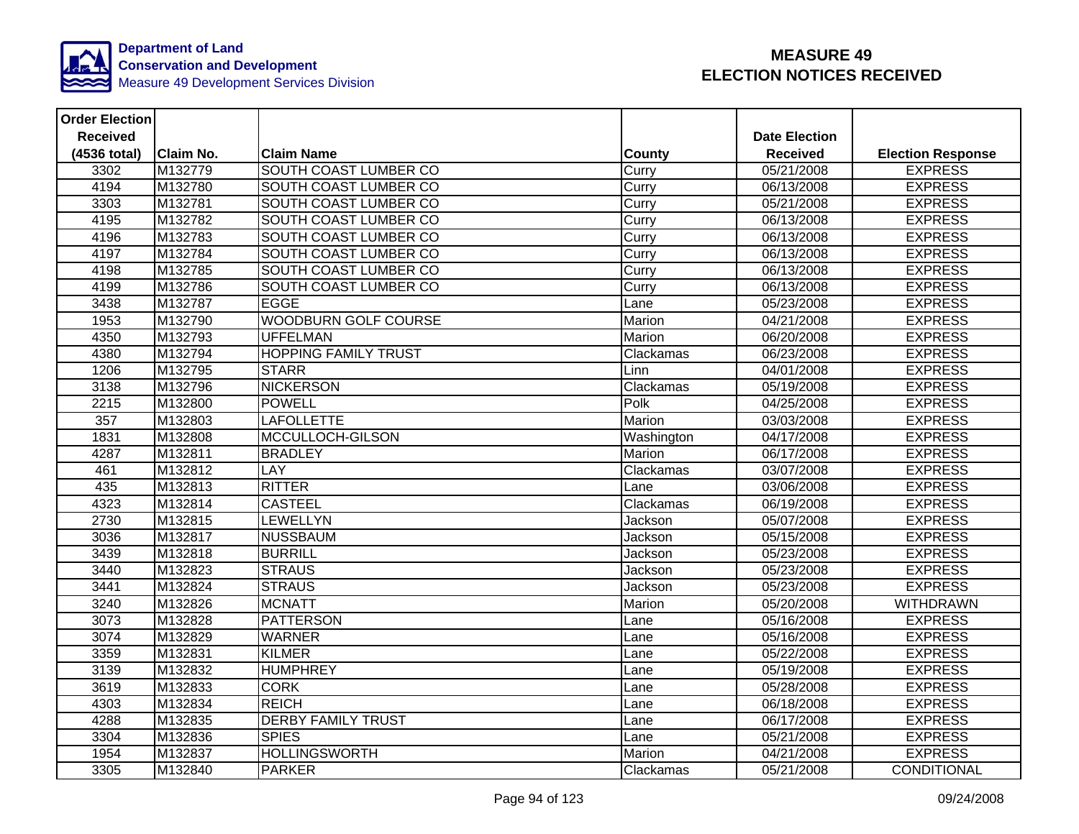

| <b>Order Election</b> |                  |                              |               |                      |                          |
|-----------------------|------------------|------------------------------|---------------|----------------------|--------------------------|
| <b>Received</b>       |                  |                              |               | <b>Date Election</b> |                          |
| (4536 total)          | <b>Claim No.</b> | <b>Claim Name</b>            | County        | <b>Received</b>      | <b>Election Response</b> |
| 3302                  | M132779          | SOUTH COAST LUMBER CO        | Curry         | 05/21/2008           | <b>EXPRESS</b>           |
| 4194                  | M132780          | SOUTH COAST LUMBER CO        | Curry         | 06/13/2008           | <b>EXPRESS</b>           |
| 3303                  | M132781          | SOUTH COAST LUMBER CO        | Curry         | 05/21/2008           | <b>EXPRESS</b>           |
| 4195                  | M132782          | <b>SOUTH COAST LUMBER CO</b> | Curry         | 06/13/2008           | <b>EXPRESS</b>           |
| 4196                  | M132783          | SOUTH COAST LUMBER CO        | Curry         | 06/13/2008           | <b>EXPRESS</b>           |
| 4197                  | M132784          | SOUTH COAST LUMBER CO        | Curry         | 06/13/2008           | <b>EXPRESS</b>           |
| 4198                  | M132785          | SOUTH COAST LUMBER CO        | Curry         | 06/13/2008           | <b>EXPRESS</b>           |
| 4199                  | M132786          | <b>SOUTH COAST LUMBER CO</b> | Curry         | 06/13/2008           | <b>EXPRESS</b>           |
| 3438                  | M132787          | <b>EGGE</b>                  | Lane          | 05/23/2008           | <b>EXPRESS</b>           |
| 1953                  | M132790          | <b>WOODBURN GOLF COURSE</b>  | <b>Marion</b> | 04/21/2008           | <b>EXPRESS</b>           |
| 4350                  | M132793          | <b>UFFELMAN</b>              | Marion        | 06/20/2008           | <b>EXPRESS</b>           |
| 4380                  | M132794          | <b>HOPPING FAMILY TRUST</b>  | Clackamas     | 06/23/2008           | <b>EXPRESS</b>           |
| 1206                  | M132795          | <b>STARR</b>                 | Linn          | 04/01/2008           | <b>EXPRESS</b>           |
| 3138                  | M132796          | <b>NICKERSON</b>             | Clackamas     | 05/19/2008           | <b>EXPRESS</b>           |
| 2215                  | M132800          | <b>POWELL</b>                | Polk          | 04/25/2008           | <b>EXPRESS</b>           |
| 357                   | M132803          | <b>LAFOLLETTE</b>            | <b>Marion</b> | 03/03/2008           | <b>EXPRESS</b>           |
| 1831                  | M132808          | MCCULLOCH-GILSON             | Washington    | 04/17/2008           | <b>EXPRESS</b>           |
| 4287                  | M132811          | <b>BRADLEY</b>               | Marion        | 06/17/2008           | <b>EXPRESS</b>           |
| 461                   | M132812          | <b>LAY</b>                   | Clackamas     | 03/07/2008           | <b>EXPRESS</b>           |
| 435                   | M132813          | <b>RITTER</b>                | Lane          | 03/06/2008           | <b>EXPRESS</b>           |
| 4323                  | M132814          | <b>CASTEEL</b>               | Clackamas     | 06/19/2008           | <b>EXPRESS</b>           |
| 2730                  | M132815          | <b>LEWELLYN</b>              | Jackson       | 05/07/2008           | <b>EXPRESS</b>           |
| 3036                  | M132817          | <b>NUSSBAUM</b>              | Jackson       | 05/15/2008           | <b>EXPRESS</b>           |
| 3439                  | M132818          | <b>BURRILL</b>               | Jackson       | 05/23/2008           | <b>EXPRESS</b>           |
| 3440                  | M132823          | <b>STRAUS</b>                | Jackson       | 05/23/2008           | <b>EXPRESS</b>           |
| 3441                  | M132824          | <b>STRAUS</b>                | Jackson       | 05/23/2008           | <b>EXPRESS</b>           |
| 3240                  | M132826          | <b>MCNATT</b>                | Marion        | 05/20/2008           | <b>WITHDRAWN</b>         |
| 3073                  | M132828          | <b>PATTERSON</b>             | Lane          | 05/16/2008           | <b>EXPRESS</b>           |
| 3074                  | M132829          | <b>WARNER</b>                | Lane          | 05/16/2008           | <b>EXPRESS</b>           |
| 3359                  | M132831          | <b>KILMER</b>                | Lane          | 05/22/2008           | <b>EXPRESS</b>           |
| 3139                  | M132832          | <b>HUMPHREY</b>              | Lane          | 05/19/2008           | <b>EXPRESS</b>           |
| 3619                  | M132833          | <b>CORK</b>                  | Lane          | 05/28/2008           | <b>EXPRESS</b>           |
| 4303                  | M132834          | <b>REICH</b>                 | Lane          | 06/18/2008           | <b>EXPRESS</b>           |
| 4288                  | M132835          | <b>DERBY FAMILY TRUST</b>    | Lane          | 06/17/2008           | <b>EXPRESS</b>           |
| 3304                  | M132836          | <b>SPIES</b>                 | Lane          | 05/21/2008           | <b>EXPRESS</b>           |
| 1954                  | M132837          | <b>HOLLINGSWORTH</b>         | Marion        | 04/21/2008           | <b>EXPRESS</b>           |
| 3305                  | M132840          | <b>PARKER</b>                | Clackamas     | 05/21/2008           | CONDITIONAL              |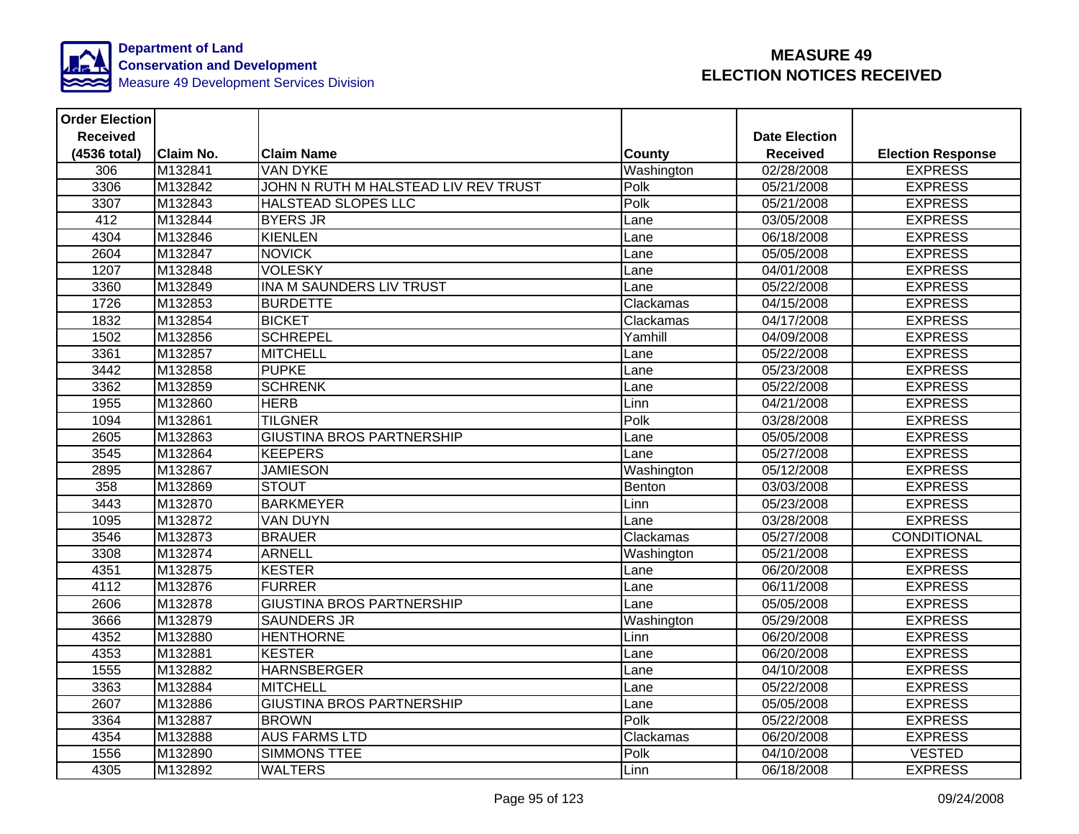

| <b>Order Election</b> |                  |                                      |               |                        |                          |
|-----------------------|------------------|--------------------------------------|---------------|------------------------|--------------------------|
| <b>Received</b>       |                  |                                      |               | <b>Date Election</b>   |                          |
| (4536 total)          | <b>Claim No.</b> | <b>Claim Name</b>                    | <b>County</b> | <b>Received</b>        | <b>Election Response</b> |
| 306                   | M132841          | <b>VAN DYKE</b>                      | Washington    | $\frac{02}{28}$ 8/2008 | <b>EXPRESS</b>           |
| 3306                  | M132842          | JOHN N RUTH M HALSTEAD LIV REV TRUST | Polk          | 05/21/2008             | <b>EXPRESS</b>           |
| 3307                  | M132843          | <b>HALSTEAD SLOPES LLC</b>           | Polk          | 05/21/2008             | <b>EXPRESS</b>           |
| 412                   | M132844          | <b>BYERS JR</b>                      | Lane          | 03/05/2008             | <b>EXPRESS</b>           |
| 4304                  | M132846          | <b>KIENLEN</b>                       | Lane          | 06/18/2008             | <b>EXPRESS</b>           |
| 2604                  | M132847          | <b>NOVICK</b>                        | Lane          | 05/05/2008             | <b>EXPRESS</b>           |
| 1207                  | M132848          | <b>VOLESKY</b>                       | Lane          | 04/01/2008             | <b>EXPRESS</b>           |
| 3360                  | M132849          | <b>INA M SAUNDERS LIV TRUST</b>      | Lane          | 05/22/2008             | <b>EXPRESS</b>           |
| 1726                  | M132853          | <b>BURDETTE</b>                      | Clackamas     | 04/15/2008             | <b>EXPRESS</b>           |
| 1832                  | M132854          | <b>BICKET</b>                        | Clackamas     | 04/17/2008             | <b>EXPRESS</b>           |
| 1502                  | M132856          | <b>SCHREPEL</b>                      | Yamhill       | 04/09/2008             | <b>EXPRESS</b>           |
| 3361                  | M132857          | <b>MITCHELL</b>                      | Lane          | 05/22/2008             | <b>EXPRESS</b>           |
| 3442                  | M132858          | <b>PUPKE</b>                         | Lane          | 05/23/2008             | <b>EXPRESS</b>           |
| 3362                  | M132859          | <b>SCHRENK</b>                       | Lane          | 05/22/2008             | <b>EXPRESS</b>           |
| 1955                  | M132860          | <b>HERB</b>                          | Linn          | 04/21/2008             | <b>EXPRESS</b>           |
| 1094                  | M132861          | <b>TILGNER</b>                       | Polk          | 03/28/2008             | <b>EXPRESS</b>           |
| 2605                  | M132863          | <b>GIUSTINA BROS PARTNERSHIP</b>     | Lane          | 05/05/2008             | <b>EXPRESS</b>           |
| 3545                  | M132864          | <b>KEEPERS</b>                       | Lane          | 05/27/2008             | <b>EXPRESS</b>           |
| 2895                  | M132867          | <b>JAMIESON</b>                      | Washington    | 05/12/2008             | <b>EXPRESS</b>           |
| 358                   | M132869          | <b>STOUT</b>                         | Benton        | 03/03/2008             | <b>EXPRESS</b>           |
| 3443                  | M132870          | <b>BARKMEYER</b>                     | Linn          | 05/23/2008             | <b>EXPRESS</b>           |
| 1095                  | M132872          | <b>VAN DUYN</b>                      | Lane          | 03/28/2008             | <b>EXPRESS</b>           |
| 3546                  | M132873          | <b>BRAUER</b>                        | Clackamas     | 05/27/2008             | CONDITIONAL              |
| 3308                  | M132874          | <b>ARNELL</b>                        | Washington    | 05/21/2008             | <b>EXPRESS</b>           |
| 4351                  | M132875          | <b>KESTER</b>                        | Lane          | 06/20/2008             | <b>EXPRESS</b>           |
| 4112                  | M132876          | <b>FURRER</b>                        | Lane          | 06/11/2008             | <b>EXPRESS</b>           |
| 2606                  | M132878          | <b>GIUSTINA BROS PARTNERSHIP</b>     | Lane          | 05/05/2008             | <b>EXPRESS</b>           |
| 3666                  | M132879          | <b>SAUNDERS JR</b>                   | Washington    | 05/29/2008             | <b>EXPRESS</b>           |
| 4352                  | M132880          | <b>HENTHORNE</b>                     | Linn          | 06/20/2008             | <b>EXPRESS</b>           |
| 4353                  | M132881          | <b>KESTER</b>                        | Lane          | 06/20/2008             | <b>EXPRESS</b>           |
| 1555                  | M132882          | <b>HARNSBERGER</b>                   | Lane          | 04/10/2008             | <b>EXPRESS</b>           |
| 3363                  | M132884          | MITCHELL                             | Lane          | 05/22/2008             | <b>EXPRESS</b>           |
| 2607                  | M132886          | <b>GIUSTINA BROS PARTNERSHIP</b>     | Lane          | 05/05/2008             | <b>EXPRESS</b>           |
| 3364                  | M132887          | <b>BROWN</b>                         | Polk          | 05/22/2008             | <b>EXPRESS</b>           |
| 4354                  | M132888          | <b>AUS FARMS LTD</b>                 | Clackamas     | 06/20/2008             | <b>EXPRESS</b>           |
| 1556                  | M132890          | <b>SIMMONS TTEE</b>                  | Polk          | 04/10/2008             | <b>VESTED</b>            |
| 4305                  | M132892          | <b>WALTERS</b>                       | Linn          | 06/18/2008             | <b>EXPRESS</b>           |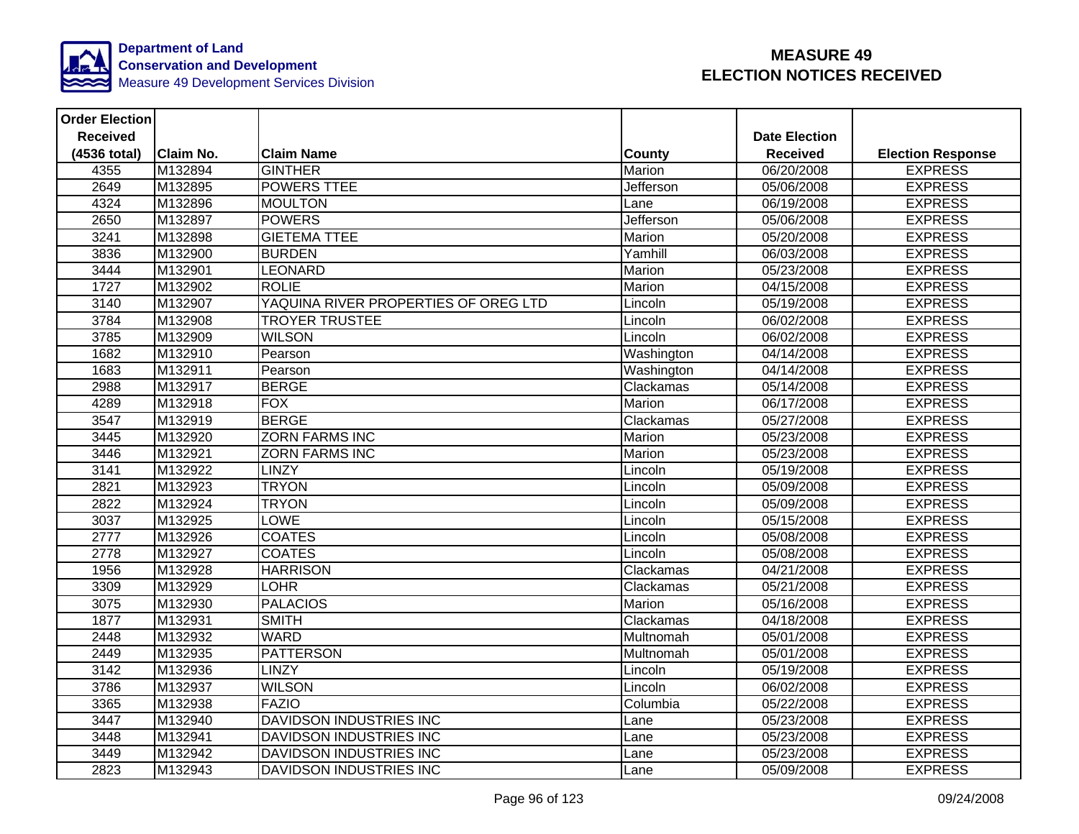

| <b>Order Election</b> |                  |                                      |               |                      |                          |
|-----------------------|------------------|--------------------------------------|---------------|----------------------|--------------------------|
| <b>Received</b>       |                  |                                      |               | <b>Date Election</b> |                          |
| (4536 total)          | <b>Claim No.</b> | <b>Claim Name</b>                    | <b>County</b> | <b>Received</b>      | <b>Election Response</b> |
| 4355                  | M132894          | <b>GINTHER</b>                       | Marion        | 06/20/2008           | <b>EXPRESS</b>           |
| 2649                  | M132895          | <b>POWERS TTEE</b>                   | Jefferson     | 05/06/2008           | <b>EXPRESS</b>           |
| 4324                  | M132896          | <b>MOULTON</b>                       | Lane          | 06/19/2008           | <b>EXPRESS</b>           |
| 2650                  | M132897          | <b>POWERS</b>                        | Jefferson     | 05/06/2008           | <b>EXPRESS</b>           |
| 3241                  | M132898          | <b>GIETEMA TTEE</b>                  | Marion        | 05/20/2008           | <b>EXPRESS</b>           |
| 3836                  | M132900          | <b>BURDEN</b>                        | Yamhill       | 06/03/2008           | <b>EXPRESS</b>           |
| 3444                  | M132901          | <b>LEONARD</b>                       | Marion        | 05/23/2008           | <b>EXPRESS</b>           |
| 1727                  | M132902          | <b>ROLIE</b>                         | <b>Marion</b> | 04/15/2008           | <b>EXPRESS</b>           |
| 3140                  | M132907          | YAQUINA RIVER PROPERTIES OF OREG LTD | Lincoln       | 05/19/2008           | <b>EXPRESS</b>           |
| 3784                  | M132908          | <b>TROYER TRUSTEE</b>                | Lincoln       | 06/02/2008           | <b>EXPRESS</b>           |
| 3785                  | M132909          | <b>WILSON</b>                        | Lincoln       | 06/02/2008           | <b>EXPRESS</b>           |
| 1682                  | M132910          | Pearson                              | Washington    | 04/14/2008           | <b>EXPRESS</b>           |
| 1683                  | M132911          | Pearson                              | Washington    | 04/14/2008           | <b>EXPRESS</b>           |
| 2988                  | M132917          | <b>BERGE</b>                         | Clackamas     | 05/14/2008           | <b>EXPRESS</b>           |
| 4289                  | M132918          | <b>FOX</b>                           | Marion        | 06/17/2008           | <b>EXPRESS</b>           |
| 3547                  | M132919          | <b>BERGE</b>                         | Clackamas     | 05/27/2008           | <b>EXPRESS</b>           |
| 3445                  | M132920          | <b>ZORN FARMS INC</b>                | Marion        | 05/23/2008           | <b>EXPRESS</b>           |
| 3446                  | M132921          | <b>ZORN FARMS INC</b>                | Marion        | 05/23/2008           | <b>EXPRESS</b>           |
| 3141                  | M132922          | <b>LINZY</b>                         | Lincoln       | 05/19/2008           | <b>EXPRESS</b>           |
| 2821                  | M132923          | <b>TRYON</b>                         | Lincoln       | 05/09/2008           | <b>EXPRESS</b>           |
| 2822                  | M132924          | <b>TRYON</b>                         | Lincoln       | 05/09/2008           | <b>EXPRESS</b>           |
| 3037                  | M132925          | <b>LOWE</b>                          | Lincoln       | 05/15/2008           | <b>EXPRESS</b>           |
| 2777                  | M132926          | <b>COATES</b>                        | Lincoln       | 05/08/2008           | <b>EXPRESS</b>           |
| 2778                  | M132927          | <b>COATES</b>                        | Lincoln       | 05/08/2008           | <b>EXPRESS</b>           |
| 1956                  | M132928          | <b>HARRISON</b>                      | Clackamas     | 04/21/2008           | <b>EXPRESS</b>           |
| 3309                  | M132929          | <b>LOHR</b>                          | Clackamas     | 05/21/2008           | <b>EXPRESS</b>           |
| 3075                  | M132930          | <b>PALACIOS</b>                      | Marion        | 05/16/2008           | <b>EXPRESS</b>           |
| 1877                  | M132931          | <b>SMITH</b>                         | Clackamas     | 04/18/2008           | <b>EXPRESS</b>           |
| 2448                  | M132932          | <b>WARD</b>                          | Multnomah     | 05/01/2008           | <b>EXPRESS</b>           |
| 2449                  | M132935          | <b>PATTERSON</b>                     | Multnomah     | 05/01/2008           | <b>EXPRESS</b>           |
| 3142                  | M132936          | <b>LINZY</b>                         | Lincoln       | 05/19/2008           | <b>EXPRESS</b>           |
| 3786                  | M132937          | <b>WILSON</b>                        | Lincoln       | 06/02/2008           | <b>EXPRESS</b>           |
| 3365                  | M132938          | <b>FAZIO</b>                         | Columbia      | 05/22/2008           | <b>EXPRESS</b>           |
| 3447                  | M132940          | <b>DAVIDSON INDUSTRIES INC</b>       | Lane          | 05/23/2008           | <b>EXPRESS</b>           |
| 3448                  | M132941          | DAVIDSON INDUSTRIES INC              | Lane          | 05/23/2008           | <b>EXPRESS</b>           |
| 3449                  | M132942          | DAVIDSON INDUSTRIES INC              | Lane          | 05/23/2008           | <b>EXPRESS</b>           |
| 2823                  | M132943          | <b>DAVIDSON INDUSTRIES INC</b>       | Lane          | 05/09/2008           | <b>EXPRESS</b>           |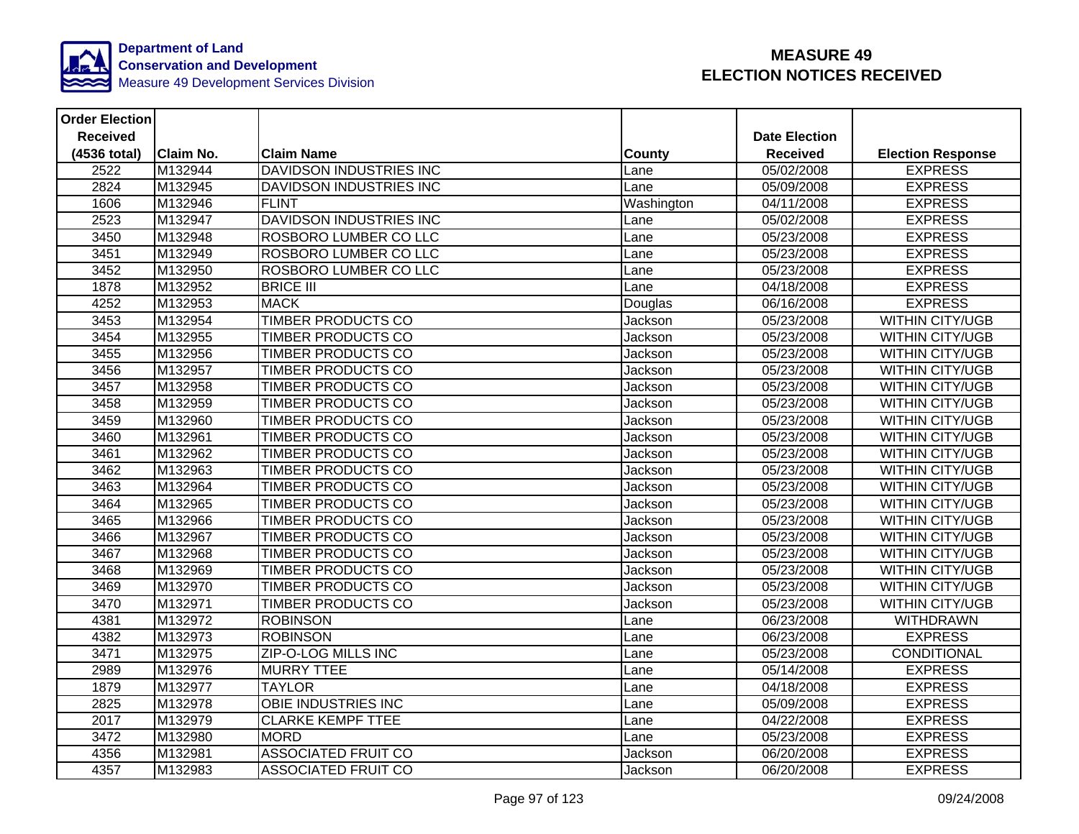

| <b>Order Election</b> |                  |                                |               |                      |                          |
|-----------------------|------------------|--------------------------------|---------------|----------------------|--------------------------|
| <b>Received</b>       |                  |                                |               | <b>Date Election</b> |                          |
| (4536 total)          | <b>Claim No.</b> | <b>Claim Name</b>              | <b>County</b> | <b>Received</b>      | <b>Election Response</b> |
| 2522                  | M132944          | DAVIDSON INDUSTRIES INC        | Lane          | 05/02/2008           | <b>EXPRESS</b>           |
| 2824                  | M132945          | DAVIDSON INDUSTRIES INC        | Lane          | 05/09/2008           | <b>EXPRESS</b>           |
| 1606                  | M132946          | <b>FLINT</b>                   | Washington    | 04/11/2008           | <b>EXPRESS</b>           |
| 2523                  | M132947          | <b>DAVIDSON INDUSTRIES INC</b> | Lane          | 05/02/2008           | <b>EXPRESS</b>           |
| 3450                  | M132948          | ROSBORO LUMBER CO LLC          | Lane          | 05/23/2008           | <b>EXPRESS</b>           |
| 3451                  | M132949          | ROSBORO LUMBER CO LLC          | Lane          | 05/23/2008           | <b>EXPRESS</b>           |
| 3452                  | M132950          | ROSBORO LUMBER CO LLC          | Lane          | 05/23/2008           | <b>EXPRESS</b>           |
| 1878                  | M132952          | <b>BRICE III</b>               | Lane          | 04/18/2008           | <b>EXPRESS</b>           |
| 4252                  | M132953          | <b>MACK</b>                    | Douglas       | 06/16/2008           | <b>EXPRESS</b>           |
| 3453                  | M132954          | <b>TIMBER PRODUCTS CO</b>      | Jackson       | 05/23/2008           | <b>WITHIN CITY/UGB</b>   |
| 3454                  | M132955          | TIMBER PRODUCTS CO             | Jackson       | 05/23/2008           | <b>WITHIN CITY/UGB</b>   |
| 3455                  | M132956          | TIMBER PRODUCTS CO             | Jackson       | 05/23/2008           | <b>WITHIN CITY/UGB</b>   |
| 3456                  | M132957          | TIMBER PRODUCTS CO             | Jackson       | 05/23/2008           | <b>WITHIN CITY/UGB</b>   |
| 3457                  | M132958          | TIMBER PRODUCTS CO             | Jackson       | 05/23/2008           | <b>WITHIN CITY/UGB</b>   |
| 3458                  | M132959          | <b>TIMBER PRODUCTS CO</b>      | Jackson       | 05/23/2008           | <b>WITHIN CITY/UGB</b>   |
| 3459                  | M132960          | <b>TIMBER PRODUCTS CO</b>      | Jackson       | 05/23/2008           | <b>WITHIN CITY/UGB</b>   |
| 3460                  | M132961          | <b>TIMBER PRODUCTS CO</b>      | Jackson       | 05/23/2008           | WITHIN CITY/UGB          |
| 3461                  | M132962          | <b>TIMBER PRODUCTS CO</b>      | Jackson       | 05/23/2008           | <b>WITHIN CITY/UGB</b>   |
| 3462                  | M132963          | TIMBER PRODUCTS CO             | Jackson       | 05/23/2008           | <b>WITHIN CITY/UGB</b>   |
| 3463                  | M132964          | TIMBER PRODUCTS CO             | Jackson       | 05/23/2008           | <b>WITHIN CITY/UGB</b>   |
| 3464                  | M132965          | <b>TIMBER PRODUCTS CO</b>      | Jackson       | 05/23/2008           | <b>WITHIN CITY/UGB</b>   |
| 3465                  | M132966          | <b>TIMBER PRODUCTS CO</b>      | Jackson       | 05/23/2008           | <b>WITHIN CITY/UGB</b>   |
| 3466                  | M132967          | TIMBER PRODUCTS CO             | Jackson       | 05/23/2008           | <b>WITHIN CITY/UGB</b>   |
| 3467                  | M132968          | <b>TIMBER PRODUCTS CO</b>      | Jackson       | 05/23/2008           | <b>WITHIN CITY/UGB</b>   |
| 3468                  | M132969          | <b>TIMBER PRODUCTS CO</b>      | Jackson       | 05/23/2008           | <b>WITHIN CITY/UGB</b>   |
| 3469                  | M132970          | TIMBER PRODUCTS CO             | Jackson       | 05/23/2008           | <b>WITHIN CITY/UGB</b>   |
| 3470                  | M132971          | <b>TIMBER PRODUCTS CO</b>      | Jackson       | 05/23/2008           | <b>WITHIN CITY/UGB</b>   |
| 4381                  | M132972          | <b>ROBINSON</b>                | Lane          | 06/23/2008           | <b>WITHDRAWN</b>         |
| 4382                  | M132973          | <b>ROBINSON</b>                | Lane          | 06/23/2008           | <b>EXPRESS</b>           |
| 3471                  | M132975          | <b>ZIP-O-LOG MILLS INC</b>     | Lane          | 05/23/2008           | CONDITIONAL              |
| 2989                  | M132976          | <b>MURRY TTEE</b>              | Lane          | 05/14/2008           | <b>EXPRESS</b>           |
| 1879                  | M132977          | <b>TAYLOR</b>                  | Lane          | 04/18/2008           | <b>EXPRESS</b>           |
| 2825                  | M132978          | <b>OBIE INDUSTRIES INC</b>     | Lane          | 05/09/2008           | <b>EXPRESS</b>           |
| 2017                  | M132979          | <b>CLARKE KEMPF TTEE</b>       | Lane          | 04/22/2008           | <b>EXPRESS</b>           |
| 3472                  | M132980          | <b>MORD</b>                    | Lane          | 05/23/2008           | <b>EXPRESS</b>           |
| 4356                  | M132981          | <b>ASSOCIATED FRUIT CO</b>     | Jackson       | 06/20/2008           | <b>EXPRESS</b>           |
| 4357                  | M132983          | <b>ASSOCIATED FRUIT CO</b>     | Jackson       | 06/20/2008           | <b>EXPRESS</b>           |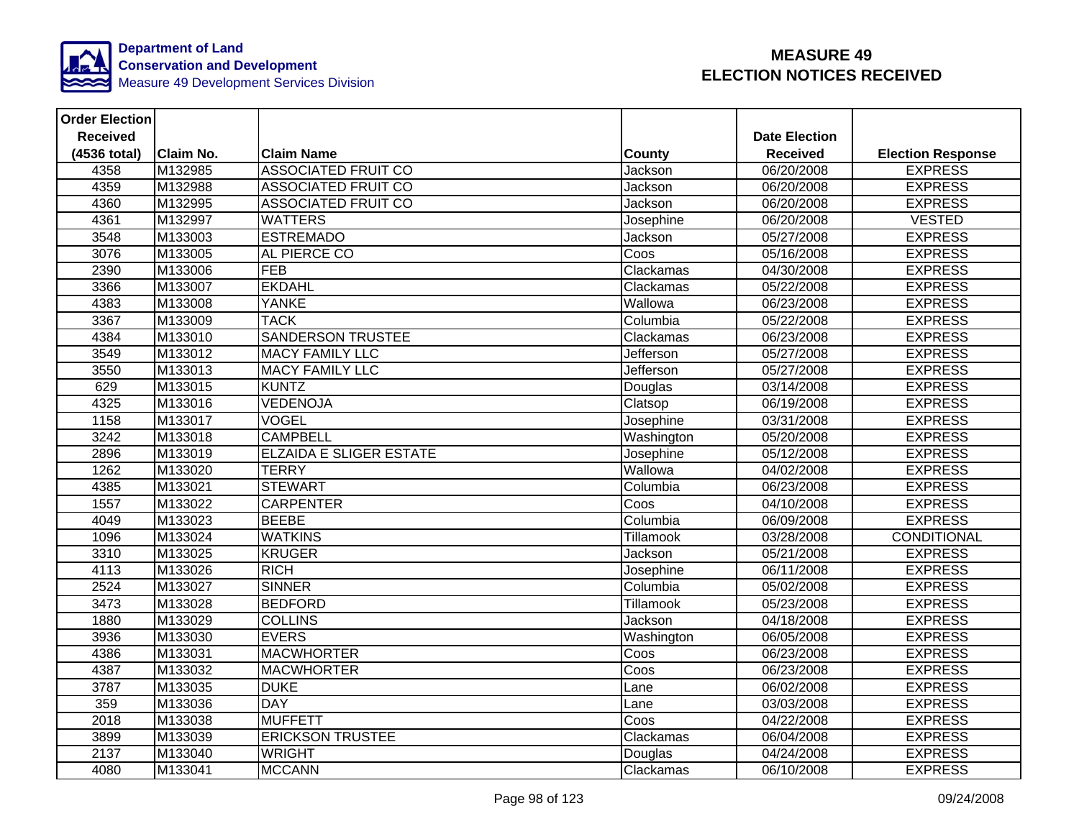

| <b>Order Election</b> |                  |                                |                  |                      |                          |
|-----------------------|------------------|--------------------------------|------------------|----------------------|--------------------------|
| <b>Received</b>       |                  |                                |                  | <b>Date Election</b> |                          |
| (4536 total)          | <b>Claim No.</b> | <b>Claim Name</b>              | <b>County</b>    | <b>Received</b>      | <b>Election Response</b> |
| 4358                  | M132985          | <b>ASSOCIATED FRUIT CO</b>     | Jackson          | 06/20/2008           | <b>EXPRESS</b>           |
| 4359                  | M132988          | <b>ASSOCIATED FRUIT CO</b>     | Jackson          | 06/20/2008           | <b>EXPRESS</b>           |
| 4360                  | M132995          | <b>ASSOCIATED FRUIT CO</b>     | Jackson          | 06/20/2008           | <b>EXPRESS</b>           |
| 4361                  | M132997          | <b>WATTERS</b>                 | Josephine        | 06/20/2008           | <b>VESTED</b>            |
| 3548                  | M133003          | <b>ESTREMADO</b>               | Jackson          | 05/27/2008           | <b>EXPRESS</b>           |
| 3076                  | M133005          | AL PIERCE CO                   | Coos             | 05/16/2008           | <b>EXPRESS</b>           |
| 2390                  | M133006          | FEB                            | Clackamas        | 04/30/2008           | <b>EXPRESS</b>           |
| 3366                  | M133007          | <b>EKDAHL</b>                  | Clackamas        | 05/22/2008           | <b>EXPRESS</b>           |
| 4383                  | M133008          | <b>YANKE</b>                   | Wallowa          | 06/23/2008           | <b>EXPRESS</b>           |
| 3367                  | M133009          | <b>TACK</b>                    | Columbia         | 05/22/2008           | <b>EXPRESS</b>           |
| 4384                  | M133010          | <b>SANDERSON TRUSTEE</b>       | Clackamas        | 06/23/2008           | <b>EXPRESS</b>           |
| 3549                  | M133012          | <b>MACY FAMILY LLC</b>         | Jefferson        | 05/27/2008           | <b>EXPRESS</b>           |
| 3550                  | M133013          | <b>MACY FAMILY LLC</b>         | Jefferson        | 05/27/2008           | <b>EXPRESS</b>           |
| 629                   | M133015          | <b>KUNTZ</b>                   | Douglas          | 03/14/2008           | <b>EXPRESS</b>           |
| 4325                  | M133016          | <b>VEDENOJA</b>                | Clatsop          | 06/19/2008           | <b>EXPRESS</b>           |
| 1158                  | M133017          | <b>VOGEL</b>                   | Josephine        | 03/31/2008           | <b>EXPRESS</b>           |
| 3242                  | M133018          | <b>CAMPBELL</b>                | Washington       | 05/20/2008           | <b>EXPRESS</b>           |
| 2896                  | M133019          | <b>ELZAIDA E SLIGER ESTATE</b> | Josephine        | 05/12/2008           | <b>EXPRESS</b>           |
| 1262                  | M133020          | <b>TERRY</b>                   | Wallowa          | 04/02/2008           | <b>EXPRESS</b>           |
| 4385                  | M133021          | <b>STEWART</b>                 | Columbia         | 06/23/2008           | <b>EXPRESS</b>           |
| 1557                  | M133022          | <b>CARPENTER</b>               | Coos             | 04/10/2008           | <b>EXPRESS</b>           |
| 4049                  | M133023          | <b>BEEBE</b>                   | Columbia         | 06/09/2008           | <b>EXPRESS</b>           |
| 1096                  | M133024          | <b>WATKINS</b>                 | Tillamook        | 03/28/2008           | CONDITIONAL              |
| 3310                  | M133025          | <b>KRUGER</b>                  | Jackson          | 05/21/2008           | <b>EXPRESS</b>           |
| 4113                  | M133026          | <b>RICH</b>                    | Josephine        | 06/11/2008           | <b>EXPRESS</b>           |
| 2524                  | M133027          | <b>SINNER</b>                  | Columbia         | 05/02/2008           | <b>EXPRESS</b>           |
| 3473                  | M133028          | <b>BEDFORD</b>                 | <b>Tillamook</b> | 05/23/2008           | <b>EXPRESS</b>           |
| 1880                  | M133029          | <b>COLLINS</b>                 | Jackson          | 04/18/2008           | <b>EXPRESS</b>           |
| 3936                  | M133030          | <b>EVERS</b>                   | Washington       | 06/05/2008           | <b>EXPRESS</b>           |
| 4386                  | M133031          | <b>MACWHORTER</b>              | Coos             | 06/23/2008           | <b>EXPRESS</b>           |
| 4387                  | M133032          | <b>MACWHORTER</b>              | Coos             | 06/23/2008           | <b>EXPRESS</b>           |
| 3787                  | M133035          | <b>DUKE</b>                    | Lane             | 06/02/2008           | <b>EXPRESS</b>           |
| 359                   | M133036          | <b>DAY</b>                     | Lane             | 03/03/2008           | <b>EXPRESS</b>           |
| 2018                  | M133038          | <b>MUFFETT</b>                 | Coos             | 04/22/2008           | <b>EXPRESS</b>           |
| 3899                  | M133039          | <b>ERICKSON TRUSTEE</b>        | Clackamas        | 06/04/2008           | <b>EXPRESS</b>           |
| 2137                  | M133040          | <b>WRIGHT</b>                  | Douglas          | 04/24/2008           | <b>EXPRESS</b>           |
| 4080                  | M133041          | <b>MCCANN</b>                  | Clackamas        | 06/10/2008           | <b>EXPRESS</b>           |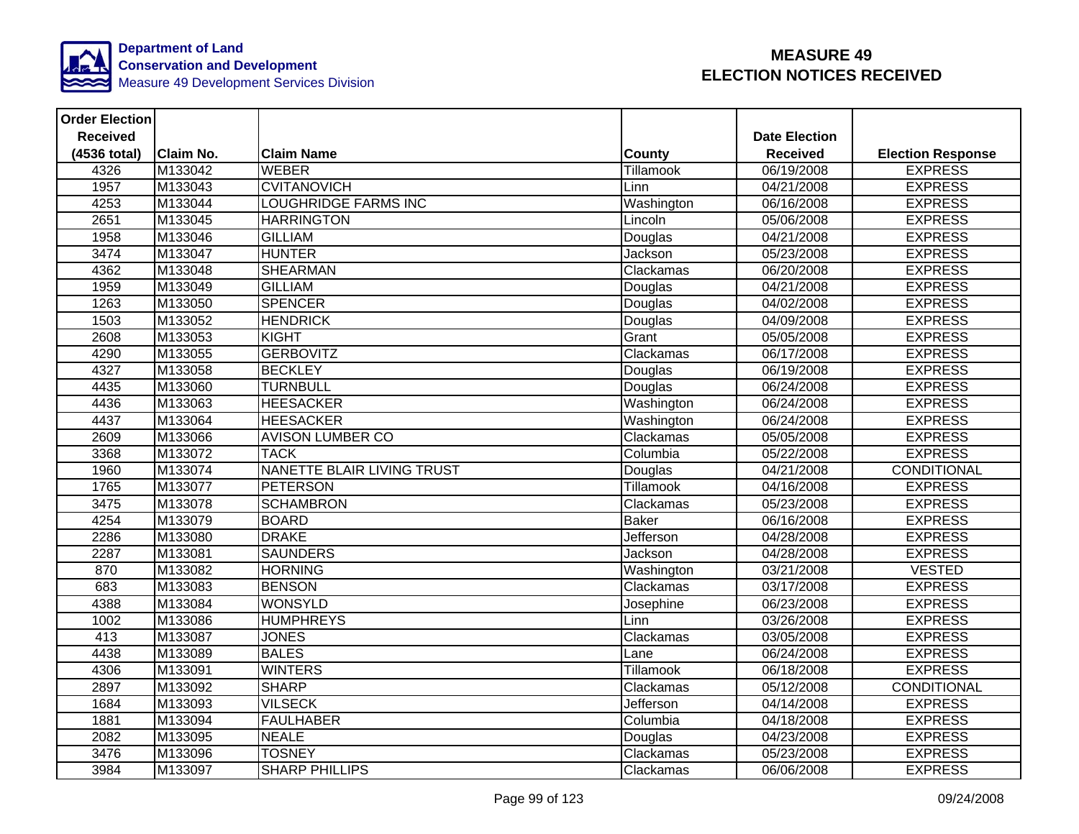

| <b>Order Election</b> |                  |                                   |               |                      |                          |
|-----------------------|------------------|-----------------------------------|---------------|----------------------|--------------------------|
| <b>Received</b>       |                  |                                   |               | <b>Date Election</b> |                          |
| (4536 total)          | <b>Claim No.</b> | <b>Claim Name</b>                 | <b>County</b> | <b>Received</b>      | <b>Election Response</b> |
| 4326                  | M133042          | <b>WEBER</b>                      | Tillamook     | 06/19/2008           | <b>EXPRESS</b>           |
| 1957                  | M133043          | <b>CVITANOVICH</b>                | Linn          | 04/21/2008           | <b>EXPRESS</b>           |
| 4253                  | M133044          | <b>LOUGHRIDGE FARMS INC</b>       | Washington    | 06/16/2008           | <b>EXPRESS</b>           |
| 2651                  | M133045          | <b>HARRINGTON</b>                 | Lincoln       | 05/06/2008           | <b>EXPRESS</b>           |
| 1958                  | M133046          | <b>GILLIAM</b>                    | Douglas       | 04/21/2008           | <b>EXPRESS</b>           |
| 3474                  | M133047          | <b>HUNTER</b>                     | Jackson       | 05/23/2008           | <b>EXPRESS</b>           |
| 4362                  | M133048          | <b>SHEARMAN</b>                   | Clackamas     | 06/20/2008           | <b>EXPRESS</b>           |
| 1959                  | M133049          | <b>GILLIAM</b>                    | Douglas       | 04/21/2008           | <b>EXPRESS</b>           |
| 1263                  | M133050          | <b>SPENCER</b>                    | Douglas       | 04/02/2008           | <b>EXPRESS</b>           |
| 1503                  | M133052          | <b>HENDRICK</b>                   | Douglas       | 04/09/2008           | <b>EXPRESS</b>           |
| 2608                  | M133053          | KIGHT                             | Grant         | 05/05/2008           | <b>EXPRESS</b>           |
| 4290                  | M133055          | <b>GERBOVITZ</b>                  | Clackamas     | 06/17/2008           | <b>EXPRESS</b>           |
| 4327                  | M133058          | <b>BECKLEY</b>                    | Douglas       | 06/19/2008           | <b>EXPRESS</b>           |
| 4435                  | M133060          | <b>TURNBULL</b>                   | Douglas       | 06/24/2008           | <b>EXPRESS</b>           |
| 4436                  | M133063          | <b>HEESACKER</b>                  | Washington    | 06/24/2008           | <b>EXPRESS</b>           |
| 4437                  | M133064          | <b>HEESACKER</b>                  | Washington    | 06/24/2008           | <b>EXPRESS</b>           |
| 2609                  | M133066          | <b>AVISON LUMBER CO</b>           | Clackamas     | 05/05/2008           | <b>EXPRESS</b>           |
| 3368                  | M133072          | <b>TACK</b>                       | Columbia      | 05/22/2008           | <b>EXPRESS</b>           |
| 1960                  | M133074          | <b>NANETTE BLAIR LIVING TRUST</b> | Douglas       | 04/21/2008           | <b>CONDITIONAL</b>       |
| 1765                  | M133077          | <b>PETERSON</b>                   | Tillamook     | 04/16/2008           | <b>EXPRESS</b>           |
| 3475                  | M133078          | <b>SCHAMBRON</b>                  | Clackamas     | 05/23/2008           | <b>EXPRESS</b>           |
| 4254                  | M133079          | <b>BOARD</b>                      | <b>Baker</b>  | 06/16/2008           | <b>EXPRESS</b>           |
| 2286                  | M133080          | <b>DRAKE</b>                      | Jefferson     | 04/28/2008           | <b>EXPRESS</b>           |
| 2287                  | M133081          | <b>SAUNDERS</b>                   | Jackson       | 04/28/2008           | <b>EXPRESS</b>           |
| 870                   | M133082          | <b>HORNING</b>                    | Washington    | 03/21/2008           | <b>VESTED</b>            |
| 683                   | M133083          | <b>BENSON</b>                     | Clackamas     | 03/17/2008           | <b>EXPRESS</b>           |
| 4388                  | M133084          | <b>WONSYLD</b>                    | Josephine     | 06/23/2008           | <b>EXPRESS</b>           |
| 1002                  | M133086          | <b>HUMPHREYS</b>                  | Linn          | 03/26/2008           | <b>EXPRESS</b>           |
| 413                   | M133087          | <b>JONES</b>                      | Clackamas     | 03/05/2008           | <b>EXPRESS</b>           |
| 4438                  | M133089          | <b>BALES</b>                      | Lane          | 06/24/2008           | <b>EXPRESS</b>           |
| 4306                  | M133091          | <b>WINTERS</b>                    | Tillamook     | 06/18/2008           | <b>EXPRESS</b>           |
| 2897                  | M133092          | <b>SHARP</b>                      | Clackamas     | 05/12/2008           | CONDITIONAL              |
| 1684                  | M133093          | <b>VILSECK</b>                    | Jefferson     | 04/14/2008           | <b>EXPRESS</b>           |
| 1881                  | M133094          | <b>FAULHABER</b>                  | Columbia      | 04/18/2008           | <b>EXPRESS</b>           |
| 2082                  | M133095          | <b>NEALE</b>                      | Douglas       | 04/23/2008           | <b>EXPRESS</b>           |
| 3476                  | M133096          | <b>TOSNEY</b>                     | Clackamas     | 05/23/2008           | <b>EXPRESS</b>           |
| 3984                  | M133097          | <b>SHARP PHILLIPS</b>             | Clackamas     | 06/06/2008           | <b>EXPRESS</b>           |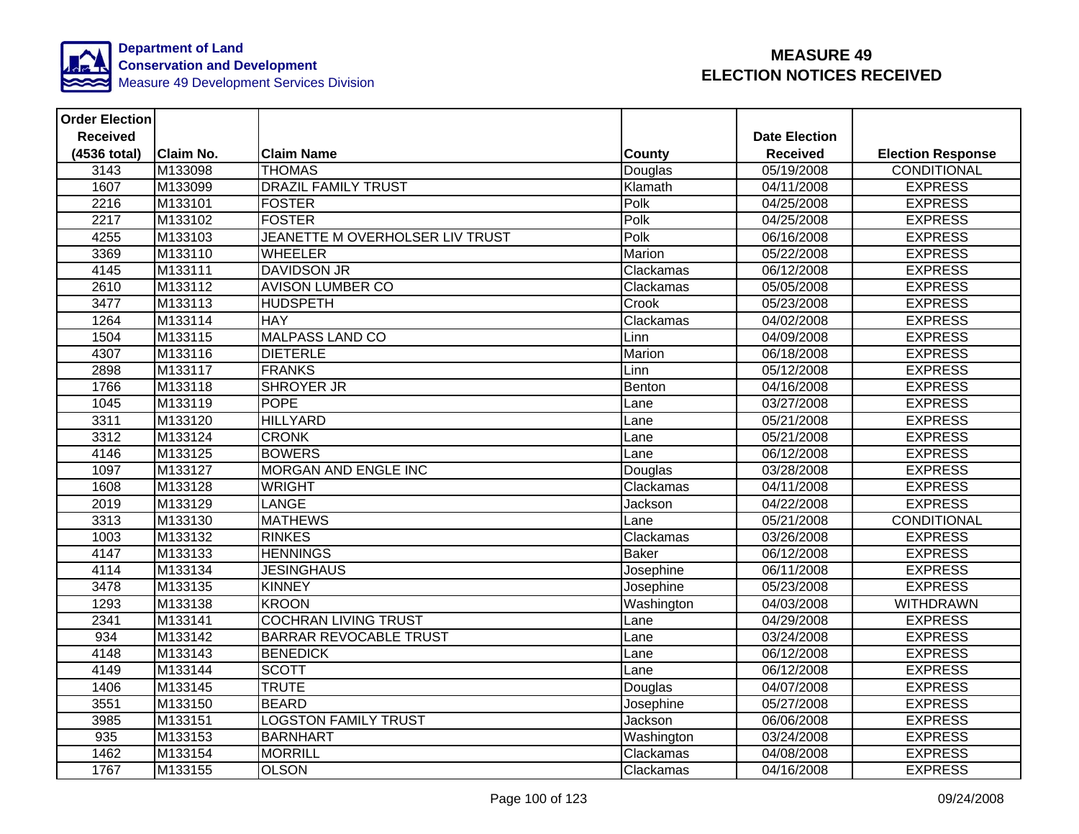

| <b>Order Election</b> |           |                                 |               |                      |                          |
|-----------------------|-----------|---------------------------------|---------------|----------------------|--------------------------|
| <b>Received</b>       |           |                                 |               | <b>Date Election</b> |                          |
| (4536 total)          | Claim No. | <b>Claim Name</b>               | <b>County</b> | <b>Received</b>      | <b>Election Response</b> |
| 3143                  | M133098   | <b>THOMAS</b>                   | Douglas       | 05/19/2008           | CONDITIONAL              |
| 1607                  | M133099   | <b>DRAZIL FAMILY TRUST</b>      | Klamath       | 04/11/2008           | <b>EXPRESS</b>           |
| 2216                  | M133101   | <b>FOSTER</b>                   | Polk          | 04/25/2008           | <b>EXPRESS</b>           |
| 2217                  | M133102   | <b>FOSTER</b>                   | Polk          | 04/25/2008           | <b>EXPRESS</b>           |
| 4255                  | M133103   | JEANETTE M OVERHOLSER LIV TRUST | Polk          | 06/16/2008           | <b>EXPRESS</b>           |
| 3369                  | M133110   | <b>WHEELER</b>                  | Marion        | 05/22/2008           | <b>EXPRESS</b>           |
| 4145                  | M133111   | <b>DAVIDSON JR</b>              | Clackamas     | 06/12/2008           | <b>EXPRESS</b>           |
| 2610                  | M133112   | <b>AVISON LUMBER CO</b>         | Clackamas     | 05/05/2008           | <b>EXPRESS</b>           |
| 3477                  | M133113   | <b>HUDSPETH</b>                 | Crook         | 05/23/2008           | <b>EXPRESS</b>           |
| 1264                  | M133114   | <b>HAY</b>                      | Clackamas     | 04/02/2008           | <b>EXPRESS</b>           |
| 1504                  | M133115   | <b>MALPASS LAND CO</b>          | Linn          | 04/09/2008           | <b>EXPRESS</b>           |
| 4307                  | M133116   | <b>DIETERLE</b>                 | Marion        | 06/18/2008           | <b>EXPRESS</b>           |
| 2898                  | M133117   | <b>FRANKS</b>                   | Linn          | 05/12/2008           | <b>EXPRESS</b>           |
| 1766                  | M133118   | <b>SHROYER JR</b>               | Benton        | 04/16/2008           | <b>EXPRESS</b>           |
| 1045                  | M133119   | <b>POPE</b>                     | Lane          | 03/27/2008           | <b>EXPRESS</b>           |
| 3311                  | M133120   | <b>HILLYARD</b>                 | Lane          | 05/21/2008           | <b>EXPRESS</b>           |
| 3312                  | M133124   | <b>CRONK</b>                    | Lane          | 05/21/2008           | <b>EXPRESS</b>           |
| 4146                  | M133125   | <b>BOWERS</b>                   | Lane          | 06/12/2008           | <b>EXPRESS</b>           |
| 1097                  | M133127   | <b>MORGAN AND ENGLE INC</b>     | Douglas       | 03/28/2008           | <b>EXPRESS</b>           |
| 1608                  | M133128   | <b>WRIGHT</b>                   | Clackamas     | 04/11/2008           | <b>EXPRESS</b>           |
| 2019                  | M133129   | LANGE                           | Jackson       | 04/22/2008           | <b>EXPRESS</b>           |
| 3313                  | M133130   | <b>MATHEWS</b>                  | Lane          | 05/21/2008           | <b>CONDITIONAL</b>       |
| 1003                  | M133132   | <b>RINKES</b>                   | Clackamas     | 03/26/2008           | <b>EXPRESS</b>           |
| 4147                  | M133133   | <b>HENNINGS</b>                 | <b>Baker</b>  | 06/12/2008           | <b>EXPRESS</b>           |
| 4114                  | M133134   | <b>JESINGHAUS</b>               | Josephine     | 06/11/2008           | <b>EXPRESS</b>           |
| 3478                  | M133135   | <b>KINNEY</b>                   | Josephine     | 05/23/2008           | <b>EXPRESS</b>           |
| 1293                  | M133138   | <b>KROON</b>                    | Washington    | 04/03/2008           | <b>WITHDRAWN</b>         |
| 2341                  | M133141   | <b>COCHRAN LIVING TRUST</b>     | Lane          | 04/29/2008           | <b>EXPRESS</b>           |
| 934                   | M133142   | <b>BARRAR REVOCABLE TRUST</b>   | Lane          | 03/24/2008           | <b>EXPRESS</b>           |
| 4148                  | M133143   | <b>BENEDICK</b>                 | Lane          | 06/12/2008           | <b>EXPRESS</b>           |
| 4149                  | M133144   | <b>SCOTT</b>                    | Lane          | 06/12/2008           | <b>EXPRESS</b>           |
| 1406                  | M133145   | <b>TRUTE</b>                    | Douglas       | 04/07/2008           | <b>EXPRESS</b>           |
| 3551                  | M133150   | <b>BEARD</b>                    | Josephine     | 05/27/2008           | <b>EXPRESS</b>           |
| 3985                  | M133151   | <b>LOGSTON FAMILY TRUST</b>     | Jackson       | 06/06/2008           | <b>EXPRESS</b>           |
| 935                   | M133153   | <b>BARNHART</b>                 | Washington    | 03/24/2008           | <b>EXPRESS</b>           |
| 1462                  | M133154   | <b>MORRILL</b>                  | Clackamas     | 04/08/2008           | <b>EXPRESS</b>           |
| 1767                  | M133155   | <b>OLSON</b>                    | Clackamas     | 04/16/2008           | <b>EXPRESS</b>           |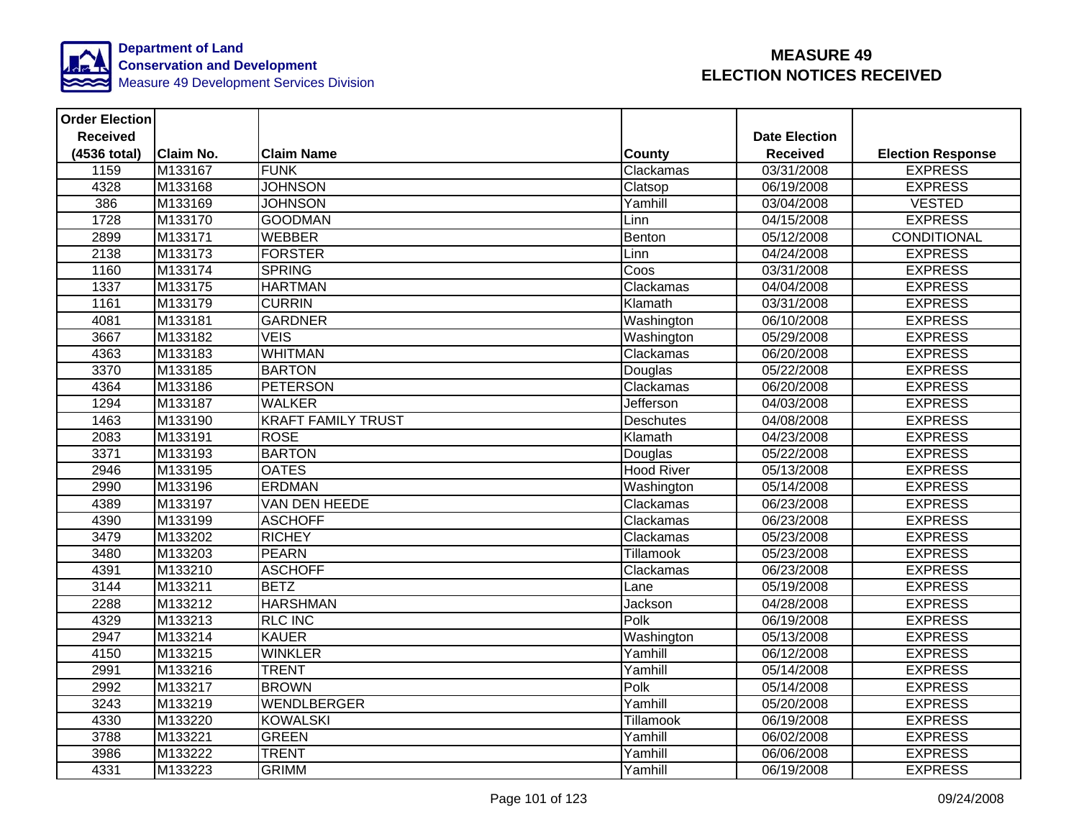

| <b>Order Election</b> |                  |                           |                   |                      |                          |
|-----------------------|------------------|---------------------------|-------------------|----------------------|--------------------------|
| <b>Received</b>       |                  |                           |                   | <b>Date Election</b> |                          |
| (4536 total)          | <b>Claim No.</b> | <b>Claim Name</b>         | County            | <b>Received</b>      | <b>Election Response</b> |
| 1159                  | M133167          | <b>FUNK</b>               | Clackamas         | 03/31/2008           | <b>EXPRESS</b>           |
| 4328                  | M133168          | <b>JOHNSON</b>            | Clatsop           | 06/19/2008           | <b>EXPRESS</b>           |
| 386                   | M133169          | <b>JOHNSON</b>            | Yamhill           | 03/04/2008           | <b>VESTED</b>            |
| 1728                  | M133170          | <b>GOODMAN</b>            | Linn              | 04/15/2008           | <b>EXPRESS</b>           |
| 2899                  | M133171          | <b>WEBBER</b>             | Benton            | 05/12/2008           | <b>CONDITIONAL</b>       |
| 2138                  | M133173          | <b>FORSTER</b>            | Linn              | 04/24/2008           | <b>EXPRESS</b>           |
| 1160                  | M133174          | <b>SPRING</b>             | Coos              | 03/31/2008           | <b>EXPRESS</b>           |
| 1337                  | M133175          | <b>HARTMAN</b>            | Clackamas         | 04/04/2008           | <b>EXPRESS</b>           |
| 1161                  | M133179          | <b>CURRIN</b>             | Klamath           | 03/31/2008           | <b>EXPRESS</b>           |
| 4081                  | M133181          | <b>GARDNER</b>            | Washington        | 06/10/2008           | <b>EXPRESS</b>           |
| 3667                  | M133182          | <b>VEIS</b>               | Washington        | 05/29/2008           | <b>EXPRESS</b>           |
| 4363                  | M133183          | <b>WHITMAN</b>            | Clackamas         | 06/20/2008           | <b>EXPRESS</b>           |
| 3370                  | M133185          | <b>BARTON</b>             | Douglas           | 05/22/2008           | <b>EXPRESS</b>           |
| 4364                  | M133186          | <b>PETERSON</b>           | Clackamas         | 06/20/2008           | <b>EXPRESS</b>           |
| 1294                  | M133187          | <b>WALKER</b>             | Jefferson         | 04/03/2008           | <b>EXPRESS</b>           |
| 1463                  | M133190          | <b>KRAFT FAMILY TRUST</b> | <b>Deschutes</b>  | 04/08/2008           | <b>EXPRESS</b>           |
| 2083                  | M133191          | <b>ROSE</b>               | Klamath           | 04/23/2008           | <b>EXPRESS</b>           |
| 3371                  | M133193          | <b>BARTON</b>             | Douglas           | 05/22/2008           | <b>EXPRESS</b>           |
| 2946                  | M133195          | <b>OATES</b>              | <b>Hood River</b> | 05/13/2008           | <b>EXPRESS</b>           |
| 2990                  | M133196          | <b>ERDMAN</b>             | Washington        | 05/14/2008           | <b>EXPRESS</b>           |
| 4389                  | M133197          | VAN DEN HEEDE             | Clackamas         | 06/23/2008           | <b>EXPRESS</b>           |
| 4390                  | M133199          | <b>ASCHOFF</b>            | Clackamas         | 06/23/2008           | <b>EXPRESS</b>           |
| 3479                  | M133202          | <b>RICHEY</b>             | Clackamas         | 05/23/2008           | <b>EXPRESS</b>           |
| 3480                  | M133203          | <b>PEARN</b>              | Tillamook         | 05/23/2008           | <b>EXPRESS</b>           |
| 4391                  | M133210          | <b>ASCHOFF</b>            | Clackamas         | 06/23/2008           | <b>EXPRESS</b>           |
| 3144                  | M133211          | <b>BETZ</b>               | Lane              | 05/19/2008           | <b>EXPRESS</b>           |
| 2288                  | M133212          | <b>HARSHMAN</b>           | Jackson           | 04/28/2008           | <b>EXPRESS</b>           |
| 4329                  | M133213          | <b>RLC INC</b>            | Polk              | 06/19/2008           | <b>EXPRESS</b>           |
| 2947                  | M133214          | <b>KAUER</b>              | Washington        | 05/13/2008           | <b>EXPRESS</b>           |
| 4150                  | M133215          | <b>WINKLER</b>            | Yamhill           | 06/12/2008           | <b>EXPRESS</b>           |
| 2991                  | M133216          | <b>TRENT</b>              | Yamhill           | 05/14/2008           | <b>EXPRESS</b>           |
| 2992                  | M133217          | <b>BROWN</b>              | Polk              | 05/14/2008           | <b>EXPRESS</b>           |
| 3243                  | M133219          | <b>WENDLBERGER</b>        | Yamhill           | 05/20/2008           | <b>EXPRESS</b>           |
| 4330                  | M133220          | <b>KOWALSKI</b>           | Tillamook         | 06/19/2008           | <b>EXPRESS</b>           |
| 3788                  | M133221          | <b>GREEN</b>              | Yamhill           | 06/02/2008           | <b>EXPRESS</b>           |
| 3986                  | M133222          | <b>TRENT</b>              | Yamhill           | 06/06/2008           | <b>EXPRESS</b>           |
| 4331                  | M133223          | <b>GRIMM</b>              | Yamhill           | 06/19/2008           | <b>EXPRESS</b>           |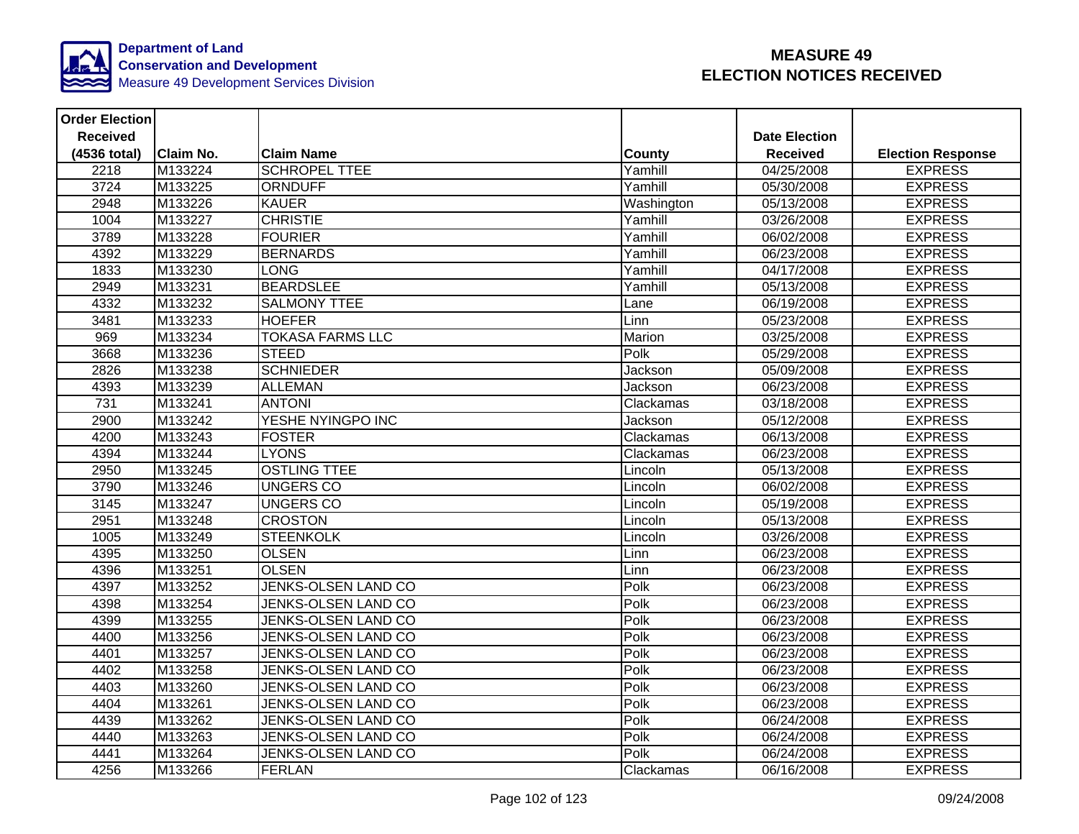

| <b>Order Election</b> |                  |                            |               |                      |                          |
|-----------------------|------------------|----------------------------|---------------|----------------------|--------------------------|
| <b>Received</b>       |                  |                            |               | <b>Date Election</b> |                          |
| (4536 total)          | <b>Claim No.</b> | <b>Claim Name</b>          | <b>County</b> | <b>Received</b>      | <b>Election Response</b> |
| 2218                  | M133224          | <b>SCHROPEL TTEE</b>       | Yamhill       | 04/25/2008           | <b>EXPRESS</b>           |
| 3724                  | M133225          | <b>ORNDUFF</b>             | Yamhill       | 05/30/2008           | <b>EXPRESS</b>           |
| 2948                  | M133226          | <b>KAUER</b>               | Washington    | 05/13/2008           | <b>EXPRESS</b>           |
| 1004                  | M133227          | <b>CHRISTIE</b>            | Yamhill       | 03/26/2008           | <b>EXPRESS</b>           |
| 3789                  | M133228          | <b>FOURIER</b>             | Yamhill       | 06/02/2008           | <b>EXPRESS</b>           |
| 4392                  | M133229          | <b>BERNARDS</b>            | Yamhill       | 06/23/2008           | <b>EXPRESS</b>           |
| 1833                  | M133230          | <b>LONG</b>                | Yamhill       | 04/17/2008           | <b>EXPRESS</b>           |
| 2949                  | M133231          | <b>BEARDSLEE</b>           | Yamhill       | 05/13/2008           | <b>EXPRESS</b>           |
| 4332                  | M133232          | <b>SALMONY TTEE</b>        | Lane          | 06/19/2008           | <b>EXPRESS</b>           |
| 3481                  | M133233          | <b>HOEFER</b>              | Linn          | 05/23/2008           | <b>EXPRESS</b>           |
| 969                   | M133234          | <b>TOKASA FARMS LLC</b>    | Marion        | 03/25/2008           | <b>EXPRESS</b>           |
| 3668                  | M133236          | <b>STEED</b>               | Polk          | 05/29/2008           | <b>EXPRESS</b>           |
| 2826                  | M133238          | <b>SCHNIEDER</b>           | Jackson       | 05/09/2008           | <b>EXPRESS</b>           |
| 4393                  | M133239          | <b>ALLEMAN</b>             | Jackson       | 06/23/2008           | <b>EXPRESS</b>           |
| 731                   | M133241          | <b>ANTONI</b>              | Clackamas     | 03/18/2008           | <b>EXPRESS</b>           |
| 2900                  | M133242          | YESHE NYINGPO INC          | Jackson       | 05/12/2008           | <b>EXPRESS</b>           |
| 4200                  | M133243          | <b>FOSTER</b>              | Clackamas     | 06/13/2008           | <b>EXPRESS</b>           |
| 4394                  | M133244          | <b>LYONS</b>               | Clackamas     | 06/23/2008           | <b>EXPRESS</b>           |
| 2950                  | M133245          | <b>OSTLING TTEE</b>        | Lincoln       | 05/13/2008           | <b>EXPRESS</b>           |
| 3790                  | M133246          | <b>UNGERS CO</b>           | Lincoln       | 06/02/2008           | <b>EXPRESS</b>           |
| 3145                  | M133247          | <b>UNGERS CO</b>           | Lincoln       | 05/19/2008           | <b>EXPRESS</b>           |
| 2951                  | M133248          | <b>CROSTON</b>             | Lincoln       | 05/13/2008           | <b>EXPRESS</b>           |
| 1005                  | M133249          | <b>STEENKOLK</b>           | Lincoln       | 03/26/2008           | <b>EXPRESS</b>           |
| 4395                  | M133250          | <b>OLSEN</b>               | Linn          | 06/23/2008           | <b>EXPRESS</b>           |
| 4396                  | M133251          | <b>OLSEN</b>               | Linn          | 06/23/2008           | <b>EXPRESS</b>           |
| 4397                  | M133252          | JENKS-OLSEN LAND CO        | Polk          | 06/23/2008           | <b>EXPRESS</b>           |
| 4398                  | M133254          | JENKS-OLSEN LAND CO        | Polk          | 06/23/2008           | <b>EXPRESS</b>           |
| 4399                  | M133255          | <b>JENKS-OLSEN LAND CO</b> | Polk          | 06/23/2008           | <b>EXPRESS</b>           |
| 4400                  | M133256          | JENKS-OLSEN LAND CO        | Polk          | 06/23/2008           | <b>EXPRESS</b>           |
| 4401                  | M133257          | <b>JENKS-OLSEN LAND CO</b> | Polk          | 06/23/2008           | <b>EXPRESS</b>           |
| 4402                  | M133258          | JENKS-OLSEN LAND CO        | Polk          | 06/23/2008           | <b>EXPRESS</b>           |
| 4403                  | M133260          | <b>JENKS-OLSEN LAND CO</b> | Polk          | 06/23/2008           | <b>EXPRESS</b>           |
| 4404                  | M133261          | JENKS-OLSEN LAND CO        | Polk          | 06/23/2008           | <b>EXPRESS</b>           |
| 4439                  | M133262          | JENKS-OLSEN LAND CO        | Polk          | 06/24/2008           | <b>EXPRESS</b>           |
| 4440                  | M133263          | JENKS-OLSEN LAND CO        | Polk          | 06/24/2008           | <b>EXPRESS</b>           |
| 4441                  | M133264          | <b>JENKS-OLSEN LAND CO</b> | Polk          | 06/24/2008           | <b>EXPRESS</b>           |
| 4256                  | M133266          | <b>FERLAN</b>              | Clackamas     | 06/16/2008           | <b>EXPRESS</b>           |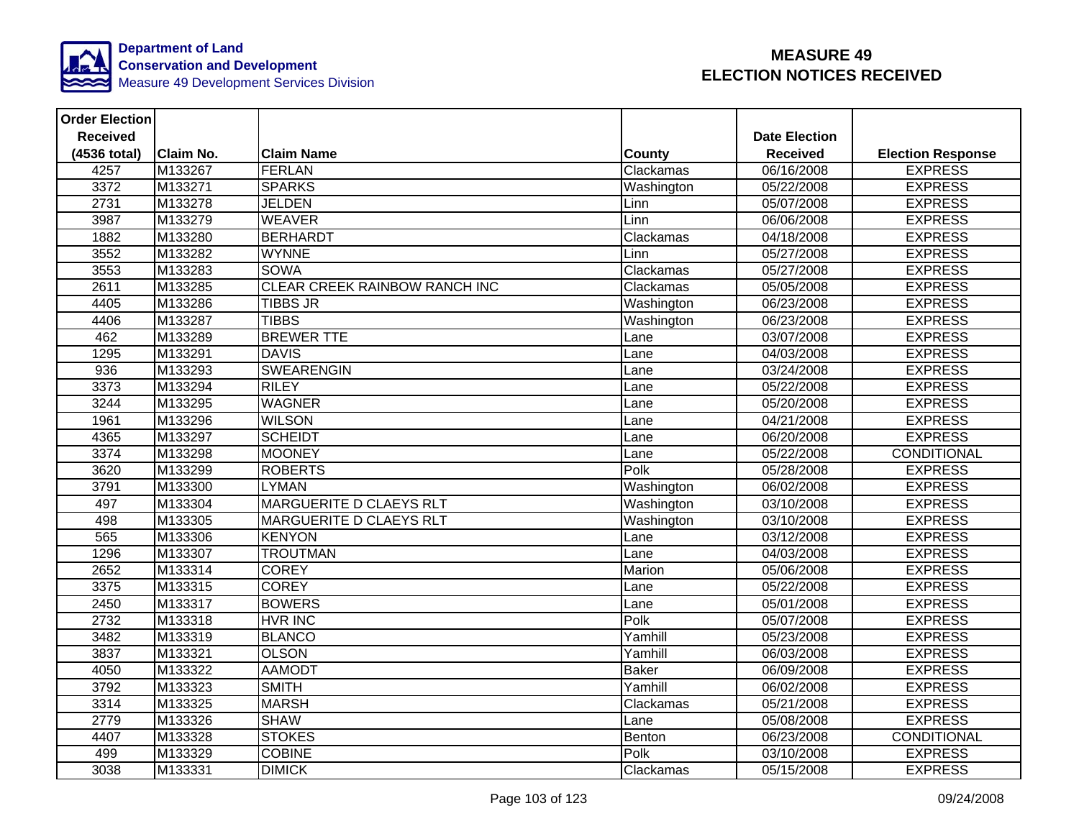

| <b>Order Election</b> |                  |                                      |              |                      |                          |
|-----------------------|------------------|--------------------------------------|--------------|----------------------|--------------------------|
| <b>Received</b>       |                  |                                      |              | <b>Date Election</b> |                          |
| (4536 total)          | <b>Claim No.</b> | <b>Claim Name</b>                    | County       | <b>Received</b>      | <b>Election Response</b> |
| 4257                  | M133267          | <b>FERLAN</b>                        | Clackamas    | 06/16/2008           | <b>EXPRESS</b>           |
| 3372                  | M133271          | <b>SPARKS</b>                        | Washington   | 05/22/2008           | <b>EXPRESS</b>           |
| 2731                  | M133278          | <b>JELDEN</b>                        | Linn         | 05/07/2008           | <b>EXPRESS</b>           |
| 3987                  | M133279          | <b>WEAVER</b>                        | Linn         | 06/06/2008           | <b>EXPRESS</b>           |
| 1882                  | M133280          | <b>BERHARDT</b>                      | Clackamas    | 04/18/2008           | <b>EXPRESS</b>           |
| 3552                  | M133282          | <b>WYNNE</b>                         | Linn         | 05/27/2008           | <b>EXPRESS</b>           |
| 3553                  | M133283          | <b>SOWA</b>                          | Clackamas    | 05/27/2008           | <b>EXPRESS</b>           |
| 2611                  | M133285          | <b>CLEAR CREEK RAINBOW RANCH INC</b> | Clackamas    | 05/05/2008           | <b>EXPRESS</b>           |
| 4405                  | M133286          | <b>TIBBS JR</b>                      | Washington   | 06/23/2008           | <b>EXPRESS</b>           |
| 4406                  | M133287          | <b>TIBBS</b>                         | Washington   | 06/23/2008           | <b>EXPRESS</b>           |
| 462                   | M133289          | <b>BREWER TTE</b>                    | Lane         | 03/07/2008           | <b>EXPRESS</b>           |
| 1295                  | M133291          | <b>DAVIS</b>                         | Lane         | 04/03/2008           | <b>EXPRESS</b>           |
| 936                   | M133293          | <b>SWEARENGIN</b>                    | Lane         | 03/24/2008           | <b>EXPRESS</b>           |
| 3373                  | M133294          | <b>RILEY</b>                         | Lane         | 05/22/2008           | <b>EXPRESS</b>           |
| 3244                  | M133295          | <b>WAGNER</b>                        | Lane         | 05/20/2008           | <b>EXPRESS</b>           |
| 1961                  | M133296          | <b>WILSON</b>                        | Lane         | 04/21/2008           | <b>EXPRESS</b>           |
| 4365                  | M133297          | <b>SCHEIDT</b>                       | Lane         | 06/20/2008           | <b>EXPRESS</b>           |
| 3374                  | M133298          | <b>MOONEY</b>                        | Lane         | 05/22/2008           | CONDITIONAL              |
| 3620                  | M133299          | <b>ROBERTS</b>                       | Polk         | 05/28/2008           | <b>EXPRESS</b>           |
| 3791                  | M133300          | <b>LYMAN</b>                         | Washington   | 06/02/2008           | <b>EXPRESS</b>           |
| 497                   | M133304          | MARGUERITE D CLAEYS RLT              | Washington   | 03/10/2008           | <b>EXPRESS</b>           |
| 498                   | M133305          | <b>MARGUERITE D CLAEYS RLT</b>       | Washington   | 03/10/2008           | <b>EXPRESS</b>           |
| 565                   | M133306          | <b>KENYON</b>                        | Lane         | 03/12/2008           | <b>EXPRESS</b>           |
| 1296                  | M133307          | <b>TROUTMAN</b>                      | Lane         | 04/03/2008           | <b>EXPRESS</b>           |
| 2652                  | M133314          | <b>COREY</b>                         | Marion       | 05/06/2008           | <b>EXPRESS</b>           |
| 3375                  | M133315          | <b>COREY</b>                         | Lane         | 05/22/2008           | <b>EXPRESS</b>           |
| 2450                  | M133317          | <b>BOWERS</b>                        | Lane         | 05/01/2008           | <b>EXPRESS</b>           |
| 2732                  | M133318          | <b>HVR INC</b>                       | Polk         | 05/07/2008           | <b>EXPRESS</b>           |
| 3482                  | M133319          | <b>BLANCO</b>                        | Yamhill      | 05/23/2008           | <b>EXPRESS</b>           |
| 3837                  | M133321          | <b>OLSON</b>                         | Yamhill      | 06/03/2008           | <b>EXPRESS</b>           |
| 4050                  | M133322          | <b>AAMODT</b>                        | <b>Baker</b> | 06/09/2008           | <b>EXPRESS</b>           |
| 3792                  | M133323          | <b>SMITH</b>                         | Yamhill      | 06/02/2008           | <b>EXPRESS</b>           |
| 3314                  | M133325          | <b>MARSH</b>                         | Clackamas    | 05/21/2008           | <b>EXPRESS</b>           |
| 2779                  | M133326          | <b>SHAW</b>                          | Lane         | 05/08/2008           | <b>EXPRESS</b>           |
| 4407                  | M133328          | <b>STOKES</b>                        | Benton       | 06/23/2008           | CONDITIONAL              |
| 499                   | M133329          | <b>COBINE</b>                        | Polk         | 03/10/2008           | <b>EXPRESS</b>           |
| 3038                  | M133331          | <b>DIMICK</b>                        | Clackamas    | 05/15/2008           | <b>EXPRESS</b>           |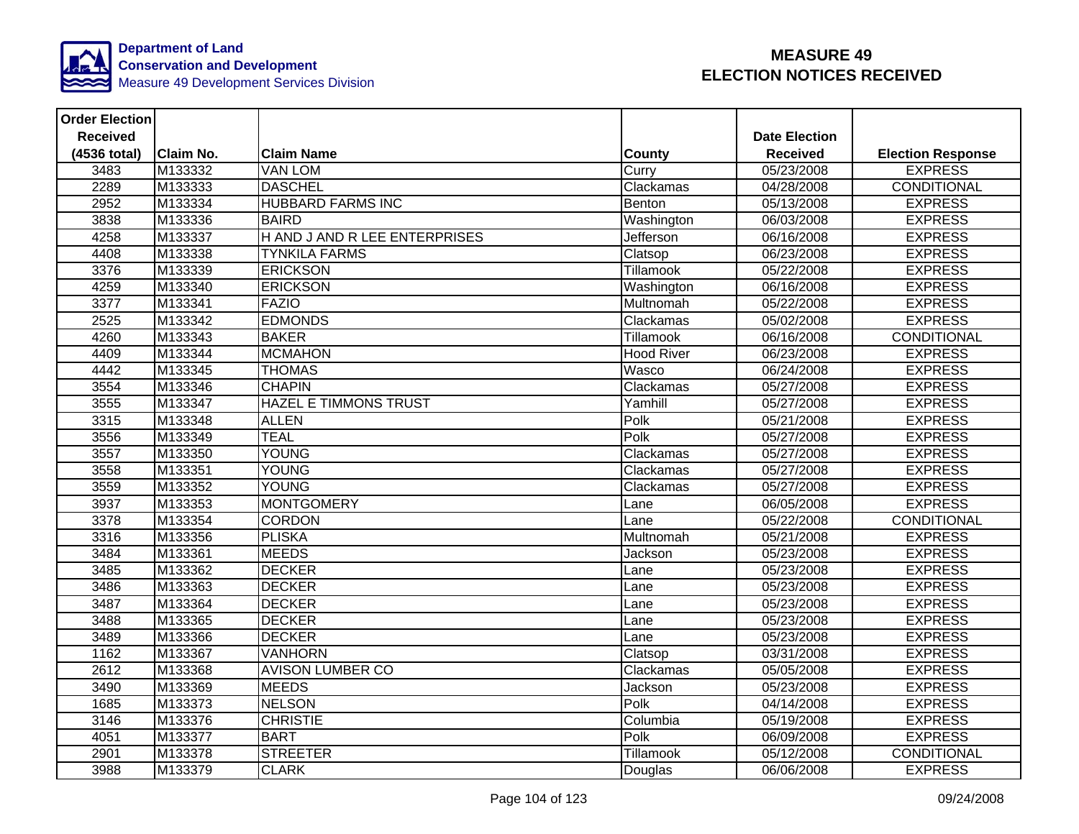

| <b>Order Election</b> |                  |                               |                   |                      |                          |
|-----------------------|------------------|-------------------------------|-------------------|----------------------|--------------------------|
| <b>Received</b>       |                  |                               |                   | <b>Date Election</b> |                          |
| (4536 total)          | <b>Claim No.</b> | <b>Claim Name</b>             | County            | <b>Received</b>      | <b>Election Response</b> |
| 3483                  | M133332          | <b>VAN LOM</b>                | Curry             | 05/23/2008           | <b>EXPRESS</b>           |
| 2289                  | M133333          | <b>DASCHEL</b>                | Clackamas         | 04/28/2008           | <b>CONDITIONAL</b>       |
| 2952                  | M133334          | <b>HUBBARD FARMS INC</b>      | Benton            | 05/13/2008           | <b>EXPRESS</b>           |
| 3838                  | M133336          | <b>BAIRD</b>                  | Washington        | 06/03/2008           | <b>EXPRESS</b>           |
| 4258                  | M133337          | H AND J AND R LEE ENTERPRISES | Jefferson         | 06/16/2008           | <b>EXPRESS</b>           |
| 4408                  | M133338          | <b>TYNKILA FARMS</b>          | Clatsop           | 06/23/2008           | <b>EXPRESS</b>           |
| 3376                  | M133339          | <b>ERICKSON</b>               | Tillamook         | 05/22/2008           | <b>EXPRESS</b>           |
| 4259                  | M133340          | <b>ERICKSON</b>               | Washington        | 06/16/2008           | <b>EXPRESS</b>           |
| 3377                  | M133341          | <b>FAZIO</b>                  | Multnomah         | 05/22/2008           | <b>EXPRESS</b>           |
| 2525                  | M133342          | <b>EDMONDS</b>                | Clackamas         | 05/02/2008           | <b>EXPRESS</b>           |
| 4260                  | M133343          | <b>BAKER</b>                  | Tillamook         | 06/16/2008           | <b>CONDITIONAL</b>       |
| 4409                  | M133344          | <b>MCMAHON</b>                | <b>Hood River</b> | 06/23/2008           | <b>EXPRESS</b>           |
| 4442                  | M133345          | <b>THOMAS</b>                 | Wasco             | 06/24/2008           | <b>EXPRESS</b>           |
| 3554                  | M133346          | <b>CHAPIN</b>                 | Clackamas         | 05/27/2008           | <b>EXPRESS</b>           |
| 3555                  | M133347          | <b>HAZEL E TIMMONS TRUST</b>  | Yamhill           | 05/27/2008           | <b>EXPRESS</b>           |
| 3315                  | M133348          | <b>ALLEN</b>                  | Polk              | 05/21/2008           | <b>EXPRESS</b>           |
| 3556                  | M133349          | <b>TEAL</b>                   | Polk              | 05/27/2008           | <b>EXPRESS</b>           |
| 3557                  | M133350          | <b>YOUNG</b>                  | Clackamas         | 05/27/2008           | <b>EXPRESS</b>           |
| 3558                  | M133351          | YOUNG                         | Clackamas         | 05/27/2008           | <b>EXPRESS</b>           |
| 3559                  | M133352          | <b>YOUNG</b>                  | Clackamas         | 05/27/2008           | <b>EXPRESS</b>           |
| 3937                  | M133353          | <b>MONTGOMERY</b>             | Lane              | 06/05/2008           | <b>EXPRESS</b>           |
| 3378                  | M133354          | <b>CORDON</b>                 | Lane              | 05/22/2008           | <b>CONDITIONAL</b>       |
| 3316                  | M133356          | <b>PLISKA</b>                 | Multnomah         | 05/21/2008           | <b>EXPRESS</b>           |
| 3484                  | M133361          | <b>MEEDS</b>                  | Jackson           | 05/23/2008           | <b>EXPRESS</b>           |
| 3485                  | M133362          | <b>DECKER</b>                 | Lane              | 05/23/2008           | <b>EXPRESS</b>           |
| 3486                  | M133363          | <b>DECKER</b>                 | Lane              | 05/23/2008           | <b>EXPRESS</b>           |
| 3487                  | M133364          | <b>DECKER</b>                 | Lane              | 05/23/2008           | <b>EXPRESS</b>           |
| 3488                  | M133365          | <b>DECKER</b>                 | Lane              | 05/23/2008           | <b>EXPRESS</b>           |
| 3489                  | M133366          | <b>DECKER</b>                 | Lane              | 05/23/2008           | <b>EXPRESS</b>           |
| 1162                  | M133367          | <b>VANHORN</b>                | Clatsop           | 03/31/2008           | <b>EXPRESS</b>           |
| 2612                  | M133368          | <b>AVISON LUMBER CO</b>       | Clackamas         | 05/05/2008           | <b>EXPRESS</b>           |
| 3490                  | M133369          | <b>MEEDS</b>                  | Jackson           | 05/23/2008           | <b>EXPRESS</b>           |
| 1685                  | M133373          | <b>NELSON</b>                 | Polk              | 04/14/2008           | <b>EXPRESS</b>           |
| 3146                  | M133376          | <b>CHRISTIE</b>               | Columbia          | 05/19/2008           | <b>EXPRESS</b>           |
| 4051                  | M133377          | <b>BART</b>                   | Polk              | 06/09/2008           | <b>EXPRESS</b>           |
| 2901                  | M133378          | <b>STREETER</b>               | Tillamook         | 05/12/2008           | <b>CONDITIONAL</b>       |
| 3988                  | M133379          | <b>CLARK</b>                  | Douglas           | 06/06/2008           | <b>EXPRESS</b>           |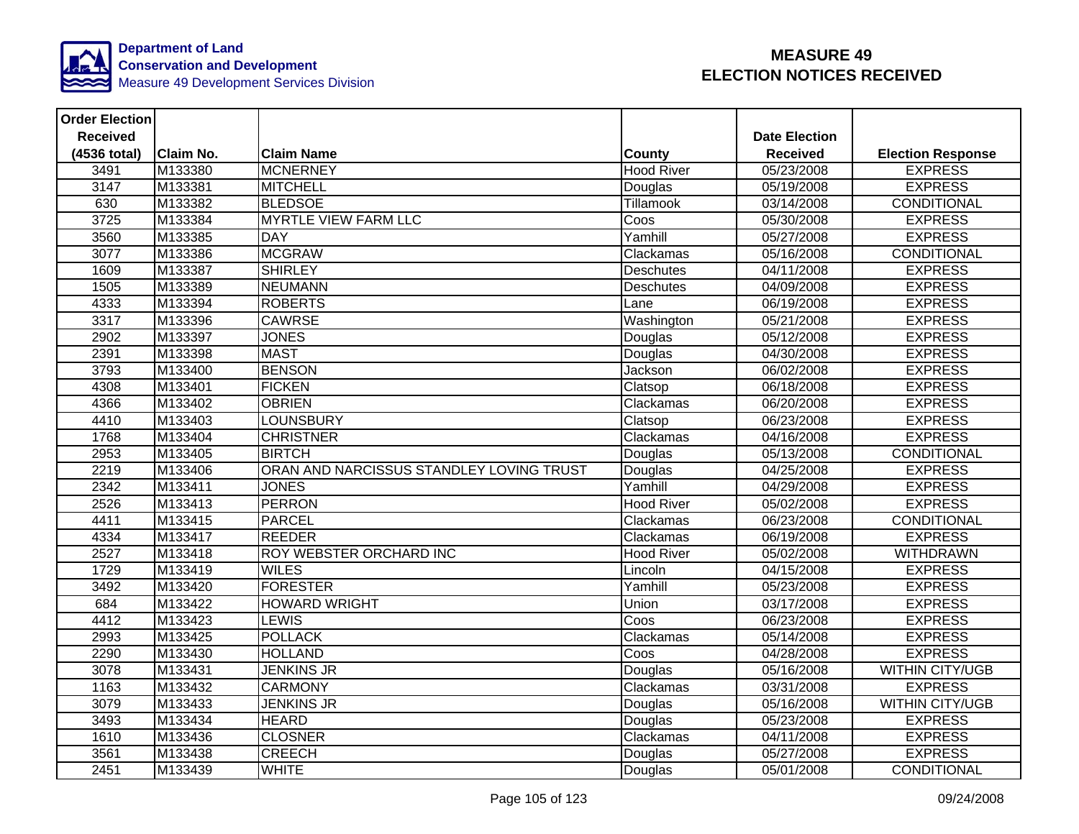

| <b>Order Election</b> |           |                                          |                   |                      |                          |
|-----------------------|-----------|------------------------------------------|-------------------|----------------------|--------------------------|
| <b>Received</b>       |           |                                          |                   | <b>Date Election</b> |                          |
| (4536 total)          | Claim No. | <b>Claim Name</b>                        | <b>County</b>     | <b>Received</b>      | <b>Election Response</b> |
| 3491                  | M133380   | <b>MCNERNEY</b>                          | <b>Hood River</b> | 05/23/2008           | <b>EXPRESS</b>           |
| 3147                  | M133381   | <b>MITCHELL</b>                          | Douglas           | 05/19/2008           | <b>EXPRESS</b>           |
| 630                   | M133382   | <b>BLEDSOE</b>                           | Tillamook         | 03/14/2008           | <b>CONDITIONAL</b>       |
| 3725                  | M133384   | <b>MYRTLE VIEW FARM LLC</b>              | Coos              | 05/30/2008           | <b>EXPRESS</b>           |
| 3560                  | M133385   | <b>DAY</b>                               | Yamhill           | 05/27/2008           | <b>EXPRESS</b>           |
| 3077                  | M133386   | <b>MCGRAW</b>                            | Clackamas         | 05/16/2008           | CONDITIONAL              |
| 1609                  | M133387   | <b>SHIRLEY</b>                           | Deschutes         | 04/11/2008           | <b>EXPRESS</b>           |
| 1505                  | M133389   | NEUMANN                                  | <b>Deschutes</b>  | 04/09/2008           | <b>EXPRESS</b>           |
| 4333                  | M133394   | <b>ROBERTS</b>                           | Lane              | 06/19/2008           | <b>EXPRESS</b>           |
| 3317                  | M133396   | <b>CAWRSE</b>                            | Washington        | 05/21/2008           | <b>EXPRESS</b>           |
| 2902                  | M133397   | <b>JONES</b>                             | Douglas           | 05/12/2008           | <b>EXPRESS</b>           |
| 2391                  | M133398   | <b>MAST</b>                              | Douglas           | 04/30/2008           | <b>EXPRESS</b>           |
| 3793                  | M133400   | <b>BENSON</b>                            | Jackson           | 06/02/2008           | <b>EXPRESS</b>           |
| 4308                  | M133401   | <b>FICKEN</b>                            | Clatsop           | 06/18/2008           | <b>EXPRESS</b>           |
| 4366                  | M133402   | <b>OBRIEN</b>                            | Clackamas         | 06/20/2008           | <b>EXPRESS</b>           |
| 4410                  | M133403   | <b>LOUNSBURY</b>                         | Clatsop           | 06/23/2008           | <b>EXPRESS</b>           |
| 1768                  | M133404   | <b>CHRISTNER</b>                         | Clackamas         | 04/16/2008           | <b>EXPRESS</b>           |
| 2953                  | M133405   | <b>BIRTCH</b>                            | Douglas           | 05/13/2008           | <b>CONDITIONAL</b>       |
| 2219                  | M133406   | ORAN AND NARCISSUS STANDLEY LOVING TRUST | Douglas           | 04/25/2008           | <b>EXPRESS</b>           |
| 2342                  | M133411   | <b>JONES</b>                             | Yamhill           | 04/29/2008           | <b>EXPRESS</b>           |
| 2526                  | M133413   | <b>PERRON</b>                            | <b>Hood River</b> | 05/02/2008           | <b>EXPRESS</b>           |
| 4411                  | M133415   | <b>PARCEL</b>                            | Clackamas         | 06/23/2008           | <b>CONDITIONAL</b>       |
| 4334                  | M133417   | <b>REEDER</b>                            | Clackamas         | 06/19/2008           | <b>EXPRESS</b>           |
| 2527                  | M133418   | ROY WEBSTER ORCHARD INC                  | <b>Hood River</b> | 05/02/2008           | <b>WITHDRAWN</b>         |
| 1729                  | M133419   | <b>WILES</b>                             | Lincoln           | 04/15/2008           | <b>EXPRESS</b>           |
| 3492                  | M133420   | <b>FORESTER</b>                          | Yamhill           | 05/23/2008           | <b>EXPRESS</b>           |
| 684                   | M133422   | <b>HOWARD WRIGHT</b>                     | Union             | 03/17/2008           | <b>EXPRESS</b>           |
| 4412                  | M133423   | <b>LEWIS</b>                             | Coos              | 06/23/2008           | <b>EXPRESS</b>           |
| 2993                  | M133425   | <b>POLLACK</b>                           | Clackamas         | 05/14/2008           | <b>EXPRESS</b>           |
| 2290                  | M133430   | <b>HOLLAND</b>                           | Coos              | 04/28/2008           | <b>EXPRESS</b>           |
| 3078                  | M133431   | <b>JENKINS JR</b>                        | Douglas           | 05/16/2008           | <b>WITHIN CITY/UGB</b>   |
| 1163                  | M133432   | <b>CARMONY</b>                           | Clackamas         | 03/31/2008           | <b>EXPRESS</b>           |
| 3079                  | M133433   | <b>JENKINS JR</b>                        | Douglas           | 05/16/2008           | <b>WITHIN CITY/UGB</b>   |
| 3493                  | M133434   | <b>HEARD</b>                             | Douglas           | 05/23/2008           | <b>EXPRESS</b>           |
| 1610                  | M133436   | <b>CLOSNER</b>                           | Clackamas         | 04/11/2008           | <b>EXPRESS</b>           |
| 3561                  | M133438   | <b>CREECH</b>                            | Douglas           | 05/27/2008           | <b>EXPRESS</b>           |
| 2451                  | M133439   | <b>WHITE</b>                             | Douglas           | 05/01/2008           | CONDITIONAL              |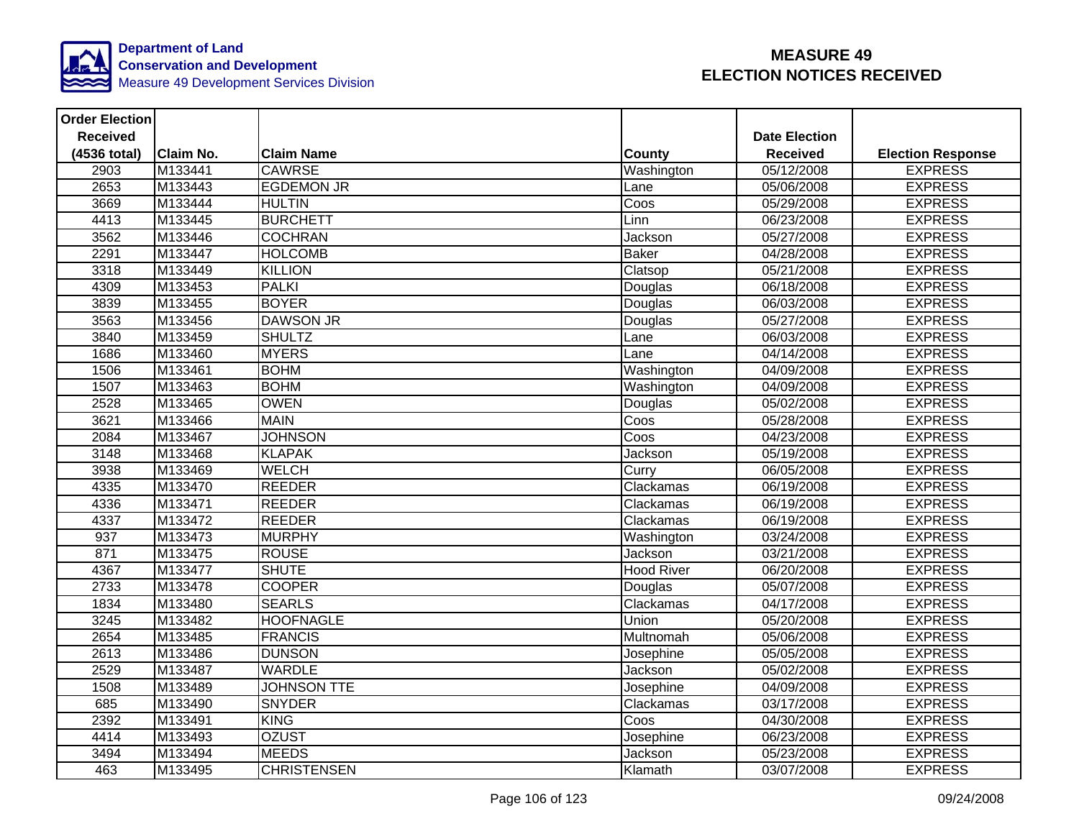

| <b>Order Election</b> |                  |                    |                   |                      |                          |
|-----------------------|------------------|--------------------|-------------------|----------------------|--------------------------|
| <b>Received</b>       |                  |                    |                   | <b>Date Election</b> |                          |
| (4536 total)          | <b>Claim No.</b> | <b>Claim Name</b>  | <b>County</b>     | <b>Received</b>      | <b>Election Response</b> |
| 2903                  | M133441          | <b>CAWRSE</b>      | Washington        | 05/12/2008           | <b>EXPRESS</b>           |
| 2653                  | M133443          | <b>EGDEMON JR</b>  | Lane              | 05/06/2008           | <b>EXPRESS</b>           |
| 3669                  | M133444          | <b>HULTIN</b>      | Coos              | 05/29/2008           | <b>EXPRESS</b>           |
| 4413                  | M133445          | <b>BURCHETT</b>    | Linn              | 06/23/2008           | <b>EXPRESS</b>           |
| 3562                  | M133446          | <b>COCHRAN</b>     | Jackson           | 05/27/2008           | <b>EXPRESS</b>           |
| 2291                  | M133447          | <b>HOLCOMB</b>     | <b>Baker</b>      | 04/28/2008           | <b>EXPRESS</b>           |
| 3318                  | M133449          | <b>KILLION</b>     | Clatsop           | 05/21/2008           | <b>EXPRESS</b>           |
| 4309                  | M133453          | <b>PALKI</b>       | Douglas           | 06/18/2008           | <b>EXPRESS</b>           |
| 3839                  | M133455          | <b>BOYER</b>       | Douglas           | 06/03/2008           | <b>EXPRESS</b>           |
| 3563                  | M133456          | <b>DAWSON JR</b>   | Douglas           | 05/27/2008           | <b>EXPRESS</b>           |
| 3840                  | M133459          | <b>SHULTZ</b>      | Lane              | 06/03/2008           | <b>EXPRESS</b>           |
| 1686                  | M133460          | <b>MYERS</b>       | Lane              | 04/14/2008           | <b>EXPRESS</b>           |
| 1506                  | M133461          | <b>BOHM</b>        | Washington        | 04/09/2008           | <b>EXPRESS</b>           |
| 1507                  | M133463          | <b>BOHM</b>        | Washington        | 04/09/2008           | <b>EXPRESS</b>           |
| 2528                  | M133465          | <b>OWEN</b>        | Douglas           | 05/02/2008           | <b>EXPRESS</b>           |
| 3621                  | M133466          | <b>MAIN</b>        | Coos              | 05/28/2008           | <b>EXPRESS</b>           |
| 2084                  | M133467          | <b>JOHNSON</b>     | Coos              | 04/23/2008           | <b>EXPRESS</b>           |
| 3148                  | M133468          | <b>KLAPAK</b>      | Jackson           | 05/19/2008           | <b>EXPRESS</b>           |
| 3938                  | M133469          | <b>WELCH</b>       | Curry             | 06/05/2008           | <b>EXPRESS</b>           |
| 4335                  | M133470          | <b>REEDER</b>      | Clackamas         | 06/19/2008           | <b>EXPRESS</b>           |
| 4336                  | M133471          | <b>REEDER</b>      | Clackamas         | 06/19/2008           | <b>EXPRESS</b>           |
| 4337                  | M133472          | <b>REEDER</b>      | Clackamas         | 06/19/2008           | <b>EXPRESS</b>           |
| $\overline{937}$      | M133473          | <b>MURPHY</b>      | Washington        | 03/24/2008           | <b>EXPRESS</b>           |
| 871                   | M133475          | <b>ROUSE</b>       | Jackson           | 03/21/2008           | <b>EXPRESS</b>           |
| 4367                  | M133477          | <b>SHUTE</b>       | <b>Hood River</b> | 06/20/2008           | <b>EXPRESS</b>           |
| 2733                  | M133478          | <b>COOPER</b>      | Douglas           | 05/07/2008           | <b>EXPRESS</b>           |
| 1834                  | M133480          | <b>SEARLS</b>      | Clackamas         | 04/17/2008           | <b>EXPRESS</b>           |
| 3245                  | M133482          | <b>HOOFNAGLE</b>   | Union             | 05/20/2008           | <b>EXPRESS</b>           |
| 2654                  | M133485          | <b>FRANCIS</b>     | Multnomah         | 05/06/2008           | <b>EXPRESS</b>           |
| 2613                  | M133486          | <b>DUNSON</b>      | Josephine         | 05/05/2008           | <b>EXPRESS</b>           |
| 2529                  | M133487          | <b>WARDLE</b>      | Jackson           | 05/02/2008           | <b>EXPRESS</b>           |
| 1508                  | M133489          | <b>JOHNSON TTE</b> | Josephine         | 04/09/2008           | <b>EXPRESS</b>           |
| 685                   | M133490          | <b>SNYDER</b>      | Clackamas         | 03/17/2008           | <b>EXPRESS</b>           |
| 2392                  | M133491          | <b>KING</b>        | Coos              | 04/30/2008           | <b>EXPRESS</b>           |
| 4414                  | M133493          | <b>OZUST</b>       | Josephine         | 06/23/2008           | <b>EXPRESS</b>           |
| 3494                  | M133494          | <b>MEEDS</b>       | Jackson           | 05/23/2008           | <b>EXPRESS</b>           |
| 463                   | M133495          | <b>CHRISTENSEN</b> | Klamath           | 03/07/2008           | <b>EXPRESS</b>           |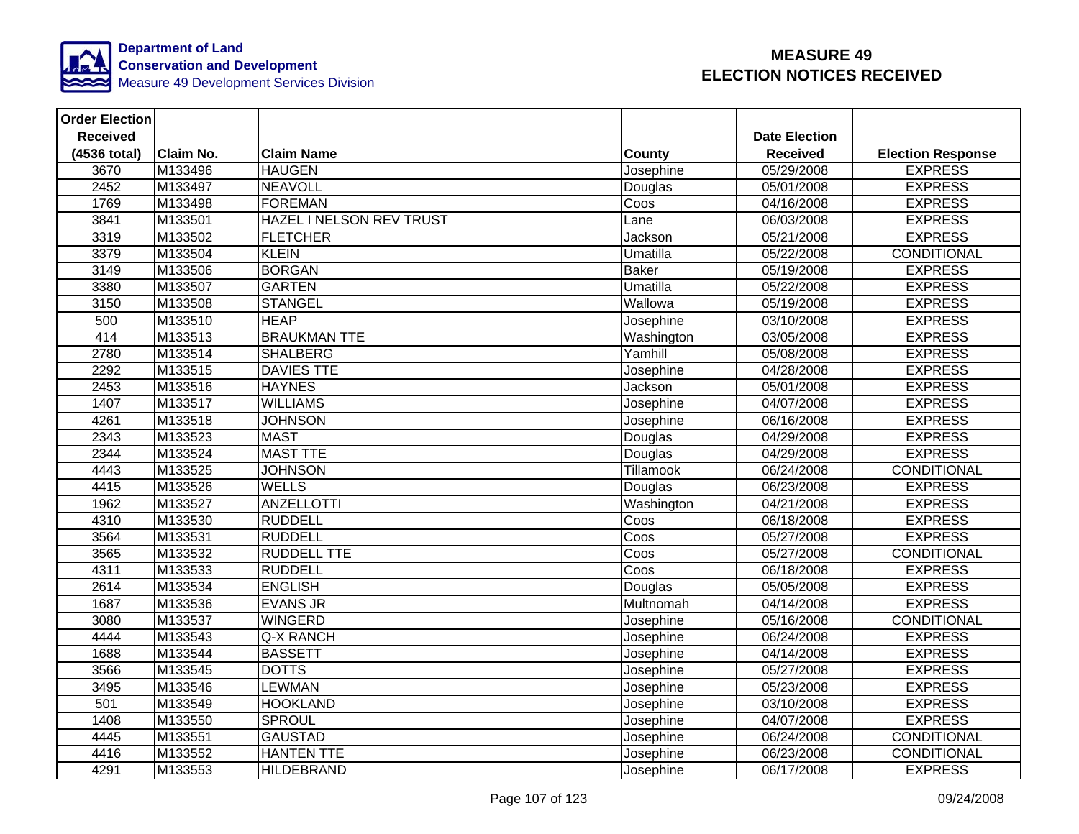

| <b>Order Election</b> |                  |                          |                          |                      |                          |
|-----------------------|------------------|--------------------------|--------------------------|----------------------|--------------------------|
| <b>Received</b>       |                  |                          |                          | <b>Date Election</b> |                          |
| (4536 total)          | <b>Claim No.</b> | <b>Claim Name</b>        | County                   | <b>Received</b>      | <b>Election Response</b> |
| 3670                  | M133496          | <b>HAUGEN</b>            | Josephine                | 05/29/2008           | <b>EXPRESS</b>           |
| 2452                  | M133497          | <b>NEAVOLL</b>           | Douglas                  | 05/01/2008           | <b>EXPRESS</b>           |
| 1769                  | M133498          | <b>FOREMAN</b>           | Coos                     | 04/16/2008           | <b>EXPRESS</b>           |
| 3841                  | M133501          | HAZEL I NELSON REV TRUST | Lane                     | 06/03/2008           | <b>EXPRESS</b>           |
| 3319                  | M133502          | <b>FLETCHER</b>          | Jackson                  | 05/21/2008           | <b>EXPRESS</b>           |
| 3379                  | M133504          | <b>KLEIN</b>             | Umatilla                 | 05/22/2008           | <b>CONDITIONAL</b>       |
| 3149                  | M133506          | <b>BORGAN</b>            | <b>Baker</b>             | 05/19/2008           | <b>EXPRESS</b>           |
| 3380                  | M133507          | <b>GARTEN</b>            | <b>Umatilla</b>          | 05/22/2008           | <b>EXPRESS</b>           |
| 3150                  | M133508          | <b>STANGEL</b>           | Wallowa                  | 05/19/2008           | <b>EXPRESS</b>           |
| 500                   | M133510          | <b>HEAP</b>              | Josephine                | 03/10/2008           | <b>EXPRESS</b>           |
| 414                   | M133513          | <b>BRAUKMAN TTE</b>      | Washington               | 03/05/2008           | <b>EXPRESS</b>           |
| 2780                  | M133514          | <b>SHALBERG</b>          | Yamhill                  | 05/08/2008           | <b>EXPRESS</b>           |
| 2292                  | M133515          | <b>DAVIES TTE</b>        | Josephine                | 04/28/2008           | <b>EXPRESS</b>           |
| 2453                  | M133516          | <b>HAYNES</b>            | Jackson                  | 05/01/2008           | <b>EXPRESS</b>           |
| 1407                  | M133517          | <b>WILLIAMS</b>          | Josephine                | 04/07/2008           | <b>EXPRESS</b>           |
| 4261                  | M133518          | <b>JOHNSON</b>           | Josephine                | 06/16/2008           | <b>EXPRESS</b>           |
| 2343                  | M133523          | <b>MAST</b>              | Douglas                  | 04/29/2008           | <b>EXPRESS</b>           |
| 2344                  | M133524          | <b>MAST TTE</b>          | Douglas                  | 04/29/2008           | <b>EXPRESS</b>           |
| 4443                  | M133525          | <b>JOHNSON</b>           | <b>Tillamook</b>         | 06/24/2008           | <b>CONDITIONAL</b>       |
| 4415                  | M133526          | <b>WELLS</b>             | Douglas                  | 06/23/2008           | <b>EXPRESS</b>           |
| 1962                  | M133527          | <b>ANZELLOTTI</b>        | Washington               | 04/21/2008           | <b>EXPRESS</b>           |
| 4310                  | M133530          | <b>RUDDELL</b>           | Coos                     | 06/18/2008           | <b>EXPRESS</b>           |
| 3564                  | M133531          | <b>RUDDELL</b>           | Coos                     | 05/27/2008           | <b>EXPRESS</b>           |
| 3565                  | M133532          | <b>RUDDELL TTE</b>       | $\overline{\text{Coss}}$ | 05/27/2008           | <b>CONDITIONAL</b>       |
| 4311                  | M133533          | <b>RUDDELL</b>           | Coos                     | 06/18/2008           | <b>EXPRESS</b>           |
| 2614                  | M133534          | <b>ENGLISH</b>           | Douglas                  | 05/05/2008           | <b>EXPRESS</b>           |
| 1687                  | M133536          | <b>EVANS JR</b>          | Multnomah                | 04/14/2008           | <b>EXPRESS</b>           |
| 3080                  | M133537          | <b>WINGERD</b>           | Josephine                | 05/16/2008           | <b>CONDITIONAL</b>       |
| 4444                  | M133543          | Q-X RANCH                | Josephine                | 06/24/2008           | <b>EXPRESS</b>           |
| 1688                  | M133544          | <b>BASSETT</b>           | Josephine                | 04/14/2008           | <b>EXPRESS</b>           |
| 3566                  | M133545          | <b>DOTTS</b>             | Josephine                | 05/27/2008           | <b>EXPRESS</b>           |
| 3495                  | M133546          | LEWMAN                   | Josephine                | 05/23/2008           | <b>EXPRESS</b>           |
| 501                   | M133549          | <b>HOOKLAND</b>          | Josephine                | 03/10/2008           | <b>EXPRESS</b>           |
| 1408                  | M133550          | <b>SPROUL</b>            | Josephine                | 04/07/2008           | <b>EXPRESS</b>           |
| 4445                  | M133551          | <b>GAUSTAD</b>           | Josephine                | 06/24/2008           | CONDITIONAL              |
| 4416                  | M133552          | <b>HANTEN TTE</b>        | Josephine                | 06/23/2008           | CONDITIONAL              |
| 4291                  | M133553          | HILDEBRAND               | Josephine                | 06/17/2008           | <b>EXPRESS</b>           |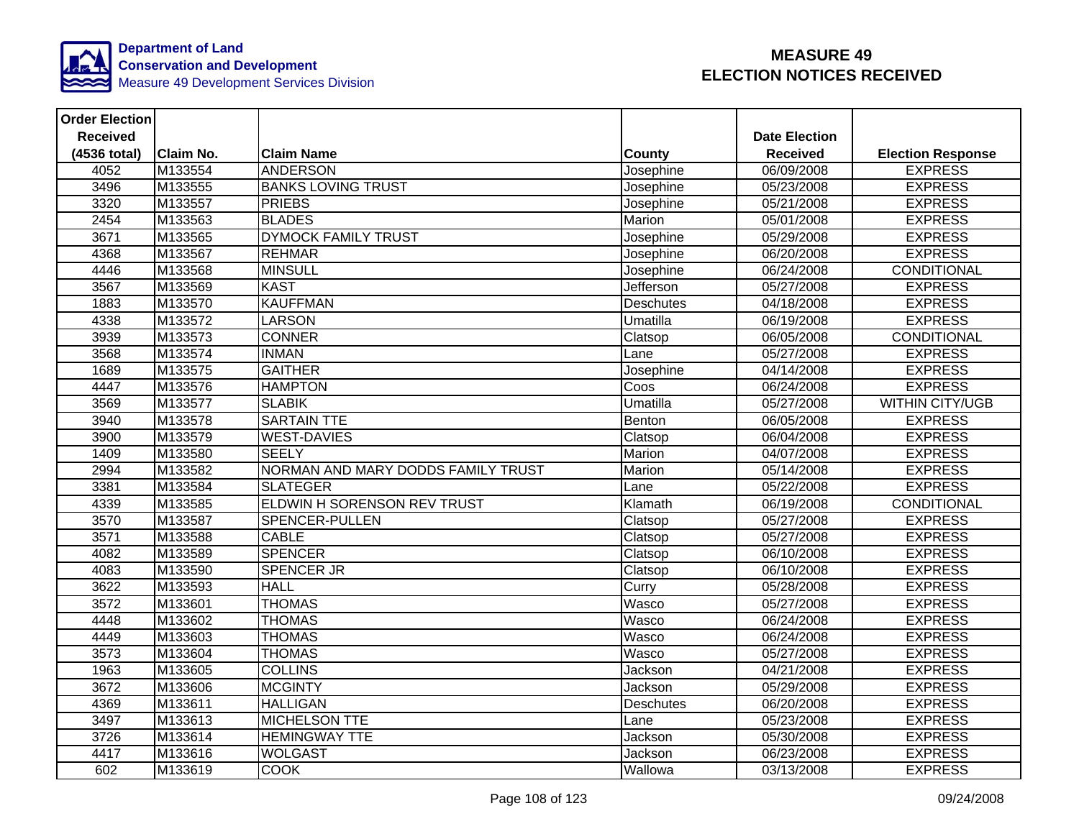

| <b>Order Election</b> |                  |                                    |                  |                      |                          |
|-----------------------|------------------|------------------------------------|------------------|----------------------|--------------------------|
| <b>Received</b>       |                  |                                    |                  | <b>Date Election</b> |                          |
| (4536 total)          | <b>Claim No.</b> | <b>Claim Name</b>                  | County           | <b>Received</b>      | <b>Election Response</b> |
| 4052                  | M133554          | <b>ANDERSON</b>                    | Josephine        | 06/09/2008           | <b>EXPRESS</b>           |
| 3496                  | M133555          | <b>BANKS LOVING TRUST</b>          | Josephine        | 05/23/2008           | <b>EXPRESS</b>           |
| 3320                  | M133557          | <b>PRIEBS</b>                      | Josephine        | 05/21/2008           | <b>EXPRESS</b>           |
| 2454                  | M133563          | <b>BLADES</b>                      | Marion           | 05/01/2008           | <b>EXPRESS</b>           |
| 3671                  | M133565          | <b>DYMOCK FAMILY TRUST</b>         | Josephine        | 05/29/2008           | <b>EXPRESS</b>           |
| 4368                  | M133567          | <b>REHMAR</b>                      | Josephine        | 06/20/2008           | <b>EXPRESS</b>           |
| 4446                  | M133568          | <b>MINSULL</b>                     | Josephine        | 06/24/2008           | CONDITIONAL              |
| 3567                  | M133569          | <b>KAST</b>                        | Jefferson        | 05/27/2008           | <b>EXPRESS</b>           |
| 1883                  | M133570          | <b>KAUFFMAN</b>                    | <b>Deschutes</b> | 04/18/2008           | <b>EXPRESS</b>           |
| 4338                  | M133572          | <b>LARSON</b>                      | Umatilla         | 06/19/2008           | <b>EXPRESS</b>           |
| 3939                  | M133573          | <b>CONNER</b>                      | Clatsop          | 06/05/2008           | CONDITIONAL              |
| 3568                  | M133574          | <b>INMAN</b>                       | Lane             | 05/27/2008           | <b>EXPRESS</b>           |
| 1689                  | M133575          | <b>GAITHER</b>                     | Josephine        | 04/14/2008           | <b>EXPRESS</b>           |
| 4447                  | M133576          | <b>HAMPTON</b>                     | Coos             | 06/24/2008           | <b>EXPRESS</b>           |
| 3569                  | M133577          | <b>SLABIK</b>                      | Umatilla         | 05/27/2008           | <b>WITHIN CITY/UGB</b>   |
| 3940                  | M133578          | <b>SARTAIN TTE</b>                 | Benton           | 06/05/2008           | <b>EXPRESS</b>           |
| 3900                  | M133579          | <b>WEST-DAVIES</b>                 | Clatsop          | 06/04/2008           | <b>EXPRESS</b>           |
| 1409                  | M133580          | <b>SEELY</b>                       | Marion           | 04/07/2008           | <b>EXPRESS</b>           |
| 2994                  | M133582          | NORMAN AND MARY DODDS FAMILY TRUST | Marion           | 05/14/2008           | <b>EXPRESS</b>           |
| 3381                  | M133584          | <b>SLATEGER</b>                    | Lane             | 05/22/2008           | <b>EXPRESS</b>           |
| 4339                  | M133585          | ELDWIN H SORENSON REV TRUST        | Klamath          | 06/19/2008           | <b>CONDITIONAL</b>       |
| 3570                  | M133587          | <b>SPENCER-PULLEN</b>              | Clatsop          | 05/27/2008           | <b>EXPRESS</b>           |
| 3571                  | M133588          | <b>CABLE</b>                       | Clatsop          | 05/27/2008           | <b>EXPRESS</b>           |
| 4082                  | M133589          | <b>SPENCER</b>                     | Clatsop          | 06/10/2008           | <b>EXPRESS</b>           |
| 4083                  | M133590          | <b>SPENCER JR</b>                  | Clatsop          | 06/10/2008           | <b>EXPRESS</b>           |
| 3622                  | M133593          | <b>HALL</b>                        | Curry            | 05/28/2008           | <b>EXPRESS</b>           |
| 3572                  | M133601          | <b>THOMAS</b>                      | Wasco            | 05/27/2008           | <b>EXPRESS</b>           |
| 4448                  | M133602          | <b>THOMAS</b>                      | Wasco            | 06/24/2008           | <b>EXPRESS</b>           |
| 4449                  | M133603          | <b>THOMAS</b>                      | Wasco            | 06/24/2008           | <b>EXPRESS</b>           |
| 3573                  | M133604          | <b>THOMAS</b>                      | Wasco            | 05/27/2008           | <b>EXPRESS</b>           |
| 1963                  | M133605          | <b>COLLINS</b>                     | Jackson          | 04/21/2008           | <b>EXPRESS</b>           |
| 3672                  | M133606          | <b>MCGINTY</b>                     | Jackson          | 05/29/2008           | <b>EXPRESS</b>           |
| 4369                  | M133611          | <b>HALLIGAN</b>                    | <b>Deschutes</b> | 06/20/2008           | <b>EXPRESS</b>           |
| 3497                  | M133613          | <b>MICHELSON TTE</b>               | Lane             | 05/23/2008           | <b>EXPRESS</b>           |
| 3726                  | M133614          | <b>HEMINGWAY TTE</b>               | Jackson          | 05/30/2008           | <b>EXPRESS</b>           |
| 4417                  | M133616          | <b>WOLGAST</b>                     | Jackson          | 06/23/2008           | <b>EXPRESS</b>           |
| 602                   | M133619          | <b>COOK</b>                        | Wallowa          | 03/13/2008           | <b>EXPRESS</b>           |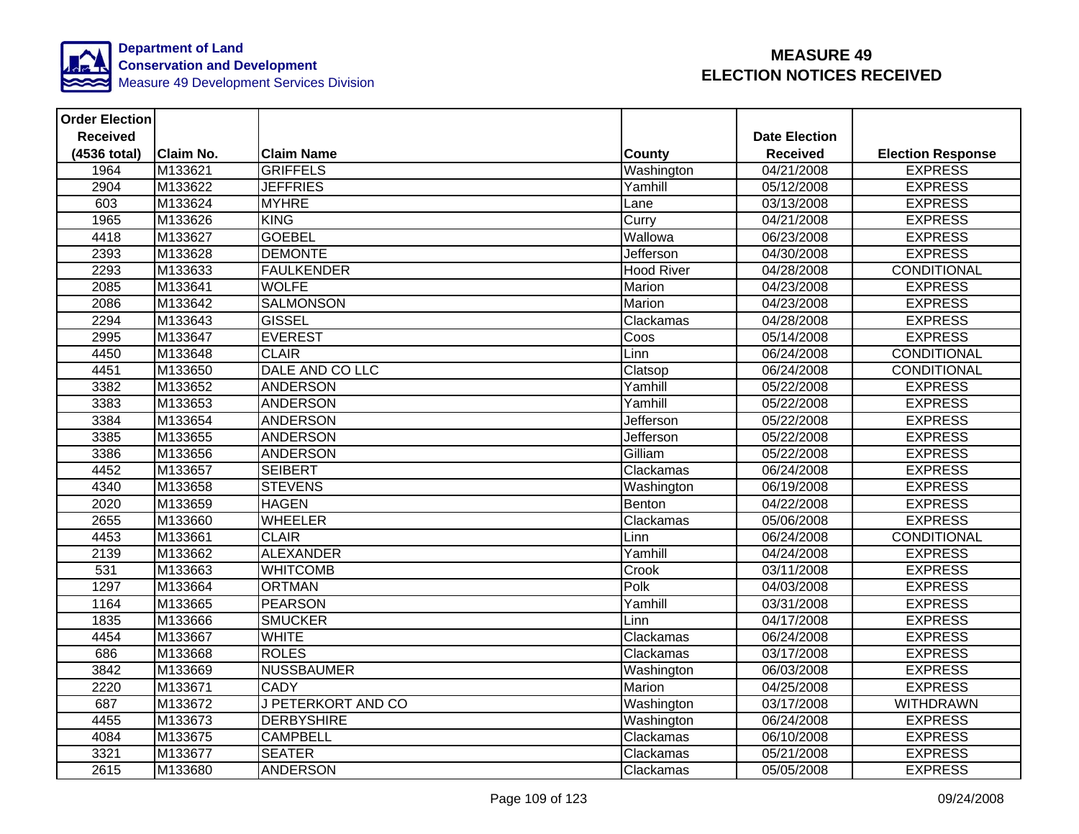

| <b>Order Election</b> |                  |                           |                   |                         |                          |
|-----------------------|------------------|---------------------------|-------------------|-------------------------|--------------------------|
| <b>Received</b>       |                  |                           |                   | <b>Date Election</b>    |                          |
| (4536 total)          | <b>Claim No.</b> | <b>Claim Name</b>         | <b>County</b>     | <b>Received</b>         | <b>Election Response</b> |
| 1964                  | M133621          | <b>GRIFFELS</b>           | Washington        | 04/21/2008              | <b>EXPRESS</b>           |
| 2904                  | M133622          | <b>JEFFRIES</b>           | Yamhill           | 05/12/2008              | <b>EXPRESS</b>           |
| 603                   | M133624          | <b>MYHRE</b>              | Lane              | 03/13/2008              | <b>EXPRESS</b>           |
| 1965                  | M133626          | <b>KING</b>               | Curry             | 04/21/2008              | <b>EXPRESS</b>           |
| 4418                  | M133627          | <b>GOEBEL</b>             | Wallowa           | 06/23/2008              | <b>EXPRESS</b>           |
| 2393                  | M133628          | <b>DEMONTE</b>            | Jefferson         | 04/30/2008              | <b>EXPRESS</b>           |
| 2293                  | M133633          | <b>FAULKENDER</b>         | <b>Hood River</b> | 04/28/2008              | <b>CONDITIONAL</b>       |
| 2085                  | M133641          | <b>WOLFE</b>              | Marion            | 04/23/2008              | <b>EXPRESS</b>           |
| 2086                  | M133642          | <b>SALMONSON</b>          | Marion            | 04/23/2008              | <b>EXPRESS</b>           |
| 2294                  | M133643          | <b>GISSEL</b>             | Clackamas         | 04/28/2008              | <b>EXPRESS</b>           |
| 2995                  | M133647          | <b>EVEREST</b>            | Coos              | 05/14/2008              | <b>EXPRESS</b>           |
| 4450                  | M133648          | <b>CLAIR</b>              | Linn              | 06/24/2008              | CONDITIONAL              |
| 4451                  | M133650          | DALE AND CO LLC           | Clatsop           | 06/24/2008              | CONDITIONAL              |
| 3382                  | M133652          | <b>ANDERSON</b>           | Yamhill           | 05/22/2008              | <b>EXPRESS</b>           |
| 3383                  | M133653          | <b>ANDERSON</b>           | Yamhill           | $\overline{05/22}/2008$ | <b>EXPRESS</b>           |
| 3384                  | M133654          | <b>ANDERSON</b>           | <b>Jefferson</b>  | 05/22/2008              | <b>EXPRESS</b>           |
| 3385                  | M133655          | <b>ANDERSON</b>           | Jefferson         | 05/22/2008              | <b>EXPRESS</b>           |
| 3386                  | M133656          | <b>ANDERSON</b>           | Gilliam           | 05/22/2008              | <b>EXPRESS</b>           |
| 4452                  | M133657          | <b>SEIBERT</b>            | Clackamas         | 06/24/2008              | <b>EXPRESS</b>           |
| 4340                  | M133658          | <b>STEVENS</b>            | Washington        | 06/19/2008              | <b>EXPRESS</b>           |
| 2020                  | M133659          | <b>HAGEN</b>              | Benton            | 04/22/2008              | <b>EXPRESS</b>           |
| 2655                  | M133660          | <b>WHEELER</b>            | Clackamas         | 05/06/2008              | <b>EXPRESS</b>           |
| 4453                  | M133661          | <b>CLAIR</b>              | Linn              | 06/24/2008              | CONDITIONAL              |
| 2139                  | M133662          | <b>ALEXANDER</b>          | Yamhill           | 04/24/2008              | <b>EXPRESS</b>           |
| 531                   | M133663          | <b>WHITCOMB</b>           | Crook             | 03/11/2008              | <b>EXPRESS</b>           |
| 1297                  | M133664          | <b>ORTMAN</b>             | Polk              | 04/03/2008              | <b>EXPRESS</b>           |
| 1164                  | M133665          | <b>PEARSON</b>            | Yamhill           | 03/31/2008              | <b>EXPRESS</b>           |
| 1835                  | M133666          | <b>SMUCKER</b>            | Linn              | 04/17/2008              | <b>EXPRESS</b>           |
| 4454                  | M133667          | <b>WHITE</b>              | Clackamas         | 06/24/2008              | <b>EXPRESS</b>           |
| 686                   | M133668          | <b>ROLES</b>              | Clackamas         | 03/17/2008              | <b>EXPRESS</b>           |
| 3842                  | M133669          | <b>NUSSBAUMER</b>         | Washington        | 06/03/2008              | <b>EXPRESS</b>           |
| 2220                  | M133671          | <b>CADY</b>               | Marion            | 04/25/2008              | <b>EXPRESS</b>           |
| 687                   | M133672          | <b>J PETERKORT AND CO</b> | Washington        | 03/17/2008              | <b>WITHDRAWN</b>         |
| 4455                  | M133673          | <b>DERBYSHIRE</b>         | Washington        | 06/24/2008              | <b>EXPRESS</b>           |
| 4084                  | M133675          | <b>CAMPBELL</b>           | Clackamas         | 06/10/2008              | <b>EXPRESS</b>           |
| 3321                  | M133677          | <b>SEATER</b>             | Clackamas         | 05/21/2008              | <b>EXPRESS</b>           |
| 2615                  | M133680          | <b>ANDERSON</b>           | Clackamas         | 05/05/2008              | <b>EXPRESS</b>           |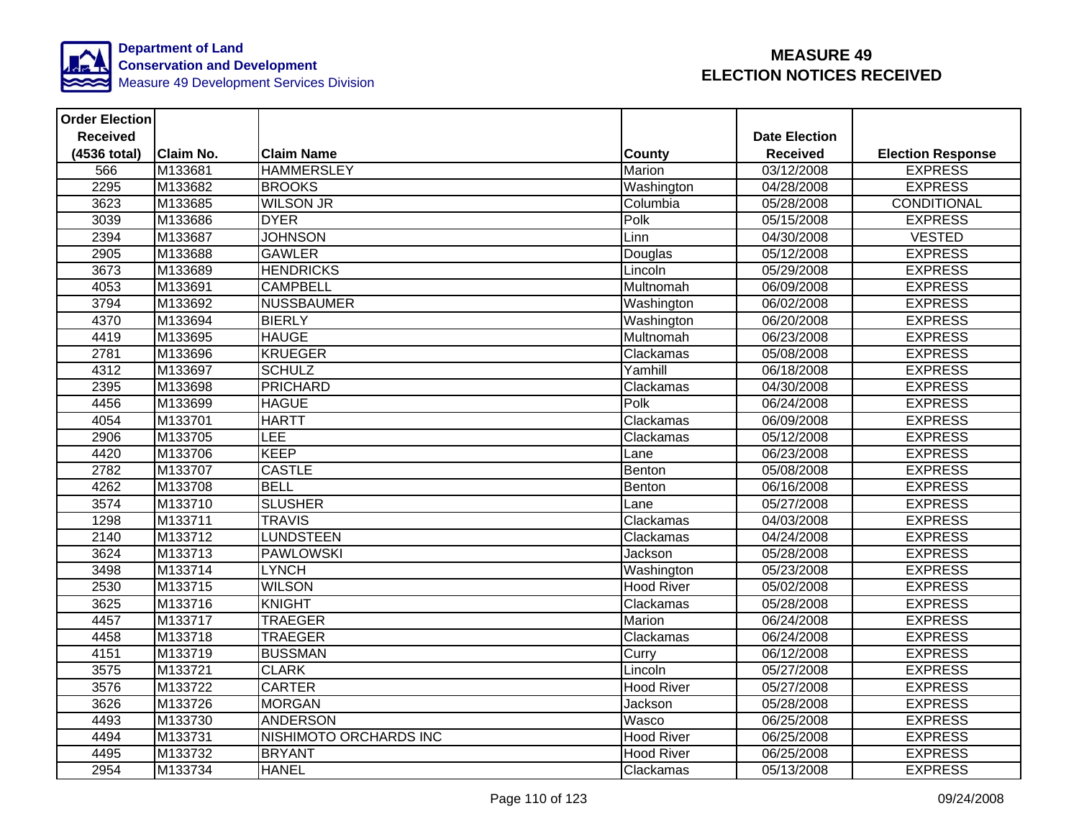

| <b>Order Election</b> |                  |                        |                   |                      |                          |
|-----------------------|------------------|------------------------|-------------------|----------------------|--------------------------|
| <b>Received</b>       |                  |                        |                   | <b>Date Election</b> |                          |
| (4536 total)          | <b>Claim No.</b> | <b>Claim Name</b>      | County            | <b>Received</b>      | <b>Election Response</b> |
| 566                   | M133681          | <b>HAMMERSLEY</b>      | Marion            | 03/12/2008           | <b>EXPRESS</b>           |
| 2295                  | M133682          | <b>BROOKS</b>          | Washington        | 04/28/2008           | <b>EXPRESS</b>           |
| 3623                  | M133685          | <b>WILSON JR</b>       | Columbia          | 05/28/2008           | <b>CONDITIONAL</b>       |
| 3039                  | M133686          | <b>DYER</b>            | Polk              | 05/15/2008           | <b>EXPRESS</b>           |
| 2394                  | M133687          | <b>JOHNSON</b>         | Linn              | 04/30/2008           | <b>VESTED</b>            |
| 2905                  | M133688          | <b>GAWLER</b>          | Douglas           | 05/12/2008           | <b>EXPRESS</b>           |
| 3673                  | M133689          | <b>HENDRICKS</b>       | Lincoln           | 05/29/2008           | <b>EXPRESS</b>           |
| 4053                  | M133691          | <b>CAMPBELL</b>        | <b>Multnomah</b>  | 06/09/2008           | <b>EXPRESS</b>           |
| 3794                  | M133692          | <b>NUSSBAUMER</b>      | Washington        | 06/02/2008           | <b>EXPRESS</b>           |
| 4370                  | M133694          | <b>BIERLY</b>          | Washington        | 06/20/2008           | <b>EXPRESS</b>           |
| 4419                  | M133695          | <b>HAUGE</b>           | Multnomah         | 06/23/2008           | <b>EXPRESS</b>           |
| 2781                  | M133696          | <b>KRUEGER</b>         | Clackamas         | 05/08/2008           | <b>EXPRESS</b>           |
| 4312                  | M133697          | <b>SCHULZ</b>          | Yamhill           | 06/18/2008           | <b>EXPRESS</b>           |
| 2395                  | M133698          | <b>PRICHARD</b>        | Clackamas         | 04/30/2008           | <b>EXPRESS</b>           |
| 4456                  | M133699          | <b>HAGUE</b>           | Polk              | 06/24/2008           | <b>EXPRESS</b>           |
| 4054                  | M133701          | <b>HARTT</b>           | Clackamas         | 06/09/2008           | <b>EXPRESS</b>           |
| 2906                  | M133705          | <b>LEE</b>             | Clackamas         | 05/12/2008           | <b>EXPRESS</b>           |
| 4420                  | M133706          | <b>KEEP</b>            | Lane              | 06/23/2008           | <b>EXPRESS</b>           |
| 2782                  | M133707          | <b>CASTLE</b>          | Benton            | 05/08/2008           | <b>EXPRESS</b>           |
| 4262                  | M133708          | <b>BELL</b>            | Benton            | 06/16/2008           | <b>EXPRESS</b>           |
| 3574                  | M133710          | <b>SLUSHER</b>         | Lane              | 05/27/2008           | <b>EXPRESS</b>           |
| 1298                  | M133711          | <b>TRAVIS</b>          | Clackamas         | 04/03/2008           | <b>EXPRESS</b>           |
| 2140                  | M133712          | <b>LUNDSTEEN</b>       | Clackamas         | 04/24/2008           | <b>EXPRESS</b>           |
| 3624                  | M133713          | <b>PAWLOWSKI</b>       | Jackson           | 05/28/2008           | <b>EXPRESS</b>           |
| 3498                  | M133714          | <b>LYNCH</b>           | Washington        | 05/23/2008           | <b>EXPRESS</b>           |
| 2530                  | M133715          | <b>WILSON</b>          | <b>Hood River</b> | 05/02/2008           | <b>EXPRESS</b>           |
| 3625                  | M133716          | <b>KNIGHT</b>          | Clackamas         | 05/28/2008           | <b>EXPRESS</b>           |
| 4457                  | M133717          | <b>TRAEGER</b>         | Marion            | 06/24/2008           | <b>EXPRESS</b>           |
| 4458                  | M133718          | <b>TRAEGER</b>         | Clackamas         | 06/24/2008           | <b>EXPRESS</b>           |
| 4151                  | M133719          | <b>BUSSMAN</b>         | Curry             | 06/12/2008           | <b>EXPRESS</b>           |
| 3575                  | M133721          | <b>CLARK</b>           | Lincoln           | 05/27/2008           | <b>EXPRESS</b>           |
| 3576                  | M133722          | <b>CARTER</b>          | <b>Hood River</b> | 05/27/2008           | <b>EXPRESS</b>           |
| 3626                  | M133726          | <b>MORGAN</b>          | Jackson           | 05/28/2008           | <b>EXPRESS</b>           |
| 4493                  | M133730          | <b>ANDERSON</b>        | Wasco             | 06/25/2008           | <b>EXPRESS</b>           |
| 4494                  | M133731          | NISHIMOTO ORCHARDS INC | <b>Hood River</b> | 06/25/2008           | <b>EXPRESS</b>           |
| 4495                  | M133732          | <b>BRYANT</b>          | <b>Hood River</b> | 06/25/2008           | <b>EXPRESS</b>           |
| 2954                  | M133734          | <b>HANEL</b>           | Clackamas         | 05/13/2008           | <b>EXPRESS</b>           |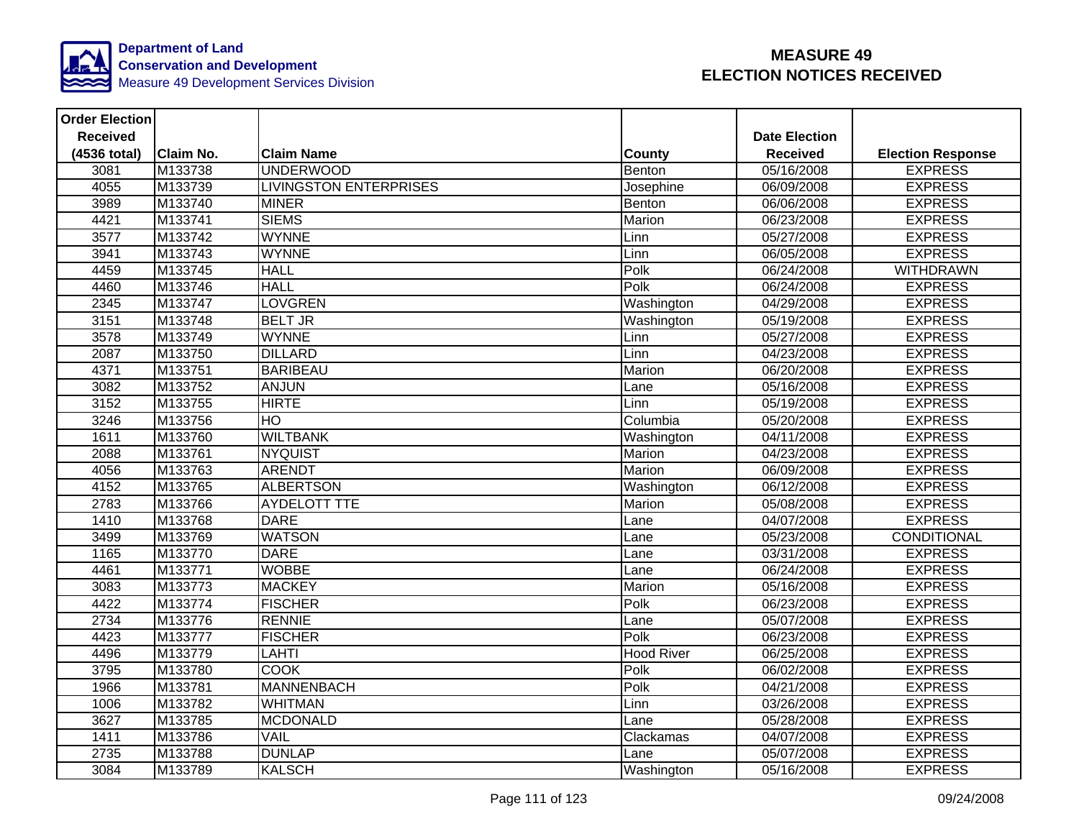

| <b>Order Election</b> |           |                               |                   |                      |                          |
|-----------------------|-----------|-------------------------------|-------------------|----------------------|--------------------------|
| <b>Received</b>       |           |                               |                   | <b>Date Election</b> |                          |
| (4536 total)          | Claim No. | <b>Claim Name</b>             | <b>County</b>     | <b>Received</b>      | <b>Election Response</b> |
| 3081                  | M133738   | <b>UNDERWOOD</b>              | Benton            | 05/16/2008           | <b>EXPRESS</b>           |
| 4055                  | M133739   | <b>LIVINGSTON ENTERPRISES</b> | Josephine         | 06/09/2008           | <b>EXPRESS</b>           |
| 3989                  | M133740   | <b>MINER</b>                  | Benton            | 06/06/2008           | <b>EXPRESS</b>           |
| 4421                  | M133741   | <b>SIEMS</b>                  | Marion            | 06/23/2008           | <b>EXPRESS</b>           |
| 3577                  | M133742   | <b>WYNNE</b>                  | Linn              | 05/27/2008           | <b>EXPRESS</b>           |
| 3941                  | M133743   | <b>WYNNE</b>                  | Linn              | 06/05/2008           | <b>EXPRESS</b>           |
| 4459                  | M133745   | <b>HALL</b>                   | Polk              | 06/24/2008           | <b>WITHDRAWN</b>         |
| 4460                  | M133746   | <b>HALL</b>                   | Polk              | 06/24/2008           | <b>EXPRESS</b>           |
| 2345                  | M133747   | <b>LOVGREN</b>                | Washington        | 04/29/2008           | <b>EXPRESS</b>           |
| 3151                  | M133748   | <b>BELT JR</b>                | Washington        | 05/19/2008           | <b>EXPRESS</b>           |
| 3578                  | M133749   | <b>WYNNE</b>                  | Linn              | 05/27/2008           | <b>EXPRESS</b>           |
| 2087                  | M133750   | <b>DILLARD</b>                | Linn              | 04/23/2008           | <b>EXPRESS</b>           |
| 4371                  | M133751   | <b>BARIBEAU</b>               | Marion            | 06/20/2008           | <b>EXPRESS</b>           |
| 3082                  | M133752   | <b>ANJUN</b>                  | Lane              | 05/16/2008           | <b>EXPRESS</b>           |
| 3152                  | M133755   | <b>HIRTE</b>                  | Linn              | 05/19/2008           | <b>EXPRESS</b>           |
| 3246                  | M133756   | HO                            | Columbia          | 05/20/2008           | <b>EXPRESS</b>           |
| 1611                  | M133760   | <b>WILTBANK</b>               | Washington        | 04/11/2008           | <b>EXPRESS</b>           |
| 2088                  | M133761   | <b>NYQUIST</b>                | Marion            | 04/23/2008           | <b>EXPRESS</b>           |
| 4056                  | M133763   | <b>ARENDT</b>                 | Marion            | 06/09/2008           | <b>EXPRESS</b>           |
| 4152                  | M133765   | <b>ALBERTSON</b>              | Washington        | 06/12/2008           | <b>EXPRESS</b>           |
| 2783                  | M133766   | <b>AYDELOTT TTE</b>           | Marion            | 05/08/2008           | <b>EXPRESS</b>           |
| 1410                  | M133768   | <b>DARE</b>                   | Lane              | 04/07/2008           | <b>EXPRESS</b>           |
| 3499                  | M133769   | <b>WATSON</b>                 | Lane              | 05/23/2008           | CONDITIONAL              |
| 1165                  | M133770   | <b>DARE</b>                   | Lane              | 03/31/2008           | <b>EXPRESS</b>           |
| 4461                  | M133771   | <b>WOBBE</b>                  | Lane              | 06/24/2008           | <b>EXPRESS</b>           |
| 3083                  | M133773   | <b>MACKEY</b>                 | Marion            | 05/16/2008           | <b>EXPRESS</b>           |
| 4422                  | M133774   | <b>FISCHER</b>                | Polk              | 06/23/2008           | <b>EXPRESS</b>           |
| 2734                  | M133776   | <b>RENNIE</b>                 | Lane              | 05/07/2008           | <b>EXPRESS</b>           |
| 4423                  | M133777   | <b>FISCHER</b>                | Polk              | 06/23/2008           | <b>EXPRESS</b>           |
| 4496                  | M133779   | <b>LAHTI</b>                  | <b>Hood River</b> | 06/25/2008           | <b>EXPRESS</b>           |
| 3795                  | M133780   | <b>COOK</b>                   | Polk              | 06/02/2008           | <b>EXPRESS</b>           |
| 1966                  | M133781   | <b>MANNENBACH</b>             | Polk              | 04/21/2008           | <b>EXPRESS</b>           |
| 1006                  | M133782   | <b>WHITMAN</b>                | Linn              | 03/26/2008           | <b>EXPRESS</b>           |
| 3627                  | M133785   | <b>MCDONALD</b>               | Lane              | 05/28/2008           | <b>EXPRESS</b>           |
| 1411                  | M133786   | <b>VAIL</b>                   | Clackamas         | 04/07/2008           | <b>EXPRESS</b>           |
| 2735                  | M133788   | <b>DUNLAP</b>                 | Lane              | 05/07/2008           | <b>EXPRESS</b>           |
| 3084                  | M133789   | <b>KALSCH</b>                 | Washington        | 05/16/2008           | <b>EXPRESS</b>           |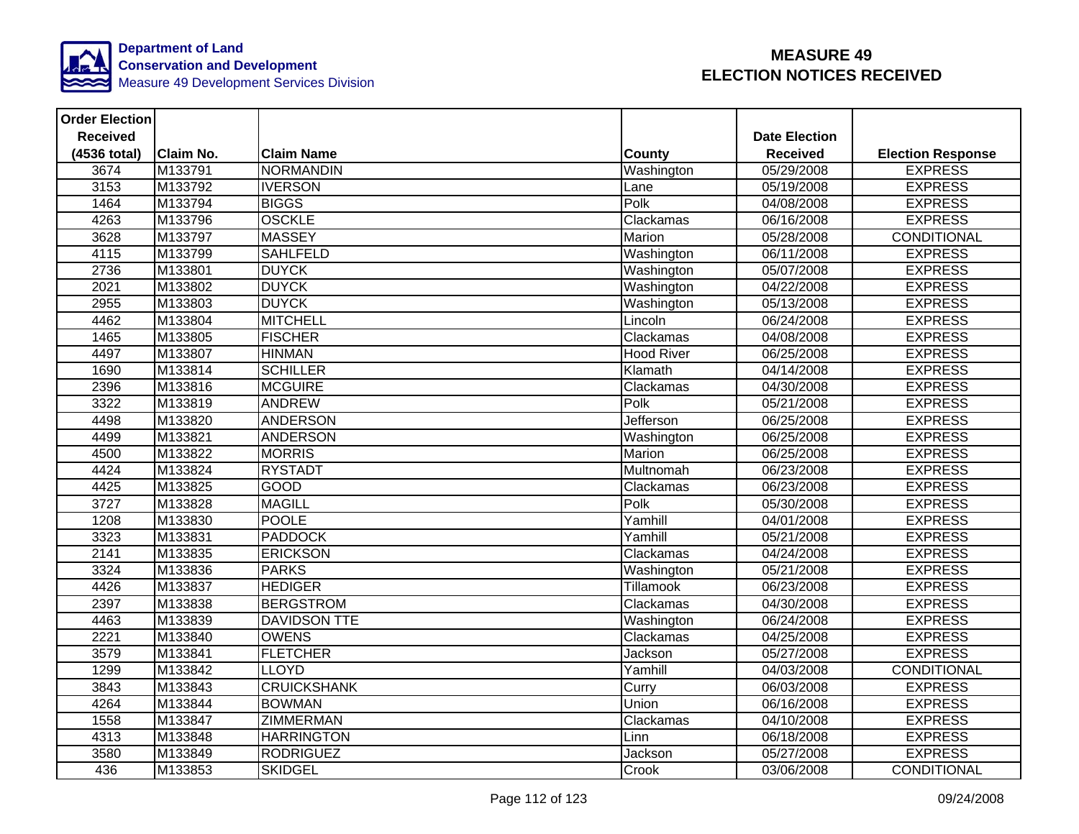

| <b>Order Election</b> |                  |                     |                   |                      |                          |
|-----------------------|------------------|---------------------|-------------------|----------------------|--------------------------|
| <b>Received</b>       |                  |                     |                   | <b>Date Election</b> |                          |
| (4536 total)          | <b>Claim No.</b> | <b>Claim Name</b>   | <b>County</b>     | <b>Received</b>      | <b>Election Response</b> |
| 3674                  | M133791          | NORMANDIN           | Washington        | 05/29/2008           | <b>EXPRESS</b>           |
| 3153                  | M133792          | <b>IVERSON</b>      | Lane              | 05/19/2008           | <b>EXPRESS</b>           |
| 1464                  | M133794          | <b>BIGGS</b>        | Polk              | 04/08/2008           | <b>EXPRESS</b>           |
| 4263                  | M133796          | <b>OSCKLE</b>       | Clackamas         | 06/16/2008           | <b>EXPRESS</b>           |
| 3628                  | M133797          | <b>MASSEY</b>       | Marion            | 05/28/2008           | CONDITIONAL              |
| 4115                  | M133799          | <b>SAHLFELD</b>     | Washington        | 06/11/2008           | <b>EXPRESS</b>           |
| 2736                  | M133801          | <b>DUYCK</b>        | Washington        | 05/07/2008           | <b>EXPRESS</b>           |
| 2021                  | M133802          | <b>DUYCK</b>        | Washington        | 04/22/2008           | <b>EXPRESS</b>           |
| 2955                  | M133803          | <b>DUYCK</b>        | Washington        | 05/13/2008           | <b>EXPRESS</b>           |
| 4462                  | M133804          | <b>MITCHELL</b>     | Lincoln           | 06/24/2008           | <b>EXPRESS</b>           |
| 1465                  | M133805          | <b>FISCHER</b>      | Clackamas         | 04/08/2008           | <b>EXPRESS</b>           |
| 4497                  | M133807          | <b>HINMAN</b>       | <b>Hood River</b> | 06/25/2008           | <b>EXPRESS</b>           |
| 1690                  | M133814          | <b>SCHILLER</b>     | Klamath           | 04/14/2008           | <b>EXPRESS</b>           |
| 2396                  | M133816          | <b>MCGUIRE</b>      | Clackamas         | 04/30/2008           | <b>EXPRESS</b>           |
| 3322                  | M133819          | <b>ANDREW</b>       | $\overline{Polk}$ | 05/21/2008           | <b>EXPRESS</b>           |
| 4498                  | M133820          | <b>ANDERSON</b>     | Jefferson         | 06/25/2008           | <b>EXPRESS</b>           |
| 4499                  | M133821          | <b>ANDERSON</b>     | Washington        | 06/25/2008           | <b>EXPRESS</b>           |
| 4500                  | M133822          | <b>MORRIS</b>       | Marion            | 06/25/2008           | <b>EXPRESS</b>           |
| 4424                  | M133824          | <b>RYSTADT</b>      | Multnomah         | 06/23/2008           | <b>EXPRESS</b>           |
| 4425                  | M133825          | GOOD                | Clackamas         | 06/23/2008           | <b>EXPRESS</b>           |
| 3727                  | M133828          | <b>MAGILL</b>       | Polk              | 05/30/2008           | <b>EXPRESS</b>           |
| 1208                  | M133830          | <b>POOLE</b>        | Yamhill           | 04/01/2008           | <b>EXPRESS</b>           |
| 3323                  | M133831          | <b>PADDOCK</b>      | Yamhill           | 05/21/2008           | <b>EXPRESS</b>           |
| 2141                  | M133835          | <b>ERICKSON</b>     | Clackamas         | 04/24/2008           | <b>EXPRESS</b>           |
| 3324                  | M133836          | <b>PARKS</b>        | Washington        | 05/21/2008           | <b>EXPRESS</b>           |
| 4426                  | M133837          | <b>HEDIGER</b>      | Tillamook         | 06/23/2008           | <b>EXPRESS</b>           |
| 2397                  | M133838          | <b>BERGSTROM</b>    | Clackamas         | 04/30/2008           | <b>EXPRESS</b>           |
| 4463                  | M133839          | <b>DAVIDSON TTE</b> | Washington        | 06/24/2008           | <b>EXPRESS</b>           |
| 2221                  | M133840          | <b>OWENS</b>        | Clackamas         | 04/25/2008           | <b>EXPRESS</b>           |
| 3579                  | M133841          | <b>FLETCHER</b>     | Jackson           | 05/27/2008           | <b>EXPRESS</b>           |
| 1299                  | M133842          | <b>LLOYD</b>        | Yamhill           | 04/03/2008           | CONDITIONAL              |
| 3843                  | M133843          | <b>CRUICKSHANK</b>  | Curry             | 06/03/2008           | <b>EXPRESS</b>           |
| 4264                  | M133844          | <b>BOWMAN</b>       | Union             | 06/16/2008           | <b>EXPRESS</b>           |
| 1558                  | M133847          | <b>ZIMMERMAN</b>    | Clackamas         | 04/10/2008           | <b>EXPRESS</b>           |
| 4313                  | M133848          | <b>HARRINGTON</b>   | Linn              | 06/18/2008           | <b>EXPRESS</b>           |
| 3580                  | M133849          | <b>RODRIGUEZ</b>    | Jackson           | 05/27/2008           | <b>EXPRESS</b>           |
| 436                   | M133853          | <b>SKIDGEL</b>      | Crook             | 03/06/2008           | CONDITIONAL              |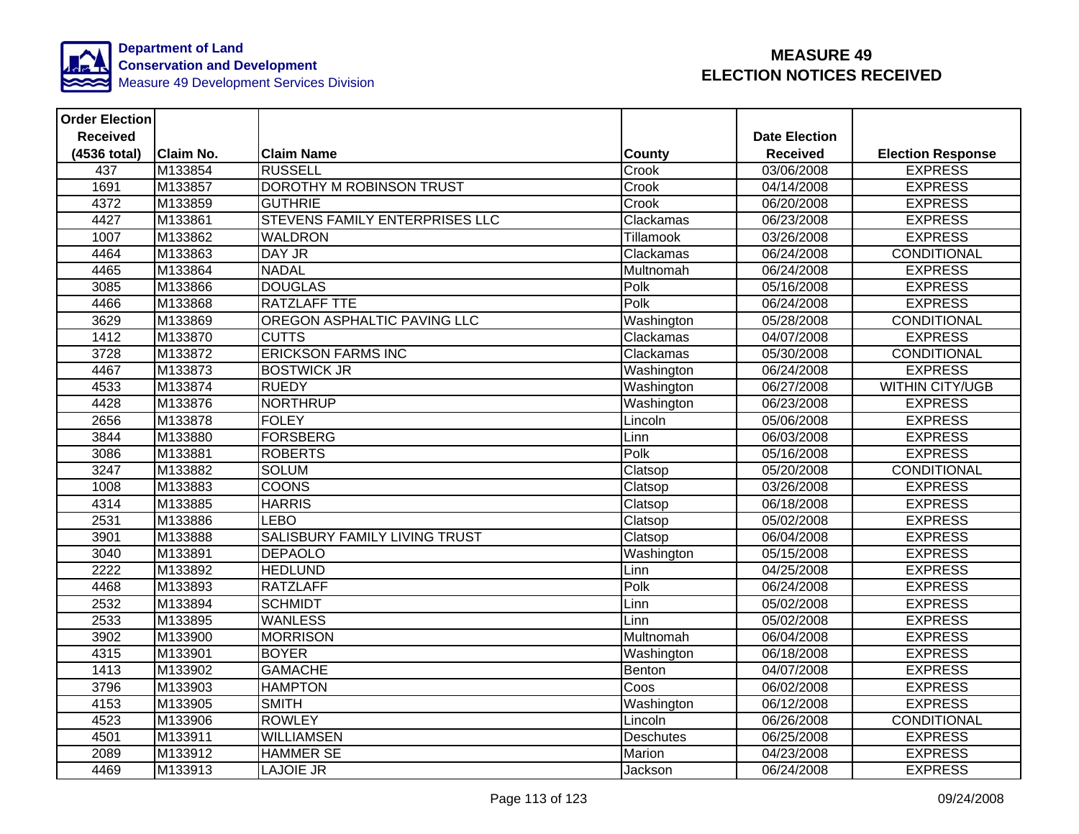

| <b>Order Election</b> |           |                                       |                  |                      |                          |
|-----------------------|-----------|---------------------------------------|------------------|----------------------|--------------------------|
| <b>Received</b>       |           |                                       |                  | <b>Date Election</b> |                          |
| (4536 total)          | Claim No. | <b>Claim Name</b>                     | <b>County</b>    | <b>Received</b>      | <b>Election Response</b> |
| 437                   | M133854   | <b>RUSSELL</b>                        | Crook            | 03/06/2008           | <b>EXPRESS</b>           |
| 1691                  | M133857   | DOROTHY M ROBINSON TRUST              | Crook            | 04/14/2008           | <b>EXPRESS</b>           |
| 4372                  | M133859   | <b>GUTHRIE</b>                        | Crook            | 06/20/2008           | <b>EXPRESS</b>           |
| 4427                  | M133861   | <b>STEVENS FAMILY ENTERPRISES LLC</b> | Clackamas        | 06/23/2008           | <b>EXPRESS</b>           |
| 1007                  | M133862   | <b>WALDRON</b>                        | Tillamook        | 03/26/2008           | <b>EXPRESS</b>           |
| 4464                  | M133863   | DAY JR                                | Clackamas        | 06/24/2008           | CONDITIONAL              |
| 4465                  | M133864   | <b>NADAL</b>                          | Multnomah        | 06/24/2008           | <b>EXPRESS</b>           |
| 3085                  | M133866   | <b>DOUGLAS</b>                        | Polk             | 05/16/2008           | <b>EXPRESS</b>           |
| 4466                  | M133868   | <b>RATZLAFF TTE</b>                   | Polk             | 06/24/2008           | <b>EXPRESS</b>           |
| 3629                  | M133869   | OREGON ASPHALTIC PAVING LLC           | Washington       | 05/28/2008           | <b>CONDITIONAL</b>       |
| 1412                  | M133870   | <b>CUTTS</b>                          | Clackamas        | 04/07/2008           | <b>EXPRESS</b>           |
| 3728                  | M133872   | <b>ERICKSON FARMS INC</b>             | Clackamas        | 05/30/2008           | CONDITIONAL              |
| 4467                  | M133873   | <b>BOSTWICK JR</b>                    | Washington       | 06/24/2008           | <b>EXPRESS</b>           |
| 4533                  | M133874   | <b>RUEDY</b>                          | Washington       | 06/27/2008           | <b>WITHIN CITY/UGB</b>   |
| 4428                  | M133876   | <b>NORTHRUP</b>                       | Washington       | 06/23/2008           | <b>EXPRESS</b>           |
| 2656                  | M133878   | <b>FOLEY</b>                          | Lincoln          | 05/06/2008           | <b>EXPRESS</b>           |
| 3844                  | M133880   | <b>FORSBERG</b>                       | Linn             | 06/03/2008           | <b>EXPRESS</b>           |
| 3086                  | M133881   | <b>ROBERTS</b>                        | Polk             | 05/16/2008           | <b>EXPRESS</b>           |
| 3247                  | M133882   | <b>SOLUM</b>                          | Clatsop          | 05/20/2008           | <b>CONDITIONAL</b>       |
| 1008                  | M133883   | <b>COONS</b>                          | Clatsop          | 03/26/2008           | <b>EXPRESS</b>           |
| 4314                  | M133885   | <b>HARRIS</b>                         | Clatsop          | 06/18/2008           | <b>EXPRESS</b>           |
| 2531                  | M133886   | <b>LEBO</b>                           | Clatsop          | 05/02/2008           | <b>EXPRESS</b>           |
| 3901                  | M133888   | <b>SALISBURY FAMILY LIVING TRUST</b>  | Clatsop          | 06/04/2008           | <b>EXPRESS</b>           |
| 3040                  | M133891   | <b>DEPAOLO</b>                        | Washington       | 05/15/2008           | <b>EXPRESS</b>           |
| 2222                  | M133892   | <b>HEDLUND</b>                        | Linn             | 04/25/2008           | <b>EXPRESS</b>           |
| 4468                  | M133893   | <b>RATZLAFF</b>                       | Polk             | 06/24/2008           | <b>EXPRESS</b>           |
| 2532                  | M133894   | <b>SCHMIDT</b>                        | Linn             | 05/02/2008           | <b>EXPRESS</b>           |
| 2533                  | M133895   | <b>WANLESS</b>                        | Linn             | 05/02/2008           | <b>EXPRESS</b>           |
| 3902                  | M133900   | <b>MORRISON</b>                       | Multnomah        | 06/04/2008           | <b>EXPRESS</b>           |
| 4315                  | M133901   | <b>BOYER</b>                          | Washington       | 06/18/2008           | <b>EXPRESS</b>           |
| 1413                  | M133902   | <b>GAMACHE</b>                        | Benton           | 04/07/2008           | <b>EXPRESS</b>           |
| 3796                  | M133903   | <b>HAMPTON</b>                        | Coos             | 06/02/2008           | <b>EXPRESS</b>           |
| 4153                  | M133905   | <b>SMITH</b>                          | Washington       | 06/12/2008           | <b>EXPRESS</b>           |
| 4523                  | M133906   | <b>ROWLEY</b>                         | Lincoln          | 06/26/2008           | CONDITIONAL              |
| 4501                  | M133911   | <b>WILLIAMSEN</b>                     | <b>Deschutes</b> | 06/25/2008           | <b>EXPRESS</b>           |
| 2089                  | M133912   | <b>HAMMER SE</b>                      | Marion           | 04/23/2008           | <b>EXPRESS</b>           |
| 4469                  | M133913   | <b>LAJOIE JR</b>                      | Jackson          | 06/24/2008           | <b>EXPRESS</b>           |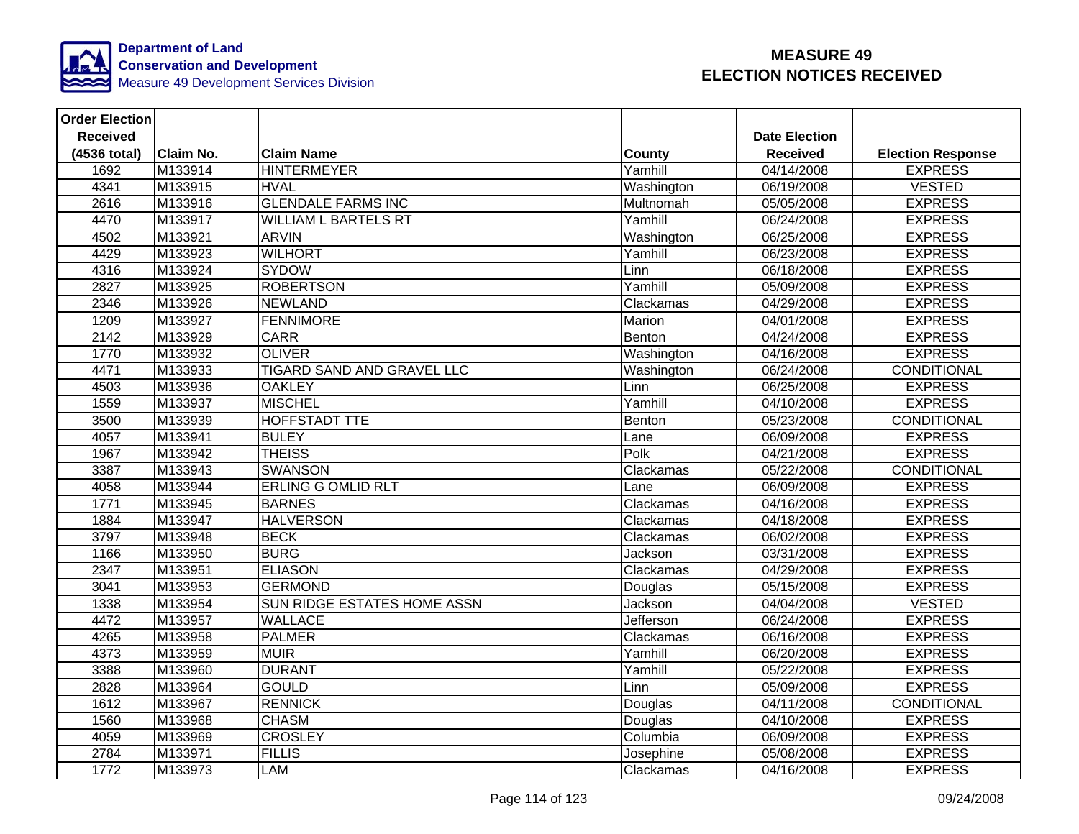

| <b>Order Election</b> |           |                                    |               |                      |                          |
|-----------------------|-----------|------------------------------------|---------------|----------------------|--------------------------|
| <b>Received</b>       |           |                                    |               | <b>Date Election</b> |                          |
| (4536 total)          | Claim No. | <b>Claim Name</b>                  | <b>County</b> | <b>Received</b>      | <b>Election Response</b> |
| 1692                  | M133914   | <b>HINTERMEYER</b>                 | Yamhill       | 04/14/2008           | <b>EXPRESS</b>           |
| 4341                  | M133915   | <b>HVAL</b>                        | Washington    | 06/19/2008           | <b>VESTED</b>            |
| 2616                  | M133916   | <b>GLENDALE FARMS INC</b>          | Multnomah     | 05/05/2008           | <b>EXPRESS</b>           |
| 4470                  | M133917   | <b>WILLIAM L BARTELS RT</b>        | Yamhill       | 06/24/2008           | <b>EXPRESS</b>           |
| 4502                  | M133921   | <b>ARVIN</b>                       | Washington    | 06/25/2008           | <b>EXPRESS</b>           |
| 4429                  | M133923   | <b>WILHORT</b>                     | Yamhill       | 06/23/2008           | <b>EXPRESS</b>           |
| 4316                  | M133924   | <b>SYDOW</b>                       | Linn          | 06/18/2008           | <b>EXPRESS</b>           |
| 2827                  | M133925   | <b>ROBERTSON</b>                   | Yamhill       | 05/09/2008           | <b>EXPRESS</b>           |
| 2346                  | M133926   | <b>NEWLAND</b>                     | Clackamas     | 04/29/2008           | <b>EXPRESS</b>           |
| 1209                  | M133927   | <b>FENNIMORE</b>                   | Marion        | 04/01/2008           | <b>EXPRESS</b>           |
| 2142                  | M133929   | <b>CARR</b>                        | Benton        | 04/24/2008           | <b>EXPRESS</b>           |
| 1770                  | M133932   | <b>OLIVER</b>                      | Washington    | 04/16/2008           | <b>EXPRESS</b>           |
| 4471                  | M133933   | TIGARD SAND AND GRAVEL LLC         | Washington    | 06/24/2008           | CONDITIONAL              |
| 4503                  | M133936   | <b>OAKLEY</b>                      | Linn          | 06/25/2008           | <b>EXPRESS</b>           |
| 1559                  | M133937   | <b>MISCHEL</b>                     | Yamhill       | 04/10/2008           | <b>EXPRESS</b>           |
| 3500                  | M133939   | <b>HOFFSTADT TTE</b>               | Benton        | 05/23/2008           | <b>CONDITIONAL</b>       |
| 4057                  | M133941   | <b>BULEY</b>                       | Lane          | 06/09/2008           | <b>EXPRESS</b>           |
| 1967                  | M133942   | <b>THEISS</b>                      | Polk          | 04/21/2008           | <b>EXPRESS</b>           |
| 3387                  | M133943   | <b>SWANSON</b>                     | Clackamas     | 05/22/2008           | CONDITIONAL              |
| 4058                  | M133944   | <b>ERLING G OMLID RLT</b>          | Lane          | 06/09/2008           | <b>EXPRESS</b>           |
| 1771                  | M133945   | <b>BARNES</b>                      | Clackamas     | 04/16/2008           | <b>EXPRESS</b>           |
| 1884                  | M133947   | <b>HALVERSON</b>                   | Clackamas     | 04/18/2008           | <b>EXPRESS</b>           |
| 3797                  | M133948   | <b>BECK</b>                        | Clackamas     | 06/02/2008           | <b>EXPRESS</b>           |
| 1166                  | M133950   | <b>BURG</b>                        | Jackson       | 03/31/2008           | <b>EXPRESS</b>           |
| 2347                  | M133951   | <b>ELIASON</b>                     | Clackamas     | 04/29/2008           | <b>EXPRESS</b>           |
| 3041                  | M133953   | <b>GERMOND</b>                     | Douglas       | 05/15/2008           | <b>EXPRESS</b>           |
| 1338                  | M133954   | <b>SUN RIDGE ESTATES HOME ASSN</b> | Jackson       | 04/04/2008           | <b>VESTED</b>            |
| 4472                  | M133957   | <b>WALLACE</b>                     | Jefferson     | 06/24/2008           | <b>EXPRESS</b>           |
| 4265                  | M133958   | <b>PALMER</b>                      | Clackamas     | 06/16/2008           | <b>EXPRESS</b>           |
| 4373                  | M133959   | <b>MUIR</b>                        | Yamhill       | 06/20/2008           | <b>EXPRESS</b>           |
| 3388                  | M133960   | <b>DURANT</b>                      | Yamhill       | 05/22/2008           | <b>EXPRESS</b>           |
| 2828                  | M133964   | <b>GOULD</b>                       | Linn          | 05/09/2008           | <b>EXPRESS</b>           |
| 1612                  | M133967   | <b>RENNICK</b>                     | Douglas       | 04/11/2008           | <b>CONDITIONAL</b>       |
| 1560                  | M133968   | <b>CHASM</b>                       | Douglas       | 04/10/2008           | <b>EXPRESS</b>           |
| 4059                  | M133969   | <b>CROSLEY</b>                     | Columbia      | 06/09/2008           | <b>EXPRESS</b>           |
| 2784                  | M133971   | <b>FILLIS</b>                      | Josephine     | 05/08/2008           | <b>EXPRESS</b>           |
| 1772                  | M133973   | <b>LAM</b>                         | Clackamas     | 04/16/2008           | <b>EXPRESS</b>           |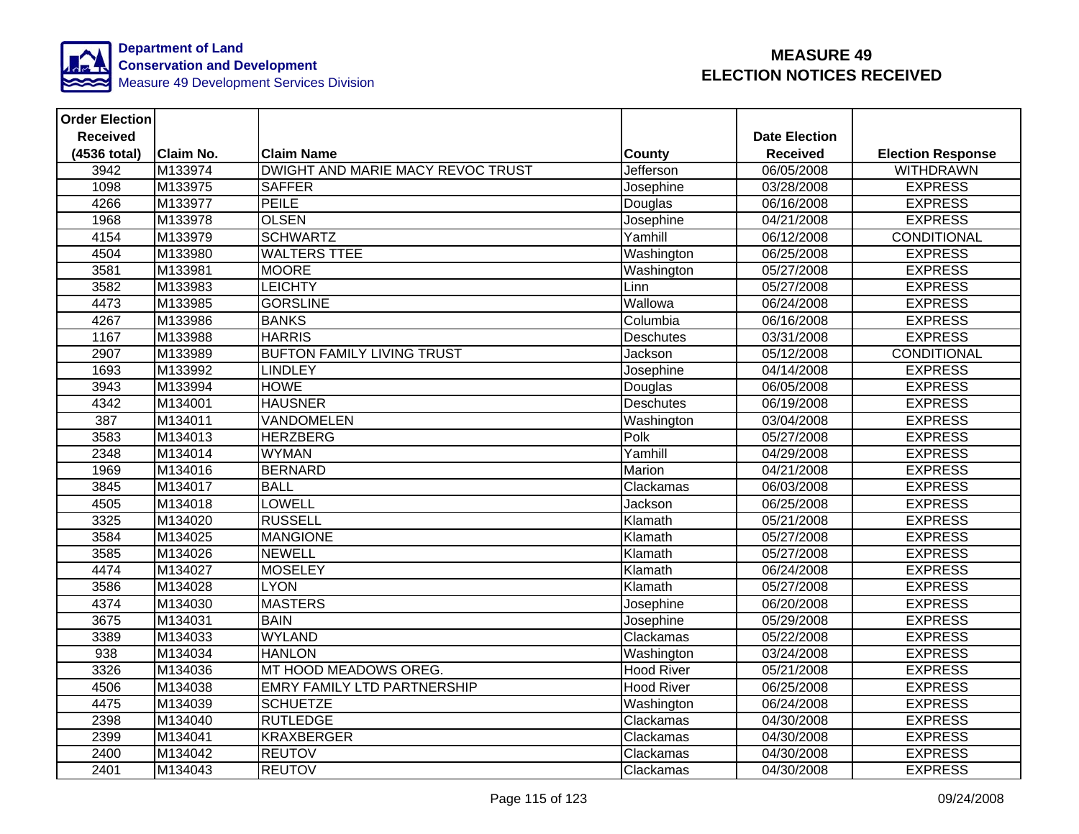

| <b>Order Election</b> |           |                                    |                   |                      |                          |
|-----------------------|-----------|------------------------------------|-------------------|----------------------|--------------------------|
| <b>Received</b>       |           |                                    |                   | <b>Date Election</b> |                          |
| (4536 total)          | Claim No. | <b>Claim Name</b>                  | County            | <b>Received</b>      | <b>Election Response</b> |
| 3942                  | M133974   | DWIGHT AND MARIE MACY REVOC TRUST  | Jefferson         | 06/05/2008           | <b>WITHDRAWN</b>         |
| 1098                  | M133975   | <b>SAFFER</b>                      | Josephine         | 03/28/2008           | <b>EXPRESS</b>           |
| 4266                  | M133977   | <b>PEILE</b>                       | Douglas           | 06/16/2008           | <b>EXPRESS</b>           |
| 1968                  | M133978   | <b>OLSEN</b>                       | Josephine         | 04/21/2008           | <b>EXPRESS</b>           |
| 4154                  | M133979   | <b>SCHWARTZ</b>                    | Yamhill           | 06/12/2008           | <b>CONDITIONAL</b>       |
| 4504                  | M133980   | <b>WALTERS TTEE</b>                | Washington        | 06/25/2008           | <b>EXPRESS</b>           |
| 3581                  | M133981   | <b>MOORE</b>                       | Washington        | 05/27/2008           | <b>EXPRESS</b>           |
| 3582                  | M133983   | <b>LEICHTY</b>                     | Linn              | 05/27/2008           | <b>EXPRESS</b>           |
| 4473                  | M133985   | <b>GORSLINE</b>                    | Wallowa           | 06/24/2008           | <b>EXPRESS</b>           |
| 4267                  | M133986   | <b>BANKS</b>                       | Columbia          | 06/16/2008           | <b>EXPRESS</b>           |
| 1167                  | M133988   | <b>HARRIS</b>                      | <b>Deschutes</b>  | 03/31/2008           | <b>EXPRESS</b>           |
| 2907                  | M133989   | <b>BUFTON FAMILY LIVING TRUST</b>  | Jackson           | 05/12/2008           | CONDITIONAL              |
| 1693                  | M133992   | <b>LINDLEY</b>                     | Josephine         | 04/14/2008           | <b>EXPRESS</b>           |
| 3943                  | M133994   | <b>HOWE</b>                        | Douglas           | 06/05/2008           | <b>EXPRESS</b>           |
| 4342                  | M134001   | <b>HAUSNER</b>                     | <b>Deschutes</b>  | 06/19/2008           | <b>EXPRESS</b>           |
| 387                   | M134011   | <b>VANDOMELEN</b>                  | Washington        | 03/04/2008           | <b>EXPRESS</b>           |
| 3583                  | M134013   | <b>HERZBERG</b>                    | Polk              | 05/27/2008           | <b>EXPRESS</b>           |
| 2348                  | M134014   | <b>WYMAN</b>                       | Yamhill           | 04/29/2008           | <b>EXPRESS</b>           |
| 1969                  | M134016   | <b>BERNARD</b>                     | Marion            | 04/21/2008           | <b>EXPRESS</b>           |
| 3845                  | M134017   | <b>BALL</b>                        | Clackamas         | 06/03/2008           | <b>EXPRESS</b>           |
| 4505                  | M134018   | LOWELL                             | Jackson           | 06/25/2008           | <b>EXPRESS</b>           |
| 3325                  | M134020   | <b>RUSSELL</b>                     | Klamath           | 05/21/2008           | <b>EXPRESS</b>           |
| 3584                  | M134025   | <b>MANGIONE</b>                    | Klamath           | 05/27/2008           | <b>EXPRESS</b>           |
| 3585                  | M134026   | <b>NEWELL</b>                      | Klamath           | 05/27/2008           | <b>EXPRESS</b>           |
| 4474                  | M134027   | <b>MOSELEY</b>                     | Klamath           | 06/24/2008           | <b>EXPRESS</b>           |
| 3586                  | M134028   | <b>LYON</b>                        | Klamath           | 05/27/2008           | <b>EXPRESS</b>           |
| 4374                  | M134030   | <b>MASTERS</b>                     | Josephine         | 06/20/2008           | <b>EXPRESS</b>           |
| 3675                  | M134031   | <b>BAIN</b>                        | Josephine         | 05/29/2008           | <b>EXPRESS</b>           |
| 3389                  | M134033   | <b>WYLAND</b>                      | Clackamas         | 05/22/2008           | <b>EXPRESS</b>           |
| 938                   | M134034   | <b>HANLON</b>                      | Washington        | 03/24/2008           | <b>EXPRESS</b>           |
| 3326                  | M134036   | MT HOOD MEADOWS OREG.              | <b>Hood River</b> | 05/21/2008           | <b>EXPRESS</b>           |
| 4506                  | M134038   | <b>EMRY FAMILY LTD PARTNERSHIP</b> | <b>Hood River</b> | 06/25/2008           | <b>EXPRESS</b>           |
| 4475                  | M134039   | <b>SCHUETZE</b>                    | Washington        | 06/24/2008           | <b>EXPRESS</b>           |
| 2398                  | M134040   | <b>RUTLEDGE</b>                    | Clackamas         | 04/30/2008           | <b>EXPRESS</b>           |
| 2399                  | M134041   | <b>KRAXBERGER</b>                  | Clackamas         | 04/30/2008           | <b>EXPRESS</b>           |
| 2400                  | M134042   | <b>REUTOV</b>                      | Clackamas         | 04/30/2008           | <b>EXPRESS</b>           |
| 2401                  | M134043   | <b>REUTOV</b>                      | Clackamas         | 04/30/2008           | <b>EXPRESS</b>           |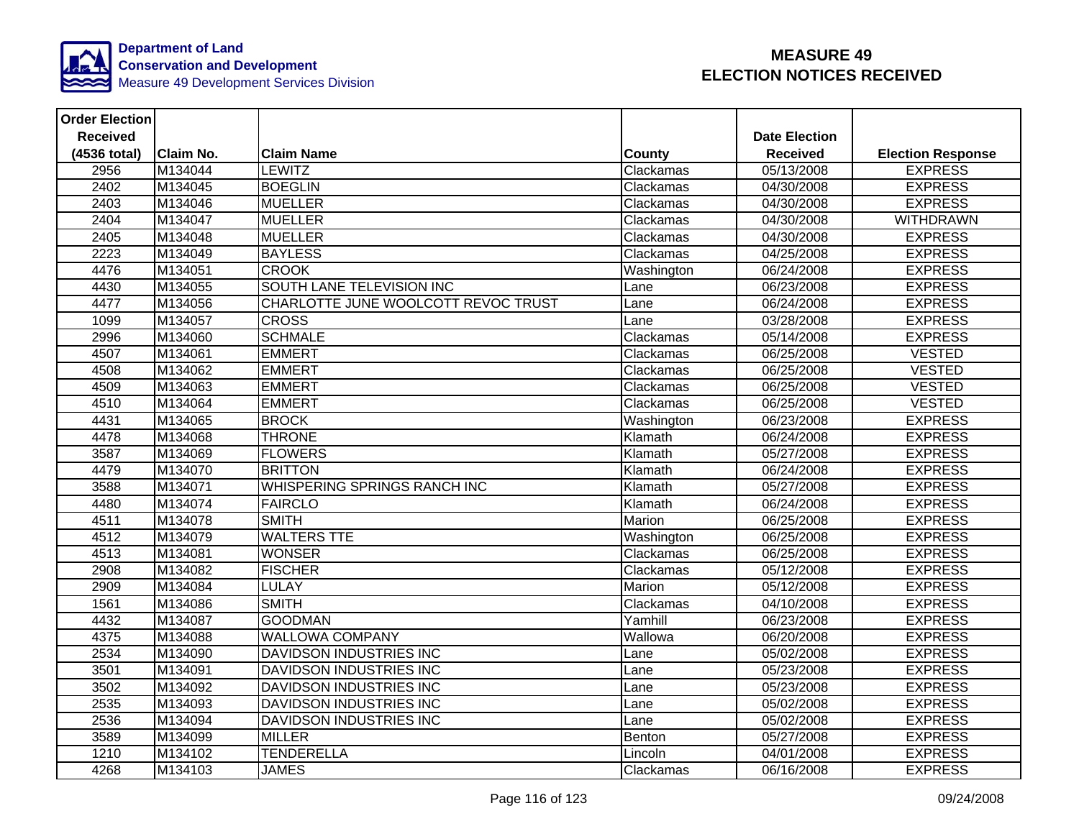

| <b>Order Election</b> |                  |                                     |               |                      |                          |
|-----------------------|------------------|-------------------------------------|---------------|----------------------|--------------------------|
| <b>Received</b>       |                  |                                     |               | <b>Date Election</b> |                          |
| (4536 total)          | <b>Claim No.</b> | <b>Claim Name</b>                   | <b>County</b> | <b>Received</b>      | <b>Election Response</b> |
| 2956                  | M134044          | <b>LEWITZ</b>                       | Clackamas     | 05/13/2008           | <b>EXPRESS</b>           |
| 2402                  | M134045          | <b>BOEGLIN</b>                      | Clackamas     | 04/30/2008           | <b>EXPRESS</b>           |
| 2403                  | M134046          | <b>MUELLER</b>                      | Clackamas     | 04/30/2008           | <b>EXPRESS</b>           |
| 2404                  | M134047          | <b>MUELLER</b>                      | Clackamas     | 04/30/2008           | <b>WITHDRAWN</b>         |
| 2405                  | M134048          | <b>MUELLER</b>                      | Clackamas     | 04/30/2008           | <b>EXPRESS</b>           |
| 2223                  | M134049          | <b>BAYLESS</b>                      | Clackamas     | 04/25/2008           | <b>EXPRESS</b>           |
| 4476                  | M134051          | <b>CROOK</b>                        | Washington    | 06/24/2008           | <b>EXPRESS</b>           |
| 4430                  | M134055          | SOUTH LANE TELEVISION INC           | Lane          | 06/23/2008           | <b>EXPRESS</b>           |
| 4477                  | M134056          | CHARLOTTE JUNE WOOLCOTT REVOC TRUST | Lane          | 06/24/2008           | <b>EXPRESS</b>           |
| 1099                  | M134057          | <b>CROSS</b>                        | Lane          | 03/28/2008           | <b>EXPRESS</b>           |
| 2996                  | M134060          | <b>SCHMALE</b>                      | Clackamas     | 05/14/2008           | <b>EXPRESS</b>           |
| 4507                  | M134061          | <b>EMMERT</b>                       | Clackamas     | 06/25/2008           | <b>VESTED</b>            |
| 4508                  | M134062          | <b>EMMERT</b>                       | Clackamas     | 06/25/2008           | <b>VESTED</b>            |
| 4509                  | M134063          | <b>EMMERT</b>                       | Clackamas     | 06/25/2008           | <b>VESTED</b>            |
| 4510                  | M134064          | <b>EMMERT</b>                       | Clackamas     | 06/25/2008           | <b>VESTED</b>            |
| 4431                  | M134065          | <b>BROCK</b>                        | Washington    | 06/23/2008           | <b>EXPRESS</b>           |
| 4478                  | M134068          | <b>THRONE</b>                       | Klamath       | 06/24/2008           | <b>EXPRESS</b>           |
| 3587                  | M134069          | <b>FLOWERS</b>                      | Klamath       | 05/27/2008           | <b>EXPRESS</b>           |
| 4479                  | M134070          | <b>BRITTON</b>                      | Klamath       | 06/24/2008           | <b>EXPRESS</b>           |
| 3588                  | M134071          | <b>WHISPERING SPRINGS RANCH INC</b> | Klamath       | 05/27/2008           | <b>EXPRESS</b>           |
| 4480                  | M134074          | <b>FAIRCLO</b>                      | Klamath       | 06/24/2008           | <b>EXPRESS</b>           |
| 4511                  | M134078          | <b>SMITH</b>                        | Marion        | 06/25/2008           | <b>EXPRESS</b>           |
| 4512                  | M134079          | <b>WALTERS TTE</b>                  | Washington    | 06/25/2008           | <b>EXPRESS</b>           |
| 4513                  | M134081          | <b>WONSER</b>                       | Clackamas     | 06/25/2008           | <b>EXPRESS</b>           |
| 2908                  | M134082          | <b>FISCHER</b>                      | Clackamas     | 05/12/2008           | <b>EXPRESS</b>           |
| 2909                  | M134084          | <b>LULAY</b>                        | Marion        | 05/12/2008           | <b>EXPRESS</b>           |
| 1561                  | M134086          | <b>SMITH</b>                        | Clackamas     | 04/10/2008           | <b>EXPRESS</b>           |
| 4432                  | M134087          | <b>GOODMAN</b>                      | Yamhill       | 06/23/2008           | <b>EXPRESS</b>           |
| 4375                  | M134088          | <b>WALLOWA COMPANY</b>              | Wallowa       | 06/20/2008           | <b>EXPRESS</b>           |
| 2534                  | M134090          | <b>DAVIDSON INDUSTRIES INC</b>      | Lane          | 05/02/2008           | <b>EXPRESS</b>           |
| 3501                  | M134091          | DAVIDSON INDUSTRIES INC             | Lane          | 05/23/2008           | <b>EXPRESS</b>           |
| 3502                  | M134092          | <b>DAVIDSON INDUSTRIES INC</b>      | Lane          | 05/23/2008           | <b>EXPRESS</b>           |
| 2535                  | M134093          | <b>DAVIDSON INDUSTRIES INC</b>      | Lane          | 05/02/2008           | <b>EXPRESS</b>           |
| 2536                  | M134094          | DAVIDSON INDUSTRIES INC             | Lane          | 05/02/2008           | <b>EXPRESS</b>           |
| 3589                  | M134099          | <b>MILLER</b>                       | Benton        | 05/27/2008           | <b>EXPRESS</b>           |
| 1210                  | M134102          | <b>TENDERELLA</b>                   | Lincoln       | 04/01/2008           | <b>EXPRESS</b>           |
| 4268                  | M134103          | <b>JAMES</b>                        | Clackamas     | 06/16/2008           | <b>EXPRESS</b>           |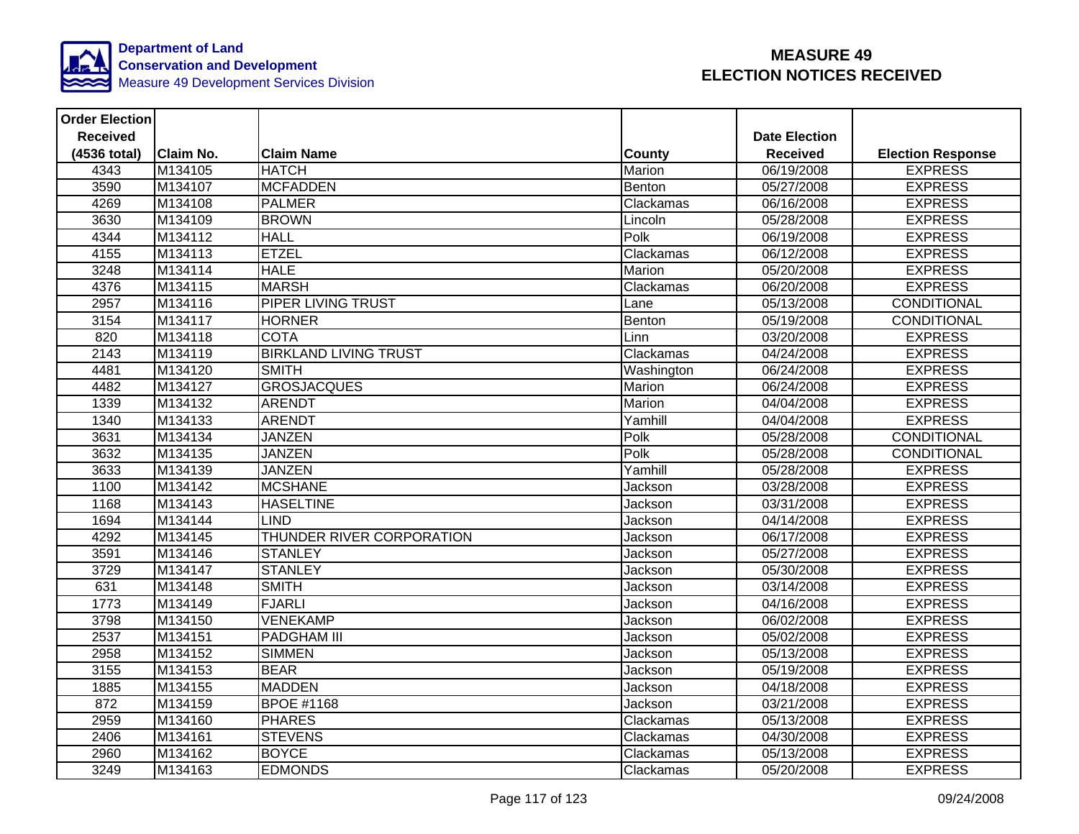

| <b>Order Election</b> |           |                              |               |                      |                          |
|-----------------------|-----------|------------------------------|---------------|----------------------|--------------------------|
| <b>Received</b>       |           |                              |               | <b>Date Election</b> |                          |
| (4536 total)          | Claim No. | <b>Claim Name</b>            | <b>County</b> | <b>Received</b>      | <b>Election Response</b> |
| 4343                  | M134105   | <b>HATCH</b>                 | Marion        | 06/19/2008           | <b>EXPRESS</b>           |
| 3590                  | M134107   | <b>MCFADDEN</b>              | <b>Benton</b> | 05/27/2008           | <b>EXPRESS</b>           |
| 4269                  | M134108   | <b>PALMER</b>                | Clackamas     | 06/16/2008           | <b>EXPRESS</b>           |
| 3630                  | M134109   | <b>BROWN</b>                 | Lincoln       | 05/28/2008           | <b>EXPRESS</b>           |
| 4344                  | M134112   | <b>HALL</b>                  | Polk          | 06/19/2008           | <b>EXPRESS</b>           |
| 4155                  | M134113   | <b>ETZEL</b>                 | Clackamas     | 06/12/2008           | <b>EXPRESS</b>           |
| 3248                  | M134114   | <b>HALE</b>                  | Marion        | 05/20/2008           | <b>EXPRESS</b>           |
| 4376                  | M134115   | <b>MARSH</b>                 | Clackamas     | 06/20/2008           | <b>EXPRESS</b>           |
| 2957                  | M134116   | PIPER LIVING TRUST           | Lane          | 05/13/2008           | CONDITIONAL              |
| 3154                  | M134117   | <b>HORNER</b>                | Benton        | 05/19/2008           | <b>CONDITIONAL</b>       |
| 820                   | M134118   | <b>COTA</b>                  | Linn          | 03/20/2008           | <b>EXPRESS</b>           |
| 2143                  | M134119   | <b>BIRKLAND LIVING TRUST</b> | Clackamas     | 04/24/2008           | <b>EXPRESS</b>           |
| 4481                  | M134120   | <b>SMITH</b>                 | Washington    | 06/24/2008           | <b>EXPRESS</b>           |
| 4482                  | M134127   | <b>GROSJACQUES</b>           | Marion        | 06/24/2008           | <b>EXPRESS</b>           |
| 1339                  | M134132   | <b>ARENDT</b>                | Marion        | 04/04/2008           | <b>EXPRESS</b>           |
| 1340                  | M134133   | <b>ARENDT</b>                | Yamhill       | 04/04/2008           | <b>EXPRESS</b>           |
| 3631                  | M134134   | <b>JANZEN</b>                | Polk          | 05/28/2008           | CONDITIONAL              |
| 3632                  | M134135   | <b>JANZEN</b>                | Polk          | 05/28/2008           | CONDITIONAL              |
| 3633                  | M134139   | <b>JANZEN</b>                | Yamhill       | 05/28/2008           | <b>EXPRESS</b>           |
| 1100                  | M134142   | <b>MCSHANE</b>               | Jackson       | 03/28/2008           | <b>EXPRESS</b>           |
| 1168                  | M134143   | <b>HASELTINE</b>             | Jackson       | 03/31/2008           | <b>EXPRESS</b>           |
| 1694                  | M134144   | <b>LIND</b>                  | Jackson       | 04/14/2008           | <b>EXPRESS</b>           |
| 4292                  | M134145   | THUNDER RIVER CORPORATION    | Jackson       | 06/17/2008           | <b>EXPRESS</b>           |
| 3591                  | M134146   | <b>STANLEY</b>               | Jackson       | 05/27/2008           | <b>EXPRESS</b>           |
| 3729                  | M134147   | <b>STANLEY</b>               | Jackson       | 05/30/2008           | <b>EXPRESS</b>           |
| 631                   | M134148   | <b>SMITH</b>                 | Jackson       | 03/14/2008           | <b>EXPRESS</b>           |
| 1773                  | M134149   | <b>FJARLI</b>                | Jackson       | 04/16/2008           | <b>EXPRESS</b>           |
| 3798                  | M134150   | <b>VENEKAMP</b>              | Jackson       | 06/02/2008           | <b>EXPRESS</b>           |
| 2537                  | M134151   | <b>PADGHAM III</b>           | Jackson       | 05/02/2008           | <b>EXPRESS</b>           |
| 2958                  | M134152   | <b>SIMMEN</b>                | Jackson       | 05/13/2008           | <b>EXPRESS</b>           |
| 3155                  | M134153   | <b>BEAR</b>                  | Jackson       | 05/19/2008           | <b>EXPRESS</b>           |
| 1885                  | M134155   | <b>MADDEN</b>                | Jackson       | 04/18/2008           | <b>EXPRESS</b>           |
| 872                   | M134159   | <b>BPOE #1168</b>            | Jackson       | 03/21/2008           | <b>EXPRESS</b>           |
| 2959                  | M134160   | <b>PHARES</b>                | Clackamas     | 05/13/2008           | <b>EXPRESS</b>           |
| 2406                  | M134161   | <b>STEVENS</b>               | Clackamas     | 04/30/2008           | <b>EXPRESS</b>           |
| 2960                  | M134162   | <b>BOYCE</b>                 | Clackamas     | 05/13/2008           | <b>EXPRESS</b>           |
| 3249                  | M134163   | <b>EDMONDS</b>               | Clackamas     | 05/20/2008           | <b>EXPRESS</b>           |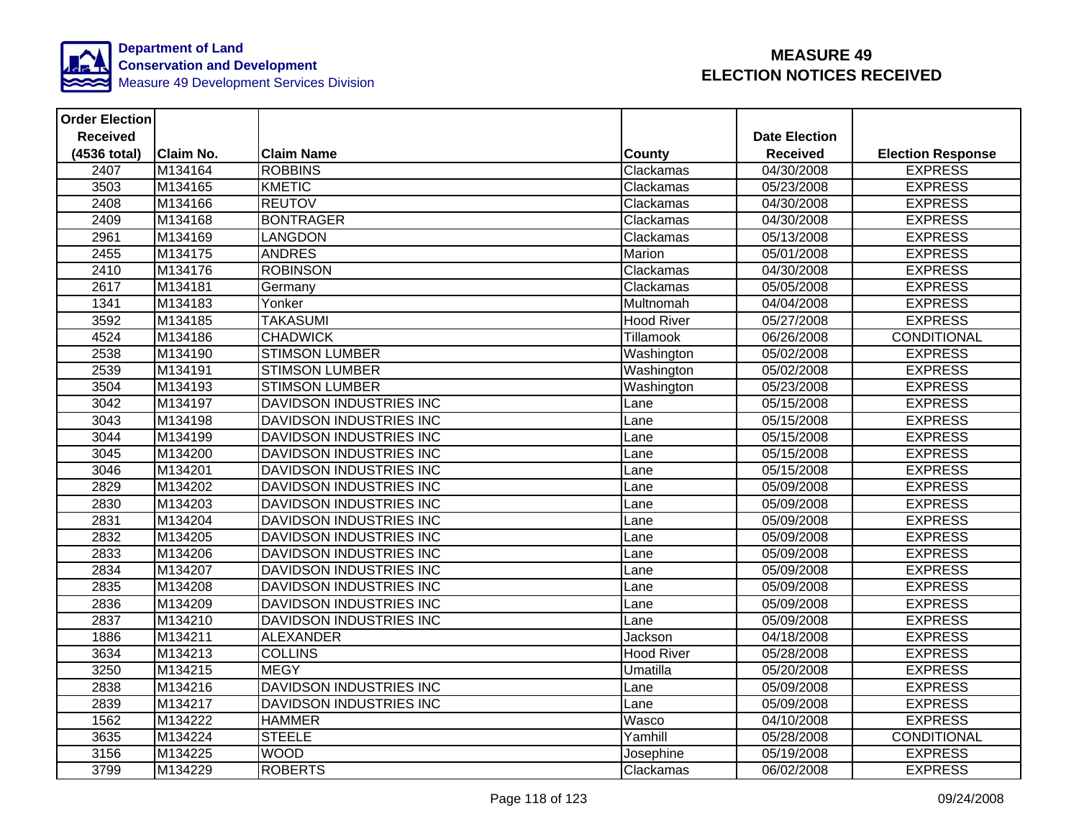

| <b>Order Election</b> |                  |                                |                   |                      |                          |
|-----------------------|------------------|--------------------------------|-------------------|----------------------|--------------------------|
| <b>Received</b>       |                  |                                |                   | <b>Date Election</b> |                          |
| (4536 total)          | <b>Claim No.</b> | <b>Claim Name</b>              | County            | <b>Received</b>      | <b>Election Response</b> |
| 2407                  | M134164          | <b>ROBBINS</b>                 | Clackamas         | 04/30/2008           | <b>EXPRESS</b>           |
| 3503                  | M134165          | <b>KMETIC</b>                  | Clackamas         | 05/23/2008           | <b>EXPRESS</b>           |
| 2408                  | M134166          | <b>REUTOV</b>                  | Clackamas         | 04/30/2008           | <b>EXPRESS</b>           |
| 2409                  | M134168          | <b>BONTRAGER</b>               | Clackamas         | 04/30/2008           | <b>EXPRESS</b>           |
| 2961                  | M134169          | <b>LANGDON</b>                 | Clackamas         | 05/13/2008           | <b>EXPRESS</b>           |
| 2455                  | M134175          | <b>ANDRES</b>                  | Marion            | 05/01/2008           | <b>EXPRESS</b>           |
| 2410                  | M134176          | <b>ROBINSON</b>                | Clackamas         | 04/30/2008           | <b>EXPRESS</b>           |
| 2617                  | M134181          | Germany                        | Clackamas         | 05/05/2008           | <b>EXPRESS</b>           |
| 1341                  | M134183          | Yonker                         | Multnomah         | 04/04/2008           | <b>EXPRESS</b>           |
| 3592                  | M134185          | <b>TAKASUMI</b>                | <b>Hood River</b> | 05/27/2008           | <b>EXPRESS</b>           |
| 4524                  | M134186          | <b>CHADWICK</b>                | <b>Tillamook</b>  | 06/26/2008           | CONDITIONAL              |
| 2538                  | M134190          | <b>STIMSON LUMBER</b>          | Washington        | 05/02/2008           | <b>EXPRESS</b>           |
| 2539                  | M134191          | <b>STIMSON LUMBER</b>          | Washington        | 05/02/2008           | <b>EXPRESS</b>           |
| 3504                  | M134193          | <b>STIMSON LUMBER</b>          | Washington        | 05/23/2008           | <b>EXPRESS</b>           |
| 3042                  | M134197          | <b>DAVIDSON INDUSTRIES INC</b> | Lane              | 05/15/2008           | <b>EXPRESS</b>           |
| 3043                  | M134198          | <b>DAVIDSON INDUSTRIES INC</b> | Lane              | 05/15/2008           | <b>EXPRESS</b>           |
| 3044                  | M134199          | DAVIDSON INDUSTRIES INC        | Lane              | 05/15/2008           | <b>EXPRESS</b>           |
| 3045                  | M134200          | <b>DAVIDSON INDUSTRIES INC</b> | Lane              | 05/15/2008           | <b>EXPRESS</b>           |
| 3046                  | M134201          | DAVIDSON INDUSTRIES INC        | Lane              | 05/15/2008           | <b>EXPRESS</b>           |
| 2829                  | M134202          | DAVIDSON INDUSTRIES INC        | Lane              | 05/09/2008           | <b>EXPRESS</b>           |
| 2830                  | M134203          | <b>DAVIDSON INDUSTRIES INC</b> | Lane              | 05/09/2008           | <b>EXPRESS</b>           |
| 2831                  | M134204          | <b>DAVIDSON INDUSTRIES INC</b> | Lane              | 05/09/2008           | <b>EXPRESS</b>           |
| 2832                  | M134205          | <b>DAVIDSON INDUSTRIES INC</b> | Lane              | 05/09/2008           | <b>EXPRESS</b>           |
| 2833                  | M134206          | DAVIDSON INDUSTRIES INC        | Lane              | 05/09/2008           | <b>EXPRESS</b>           |
| 2834                  | M134207          | DAVIDSON INDUSTRIES INC        | Lane              | 05/09/2008           | <b>EXPRESS</b>           |
| 2835                  | M134208          | DAVIDSON INDUSTRIES INC        | Lane              | 05/09/2008           | <b>EXPRESS</b>           |
| 2836                  | M134209          | <b>DAVIDSON INDUSTRIES INC</b> | Lane              | 05/09/2008           | <b>EXPRESS</b>           |
| 2837                  | M134210          | <b>DAVIDSON INDUSTRIES INC</b> | Lane              | 05/09/2008           | <b>EXPRESS</b>           |
| 1886                  | M134211          | <b>ALEXANDER</b>               | Jackson           | 04/18/2008           | <b>EXPRESS</b>           |
| 3634                  | M134213          | <b>COLLINS</b>                 | <b>Hood River</b> | 05/28/2008           | <b>EXPRESS</b>           |
| 3250                  | M134215          | <b>MEGY</b>                    | Umatilla          | 05/20/2008           | <b>EXPRESS</b>           |
| 2838                  | M134216          | DAVIDSON INDUSTRIES INC        | Lane              | 05/09/2008           | <b>EXPRESS</b>           |
| 2839                  | M134217          | <b>DAVIDSON INDUSTRIES INC</b> | Lane              | 05/09/2008           | <b>EXPRESS</b>           |
| 1562                  | M134222          | <b>HAMMER</b>                  | Wasco             | 04/10/2008           | <b>EXPRESS</b>           |
| 3635                  | M134224          | <b>STEELE</b>                  | Yamhill           | 05/28/2008           | CONDITIONAL              |
| 3156                  | M134225          | <b>WOOD</b>                    | Josephine         | 05/19/2008           | <b>EXPRESS</b>           |
| 3799                  | M134229          | <b>ROBERTS</b>                 | Clackamas         | 06/02/2008           | <b>EXPRESS</b>           |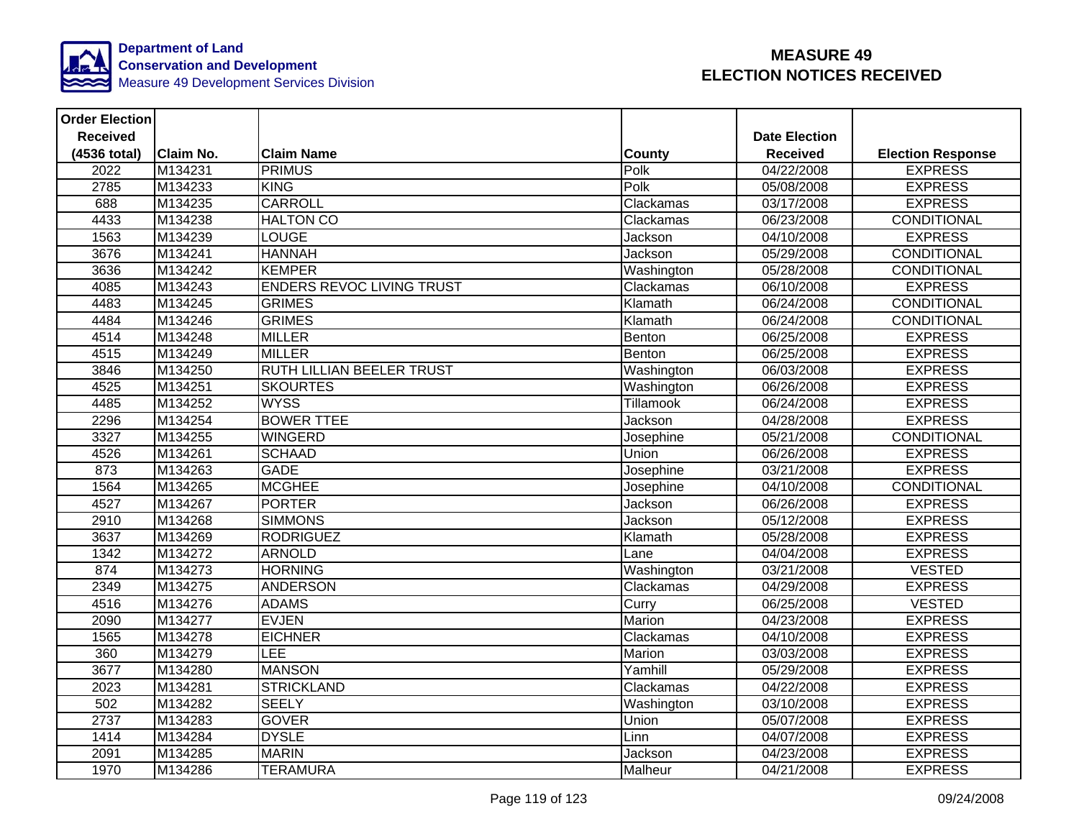

| <b>Order Election</b> |                  |                                  |               |                      |                          |
|-----------------------|------------------|----------------------------------|---------------|----------------------|--------------------------|
| <b>Received</b>       |                  |                                  |               | <b>Date Election</b> |                          |
| (4536 total)          | <b>Claim No.</b> | <b>Claim Name</b>                | <b>County</b> | <b>Received</b>      | <b>Election Response</b> |
| 2022                  | M134231          | <b>PRIMUS</b>                    | Polk          | 04/22/2008           | <b>EXPRESS</b>           |
| 2785                  | M134233          | <b>KING</b>                      | Polk          | 05/08/2008           | <b>EXPRESS</b>           |
| 688                   | M134235          | <b>CARROLL</b>                   | Clackamas     | 03/17/2008           | <b>EXPRESS</b>           |
| 4433                  | M134238          | <b>HALTON CO</b>                 | Clackamas     | 06/23/2008           | CONDITIONAL              |
| 1563                  | M134239          | <b>LOUGE</b>                     | Jackson       | 04/10/2008           | <b>EXPRESS</b>           |
| 3676                  | M134241          | <b>HANNAH</b>                    | Jackson       | 05/29/2008           | CONDITIONAL              |
| 3636                  | M134242          | <b>KEMPER</b>                    | Washington    | 05/28/2008           | <b>CONDITIONAL</b>       |
| 4085                  | M134243          | <b>ENDERS REVOC LIVING TRUST</b> | Clackamas     | 06/10/2008           | <b>EXPRESS</b>           |
| 4483                  | M134245          | <b>GRIMES</b>                    | Klamath       | 06/24/2008           | CONDITIONAL              |
| 4484                  | M134246          | <b>GRIMES</b>                    | Klamath       | 06/24/2008           | <b>CONDITIONAL</b>       |
| 4514                  | M134248          | <b>MILLER</b>                    | Benton        | 06/25/2008           | <b>EXPRESS</b>           |
| 4515                  | M134249          | <b>MILLER</b>                    | Benton        | 06/25/2008           | <b>EXPRESS</b>           |
| 3846                  | M134250          | <b>RUTH LILLIAN BEELER TRUST</b> | Washington    | 06/03/2008           | <b>EXPRESS</b>           |
| 4525                  | M134251          | <b>SKOURTES</b>                  | Washington    | 06/26/2008           | <b>EXPRESS</b>           |
| 4485                  | M134252          | <b>WYSS</b>                      | Tillamook     | 06/24/2008           | <b>EXPRESS</b>           |
| 2296                  | M134254          | <b>BOWER TTEE</b>                | Jackson       | 04/28/2008           | <b>EXPRESS</b>           |
| 3327                  | M134255          | <b>WINGERD</b>                   | Josephine     | 05/21/2008           | CONDITIONAL              |
| 4526                  | M134261          | <b>SCHAAD</b>                    | Union         | 06/26/2008           | <b>EXPRESS</b>           |
| 873                   | M134263          | <b>GADE</b>                      | Josephine     | 03/21/2008           | <b>EXPRESS</b>           |
| 1564                  | M134265          | <b>MCGHEE</b>                    | Josephine     | 04/10/2008           | CONDITIONAL              |
| 4527                  | M134267          | <b>PORTER</b>                    | Jackson       | 06/26/2008           | <b>EXPRESS</b>           |
| 2910                  | M134268          | <b>SIMMONS</b>                   | Jackson       | 05/12/2008           | <b>EXPRESS</b>           |
| 3637                  | M134269          | <b>RODRIGUEZ</b>                 | Klamath       | 05/28/2008           | <b>EXPRESS</b>           |
| 1342                  | M134272          | <b>ARNOLD</b>                    | Lane          | 04/04/2008           | <b>EXPRESS</b>           |
| 874                   | M134273          | <b>HORNING</b>                   | Washington    | 03/21/2008           | <b>VESTED</b>            |
| 2349                  | M134275          | <b>ANDERSON</b>                  | Clackamas     | 04/29/2008           | <b>EXPRESS</b>           |
| 4516                  | M134276          | <b>ADAMS</b>                     | Curry         | 06/25/2008           | <b>VESTED</b>            |
| 2090                  | M134277          | <b>EVJEN</b>                     | Marion        | 04/23/2008           | <b>EXPRESS</b>           |
| 1565                  | M134278          | <b>EICHNER</b>                   | Clackamas     | 04/10/2008           | <b>EXPRESS</b>           |
| 360                   | M134279          | LEE                              | Marion        | 03/03/2008           | <b>EXPRESS</b>           |
| 3677                  | M134280          | <b>MANSON</b>                    | Yamhill       | 05/29/2008           | <b>EXPRESS</b>           |
| 2023                  | M134281          | <b>STRICKLAND</b>                | Clackamas     | 04/22/2008           | <b>EXPRESS</b>           |
| 502                   | M134282          | <b>SEELY</b>                     | Washington    | 03/10/2008           | <b>EXPRESS</b>           |
| 2737                  | M134283          | <b>GOVER</b>                     | Union         | 05/07/2008           | <b>EXPRESS</b>           |
| 1414                  | M134284          | <b>DYSLE</b>                     | Linn          | 04/07/2008           | <b>EXPRESS</b>           |
| 2091                  | M134285          | <b>MARIN</b>                     | Jackson       | 04/23/2008           | <b>EXPRESS</b>           |
| 1970                  | M134286          | <b>TERAMURA</b>                  | Malheur       | 04/21/2008           | <b>EXPRESS</b>           |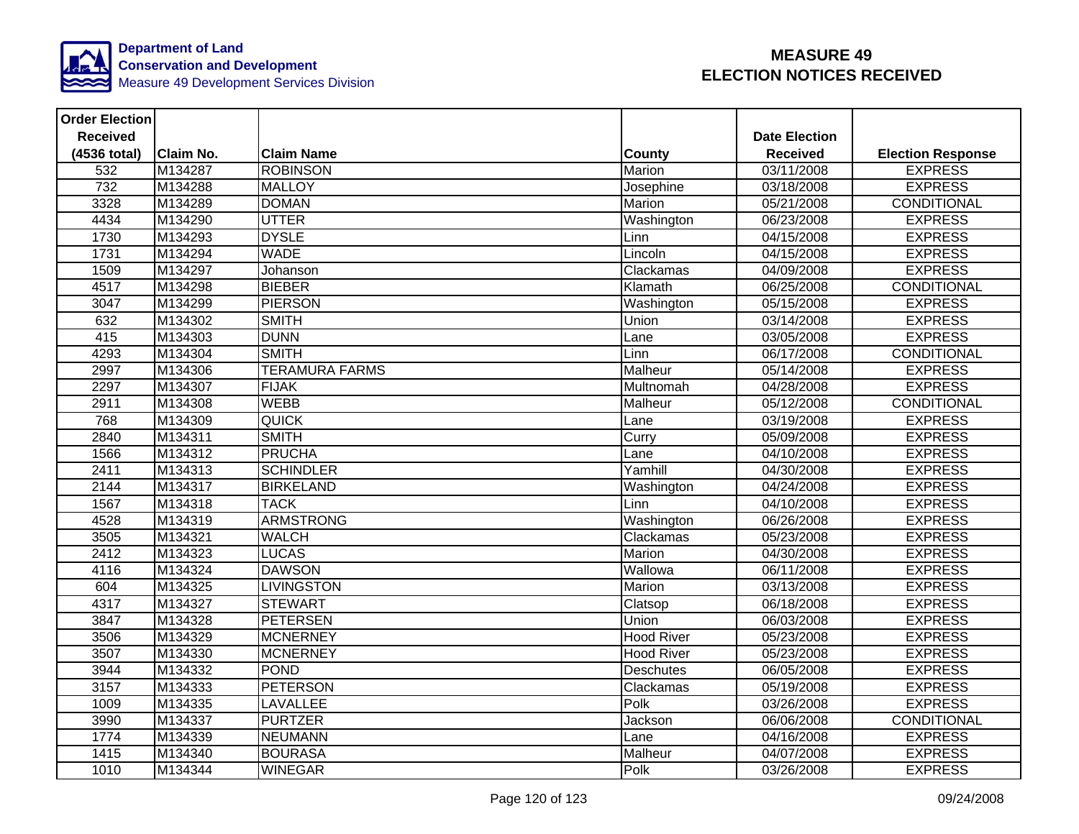

| <b>Order Election</b> |                  |                       |                   |                         |                          |
|-----------------------|------------------|-----------------------|-------------------|-------------------------|--------------------------|
| <b>Received</b>       |                  |                       |                   | <b>Date Election</b>    |                          |
| (4536 total)          | <b>Claim No.</b> | <b>Claim Name</b>     | County            | <b>Received</b>         | <b>Election Response</b> |
| 532                   | M134287          | <b>ROBINSON</b>       | Marion            | $\overline{03}/11/2008$ | <b>EXPRESS</b>           |
| 732                   | M134288          | <b>MALLOY</b>         | Josephine         | 03/18/2008              | <b>EXPRESS</b>           |
| 3328                  | M134289          | <b>DOMAN</b>          | Marion            | 05/21/2008              | <b>CONDITIONAL</b>       |
| 4434                  | M134290          | <b>UTTER</b>          | Washington        | 06/23/2008              | <b>EXPRESS</b>           |
| 1730                  | M134293          | <b>DYSLE</b>          | Linn              | 04/15/2008              | <b>EXPRESS</b>           |
| 1731                  | M134294          | <b>WADE</b>           | Lincoln           | 04/15/2008              | <b>EXPRESS</b>           |
| 1509                  | M134297          | Johanson              | Clackamas         | 04/09/2008              | <b>EXPRESS</b>           |
| 4517                  | M134298          | <b>BIEBER</b>         | Klamath           | 06/25/2008              | <b>CONDITIONAL</b>       |
| 3047                  | M134299          | <b>PIERSON</b>        | Washington        | 05/15/2008              | <b>EXPRESS</b>           |
| 632                   | M134302          | <b>SMITH</b>          | Union             | 03/14/2008              | <b>EXPRESS</b>           |
| 415                   | M134303          | <b>DUNN</b>           | Lane              | 03/05/2008              | <b>EXPRESS</b>           |
| 4293                  | M134304          | <b>SMITH</b>          | Linn              | 06/17/2008              | CONDITIONAL              |
| 2997                  | M134306          | <b>TERAMURA FARMS</b> | Malheur           | 05/14/2008              | <b>EXPRESS</b>           |
| 2297                  | M134307          | <b>FIJAK</b>          | Multnomah         | 04/28/2008              | <b>EXPRESS</b>           |
| 2911                  | M134308          | <b>WEBB</b>           | Malheur           | 05/12/2008              | <b>CONDITIONAL</b>       |
| 768                   | M134309          | <b>QUICK</b>          | Lane              | 03/19/2008              | <b>EXPRESS</b>           |
| 2840                  | M134311          | <b>SMITH</b>          | Curry             | 05/09/2008              | <b>EXPRESS</b>           |
| 1566                  | M134312          | <b>PRUCHA</b>         | Lane              | 04/10/2008              | <b>EXPRESS</b>           |
| 2411                  | M134313          | <b>SCHINDLER</b>      | Yamhill           | 04/30/2008              | <b>EXPRESS</b>           |
| 2144                  | M134317          | <b>BIRKELAND</b>      | Washington        | 04/24/2008              | <b>EXPRESS</b>           |
| 1567                  | M134318          | <b>TACK</b>           | Linn              | 04/10/2008              | <b>EXPRESS</b>           |
| 4528                  | M134319          | <b>ARMSTRONG</b>      | Washington        | 06/26/2008              | <b>EXPRESS</b>           |
| 3505                  | M134321          | <b>WALCH</b>          | Clackamas         | 05/23/2008              | <b>EXPRESS</b>           |
| 2412                  | M134323          | <b>LUCAS</b>          | Marion            | 04/30/2008              | <b>EXPRESS</b>           |
| 4116                  | M134324          | <b>DAWSON</b>         | Wallowa           | 06/11/2008              | <b>EXPRESS</b>           |
| 604                   | M134325          | <b>LIVINGSTON</b>     | Marion            | 03/13/2008              | <b>EXPRESS</b>           |
| 4317                  | M134327          | <b>STEWART</b>        | Clatsop           | 06/18/2008              | <b>EXPRESS</b>           |
| 3847                  | M134328          | <b>PETERSEN</b>       | Union             | 06/03/2008              | <b>EXPRESS</b>           |
| 3506                  | M134329          | <b>MCNERNEY</b>       | <b>Hood River</b> | 05/23/2008              | <b>EXPRESS</b>           |
| 3507                  | M134330          | <b>MCNERNEY</b>       | <b>Hood River</b> | 05/23/2008              | <b>EXPRESS</b>           |
| 3944                  | M134332          | <b>POND</b>           | <b>Deschutes</b>  | 06/05/2008              | <b>EXPRESS</b>           |
| 3157                  | M134333          | <b>PETERSON</b>       | Clackamas         | 05/19/2008              | <b>EXPRESS</b>           |
| 1009                  | M134335          | <b>LAVALLEE</b>       | Polk              | 03/26/2008              | <b>EXPRESS</b>           |
| 3990                  | M134337          | <b>PURTZER</b>        | Jackson           | 06/06/2008              | CONDITIONAL              |
| 1774                  | M134339          | <b>NEUMANN</b>        | Lane              | 04/16/2008              | <b>EXPRESS</b>           |
| 1415                  | M134340          | <b>BOURASA</b>        | Malheur           | 04/07/2008              | <b>EXPRESS</b>           |
| 1010                  | M134344          | <b>WINEGAR</b>        | Polk              | 03/26/2008              | <b>EXPRESS</b>           |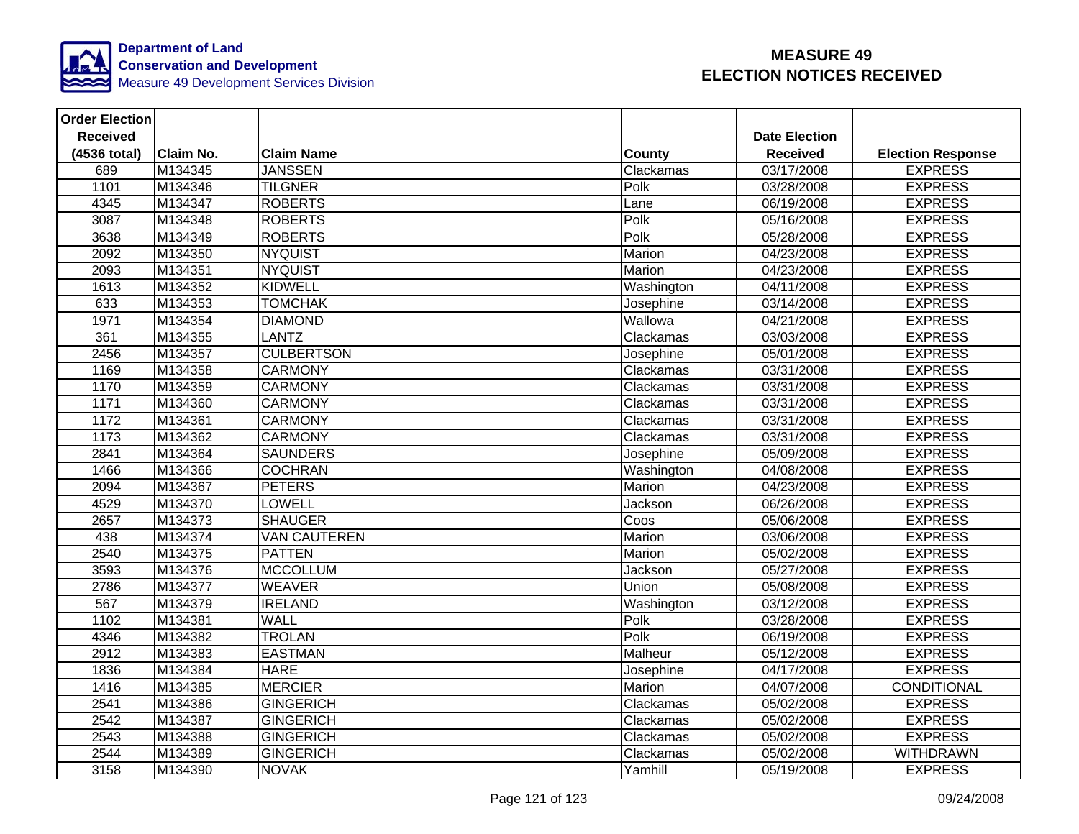

| <b>Order Election</b> |                  |                     |               |                      |                          |
|-----------------------|------------------|---------------------|---------------|----------------------|--------------------------|
| <b>Received</b>       |                  |                     |               | <b>Date Election</b> |                          |
| (4536 total)          | <b>Claim No.</b> | <b>Claim Name</b>   | <b>County</b> | <b>Received</b>      | <b>Election Response</b> |
| 689                   | M134345          | <b>JANSSEN</b>      | Clackamas     | 03/17/2008           | <b>EXPRESS</b>           |
| 1101                  | M134346          | <b>TILGNER</b>      | Polk          | 03/28/2008           | <b>EXPRESS</b>           |
| 4345                  | M134347          | <b>ROBERTS</b>      | Lane          | 06/19/2008           | <b>EXPRESS</b>           |
| 3087                  | M134348          | <b>ROBERTS</b>      | Polk          | 05/16/2008           | <b>EXPRESS</b>           |
| 3638                  | M134349          | <b>ROBERTS</b>      | Polk          | 05/28/2008           | <b>EXPRESS</b>           |
| 2092                  | M134350          | <b>NYQUIST</b>      | Marion        | 04/23/2008           | <b>EXPRESS</b>           |
| 2093                  | M134351          | <b>NYQUIST</b>      | Marion        | 04/23/2008           | <b>EXPRESS</b>           |
| 1613                  | M134352          | <b>KIDWELL</b>      | Washington    | 04/11/2008           | <b>EXPRESS</b>           |
| 633                   | M134353          | <b>TOMCHAK</b>      | Josephine     | 03/14/2008           | <b>EXPRESS</b>           |
| 1971                  | M134354          | <b>DIAMOND</b>      | Wallowa       | 04/21/2008           | <b>EXPRESS</b>           |
| 361                   | M134355          | <b>LANTZ</b>        | Clackamas     | 03/03/2008           | <b>EXPRESS</b>           |
| 2456                  | M134357          | <b>CULBERTSON</b>   | Josephine     | 05/01/2008           | <b>EXPRESS</b>           |
| 1169                  | M134358          | <b>CARMONY</b>      | Clackamas     | 03/31/2008           | <b>EXPRESS</b>           |
| 1170                  | M134359          | <b>CARMONY</b>      | Clackamas     | 03/31/2008           | <b>EXPRESS</b>           |
| 1171                  | M134360          | <b>CARMONY</b>      | Clackamas     | 03/31/2008           | <b>EXPRESS</b>           |
| 1172                  | M134361          | <b>CARMONY</b>      | Clackamas     | 03/31/2008           | <b>EXPRESS</b>           |
| 1173                  | M134362          | <b>CARMONY</b>      | Clackamas     | 03/31/2008           | <b>EXPRESS</b>           |
| 2841                  | M134364          | <b>SAUNDERS</b>     | Josephine     | 05/09/2008           | <b>EXPRESS</b>           |
| 1466                  | M134366          | <b>COCHRAN</b>      | Washington    | 04/08/2008           | <b>EXPRESS</b>           |
| 2094                  | M134367          | <b>PETERS</b>       | Marion        | 04/23/2008           | <b>EXPRESS</b>           |
| 4529                  | M134370          | LOWELL              | Jackson       | 06/26/2008           | <b>EXPRESS</b>           |
| 2657                  | M134373          | <b>SHAUGER</b>      | Coos          | 05/06/2008           | <b>EXPRESS</b>           |
| 438                   | M134374          | <b>VAN CAUTEREN</b> | Marion        | 03/06/2008           | <b>EXPRESS</b>           |
| 2540                  | M134375          | <b>PATTEN</b>       | Marion        | 05/02/2008           | <b>EXPRESS</b>           |
| 3593                  | M134376          | <b>MCCOLLUM</b>     | Jackson       | 05/27/2008           | <b>EXPRESS</b>           |
| 2786                  | M134377          | <b>WEAVER</b>       | Union         | 05/08/2008           | <b>EXPRESS</b>           |
| 567                   | M134379          | <b>IRELAND</b>      | Washington    | 03/12/2008           | <b>EXPRESS</b>           |
| 1102                  | M134381          | <b>WALL</b>         | Polk          | 03/28/2008           | <b>EXPRESS</b>           |
| 4346                  | M134382          | <b>TROLAN</b>       | Polk          | 06/19/2008           | <b>EXPRESS</b>           |
| 2912                  | M134383          | <b>EASTMAN</b>      | Malheur       | 05/12/2008           | <b>EXPRESS</b>           |
| 1836                  | M134384          | <b>HARE</b>         | Josephine     | $\sqrt{04/17}/2008$  | <b>EXPRESS</b>           |
| 1416                  | M134385          | <b>MERCIER</b>      | Marion        | $\frac{04}{07}/2008$ | <b>CONDITIONAL</b>       |
| 2541                  | M134386          | <b>GINGERICH</b>    | Clackamas     | 05/02/2008           | <b>EXPRESS</b>           |
| 2542                  | M134387          | <b>GINGERICH</b>    | Clackamas     | 05/02/2008           | <b>EXPRESS</b>           |
| 2543                  | M134388          | <b>GINGERICH</b>    | Clackamas     | 05/02/2008           | <b>EXPRESS</b>           |
| 2544                  | M134389          | <b>GINGERICH</b>    | Clackamas     | 05/02/2008           | <b>WITHDRAWN</b>         |
| 3158                  | M134390          | <b>NOVAK</b>        | Yamhill       | 05/19/2008           | <b>EXPRESS</b>           |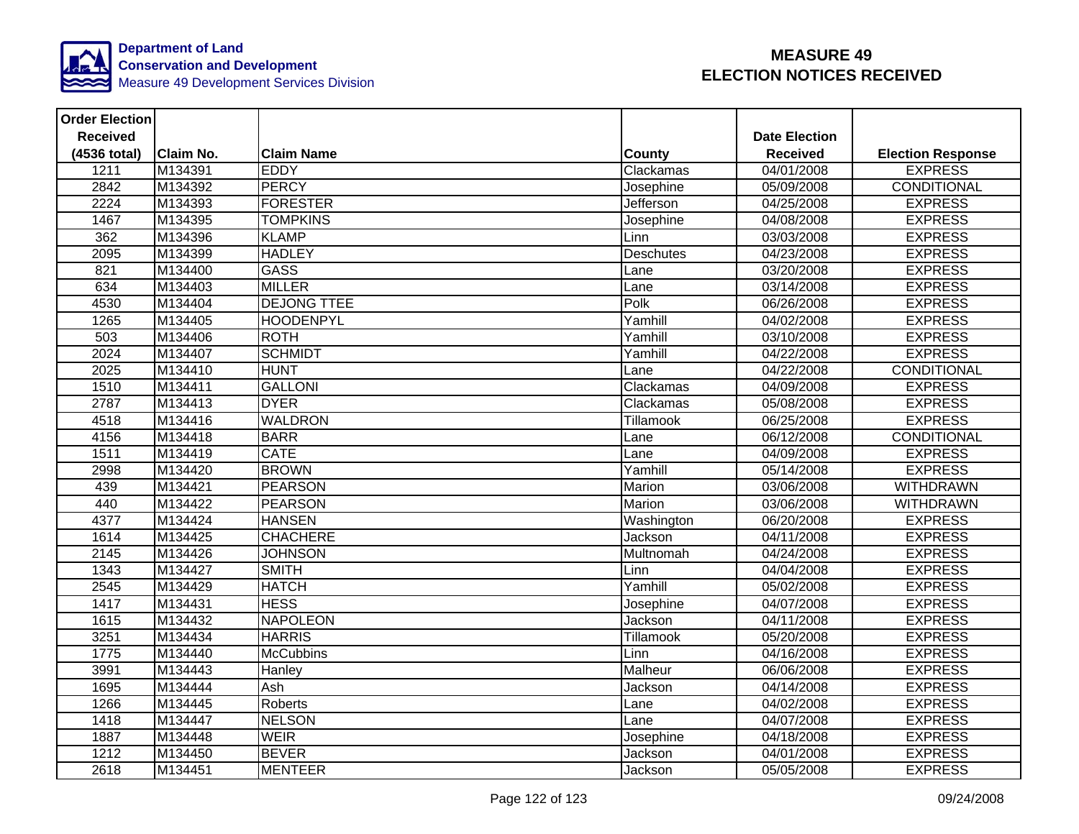

| <b>Order Election</b> |                  |                    |            |                      |                          |
|-----------------------|------------------|--------------------|------------|----------------------|--------------------------|
| <b>Received</b>       |                  |                    |            | <b>Date Election</b> |                          |
| (4536 total)          | <b>Claim No.</b> | <b>Claim Name</b>  | County     | <b>Received</b>      | <b>Election Response</b> |
| 1211                  | M134391          | <b>EDDY</b>        | Clackamas  | 04/01/2008           | <b>EXPRESS</b>           |
| 2842                  | M134392          | <b>PERCY</b>       | Josephine  | 05/09/2008           | <b>CONDITIONAL</b>       |
| 2224                  | M134393          | <b>FORESTER</b>    | Jefferson  | 04/25/2008           | <b>EXPRESS</b>           |
| 1467                  | M134395          | <b>TOMPKINS</b>    | Josephine  | 04/08/2008           | <b>EXPRESS</b>           |
| 362                   | M134396          | <b>KLAMP</b>       | Linn       | 03/03/2008           | <b>EXPRESS</b>           |
| 2095                  | M134399          | <b>HADLEY</b>      | Deschutes  | 04/23/2008           | <b>EXPRESS</b>           |
| 821                   | M134400          | <b>GASS</b>        | Lane       | 03/20/2008           | <b>EXPRESS</b>           |
| 634                   | M134403          | <b>MILLER</b>      | Lane       | 03/14/2008           | <b>EXPRESS</b>           |
| 4530                  | M134404          | <b>DEJONG TTEE</b> | Polk       | 06/26/2008           | <b>EXPRESS</b>           |
| 1265                  | M134405          | <b>HOODENPYL</b>   | Yamhill    | 04/02/2008           | <b>EXPRESS</b>           |
| 503                   | M134406          | <b>ROTH</b>        | Yamhill    | 03/10/2008           | <b>EXPRESS</b>           |
| 2024                  | M134407          | <b>SCHMIDT</b>     | Yamhill    | 04/22/2008           | <b>EXPRESS</b>           |
| 2025                  | M134410          | <b>HUNT</b>        | Lane       | 04/22/2008           | <b>CONDITIONAL</b>       |
| 1510                  | M134411          | <b>GALLONI</b>     | Clackamas  | 04/09/2008           | <b>EXPRESS</b>           |
| 2787                  | M134413          | <b>DYER</b>        | Clackamas  | 05/08/2008           | <b>EXPRESS</b>           |
| 4518                  | M134416          | <b>WALDRON</b>     | Tillamook  | 06/25/2008           | <b>EXPRESS</b>           |
| 4156                  | M134418          | <b>BARR</b>        | Lane       | 06/12/2008           | <b>CONDITIONAL</b>       |
| 1511                  | M134419          | <b>CATE</b>        | Lane       | 04/09/2008           | <b>EXPRESS</b>           |
| 2998                  | M134420          | <b>BROWN</b>       | Yamhill    | 05/14/2008           | <b>EXPRESS</b>           |
| 439                   | M134421          | <b>PEARSON</b>     | Marion     | 03/06/2008           | WITHDRAWN                |
| 440                   | M134422          | <b>PEARSON</b>     | Marion     | 03/06/2008           | <b>WITHDRAWN</b>         |
| 4377                  | M134424          | <b>HANSEN</b>      | Washington | 06/20/2008           | <b>EXPRESS</b>           |
| 1614                  | M134425          | <b>CHACHERE</b>    | Jackson    | 04/11/2008           | <b>EXPRESS</b>           |
| 2145                  | M134426          | <b>JOHNSON</b>     | Multnomah  | 04/24/2008           | <b>EXPRESS</b>           |
| 1343                  | M134427          | <b>SMITH</b>       | Linn       | 04/04/2008           | <b>EXPRESS</b>           |
| 2545                  | M134429          | <b>HATCH</b>       | Yamhill    | 05/02/2008           | <b>EXPRESS</b>           |
| 1417                  | M134431          | <b>HESS</b>        | Josephine  | 04/07/2008           | <b>EXPRESS</b>           |
| 1615                  | M134432          | <b>NAPOLEON</b>    | Jackson    | 04/11/2008           | <b>EXPRESS</b>           |
| 3251                  | M134434          | <b>HARRIS</b>      | Tillamook  | 05/20/2008           | <b>EXPRESS</b>           |
| 1775                  | M134440          | <b>McCubbins</b>   | Linn       | 04/16/2008           | <b>EXPRESS</b>           |
| 3991                  | M134443          | Hanley             | Malheur    | 06/06/2008           | <b>EXPRESS</b>           |
| 1695                  | M134444          | Ash                | Jackson    | 04/14/2008           | <b>EXPRESS</b>           |
| 1266                  | M134445          | Roberts            | Lane       | 04/02/2008           | <b>EXPRESS</b>           |
| 1418                  | M134447          | <b>NELSON</b>      | Lane       | 04/07/2008           | <b>EXPRESS</b>           |
| 1887                  | M134448          | <b>WEIR</b>        | Josephine  | 04/18/2008           | <b>EXPRESS</b>           |
| 1212                  | M134450          | <b>BEVER</b>       | Jackson    | 04/01/2008           | <b>EXPRESS</b>           |
| 2618                  | M134451          | <b>MENTEER</b>     | Jackson    | 05/05/2008           | <b>EXPRESS</b>           |